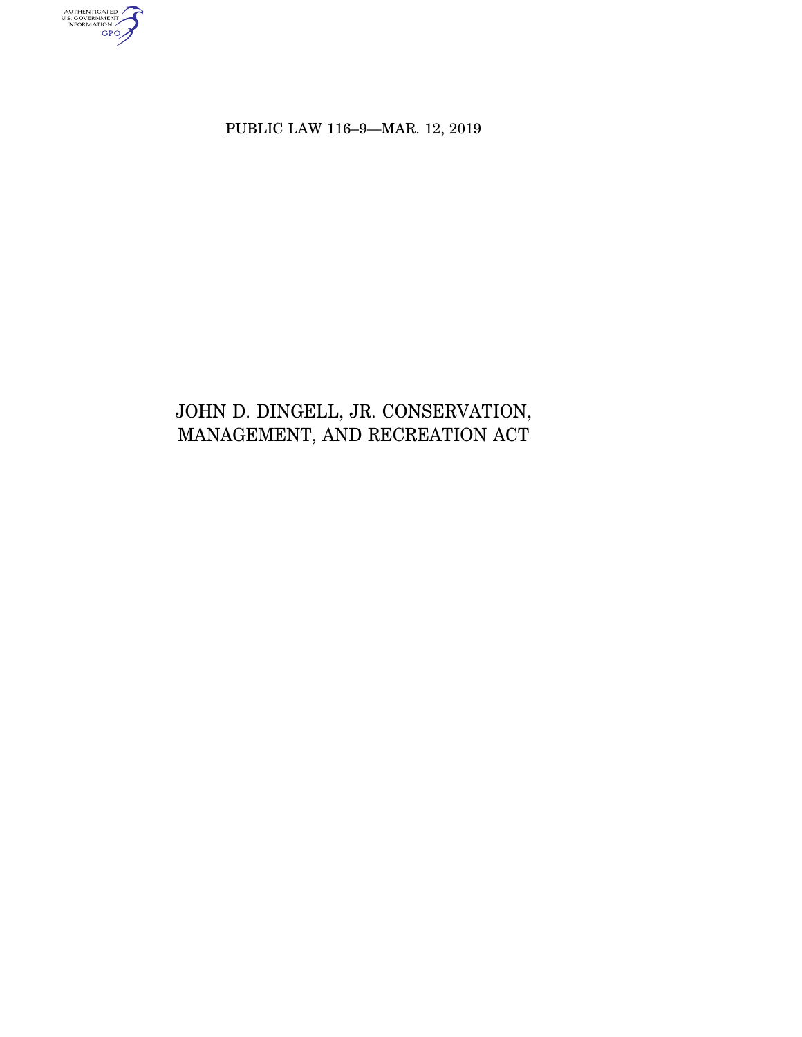authenticated<br>u.s. government<br>information<br>GPO

PUBLIC LAW 116–9—MAR. 12, 2019

# JOHN D. DINGELL, JR. CONSERVATION, MANAGEMENT, AND RECREATION ACT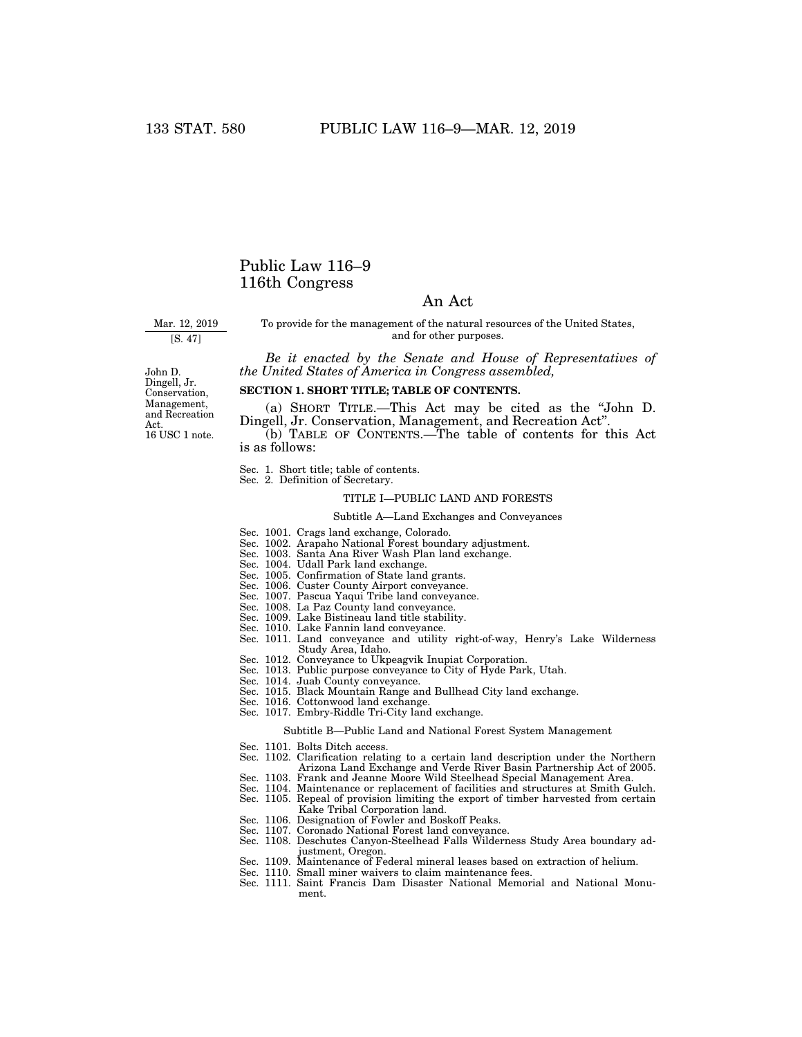# Public Law 116–9 116th Congress

# An Act

Mar. 12, 2019

[S. 47]

To provide for the management of the natural resources of the United States, and for other purposes.

*Be it enacted by the Senate and House of Representatives of the United States of America in Congress assembled,* 

John D. Dingell, Jr. Conservation, Management, and Recreation Act. 16 USC 1 note.

# **SECTION 1. SHORT TITLE; TABLE OF CONTENTS.**

(a) SHORT TITLE.—This Act may be cited as the ''John D. Dingell, Jr. Conservation, Management, and Recreation Act''.

(b) TABLE OF CONTENTS.—The table of contents for this Act is as follows:

- Sec. 1. Short title; table of contents.
- Sec. 2. Definition of Secretary.

# TITLE I—PUBLIC LAND AND FORESTS

# Subtitle A—Land Exchanges and Conveyances

- Sec. 1001. Crags land exchange, Colorado.
- Sec. 1002. Arapaho National Forest boundary adjustment.
- Sec. 1003. Santa Ana River Wash Plan land exchange.
- Sec. 1004. Udall Park land exchange.
- Sec. 1005. Confirmation of State land grants.
- Sec. 1006. Custer County Airport conveyance.
- 
- Sec. 1007. Pascua Yaqui Tribe land conveyance.
- Sec. 1008. La Paz County land conveyance.
- Sec. 1009. Lake Bistineau land title stability.
- Sec. 1010. Lake Fannin land conveyance.
- Sec. 1011. Land conveyance and utility right-of-way, Henry's Lake Wilderness Study Area, Idaho.
- Sec. 1012. Conveyance to Ukpeagvik Inupiat Corporation.
- Sec. 1013. Public purpose conveyance to City of Hyde Park, Utah.
- Sec. 1014. Juab County conveyance.
- Sec. 1015. Black Mountain Range and Bullhead City land exchange.
- Sec. 1016. Cottonwood land exchange.
- Sec. 1017. Embry-Riddle Tri-City land exchange.

#### Subtitle B—Public Land and National Forest System Management

- Sec. 1101. Bolts Ditch access.
- Sec. 1102. Clarification relating to a certain land description under the Northern Arizona Land Exchange and Verde River Basin Partnership Act of 2005.
- Sec. 1103. Frank and Jeanne Moore Wild Steelhead Special Management Area.
- Sec. 1104. Maintenance or replacement of facilities and structures at Smith Gulch.
- Sec. 1105. Repeal of provision limiting the export of timber harvested from certain Kake Tribal Corporation land.
- Sec. 1106. Designation of Fowler and Boskoff Peaks.
- Sec. 1107. Coronado National Forest land conveyance.
- Sec. 1108. Deschutes Canyon-Steelhead Falls Wilderness Study Area boundary adjustment, Oregon.
- Sec. 1109. Maintenance of Federal mineral leases based on extraction of helium.
- Sec. 1110. Small miner waivers to claim maintenance fees.
- Sec. 1111. Saint Francis Dam Disaster National Memorial and National Monument.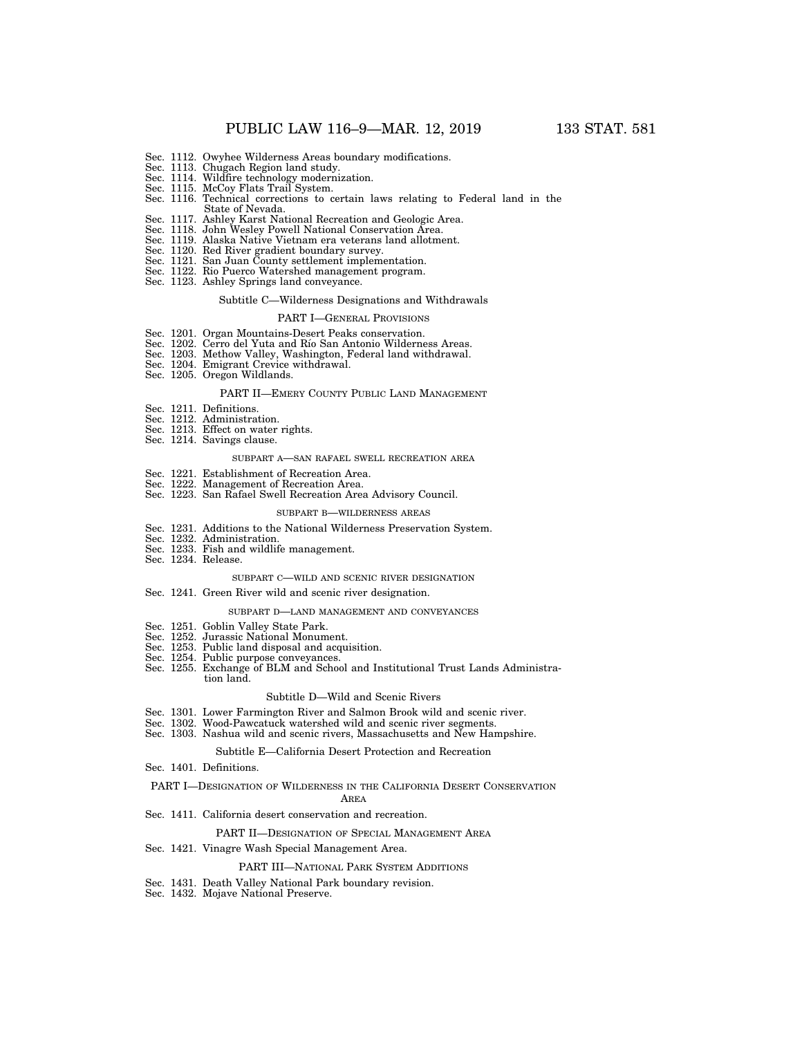- Sec. 1112. Owyhee Wilderness Areas boundary modifications.
- Sec. 1113. Chugach Region land study. Sec. 1114. Wildfire technology modernization.
- 
- 
- Sec. 1115. McCoy Flats Trail System. Sec. 1116. Technical corrections to certain laws relating to Federal land in the State of Nevada.
- Sec. 1117. Ashley Karst National Recreation and Geologic Area.
- 
- Sec. 1118. John Wesley Powell National Conservation Area. Sec. 1119. Alaska Native Vietnam era veterans land allotment.
- 
- Sec. 1120. Red River gradient boundary survey. Sec. 1121. San Juan County settlement implementation.
- Sec. 1122. Rio Puerco Watershed management program.
- Sec. 1123. Ashley Springs land conveyance.

#### Subtitle C—Wilderness Designations and Withdrawals

### PART I—GENERAL PROVISIONS

- Sec. 1201. Organ Mountains-Desert Peaks conservation.
- Sec. 1202. Cerro del Yuta and Río San Antonio Wilderness Areas.
- Sec. 1203. Methow Valley, Washington, Federal land withdrawal.
- Sec. 1204. Emigrant Crevice withdrawal.
- Sec. 1205. Oregon Wildlands.

# PART II—EMERY COUNTY PUBLIC LAND MANAGEMENT

- Sec. 1211. Definitions.
- Sec. 1212. Administration. Sec. 1213. Effect on water rights.
- 
- Sec. 1214. Savings clause.

#### SUBPART A—SAN RAFAEL SWELL RECREATION AREA

- Sec. 1221. Establishment of Recreation Area.
- Sec. 1222. Management of Recreation Area.
- Sec. 1223. San Rafael Swell Recreation Area Advisory Council.

#### SUBPART B—WILDERNESS AREAS

- Sec. 1231. Additions to the National Wilderness Preservation System.
- Sec. 1232. Administration.
- Sec. 1233. Fish and wildlife management.
- Sec. 1234. Release.

#### SUBPART C—WILD AND SCENIC RIVER DESIGNATION

Sec. 1241. Green River wild and scenic river designation.

#### SUBPART D—LAND MANAGEMENT AND CONVEYANCES

- Sec. 1251. Goblin Valley State Park.
- Sec. 1252. Jurassic National Monument.
- Sec. 1253. Public land disposal and acquisition.
- Sec. 1254. Public purpose conveyances.
- Sec. 1255. Exchange of BLM and School and Institutional Trust Lands Administration land.

#### Subtitle D—Wild and Scenic Rivers

- Sec. 1301. Lower Farmington River and Salmon Brook wild and scenic river.
- Sec. 1302. Wood-Pawcatuck watershed wild and scenic river segments.
- Sec. 1303. Nashua wild and scenic rivers, Massachusetts and New Hampshire.

#### Subtitle E—California Desert Protection and Recreation

Sec. 1401. Definitions.

#### PART I—DESIGNATION OF WILDERNESS IN THE CALIFORNIA DESERT CONSERVATION

# AREA

#### Sec. 1411. California desert conservation and recreation.

#### PART II—DESIGNATION OF SPECIAL MANAGEMENT AREA

Sec. 1421. Vinagre Wash Special Management Area.

#### PART III—NATIONAL PARK SYSTEM ADDITIONS

- Sec. 1431. Death Valley National Park boundary revision.
- Sec. 1432. Mojave National Preserve.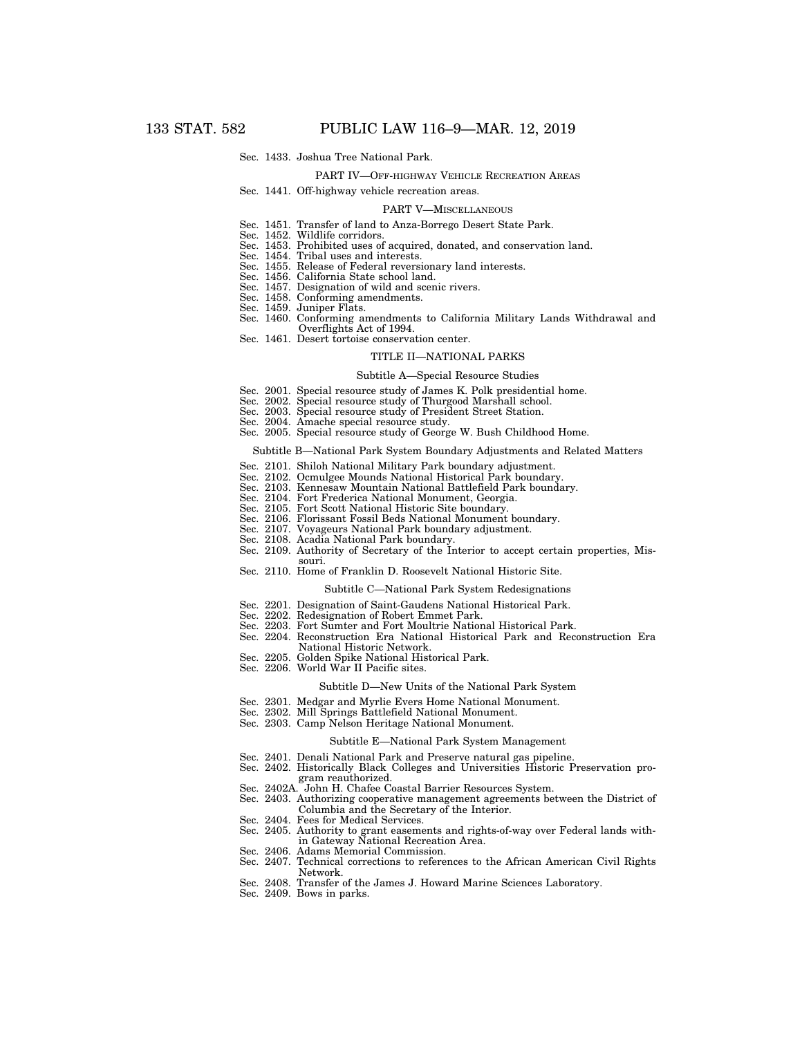#### Sec. 1433. Joshua Tree National Park.

### PART IV—OFF-HIGHWAY VEHICLE RECREATION AREAS

# Sec. 1441. Off-highway vehicle recreation areas.

#### PART V—MISCELLANEOUS

- Sec. 1451. Transfer of land to Anza-Borrego Desert State Park.<br>Sec. 1452. Wildlife corridors.
- Wildlife corridors.
- Sec. 1453. Prohibited uses of acquired, donated, and conservation land.
- Sec. 1454. Tribal uses and interests. Sec. 1455. Release of Federal reversionary land interests.
- Sec. 1456. California State school land.
- Sec. 1457. Designation of wild and scenic rivers.
- Sec. 1458. Conforming amendments.
- Sec. 1459. Juniper Flats.
- Sec. 1460. Conforming amendments to California Military Lands Withdrawal and Overflights Act of 1994.
- Sec. 1461. Desert tortoise conservation center.

#### TITLE II—NATIONAL PARKS

#### Subtitle A—Special Resource Studies

- Sec. 2001. Special resource study of James K. Polk presidential home. Sec. 2002. Special resource study of Thurgood Marshall school.
- 
- Sec. 2003. Special resource study of President Street Station.
- Sec. 2004. Amache special resource study.
- Sec. 2005. Special resource study of George W. Bush Childhood Home.

#### Subtitle B—National Park System Boundary Adjustments and Related Matters

- Sec. 2101. Shiloh National Military Park boundary adjustment.
- Sec. 2102. Ocmulgee Mounds National Historical Park boundary
- Sec. 2103. Kennesaw Mountain National Battlefield Park boundary.
- Sec. 2104. Fort Frederica National Monument, Georgia.
- Sec. 2105. Fort Scott National Historic Site boundary.
- Sec. 2106. Florissant Fossil Beds National Monument boundary.
- Sec. 2107. Voyageurs National Park boundary adjustment.
- Sec. 2108. Acadia National Park boundary.

souri.

- Sec. 2109. Authority of Secretary of the Interior to accept certain properties, Mis-
- Sec. 2110. Home of Franklin D. Roosevelt National Historic Site.

#### Subtitle C—National Park System Redesignations

- Sec. 2201. Designation of Saint-Gaudens National Historical Park.
- Sec. 2202. Redesignation of Robert Emmet Park.
- Sec. 2203. Fort Sumter and Fort Moultrie National Historical Park.
- Sec. 2204. Reconstruction Era National Historical Park and Reconstruction Era National Historic Network.
- Sec. 2205. Golden Spike National Historical Park.
- Sec. 2206. World War II Pacific sites.

#### Subtitle D—New Units of the National Park System

- Sec. 2301. Medgar and Myrlie Evers Home National Monument.
- Sec. 2302. Mill Springs Battlefield National Monument.
- Sec. 2303. Camp Nelson Heritage National Monument.

#### Subtitle E—National Park System Management

- Sec. 2401. Denali National Park and Preserve natural gas pipeline.
- Sec. 2402. Historically Black Colleges and Universities Historic Preservation program reauthorized.
- Sec. 2402A. John H. Chafee Coastal Barrier Resources System.
- Sec. 2403. Authorizing cooperative management agreements between the District of Columbia and the Secretary of the Interior.
- Sec. 2404. Fees for Medical Services.
- Sec. 2405. Authority to grant easements and rights-of-way over Federal lands within Gateway National Recreation Area.
- Sec. 2406. Adams Memorial Commission.
- Sec. 2407. Technical corrections to references to the African American Civil Rights Network.
- Sec. 2408. Transfer of the James J. Howard Marine Sciences Laboratory.
- Sec. 2409. Bows in parks.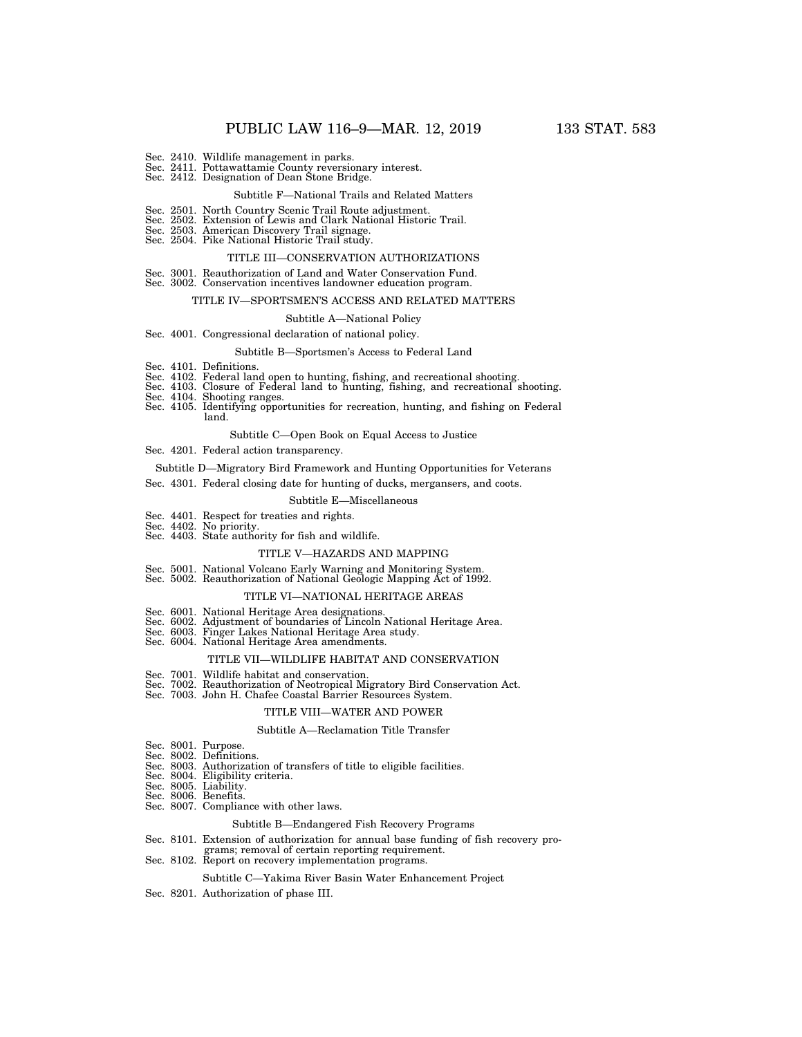- 
- Sec. 2410. Wildlife management in parks. Sec. 2411. Pottawattamie County reversionary interest. Sec. 2412. Designation of Dean Stone Bridge.
- 

#### Subtitle F—National Trails and Related Matters

- Sec. 2501. North Country Scenic Trail Route adjustment.
- Sec. 2502. Extension of Lewis and Clark National Historic Trail.
- Sec. 2503. American Discovery Trail signage. Sec. 2504. Pike National Historic Trail study.
	- TITLE III—CONSERVATION AUTHORIZATIONS
- Sec. 3001. Reauthorization of Land and Water Conservation Fund.
- Sec. 3002. Conservation incentives landowner education program.

#### TITLE IV—SPORTSMEN'S ACCESS AND RELATED MATTERS

#### Subtitle A—National Policy

#### Sec. 4001. Congressional declaration of national policy.

#### Subtitle B—Sportsmen's Access to Federal Land

- Sec. 4101. Definitions.
- Sec. 4102. Federal land open to hunting, fishing, and recreational shooting.
- Sec. 4103. Closure of Federal land to hunting, fishing, and recreational shooting.
- Sec. 4104. Shooting ranges.
- Sec. 4105. Identifying opportunities for recreation, hunting, and fishing on Federal land.

#### Subtitle C—Open Book on Equal Access to Justice

- Sec. 4201. Federal action transparency.
- Subtitle D—Migratory Bird Framework and Hunting Opportunities for Veterans
- Sec. 4301. Federal closing date for hunting of ducks, mergansers, and coots.

# Subtitle E—Miscellaneous

- Sec. 4401. Respect for treaties and rights. Sec. 4402. No priority.
- 
- Sec. 4403. State authority for fish and wildlife.

#### TITLE V—HAZARDS AND MAPPING

- Sec. 5001. National Volcano Early Warning and Monitoring System. Sec. 5002. Reauthorization of National Geologic Mapping Act of 1992.
- 

#### TITLE VI—NATIONAL HERITAGE AREAS

- Sec. 6001. National Heritage Area designations.
- Sec. 6002. Adjustment of boundaries of Lincoln National Heritage Area.
- Sec. 6003. Finger Lakes National Heritage Area study.
- Sec. 6004. National Heritage Area amendments.

# TITLE VII—WILDLIFE HABITAT AND CONSERVATION

- Sec. 7001. Wildlife habitat and conservation.
- Sec. 7002. Reauthorization of Neotropical Migratory Bird Conservation Act. Sec. 7003. John H. Chafee Coastal Barrier Resources System.
- 

#### TITLE VIII—WATER AND POWER

#### Subtitle A—Reclamation Title Transfer

- Sec. 8001. Purpose.
- Sec. 8002. Definitions.
- Sec. 8003. Authorization of transfers of title to eligible facilities.
- Sec. 8004. Eligibility criteria. Sec. 8005. Liability.
- 
- Sec. 8006. Benefits.
- Sec. 8007. Compliance with other laws.

#### Subtitle B—Endangered Fish Recovery Programs

- Sec. 8101. Extension of authorization for annual base funding of fish recovery pro-
- grams; removal of certain reporting requirement. Sec. 8102. Report on recovery implementation programs.

#### Subtitle C—Yakima River Basin Water Enhancement Project

Sec. 8201. Authorization of phase III.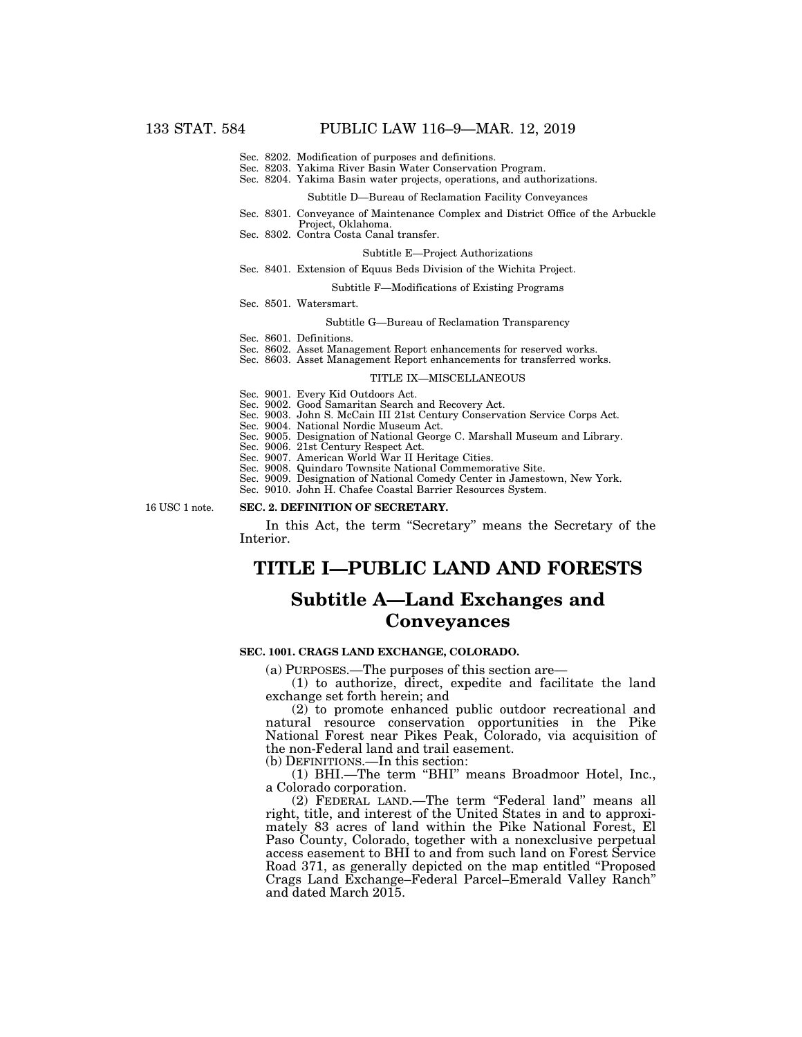- Sec. 8202. Modification of purposes and definitions.
- Sec. 8203. Yakima River Basin Water Conservation Program.
- Sec. 8204. Yakima Basin water projects, operations, and authorizations.

#### Subtitle D—Bureau of Reclamation Facility Conveyances

- Sec. 8301. Conveyance of Maintenance Complex and District Office of the Arbuckle Project, Oklahoma.
- Sec. 8302. Contra Costa Canal transfer.

# Subtitle E—Project Authorizations

Sec. 8401. Extension of Equus Beds Division of the Wichita Project.

#### Subtitle F—Modifications of Existing Programs

Sec. 8501. Watersmart.

### Subtitle G—Bureau of Reclamation Transparency

- Sec. 8601. Definitions.
- Sec. 8602. Asset Management Report enhancements for reserved works.
- Sec. 8603. Asset Management Report enhancements for transferred works.

#### TITLE IX—MISCELLANEOUS

Sec. 9001. Every Kid Outdoors Act.

- Sec. 9002. Good Samaritan Search and Recovery Act.
- Sec. 9003. John S. McCain III 21st Century Conservation Service Corps Act.
- Sec. 9004. National Nordic Museum Act.
- Sec. 9005. Designation of National George C. Marshall Museum and Library.
- Sec. 9006. 21st Century Respect Act.
- Sec. 9007. American World War II Heritage Cities.
- Sec. 9008. Quindaro Townsite National Commemorative Site.
- Sec. 9009. Designation of National Comedy Center in Jamestown, New York.
- Sec. 9010. John H. Chafee Coastal Barrier Resources System.

16 USC 1 note.

### **SEC. 2. DEFINITION OF SECRETARY.**

In this Act, the term ''Secretary'' means the Secretary of the Interior.

# **TITLE I—PUBLIC LAND AND FORESTS**

# **Subtitle A—Land Exchanges and Conveyances**

#### **SEC. 1001. CRAGS LAND EXCHANGE, COLORADO.**

(a) PURPOSES.—The purposes of this section are—

(1) to authorize, direct, expedite and facilitate the land exchange set forth herein; and

(2) to promote enhanced public outdoor recreational and natural resource conservation opportunities in the Pike National Forest near Pikes Peak, Colorado, via acquisition of the non-Federal land and trail easement.

(b) DEFINITIONS.—In this section:

(1) BHI.—The term ''BHI'' means Broadmoor Hotel, Inc., a Colorado corporation.

(2) FEDERAL LAND.—The term ''Federal land'' means all right, title, and interest of the United States in and to approximately 83 acres of land within the Pike National Forest, El Paso County, Colorado, together with a nonexclusive perpetual access easement to BHI to and from such land on Forest Service Road 371, as generally depicted on the map entitled ''Proposed Crags Land Exchange–Federal Parcel–Emerald Valley Ranch'' and dated March 2015.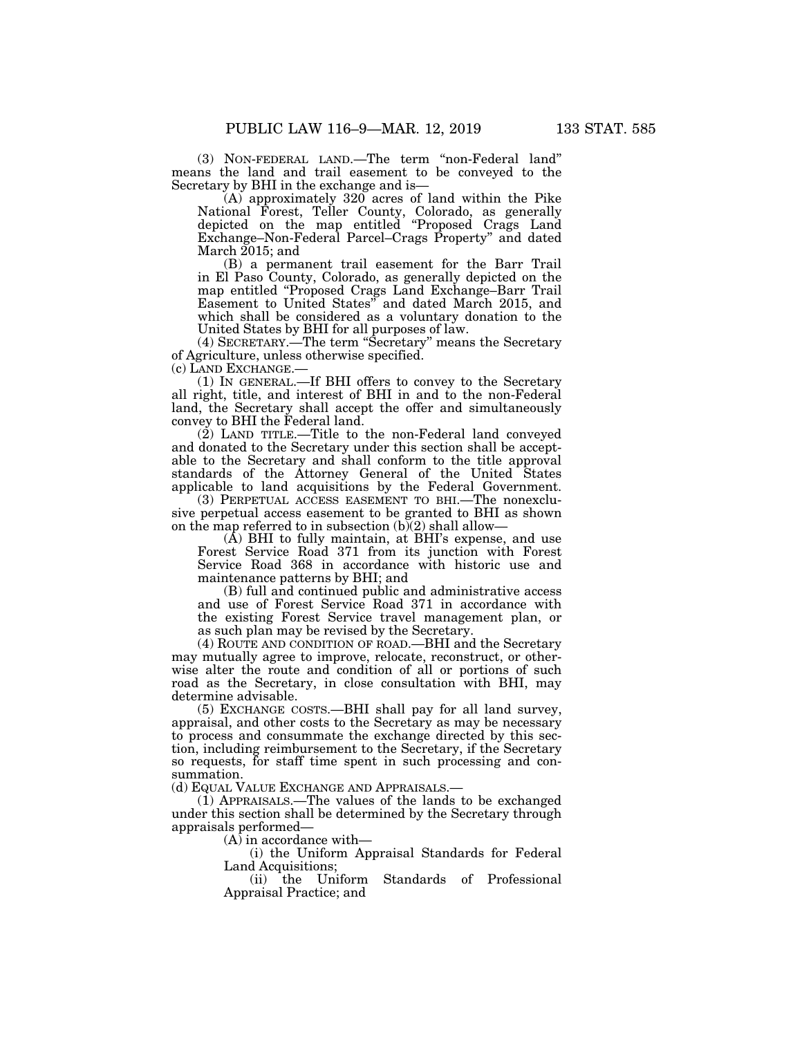(3) NON-FEDERAL LAND.—The term ''non-Federal land'' means the land and trail easement to be conveyed to the Secretary by BHI in the exchange and is—

(A) approximately 320 acres of land within the Pike National Forest, Teller County, Colorado, as generally depicted on the map entitled ''Proposed Crags Land Exchange–Non-Federal Parcel–Crags Property'' and dated March 2015; and

(B) a permanent trail easement for the Barr Trail in El Paso County, Colorado, as generally depicted on the map entitled ''Proposed Crags Land Exchange–Barr Trail Easement to United States'' and dated March 2015, and which shall be considered as a voluntary donation to the United States by BHI for all purposes of law.

(4) SECRETARY.—The term ''Secretary'' means the Secretary of Agriculture, unless otherwise specified.

(c) LAND EXCHANGE.—

(1) IN GENERAL.—If BHI offers to convey to the Secretary all right, title, and interest of BHI in and to the non-Federal land, the Secretary shall accept the offer and simultaneously convey to BHI the Federal land.

(2) LAND TITLE.—Title to the non-Federal land conveyed and donated to the Secretary under this section shall be acceptable to the Secretary and shall conform to the title approval standards of the Attorney General of the United States applicable to land acquisitions by the Federal Government.

(3) PERPETUAL ACCESS EASEMENT TO BHI.—The nonexclusive perpetual access easement to be granted to BHI as shown on the map referred to in subsection  $(b)(2)$  shall allow-

 $(A)$  BHI to fully maintain, at BHI's expense, and use Forest Service Road 371 from its junction with Forest Service Road 368 in accordance with historic use and maintenance patterns by BHI; and

(B) full and continued public and administrative access and use of Forest Service Road 371 in accordance with the existing Forest Service travel management plan, or as such plan may be revised by the Secretary.

(4) ROUTE AND CONDITION OF ROAD.—BHI and the Secretary may mutually agree to improve, relocate, reconstruct, or otherwise alter the route and condition of all or portions of such road as the Secretary, in close consultation with BHI, may determine advisable.

(5) EXCHANGE COSTS.—BHI shall pay for all land survey, appraisal, and other costs to the Secretary as may be necessary to process and consummate the exchange directed by this section, including reimbursement to the Secretary, if the Secretary so requests, for staff time spent in such processing and consummation.

(d) EQUAL VALUE EXCHANGE AND APPRAISALS.—

(1) APPRAISALS.—The values of the lands to be exchanged under this section shall be determined by the Secretary through appraisals performed—

 $(A)$  in accordance with—

(i) the Uniform Appraisal Standards for Federal Land Acquisitions;<br>(ii) the Uniform

Standards of Professional Appraisal Practice; and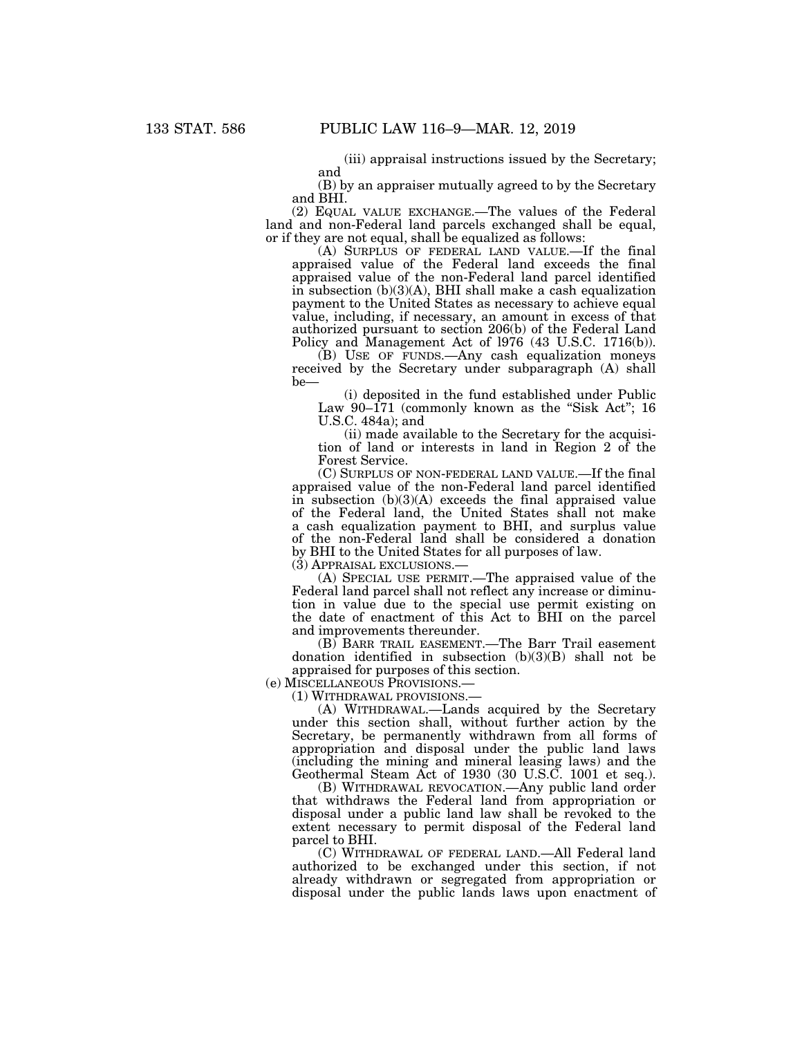(iii) appraisal instructions issued by the Secretary; and

(B) by an appraiser mutually agreed to by the Secretary and BHI.

(2) EQUAL VALUE EXCHANGE.—The values of the Federal land and non-Federal land parcels exchanged shall be equal, or if they are not equal, shall be equalized as follows:

(A) SURPLUS OF FEDERAL LAND VALUE.—If the final appraised value of the Federal land exceeds the final appraised value of the non-Federal land parcel identified in subsection (b)(3)(A), BHI shall make a cash equalization payment to the United States as necessary to achieve equal value, including, if necessary, an amount in excess of that authorized pursuant to section 206(b) of the Federal Land Policy and Management Act of l976 (43 U.S.C. 1716(b)).

(B) USE OF FUNDS.—Any cash equalization moneys received by the Secretary under subparagraph (A) shall be—

(i) deposited in the fund established under Public Law  $90-171$  (commonly known as the "Sisk Act"; 16 U.S.C. 484a); and

(ii) made available to the Secretary for the acquisition of land or interests in land in Region 2 of the Forest Service.

(C) SURPLUS OF NON-FEDERAL LAND VALUE.—If the final appraised value of the non-Federal land parcel identified in subsection  $(b)(3)(A)$  exceeds the final appraised value of the Federal land, the United States shall not make a cash equalization payment to BHI, and surplus value of the non-Federal land shall be considered a donation by BHI to the United States for all purposes of law.

(3) APPRAISAL EXCLUSIONS.—

(A) SPECIAL USE PERMIT.—The appraised value of the Federal land parcel shall not reflect any increase or diminution in value due to the special use permit existing on the date of enactment of this Act to BHI on the parcel and improvements thereunder.

(B) BARR TRAIL EASEMENT.—The Barr Trail easement donation identified in subsection (b)(3)(B) shall not be appraised for purposes of this section.

(e) MISCELLANEOUS PROVISIONS.—

(1) WITHDRAWAL PROVISIONS.—

(A) WITHDRAWAL.—Lands acquired by the Secretary under this section shall, without further action by the Secretary, be permanently withdrawn from all forms of appropriation and disposal under the public land laws (including the mining and mineral leasing laws) and the Geothermal Steam Act of 1930 (30 U.S.C. 1001 et seq.).

(B) WITHDRAWAL REVOCATION.—Any public land order that withdraws the Federal land from appropriation or disposal under a public land law shall be revoked to the extent necessary to permit disposal of the Federal land parcel to BHI.

(C) WITHDRAWAL OF FEDERAL LAND.—All Federal land authorized to be exchanged under this section, if not already withdrawn or segregated from appropriation or disposal under the public lands laws upon enactment of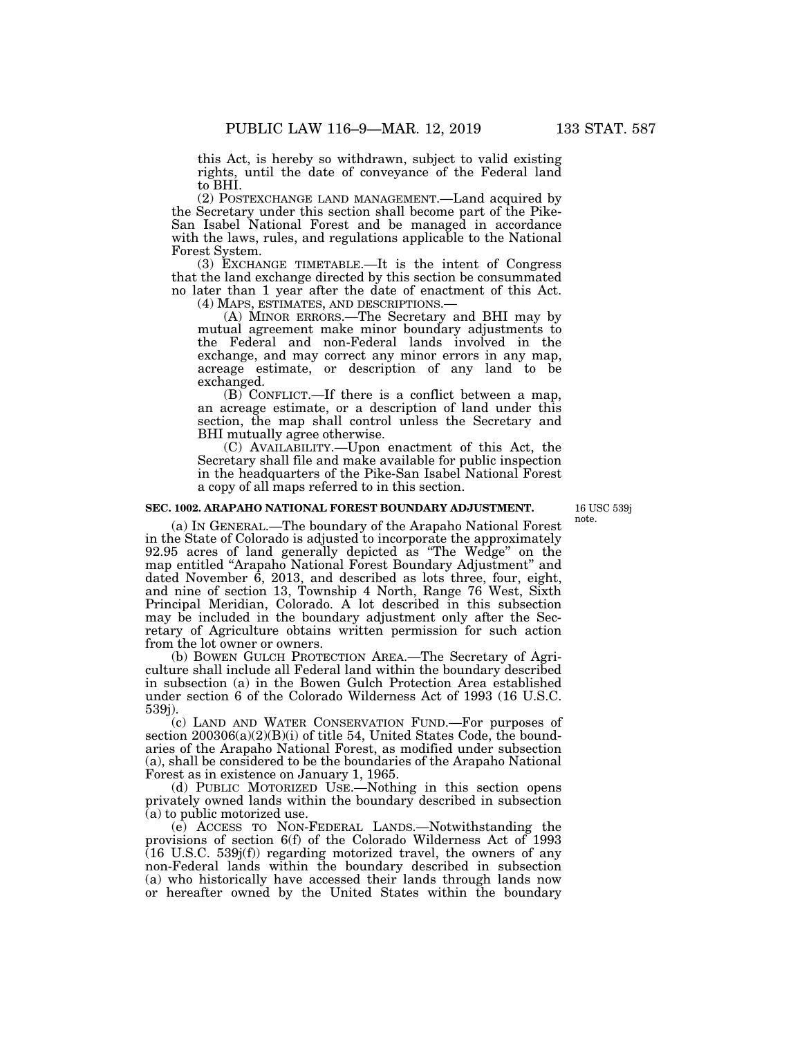this Act, is hereby so withdrawn, subject to valid existing rights, until the date of conveyance of the Federal land to BHI.

(2) POSTEXCHANGE LAND MANAGEMENT.—Land acquired by the Secretary under this section shall become part of the Pike-San Isabel National Forest and be managed in accordance with the laws, rules, and regulations applicable to the National Forest System.

(3) EXCHANGE TIMETABLE.—It is the intent of Congress that the land exchange directed by this section be consummated no later than 1 year after the date of enactment of this Act.

(4) MAPS, ESTIMATES, AND DESCRIPTIONS.— (A) MINOR ERRORS.—The Secretary and BHI may by mutual agreement make minor boundary adjustments to the Federal and non-Federal lands involved in the exchange, and may correct any minor errors in any map, acreage estimate, or description of any land to be exchanged.

(B) CONFLICT.—If there is a conflict between a map, an acreage estimate, or a description of land under this section, the map shall control unless the Secretary and BHI mutually agree otherwise.

(C) AVAILABILITY.—Upon enactment of this Act, the Secretary shall file and make available for public inspection in the headquarters of the Pike-San Isabel National Forest a copy of all maps referred to in this section.

#### **SEC. 1002. ARAPAHO NATIONAL FOREST BOUNDARY ADJUSTMENT.**

16 USC 539j note.

(a) IN GENERAL.—The boundary of the Arapaho National Forest in the State of Colorado is adjusted to incorporate the approximately 92.95 acres of land generally depicted as ''The Wedge'' on the map entitled ''Arapaho National Forest Boundary Adjustment'' and dated November 6, 2013, and described as lots three, four, eight, and nine of section 13, Township 4 North, Range 76 West, Sixth Principal Meridian, Colorado. A lot described in this subsection may be included in the boundary adjustment only after the Secretary of Agriculture obtains written permission for such action from the lot owner or owners.

(b) BOWEN GULCH PROTECTION AREA.—The Secretary of Agriculture shall include all Federal land within the boundary described in subsection (a) in the Bowen Gulch Protection Area established under section 6 of the Colorado Wilderness Act of 1993 (16 U.S.C. 539j).

(c) LAND AND WATER CONSERVATION FUND.—For purposes of section  $200306(a)(2)(B)(i)$  of title 54, United States Code, the boundaries of the Arapaho National Forest, as modified under subsection (a), shall be considered to be the boundaries of the Arapaho National Forest as in existence on January 1, 1965.

(d) PUBLIC MOTORIZED USE.—Nothing in this section opens privately owned lands within the boundary described in subsection (a) to public motorized use.

(e) ACCESS TO NON-FEDERAL LANDS.—Notwithstanding the provisions of section 6(f) of the Colorado Wilderness Act of 1993  $(16 \text{ U.S.C. } 539j(f))$  regarding motorized travel, the owners of any non-Federal lands within the boundary described in subsection (a) who historically have accessed their lands through lands now or hereafter owned by the United States within the boundary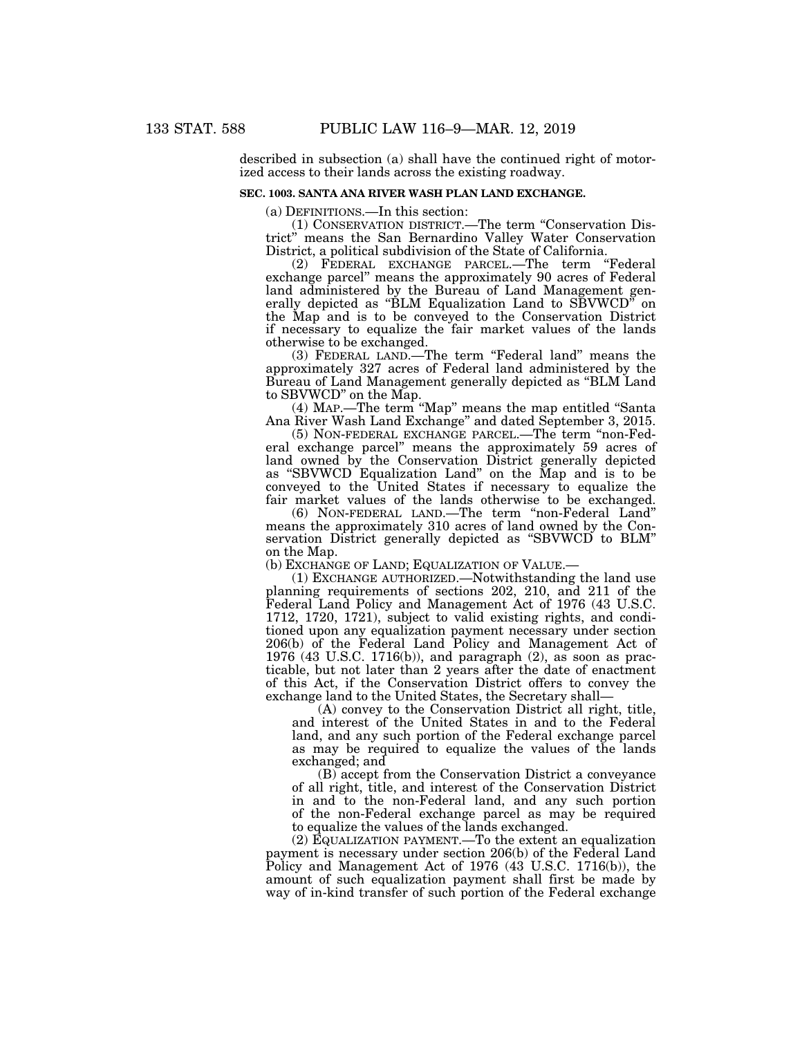described in subsection (a) shall have the continued right of motorized access to their lands across the existing roadway.

# **SEC. 1003. SANTA ANA RIVER WASH PLAN LAND EXCHANGE.**

(a) DEFINITIONS.—In this section:

(1) CONSERVATION DISTRICT.—The term ''Conservation District'' means the San Bernardino Valley Water Conservation District, a political subdivision of the State of California.

(2) FEDERAL EXCHANGE PARCEL.—The term ''Federal exchange parcel'' means the approximately 90 acres of Federal land administered by the Bureau of Land Management generally depicted as ''BLM Equalization Land to SBVWCD'' on the Map and is to be conveyed to the Conservation District if necessary to equalize the fair market values of the lands otherwise to be exchanged.

(3) FEDERAL LAND.—The term ''Federal land'' means the approximately 327 acres of Federal land administered by the Bureau of Land Management generally depicted as ''BLM Land to SBVWCD'' on the Map.

(4) MAP.—The term ''Map'' means the map entitled ''Santa Ana River Wash Land Exchange'' and dated September 3, 2015.

(5) NON-FEDERAL EXCHANGE PARCEL.—The term ''non-Federal exchange parcel'' means the approximately 59 acres of land owned by the Conservation District generally depicted as ''SBVWCD Equalization Land'' on the Map and is to be conveyed to the United States if necessary to equalize the fair market values of the lands otherwise to be exchanged.

(6) NON-FEDERAL LAND.—The term ''non-Federal Land'' means the approximately 310 acres of land owned by the Conservation District generally depicted as ''SBVWCD to BLM'' on the Map.

(b) EXCHANGE OF LAND; EQUALIZATION OF VALUE.—

(1) EXCHANGE AUTHORIZED.—Notwithstanding the land use planning requirements of sections 202, 210, and 211 of the Federal Land Policy and Management Act of 1976 (43 U.S.C. 1712, 1720, 1721), subject to valid existing rights, and conditioned upon any equalization payment necessary under section 206(b) of the Federal Land Policy and Management Act of 1976 (43 U.S.C. 1716(b)), and paragraph (2), as soon as practicable, but not later than 2 years after the date of enactment of this Act, if the Conservation District offers to convey the exchange land to the United States, the Secretary shall—

(A) convey to the Conservation District all right, title, and interest of the United States in and to the Federal land, and any such portion of the Federal exchange parcel as may be required to equalize the values of the lands exchanged; and

(B) accept from the Conservation District a conveyance of all right, title, and interest of the Conservation District in and to the non-Federal land, and any such portion of the non-Federal exchange parcel as may be required to equalize the values of the lands exchanged.

(2) EQUALIZATION PAYMENT.—To the extent an equalization payment is necessary under section 206(b) of the Federal Land Policy and Management Act of 1976 (43 U.S.C. 1716(b)), the amount of such equalization payment shall first be made by way of in-kind transfer of such portion of the Federal exchange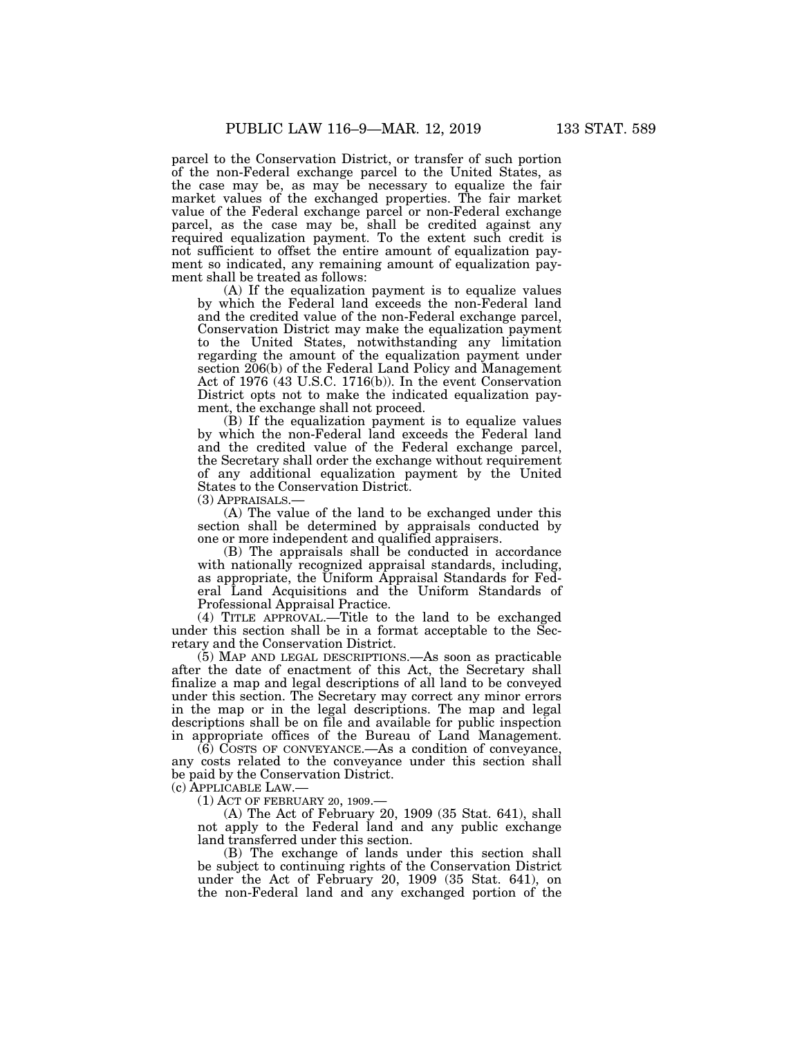parcel to the Conservation District, or transfer of such portion of the non-Federal exchange parcel to the United States, as the case may be, as may be necessary to equalize the fair market values of the exchanged properties. The fair market value of the Federal exchange parcel or non-Federal exchange parcel, as the case may be, shall be credited against any required equalization payment. To the extent such credit is not sufficient to offset the entire amount of equalization payment so indicated, any remaining amount of equalization payment shall be treated as follows:

(A) If the equalization payment is to equalize values by which the Federal land exceeds the non-Federal land and the credited value of the non-Federal exchange parcel, Conservation District may make the equalization payment to the United States, notwithstanding any limitation regarding the amount of the equalization payment under section 206(b) of the Federal Land Policy and Management Act of 1976 (43 U.S.C. 1716(b)). In the event Conservation District opts not to make the indicated equalization payment, the exchange shall not proceed.

(B) If the equalization payment is to equalize values by which the non-Federal land exceeds the Federal land and the credited value of the Federal exchange parcel, the Secretary shall order the exchange without requirement of any additional equalization payment by the United States to the Conservation District.

(3) APPRAISALS.—

(A) The value of the land to be exchanged under this section shall be determined by appraisals conducted by one or more independent and qualified appraisers.

(B) The appraisals shall be conducted in accordance with nationally recognized appraisal standards, including, as appropriate, the Uniform Appraisal Standards for Federal Land Acquisitions and the Uniform Standards of Professional Appraisal Practice.

(4) TITLE APPROVAL.—Title to the land to be exchanged under this section shall be in a format acceptable to the Secretary and the Conservation District.

(5) MAP AND LEGAL DESCRIPTIONS.—As soon as practicable after the date of enactment of this Act, the Secretary shall finalize a map and legal descriptions of all land to be conveyed under this section. The Secretary may correct any minor errors in the map or in the legal descriptions. The map and legal descriptions shall be on file and available for public inspection in appropriate offices of the Bureau of Land Management.

(6) COSTS OF CONVEYANCE.—As a condition of conveyance, any costs related to the conveyance under this section shall be paid by the Conservation District.

(c) APPLICABLE LAW.—

(1) ACT OF FEBRUARY 20, 1909.—

(A) The Act of February 20, 1909 (35 Stat. 641), shall not apply to the Federal land and any public exchange land transferred under this section.

(B) The exchange of lands under this section shall be subject to continuing rights of the Conservation District under the Act of February 20, 1909 (35 Stat. 641), on the non-Federal land and any exchanged portion of the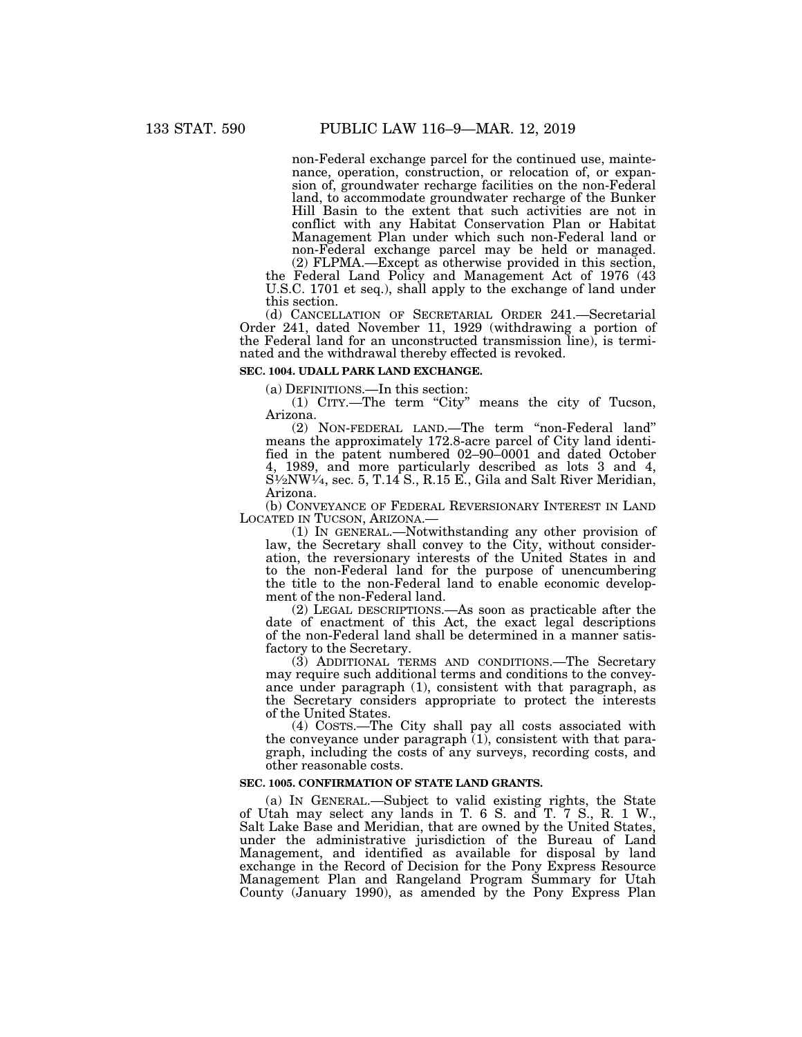non-Federal exchange parcel for the continued use, maintenance, operation, construction, or relocation of, or expansion of, groundwater recharge facilities on the non-Federal land, to accommodate groundwater recharge of the Bunker Hill Basin to the extent that such activities are not in conflict with any Habitat Conservation Plan or Habitat Management Plan under which such non-Federal land or non-Federal exchange parcel may be held or managed.

(2) FLPMA.—Except as otherwise provided in this section, the Federal Land Policy and Management Act of 1976 (43 U.S.C. 1701 et seq.), shall apply to the exchange of land under this section.

(d) CANCELLATION OF SECRETARIAL ORDER 241.—Secretarial Order 241, dated November 11, 1929 (withdrawing a portion of the Federal land for an unconstructed transmission line), is terminated and the withdrawal thereby effected is revoked.

# **SEC. 1004. UDALL PARK LAND EXCHANGE.**

(a) DEFINITIONS.—In this section:

(1) CITY.—The term ''City'' means the city of Tucson, Arizona.

(2) NON-FEDERAL LAND.—The term ''non-Federal land'' means the approximately 172.8-acre parcel of City land identified in the patent numbered 02–90–0001 and dated October 4, 1989, and more particularly described as lots 3 and 4,  $S<sup>1</sup>⁄<sub>2</sub>NW<sup>1</sup>⁄<sub>4</sub>$ , sec. 5, T.14 S., R.15 E., Gila and Salt River Meridian, Arizona.

(b) CONVEYANCE OF FEDERAL REVERSIONARY INTEREST IN LAND LOCATED IN TUCSON, ARIZONA.—

LOCATED IN TUCSON, ARIZONA.—<br>(1) IN GENERAL.—Notwithstanding any other provision of law, the Secretary shall convey to the City, without consideration, the reversionary interests of the United States in and to the non-Federal land for the purpose of unencumbering the title to the non-Federal land to enable economic development of the non-Federal land.

(2) LEGAL DESCRIPTIONS.—As soon as practicable after the date of enactment of this Act, the exact legal descriptions of the non-Federal land shall be determined in a manner satisfactory to the Secretary.

(3) ADDITIONAL TERMS AND CONDITIONS.—The Secretary may require such additional terms and conditions to the conveyance under paragraph (1), consistent with that paragraph, as the Secretary considers appropriate to protect the interests of the United States.

(4) COSTS.—The City shall pay all costs associated with the conveyance under paragraph  $(1)$ , consistent with that paragraph, including the costs of any surveys, recording costs, and other reasonable costs.

### **SEC. 1005. CONFIRMATION OF STATE LAND GRANTS.**

(a) IN GENERAL.—Subject to valid existing rights, the State of Utah may select any lands in T. 6 S. and T. 7 S., R. 1 W., Salt Lake Base and Meridian, that are owned by the United States, under the administrative jurisdiction of the Bureau of Land Management, and identified as available for disposal by land exchange in the Record of Decision for the Pony Express Resource Management Plan and Rangeland Program Summary for Utah County (January 1990), as amended by the Pony Express Plan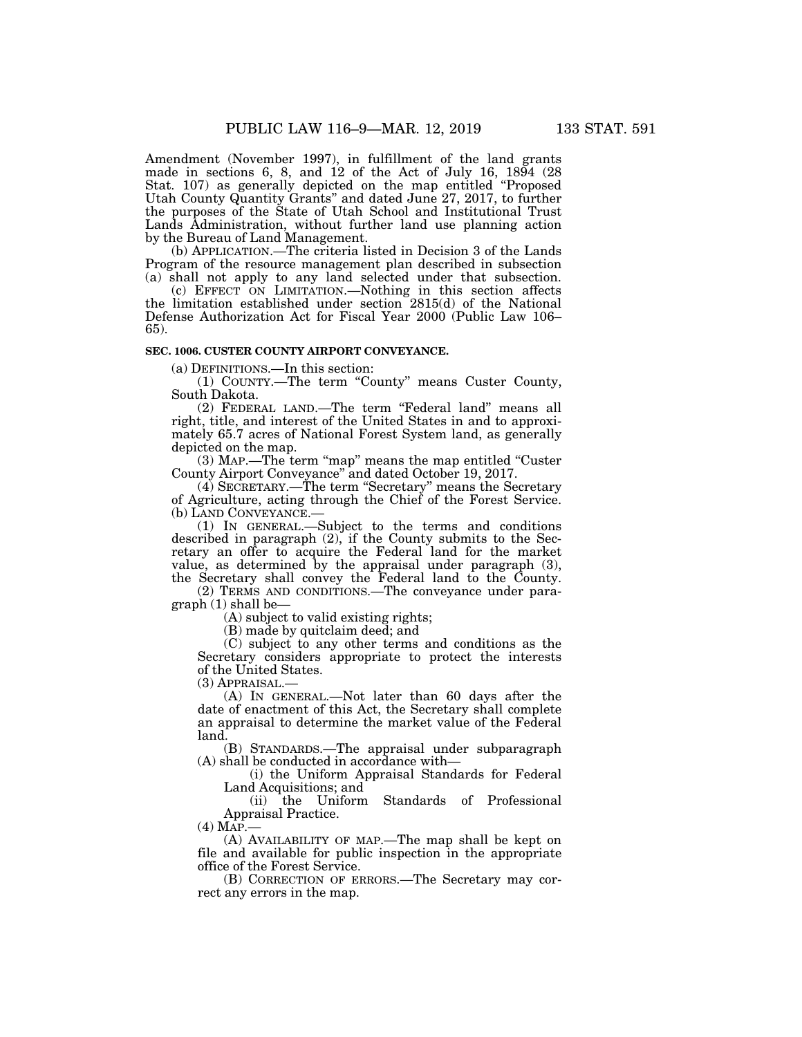Amendment (November 1997), in fulfillment of the land grants made in sections 6, 8, and 12 of the Act of July 16, 1894 (28 Stat. 107) as generally depicted on the map entitled ''Proposed Utah County Quantity Grants'' and dated June 27, 2017, to further the purposes of the State of Utah School and Institutional Trust Lands Administration, without further land use planning action by the Bureau of Land Management.

(b) APPLICATION.—The criteria listed in Decision 3 of the Lands Program of the resource management plan described in subsection (a) shall not apply to any land selected under that subsection.

(c) EFFECT ON LIMITATION.—Nothing in this section affects the limitation established under section 2815(d) of the National Defense Authorization Act for Fiscal Year 2000 (Public Law 106– 65).

# **SEC. 1006. CUSTER COUNTY AIRPORT CONVEYANCE.**

(a) DEFINITIONS.—In this section:

(1) COUNTY.—The term ''County'' means Custer County, South Dakota.

(2) FEDERAL LAND.—The term ''Federal land'' means all right, title, and interest of the United States in and to approximately 65.7 acres of National Forest System land, as generally depicted on the map.

(3) MAP.—The term "map" means the map entitled "Custer County Airport Conveyance'' and dated October 19, 2017.

(4) SECRETARY.—The term ''Secretary'' means the Secretary of Agriculture, acting through the Chief of the Forest Service. (b) LAND CONVEYANCE.—

(1) IN GENERAL.—Subject to the terms and conditions described in paragraph (2), if the County submits to the Secretary an offer to acquire the Federal land for the market value, as determined by the appraisal under paragraph (3), the Secretary shall convey the Federal land to the County.

(2) TERMS AND CONDITIONS.—The conveyance under paragraph (1) shall be—

(A) subject to valid existing rights;

(B) made by quitclaim deed; and

(C) subject to any other terms and conditions as the Secretary considers appropriate to protect the interests of the United States.

(3) APPRAISAL.—

(A) IN GENERAL.—Not later than 60 days after the date of enactment of this Act, the Secretary shall complete an appraisal to determine the market value of the Federal land.

(B) STANDARDS.—The appraisal under subparagraph (A) shall be conducted in accordance with—

(i) the Uniform Appraisal Standards for Federal Land Acquisitions; and

(ii) the Uniform Standards of Professional Appraisal Practice.

 $(4)$  MAP.

(A) AVAILABILITY OF MAP.—The map shall be kept on file and available for public inspection in the appropriate office of the Forest Service.

(B) CORRECTION OF ERRORS.—The Secretary may correct any errors in the map.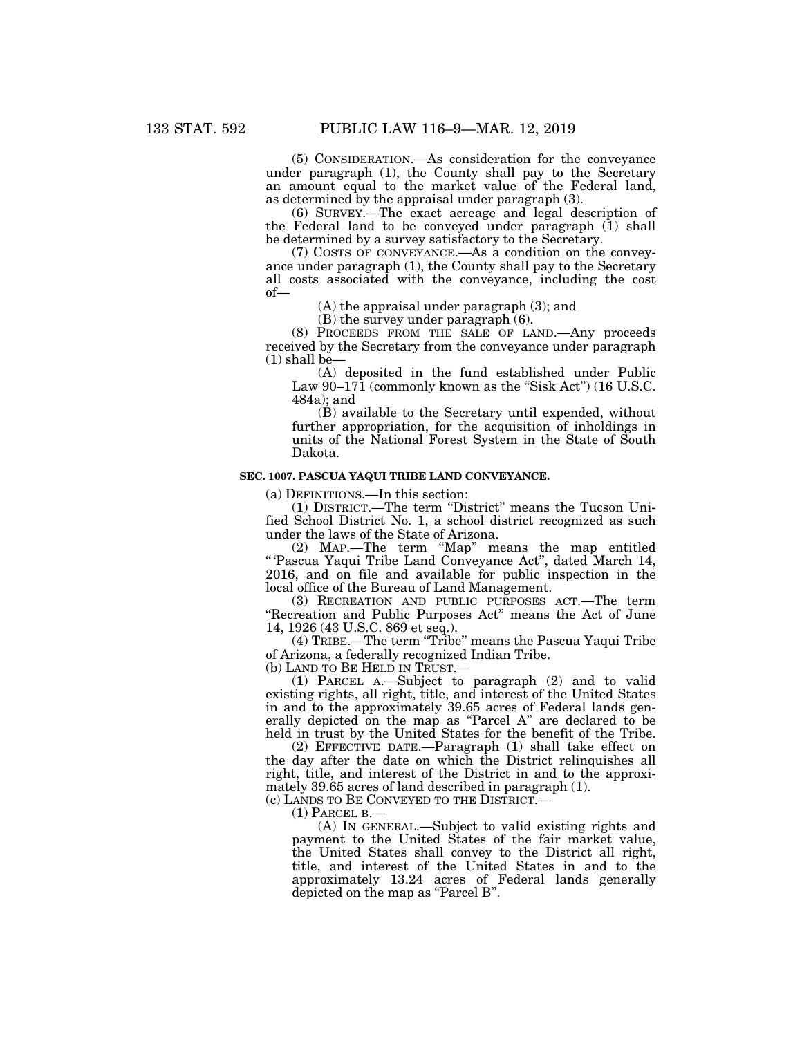(5) CONSIDERATION.—As consideration for the conveyance under paragraph (1), the County shall pay to the Secretary an amount equal to the market value of the Federal land, as determined by the appraisal under paragraph (3).

(6) SURVEY.—The exact acreage and legal description of the Federal land to be conveyed under paragraph (1) shall be determined by a survey satisfactory to the Secretary.

(7) COSTS OF CONVEYANCE.—As a condition on the conveyance under paragraph (1), the County shall pay to the Secretary all costs associated with the conveyance, including the cost of—

(A) the appraisal under paragraph (3); and

(B) the survey under paragraph (6).

(8) PROCEEDS FROM THE SALE OF LAND.—Any proceeds received by the Secretary from the conveyance under paragraph  $(1)$  shall be-

(A) deposited in the fund established under Public Law  $90-171$  (commonly known as the "Sisk Act") (16 U.S.C. 484a); and

(B) available to the Secretary until expended, without further appropriation, for the acquisition of inholdings in units of the National Forest System in the State of South Dakota.

# **SEC. 1007. PASCUA YAQUI TRIBE LAND CONVEYANCE.**

(a) DEFINITIONS.—In this section:

(1) DISTRICT.—The term ''District'' means the Tucson Unified School District No. 1, a school district recognized as such under the laws of the State of Arizona.

(2) MAP.—The term ''Map'' means the map entitled '' 'Pascua Yaqui Tribe Land Conveyance Act'', dated March 14, 2016, and on file and available for public inspection in the local office of the Bureau of Land Management.

(3) RECREATION AND PUBLIC PURPOSES ACT.—The term "Recreation and Public Purposes Act" means the Act of June 14, 1926 (43 U.S.C. 869 et seq.).

(4) TRIBE.—The term ''Tribe'' means the Pascua Yaqui Tribe of Arizona, a federally recognized Indian Tribe.

(b) LAND TO BE HELD IN TRUST.—

(1) PARCEL A.—Subject to paragraph (2) and to valid existing rights, all right, title, and interest of the United States in and to the approximately 39.65 acres of Federal lands generally depicted on the map as "Parcel A" are declared to be held in trust by the United States for the benefit of the Tribe.

(2) EFFECTIVE DATE.—Paragraph (1) shall take effect on the day after the date on which the District relinquishes all right, title, and interest of the District in and to the approximately 39.65 acres of land described in paragraph (1).

(c) LANDS TO BE CONVEYED TO THE DISTRICT.—

(1) PARCEL B.—

(A) IN GENERAL.—Subject to valid existing rights and payment to the United States of the fair market value, the United States shall convey to the District all right, title, and interest of the United States in and to the approximately 13.24 acres of Federal lands generally depicted on the map as "Parcel B".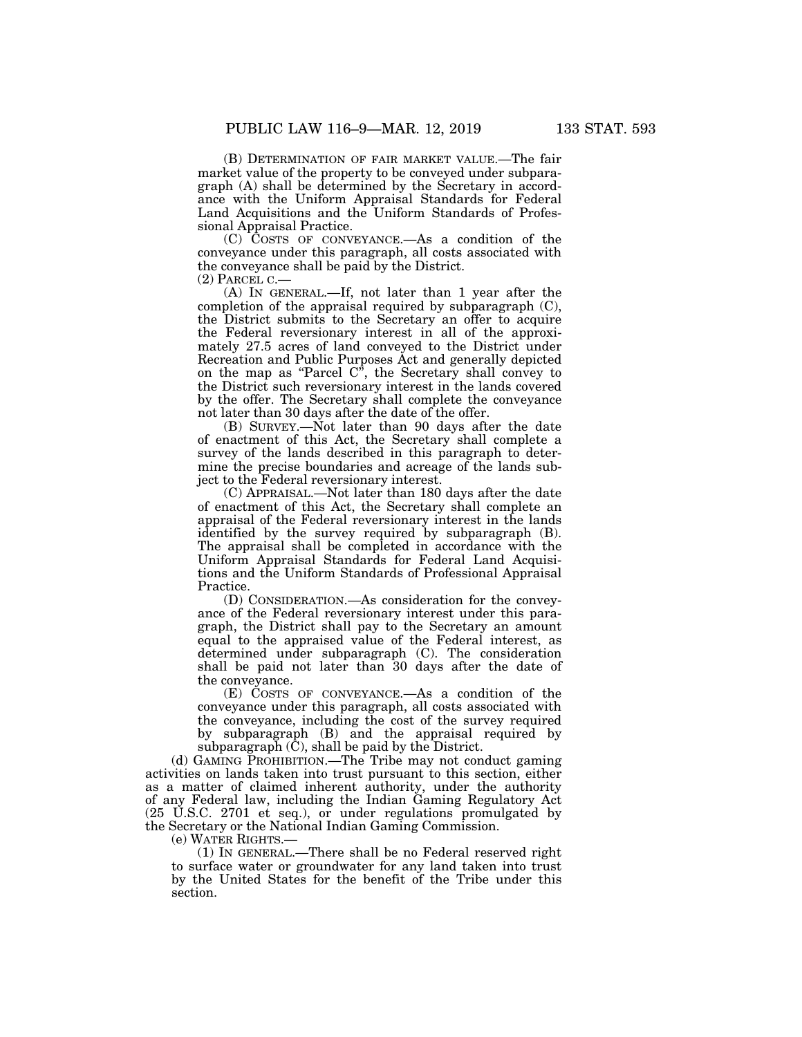(B) DETERMINATION OF FAIR MARKET VALUE.—The fair market value of the property to be conveyed under subparagraph (A) shall be determined by the Secretary in accordance with the Uniform Appraisal Standards for Federal Land Acquisitions and the Uniform Standards of Professional Appraisal Practice.

(C) COSTS OF CONVEYANCE.—As a condition of the conveyance under this paragraph, all costs associated with the conveyance shall be paid by the District.

(2) PARCEL C.—

(A) IN GENERAL.—If, not later than 1 year after the completion of the appraisal required by subparagraph (C), the District submits to the Secretary an offer to acquire the Federal reversionary interest in all of the approximately 27.5 acres of land conveyed to the District under Recreation and Public Purposes Act and generally depicted on the map as ''Parcel C'', the Secretary shall convey to the District such reversionary interest in the lands covered by the offer. The Secretary shall complete the conveyance not later than 30 days after the date of the offer.

(B) SURVEY.—Not later than 90 days after the date of enactment of this Act, the Secretary shall complete a survey of the lands described in this paragraph to determine the precise boundaries and acreage of the lands subject to the Federal reversionary interest.

(C) APPRAISAL.—Not later than 180 days after the date of enactment of this Act, the Secretary shall complete an appraisal of the Federal reversionary interest in the lands identified by the survey required by subparagraph (B). The appraisal shall be completed in accordance with the Uniform Appraisal Standards for Federal Land Acquisitions and the Uniform Standards of Professional Appraisal Practice.

(D) CONSIDERATION.—As consideration for the conveyance of the Federal reversionary interest under this paragraph, the District shall pay to the Secretary an amount equal to the appraised value of the Federal interest, as determined under subparagraph (C). The consideration shall be paid not later than 30 days after the date of the conveyance.

(E) COSTS OF CONVEYANCE.—As a condition of the conveyance under this paragraph, all costs associated with the conveyance, including the cost of the survey required by subparagraph (B) and the appraisal required by subparagraph  $(\tilde{C})$ , shall be paid by the District.

(d) GAMING PROHIBITION.—The Tribe may not conduct gaming activities on lands taken into trust pursuant to this section, either as a matter of claimed inherent authority, under the authority of any Federal law, including the Indian Gaming Regulatory Act (25 U.S.C. 2701 et seq.), or under regulations promulgated by the Secretary or the National Indian Gaming Commission.

(e) WATER RIGHTS.—

(1) IN GENERAL.—There shall be no Federal reserved right to surface water or groundwater for any land taken into trust by the United States for the benefit of the Tribe under this section.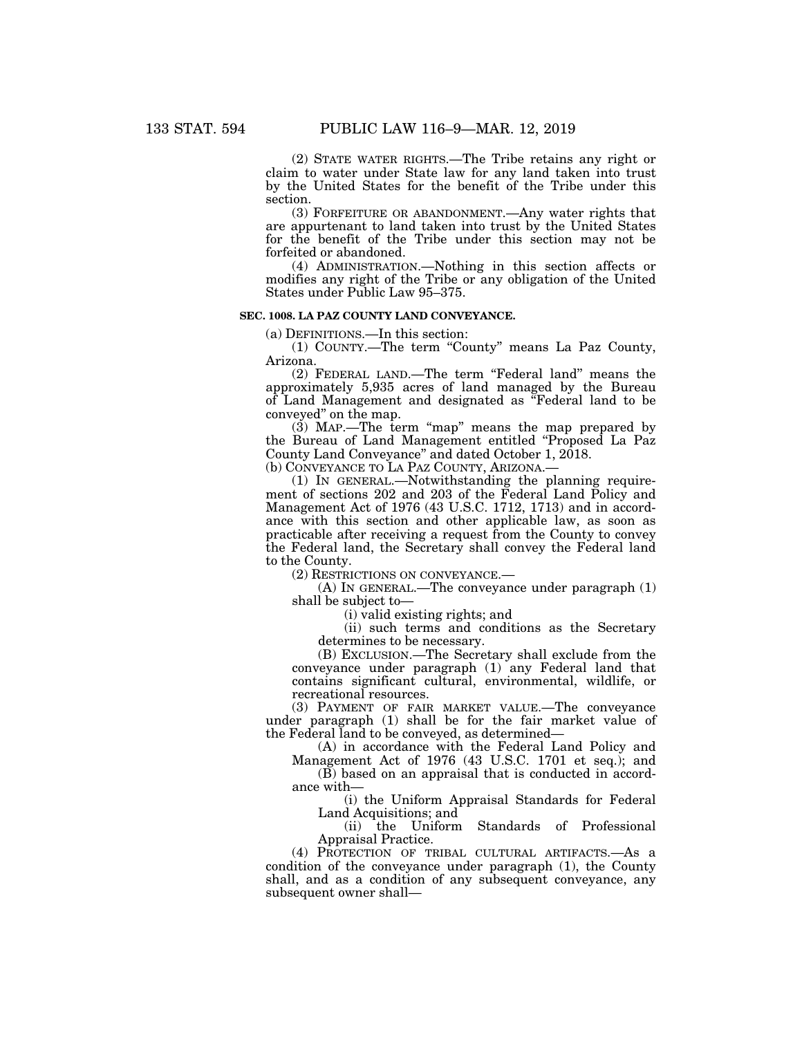(2) STATE WATER RIGHTS.—The Tribe retains any right or claim to water under State law for any land taken into trust by the United States for the benefit of the Tribe under this section.

(3) FORFEITURE OR ABANDONMENT.—Any water rights that are appurtenant to land taken into trust by the United States for the benefit of the Tribe under this section may not be forfeited or abandoned.

(4) ADMINISTRATION.—Nothing in this section affects or modifies any right of the Tribe or any obligation of the United States under Public Law 95–375.

# **SEC. 1008. LA PAZ COUNTY LAND CONVEYANCE.**

(a) DEFINITIONS.—In this section:

(1) COUNTY.—The term ''County'' means La Paz County, Arizona.

(2) FEDERAL LAND.—The term ''Federal land'' means the approximately 5,935 acres of land managed by the Bureau of Land Management and designated as ''Federal land to be conveyed'' on the map.

(3) MAP.—The term ''map'' means the map prepared by the Bureau of Land Management entitled ''Proposed La Paz County Land Conveyance'' and dated October 1, 2018. (b) CONVEYANCE TO LA PAZ COUNTY, ARIZONA.—

(1) IN GENERAL.—Notwithstanding the planning requirement of sections 202 and 203 of the Federal Land Policy and Management Act of 1976 (43 U.S.C. 1712, 1713) and in accordance with this section and other applicable law, as soon as practicable after receiving a request from the County to convey the Federal land, the Secretary shall convey the Federal land to the County.

(2) RESTRICTIONS ON CONVEYANCE.—

(A) IN GENERAL.—The conveyance under paragraph (1) shall be subject to—

(i) valid existing rights; and

(ii) such terms and conditions as the Secretary determines to be necessary.

(B) EXCLUSION.—The Secretary shall exclude from the conveyance under paragraph (1) any Federal land that contains significant cultural, environmental, wildlife, or recreational resources.

(3) PAYMENT OF FAIR MARKET VALUE.—The conveyance under paragraph (1) shall be for the fair market value of the Federal land to be conveyed, as determined—

(A) in accordance with the Federal Land Policy and Management Act of 1976 (43 U.S.C. 1701 et seq.); and

(B) based on an appraisal that is conducted in accordance with—

(i) the Uniform Appraisal Standards for Federal Land Acquisitions; and

(ii) the Uniform Standards of Professional Appraisal Practice.

(4) PROTECTION OF TRIBAL CULTURAL ARTIFACTS.—As a condition of the conveyance under paragraph (1), the County shall, and as a condition of any subsequent conveyance, any subsequent owner shall—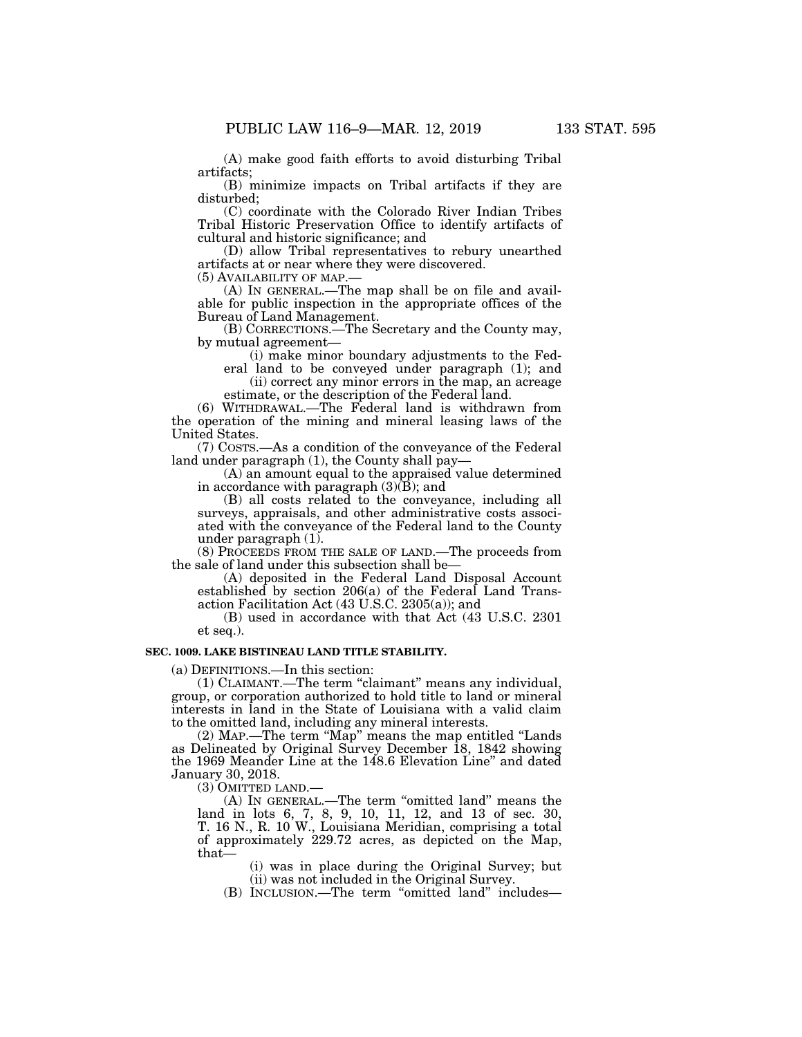(A) make good faith efforts to avoid disturbing Tribal artifacts;

(B) minimize impacts on Tribal artifacts if they are disturbed;

(C) coordinate with the Colorado River Indian Tribes Tribal Historic Preservation Office to identify artifacts of cultural and historic significance; and

(D) allow Tribal representatives to rebury unearthed artifacts at or near where they were discovered.<br>(5) AVAILABILITY OF MAP.—

 $(A)$  In GENERAL.—The map shall be on file and available for public inspection in the appropriate offices of the Bureau of Land Management.

(B) CORRECTIONS.—The Secretary and the County may, by mutual agreement—

(i) make minor boundary adjustments to the Fed-

eral land to be conveyed under paragraph (1); and (ii) correct any minor errors in the map, an acreage estimate, or the description of the Federal land.

(6) WITHDRAWAL.—The Federal land is withdrawn from the operation of the mining and mineral leasing laws of the United States.

(7) COSTS.—As a condition of the conveyance of the Federal land under paragraph (1), the County shall pay-

(A) an amount equal to the appraised value determined in accordance with paragraph (3)(B); and

(B) all costs related to the conveyance, including all surveys, appraisals, and other administrative costs associated with the conveyance of the Federal land to the County under paragraph (1).

(8) PROCEEDS FROM THE SALE OF LAND.—The proceeds from the sale of land under this subsection shall be—

(A) deposited in the Federal Land Disposal Account established by section 206(a) of the Federal Land Transaction Facilitation Act (43 U.S.C. 2305(a)); and

(B) used in accordance with that Act (43 U.S.C. 2301 et seq.).

### **SEC. 1009. LAKE BISTINEAU LAND TITLE STABILITY.**

(a) DEFINITIONS.—In this section:

(1) CLAIMANT.—The term "claimant" means any individual, group, or corporation authorized to hold title to land or mineral interests in land in the State of Louisiana with a valid claim to the omitted land, including any mineral interests.

(2) MAP.—The term ''Map'' means the map entitled ''Lands as Delineated by Original Survey December 18, 1842 showing the 1969 Meander Line at the 148.6 Elevation Line'' and dated January 30, 2018.

(3) OMITTED LAND.—

(A) In GENERAL.—The term "omitted land" means the land in lots 6, 7, 8, 9, 10, 11, 12, and 13 of sec. 30, T. 16 N., R. 10 W., Louisiana Meridian, comprising a total of approximately 229.72 acres, as depicted on the Map, that—

> (i) was in place during the Original Survey; but (ii) was not included in the Original Survey.

(B) INCLUSION.—The term ''omitted land'' includes—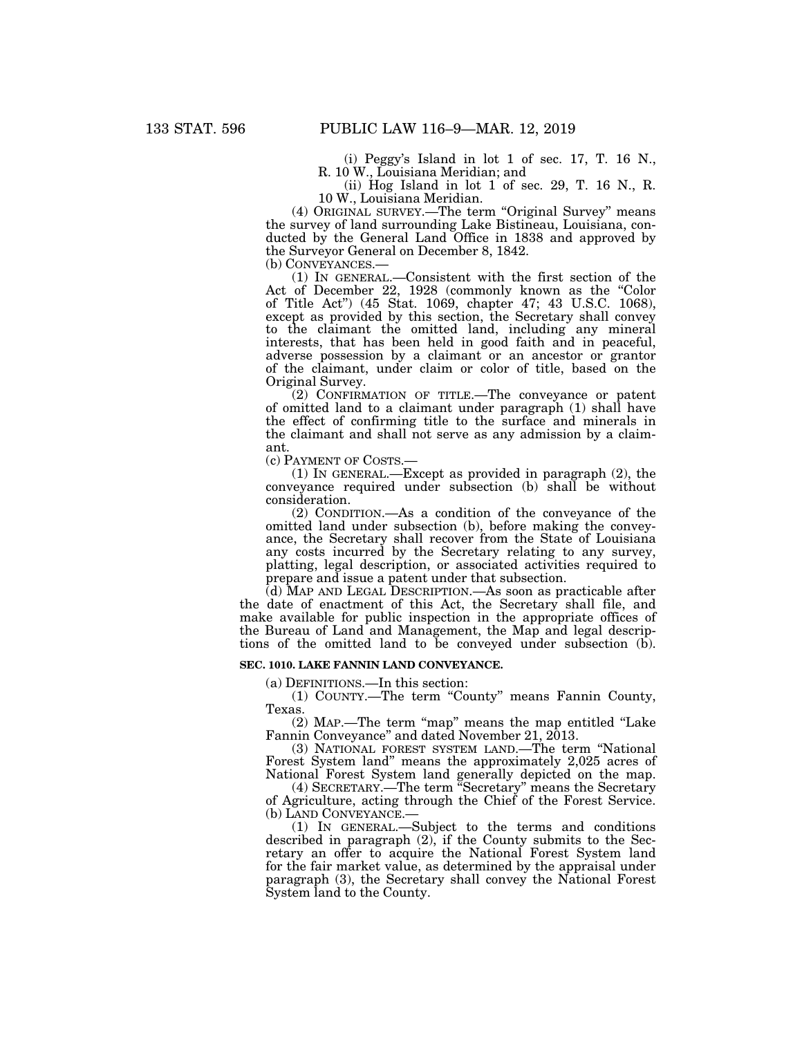(i) Peggy's Island in lot 1 of sec. 17, T. 16 N., R. 10 W., Louisiana Meridian; and

(ii) Hog Island in lot 1 of sec. 29, T. 16 N., R. 10 W., Louisiana Meridian.

(4) ORIGINAL SURVEY.—The term ''Original Survey'' means the survey of land surrounding Lake Bistineau, Louisiana, conducted by the General Land Office in 1838 and approved by the Surveyor General on December 8, 1842.

(b) CONVEYANCES.— (1) IN GENERAL.—Consistent with the first section of the Act of December 22, 1928 (commonly known as the "Color of Title Act'') (45 Stat. 1069, chapter 47; 43 U.S.C. 1068), except as provided by this section, the Secretary shall convey to the claimant the omitted land, including any mineral interests, that has been held in good faith and in peaceful, adverse possession by a claimant or an ancestor or grantor of the claimant, under claim or color of title, based on the Original Survey.

(2) CONFIRMATION OF TITLE.—The conveyance or patent of omitted land to a claimant under paragraph (1) shall have the effect of confirming title to the surface and minerals in the claimant and shall not serve as any admission by a claimant.

(c) PAYMENT OF COSTS.—

(1) IN GENERAL.—Except as provided in paragraph (2), the conveyance required under subsection (b) shall be without consideration.

(2) CONDITION.—As a condition of the conveyance of the omitted land under subsection (b), before making the conveyance, the Secretary shall recover from the State of Louisiana any costs incurred by the Secretary relating to any survey, platting, legal description, or associated activities required to prepare and issue a patent under that subsection.

(d) MAP AND LEGAL DESCRIPTION.—As soon as practicable after the date of enactment of this Act, the Secretary shall file, and make available for public inspection in the appropriate offices of the Bureau of Land and Management, the Map and legal descriptions of the omitted land to be conveyed under subsection (b).

### **SEC. 1010. LAKE FANNIN LAND CONVEYANCE.**

(a) DEFINITIONS.—In this section:

(1) COUNTY.—The term ''County'' means Fannin County, Texas.

(2) MAP.—The term ''map'' means the map entitled ''Lake Fannin Conveyance'' and dated November 21, 2013.

(3) NATIONAL FOREST SYSTEM LAND.—The term ''National Forest System land'' means the approximately 2,025 acres of National Forest System land generally depicted on the map.

(4) SECRETARY.—The term ''Secretary'' means the Secretary of Agriculture, acting through the Chief of the Forest Service.

(b) LAND CONVEYANCE.— (1) IN GENERAL.—Subject to the terms and conditions described in paragraph (2), if the County submits to the Secretary an offer to acquire the National Forest System land for the fair market value, as determined by the appraisal under paragraph (3), the Secretary shall convey the National Forest System land to the County.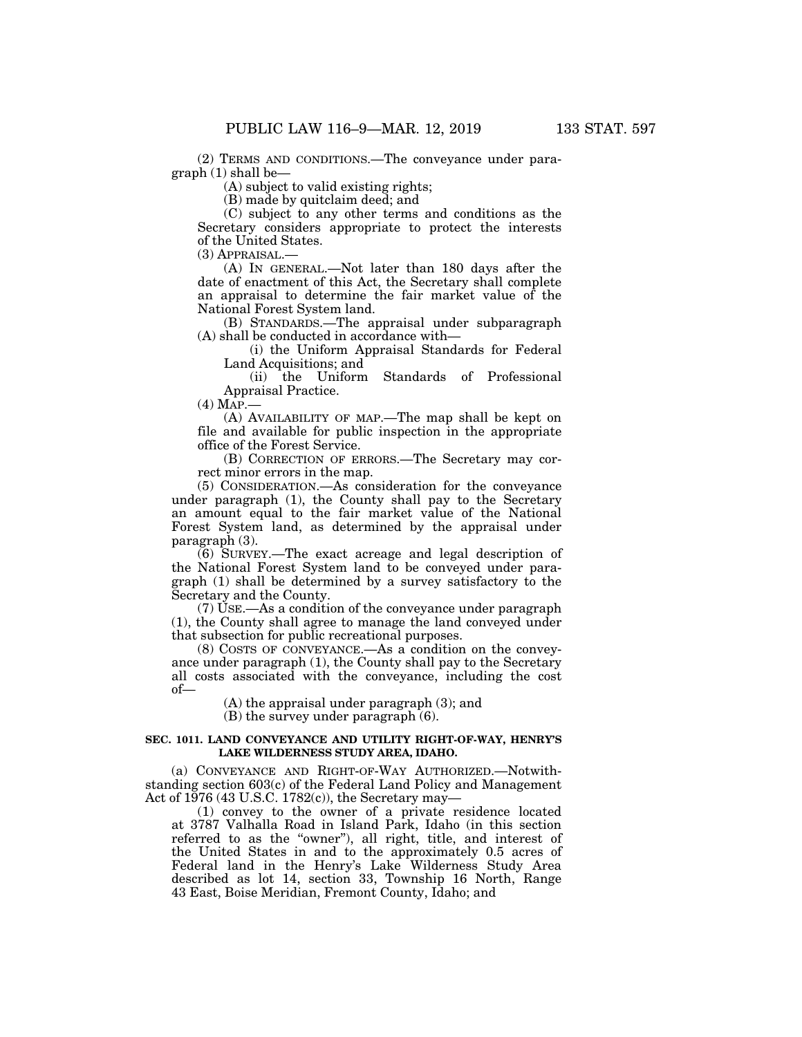(2) TERMS AND CONDITIONS.—The conveyance under paragraph (1) shall be—

(A) subject to valid existing rights;

(B) made by quitclaim deed; and

(C) subject to any other terms and conditions as the Secretary considers appropriate to protect the interests of the United States.

(3) APPRAISAL.—

(A) IN GENERAL.—Not later than 180 days after the date of enactment of this Act, the Secretary shall complete an appraisal to determine the fair market value of the National Forest System land.

(B) STANDARDS.—The appraisal under subparagraph (A) shall be conducted in accordance with—

(i) the Uniform Appraisal Standards for Federal Land Acquisitions; and

(ii) the Uniform Standards of Professional Appraisal Practice.

 $(4)$  MAP. $-$ 

(A) AVAILABILITY OF MAP.—The map shall be kept on file and available for public inspection in the appropriate office of the Forest Service.

(B) CORRECTION OF ERRORS.—The Secretary may correct minor errors in the map.

(5) CONSIDERATION.—As consideration for the conveyance under paragraph (1), the County shall pay to the Secretary an amount equal to the fair market value of the National Forest System land, as determined by the appraisal under paragraph (3).

(6) SURVEY.—The exact acreage and legal description of the National Forest System land to be conveyed under paragraph (1) shall be determined by a survey satisfactory to the Secretary and the County.

(7) USE.—As a condition of the conveyance under paragraph (1), the County shall agree to manage the land conveyed under that subsection for public recreational purposes.

(8) COSTS OF CONVEYANCE.—As a condition on the conveyance under paragraph (1), the County shall pay to the Secretary all costs associated with the conveyance, including the cost of—

(A) the appraisal under paragraph (3); and

(B) the survey under paragraph (6).

# **SEC. 1011. LAND CONVEYANCE AND UTILITY RIGHT-OF-WAY, HENRY'S LAKE WILDERNESS STUDY AREA, IDAHO.**

(a) CONVEYANCE AND RIGHT-OF-WAY AUTHORIZED.—Notwithstanding section 603(c) of the Federal Land Policy and Management Act of 1976 (43 U.S.C. 1782(c)), the Secretary may—

(1) convey to the owner of a private residence located at 3787 Valhalla Road in Island Park, Idaho (in this section referred to as the "owner"), all right, title, and interest of the United States in and to the approximately 0.5 acres of Federal land in the Henry's Lake Wilderness Study Area described as lot 14, section 33, Township 16 North, Range 43 East, Boise Meridian, Fremont County, Idaho; and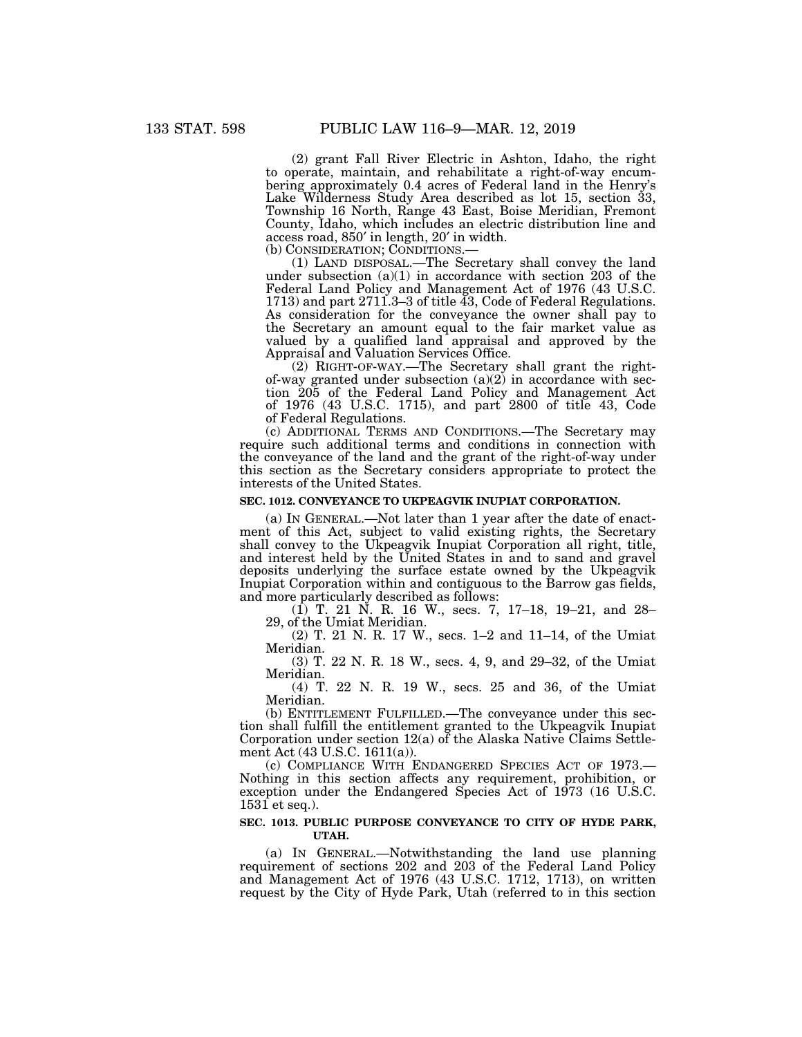(2) grant Fall River Electric in Ashton, Idaho, the right to operate, maintain, and rehabilitate a right-of-way encumbering approximately 0.4 acres of Federal land in the Henry's Lake Wilderness Study Area described as lot 15, section 33, Township 16 North, Range 43 East, Boise Meridian, Fremont County, Idaho, which includes an electric distribution line and access road, 850′ in length, 20′ in width.

(1) LAND DISPOSAL.—The Secretary shall convey the land under subsection  $(a)(1)$  in accordance with section 203 of the Federal Land Policy and Management Act of 1976 (43 U.S.C. 1713) and part 2711.3–3 of title 43, Code of Federal Regulations. As consideration for the conveyance the owner shall pay to the Secretary an amount equal to the fair market value as valued by a qualified land appraisal and approved by the Appraisal and Valuation Services Office.

(2) RIGHT-OF-WAY.—The Secretary shall grant the rightof-way granted under subsection (a)(2) in accordance with section 205 of the Federal Land Policy and Management Act of 1976 (43 U.S.C. 1715), and part 2800 of title 43, Code of Federal Regulations.

(c) ADDITIONAL TERMS AND CONDITIONS.—The Secretary may require such additional terms and conditions in connection with the conveyance of the land and the grant of the right-of-way under this section as the Secretary considers appropriate to protect the interests of the United States.

### **SEC. 1012. CONVEYANCE TO UKPEAGVIK INUPIAT CORPORATION.**

(a) IN GENERAL.—Not later than 1 year after the date of enactment of this Act, subject to valid existing rights, the Secretary shall convey to the Ukpeagvik Inupiat Corporation all right, title, and interest held by the United States in and to sand and gravel deposits underlying the surface estate owned by the Ukpeagvik Inupiat Corporation within and contiguous to the Barrow gas fields, and more particularly described as follows:

(1) T. 21 N. R. 16 W., secs. 7, 17–18, 19–21, and 28– 29, of the Umiat Meridian.

(2) T. 21 N. R. 17 W., secs. 1–2 and 11–14, of the Umiat Meridian.

(3) T. 22 N. R. 18 W., secs. 4, 9, and 29–32, of the Umiat Meridian.

(4) T. 22 N. R. 19 W., secs. 25 and 36, of the Umiat Meridian.

(b) ENTITLEMENT FULFILLED.—The conveyance under this section shall fulfill the entitlement granted to the Ukpeagvik Inupiat Corporation under section 12(a) of the Alaska Native Claims Settlement Act (43 U.S.C. 1611(a)).

(c) COMPLIANCE WITH ENDANGERED SPECIES ACT OF 1973.— Nothing in this section affects any requirement, prohibition, or exception under the Endangered Species Act of 1973 (16 U.S.C.  $1531$  et seq.).

# **SEC. 1013. PUBLIC PURPOSE CONVEYANCE TO CITY OF HYDE PARK, UTAH.**

(a) IN GENERAL.—Notwithstanding the land use planning requirement of sections 202 and 203 of the Federal Land Policy and Management Act of 1976 (43 U.S.C. 1712, 1713), on written request by the City of Hyde Park, Utah (referred to in this section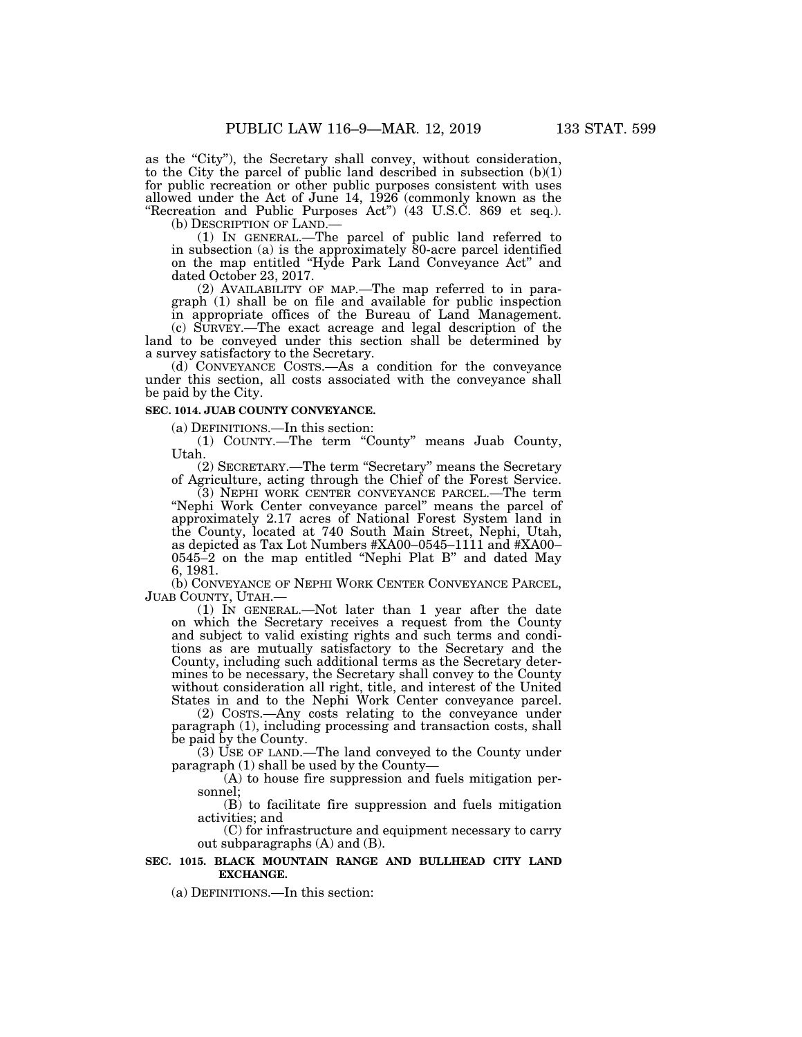as the "City"), the Secretary shall convey, without consideration, to the City the parcel of public land described in subsection (b)(1) for public recreation or other public purposes consistent with uses allowed under the Act of June 14, 1926 (commonly known as the "Recreation and Public Purposes Act") (43 U.S.C. 869 et seq.).<br>(b) DESCRIPTION OF LAND.—

(b) DESCRIPTION OF LAND.— (1) IN GENERAL.—The parcel of public land referred to in subsection (a) is the approximately 80-acre parcel identified on the map entitled ''Hyde Park Land Conveyance Act'' and dated October 23, 2017.

(2) AVAILABILITY OF MAP.—The map referred to in paragraph (1) shall be on file and available for public inspection in appropriate offices of the Bureau of Land Management.

(c) SURVEY.—The exact acreage and legal description of the land to be conveyed under this section shall be determined by a survey satisfactory to the Secretary.

(d) CONVEYANCE COSTS.—As a condition for the conveyance under this section, all costs associated with the conveyance shall be paid by the City.

# **SEC. 1014. JUAB COUNTY CONVEYANCE.**

(a) DEFINITIONS.—In this section:

(1) COUNTY.—The term ''County'' means Juab County, Utah.

(2) SECRETARY.—The term ''Secretary'' means the Secretary of Agriculture, acting through the Chief of the Forest Service.

(3) NEPHI WORK CENTER CONVEYANCE PARCEL.—The term "Nephi Work Center conveyance parcel" means the parcel of approximately 2.17 acres of National Forest System land in the County, located at 740 South Main Street, Nephi, Utah, as depicted as Tax Lot Numbers #XA00–0545–1111 and #XA00– 0545–2 on the map entitled ''Nephi Plat B'' and dated May 6, 1981.

(b) CONVEYANCE OF NEPHI WORK CENTER CONVEYANCE PARCEL, JUAB COUNTY, UTAH.— (1) IN GENERAL.—Not later than 1 year after the date

on which the Secretary receives a request from the County and subject to valid existing rights and such terms and conditions as are mutually satisfactory to the Secretary and the County, including such additional terms as the Secretary determines to be necessary, the Secretary shall convey to the County without consideration all right, title, and interest of the United States in and to the Nephi Work Center conveyance parcel.

(2) COSTS.—Any costs relating to the conveyance under paragraph (1), including processing and transaction costs, shall be paid by the County.

 $(3)$  USE OF LAND.—The land conveyed to the County under paragraph (1) shall be used by the County—

(A) to house fire suppression and fuels mitigation personnel;

(B) to facilitate fire suppression and fuels mitigation activities; and

(C) for infrastructure and equipment necessary to carry out subparagraphs (A) and (B).

# **SEC. 1015. BLACK MOUNTAIN RANGE AND BULLHEAD CITY LAND EXCHANGE.**

(a) DEFINITIONS.—In this section: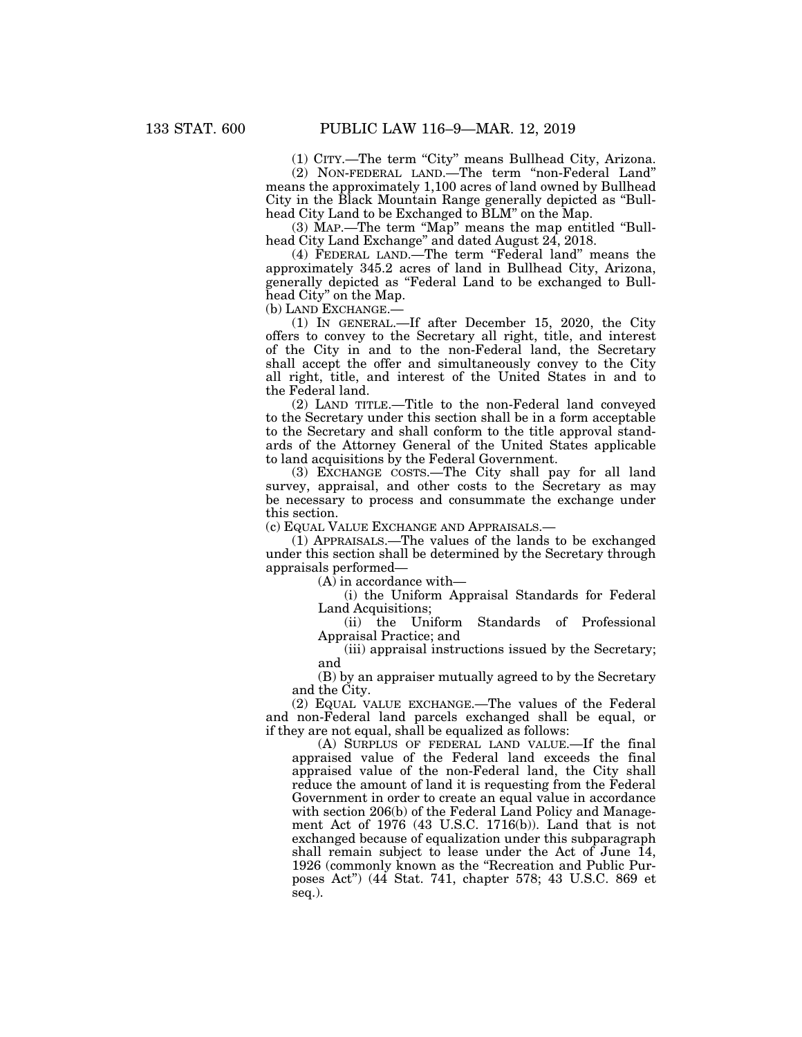(1) CITY.—The term ''City'' means Bullhead City, Arizona.

(2) NON-FEDERAL LAND.—The term ''non-Federal Land'' means the approximately 1,100 acres of land owned by Bullhead City in the Black Mountain Range generally depicted as ''Bullhead City Land to be Exchanged to BLM" on the Map.

(3) MAP.—The term ''Map'' means the map entitled ''Bullhead City Land Exchange'' and dated August 24, 2018.

(4) FEDERAL LAND.—The term ''Federal land'' means the approximately 345.2 acres of land in Bullhead City, Arizona, generally depicted as ''Federal Land to be exchanged to Bullhead City'' on the Map.

(b) LAND EXCHANGE.—

(1) IN GENERAL.—If after December 15, 2020, the City offers to convey to the Secretary all right, title, and interest of the City in and to the non-Federal land, the Secretary shall accept the offer and simultaneously convey to the City all right, title, and interest of the United States in and to the Federal land.

(2) LAND TITLE.—Title to the non-Federal land conveyed to the Secretary under this section shall be in a form acceptable to the Secretary and shall conform to the title approval standards of the Attorney General of the United States applicable to land acquisitions by the Federal Government.

(3) EXCHANGE COSTS.—The City shall pay for all land survey, appraisal, and other costs to the Secretary as may be necessary to process and consummate the exchange under this section.

(c) EQUAL VALUE EXCHANGE AND APPRAISALS.—

(1) APPRAISALS.—The values of the lands to be exchanged under this section shall be determined by the Secretary through appraisals performed—

(A) in accordance with—

(i) the Uniform Appraisal Standards for Federal Land Acquisitions;

(ii) the Uniform Standards of Professional Appraisal Practice; and

(iii) appraisal instructions issued by the Secretary; and

(B) by an appraiser mutually agreed to by the Secretary and the City.

(2) EQUAL VALUE EXCHANGE.—The values of the Federal and non-Federal land parcels exchanged shall be equal, or if they are not equal, shall be equalized as follows:

(A) SURPLUS OF FEDERAL LAND VALUE.—If the final appraised value of the Federal land exceeds the final appraised value of the non-Federal land, the City shall reduce the amount of land it is requesting from the Federal Government in order to create an equal value in accordance with section 206(b) of the Federal Land Policy and Management Act of 1976 (43 U.S.C. 1716(b)). Land that is not exchanged because of equalization under this subparagraph shall remain subject to lease under the Act of June 14, 1926 (commonly known as the ''Recreation and Public Purposes Act'') (44 Stat. 741, chapter 578; 43 U.S.C. 869 et seq.).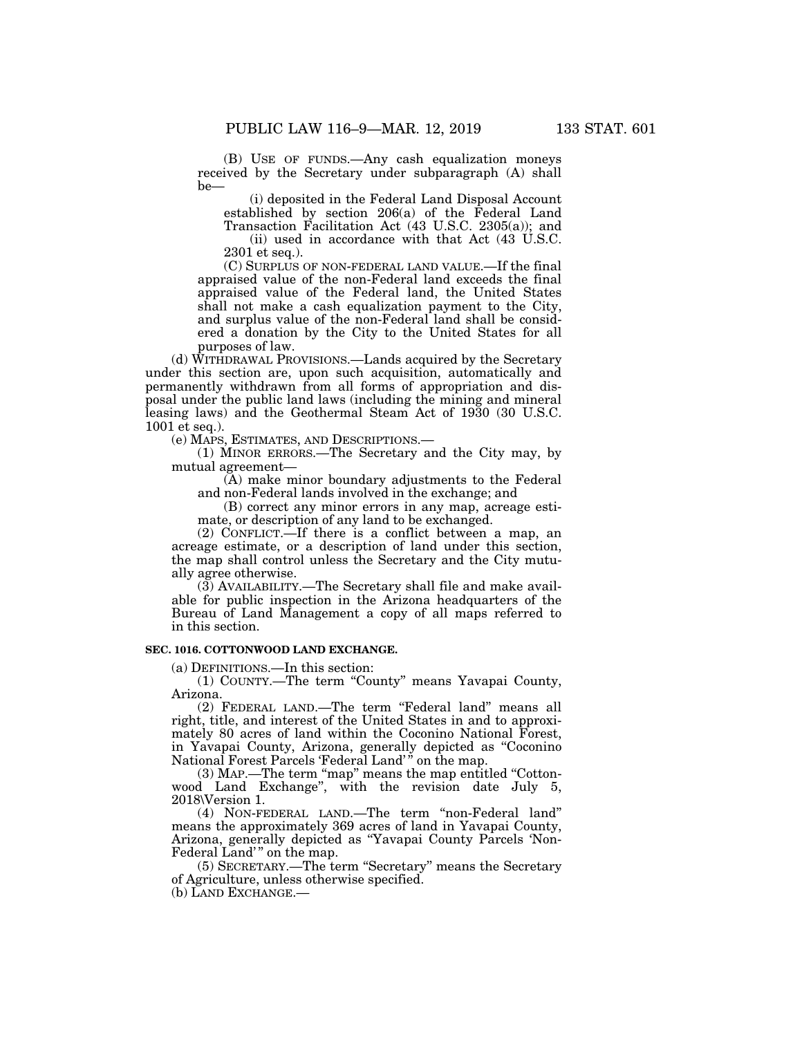(B) USE OF FUNDS.—Any cash equalization moneys received by the Secretary under subparagraph (A) shall be—

(i) deposited in the Federal Land Disposal Account established by section 206(a) of the Federal Land Transaction Facilitation Act (43 U.S.C. 2305(a)); and

(ii) used in accordance with that Act (43 U.S.C. 2301 et seq.).

(C) SURPLUS OF NON-FEDERAL LAND VALUE.—If the final appraised value of the non-Federal land exceeds the final appraised value of the Federal land, the United States shall not make a cash equalization payment to the City, and surplus value of the non-Federal land shall be considered a donation by the City to the United States for all purposes of law.

(d) WITHDRAWAL PROVISIONS.—Lands acquired by the Secretary under this section are, upon such acquisition, automatically and permanently withdrawn from all forms of appropriation and disposal under the public land laws (including the mining and mineral leasing laws) and the Geothermal Steam Act of 1930 (30 U.S.C. 1001 et seq.).

(e) MAPS, ESTIMATES, AND DESCRIPTIONS.—

(1) MINOR ERRORS.—The Secretary and the City may, by mutual agreement—

(A) make minor boundary adjustments to the Federal and non-Federal lands involved in the exchange; and

(B) correct any minor errors in any map, acreage estimate, or description of any land to be exchanged.

(2) CONFLICT.—If there is a conflict between a map, an acreage estimate, or a description of land under this section, the map shall control unless the Secretary and the City mutually agree otherwise.

(3) AVAILABILITY.—The Secretary shall file and make available for public inspection in the Arizona headquarters of the Bureau of Land Management a copy of all maps referred to in this section.

# **SEC. 1016. COTTONWOOD LAND EXCHANGE.**

(a) DEFINITIONS.—In this section:

(1) COUNTY.—The term ''County'' means Yavapai County, Arizona.

(2) FEDERAL LAND.—The term ''Federal land'' means all right, title, and interest of the United States in and to approximately 80 acres of land within the Coconino National Forest, in Yavapai County, Arizona, generally depicted as ''Coconino National Forest Parcels 'Federal Land' '' on the map.

(3) MAP.—The term "map" means the map entitled "Cottonwood Land Exchange'', with the revision date July 5, 2018\Version 1.

(4) NON-FEDERAL LAND.—The term ''non-Federal land'' means the approximately 369 acres of land in Yavapai County, Arizona, generally depicted as ''Yavapai County Parcels 'Non-Federal Land'" on the map.

(5) SECRETARY.—The term ''Secretary'' means the Secretary of Agriculture, unless otherwise specified.

(b) LAND EXCHANGE.—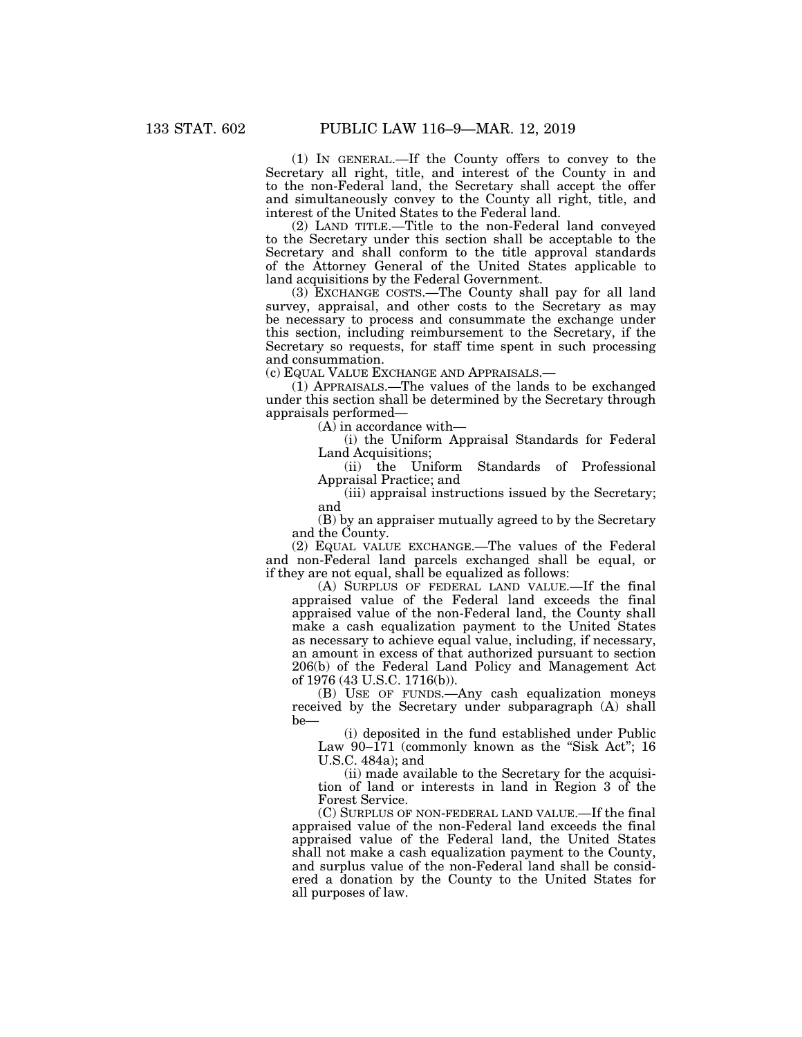(1) IN GENERAL.—If the County offers to convey to the Secretary all right, title, and interest of the County in and to the non-Federal land, the Secretary shall accept the offer and simultaneously convey to the County all right, title, and interest of the United States to the Federal land.

(2) LAND TITLE.—Title to the non-Federal land conveyed to the Secretary under this section shall be acceptable to the Secretary and shall conform to the title approval standards of the Attorney General of the United States applicable to land acquisitions by the Federal Government.

(3) EXCHANGE COSTS.—The County shall pay for all land survey, appraisal, and other costs to the Secretary as may be necessary to process and consummate the exchange under this section, including reimbursement to the Secretary, if the Secretary so requests, for staff time spent in such processing and consummation.

(c) EQUAL VALUE EXCHANGE AND APPRAISALS.—

(1) APPRAISALS.—The values of the lands to be exchanged under this section shall be determined by the Secretary through appraisals performed—

(A) in accordance with—

(i) the Uniform Appraisal Standards for Federal Land Acquisitions;

(ii) the Uniform Standards of Professional Appraisal Practice; and

(iii) appraisal instructions issued by the Secretary; and

(B) by an appraiser mutually agreed to by the Secretary and the County.

(2) EQUAL VALUE EXCHANGE.—The values of the Federal and non-Federal land parcels exchanged shall be equal, or if they are not equal, shall be equalized as follows:

(A) SURPLUS OF FEDERAL LAND VALUE.—If the final appraised value of the Federal land exceeds the final appraised value of the non-Federal land, the County shall make a cash equalization payment to the United States as necessary to achieve equal value, including, if necessary, an amount in excess of that authorized pursuant to section 206(b) of the Federal Land Policy and Management Act of 1976 (43 U.S.C. 1716(b)).

(B) USE OF FUNDS.—Any cash equalization moneys received by the Secretary under subparagraph (A) shall be—

(i) deposited in the fund established under Public Law  $90-171$  (commonly known as the "Sisk Act"; 16 U.S.C. 484a); and

(ii) made available to the Secretary for the acquisition of land or interests in land in Region 3 of the Forest Service.

(C) SURPLUS OF NON-FEDERAL LAND VALUE.—If the final appraised value of the non-Federal land exceeds the final appraised value of the Federal land, the United States shall not make a cash equalization payment to the County, and surplus value of the non-Federal land shall be considered a donation by the County to the United States for all purposes of law.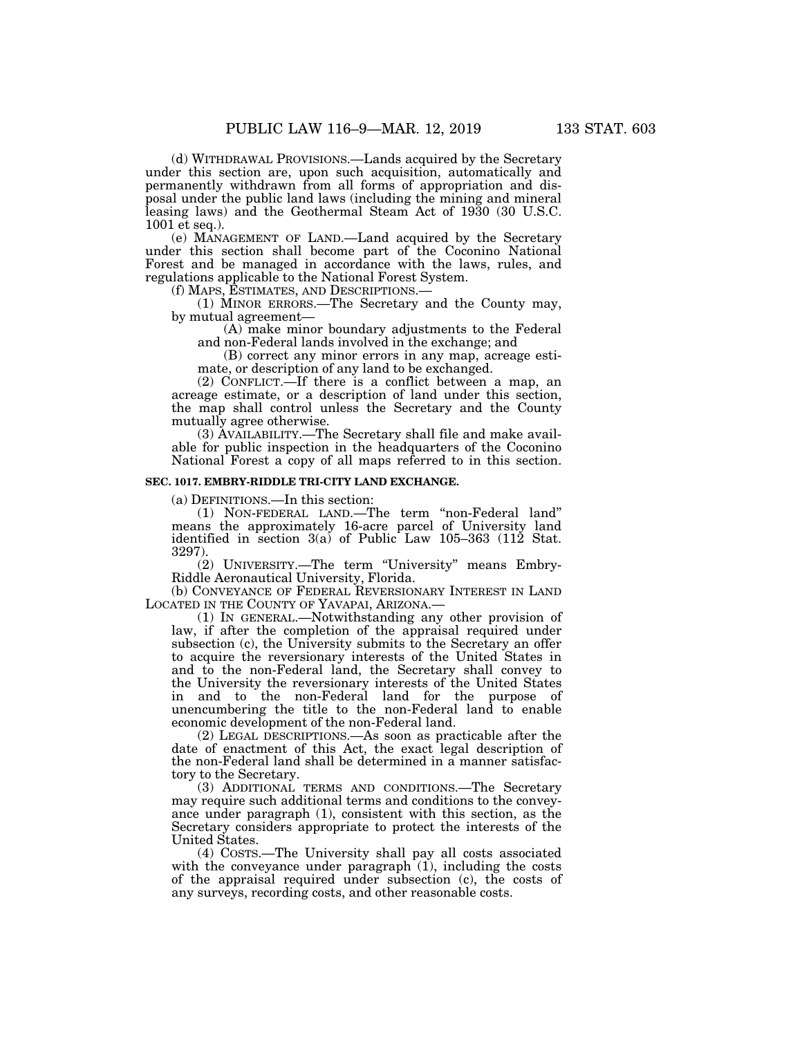(d) WITHDRAWAL PROVISIONS.—Lands acquired by the Secretary under this section are, upon such acquisition, automatically and permanently withdrawn from all forms of appropriation and disposal under the public land laws (including the mining and mineral leasing laws) and the Geothermal Steam Act of 1930 (30 U.S.C. 1001 et seq.).

(e) MANAGEMENT OF LAND.—Land acquired by the Secretary under this section shall become part of the Coconino National Forest and be managed in accordance with the laws, rules, and regulations applicable to the National Forest System.

 $(1)$  MINOR ERRORS.—The Secretary and the County may, by mutual agreement—

(A) make minor boundary adjustments to the Federal and non-Federal lands involved in the exchange; and

(B) correct any minor errors in any map, acreage estimate, or description of any land to be exchanged.

(2) CONFLICT.—If there is a conflict between a map, an acreage estimate, or a description of land under this section, the map shall control unless the Secretary and the County mutually agree otherwise.

(3) AVAILABILITY.—The Secretary shall file and make available for public inspection in the headquarters of the Coconino National Forest a copy of all maps referred to in this section.

# **SEC. 1017. EMBRY-RIDDLE TRI-CITY LAND EXCHANGE.**

(a) DEFINITIONS.—In this section:

(1) NON-FEDERAL LAND.—The term ''non-Federal land'' means the approximately 16-acre parcel of University land identified in section 3(a) of Public Law 105–363 (112 Stat. 3297).

(2) UNIVERSITY.—The term ''University'' means Embry-Riddle Aeronautical University, Florida.

(b) CONVEYANCE OF FEDERAL REVERSIONARY INTEREST IN LAND LOCATED IN THE COUNTY OF YAVAPAI, ARIZONA.—

(1) IN GENERAL.—Notwithstanding any other provision of law, if after the completion of the appraisal required under subsection (c), the University submits to the Secretary an offer to acquire the reversionary interests of the United States in and to the non-Federal land, the Secretary shall convey to the University the reversionary interests of the United States in and to the non-Federal land for the purpose of unencumbering the title to the non-Federal land to enable economic development of the non-Federal land.

(2) LEGAL DESCRIPTIONS.—As soon as practicable after the date of enactment of this Act, the exact legal description of the non-Federal land shall be determined in a manner satisfactory to the Secretary.

(3) ADDITIONAL TERMS AND CONDITIONS.—The Secretary may require such additional terms and conditions to the conveyance under paragraph (1), consistent with this section, as the Secretary considers appropriate to protect the interests of the United States.

(4) COSTS.—The University shall pay all costs associated with the conveyance under paragraph  $(1)$ , including the costs of the appraisal required under subsection (c), the costs of any surveys, recording costs, and other reasonable costs.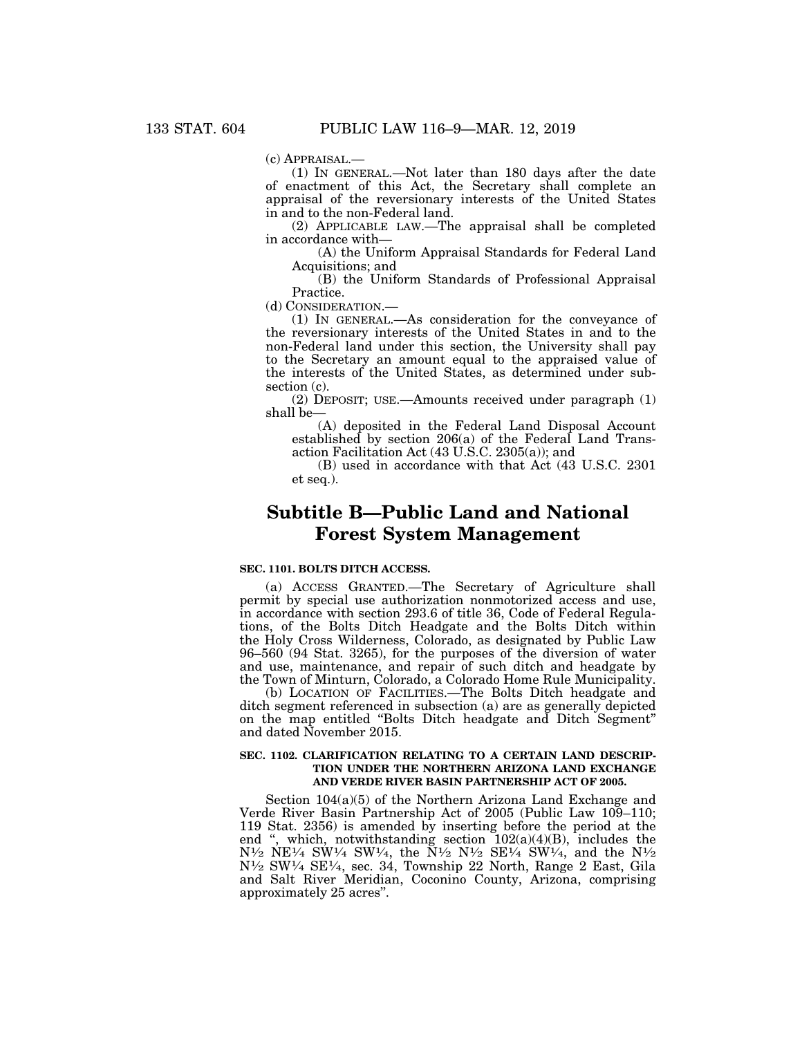(c) APPRAISAL.—

(1) IN GENERAL.—Not later than 180 days after the date of enactment of this Act, the Secretary shall complete an appraisal of the reversionary interests of the United States in and to the non-Federal land.

(2) APPLICABLE LAW.—The appraisal shall be completed in accordance with—

(A) the Uniform Appraisal Standards for Federal Land Acquisitions; and

(B) the Uniform Standards of Professional Appraisal Practice.

(d) CONSIDERATION.—

(1) IN GENERAL.—As consideration for the conveyance of the reversionary interests of the United States in and to the non-Federal land under this section, the University shall pay to the Secretary an amount equal to the appraised value of the interests of the United States, as determined under subsection (c).

(2) DEPOSIT; USE.—Amounts received under paragraph (1) shall be—

(A) deposited in the Federal Land Disposal Account established by section 206(a) of the Federal Land Transaction Facilitation Act (43 U.S.C. 2305(a)); and

(B) used in accordance with that Act (43 U.S.C. 2301 et seq.).

# **Subtitle B—Public Land and National Forest System Management**

# **SEC. 1101. BOLTS DITCH ACCESS.**

(a) ACCESS GRANTED.—The Secretary of Agriculture shall permit by special use authorization nonmotorized access and use, in accordance with section 293.6 of title 36, Code of Federal Regulations, of the Bolts Ditch Headgate and the Bolts Ditch within the Holy Cross Wilderness, Colorado, as designated by Public Law 96–560 (94 Stat. 3265), for the purposes of the diversion of water and use, maintenance, and repair of such ditch and headgate by the Town of Minturn, Colorado, a Colorado Home Rule Municipality.

(b) LOCATION OF FACILITIES.—The Bolts Ditch headgate and ditch segment referenced in subsection (a) are as generally depicted on the map entitled ''Bolts Ditch headgate and Ditch Segment'' and dated November 2015.

#### **SEC. 1102. CLARIFICATION RELATING TO A CERTAIN LAND DESCRIP-TION UNDER THE NORTHERN ARIZONA LAND EXCHANGE AND VERDE RIVER BASIN PARTNERSHIP ACT OF 2005.**

Section 104(a)(5) of the Northern Arizona Land Exchange and Verde River Basin Partnership Act of 2005 (Public Law 109–110; 119 Stat. 2356) is amended by inserting before the period at the end ", which, notwithstanding section  $102(a)(4)(B)$ , includes the  $N^{1/2}$  NE<sup>1/4</sup> SW<sup>1/4</sup> SW<sup>1/4</sup>, the  $N^{1/2}$  N<sup>1/2</sup> SE<sup>1/4</sup> SW<sup>1/4</sup>, and the N<sup>1</sup>/<sub>2</sub> N1⁄2 SW1⁄4 SE1⁄4, sec. 34, Township 22 North, Range 2 East, Gila and Salt River Meridian, Coconino County, Arizona, comprising approximately 25 acres''.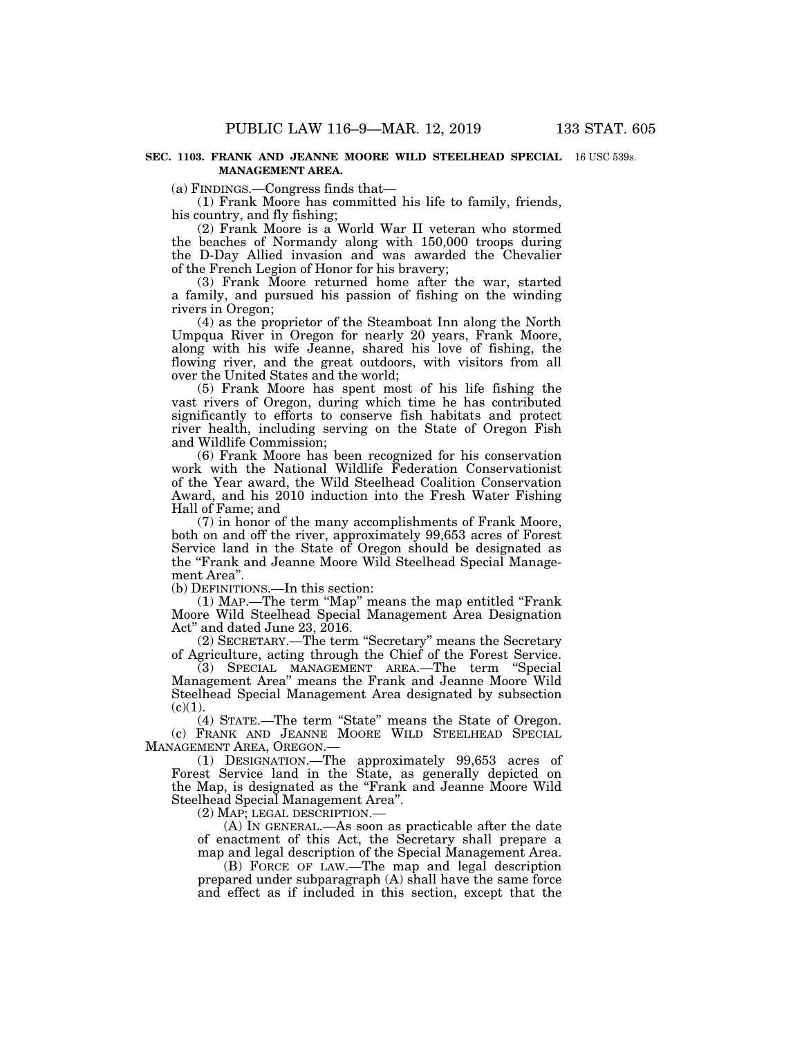(a) FINDINGS.—Congress finds that—

(1) Frank Moore has committed his life to family, friends, his country, and fly fishing;

(2) Frank Moore is a World War II veteran who stormed the beaches of Normandy along with 150,000 troops during the D-Day Allied invasion and was awarded the Chevalier of the French Legion of Honor for his bravery;

(3) Frank Moore returned home after the war, started a family, and pursued his passion of fishing on the winding rivers in Oregon;

(4) as the proprietor of the Steamboat Inn along the North Umpqua River in Oregon for nearly 20 years, Frank Moore, along with his wife Jeanne, shared his love of fishing, the flowing river, and the great outdoors, with visitors from all over the United States and the world;

(5) Frank Moore has spent most of his life fishing the vast rivers of Oregon, during which time he has contributed significantly to efforts to conserve fish habitats and protect river health, including serving on the State of Oregon Fish and Wildlife Commission;

(6) Frank Moore has been recognized for his conservation work with the National Wildlife Federation Conservationist of the Year award, the Wild Steelhead Coalition Conservation Award, and his 2010 induction into the Fresh Water Fishing Hall of Fame; and

(7) in honor of the many accomplishments of Frank Moore, both on and off the river, approximately 99,653 acres of Forest Service land in the State of Oregon should be designated as the ''Frank and Jeanne Moore Wild Steelhead Special Management Area''.

(b) DEFINITIONS.—In this section:

(1) MAP.—The term ''Map'' means the map entitled ''Frank Moore Wild Steelhead Special Management Area Designation Act'' and dated June 23, 2016.

(2) SECRETARY.—The term ''Secretary'' means the Secretary of Agriculture, acting through the Chief of the Forest Service.

(3) SPECIAL MANAGEMENT AREA.—The term ''Special Management Area'' means the Frank and Jeanne Moore Wild Steelhead Special Management Area designated by subsection  $(c)(1)$ .

(4) STATE.—The term ''State'' means the State of Oregon. (c) FRANK AND JEANNE MOORE WILD STEELHEAD SPECIAL MANAGEMENT AREA, OREGON.—

(1) DESIGNATION.—The approximately 99,653 acres of Forest Service land in the State, as generally depicted on the Map, is designated as the ''Frank and Jeanne Moore Wild Steelhead Special Management Area''.

(2) MAP; LEGAL DESCRIPTION.—

(A) IN GENERAL.—As soon as practicable after the date of enactment of this Act, the Secretary shall prepare a map and legal description of the Special Management Area.

(B) FORCE OF LAW.—The map and legal description prepared under subparagraph (A) shall have the same force and effect as if included in this section, except that the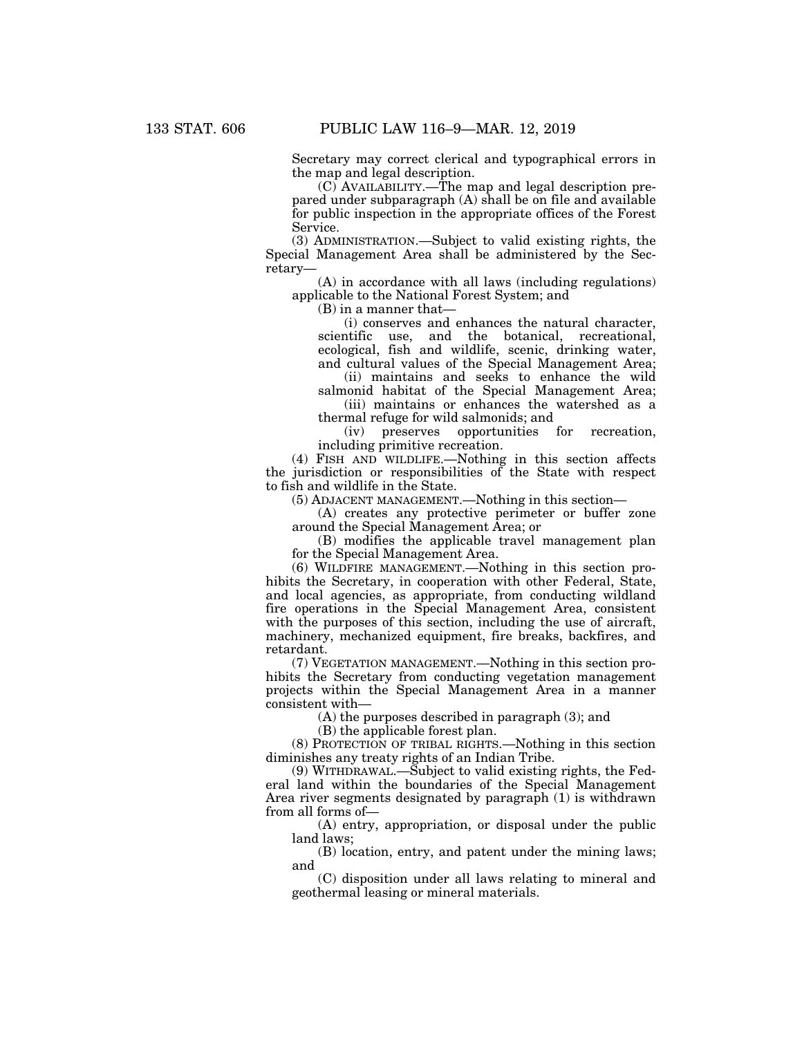Secretary may correct clerical and typographical errors in the map and legal description.

(C) AVAILABILITY.—The map and legal description prepared under subparagraph (A) shall be on file and available for public inspection in the appropriate offices of the Forest Service.

(3) ADMINISTRATION.—Subject to valid existing rights, the Special Management Area shall be administered by the Secretary—

(A) in accordance with all laws (including regulations) applicable to the National Forest System; and

(B) in a manner that—

(i) conserves and enhances the natural character, scientific use, and the botanical, recreational, ecological, fish and wildlife, scenic, drinking water, and cultural values of the Special Management Area;

(ii) maintains and seeks to enhance the wild salmonid habitat of the Special Management Area;

(iii) maintains or enhances the watershed as a thermal refuge for wild salmonids; and<br>(iv) preserves opportunities

opportunities for recreation, including primitive recreation.

(4) FISH AND WILDLIFE.—Nothing in this section affects the jurisdiction or responsibilities of the State with respect to fish and wildlife in the State.

(5) ADJACENT MANAGEMENT.—Nothing in this section—

(A) creates any protective perimeter or buffer zone around the Special Management Area; or

(B) modifies the applicable travel management plan for the Special Management Area.

(6) WILDFIRE MANAGEMENT.—Nothing in this section prohibits the Secretary, in cooperation with other Federal, State, and local agencies, as appropriate, from conducting wildland fire operations in the Special Management Area, consistent with the purposes of this section, including the use of aircraft, machinery, mechanized equipment, fire breaks, backfires, and retardant.

(7) VEGETATION MANAGEMENT.—Nothing in this section prohibits the Secretary from conducting vegetation management projects within the Special Management Area in a manner consistent with—

(A) the purposes described in paragraph (3); and

(B) the applicable forest plan.

(8) PROTECTION OF TRIBAL RIGHTS.—Nothing in this section diminishes any treaty rights of an Indian Tribe.

(9) WITHDRAWAL.—Subject to valid existing rights, the Federal land within the boundaries of the Special Management Area river segments designated by paragraph (1) is withdrawn from all forms of—

(A) entry, appropriation, or disposal under the public land laws;

(B) location, entry, and patent under the mining laws; and

(C) disposition under all laws relating to mineral and geothermal leasing or mineral materials.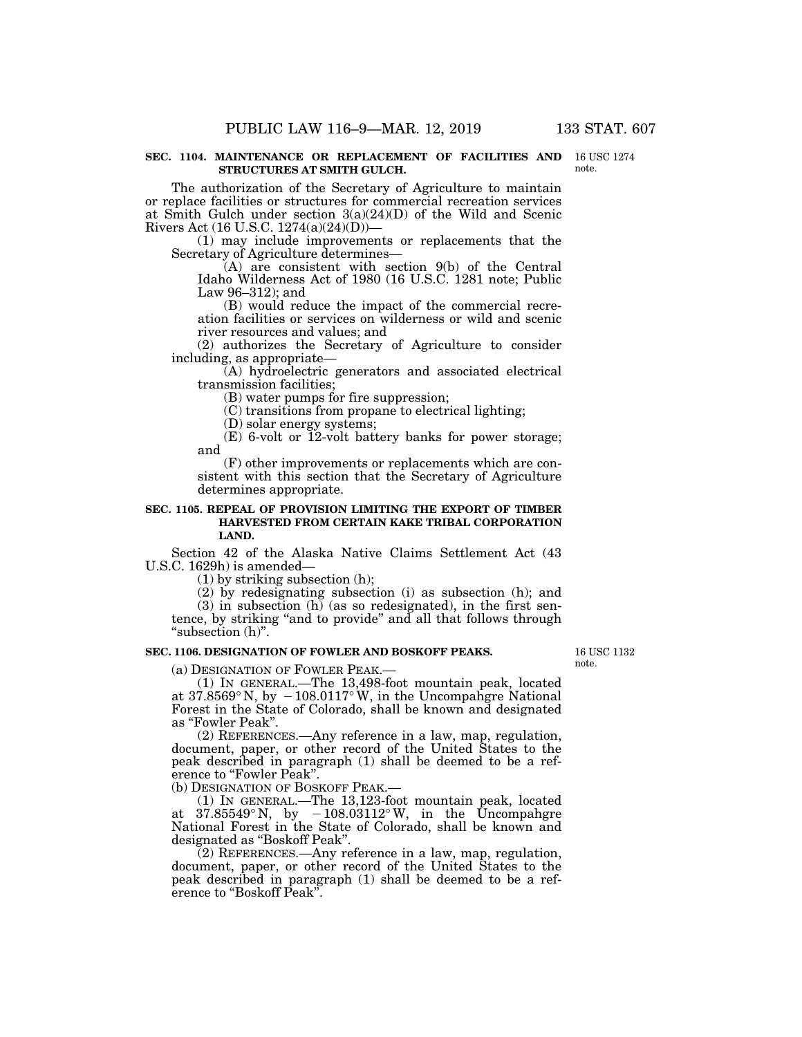#### **SEC. 1104. MAINTENANCE OR REPLACEMENT OF FACILITIES AND**  16 USC 1274 **STRUCTURES AT SMITH GULCH.**

The authorization of the Secretary of Agriculture to maintain or replace facilities or structures for commercial recreation services at Smith Gulch under section 3(a)(24)(D) of the Wild and Scenic Rivers Act (16 U.S.C. 1274(a)(24)(D))—

(1) may include improvements or replacements that the Secretary of Agriculture determines—

(A) are consistent with section 9(b) of the Central Idaho Wilderness Act of 1980 (16 U.S.C. 1281 note; Public Law 96–312); and

(B) would reduce the impact of the commercial recreation facilities or services on wilderness or wild and scenic river resources and values; and

(2) authorizes the Secretary of Agriculture to consider including, as appropriate—

(A) hydroelectric generators and associated electrical transmission facilities;

(B) water pumps for fire suppression;

(C) transitions from propane to electrical lighting;

(D) solar energy systems;

 $(E)$  6-volt or  $\overline{12}$ -volt battery banks for power storage; and

(F) other improvements or replacements which are consistent with this section that the Secretary of Agriculture determines appropriate.

### **SEC. 1105. REPEAL OF PROVISION LIMITING THE EXPORT OF TIMBER HARVESTED FROM CERTAIN KAKE TRIBAL CORPORATION LAND.**

Section 42 of the Alaska Native Claims Settlement Act (43 U.S.C. 1629h) is amended—

(1) by striking subsection (h);

(2) by redesignating subsection (i) as subsection (h); and

 $(3)$  in subsection  $(h)$  (as so redesignated), in the first sentence, by striking ''and to provide'' and all that follows through ''subsection (h)''.

# **SEC. 1106. DESIGNATION OF FOWLER AND BOSKOFF PEAKS.**

16 USC 1132 note.

(a) DESIGNATION OF FOWLER PEAK.—

(1) IN GENERAL.—The 13,498-foot mountain peak, located at  $37.8569°$  N, by  $-108.0117°$  W, in the Uncompangre National Forest in the State of Colorado, shall be known and designated as ''Fowler Peak''.

(2) REFERENCES.—Any reference in a law, map, regulation, document, paper, or other record of the United States to the peak described in paragraph (1) shall be deemed to be a reference to "Fowler Peak".

(b) DESIGNATION OF BOSKOFF PEAK.—

(1) IN GENERAL.—The 13,123-foot mountain peak, located at  $37.85549^{\circ}$ N, by  $-108.03112^{\circ}$ W, in the Uncompahgre National Forest in the State of Colorado, shall be known and designated as ''Boskoff Peak''.

(2) REFERENCES.—Any reference in a law, map, regulation, document, paper, or other record of the United States to the peak described in paragraph (1) shall be deemed to be a reference to "Boskoff Peak".

note.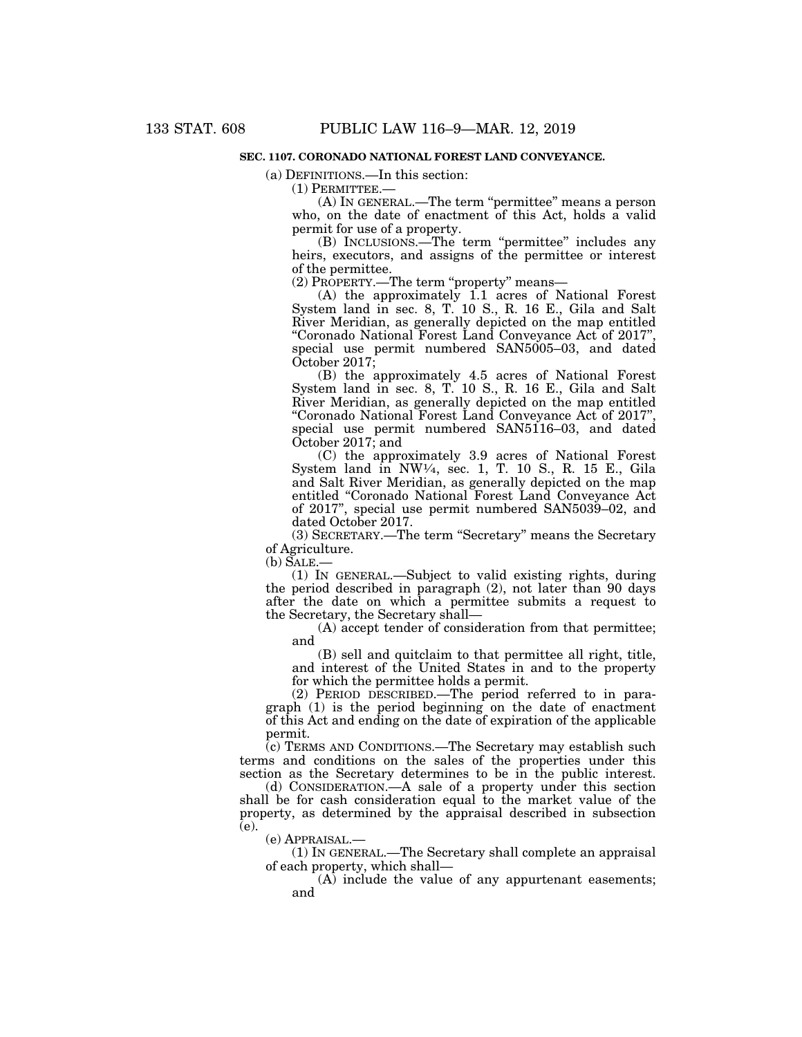# **SEC. 1107. CORONADO NATIONAL FOREST LAND CONVEYANCE.**

(a) DEFINITIONS.—In this section:

(1) PERMITTEE.—

(A) IN GENERAL.—The term ''permittee'' means a person who, on the date of enactment of this Act, holds a valid permit for use of a property.

(B) INCLUSIONS.—The term ''permittee'' includes any heirs, executors, and assigns of the permittee or interest of the permittee.

(2) PROPERTY.—The term ''property'' means—

(A) the approximately 1.1 acres of National Forest System land in sec. 8, T. 10 S., R. 16 E., Gila and Salt River Meridian, as generally depicted on the map entitled ''Coronado National Forest Land Conveyance Act of 2017'', special use permit numbered SAN5005–03, and dated October 2017;

(B) the approximately 4.5 acres of National Forest System land in sec. 8, T. 10 S., R. 16 E., Gila and Salt River Meridian, as generally depicted on the map entitled "Coronado National Forest Land Conveyance Act of 2017" special use permit numbered SAN5116–03, and dated October 2017; and

(C) the approximately 3.9 acres of National Forest System land in NW $\frac{1}{4}$ , sec. 1, T. 10 S., R. 15 E., Gila and Salt River Meridian, as generally depicted on the map entitled ''Coronado National Forest Land Conveyance Act of 2017'', special use permit numbered SAN5039–02, and dated October 2017.

(3) SECRETARY.—The term ''Secretary'' means the Secretary of Agriculture.

(b) SALE.—

(1) IN GENERAL.—Subject to valid existing rights, during the period described in paragraph (2), not later than 90 days after the date on which a permittee submits a request to the Secretary, the Secretary shall—

(A) accept tender of consideration from that permittee; and

(B) sell and quitclaim to that permittee all right, title, and interest of the United States in and to the property for which the permittee holds a permit.

(2) PERIOD DESCRIBED.—The period referred to in paragraph (1) is the period beginning on the date of enactment of this Act and ending on the date of expiration of the applicable permit.

(c) TERMS AND CONDITIONS.—The Secretary may establish such terms and conditions on the sales of the properties under this section as the Secretary determines to be in the public interest.

(d) CONSIDERATION.—A sale of a property under this section shall be for cash consideration equal to the market value of the property, as determined by the appraisal described in subsection  $(e).$ 

(e) APPRAISAL.—

(1) IN GENERAL.—The Secretary shall complete an appraisal of each property, which shall—

(A) include the value of any appurtenant easements; and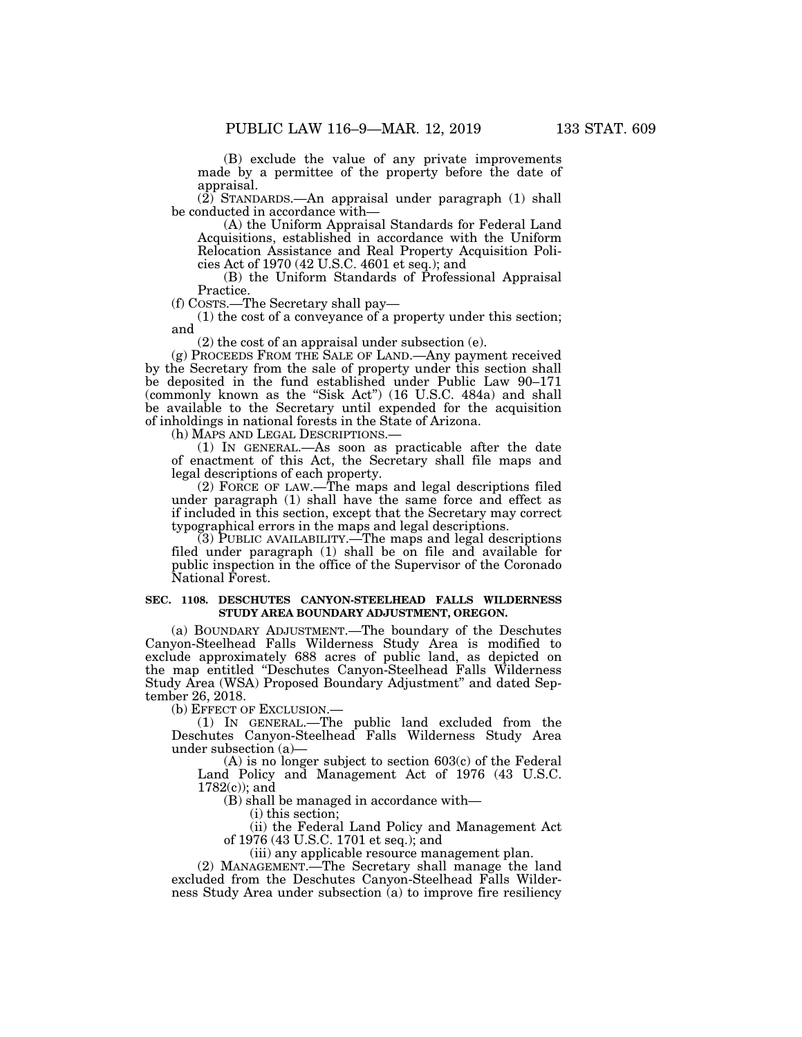(B) exclude the value of any private improvements made by a permittee of the property before the date of appraisal.

(2) STANDARDS.—An appraisal under paragraph (1) shall be conducted in accordance with—

(A) the Uniform Appraisal Standards for Federal Land Acquisitions, established in accordance with the Uniform Relocation Assistance and Real Property Acquisition Policies Act of 1970 (42 U.S.C. 4601 et seq.); and

(B) the Uniform Standards of Professional Appraisal Practice.

(f) COSTS.—The Secretary shall pay—

(1) the cost of a conveyance of a property under this section; and

(2) the cost of an appraisal under subsection (e).

(g) PROCEEDS FROM THE SALE OF LAND.—Any payment received by the Secretary from the sale of property under this section shall be deposited in the fund established under Public Law 90–171 (commonly known as the "Sisk Act") (16 U.S.C. 484a) and shall be available to the Secretary until expended for the acquisition of inholdings in national forests in the State of Arizona.

(h) MAPS AND LEGAL DESCRIPTIONS.—

(1) IN GENERAL.—As soon as practicable after the date of enactment of this Act, the Secretary shall file maps and legal descriptions of each property.

(2) FORCE OF LAW.—The maps and legal descriptions filed under paragraph (1) shall have the same force and effect as if included in this section, except that the Secretary may correct typographical errors in the maps and legal descriptions.

 $(3)$  PUBLIC AVAILABILITY.—The maps and legal descriptions filed under paragraph (1) shall be on file and available for public inspection in the office of the Supervisor of the Coronado National Forest.

# **SEC. 1108. DESCHUTES CANYON-STEELHEAD FALLS WILDERNESS STUDY AREA BOUNDARY ADJUSTMENT, OREGON.**

(a) BOUNDARY ADJUSTMENT.—The boundary of the Deschutes Canyon-Steelhead Falls Wilderness Study Area is modified to exclude approximately 688 acres of public land, as depicted on the map entitled ''Deschutes Canyon-Steelhead Falls Wilderness Study Area (WSA) Proposed Boundary Adjustment'' and dated September 26, 2018.

(b) EFFECT OF EXCLUSION.—

(1) IN GENERAL.—The public land excluded from the Deschutes Canyon-Steelhead Falls Wilderness Study Area under subsection (a)—

(A) is no longer subject to section 603(c) of the Federal Land Policy and Management Act of 1976 (43 U.S.C. 1782(c)); and

(B) shall be managed in accordance with—

(i) this section;

(ii) the Federal Land Policy and Management Act of 1976 (43 U.S.C. 1701 et seq.); and

(iii) any applicable resource management plan.

(2) MANAGEMENT.—The Secretary shall manage the land excluded from the Deschutes Canyon-Steelhead Falls Wilderness Study Area under subsection (a) to improve fire resiliency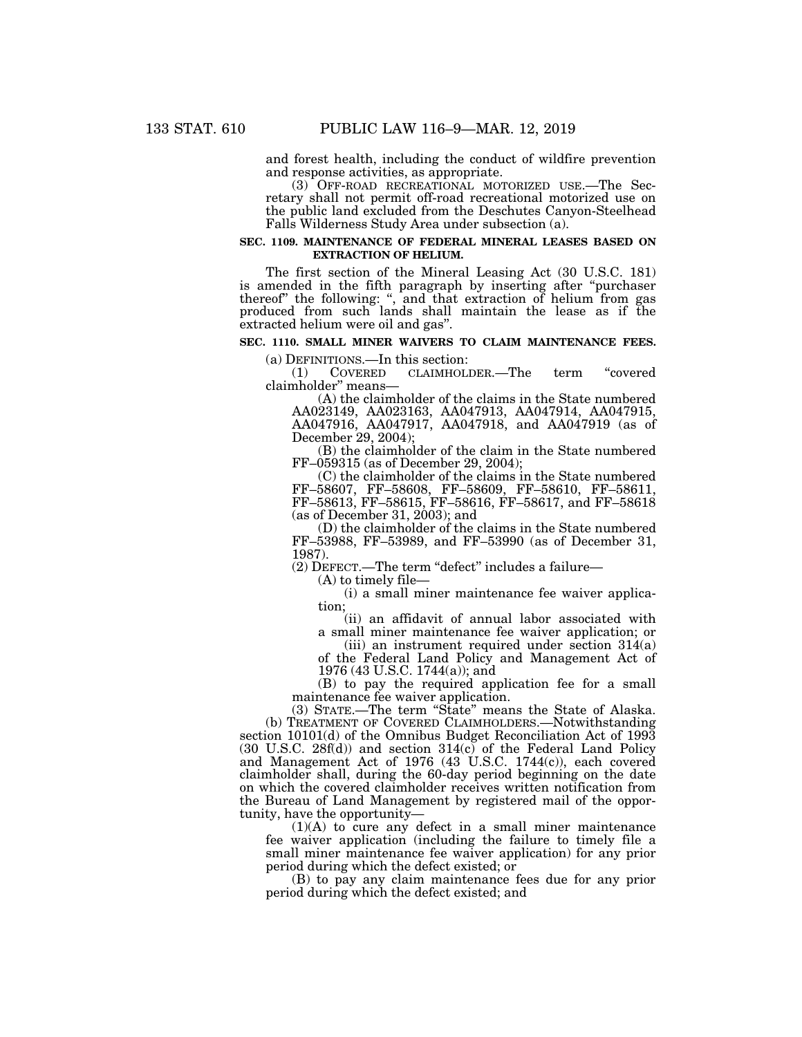and forest health, including the conduct of wildfire prevention and response activities, as appropriate.

(3) OFF-ROAD RECREATIONAL MOTORIZED USE.—The Secretary shall not permit off-road recreational motorized use on the public land excluded from the Deschutes Canyon-Steelhead Falls Wilderness Study Area under subsection (a).

#### **SEC. 1109. MAINTENANCE OF FEDERAL MINERAL LEASES BASED ON EXTRACTION OF HELIUM.**

The first section of the Mineral Leasing Act (30 U.S.C. 181) is amended in the fifth paragraph by inserting after ''purchaser thereof'' the following: '', and that extraction of helium from gas produced from such lands shall maintain the lease as if the extracted helium were oil and gas''.

# **SEC. 1110. SMALL MINER WAIVERS TO CLAIM MAINTENANCE FEES.**

(a) DEFINITIONS.—In this section:<br>(1) COVERED CLAIMHOL

(1) COVERED CLAIMHOLDER.—The term ''covered claimholder'' means—

(A) the claimholder of the claims in the State numbered AA023149, AA023163, AA047913, AA047914, AA047915, AA047916, AA047917, AA047918, and AA047919 (as of December 29, 2004);

(B) the claimholder of the claim in the State numbered FF–059315 (as of December 29, 2004);

(C) the claimholder of the claims in the State numbered FF–58607, FF–58608, FF–58609, FF–58610, FF–58611, FF–58613, FF–58615, FF–58616, FF–58617, and FF–58618 (as of December 31, 2003); and

(D) the claimholder of the claims in the State numbered FF–53988, FF–53989, and FF–53990 (as of December 31, 1987).

(2) DEFECT.—The term ''defect'' includes a failure—

(A) to timely file—

(i) a small miner maintenance fee waiver application;

(ii) an affidavit of annual labor associated with a small miner maintenance fee waiver application; or

(iii) an instrument required under section  $314(a)$ of the Federal Land Policy and Management Act of 1976 (43 U.S.C. 1744(a)); and

(B) to pay the required application fee for a small maintenance fee waiver application.

(3) STATE.—The term ''State'' means the State of Alaska. (b) TREATMENT OF COVERED CLAIMHOLDERS.—Notwithstanding section 10101(d) of the Omnibus Budget Reconciliation Act of 1993 (30 U.S.C. 28f(d)) and section 314(c) of the Federal Land Policy and Management Act of 1976 (43 U.S.C. 1744(c)), each covered claimholder shall, during the 60-day period beginning on the date on which the covered claimholder receives written notification from the Bureau of Land Management by registered mail of the opportunity, have the opportunity—

 $(1)(A)$  to cure any defect in a small miner maintenance fee waiver application (including the failure to timely file a small miner maintenance fee waiver application) for any prior period during which the defect existed; or

(B) to pay any claim maintenance fees due for any prior period during which the defect existed; and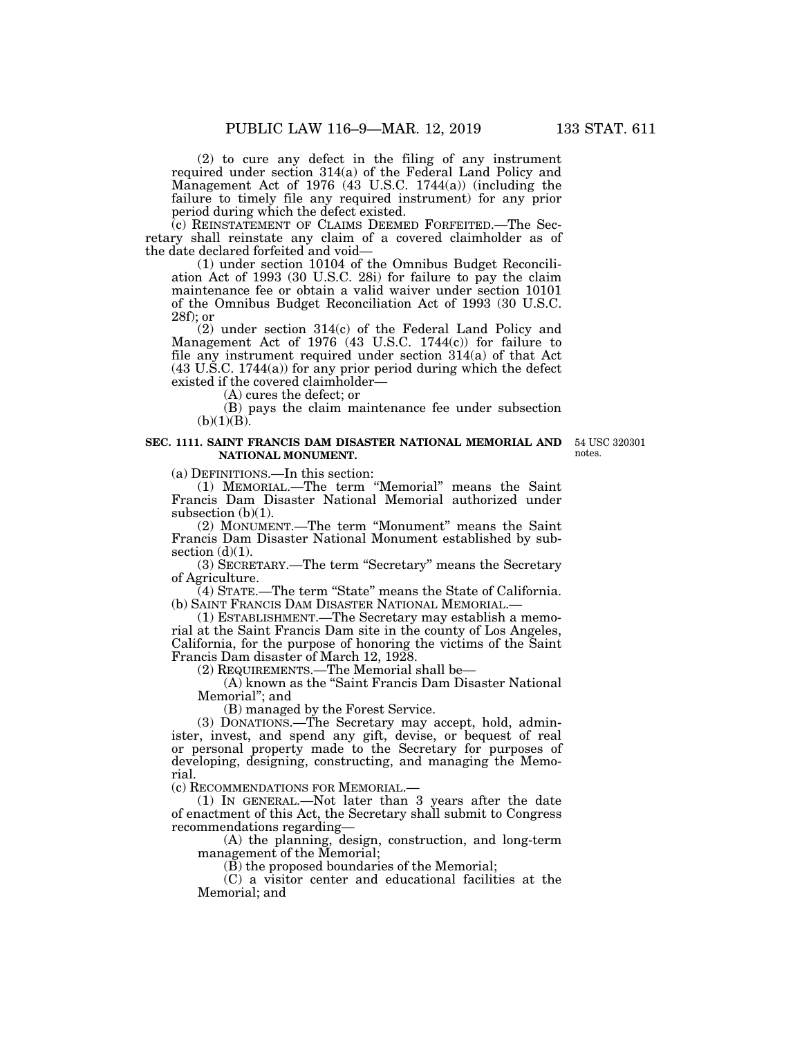(2) to cure any defect in the filing of any instrument required under section 314(a) of the Federal Land Policy and Management Act of 1976 (43 U.S.C. 1744(a)) (including the failure to timely file any required instrument) for any prior period during which the defect existed.

(c) REINSTATEMENT OF CLAIMS DEEMED FORFEITED.—The Secretary shall reinstate any claim of a covered claimholder as of the date declared forfeited and void—

(1) under section 10104 of the Omnibus Budget Reconciliation Act of 1993 (30 U.S.C. 28i) for failure to pay the claim maintenance fee or obtain a valid waiver under section 10101 of the Omnibus Budget Reconciliation Act of 1993 (30 U.S.C. 28f); or

(2) under section 314(c) of the Federal Land Policy and Management Act of 1976 (43 U.S.C. 1744(c)) for failure to file any instrument required under section 314(a) of that Act (43 U.S.C. 1744(a)) for any prior period during which the defect existed if the covered claimholder—

(A) cures the defect; or

(B) pays the claim maintenance fee under subsection  $(b)(1)(B)$ .

# **SEC. 1111. SAINT FRANCIS DAM DISASTER NATIONAL MEMORIAL AND NATIONAL MONUMENT.**

54 USC 320301 notes.

(a) DEFINITIONS.—In this section:

(1) MEMORIAL.—The term ''Memorial'' means the Saint Francis Dam Disaster National Memorial authorized under subsection  $(b)(1)$ .

(2) MONUMENT.—The term ''Monument'' means the Saint Francis Dam Disaster National Monument established by subsection  $(d)(1)$ .

(3) SECRETARY.—The term ''Secretary'' means the Secretary of Agriculture.

(4) STATE.—The term ''State'' means the State of California.

 $(1)$  ESTABLISHMENT.—The Secretary may establish a memorial at the Saint Francis Dam site in the county of Los Angeles, California, for the purpose of honoring the victims of the Saint Francis Dam disaster of March 12, 1928.

(2) REQUIREMENTS.—The Memorial shall be—

(A) known as the ''Saint Francis Dam Disaster National Memorial''; and

(B) managed by the Forest Service.

(3) DONATIONS.—The Secretary may accept, hold, administer, invest, and spend any gift, devise, or bequest of real or personal property made to the Secretary for purposes of developing, designing, constructing, and managing the Memorial.

(c) RECOMMENDATIONS FOR MEMORIAL.—

(1) IN GENERAL.—Not later than 3 years after the date of enactment of this Act, the Secretary shall submit to Congress recommendations regarding—

(A) the planning, design, construction, and long-term management of the Memorial;

(B) the proposed boundaries of the Memorial;

(C) a visitor center and educational facilities at the Memorial; and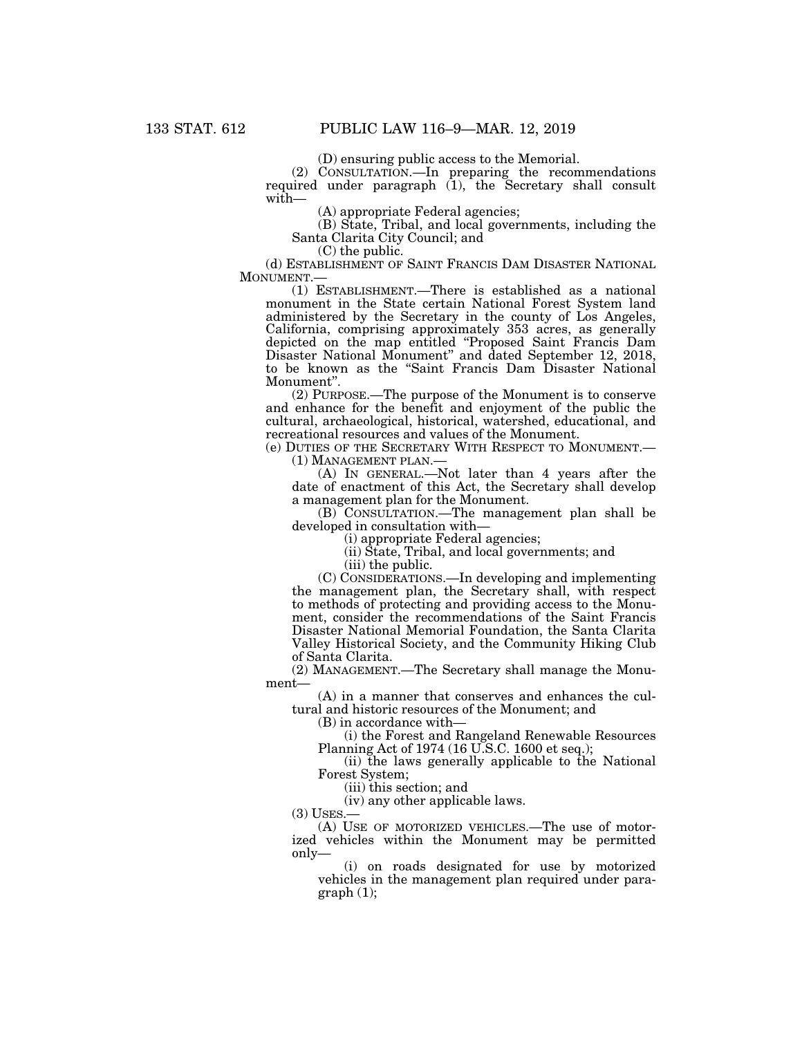(D) ensuring public access to the Memorial.

(2) CONSULTATION.—In preparing the recommendations required under paragraph (1), the Secretary shall consult with—

(A) appropriate Federal agencies;

(B) State, Tribal, and local governments, including the Santa Clarita City Council; and

(C) the public.

(d) ESTABLISHMENT OF SAINT FRANCIS DAM DISASTER NATIONAL MONUMENT.— MONUMENT.— (1) ESTABLISHMENT.—There is established as a national

monument in the State certain National Forest System land administered by the Secretary in the county of Los Angeles, California, comprising approximately 353 acres, as generally depicted on the map entitled ''Proposed Saint Francis Dam Disaster National Monument'' and dated September 12, 2018, to be known as the ''Saint Francis Dam Disaster National Monument''.

(2) PURPOSE.—The purpose of the Monument is to conserve and enhance for the benefit and enjoyment of the public the cultural, archaeological, historical, watershed, educational, and recreational resources and values of the Monument.

(e) DUTIES OF THE SECRETARY WITH RESPECT TO MONUMENT.— (1) MANAGEMENT PLAN.—

(A) IN GENERAL.—Not later than 4 years after the date of enactment of this Act, the Secretary shall develop a management plan for the Monument.

(B) CONSULTATION.—The management plan shall be developed in consultation with—

(i) appropriate Federal agencies;

(ii) State, Tribal, and local governments; and

(iii) the public.

(C) CONSIDERATIONS.—In developing and implementing the management plan, the Secretary shall, with respect to methods of protecting and providing access to the Monument, consider the recommendations of the Saint Francis Disaster National Memorial Foundation, the Santa Clarita Valley Historical Society, and the Community Hiking Club of Santa Clarita.

(2) MANAGEMENT.—The Secretary shall manage the Monument—

(A) in a manner that conserves and enhances the cultural and historic resources of the Monument; and

(B) in accordance with—

(i) the Forest and Rangeland Renewable Resources Planning Act of 1974 (16 U.S.C. 1600 et seq.);

(ii) the laws generally applicable to the National Forest System;

(iii) this section; and

(iv) any other applicable laws.<br>(3) USES.—

 $(A)$  USE OF MOTORIZED VEHICLES.—The use of motorized vehicles within the Monument may be permitted only—

(i) on roads designated for use by motorized vehicles in the management plan required under paragraph (1);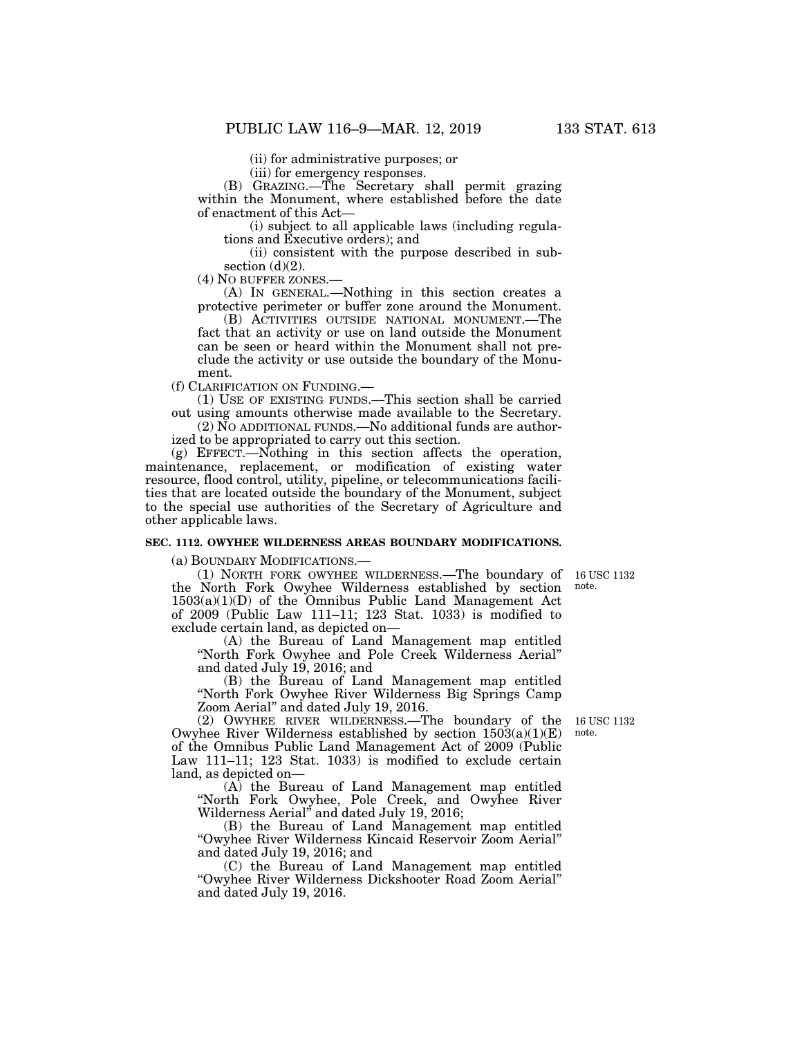(ii) for administrative purposes; or

(iii) for emergency responses.

(B) GRAZING.—The Secretary shall permit grazing within the Monument, where established before the date of enactment of this Act—

(i) subject to all applicable laws (including regulations and Executive orders); and

(ii) consistent with the purpose described in subsection  $(d)(2)$ .

(4) NO BUFFER ZONES.—

(A) IN GENERAL.—Nothing in this section creates a protective perimeter or buffer zone around the Monument.

(B) ACTIVITIES OUTSIDE NATIONAL MONUMENT.—The fact that an activity or use on land outside the Monument can be seen or heard within the Monument shall not preclude the activity or use outside the boundary of the Monument.

(f) CLARIFICATION ON FUNDING.—

(1) USE OF EXISTING FUNDS.—This section shall be carried out using amounts otherwise made available to the Secretary.

 $(2)$  NO ADDITIONAL FUNDS.—No additional funds are authorized to be appropriated to carry out this section.

(g) EFFECT.—Nothing in this section affects the operation, maintenance, replacement, or modification of existing water resource, flood control, utility, pipeline, or telecommunications facilities that are located outside the boundary of the Monument, subject to the special use authorities of the Secretary of Agriculture and other applicable laws.

# **SEC. 1112. OWYHEE WILDERNESS AREAS BOUNDARY MODIFICATIONS.**

(a) BOUNDARY MODIFICATIONS.—

note.

(1) NORTH FORK OWYHEE WILDERNESS.—The boundary of 16 USC 1132 the North Fork Owyhee Wilderness established by section 1503(a)(1)(D) of the Omnibus Public Land Management Act of 2009 (Public Law 111–11; 123 Stat. 1033) is modified to exclude certain land, as depicted on—

(A) the Bureau of Land Management map entitled ''North Fork Owyhee and Pole Creek Wilderness Aerial'' and dated July 19, 2016; and

(B) the Bureau of Land Management map entitled ''North Fork Owyhee River Wilderness Big Springs Camp Zoom Aerial'' and dated July 19, 2016.

note.

(2) OWYHEE RIVER WILDERNESS.—The boundary of the 16 USC 1132 Owyhee River Wilderness established by section  $150\overline{3}(a)(1)(E)$ of the Omnibus Public Land Management Act of 2009 (Public Law 111–11; 123 Stat. 1033) is modified to exclude certain land, as depicted on—

(A) the Bureau of Land Management map entitled ''North Fork Owyhee, Pole Creek, and Owyhee River Wilderness Aerial'' and dated July 19, 2016;

(B) the Bureau of Land Management map entitled ''Owyhee River Wilderness Kincaid Reservoir Zoom Aerial'' and dated July 19, 2016; and

(C) the Bureau of Land Management map entitled ''Owyhee River Wilderness Dickshooter Road Zoom Aerial'' and dated July 19, 2016.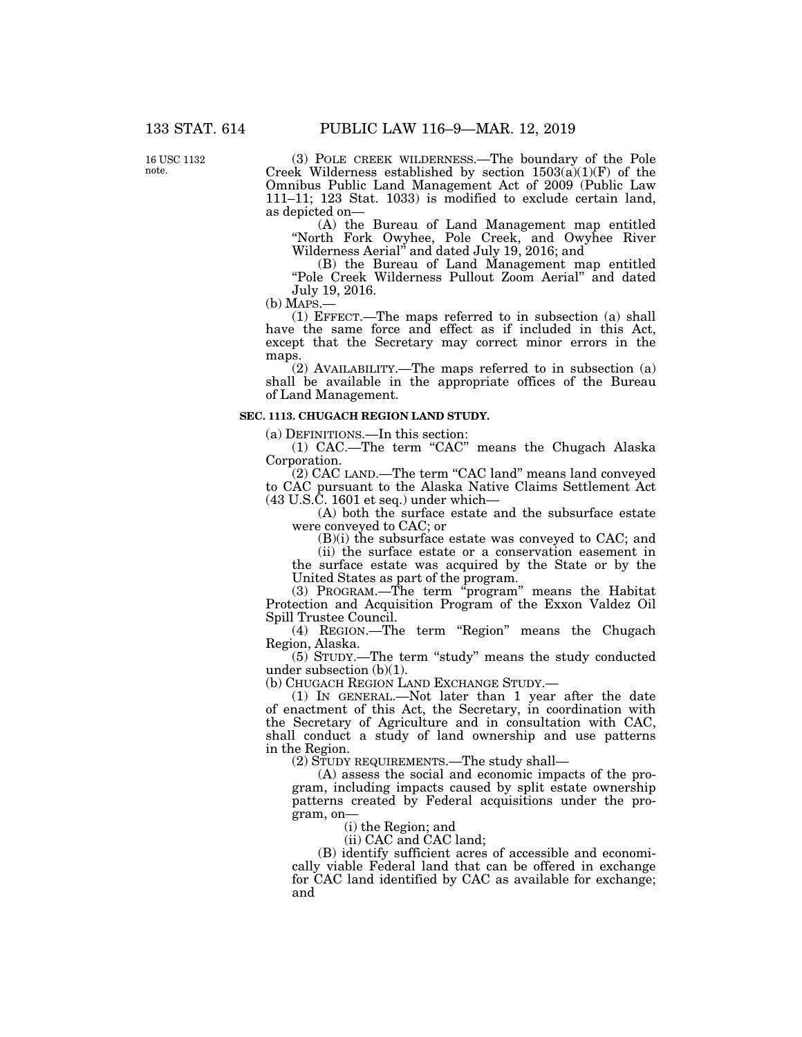16 USC 1132 note.

(3) POLE CREEK WILDERNESS.—The boundary of the Pole Creek Wilderness established by section  $1503(a)(1)(F)$  of the Omnibus Public Land Management Act of 2009 (Public Law 111–11; 123 Stat. 1033) is modified to exclude certain land, as depicted on—

(A) the Bureau of Land Management map entitled ''North Fork Owyhee, Pole Creek, and Owyhee River Wilderness Aerial'' and dated July 19, 2016; and

(B) the Bureau of Land Management map entitled ''Pole Creek Wilderness Pullout Zoom Aerial'' and dated July 19, 2016.

(b) MAPS.— (1) EFFECT.—The maps referred to in subsection (a) shall have the same force and effect as if included in this Act, except that the Secretary may correct minor errors in the maps.

(2) AVAILABILITY.—The maps referred to in subsection (a) shall be available in the appropriate offices of the Bureau of Land Management.

# **SEC. 1113. CHUGACH REGION LAND STUDY.**

(a) DEFINITIONS.—In this section:

(1) CAC.—The term ''CAC'' means the Chugach Alaska Corporation.

(2) CAC LAND.—The term ''CAC land'' means land conveyed to CAC pursuant to the Alaska Native Claims Settlement Act (43 U.S.C. 1601 et seq.) under which—

(A) both the surface estate and the subsurface estate were conveyed to CAC; or

(B)(i) the subsurface estate was conveyed to CAC; and

(ii) the surface estate or a conservation easement in the surface estate was acquired by the State or by the United States as part of the program.

(3) PROGRAM.—The term  $\alpha$  program" means the Habitat Protection and Acquisition Program of the Exxon Valdez Oil Spill Trustee Council.

(4) REGION.—The term ''Region'' means the Chugach Region, Alaska.

(5) STUDY.—The term ''study'' means the study conducted under subsection (b)(1).

(b) CHUGACH REGION LAND EXCHANGE STUDY.—

(1) IN GENERAL.—Not later than 1 year after the date of enactment of this Act, the Secretary, in coordination with the Secretary of Agriculture and in consultation with CAC, shall conduct a study of land ownership and use patterns in the Region.

(2) STUDY REQUIREMENTS.—The study shall—

(A) assess the social and economic impacts of the program, including impacts caused by split estate ownership patterns created by Federal acquisitions under the program, on—

(i) the Region; and

(ii) CAC and CAC land;

(B) identify sufficient acres of accessible and economically viable Federal land that can be offered in exchange for CAC land identified by CAC as available for exchange; and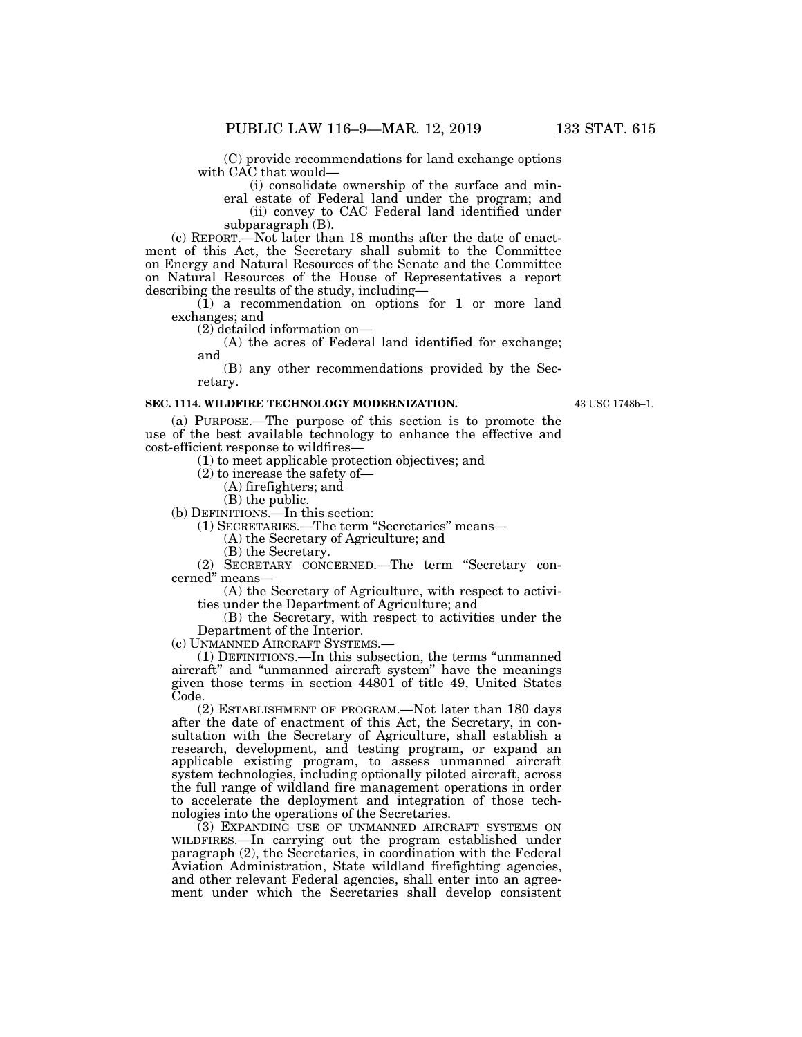(C) provide recommendations for land exchange options with CAC that would—

(i) consolidate ownership of the surface and min-

eral estate of Federal land under the program; and (ii) convey to CAC Federal land identified under subparagraph (B).

(c) REPORT.—Not later than 18 months after the date of enactment of this Act, the Secretary shall submit to the Committee on Energy and Natural Resources of the Senate and the Committee on Natural Resources of the House of Representatives a report describing the results of the study, including—

(1) a recommendation on options for 1 or more land exchanges; and

(2) detailed information on—

(A) the acres of Federal land identified for exchange; and

(B) any other recommendations provided by the Secretary.

#### **SEC. 1114. WILDFIRE TECHNOLOGY MODERNIZATION.**

43 USC 1748b–1.

(a) PURPOSE.—The purpose of this section is to promote the use of the best available technology to enhance the effective and cost-efficient response to wildfires—

(1) to meet applicable protection objectives; and

(2) to increase the safety of—

(A) firefighters; and

(B) the public.

(b) DEFINITIONS.—In this section:

(1) SECRETARIES.—The term ''Secretaries'' means—

(A) the Secretary of Agriculture; and

(B) the Secretary.

(2) SECRETARY CONCERNED.—The term ''Secretary concerned'' means—

(A) the Secretary of Agriculture, with respect to activities under the Department of Agriculture; and

(B) the Secretary, with respect to activities under the Department of the Interior.

(c) UNMANNED AIRCRAFT SYSTEMS.—

(1) DEFINITIONS.—In this subsection, the terms ''unmanned aircraft'' and ''unmanned aircraft system'' have the meanings given those terms in section 44801 of title 49, United States Code.

(2) ESTABLISHMENT OF PROGRAM.—Not later than 180 days after the date of enactment of this Act, the Secretary, in consultation with the Secretary of Agriculture, shall establish a research, development, and testing program, or expand an applicable existing program, to assess unmanned aircraft system technologies, including optionally piloted aircraft, across the full range of wildland fire management operations in order to accelerate the deployment and integration of those technologies into the operations of the Secretaries.

(3) EXPANDING USE OF UNMANNED AIRCRAFT SYSTEMS ON WILDFIRES.—In carrying out the program established under paragraph (2), the Secretaries, in coordination with the Federal Aviation Administration, State wildland firefighting agencies, and other relevant Federal agencies, shall enter into an agreement under which the Secretaries shall develop consistent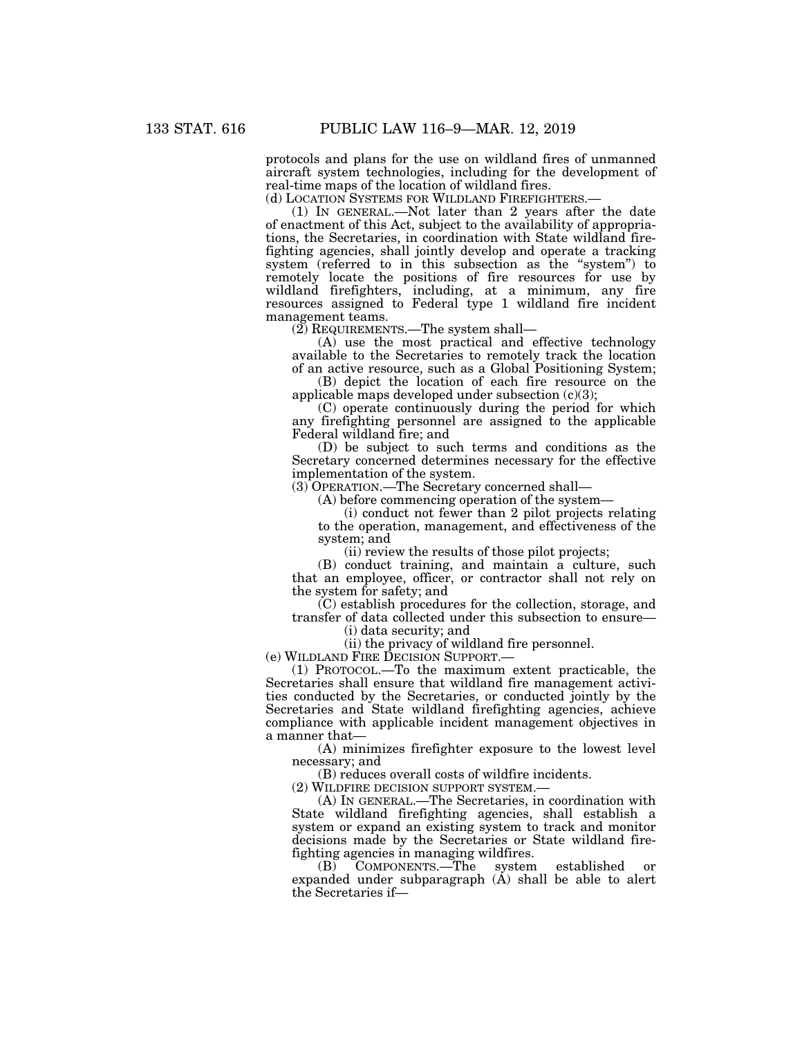protocols and plans for the use on wildland fires of unmanned aircraft system technologies, including for the development of real-time maps of the location of wildland fires.<br>(d) LOCATION SYSTEMS FOR WILDLAND FIREFIGHTERS.

(1) IN GENERAL.—Not later than 2 years after the date of enactment of this Act, subject to the availability of appropriations, the Secretaries, in coordination with State wildland firefighting agencies, shall jointly develop and operate a tracking system (referred to in this subsection as the "system") to remotely locate the positions of fire resources for use by wildland firefighters, including, at a minimum, any fire resources assigned to Federal type 1 wildland fire incident management teams.

(2) REQUIREMENTS.—The system shall—

(A) use the most practical and effective technology available to the Secretaries to remotely track the location of an active resource, such as a Global Positioning System;

(B) depict the location of each fire resource on the applicable maps developed under subsection (c)(3);

(C) operate continuously during the period for which any firefighting personnel are assigned to the applicable Federal wildland fire; and

(D) be subject to such terms and conditions as the Secretary concerned determines necessary for the effective implementation of the system.

(3) OPERATION.—The Secretary concerned shall—

(A) before commencing operation of the system—

(i) conduct not fewer than 2 pilot projects relating to the operation, management, and effectiveness of the system; and

(ii) review the results of those pilot projects;

(B) conduct training, and maintain a culture, such that an employee, officer, or contractor shall not rely on the system for safety; and

(C) establish procedures for the collection, storage, and transfer of data collected under this subsection to ensure—

(i) data security; and

(ii) the privacy of wildland fire personnel.

(e) WILDLAND FIRE DECISION SUPPORT.—

(1) PROTOCOL.—To the maximum extent practicable, the Secretaries shall ensure that wildland fire management activities conducted by the Secretaries, or conducted jointly by the Secretaries and State wildland firefighting agencies, achieve compliance with applicable incident management objectives in a manner that—

(A) minimizes firefighter exposure to the lowest level necessary; and

(B) reduces overall costs of wildfire incidents.

(2) WILDFIRE DECISION SUPPORT SYSTEM.—

(A) IN GENERAL.—The Secretaries, in coordination with State wildland firefighting agencies, shall establish a system or expand an existing system to track and monitor decisions made by the Secretaries or State wildland firefighting agencies in managing wildfires.

(B) COMPONENTS.—The system established or expanded under subparagraph  $(A)$  shall be able to alert the Secretaries if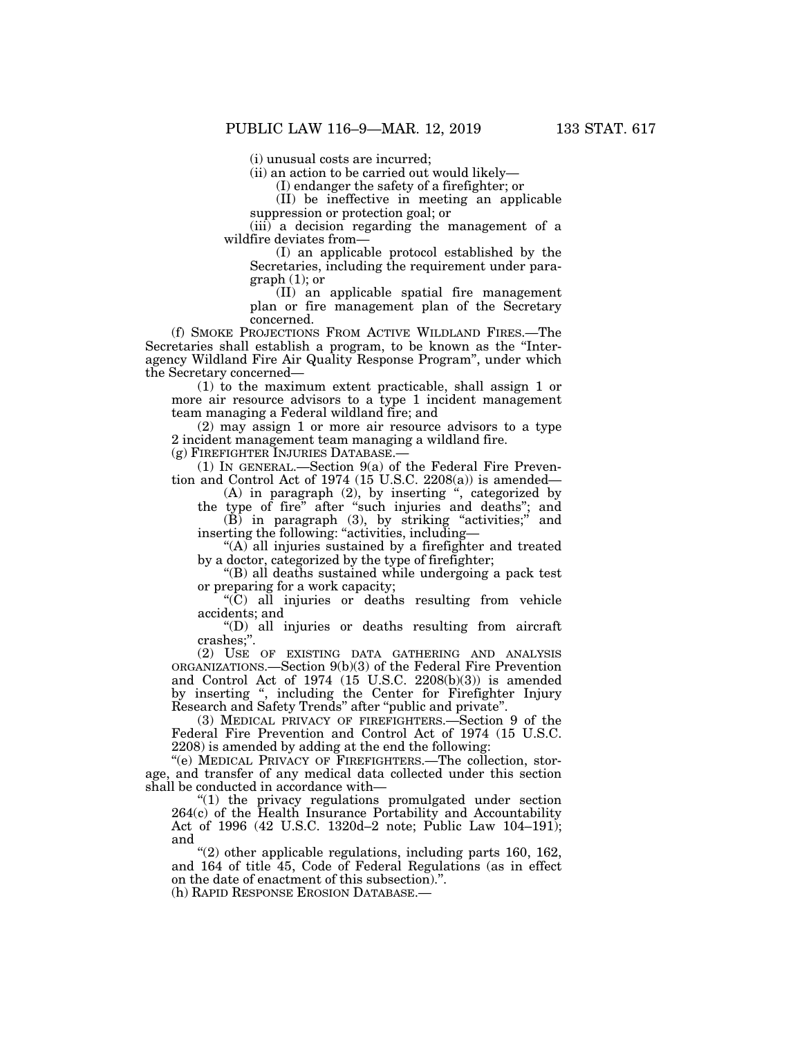(i) unusual costs are incurred;

(ii) an action to be carried out would likely—

(I) endanger the safety of a firefighter; or

(II) be ineffective in meeting an applicable suppression or protection goal; or

(iii) a decision regarding the management of a wildfire deviates from—

(I) an applicable protocol established by the Secretaries, including the requirement under para $graph(1);$  or

(II) an applicable spatial fire management plan or fire management plan of the Secretary concerned.

(f) SMOKE PROJECTIONS FROM ACTIVE WILDLAND FIRES.—The Secretaries shall establish a program, to be known as the ''Interagency Wildland Fire Air Quality Response Program'', under which the Secretary concerned—

(1) to the maximum extent practicable, shall assign 1 or more air resource advisors to a type 1 incident management team managing a Federal wildland fire; and

(2) may assign 1 or more air resource advisors to a type 2 incident management team managing a wildland fire.

(g) FIREFIGHTER INJURIES DATABASE.—

(1) IN GENERAL.—Section 9(a) of the Federal Fire Prevention and Control Act of 1974 (15 U.S.C. 2208(a)) is amended—

(A) in paragraph (2), by inserting '', categorized by

the type of fire'' after ''such injuries and deaths''; and  $(B)$  in paragraph  $(3)$ , by striking "activities;" and inserting the following: "activities, including—

''(A) all injuries sustained by a firefighter and treated by a doctor, categorized by the type of firefighter;

''(B) all deaths sustained while undergoing a pack test or preparing for a work capacity;

''(C) all injuries or deaths resulting from vehicle accidents; and

''(D) all injuries or deaths resulting from aircraft crashes;''.

(2) USE OF EXISTING DATA GATHERING AND ANALYSIS ORGANIZATIONS.—Section 9(b)(3) of the Federal Fire Prevention and Control Act of 1974 (15 U.S.C. 2208(b)(3)) is amended by inserting '', including the Center for Firefighter Injury Research and Safety Trends'' after ''public and private''.

(3) MEDICAL PRIVACY OF FIREFIGHTERS.—Section 9 of the Federal Fire Prevention and Control Act of 1974 (15 U.S.C. 2208) is amended by adding at the end the following:

''(e) MEDICAL PRIVACY OF FIREFIGHTERS.—The collection, storage, and transfer of any medical data collected under this section shall be conducted in accordance with—

"(1) the privacy regulations promulgated under section 264(c) of the Health Insurance Portability and Accountability Act of 1996 (42 U.S.C. 1320d–2 note; Public Law 104–191); and

 $\degree$ (2) other applicable regulations, including parts 160, 162, and 164 of title 45, Code of Federal Regulations (as in effect on the date of enactment of this subsection).''.

(h) RAPID RESPONSE EROSION DATABASE.—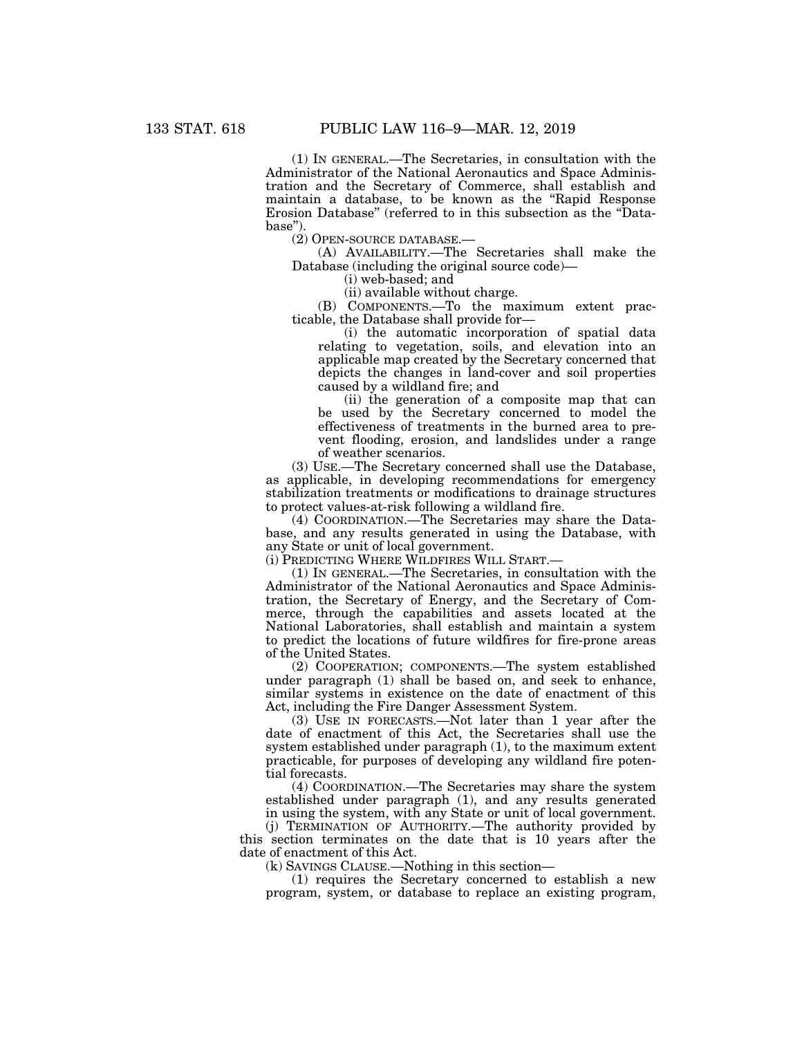(1) IN GENERAL.—The Secretaries, in consultation with the Administrator of the National Aeronautics and Space Administration and the Secretary of Commerce, shall establish and maintain a database, to be known as the "Rapid Response Erosion Database'' (referred to in this subsection as the ''Database'').

(2) OPEN-SOURCE DATABASE.—

(A) AVAILABILITY.—The Secretaries shall make the Database (including the original source code)—

(i) web-based; and

(ii) available without charge.

(B) COMPONENTS.—To the maximum extent practicable, the Database shall provide for—

(i) the automatic incorporation of spatial data relating to vegetation, soils, and elevation into an applicable map created by the Secretary concerned that depicts the changes in land-cover and soil properties caused by a wildland fire; and

(ii) the generation of a composite map that can be used by the Secretary concerned to model the effectiveness of treatments in the burned area to prevent flooding, erosion, and landslides under a range of weather scenarios.

(3) USE.—The Secretary concerned shall use the Database, as applicable, in developing recommendations for emergency stabilization treatments or modifications to drainage structures to protect values-at-risk following a wildland fire.

(4) COORDINATION.—The Secretaries may share the Database, and any results generated in using the Database, with any State or unit of local government.

(i) PREDICTING WHERE WILDFIRES WILL START.—

(1) IN GENERAL.—The Secretaries, in consultation with the Administrator of the National Aeronautics and Space Administration, the Secretary of Energy, and the Secretary of Commerce, through the capabilities and assets located at the National Laboratories, shall establish and maintain a system to predict the locations of future wildfires for fire-prone areas of the United States.

(2) COOPERATION; COMPONENTS.—The system established under paragraph (1) shall be based on, and seek to enhance, similar systems in existence on the date of enactment of this Act, including the Fire Danger Assessment System.

(3) USE IN FORECASTS.—Not later than 1 year after the date of enactment of this Act, the Secretaries shall use the system established under paragraph (1), to the maximum extent practicable, for purposes of developing any wildland fire potential forecasts.

(4) COORDINATION.—The Secretaries may share the system established under paragraph (1), and any results generated in using the system, with any State or unit of local government.

(j) TERMINATION OF AUTHORITY.—The authority provided by this section terminates on the date that is 10 years after the date of enactment of this Act.

(k) SAVINGS CLAUSE.—Nothing in this section—

(1) requires the Secretary concerned to establish a new program, system, or database to replace an existing program,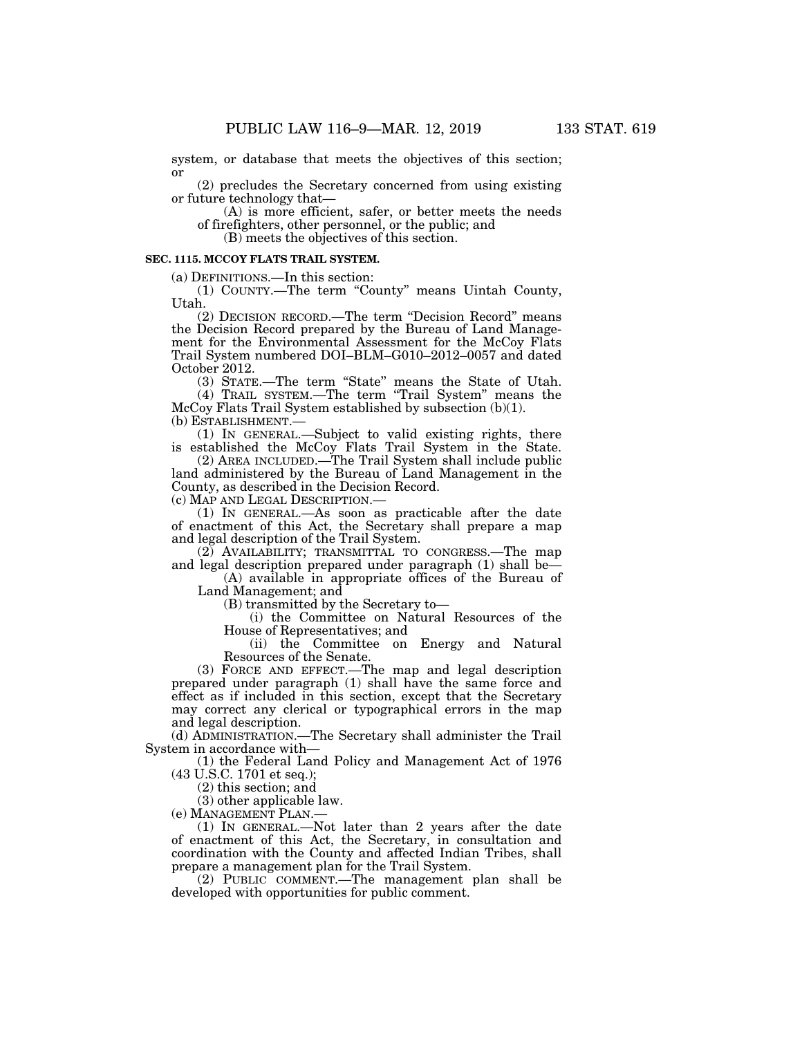system, or database that meets the objectives of this section; or

(2) precludes the Secretary concerned from using existing or future technology that—

(A) is more efficient, safer, or better meets the needs of firefighters, other personnel, or the public; and

(B) meets the objectives of this section.

### **SEC. 1115. MCCOY FLATS TRAIL SYSTEM.**

(a) DEFINITIONS.—In this section:

(1) COUNTY.—The term ''County'' means Uintah County, Utah.

(2) DECISION RECORD.—The term ''Decision Record'' means the Decision Record prepared by the Bureau of Land Management for the Environmental Assessment for the McCoy Flats Trail System numbered DOI–BLM–G010–2012–0057 and dated October 2012.

(3) STATE.—The term ''State'' means the State of Utah. (4) TRAIL SYSTEM.—The term ''Trail System'' means the

McCoy Flats Trail System established by subsection (b)(1). (b) ESTABLISHMENT.—

(1) IN GENERAL.—Subject to valid existing rights, there is established the McCoy Flats Trail System in the State.

(2) AREA INCLUDED.—The Trail System shall include public land administered by the Bureau of Land Management in the County, as described in the Decision Record.

(c) MAP AND LEGAL DESCRIPTION.—

(1) IN GENERAL.—As soon as practicable after the date of enactment of this Act, the Secretary shall prepare a map and legal description of the Trail System.

(2) AVAILABILITY; TRANSMITTAL TO CONGRESS.—The map and legal description prepared under paragraph (1) shall be—

(A) available in appropriate offices of the Bureau of Land Management; and

(B) transmitted by the Secretary to—

(i) the Committee on Natural Resources of the House of Representatives; and

(ii) the Committee on Energy and Natural Resources of the Senate.

(3) FORCE AND EFFECT.—The map and legal description prepared under paragraph (1) shall have the same force and effect as if included in this section, except that the Secretary may correct any clerical or typographical errors in the map and legal description.

(d) ADMINISTRATION.—The Secretary shall administer the Trail System in accordance with—

(1) the Federal Land Policy and Management Act of 1976 (43 U.S.C. 1701 et seq.);

(2) this section; and

(3) other applicable law.<br>(e) MANAGEMENT PLAN.—

(1) IN GENERAL.—Not later than 2 years after the date of enactment of this Act, the Secretary, in consultation and coordination with the County and affected Indian Tribes, shall prepare a management plan for the Trail System.

(2) PUBLIC COMMENT.—The management plan shall be developed with opportunities for public comment.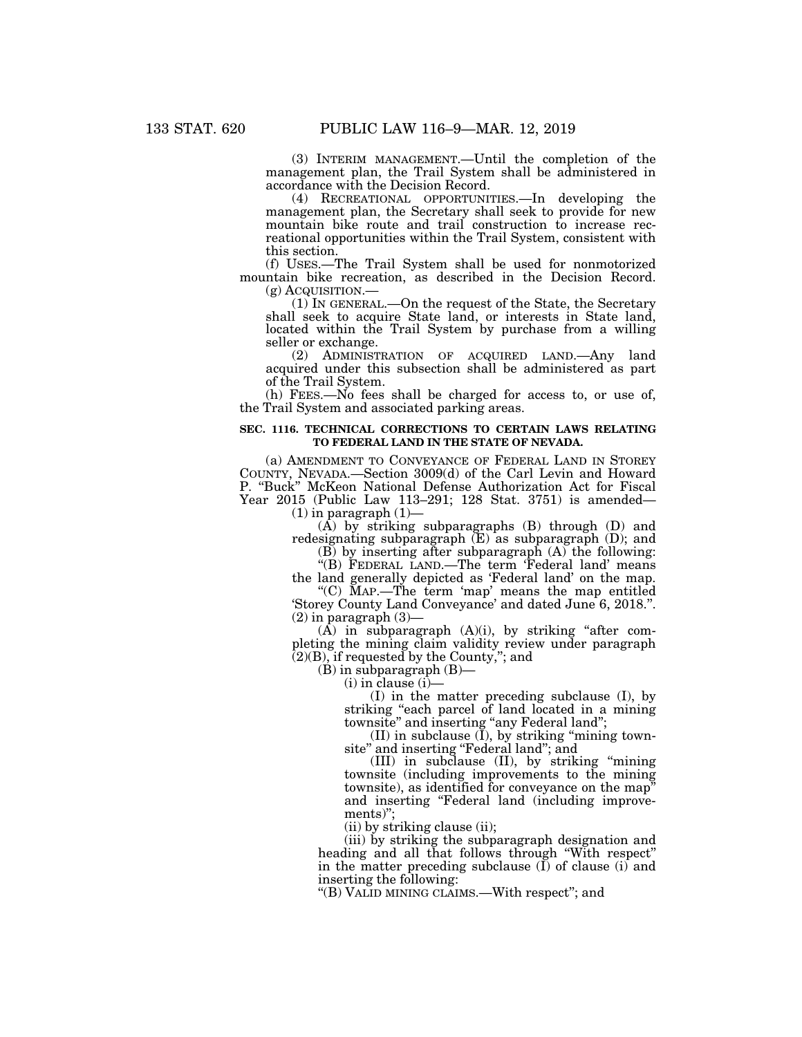(3) INTERIM MANAGEMENT.—Until the completion of the management plan, the Trail System shall be administered in accordance with the Decision Record.

(4) RECREATIONAL OPPORTUNITIES.—In developing the management plan, the Secretary shall seek to provide for new mountain bike route and trail construction to increase recreational opportunities within the Trail System, consistent with this section.

(f) USES.—The Trail System shall be used for nonmotorized mountain bike recreation, as described in the Decision Record.

(g) ACQUISITION.— (1) IN GENERAL.—On the request of the State, the Secretary shall seek to acquire State land, or interests in State land, located within the Trail System by purchase from a willing seller or exchange.

(2) ADMINISTRATION OF ACQUIRED LAND.—Any land acquired under this subsection shall be administered as part of the Trail System.

(h) FEES.—No fees shall be charged for access to, or use of, the Trail System and associated parking areas.

#### **SEC. 1116. TECHNICAL CORRECTIONS TO CERTAIN LAWS RELATING TO FEDERAL LAND IN THE STATE OF NEVADA.**

(a) AMENDMENT TO CONVEYANCE OF FEDERAL LAND IN STOREY COUNTY, NEVADA.—Section 3009(d) of the Carl Levin and Howard P. ''Buck'' McKeon National Defense Authorization Act for Fiscal Year 2015 (Public Law 113–291; 128 Stat. 3751) is amended—

 $(1)$  in paragraph  $(1)$ —

(A) by striking subparagraphs (B) through (D) and redesignating subparagraph (E) as subparagraph (D); and

(B) by inserting after subparagraph (A) the following:

''(B) FEDERAL LAND.—The term 'Federal land' means the land generally depicted as 'Federal land' on the map.

''(C) MAP.—The term 'map' means the map entitled 'Storey County Land Conveyance' and dated June 6, 2018.''.  $(2)$  in paragraph  $(3)$ —

 $(A)$  in subparagraph  $(A)(i)$ , by striking "after completing the mining claim validity review under paragraph  $(2)(B)$ , if requested by the County,"; and

(B) in subparagraph (B)—

 $(i)$  in clause  $(i)$ —

(I) in the matter preceding subclause (I), by striking ''each parcel of land located in a mining townsite" and inserting "any Federal land";

 $(II)$  in subclause  $(I)$ , by striking "mining townsite'' and inserting ''Federal land''; and

(III) in subclause (II), by striking ''mining townsite (including improvements to the mining townsite), as identified for conveyance on the map'' and inserting "Federal land (including improvements)'';

(ii) by striking clause (ii);

(iii) by striking the subparagraph designation and heading and all that follows through ''With respect'' in the matter preceding subclause  $(I)$  of clause  $(i)$  and inserting the following:

''(B) VALID MINING CLAIMS.—With respect''; and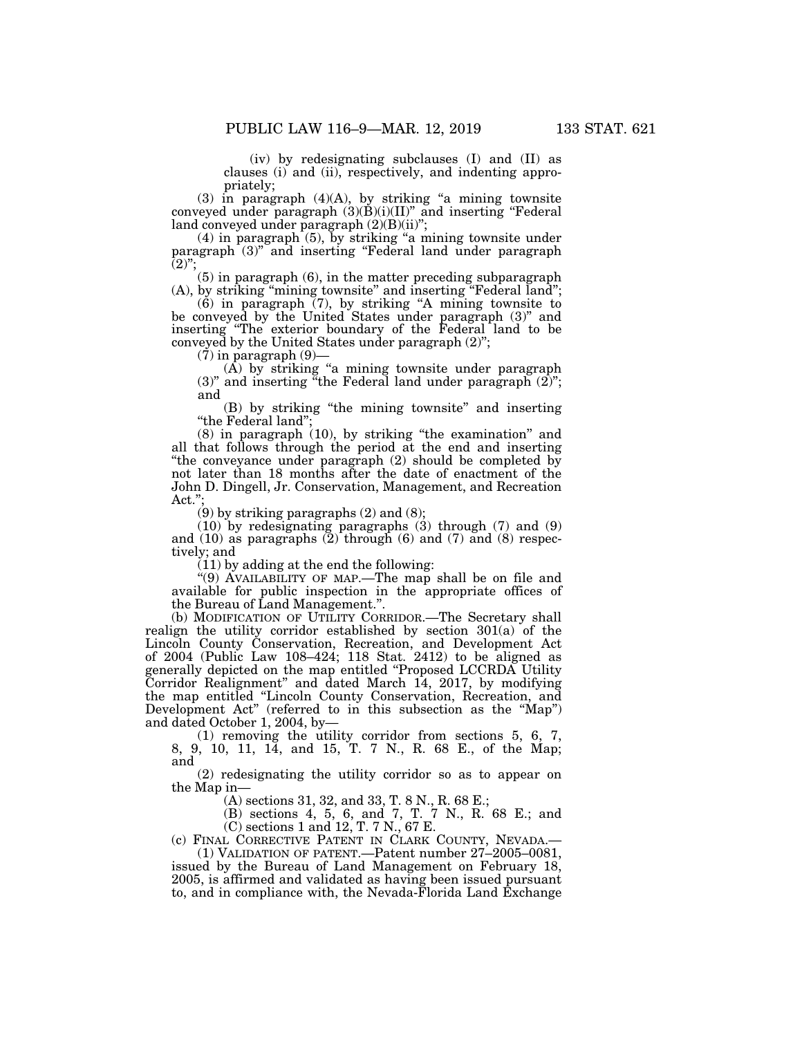(iv) by redesignating subclauses (I) and (II) as clauses (i) and (ii), respectively, and indenting appropriately;

 $(3)$  in paragraph  $(4)(A)$ , by striking "a mining townsite conveyed under paragraph  $(3)(\dot{B})(i)(II)'$  and inserting "Federal land conveyed under paragraph (2)(B)(ii)'';

 $(4)$  in paragraph  $(5)$ , by striking "a mining townsite under paragraph (3)" and inserting "Federal land under paragraph  $(2)$ ";

(5) in paragraph (6), in the matter preceding subparagraph (A), by striking "mining townsite" and inserting "Federal land";

(6) in paragraph (7), by striking ''A mining townsite to be conveyed by the United States under paragraph (3)'' and inserting ''The exterior boundary of the Federal land to be conveyed by the United States under paragraph (2)'';

 $(7)$  in paragraph  $(9)$ —

(A) by striking ''a mining townsite under paragraph  $(3)$ " and inserting "the Federal land under paragraph  $(2)$ "; and

(B) by striking ''the mining townsite'' and inserting ''the Federal land'';

(8) in paragraph (10), by striking ''the examination'' and all that follows through the period at the end and inserting ''the conveyance under paragraph (2) should be completed by not later than 18 months after the date of enactment of the John D. Dingell, Jr. Conservation, Management, and Recreation Act.'';

(9) by striking paragraphs (2) and (8);

(10) by redesignating paragraphs (3) through (7) and (9) and  $(10)$  as paragraphs  $(2)$  through  $(6)$  and  $(7)$  and  $(8)$  respectively; and

(11) by adding at the end the following:

"(9) AVAILABILITY OF MAP.—The map shall be on file and available for public inspection in the appropriate offices of the Bureau of Land Management.''.

(b) MODIFICATION OF UTILITY CORRIDOR.—The Secretary shall realign the utility corridor established by section 301(a) of the Lincoln County Conservation, Recreation, and Development Act of 2004 (Public Law 108–424; 118 Stat. 2412) to be aligned as generally depicted on the map entitled ''Proposed LCCRDA Utility Corridor Realignment'' and dated March 14, 2017, by modifying the map entitled ''Lincoln County Conservation, Recreation, and Development Act" (referred to in this subsection as the "Map") and dated October 1, 2004, by—

(1) removing the utility corridor from sections 5, 6, 7, 8, 9, 10, 11, 14, and 15, T. 7 N., R. 68 E., of the Map; and

(2) redesignating the utility corridor so as to appear on the Map in—

(A) sections 31, 32, and 33, T. 8 N., R. 68 E.;

(B) sections 4, 5, 6, and 7, T. 7 N., R. 68 E.; and (C) sections 1 and 12, T. 7 N., 67 E.

(c) FINAL CORRECTIVE PATENT IN CLARK COUNTY, NEVADA.—

(1) VALIDATION OF PATENT.—Patent number 27–2005–0081, issued by the Bureau of Land Management on February 18, 2005, is affirmed and validated as having been issued pursuant to, and in compliance with, the Nevada-Florida Land Exchange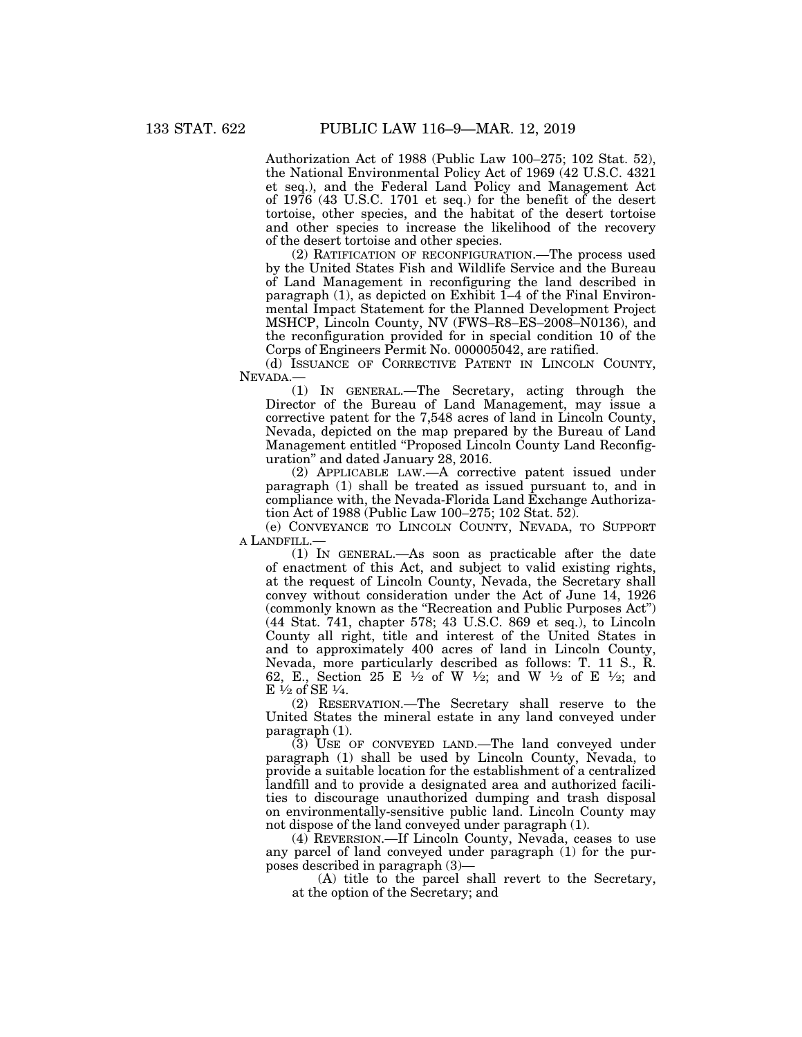Authorization Act of 1988 (Public Law 100–275; 102 Stat. 52), the National Environmental Policy Act of 1969 (42 U.S.C. 4321 et seq.), and the Federal Land Policy and Management Act of 1976 (43 U.S.C. 1701 et seq.) for the benefit of the desert tortoise, other species, and the habitat of the desert tortoise and other species to increase the likelihood of the recovery of the desert tortoise and other species.

(2) RATIFICATION OF RECONFIGURATION.—The process used by the United States Fish and Wildlife Service and the Bureau of Land Management in reconfiguring the land described in paragraph  $(1)$ , as depicted on Exhibit  $1-4$  of the Final Environmental Impact Statement for the Planned Development Project MSHCP, Lincoln County, NV (FWS–R8–ES–2008–N0136), and the reconfiguration provided for in special condition 10 of the Corps of Engineers Permit No. 000005042, are ratified.

(d) ISSUANCE OF CORRECTIVE PATENT IN LINCOLN COUNTY, NEVADA.—

(1) IN GENERAL.—The Secretary, acting through the Director of the Bureau of Land Management, may issue a corrective patent for the 7,548 acres of land in Lincoln County, Nevada, depicted on the map prepared by the Bureau of Land Management entitled ''Proposed Lincoln County Land Reconfiguration'' and dated January 28, 2016.

(2) APPLICABLE LAW.—A corrective patent issued under paragraph (1) shall be treated as issued pursuant to, and in compliance with, the Nevada-Florida Land Exchange Authorization Act of 1988 (Public Law 100–275; 102 Stat. 52).

(e) CONVEYANCE TO LINCOLN COUNTY, NEVADA, TO SUPPORT A LANDFILL.—

(1) IN GENERAL.—As soon as practicable after the date of enactment of this Act, and subject to valid existing rights, at the request of Lincoln County, Nevada, the Secretary shall convey without consideration under the Act of June 14, 1926 (commonly known as the ''Recreation and Public Purposes Act'') (44 Stat. 741, chapter 578; 43 U.S.C. 869 et seq.), to Lincoln County all right, title and interest of the United States in and to approximately 400 acres of land in Lincoln County, Nevada, more particularly described as follows: T. 11 S., R. 62, E., Section 25 E 1⁄2 of W 1⁄2; and W 1⁄2 of E 1⁄2; and E  $\frac{1}{2}$  of SE  $\frac{1}{4}$ .

(2) RESERVATION.—The Secretary shall reserve to the United States the mineral estate in any land conveyed under paragraph (1).

(3) USE OF CONVEYED LAND.—The land conveyed under paragraph (1) shall be used by Lincoln County, Nevada, to provide a suitable location for the establishment of a centralized landfill and to provide a designated area and authorized facilities to discourage unauthorized dumping and trash disposal on environmentally-sensitive public land. Lincoln County may not dispose of the land conveyed under paragraph (1).

(4) REVERSION.—If Lincoln County, Nevada, ceases to use any parcel of land conveyed under paragraph (1) for the purposes described in paragraph (3)—

(A) title to the parcel shall revert to the Secretary, at the option of the Secretary; and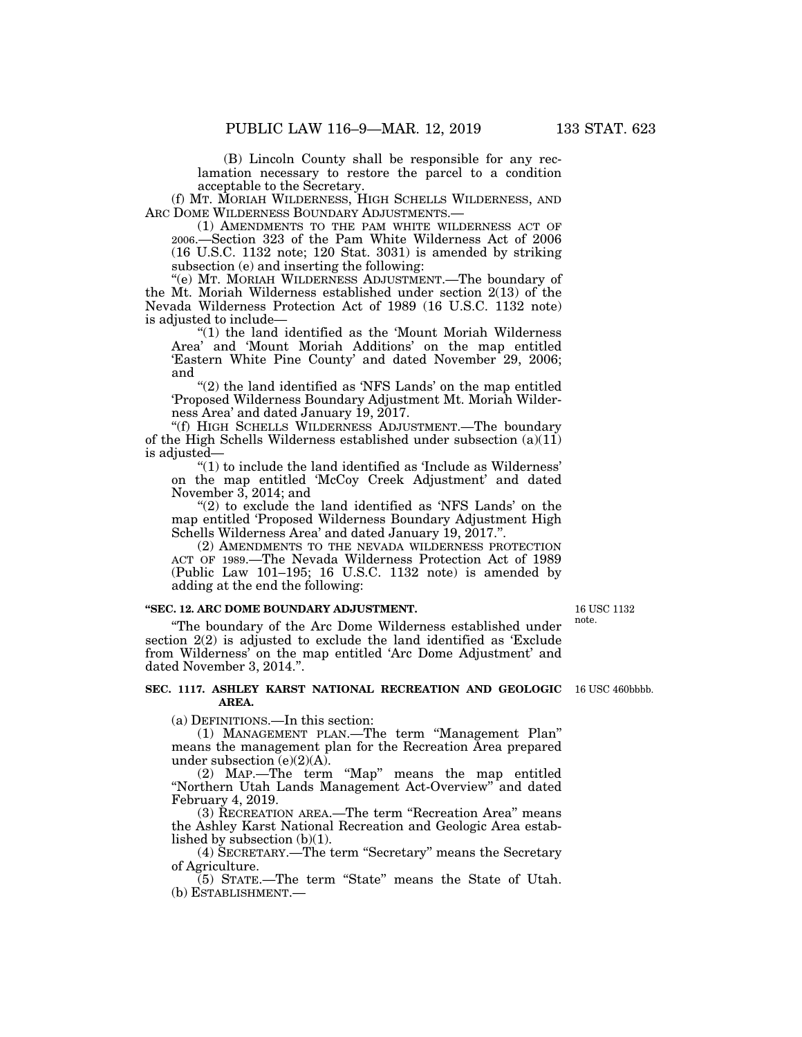(B) Lincoln County shall be responsible for any reclamation necessary to restore the parcel to a condition acceptable to the Secretary.

(f) MT. MORIAH WILDERNESS, HIGH SCHELLS WILDERNESS, AND ARC DOME WILDERNESS BOUNDARY ADJUSTMENTS.

(1) AMENDMENTS TO THE PAM WHITE WILDERNESS ACT OF 2006.—Section 323 of the Pam White Wilderness Act of 2006 (16 U.S.C. 1132 note; 120 Stat. 3031) is amended by striking subsection (e) and inserting the following:

''(e) MT. MORIAH WILDERNESS ADJUSTMENT.—The boundary of the Mt. Moriah Wilderness established under section 2(13) of the Nevada Wilderness Protection Act of 1989 (16 U.S.C. 1132 note) is adjusted to include—

''(1) the land identified as the 'Mount Moriah Wilderness Area' and 'Mount Moriah Additions' on the map entitled 'Eastern White Pine County' and dated November 29, 2006; and

"(2) the land identified as 'NFS Lands' on the map entitled 'Proposed Wilderness Boundary Adjustment Mt. Moriah Wilderness Area' and dated January 19, 2017.

''(f) HIGH SCHELLS WILDERNESS ADJUSTMENT.—The boundary of the High Schells Wilderness established under subsection  $(a)(11)$ is adjusted—

 $''(1)$  to include the land identified as 'Include as Wilderness' on the map entitled 'McCoy Creek Adjustment' and dated November 3, 2014; and

" $(2)$  to exclude the land identified as 'NFS Lands' on the map entitled 'Proposed Wilderness Boundary Adjustment High Schells Wilderness Area' and dated January 19, 2017.''.

(2) AMENDMENTS TO THE NEVADA WILDERNESS PROTECTION ACT OF 1989.—The Nevada Wilderness Protection Act of 1989 (Public Law 101–195; 16 U.S.C. 1132 note) is amended by adding at the end the following:

#### **''SEC. 12. ARC DOME BOUNDARY ADJUSTMENT.**

''The boundary of the Arc Dome Wilderness established under section 2(2) is adjusted to exclude the land identified as 'Exclude from Wilderness' on the map entitled 'Arc Dome Adjustment' and dated November 3, 2014.''.

#### **SEC. 1117. ASHLEY KARST NATIONAL RECREATION AND GEOLOGIC**  16 USC 460bbbb. **AREA.**

(a) DEFINITIONS.—In this section:

(1) MANAGEMENT PLAN.—The term ''Management Plan'' means the management plan for the Recreation Area prepared under subsection  $(e)(2)(A)$ .

(2) MAP.—The term ''Map'' means the map entitled ''Northern Utah Lands Management Act-Overview'' and dated February 4, 2019.

(3) RECREATION AREA.—The term ''Recreation Area'' means the Ashley Karst National Recreation and Geologic Area established by subsection (b)(1).

(4) SECRETARY.—The term ''Secretary'' means the Secretary of Agriculture.

(5) STATE.—The term ''State'' means the State of Utah. (b) ESTABLISHMENT.—

16 USC 1132 note.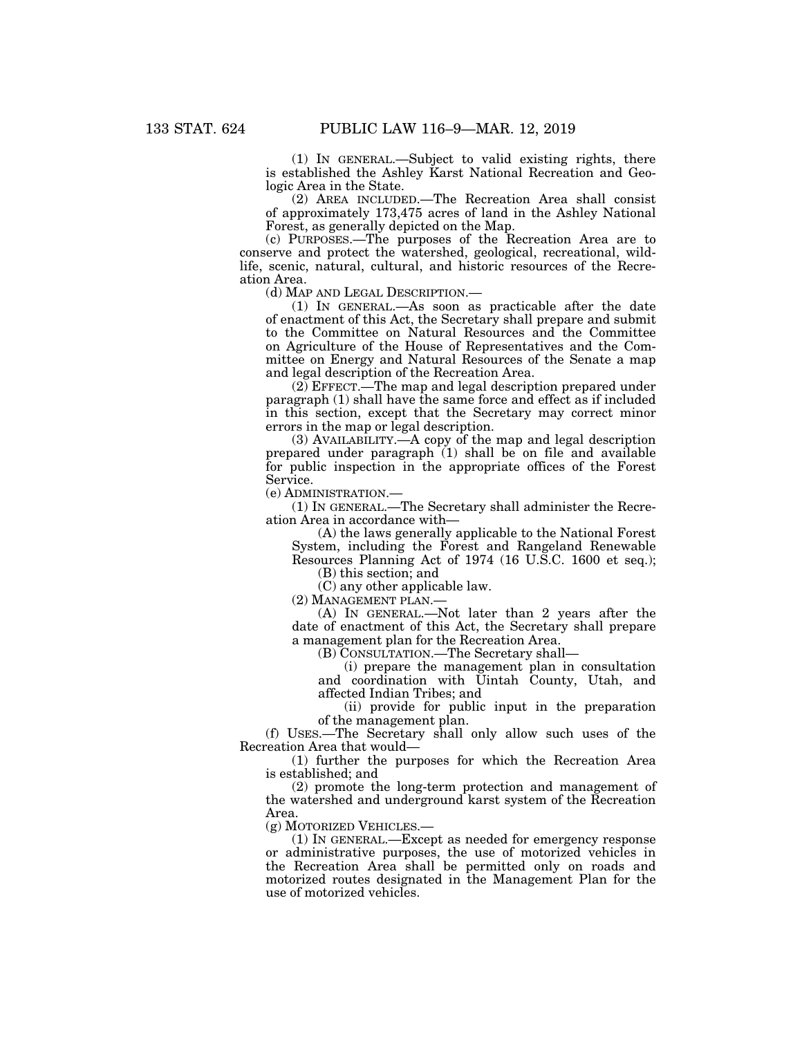(1) IN GENERAL.—Subject to valid existing rights, there is established the Ashley Karst National Recreation and Geologic Area in the State.

(2) AREA INCLUDED.—The Recreation Area shall consist of approximately 173,475 acres of land in the Ashley National Forest, as generally depicted on the Map.

(c) PURPOSES.—The purposes of the Recreation Area are to conserve and protect the watershed, geological, recreational, wildlife, scenic, natural, cultural, and historic resources of the Recreation Area.

(d) MAP AND LEGAL DESCRIPTION.—

(1) IN GENERAL.—As soon as practicable after the date of enactment of this Act, the Secretary shall prepare and submit to the Committee on Natural Resources and the Committee on Agriculture of the House of Representatives and the Committee on Energy and Natural Resources of the Senate a map and legal description of the Recreation Area.

(2) EFFECT.—The map and legal description prepared under paragraph (1) shall have the same force and effect as if included in this section, except that the Secretary may correct minor errors in the map or legal description.

(3) AVAILABILITY.—A copy of the map and legal description prepared under paragraph  $(1)$  shall be on file and available for public inspection in the appropriate offices of the Forest Service.

(e) ADMINISTRATION.—

(1) IN GENERAL.—The Secretary shall administer the Recreation Area in accordance with—

(A) the laws generally applicable to the National Forest System, including the Forest and Rangeland Renewable Resources Planning Act of 1974 (16 U.S.C. 1600 et seq.);

(B) this section; and

(C) any other applicable law.

(2) MANAGEMENT PLAN.—

(A) IN GENERAL.—Not later than 2 years after the date of enactment of this Act, the Secretary shall prepare a management plan for the Recreation Area.

(B) CONSULTATION.—The Secretary shall—

(i) prepare the management plan in consultation and coordination with Uintah County, Utah, and affected Indian Tribes; and

(ii) provide for public input in the preparation of the management plan.

(f) USES.—The Secretary shall only allow such uses of the Recreation Area that would—

(1) further the purposes for which the Recreation Area is established; and

(2) promote the long-term protection and management of the watershed and underground karst system of the Recreation Area.

(g) MOTORIZED VEHICLES.—

(1) IN GENERAL.—Except as needed for emergency response or administrative purposes, the use of motorized vehicles in the Recreation Area shall be permitted only on roads and motorized routes designated in the Management Plan for the use of motorized vehicles.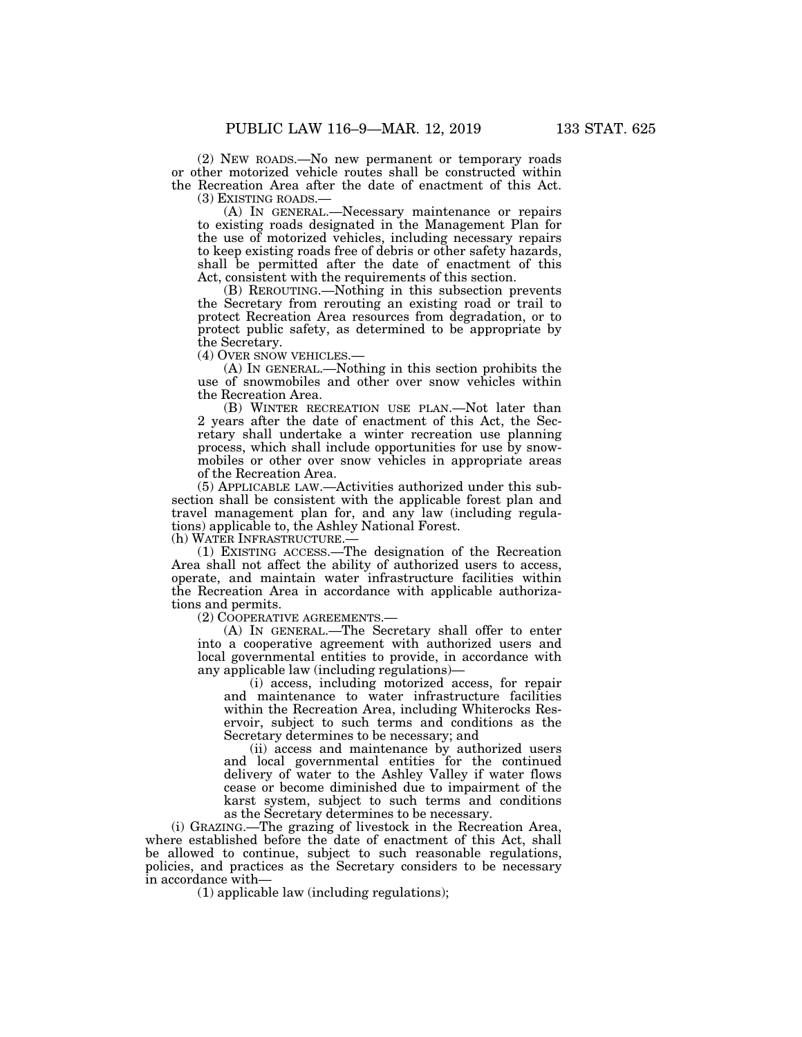(2) NEW ROADS.—No new permanent or temporary roads or other motorized vehicle routes shall be constructed within the Recreation Area after the date of enactment of this Act.

(3) EXISTING ROADS.—<br>(A) IN GENERAL.—Necessary maintenance or repairs to existing roads designated in the Management Plan for the use of motorized vehicles, including necessary repairs to keep existing roads free of debris or other safety hazards, shall be permitted after the date of enactment of this Act, consistent with the requirements of this section.

(B) REROUTING.—Nothing in this subsection prevents the Secretary from rerouting an existing road or trail to protect Recreation Area resources from degradation, or to protect public safety, as determined to be appropriate by the Secretary.<br>(4) OVER SNOW VEHICLES.—

 $(A)$  In GENERAL.—Nothing in this section prohibits the use of snowmobiles and other over snow vehicles within the Recreation Area.

(B) WINTER RECREATION USE PLAN.—Not later than 2 years after the date of enactment of this Act, the Secretary shall undertake a winter recreation use planning process, which shall include opportunities for use by snowmobiles or other over snow vehicles in appropriate areas of the Recreation Area.

(5) APPLICABLE LAW.—Activities authorized under this subsection shall be consistent with the applicable forest plan and travel management plan for, and any law (including regulations) applicable to, the Ashley National Forest.

(h) WATER INFRASTRUCTURE.—

(1) EXISTING ACCESS.—The designation of the Recreation Area shall not affect the ability of authorized users to access, operate, and maintain water infrastructure facilities within the Recreation Area in accordance with applicable authorizations and permits.

(2) COOPERATIVE AGREEMENTS.—

(A) IN GENERAL.—The Secretary shall offer to enter into a cooperative agreement with authorized users and local governmental entities to provide, in accordance with any applicable law (including regulations)—

(i) access, including motorized access, for repair and maintenance to water infrastructure facilities within the Recreation Area, including Whiterocks Reservoir, subject to such terms and conditions as the Secretary determines to be necessary; and

(ii) access and maintenance by authorized users and local governmental entities for the continued delivery of water to the Ashley Valley if water flows cease or become diminished due to impairment of the karst system, subject to such terms and conditions as the Secretary determines to be necessary.

(i) GRAZING.—The grazing of livestock in the Recreation Area, where established before the date of enactment of this Act, shall be allowed to continue, subject to such reasonable regulations, policies, and practices as the Secretary considers to be necessary in accordance with—

(1) applicable law (including regulations);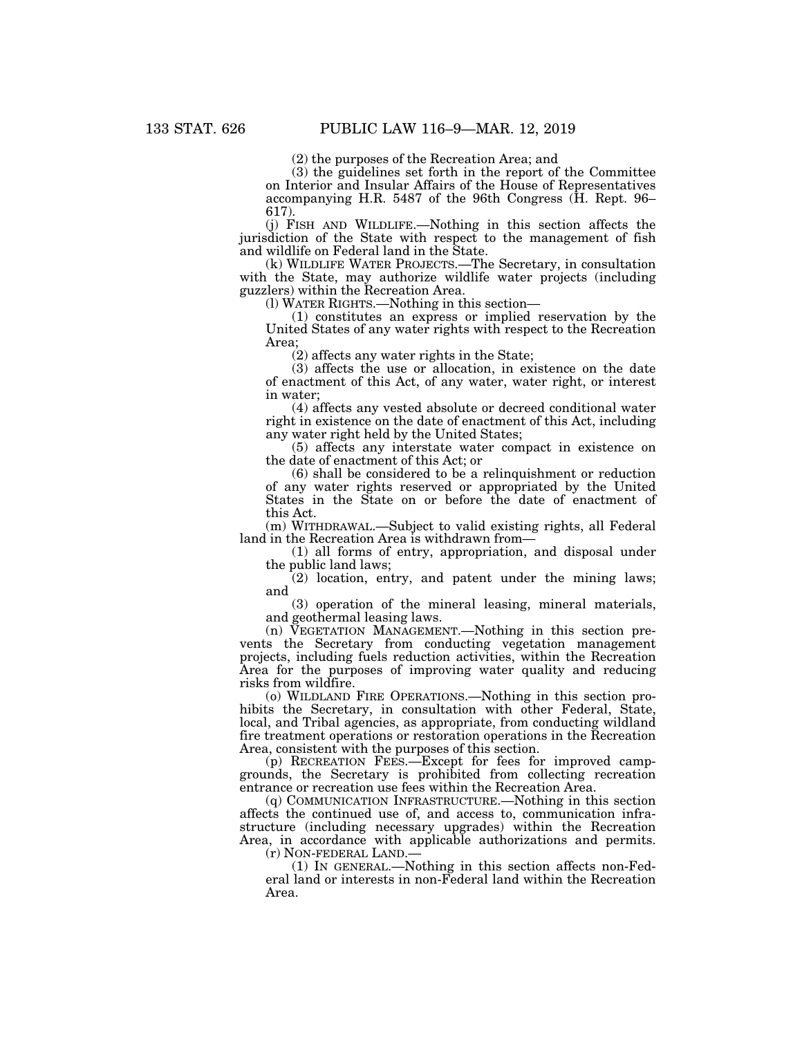(2) the purposes of the Recreation Area; and

(3) the guidelines set forth in the report of the Committee on Interior and Insular Affairs of the House of Representatives accompanying H.R. 5487 of the 96th Congress (H. Rept. 96– 617).

(j) FISH AND WILDLIFE.—Nothing in this section affects the jurisdiction of the State with respect to the management of fish and wildlife on Federal land in the State.

(k) WILDLIFE WATER PROJECTS.—The Secretary, in consultation with the State, may authorize wildlife water projects (including guzzlers) within the Recreation Area.

(l) WATER RIGHTS.—Nothing in this section—

(1) constitutes an express or implied reservation by the United States of any water rights with respect to the Recreation Area;

(2) affects any water rights in the State;

(3) affects the use or allocation, in existence on the date of enactment of this Act, of any water, water right, or interest in water;

(4) affects any vested absolute or decreed conditional water right in existence on the date of enactment of this Act, including any water right held by the United States;

(5) affects any interstate water compact in existence on the date of enactment of this Act; or

(6) shall be considered to be a relinquishment or reduction of any water rights reserved or appropriated by the United States in the State on or before the date of enactment of this Act.

(m) WITHDRAWAL.—Subject to valid existing rights, all Federal land in the Recreation Area is withdrawn from—

(1) all forms of entry, appropriation, and disposal under the public land laws;

 $(2)$  location, entry, and patent under the mining laws; and

(3) operation of the mineral leasing, mineral materials, and geothermal leasing laws.

(n) VEGETATION MANAGEMENT.—Nothing in this section prevents the Secretary from conducting vegetation management projects, including fuels reduction activities, within the Recreation Area for the purposes of improving water quality and reducing risks from wildfire.

(o) WILDLAND FIRE OPERATIONS.—Nothing in this section prohibits the Secretary, in consultation with other Federal, State, local, and Tribal agencies, as appropriate, from conducting wildland fire treatment operations or restoration operations in the Recreation Area, consistent with the purposes of this section.

(p) RECREATION FEES.—Except for fees for improved campgrounds, the Secretary is prohibited from collecting recreation entrance or recreation use fees within the Recreation Area.

(q) COMMUNICATION INFRASTRUCTURE.—Nothing in this section affects the continued use of, and access to, communication infrastructure (including necessary upgrades) within the Recreation Area, in accordance with applicable authorizations and permits.

(r) NON-FEDERAL LAND.—

(1) IN GENERAL.—Nothing in this section affects non-Federal land or interests in non-Federal land within the Recreation Area.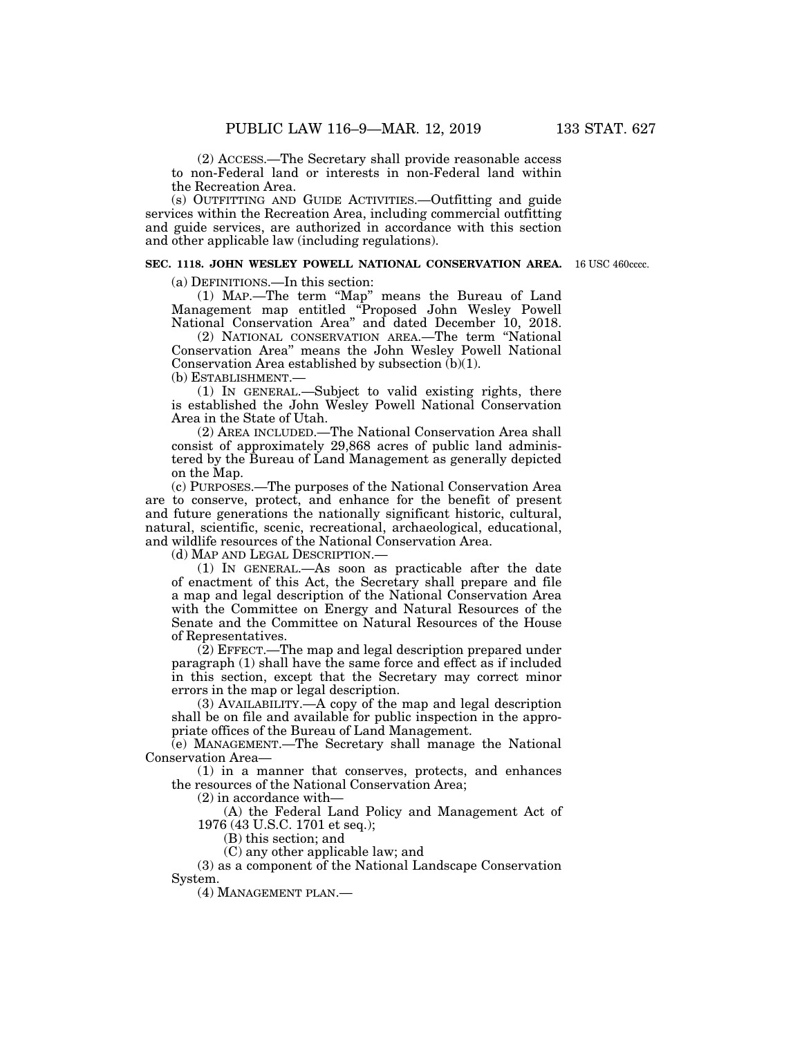(2) ACCESS.—The Secretary shall provide reasonable access to non-Federal land or interests in non-Federal land within the Recreation Area.

(s) OUTFITTING AND GUIDE ACTIVITIES.—Outfitting and guide services within the Recreation Area, including commercial outfitting and guide services, are authorized in accordance with this section and other applicable law (including regulations).

#### **SEC. 1118. JOHN WESLEY POWELL NATIONAL CONSERVATION AREA.**  16 USC 460cccc.

(a) DEFINITIONS.—In this section:

(1) MAP.—The term ''Map'' means the Bureau of Land Management map entitled ''Proposed John Wesley Powell National Conservation Area'' and dated December 10, 2018.

(2) NATIONAL CONSERVATION AREA.—The term ''National Conservation Area'' means the John Wesley Powell National Conservation Area established by subsection (b)(1). (b) ESTABLISHMENT.—

(1) IN GENERAL.—Subject to valid existing rights, there is established the John Wesley Powell National Conservation Area in the State of Utah.

(2) AREA INCLUDED.—The National Conservation Area shall consist of approximately 29,868 acres of public land administered by the Bureau of Land Management as generally depicted on the Map.

(c) PURPOSES.—The purposes of the National Conservation Area are to conserve, protect, and enhance for the benefit of present and future generations the nationally significant historic, cultural, natural, scientific, scenic, recreational, archaeological, educational, and wildlife resources of the National Conservation Area.

(d) MAP AND LEGAL DESCRIPTION.—

(1) IN GENERAL.—As soon as practicable after the date of enactment of this Act, the Secretary shall prepare and file a map and legal description of the National Conservation Area with the Committee on Energy and Natural Resources of the Senate and the Committee on Natural Resources of the House of Representatives.

(2) EFFECT.—The map and legal description prepared under paragraph (1) shall have the same force and effect as if included in this section, except that the Secretary may correct minor errors in the map or legal description.

(3) AVAILABILITY.—A copy of the map and legal description shall be on file and available for public inspection in the appropriate offices of the Bureau of Land Management.

(e) MANAGEMENT.—The Secretary shall manage the National Conservation Area—

(1) in a manner that conserves, protects, and enhances the resources of the National Conservation Area;

(2) in accordance with—

(A) the Federal Land Policy and Management Act of 1976 (43 U.S.C. 1701 et seq.);

(B) this section; and

(C) any other applicable law; and

(3) as a component of the National Landscape Conservation System.

(4) MANAGEMENT PLAN.—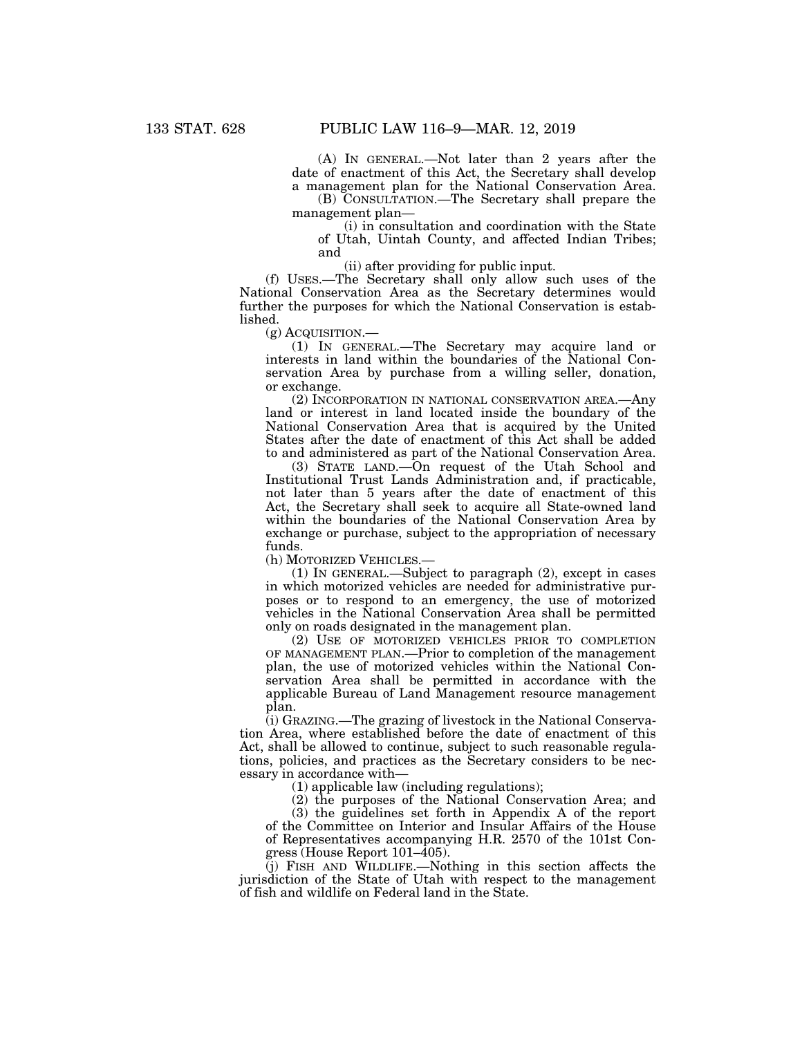(A) IN GENERAL.—Not later than 2 years after the date of enactment of this Act, the Secretary shall develop a management plan for the National Conservation Area.

(B) CONSULTATION.—The Secretary shall prepare the management plan—

(i) in consultation and coordination with the State of Utah, Uintah County, and affected Indian Tribes; and

(ii) after providing for public input.

(f) USES.—The Secretary shall only allow such uses of the National Conservation Area as the Secretary determines would further the purposes for which the National Conservation is established.

(g) ACQUISITION.—

(1) IN GENERAL.—The Secretary may acquire land or interests in land within the boundaries of the National Conservation Area by purchase from a willing seller, donation, or exchange.

(2) INCORPORATION IN NATIONAL CONSERVATION AREA.—Any land or interest in land located inside the boundary of the National Conservation Area that is acquired by the United States after the date of enactment of this Act shall be added to and administered as part of the National Conservation Area.

(3) STATE LAND.—On request of the Utah School and Institutional Trust Lands Administration and, if practicable, not later than 5 years after the date of enactment of this Act, the Secretary shall seek to acquire all State-owned land within the boundaries of the National Conservation Area by exchange or purchase, subject to the appropriation of necessary funds.

(h) MOTORIZED VEHICLES.—

(1) IN GENERAL.—Subject to paragraph (2), except in cases in which motorized vehicles are needed for administrative purposes or to respond to an emergency, the use of motorized vehicles in the National Conservation Area shall be permitted only on roads designated in the management plan.

(2) USE OF MOTORIZED VEHICLES PRIOR TO COMPLETION OF MANAGEMENT PLAN.—Prior to completion of the management plan, the use of motorized vehicles within the National Conservation Area shall be permitted in accordance with the applicable Bureau of Land Management resource management plan.

(i) GRAZING.—The grazing of livestock in the National Conservation Area, where established before the date of enactment of this Act, shall be allowed to continue, subject to such reasonable regulations, policies, and practices as the Secretary considers to be necessary in accordance with—

(1) applicable law (including regulations);

(2) the purposes of the National Conservation Area; and

(3) the guidelines set forth in Appendix A of the report of the Committee on Interior and Insular Affairs of the House of Representatives accompanying H.R. 2570 of the 101st Congress (House Report 101–405).

(j) FISH AND WILDLIFE.—Nothing in this section affects the jurisdiction of the State of Utah with respect to the management of fish and wildlife on Federal land in the State.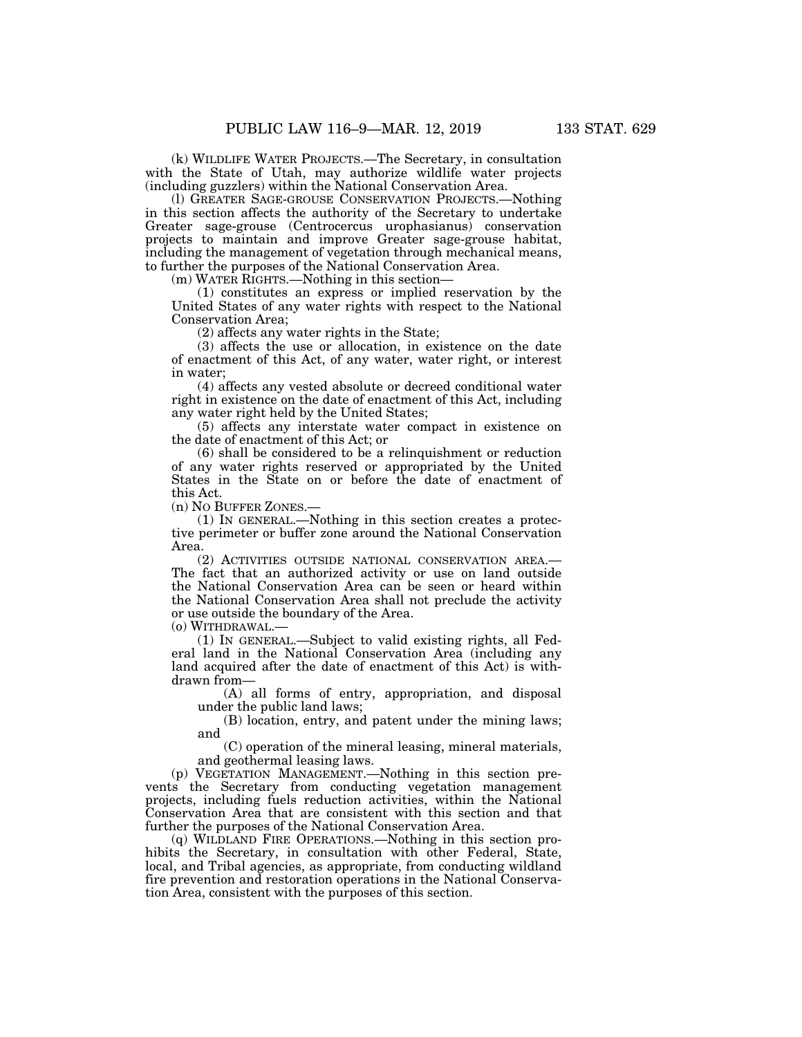(k) WILDLIFE WATER PROJECTS.—The Secretary, in consultation with the State of Utah, may authorize wildlife water projects (including guzzlers) within the National Conservation Area.

(l) GREATER SAGE-GROUSE CONSERVATION PROJECTS.—Nothing in this section affects the authority of the Secretary to undertake Greater sage-grouse (Centrocercus urophasianus) conservation projects to maintain and improve Greater sage-grouse habitat, including the management of vegetation through mechanical means, to further the purposes of the National Conservation Area.

(m) WATER RIGHTS.—Nothing in this section—

(1) constitutes an express or implied reservation by the United States of any water rights with respect to the National Conservation Area;

(2) affects any water rights in the State;

(3) affects the use or allocation, in existence on the date of enactment of this Act, of any water, water right, or interest in water;

(4) affects any vested absolute or decreed conditional water right in existence on the date of enactment of this Act, including any water right held by the United States;

(5) affects any interstate water compact in existence on the date of enactment of this Act; or

(6) shall be considered to be a relinquishment or reduction of any water rights reserved or appropriated by the United States in the State on or before the date of enactment of this Act.

(n) NO BUFFER ZONES.—

(1) IN GENERAL.—Nothing in this section creates a protective perimeter or buffer zone around the National Conservation Area.

(2) ACTIVITIES OUTSIDE NATIONAL CONSERVATION AREA.— The fact that an authorized activity or use on land outside the National Conservation Area can be seen or heard within the National Conservation Area shall not preclude the activity or use outside the boundary of the Area.

(o) WITHDRAWAL.—

(1) IN GENERAL.—Subject to valid existing rights, all Federal land in the National Conservation Area (including any land acquired after the date of enactment of this Act) is withdrawn from—

(A) all forms of entry, appropriation, and disposal under the public land laws;

(B) location, entry, and patent under the mining laws; and

(C) operation of the mineral leasing, mineral materials, and geothermal leasing laws.

(p) VEGETATION MANAGEMENT.—Nothing in this section prevents the Secretary from conducting vegetation management projects, including fuels reduction activities, within the National Conservation Area that are consistent with this section and that further the purposes of the National Conservation Area.

(q) WILDLAND FIRE OPERATIONS.—Nothing in this section prohibits the Secretary, in consultation with other Federal, State, local, and Tribal agencies, as appropriate, from conducting wildland fire prevention and restoration operations in the National Conservation Area, consistent with the purposes of this section.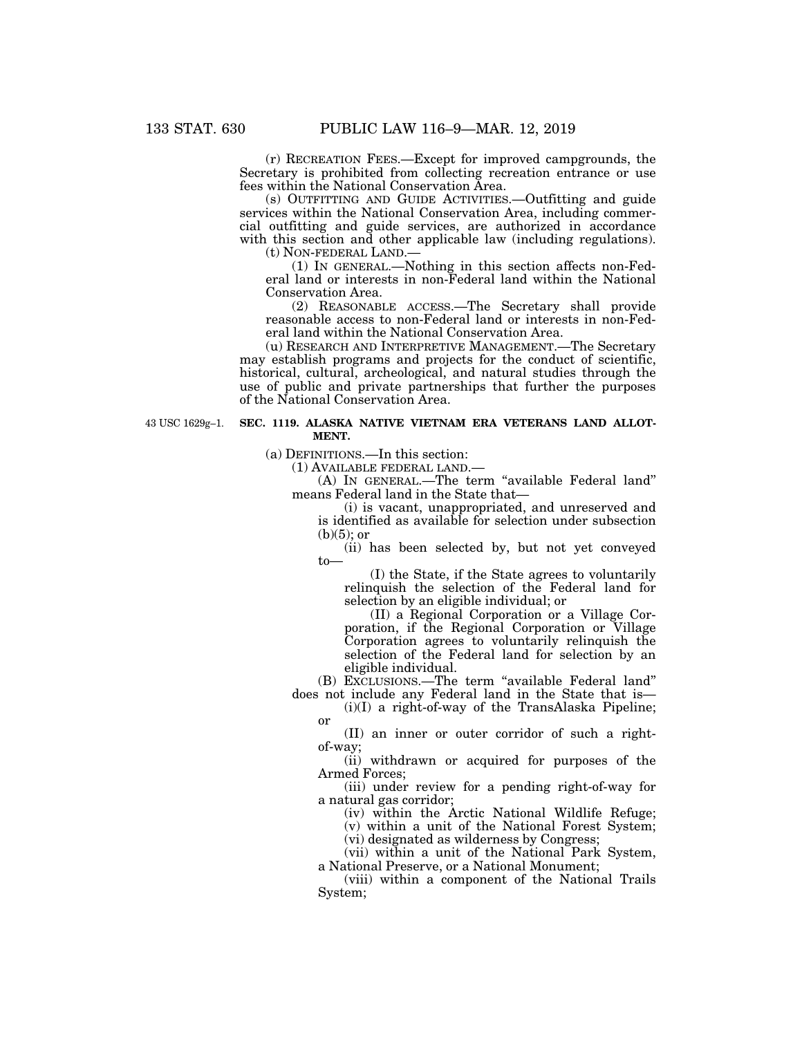(r) RECREATION FEES.—Except for improved campgrounds, the Secretary is prohibited from collecting recreation entrance or use fees within the National Conservation Area.

(s) OUTFITTING AND GUIDE ACTIVITIES.—Outfitting and guide services within the National Conservation Area, including commercial outfitting and guide services, are authorized in accordance with this section and other applicable law (including regulations).

(t) NON-FEDERAL LAND.—

(1) IN GENERAL.—Nothing in this section affects non-Federal land or interests in non-Federal land within the National Conservation Area.

(2) REASONABLE ACCESS.—The Secretary shall provide reasonable access to non-Federal land or interests in non-Federal land within the National Conservation Area.

(u) RESEARCH AND INTERPRETIVE MANAGEMENT.—The Secretary may establish programs and projects for the conduct of scientific, historical, cultural, archeological, and natural studies through the use of public and private partnerships that further the purposes of the National Conservation Area.

43 USC 1629g–1.

## **SEC. 1119. ALASKA NATIVE VIETNAM ERA VETERANS LAND ALLOT-MENT.**

(a) DEFINITIONS.—In this section:

(1) AVAILABLE FEDERAL LAND.—

(A) IN GENERAL.—The term ''available Federal land'' means Federal land in the State that—

(i) is vacant, unappropriated, and unreserved and is identified as available for selection under subsection  $(b)(5)$ ; or

(ii) has been selected by, but not yet conveyed to—

(I) the State, if the State agrees to voluntarily relinquish the selection of the Federal land for selection by an eligible individual; or

(II) a Regional Corporation or a Village Corporation, if the Regional Corporation or Village Corporation agrees to voluntarily relinquish the selection of the Federal land for selection by an eligible individual.

(B) EXCLUSIONS.—The term ''available Federal land'' does not include any Federal land in the State that is—

 $(i)(I)$  a right-of-way of the TransAlaska Pipeline; or

(II) an inner or outer corridor of such a rightof-way;

(ii) withdrawn or acquired for purposes of the Armed Forces;

(iii) under review for a pending right-of-way for a natural gas corridor;

(iv) within the Arctic National Wildlife Refuge; (v) within a unit of the National Forest System;

(vi) designated as wilderness by Congress;

(vii) within a unit of the National Park System, a National Preserve, or a National Monument;

(viii) within a component of the National Trails System;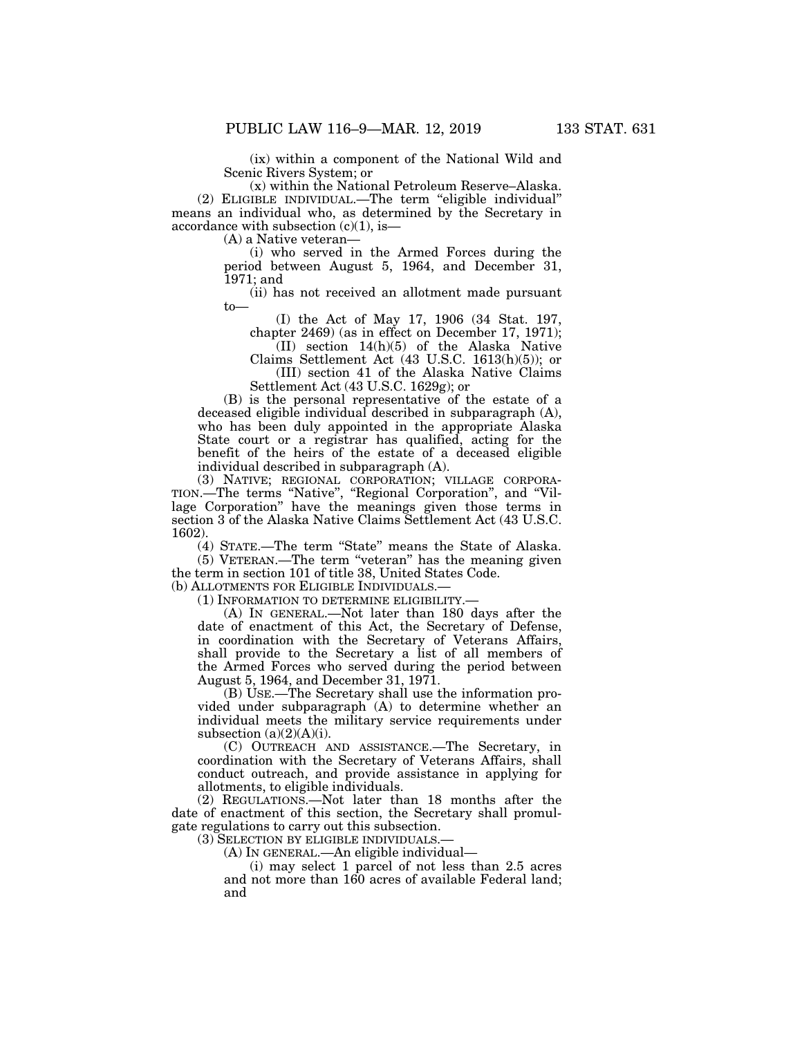(ix) within a component of the National Wild and Scenic Rivers System; or

(x) within the National Petroleum Reserve–Alaska. (2) ELIGIBLE INDIVIDUAL.—The term ''eligible individual'' means an individual who, as determined by the Secretary in accordance with subsection  $(c)(1)$ , is—

(A) a Native veteran—

(i) who served in the Armed Forces during the period between August 5, 1964, and December 31, 1971; and

(ii) has not received an allotment made pursuant to—

(I) the Act of May 17, 1906 (34 Stat. 197, chapter 2469) (as in effect on December 17, 1971);

(II) section 14(h)(5) of the Alaska Native Claims Settlement Act (43 U.S.C. 1613(h)(5)); or

(III) section 41 of the Alaska Native Claims Settlement Act (43 U.S.C. 1629g); or

(B) is the personal representative of the estate of a deceased eligible individual described in subparagraph (A), who has been duly appointed in the appropriate Alaska State court or a registrar has qualified, acting for the benefit of the heirs of the estate of a deceased eligible individual described in subparagraph (A).

(3) NATIVE; REGIONAL CORPORATION; VILLAGE CORPORA-TION.—The terms ''Native'', ''Regional Corporation'', and ''Village Corporation'' have the meanings given those terms in section 3 of the Alaska Native Claims Settlement Act (43 U.S.C. 1602).

(4) STATE.—The term ''State'' means the State of Alaska. (5) VETERAN.—The term ''veteran'' has the meaning given

the term in section 101 of title 38, United States Code. (b) ALLOTMENTS FOR ELIGIBLE INDIVIDUALS.—

(1) INFORMATION TO DETERMINE ELIGIBILITY.—

(A) IN GENERAL.—Not later than 180 days after the date of enactment of this Act, the Secretary of Defense, in coordination with the Secretary of Veterans Affairs, shall provide to the Secretary a list of all members of the Armed Forces who served during the period between August 5, 1964, and December 31, 1971.

(B) USE.—The Secretary shall use the information provided under subparagraph (A) to determine whether an individual meets the military service requirements under subsection  $(a)(2)(A)(i)$ .

(C) OUTREACH AND ASSISTANCE.—The Secretary, in coordination with the Secretary of Veterans Affairs, shall conduct outreach, and provide assistance in applying for allotments, to eligible individuals.

(2) REGULATIONS.—Not later than 18 months after the date of enactment of this section, the Secretary shall promulgate regulations to carry out this subsection.

(3) SELECTION BY ELIGIBLE INDIVIDUALS.—

(A) IN GENERAL.—An eligible individual—

(i) may select 1 parcel of not less than 2.5 acres and not more than 160 acres of available Federal land; and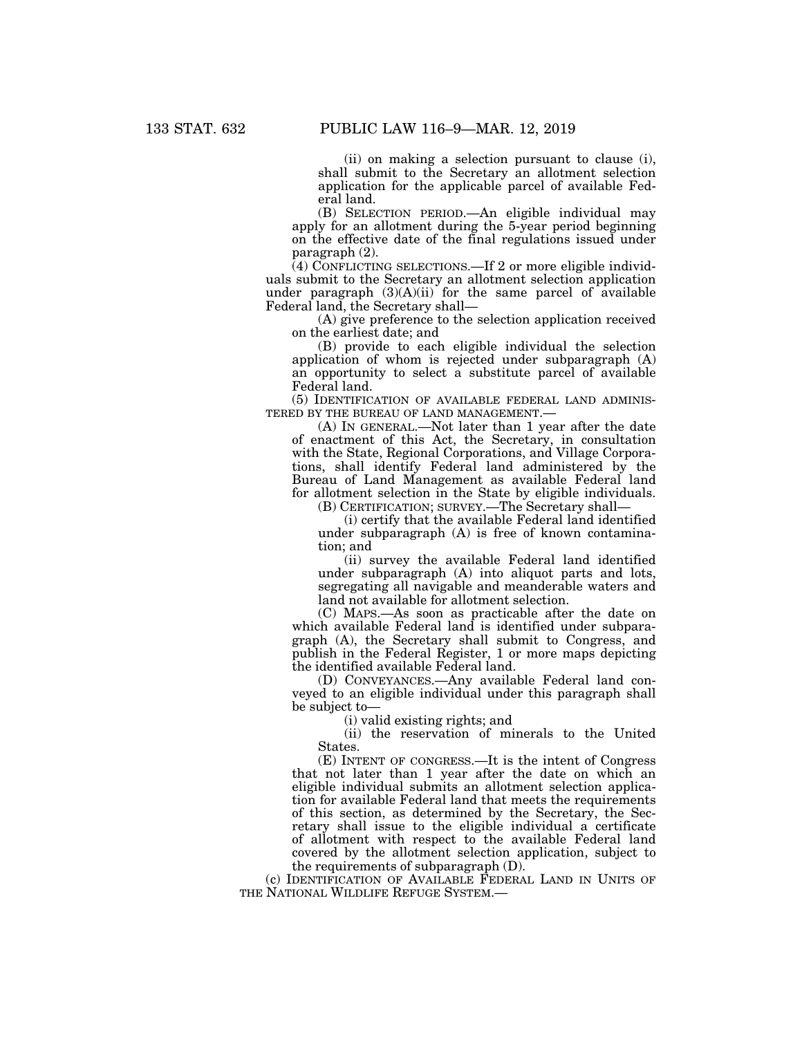(ii) on making a selection pursuant to clause (i), shall submit to the Secretary an allotment selection application for the applicable parcel of available Federal land.

(B) SELECTION PERIOD.—An eligible individual may apply for an allotment during the 5-year period beginning on the effective date of the final regulations issued under paragraph (2).

(4) CONFLICTING SELECTIONS.—If 2 or more eligible individuals submit to the Secretary an allotment selection application under paragraph  $(3)(A)(ii)$  for the same parcel of available Federal land, the Secretary shall—

(A) give preference to the selection application received on the earliest date; and

(B) provide to each eligible individual the selection application of whom is rejected under subparagraph (A) an opportunity to select a substitute parcel of available Federal land.

(5) IDENTIFICATION OF AVAILABLE FEDERAL LAND ADMINIS-TERED BY THE BUREAU OF LAND MANAGEMENT.—

(A) IN GENERAL.—Not later than 1 year after the date of enactment of this Act, the Secretary, in consultation with the State, Regional Corporations, and Village Corporations, shall identify Federal land administered by the Bureau of Land Management as available Federal land for allotment selection in the State by eligible individuals.

(B) CERTIFICATION; SURVEY.—The Secretary shall—

(i) certify that the available Federal land identified under subparagraph (A) is free of known contamination; and

(ii) survey the available Federal land identified under subparagraph (A) into aliquot parts and lots, segregating all navigable and meanderable waters and land not available for allotment selection.

(C) MAPS.—As soon as practicable after the date on which available Federal land is identified under subparagraph (A), the Secretary shall submit to Congress, and publish in the Federal Register, 1 or more maps depicting the identified available Federal land.

(D) CONVEYANCES.—Any available Federal land conveyed to an eligible individual under this paragraph shall be subject to—

(i) valid existing rights; and

(ii) the reservation of minerals to the United States.

(E) INTENT OF CONGRESS.—It is the intent of Congress that not later than 1 year after the date on which an eligible individual submits an allotment selection application for available Federal land that meets the requirements of this section, as determined by the Secretary, the Secretary shall issue to the eligible individual a certificate of allotment with respect to the available Federal land covered by the allotment selection application, subject to the requirements of subparagraph (D).

(c) IDENTIFICATION OF AVAILABLE FEDERAL LAND IN UNITS OF THE NATIONAL WILDLIFE REFUGE SYSTEM.—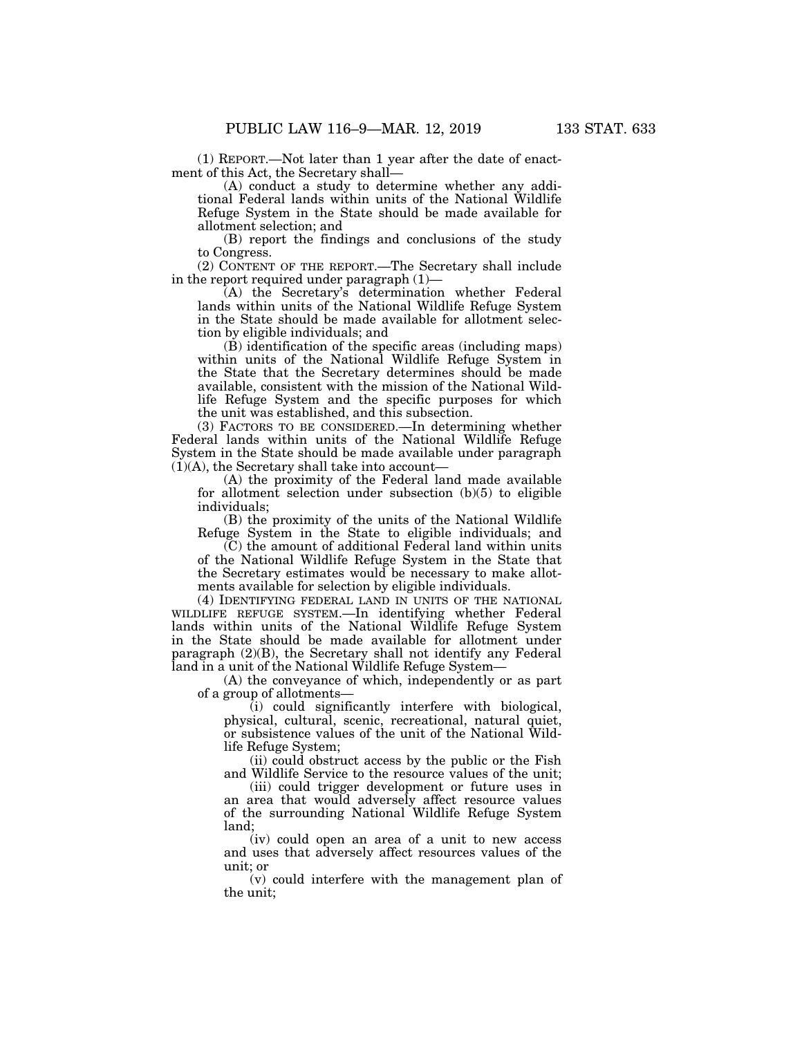(1) REPORT.—Not later than 1 year after the date of enactment of this Act, the Secretary shall—

(A) conduct a study to determine whether any additional Federal lands within units of the National Wildlife Refuge System in the State should be made available for allotment selection; and

(B) report the findings and conclusions of the study to Congress.

(2) CONTENT OF THE REPORT.—The Secretary shall include in the report required under paragraph (1)—

(A) the Secretary's determination whether Federal lands within units of the National Wildlife Refuge System in the State should be made available for allotment selection by eligible individuals; and

(B) identification of the specific areas (including maps) within units of the National Wildlife Refuge System in the State that the Secretary determines should be made available, consistent with the mission of the National Wildlife Refuge System and the specific purposes for which the unit was established, and this subsection.

(3) FACTORS TO BE CONSIDERED.—In determining whether Federal lands within units of the National Wildlife Refuge System in the State should be made available under paragraph  $(1)(A)$ , the Secretary shall take into account—

(A) the proximity of the Federal land made available for allotment selection under subsection (b)(5) to eligible individuals;

(B) the proximity of the units of the National Wildlife Refuge System in the State to eligible individuals; and

(C) the amount of additional Federal land within units of the National Wildlife Refuge System in the State that the Secretary estimates would be necessary to make allotments available for selection by eligible individuals.

(4) IDENTIFYING FEDERAL LAND IN UNITS OF THE NATIONAL WILDLIFE REFUGE SYSTEM.—In identifying whether Federal lands within units of the National Wildlife Refuge System in the State should be made available for allotment under paragraph (2)(B), the Secretary shall not identify any Federal land in a unit of the National Wildlife Refuge System—

(A) the conveyance of which, independently or as part of a group of allotments—

(i) could significantly interfere with biological, physical, cultural, scenic, recreational, natural quiet, or subsistence values of the unit of the National Wildlife Refuge System;

(ii) could obstruct access by the public or the Fish and Wildlife Service to the resource values of the unit;

(iii) could trigger development or future uses in an area that would adversely affect resource values of the surrounding National Wildlife Refuge System land;

(iv) could open an area of a unit to new access and uses that adversely affect resources values of the unit; or

(v) could interfere with the management plan of the unit;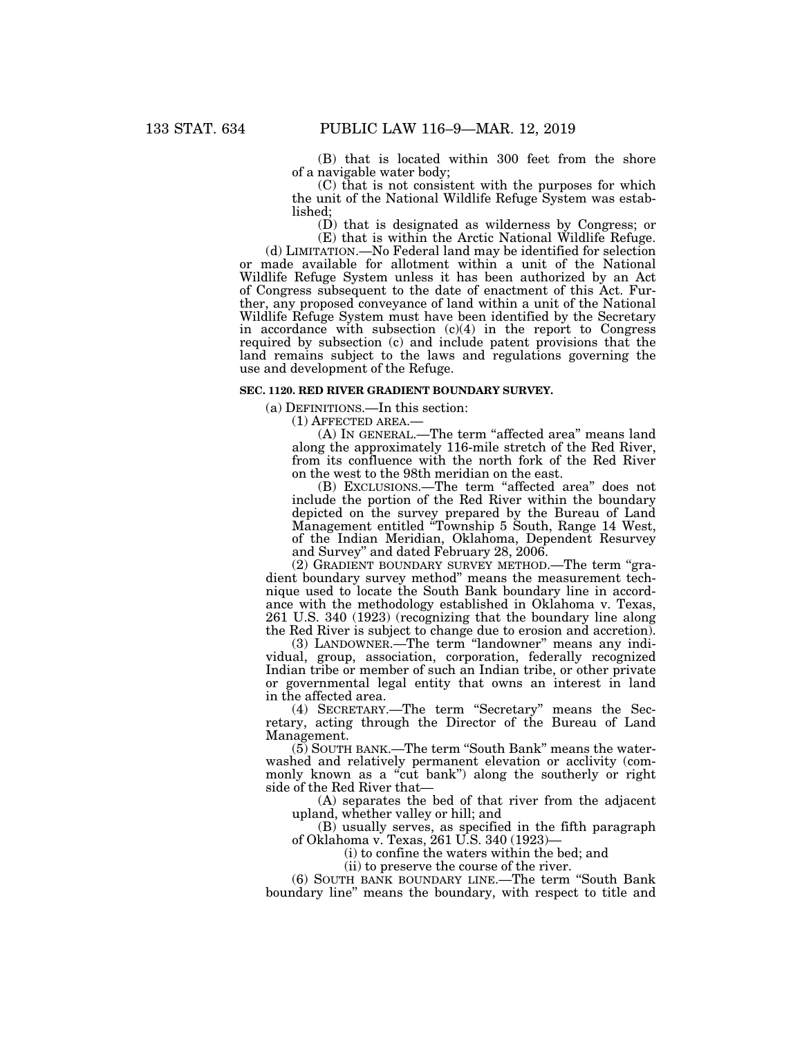(B) that is located within 300 feet from the shore of a navigable water body;

(C) that is not consistent with the purposes for which the unit of the National Wildlife Refuge System was established;

(D) that is designated as wilderness by Congress; or (E) that is within the Arctic National Wildlife Refuge.

(d) LIMITATION.—No Federal land may be identified for selection or made available for allotment within a unit of the National Wildlife Refuge System unless it has been authorized by an Act of Congress subsequent to the date of enactment of this Act. Further, any proposed conveyance of land within a unit of the National Wildlife Refuge System must have been identified by the Secretary in accordance with subsection  $(c)(4)$  in the report to Congress required by subsection (c) and include patent provisions that the land remains subject to the laws and regulations governing the use and development of the Refuge.

## **SEC. 1120. RED RIVER GRADIENT BOUNDARY SURVEY.**

(a) DEFINITIONS.—In this section:

(1) AFFECTED AREA.—

(A) IN GENERAL.—The term "affected area" means land along the approximately 116-mile stretch of the Red River, from its confluence with the north fork of the Red River on the west to the 98th meridian on the east.

(B) EXCLUSIONS.—The term ''affected area'' does not include the portion of the Red River within the boundary depicted on the survey prepared by the Bureau of Land Management entitled ''Township 5 South, Range 14 West, of the Indian Meridian, Oklahoma, Dependent Resurvey and Survey'' and dated February 28, 2006.

(2) GRADIENT BOUNDARY SURVEY METHOD.—The term ''gradient boundary survey method'' means the measurement technique used to locate the South Bank boundary line in accordance with the methodology established in Oklahoma v. Texas, 261 U.S. 340 (1923) (recognizing that the boundary line along the Red River is subject to change due to erosion and accretion).

(3) LANDOWNER.—The term "landowner" means any individual, group, association, corporation, federally recognized Indian tribe or member of such an Indian tribe, or other private or governmental legal entity that owns an interest in land in the affected area.

(4) SECRETARY.—The term ''Secretary'' means the Secretary, acting through the Director of the Bureau of Land Management.

(5) SOUTH BANK.—The term ''South Bank'' means the waterwashed and relatively permanent elevation or acclivity (commonly known as a "cut bank") along the southerly or right side of the Red River that—

(A) separates the bed of that river from the adjacent upland, whether valley or hill; and

(B) usually serves, as specified in the fifth paragraph of Oklahoma v. Texas, 261 U.S. 340 (1923)—

(i) to confine the waters within the bed; and

(ii) to preserve the course of the river.

(6) SOUTH BANK BOUNDARY LINE.—The term ''South Bank boundary line'' means the boundary, with respect to title and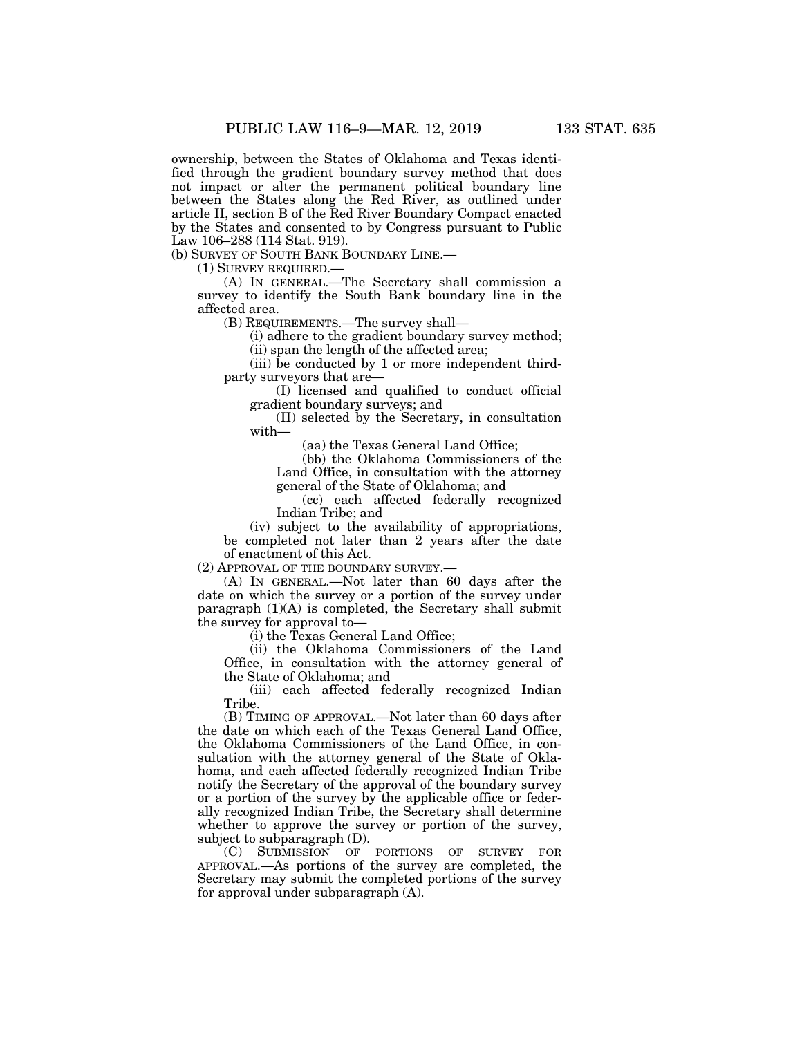ownership, between the States of Oklahoma and Texas identified through the gradient boundary survey method that does not impact or alter the permanent political boundary line between the States along the Red River, as outlined under article II, section B of the Red River Boundary Compact enacted by the States and consented to by Congress pursuant to Public Law 106–288 (114 Stat. 919).

(b) SURVEY OF SOUTH BANK BOUNDARY LINE.—

(1) SURVEY REQUIRED.—

(A) IN GENERAL.—The Secretary shall commission a survey to identify the South Bank boundary line in the affected area.

(B) REQUIREMENTS.—The survey shall—

(i) adhere to the gradient boundary survey method; (ii) span the length of the affected area;

(iii) be conducted by 1 or more independent thirdparty surveyors that are—

(I) licensed and qualified to conduct official gradient boundary surveys; and

(II) selected by the Secretary, in consultation with—

(aa) the Texas General Land Office;

(bb) the Oklahoma Commissioners of the Land Office, in consultation with the attorney general of the State of Oklahoma; and

(cc) each affected federally recognized Indian Tribe; and

(iv) subject to the availability of appropriations, be completed not later than 2 years after the date of enactment of this Act.

(2) APPROVAL OF THE BOUNDARY SURVEY.—

(A) IN GENERAL.—Not later than 60 days after the date on which the survey or a portion of the survey under paragraph  $(1)(A)$  is completed, the Secretary shall submit the survey for approval to—

(i) the Texas General Land Office;

(ii) the Oklahoma Commissioners of the Land Office, in consultation with the attorney general of the State of Oklahoma; and

(iii) each affected federally recognized Indian Tribe.

(B) TIMING OF APPROVAL.—Not later than 60 days after the date on which each of the Texas General Land Office, the Oklahoma Commissioners of the Land Office, in consultation with the attorney general of the State of Oklahoma, and each affected federally recognized Indian Tribe notify the Secretary of the approval of the boundary survey or a portion of the survey by the applicable office or federally recognized Indian Tribe, the Secretary shall determine whether to approve the survey or portion of the survey, subject to subparagraph (D).

(C) SUBMISSION OF PORTIONS OF SURVEY FOR APPROVAL.—As portions of the survey are completed, the Secretary may submit the completed portions of the survey for approval under subparagraph (A).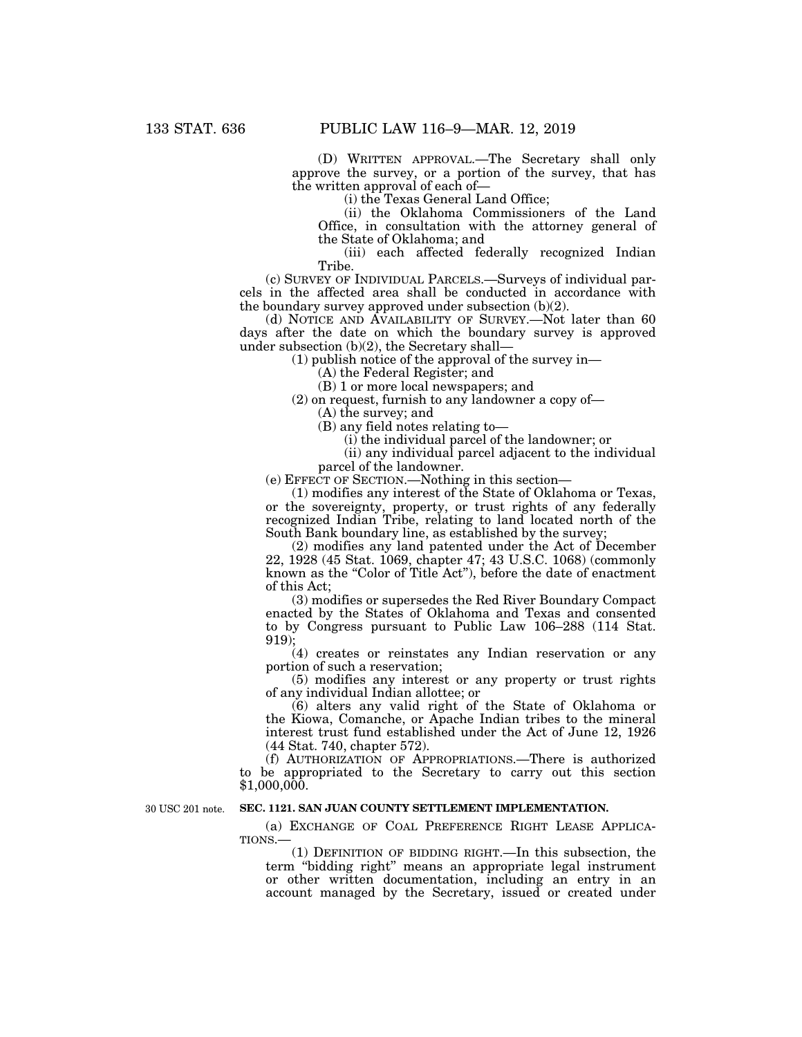(D) WRITTEN APPROVAL.—The Secretary shall only approve the survey, or a portion of the survey, that has the written approval of each of—

(i) the Texas General Land Office;

(ii) the Oklahoma Commissioners of the Land Office, in consultation with the attorney general of the State of Oklahoma; and

(iii) each affected federally recognized Indian Tribe.

(c) SURVEY OF INDIVIDUAL PARCELS.—Surveys of individual parcels in the affected area shall be conducted in accordance with the boundary survey approved under subsection (b)(2).

(d) NOTICE AND AVAILABILITY OF SURVEY.—Not later than 60 days after the date on which the boundary survey is approved under subsection (b)(2), the Secretary shall—

(1) publish notice of the approval of the survey in—

(A) the Federal Register; and

(B) 1 or more local newspapers; and

(2) on request, furnish to any landowner a copy of—

(A) the survey; and

(B) any field notes relating to—

(i) the individual parcel of the landowner; or

(ii) any individual parcel adjacent to the individual parcel of the landowner.

(e) EFFECT OF SECTION.—Nothing in this section—

(1) modifies any interest of the State of Oklahoma or Texas, or the sovereignty, property, or trust rights of any federally recognized Indian Tribe, relating to land located north of the South Bank boundary line, as established by the survey;

(2) modifies any land patented under the Act of December 22, 1928 (45 Stat. 1069, chapter 47; 43 U.S.C. 1068) (commonly known as the "Color of Title Act"), before the date of enactment of this Act;

(3) modifies or supersedes the Red River Boundary Compact enacted by the States of Oklahoma and Texas and consented to by Congress pursuant to Public Law 106–288 (114 Stat. 919);

(4) creates or reinstates any Indian reservation or any portion of such a reservation;

(5) modifies any interest or any property or trust rights of any individual Indian allottee; or

 $(6)$  alters any valid right of the State of Oklahoma or the Kiowa, Comanche, or Apache Indian tribes to the mineral interest trust fund established under the Act of June 12, 1926 (44 Stat. 740, chapter 572).

(f) AUTHORIZATION OF APPROPRIATIONS.—There is authorized to be appropriated to the Secretary to carry out this section  $$1,000,000.$ 

30 USC 201 note.

### **SEC. 1121. SAN JUAN COUNTY SETTLEMENT IMPLEMENTATION.**

(a) EXCHANGE OF COAL PREFERENCE RIGHT LEASE APPLICA-TIONS.—

(1) DEFINITION OF BIDDING RIGHT.—In this subsection, the term ''bidding right'' means an appropriate legal instrument or other written documentation, including an entry in an account managed by the Secretary, issued or created under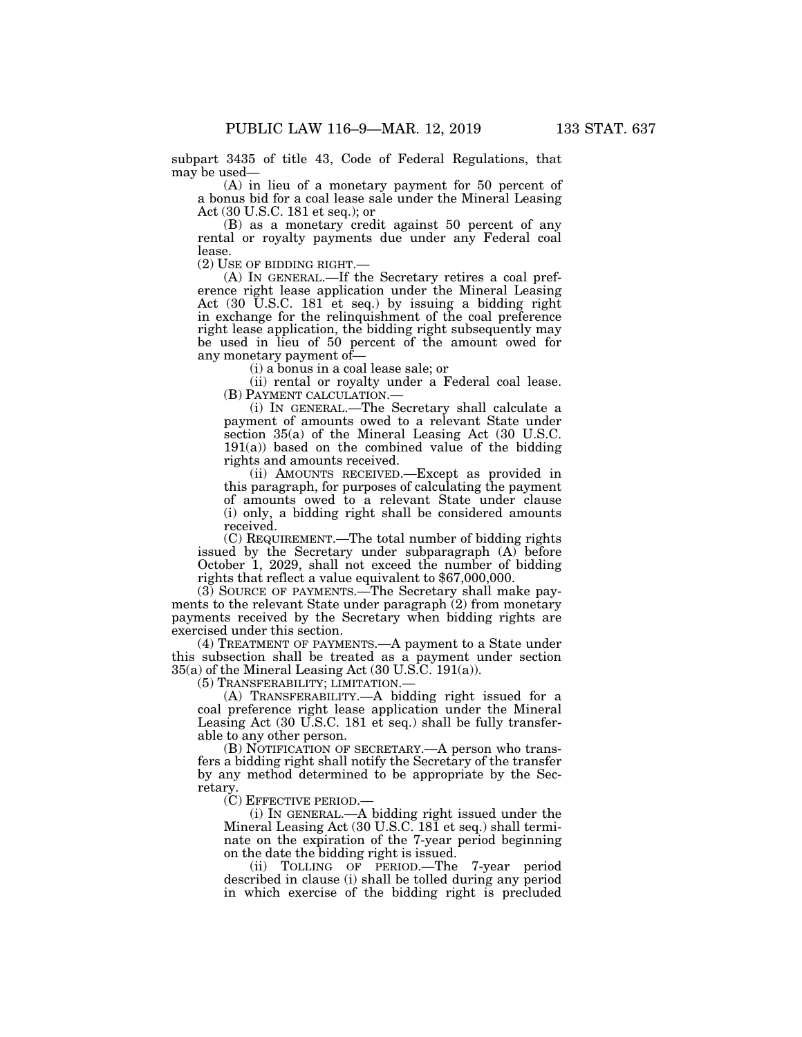subpart 3435 of title 43, Code of Federal Regulations, that may be used—

(A) in lieu of a monetary payment for 50 percent of a bonus bid for a coal lease sale under the Mineral Leasing Act (30 U.S.C. 181 et seq.); or

(B) as a monetary credit against 50 percent of any rental or royalty payments due under any Federal coal lease.<br>(2) USE OF BIDDING RIGHT.—

(A) IN GENERAL.—If the Secretary retires a coal preference right lease application under the Mineral Leasing Act  $(30 \text{ U.S.C. } 181 \text{ et seq.})$  by issuing a bidding right in exchange for the relinquishment of the coal preference right lease application, the bidding right subsequently may be used in lieu of 50 percent of the amount owed for any monetary payment of—

(i) a bonus in a coal lease sale; or

(ii) rental or royalty under a Federal coal lease. (B) PAYMENT CALCULATION.—

(i) IN GENERAL.—The Secretary shall calculate a payment of amounts owed to a relevant State under section 35(a) of the Mineral Leasing Act (30 U.S.C.  $191(a)$ ) based on the combined value of the bidding rights and amounts received.

(ii) AMOUNTS RECEIVED.—Except as provided in this paragraph, for purposes of calculating the payment of amounts owed to a relevant State under clause (i) only, a bidding right shall be considered amounts received.

(C) REQUIREMENT.—The total number of bidding rights issued by the Secretary under subparagraph (A) before October 1, 2029, shall not exceed the number of bidding rights that reflect a value equivalent to \$67,000,000.

(3) SOURCE OF PAYMENTS.—The Secretary shall make payments to the relevant State under paragraph (2) from monetary payments received by the Secretary when bidding rights are exercised under this section.

(4) TREATMENT OF PAYMENTS.—A payment to a State under this subsection shall be treated as a payment under section  $35(a)$  of the Mineral Leasing Act  $(30 \text{ U.S.C. } 191(a))$ .

(5) TRANSFERABILITY; LIMITATION.—

(A) TRANSFERABILITY.—A bidding right issued for a coal preference right lease application under the Mineral Leasing Act (30 U.S.C. 181 et seq.) shall be fully transferable to any other person.

(B) NOTIFICATION OF SECRETARY.—A person who transfers a bidding right shall notify the Secretary of the transfer by any method determined to be appropriate by the Secretary.

(C) EFFECTIVE PERIOD.—

(i) IN GENERAL.—A bidding right issued under the Mineral Leasing Act (30 U.S.C. 181 et seq.) shall terminate on the expiration of the 7-year period beginning on the date the bidding right is issued.

(ii) TOLLING OF PERIOD.—The 7-year period described in clause (i) shall be tolled during any period in which exercise of the bidding right is precluded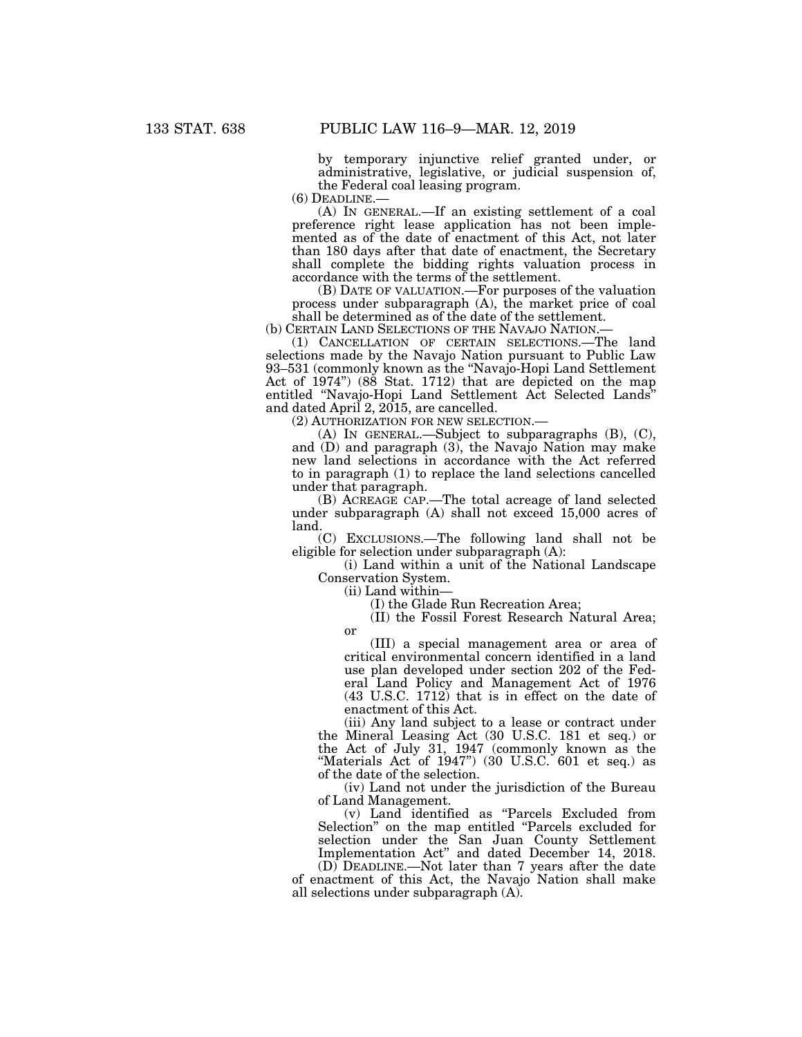by temporary injunctive relief granted under, or administrative, legislative, or judicial suspension of, the Federal coal leasing program.<br>(6) DEADLINE.—

 $(A)$  In GENERAL.—If an existing settlement of a coal preference right lease application has not been implemented as of the date of enactment of this Act, not later than 180 days after that date of enactment, the Secretary shall complete the bidding rights valuation process in accordance with the terms of the settlement.

(B) DATE OF VALUATION.—For purposes of the valuation process under subparagraph (A), the market price of coal shall be determined as of the date of the settlement.

(b) CERTAIN LAND SELECTIONS OF THE NAVAJO NATION.— (1) CANCELLATION OF CERTAIN SELECTIONS.—The land

selections made by the Navajo Nation pursuant to Public Law 93–531 (commonly known as the ''Navajo-Hopi Land Settlement Act of 1974'') (88 Stat. 1712) that are depicted on the map entitled ''Navajo-Hopi Land Settlement Act Selected Lands'' and dated April 2, 2015, are cancelled.

(2) AUTHORIZATION FOR NEW SELECTION.—

(A) IN GENERAL.—Subject to subparagraphs (B), (C), and (D) and paragraph (3), the Navajo Nation may make new land selections in accordance with the Act referred to in paragraph (1) to replace the land selections cancelled under that paragraph.

(B) ACREAGE CAP.—The total acreage of land selected under subparagraph (A) shall not exceed 15,000 acres of land.

(C) EXCLUSIONS.—The following land shall not be eligible for selection under subparagraph (A):

(i) Land within a unit of the National Landscape Conservation System.

(ii) Land within—

(I) the Glade Run Recreation Area;

(II) the Fossil Forest Research Natural Area; or

(III) a special management area or area of critical environmental concern identified in a land use plan developed under section 202 of the Federal Land Policy and Management Act of 1976 (43 U.S.C. 1712) that is in effect on the date of enactment of this Act.

(iii) Any land subject to a lease or contract under the Mineral Leasing Act (30 U.S.C. 181 et seq.) or the Act of July 31, 1947 (commonly known as the "Materials Act of  $1947$ ") (30 U.S.C. 601 et seq.) as of the date of the selection.

(iv) Land not under the jurisdiction of the Bureau of Land Management.

(v) Land identified as ''Parcels Excluded from Selection'' on the map entitled ''Parcels excluded for selection under the San Juan County Settlement Implementation Act'' and dated December 14, 2018.

(D) DEADLINE.—Not later than 7 years after the date of enactment of this Act, the Navajo Nation shall make all selections under subparagraph (A).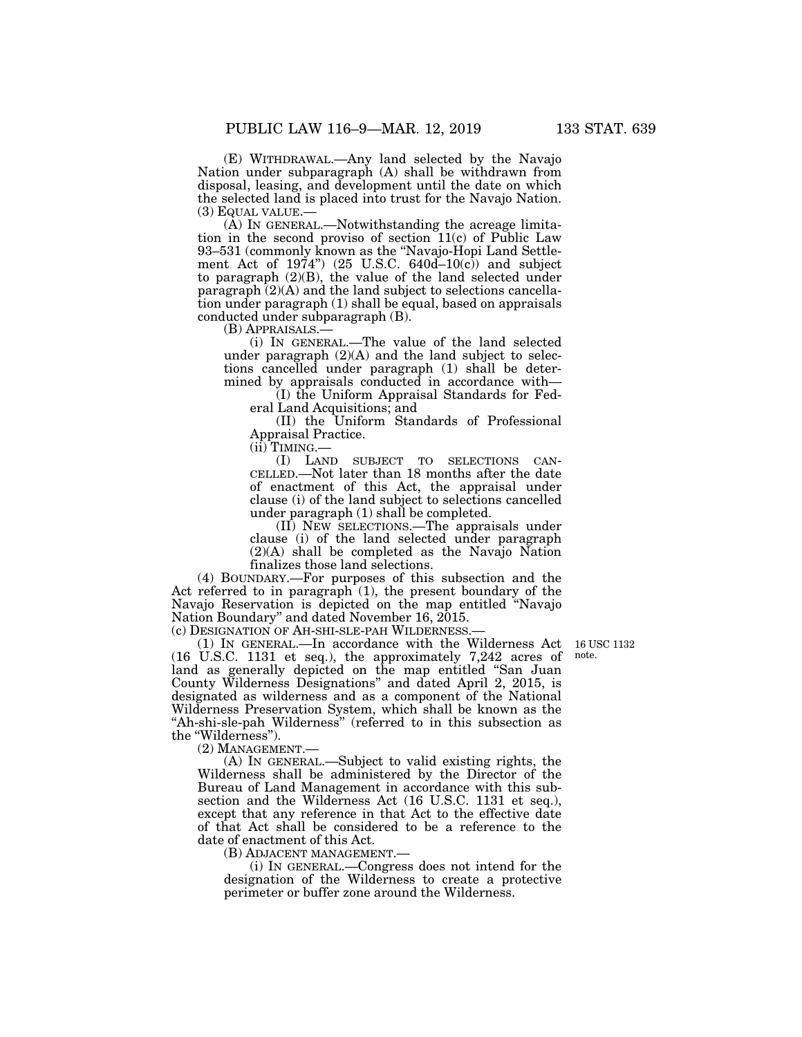(E) WITHDRAWAL.—Any land selected by the Navajo Nation under subparagraph (A) shall be withdrawn from disposal, leasing, and development until the date on which the selected land is placed into trust for the Navajo Nation.

(3) EQUAL VALUE.— $(A)$  In GENERAL.—Notwithstanding the acreage limitation in the second proviso of section 11(c) of Public Law 93–531 (commonly known as the ''Navajo-Hopi Land Settlement Act of  $1974$ ") (25 U.S.C. 640d– $10(c)$ ) and subject to paragraph (2)(B), the value of the land selected under paragraph  $(2)(A)$  and the land subject to selections cancellation under paragraph (1) shall be equal, based on appraisals conducted under subparagraph (B).<br>(B) APPRAISALS.—

(i) IN GENERAL.—The value of the land selected under paragraph  $(2)(A)$  and the land subject to selections cancelled under paragraph (1) shall be determined by appraisals conducted in accordance with—

(I) the Uniform Appraisal Standards for Federal Land Acquisitions; and

(II) the Uniform Standards of Professional Appraisal Practice.

(ii) TIMING.—

(I) LAND SUBJECT TO SELECTIONS CAN-CELLED.—Not later than 18 months after the date of enactment of this Act, the appraisal under clause (i) of the land subject to selections cancelled under paragraph (1) shall be completed.

(II) NEW SELECTIONS.—The appraisals under clause (i) of the land selected under paragraph (2)(A) shall be completed as the Navajo Nation finalizes those land selections.

(4) BOUNDARY.—For purposes of this subsection and the Act referred to in paragraph  $(1)$ , the present boundary of the Navajo Reservation is depicted on the map entitled ''Navajo Nation Boundary'' and dated November 16, 2015.

(c) DESIGNATION OF AH-SHI-SLE-PAH WILDERNESS.—

16 USC 1132 note.

(1) IN GENERAL.—In accordance with the Wilderness Act (16 U.S.C. 1131 et seq.), the approximately 7,242 acres of land as generally depicted on the map entitled ''San Juan County Wilderness Designations'' and dated April 2, 2015, is designated as wilderness and as a component of the National Wilderness Preservation System, which shall be known as the "Ah-shi-sle-pah Wilderness" (referred to in this subsection as the ''Wilderness'').

(2) MANAGEMENT.—

(A) IN GENERAL.—Subject to valid existing rights, the Wilderness shall be administered by the Director of the Bureau of Land Management in accordance with this subsection and the Wilderness Act (16 U.S.C. 1131 et seq.), except that any reference in that Act to the effective date of that Act shall be considered to be a reference to the date of enactment of this Act.

(B) ADJACENT MANAGEMENT.—

(i) IN GENERAL.—Congress does not intend for the designation of the Wilderness to create a protective perimeter or buffer zone around the Wilderness.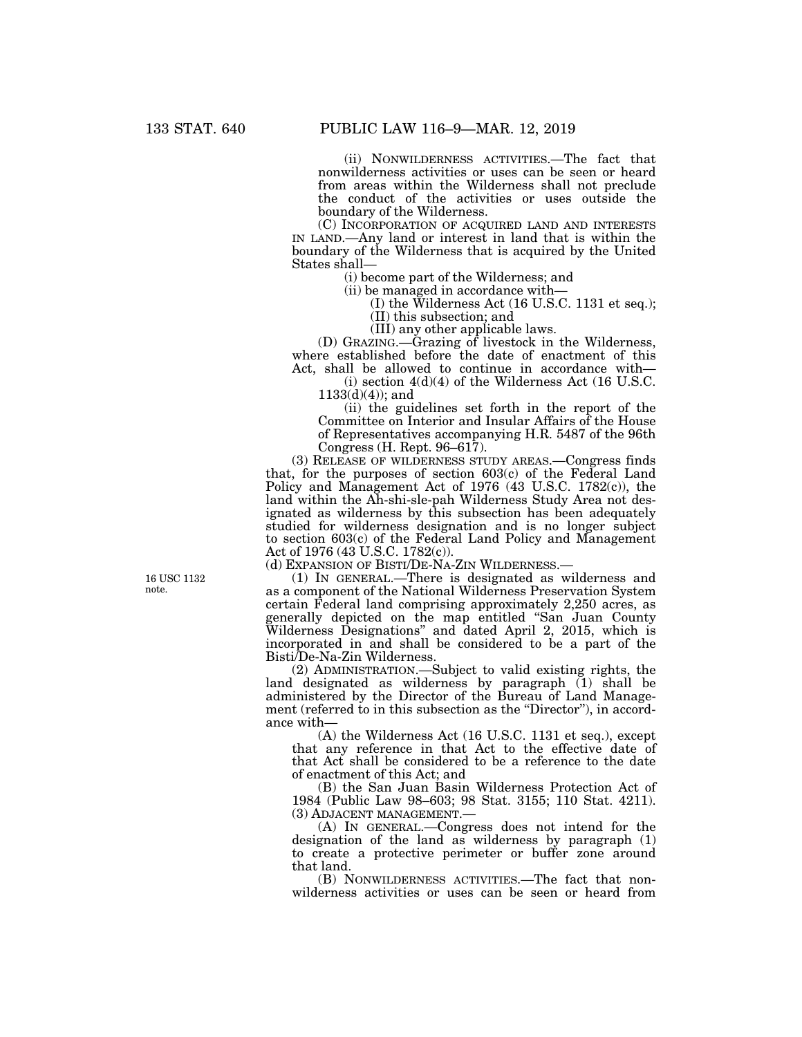(ii) NONWILDERNESS ACTIVITIES.—The fact that nonwilderness activities or uses can be seen or heard from areas within the Wilderness shall not preclude the conduct of the activities or uses outside the boundary of the Wilderness.

(C) INCORPORATION OF ACQUIRED LAND AND INTERESTS IN LAND.—Any land or interest in land that is within the boundary of the Wilderness that is acquired by the United States shall—

(i) become part of the Wilderness; and

(ii) be managed in accordance with—

(I) the Wilderness Act (16 U.S.C. 1131 et seq.);

(II) this subsection; and

(III) any other applicable laws.

(D) GRAZING.—Grazing of livestock in the Wilderness, where established before the date of enactment of this Act, shall be allowed to continue in accordance with—

(i) section  $4(d)(4)$  of the Wilderness Act (16 U.S.C.  $1133(d)(4)$ ; and

(ii) the guidelines set forth in the report of the Committee on Interior and Insular Affairs of the House of Representatives accompanying H.R. 5487 of the 96th Congress (H. Rept. 96–617).

(3) RELEASE OF WILDERNESS STUDY AREAS.—Congress finds that, for the purposes of section 603(c) of the Federal Land Policy and Management Act of 1976 (43 U.S.C. 1782(c)), the land within the Ah-shi-sle-pah Wilderness Study Area not designated as wilderness by this subsection has been adequately studied for wilderness designation and is no longer subject to section 603(c) of the Federal Land Policy and Management Act of 1976 (43 U.S.C. 1782(c)).

(d) EXPANSION OF BISTI/DE-NA-ZIN WILDERNESS.—

(1) IN GENERAL.—There is designated as wilderness and as a component of the National Wilderness Preservation System certain Federal land comprising approximately 2,250 acres, as generally depicted on the map entitled ''San Juan County Wilderness Designations'' and dated April 2, 2015, which is incorporated in and shall be considered to be a part of the Bisti/De-Na-Zin Wilderness.

(2) ADMINISTRATION.—Subject to valid existing rights, the land designated as wilderness by paragraph (1) shall be administered by the Director of the Bureau of Land Management (referred to in this subsection as the "Director"), in accordance with—

(A) the Wilderness Act (16 U.S.C. 1131 et seq.), except that any reference in that Act to the effective date of that Act shall be considered to be a reference to the date of enactment of this Act; and

(B) the San Juan Basin Wilderness Protection Act of 1984 (Public Law 98–603; 98 Stat. 3155; 110 Stat. 4211).

(A) IN GENERAL.—Congress does not intend for the designation of the land as wilderness by paragraph (1) to create a protective perimeter or buffer zone around that land.

(B) NONWILDERNESS ACTIVITIES.—The fact that nonwilderness activities or uses can be seen or heard from

16 USC 1132 note.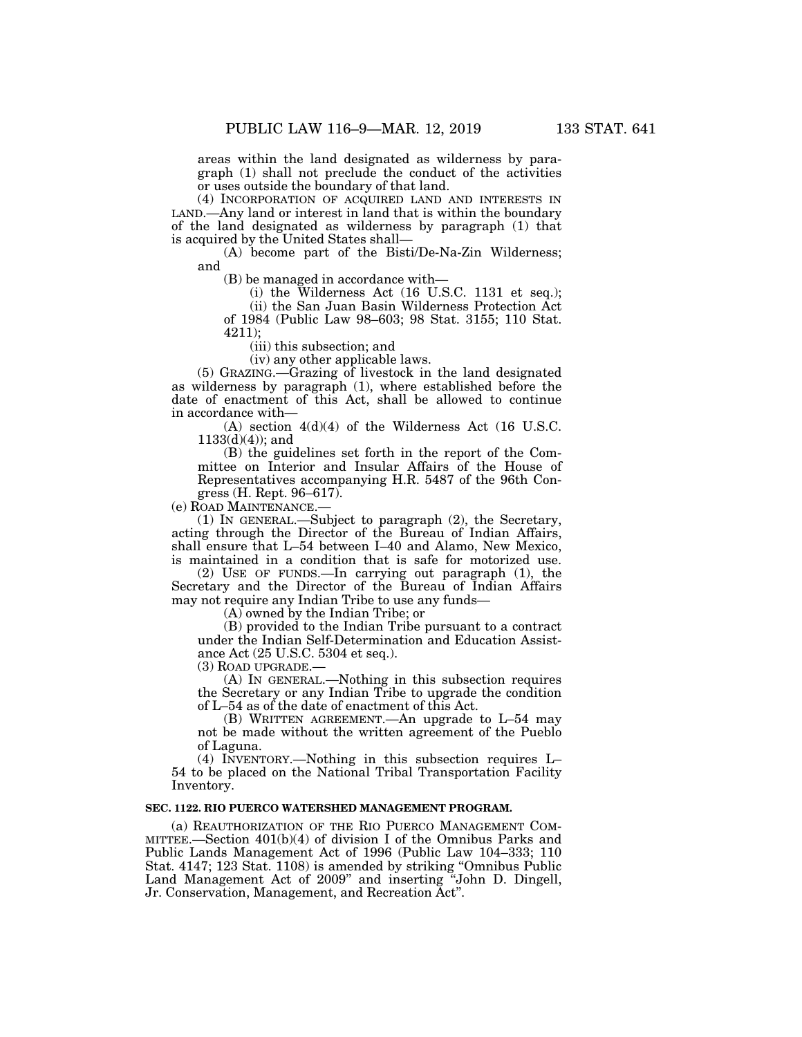areas within the land designated as wilderness by paragraph (1) shall not preclude the conduct of the activities or uses outside the boundary of that land.

(4) INCORPORATION OF ACQUIRED LAND AND INTERESTS IN LAND.—Any land or interest in land that is within the boundary of the land designated as wilderness by paragraph (1) that is acquired by the United States shall—

(A) become part of the Bisti/De-Na-Zin Wilderness; and

(B) be managed in accordance with—

(i) the Wilderness Act (16 U.S.C. 1131 et seq.);

(ii) the San Juan Basin Wilderness Protection Act of 1984 (Public Law 98–603; 98 Stat. 3155; 110 Stat. 4211);

(iii) this subsection; and

(iv) any other applicable laws.

(5) GRAZING.—Grazing of livestock in the land designated as wilderness by paragraph (1), where established before the date of enactment of this Act, shall be allowed to continue in accordance with—

(A) section 4(d)(4) of the Wilderness Act (16 U.S.C.  $1133(d)(4)$ ; and

(B) the guidelines set forth in the report of the Committee on Interior and Insular Affairs of the House of Representatives accompanying H.R. 5487 of the 96th Congress (H. Rept. 96–617).

(e) ROAD MAINTENANCE.—

(1) IN GENERAL.—Subject to paragraph (2), the Secretary, acting through the Director of the Bureau of Indian Affairs, shall ensure that L–54 between I–40 and Alamo, New Mexico, is maintained in a condition that is safe for motorized use.

(2) USE OF FUNDS.—In carrying out paragraph (1), the Secretary and the Director of the Bureau of Indian Affairs may not require any Indian Tribe to use any funds—

(A) owned by the Indian Tribe; or

(B) provided to the Indian Tribe pursuant to a contract under the Indian Self-Determination and Education Assistance Act (25 U.S.C. 5304 et seq.).

(3) ROAD UPGRADE.—

(A) IN GENERAL.—Nothing in this subsection requires the Secretary or any Indian Tribe to upgrade the condition of L–54 as of the date of enactment of this Act.

(B) WRITTEN AGREEMENT.—An upgrade to L–54 may not be made without the written agreement of the Pueblo of Laguna.

(4) INVENTORY.—Nothing in this subsection requires L– 54 to be placed on the National Tribal Transportation Facility Inventory.

#### **SEC. 1122. RIO PUERCO WATERSHED MANAGEMENT PROGRAM.**

(a) REAUTHORIZATION OF THE RIO PUERCO MANAGEMENT COM-MITTEE.—Section  $401(b)(4)$  of division I of the Omnibus Parks and Public Lands Management Act of 1996 (Public Law 104–333; 110 Stat. 4147; 123 Stat. 1108) is amended by striking ''Omnibus Public Land Management Act of 2009" and inserting "John D. Dingell, Jr. Conservation, Management, and Recreation Act''.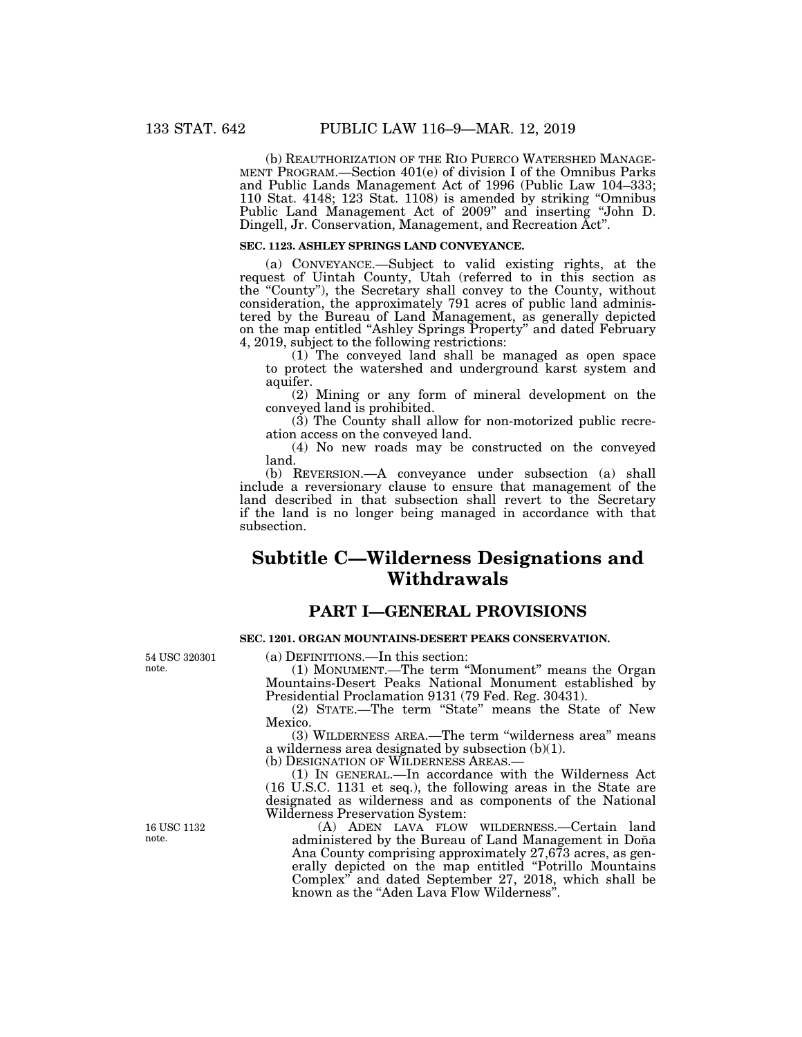(b) REAUTHORIZATION OF THE RIO PUERCO WATERSHED MANAGE- MENT PROGRAM.—Section 401(e) of division I of the Omnibus Parks and Public Lands Management Act of 1996 (Public Law 104–333; 110 Stat. 4148; 123 Stat. 1108) is amended by striking ''Omnibus Public Land Management Act of 2009'' and inserting ''John D. Dingell, Jr. Conservation, Management, and Recreation Act''.

## **SEC. 1123. ASHLEY SPRINGS LAND CONVEYANCE.**

(a) CONVEYANCE.—Subject to valid existing rights, at the request of Uintah County, Utah (referred to in this section as the ''County''), the Secretary shall convey to the County, without consideration, the approximately 791 acres of public land administered by the Bureau of Land Management, as generally depicted on the map entitled ''Ashley Springs Property'' and dated February 4, 2019, subject to the following restrictions:

(1) The conveyed land shall be managed as open space to protect the watershed and underground karst system and aquifer.

(2) Mining or any form of mineral development on the conveyed land is prohibited.

(3) The County shall allow for non-motorized public recreation access on the conveyed land.

(4) No new roads may be constructed on the conveyed land.

(b) REVERSION.—A conveyance under subsection (a) shall include a reversionary clause to ensure that management of the land described in that subsection shall revert to the Secretary if the land is no longer being managed in accordance with that subsection.

# **Subtitle C—Wilderness Designations and Withdrawals**

## **PART I—GENERAL PROVISIONS**

## **SEC. 1201. ORGAN MOUNTAINS-DESERT PEAKS CONSERVATION.**

54 USC 320301 note.

(a) DEFINITIONS.—In this section:

(1) MONUMENT.—The term ''Monument'' means the Organ Mountains-Desert Peaks National Monument established by Presidential Proclamation 9131 (79 Fed. Reg. 30431).

(2) STATE.—The term ''State'' means the State of New Mexico.

(3) WILDERNESS AREA.—The term ''wilderness area'' means a wilderness area designated by subsection (b)(1).

(b) DESIGNATION OF WILDERNESS AREAS.—

(1) IN GENERAL.—In accordance with the Wilderness Act (16 U.S.C. 1131 et seq.), the following areas in the State are designated as wilderness and as components of the National Wilderness Preservation System:

(A) ADEN LAVA FLOW WILDERNESS.—Certain land administered by the Bureau of Land Management in Doña Ana County comprising approximately 27,673 acres, as generally depicted on the map entitled ''Potrillo Mountains Complex'' and dated September 27, 2018, which shall be known as the ''Aden Lava Flow Wilderness''.

16 USC 1132 note.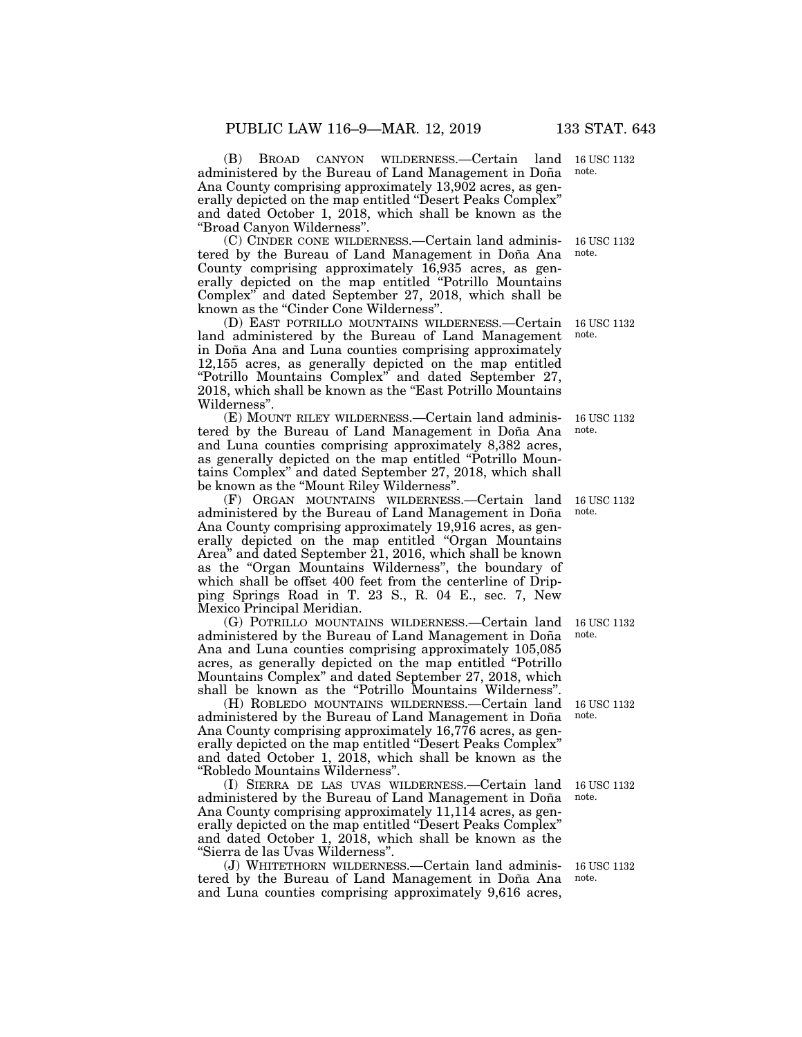(B) BROAD CANYON WILDERNESS.—Certain land 16 USC 1132 administered by the Bureau of Land Management in Doña Ana County comprising approximately 13,902 acres, as generally depicted on the map entitled ''Desert Peaks Complex'' and dated October 1, 2018, which shall be known as the ''Broad Canyon Wilderness''.

(C) CINDER CONE WILDERNESS.—Certain land administered by the Bureau of Land Management in Doña Ana County comprising approximately 16,935 acres, as generally depicted on the map entitled ''Potrillo Mountains Complex'' and dated September 27, 2018, which shall be known as the ''Cinder Cone Wilderness''.

(D) EAST POTRILLO MOUNTAINS WILDERNESS.—Certain land administered by the Bureau of Land Management in Doña Ana and Luna counties comprising approximately 12,155 acres, as generally depicted on the map entitled ''Potrillo Mountains Complex'' and dated September 27, 2018, which shall be known as the "East Potrillo Mountains" Wilderness''.

(E) MOUNT RILEY WILDERNESS.—Certain land administered by the Bureau of Land Management in Doña Ana and Luna counties comprising approximately 8,382 acres, as generally depicted on the map entitled ''Potrillo Mountains Complex'' and dated September 27, 2018, which shall be known as the ''Mount Riley Wilderness''.

(F) ORGAN MOUNTAINS WILDERNESS.—Certain land 16 USC 1132 administered by the Bureau of Land Management in Doña Ana County comprising approximately 19,916 acres, as generally depicted on the map entitled ''Organ Mountains Area" and dated September 21, 2016, which shall be known as the ''Organ Mountains Wilderness'', the boundary of which shall be offset 400 feet from the centerline of Dripping Springs Road in T. 23 S., R. 04 E., sec. 7, New Mexico Principal Meridian.

(G) POTRILLO MOUNTAINS WILDERNESS.—Certain land administered by the Bureau of Land Management in Doña Ana and Luna counties comprising approximately 105,085 acres, as generally depicted on the map entitled ''Potrillo Mountains Complex'' and dated September 27, 2018, which shall be known as the ''Potrillo Mountains Wilderness''.

(H) ROBLEDO MOUNTAINS WILDERNESS.—Certain land administered by the Bureau of Land Management in Doña Ana County comprising approximately 16,776 acres, as generally depicted on the map entitled ''Desert Peaks Complex'' and dated October 1, 2018, which shall be known as the ''Robledo Mountains Wilderness''.

(I) SIERRA DE LAS UVAS WILDERNESS.—Certain land administered by the Bureau of Land Management in Doña Ana County comprising approximately 11,114 acres, as generally depicted on the map entitled ''Desert Peaks Complex'' and dated October 1, 2018, which shall be known as the ''Sierra de las Uvas Wilderness''.

(J) WHITETHORN WILDERNESS.—Certain land administered by the Bureau of Land Management in Doña Ana and Luna counties comprising approximately 9,616 acres,

note.

16 USC 1132 note.

16 USC 1132 note.

16 USC 1132 note.

note.

16 USC 1132 note.

16 USC 1132 note.

16 USC 1132 note.

16 USC 1132 note.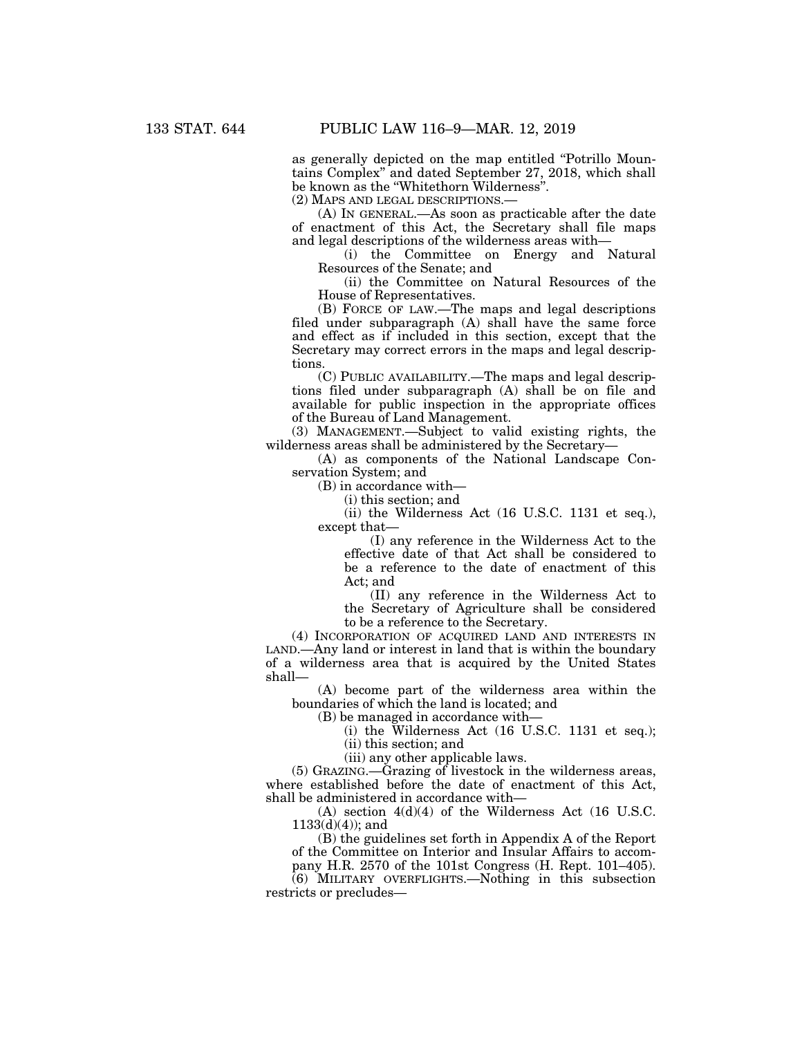as generally depicted on the map entitled ''Potrillo Mountains Complex'' and dated September 27, 2018, which shall be known as the ''Whitethorn Wilderness''.

(2) MAPS AND LEGAL DESCRIPTIONS.—

(A) IN GENERAL.—As soon as practicable after the date of enactment of this Act, the Secretary shall file maps and legal descriptions of the wilderness areas with—

(i) the Committee on Energy and Natural Resources of the Senate; and

(ii) the Committee on Natural Resources of the House of Representatives.

(B) FORCE OF LAW.—The maps and legal descriptions filed under subparagraph (A) shall have the same force and effect as if included in this section, except that the Secretary may correct errors in the maps and legal descriptions.

(C) PUBLIC AVAILABILITY.—The maps and legal descriptions filed under subparagraph (A) shall be on file and available for public inspection in the appropriate offices of the Bureau of Land Management.

(3) MANAGEMENT.—Subject to valid existing rights, the wilderness areas shall be administered by the Secretary—

(A) as components of the National Landscape Conservation System; and

(B) in accordance with—

(i) this section; and

(ii) the Wilderness Act (16 U.S.C. 1131 et seq.), except that—

(I) any reference in the Wilderness Act to the effective date of that Act shall be considered to be a reference to the date of enactment of this Act; and

(II) any reference in the Wilderness Act to the Secretary of Agriculture shall be considered to be a reference to the Secretary.

(4) INCORPORATION OF ACQUIRED LAND AND INTERESTS IN LAND.—Any land or interest in land that is within the boundary of a wilderness area that is acquired by the United States shall—

(A) become part of the wilderness area within the boundaries of which the land is located; and

(B) be managed in accordance with—

(i) the Wilderness Act (16 U.S.C. 1131 et seq.); (ii) this section; and

(iii) any other applicable laws.

(5) GRAZING.—Grazing of livestock in the wilderness areas,

where established before the date of enactment of this Act, shall be administered in accordance with—

 $(A)$  section  $4(d)(4)$  of the Wilderness Act (16 U.S.C.)  $1133(d)(4)$ ; and

(B) the guidelines set forth in Appendix A of the Report of the Committee on Interior and Insular Affairs to accompany H.R. 2570 of the 101st Congress (H. Rept. 101–405).

(6) MILITARY OVERFLIGHTS.—Nothing in this subsection restricts or precludes—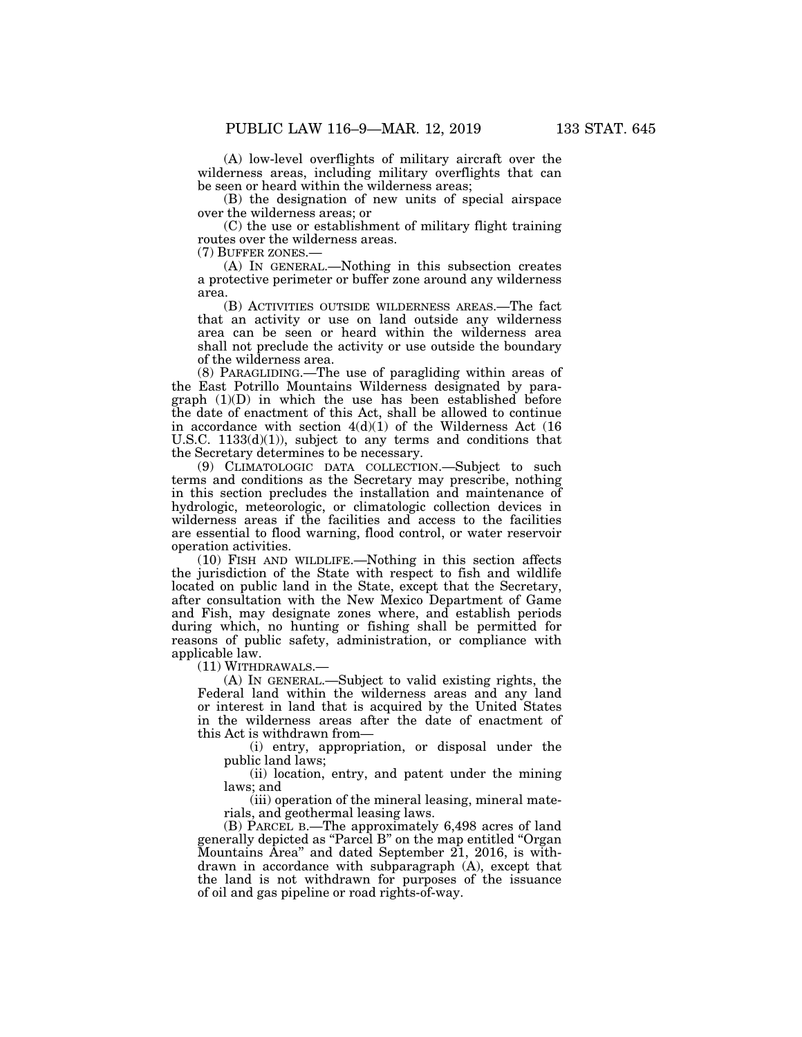(A) low-level overflights of military aircraft over the wilderness areas, including military overflights that can be seen or heard within the wilderness areas;

(B) the designation of new units of special airspace over the wilderness areas; or

(C) the use or establishment of military flight training routes over the wilderness areas.

(7) BUFFER ZONES.—

(A) IN GENERAL.—Nothing in this subsection creates a protective perimeter or buffer zone around any wilderness area.

(B) ACTIVITIES OUTSIDE WILDERNESS AREAS.—The fact that an activity or use on land outside any wilderness area can be seen or heard within the wilderness area shall not preclude the activity or use outside the boundary of the wilderness area.

(8) PARAGLIDING.—The use of paragliding within areas of the East Potrillo Mountains Wilderness designated by paragraph (1)(D) in which the use has been established before the date of enactment of this Act, shall be allowed to continue in accordance with section  $4(d)(1)$  of the Wilderness Act (16) U.S.C.  $1133(d)(1)$ , subject to any terms and conditions that the Secretary determines to be necessary.

(9) CLIMATOLOGIC DATA COLLECTION.—Subject to such terms and conditions as the Secretary may prescribe, nothing in this section precludes the installation and maintenance of hydrologic, meteorologic, or climatologic collection devices in wilderness areas if the facilities and access to the facilities are essential to flood warning, flood control, or water reservoir operation activities.

(10) FISH AND WILDLIFE.—Nothing in this section affects the jurisdiction of the State with respect to fish and wildlife located on public land in the State, except that the Secretary, after consultation with the New Mexico Department of Game and Fish, may designate zones where, and establish periods during which, no hunting or fishing shall be permitted for reasons of public safety, administration, or compliance with applicable law.

(11) WITHDRAWALS.—

(A) IN GENERAL.—Subject to valid existing rights, the Federal land within the wilderness areas and any land or interest in land that is acquired by the United States in the wilderness areas after the date of enactment of this Act is withdrawn from—

(i) entry, appropriation, or disposal under the public land laws;

(ii) location, entry, and patent under the mining laws; and

(iii) operation of the mineral leasing, mineral materials, and geothermal leasing laws.

(B) PARCEL B.—The approximately 6,498 acres of land generally depicted as ''Parcel B'' on the map entitled ''Organ Mountains Area'' and dated September 21, 2016, is withdrawn in accordance with subparagraph (A), except that the land is not withdrawn for purposes of the issuance of oil and gas pipeline or road rights-of-way.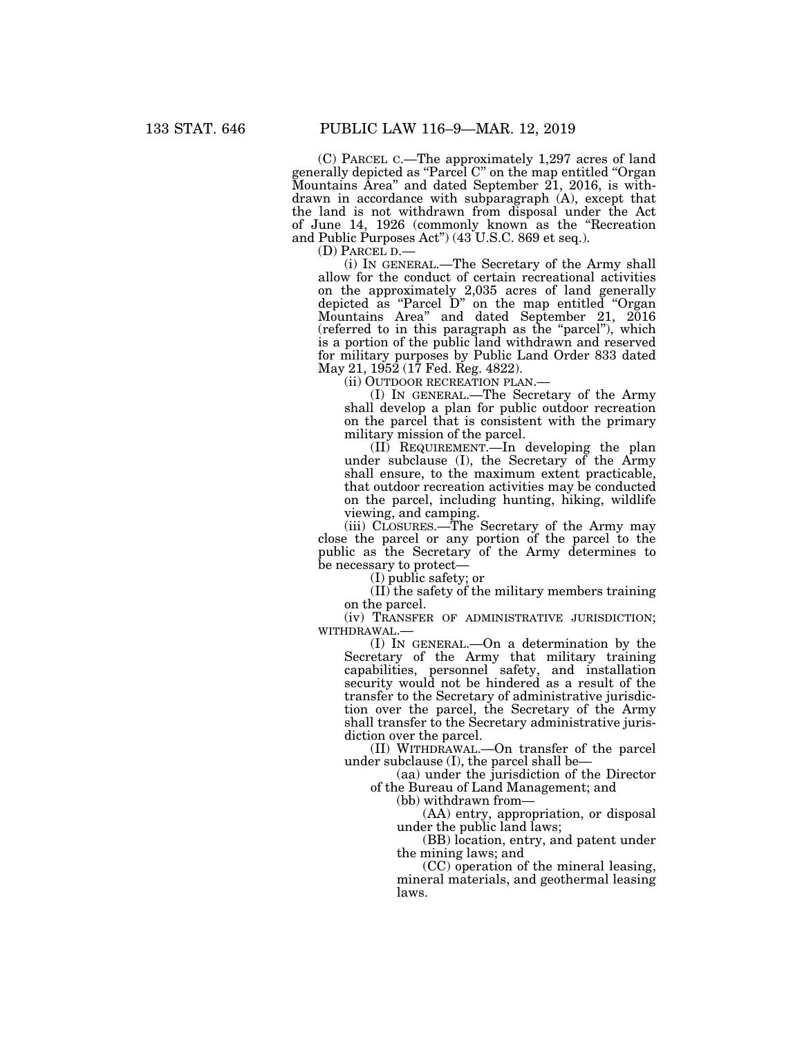(C) PARCEL C.—The approximately 1,297 acres of land generally depicted as ''Parcel C'' on the map entitled ''Organ Mountains Area'' and dated September 21, 2016, is withdrawn in accordance with subparagraph (A), except that the land is not withdrawn from disposal under the Act of June 14, 1926 (commonly known as the ''Recreation and Public Purposes Act") (43 U.S.C. 869 et seq.).<br>(D) PARCEL D.—

(i) IN GENERAL.—The Secretary of the Army shall allow for the conduct of certain recreational activities on the approximately 2,035 acres of land generally depicted as ''Parcel D'' on the map entitled ''Organ Mountains Area'' and dated September 21, 2016 (referred to in this paragraph as the ''parcel''), which is a portion of the public land withdrawn and reserved for military purposes by Public Land Order 833 dated May 21, 1952 (17 Fed. Reg. 4822).

(ii) OUTDOOR RECREATION PLAN.—

(I) IN GENERAL.—The Secretary of the Army shall develop a plan for public outdoor recreation on the parcel that is consistent with the primary military mission of the parcel.

(II) REQUIREMENT.—In developing the plan under subclause (I), the Secretary of the Army shall ensure, to the maximum extent practicable, that outdoor recreation activities may be conducted on the parcel, including hunting, hiking, wildlife viewing, and camping.

(iii) CLOSURES.—The Secretary of the Army may close the parcel or any portion of the parcel to the public as the Secretary of the Army determines to be necessary to protect—

(I) public safety; or

(II) the safety of the military members training on the parcel.

(iv) TRANSFER OF ADMINISTRATIVE JURISDICTION; WITHDRAWAL.—

(I) IN GENERAL.—On a determination by the Secretary of the Army that military training capabilities, personnel safety, and installation security would not be hindered as a result of the transfer to the Secretary of administrative jurisdiction over the parcel, the Secretary of the Army shall transfer to the Secretary administrative jurisdiction over the parcel.

(II) WITHDRAWAL.—On transfer of the parcel under subclause (I), the parcel shall be—

(aa) under the jurisdiction of the Director of the Bureau of Land Management; and

(bb) withdrawn from—

(AA) entry, appropriation, or disposal under the public land laws;

(BB) location, entry, and patent under the mining laws; and

(CC) operation of the mineral leasing, mineral materials, and geothermal leasing laws.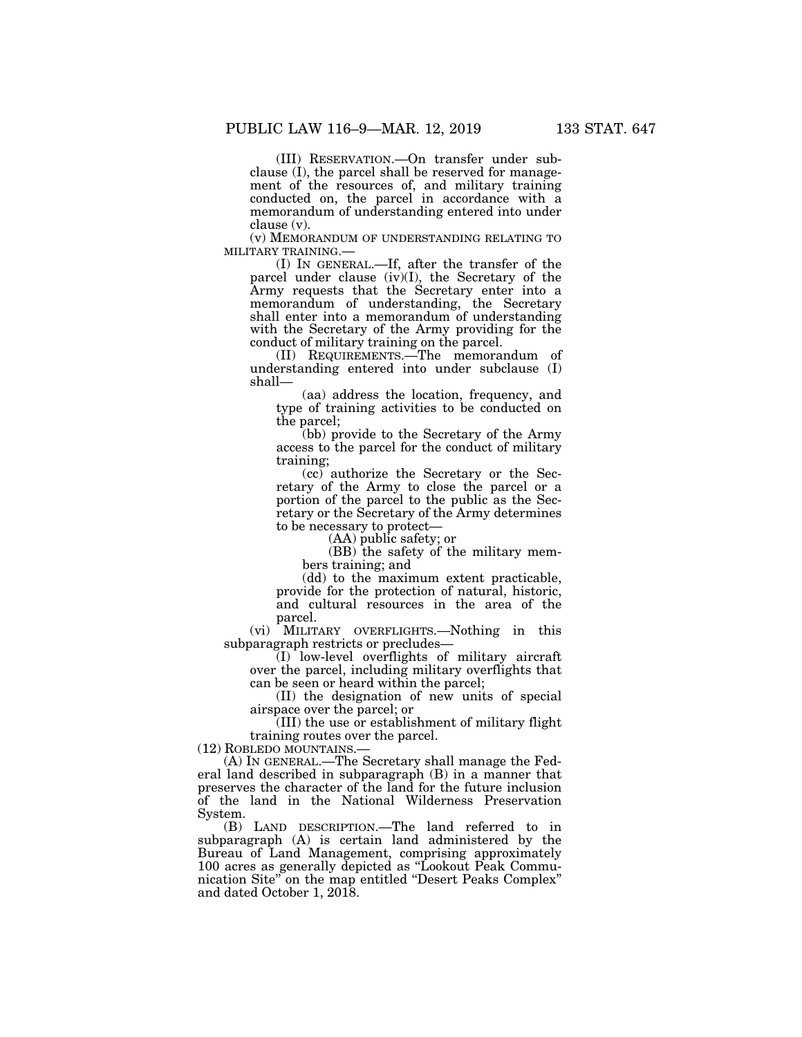(III) RESERVATION.—On transfer under subclause (I), the parcel shall be reserved for management of the resources of, and military training conducted on, the parcel in accordance with a memorandum of understanding entered into under clause (v).

(v) MEMORANDUM OF UNDERSTANDING RELATING TO

MILITARY TRAINING.— (I) IN GENERAL.—If, after the transfer of the parcel under clause (iv)(I), the Secretary of the Army requests that the Secretary enter into a memorandum of understanding, the Secretary shall enter into a memorandum of understanding with the Secretary of the Army providing for the conduct of military training on the parcel.

(II) REQUIREMENTS.—The memorandum of understanding entered into under subclause (I) shall—

(aa) address the location, frequency, and type of training activities to be conducted on the parcel;

(bb) provide to the Secretary of the Army access to the parcel for the conduct of military training;

(cc) authorize the Secretary or the Secretary of the Army to close the parcel or a portion of the parcel to the public as the Secretary or the Secretary of the Army determines to be necessary to protect—

(AA) public safety; or

(BB) the safety of the military members training; and

(dd) to the maximum extent practicable, provide for the protection of natural, historic, and cultural resources in the area of the parcel.

(vi) MILITARY OVERFLIGHTS.—Nothing in this subparagraph restricts or precludes—

(I) low-level overflights of military aircraft over the parcel, including military overflights that can be seen or heard within the parcel;

(II) the designation of new units of special airspace over the parcel; or

(III) the use or establishment of military flight training routes over the parcel.

(12) ROBLEDO MOUNTAINS.—

(A) IN GENERAL.—The Secretary shall manage the Federal land described in subparagraph (B) in a manner that preserves the character of the land for the future inclusion of the land in the National Wilderness Preservation System.

(B) LAND DESCRIPTION.—The land referred to in subparagraph (A) is certain land administered by the Bureau of Land Management, comprising approximately 100 acres as generally depicted as ''Lookout Peak Communication Site'' on the map entitled ''Desert Peaks Complex'' and dated October 1, 2018.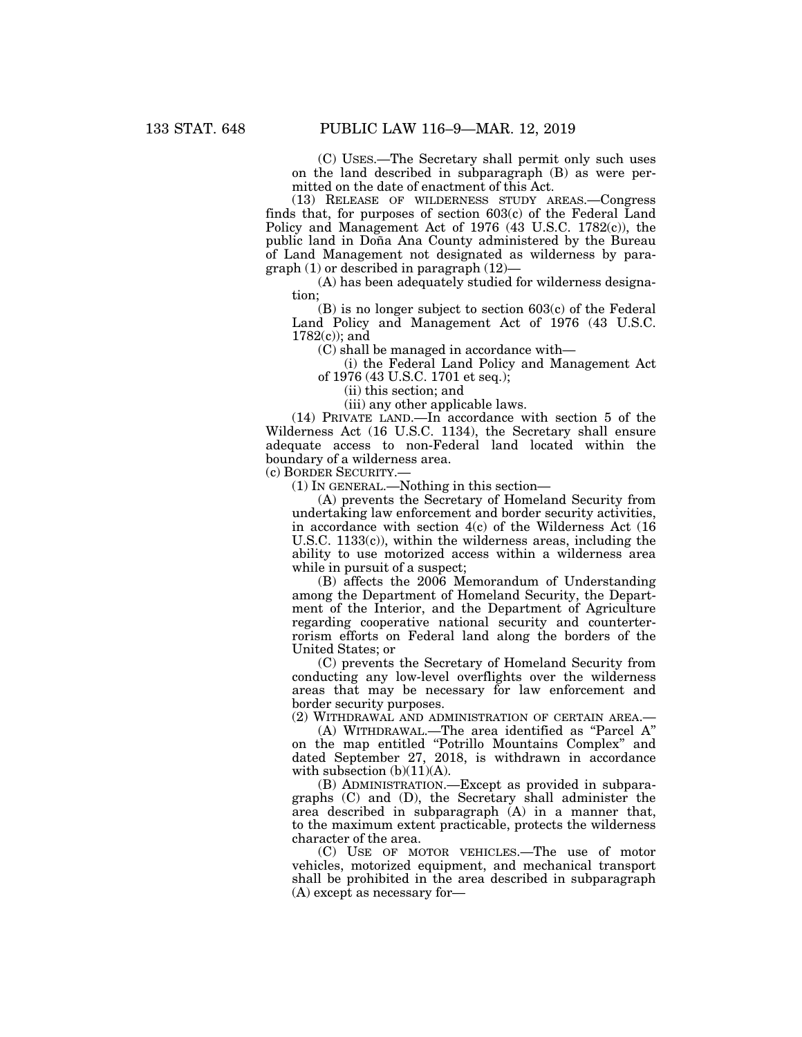(C) USES.—The Secretary shall permit only such uses on the land described in subparagraph (B) as were permitted on the date of enactment of this Act.

(13) RELEASE OF WILDERNESS STUDY AREAS.—Congress finds that, for purposes of section 603(c) of the Federal Land Policy and Management Act of 1976 (43 U.S.C. 1782(c)), the public land in Doña Ana County administered by the Bureau of Land Management not designated as wilderness by paragraph (1) or described in paragraph (12)—

(A) has been adequately studied for wilderness designation;

(B) is no longer subject to section 603(c) of the Federal Land Policy and Management Act of 1976 (43 U.S.C. 1782(c)); and

(C) shall be managed in accordance with—

(i) the Federal Land Policy and Management Act of 1976 (43 U.S.C. 1701 et seq.);

(ii) this section; and

(iii) any other applicable laws.

(14) PRIVATE LAND.—In accordance with section 5 of the Wilderness Act (16 U.S.C. 1134), the Secretary shall ensure adequate access to non-Federal land located within the boundary of a wilderness area.

(c) BORDER SECURITY.—

(1) IN GENERAL.—Nothing in this section—

(A) prevents the Secretary of Homeland Security from undertaking law enforcement and border security activities, in accordance with section 4(c) of the Wilderness Act (16 U.S.C. 1133(c)), within the wilderness areas, including the ability to use motorized access within a wilderness area while in pursuit of a suspect;

(B) affects the 2006 Memorandum of Understanding among the Department of Homeland Security, the Department of the Interior, and the Department of Agriculture regarding cooperative national security and counterterrorism efforts on Federal land along the borders of the United States; or

(C) prevents the Secretary of Homeland Security from conducting any low-level overflights over the wilderness areas that may be necessary for law enforcement and border security purposes.

(2) WITHDRAWAL AND ADMINISTRATION OF CERTAIN AREA.—

(A) WITHDRAWAL.—The area identified as ''Parcel A'' on the map entitled ''Potrillo Mountains Complex'' and dated September 27, 2018, is withdrawn in accordance with subsection  $(b)(11)(A)$ .

(B) ADMINISTRATION.—Except as provided in subparagraphs (C) and (D), the Secretary shall administer the area described in subparagraph (A) in a manner that, to the maximum extent practicable, protects the wilderness character of the area.

(C) USE OF MOTOR VEHICLES.—The use of motor vehicles, motorized equipment, and mechanical transport shall be prohibited in the area described in subparagraph (A) except as necessary for—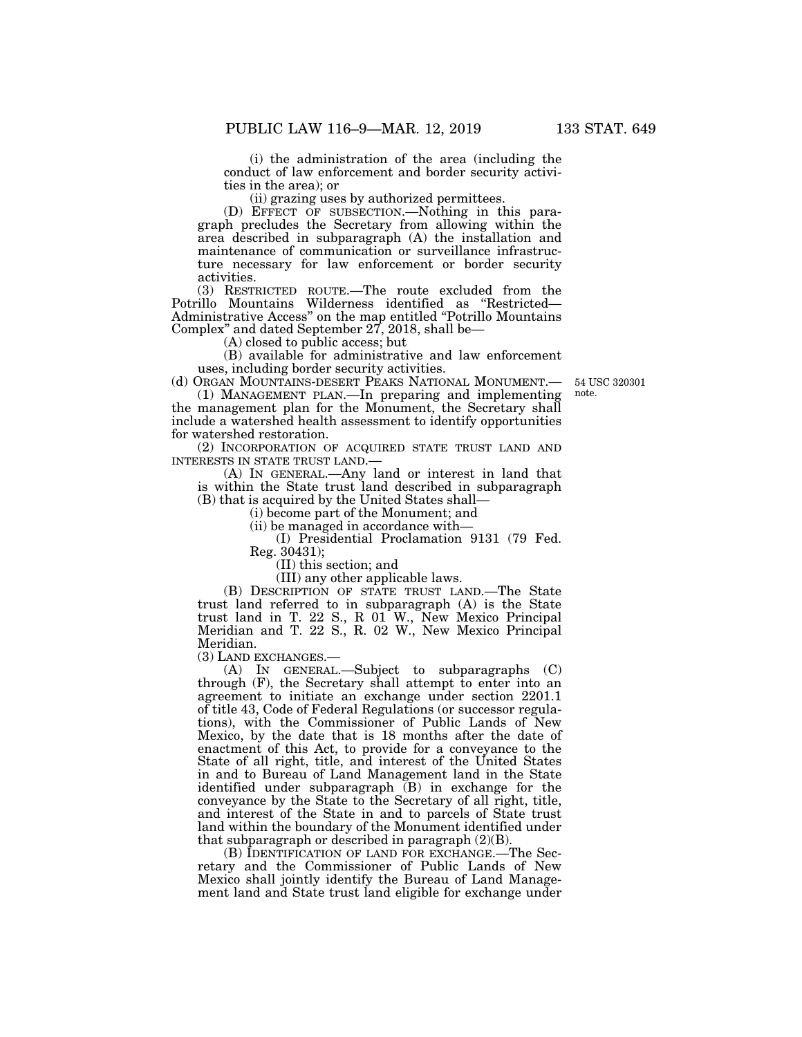(i) the administration of the area (including the conduct of law enforcement and border security activities in the area); or

(ii) grazing uses by authorized permittees.

(D) EFFECT OF SUBSECTION.—Nothing in this paragraph precludes the Secretary from allowing within the area described in subparagraph (A) the installation and maintenance of communication or surveillance infrastructure necessary for law enforcement or border security activities.

(3) RESTRICTED ROUTE.—The route excluded from the Potrillo Mountains Wilderness identified as ''Restricted— Administrative Access'' on the map entitled ''Potrillo Mountains Complex'' and dated September 27, 2018, shall be—

(A) closed to public access; but

(B) available for administrative and law enforcement uses, including border security activities.

54 USC 320301 note.

(d) ORGAN MOUNTAINS-DESERT PEAKS NATIONAL MONUMENT.— (1) MANAGEMENT PLAN.—In preparing and implementing the management plan for the Monument, the Secretary shall include a watershed health assessment to identify opportunities for watershed restoration.

(2) INCORPORATION OF ACQUIRED STATE TRUST LAND AND INTERESTS IN STATE TRUST LAND.—

(A) IN GENERAL.—Any land or interest in land that is within the State trust land described in subparagraph (B) that is acquired by the United States shall—

(i) become part of the Monument; and

(ii) be managed in accordance with—

(I) Presidential Proclamation 9131 (79 Fed. Reg. 30431);

(II) this section; and

(III) any other applicable laws.

(B) DESCRIPTION OF STATE TRUST LAND.—The State trust land referred to in subparagraph (A) is the State trust land in T. 22 S., R 01 W., New Mexico Principal Meridian and T. 22 S., R. 02 W., New Mexico Principal Meridian.

(3) LAND EXCHANGES.—

(A) IN GENERAL.—Subject to subparagraphs (C) through (F), the Secretary shall attempt to enter into an agreement to initiate an exchange under section 2201.1 of title 43, Code of Federal Regulations (or successor regulations), with the Commissioner of Public Lands of New Mexico, by the date that is 18 months after the date of enactment of this Act, to provide for a conveyance to the State of all right, title, and interest of the United States in and to Bureau of Land Management land in the State identified under subparagraph (B) in exchange for the conveyance by the State to the Secretary of all right, title, and interest of the State in and to parcels of State trust land within the boundary of the Monument identified under that subparagraph or described in paragraph  $(2)(B)$ .

(B) IDENTIFICATION OF LAND FOR EXCHANGE.—The Secretary and the Commissioner of Public Lands of New Mexico shall jointly identify the Bureau of Land Management land and State trust land eligible for exchange under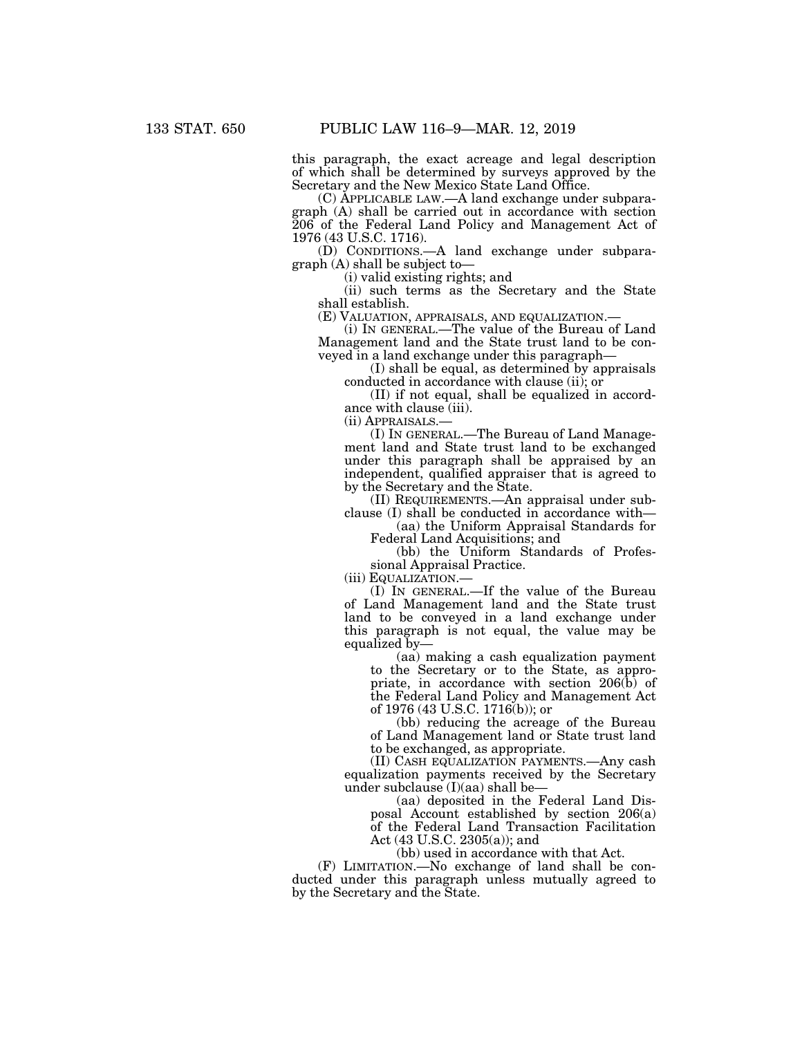this paragraph, the exact acreage and legal description of which shall be determined by surveys approved by the Secretary and the New Mexico State Land Office.

(C) APPLICABLE LAW.—A land exchange under subparagraph (A) shall be carried out in accordance with section 206 of the Federal Land Policy and Management Act of 1976 (43 U.S.C. 1716).

(D) CONDITIONS.—A land exchange under subparagraph (A) shall be subject to—

(i) valid existing rights; and

(ii) such terms as the Secretary and the State shall establish.<br>(E) VALUATION, APPRAISALS, AND EQUALIZATION.–

(i) IN GENERAL.—The value of the Bureau of Land Management land and the State trust land to be conveyed in a land exchange under this paragraph—

(I) shall be equal, as determined by appraisals conducted in accordance with clause (ii); or

(II) if not equal, shall be equalized in accordance with clause (iii).

(ii) APPRAISALS.—

(I) IN GENERAL.—The Bureau of Land Management land and State trust land to be exchanged under this paragraph shall be appraised by an independent, qualified appraiser that is agreed to by the Secretary and the State.

(II) REQUIREMENTS.—An appraisal under subclause (I) shall be conducted in accordance with—

(aa) the Uniform Appraisal Standards for Federal Land Acquisitions; and

(bb) the Uniform Standards of Professional Appraisal Practice.

(iii) EQUALIZATION.—

(I) IN GENERAL.—If the value of the Bureau of Land Management land and the State trust land to be conveyed in a land exchange under this paragraph is not equal, the value may be equalized by—

(aa) making a cash equalization payment to the Secretary or to the State, as appropriate, in accordance with section 206(b) of the Federal Land Policy and Management Act of 1976 (43 U.S.C. 1716(b)); or

(bb) reducing the acreage of the Bureau of Land Management land or State trust land to be exchanged, as appropriate.

(II) CASH EQUALIZATION PAYMENTS.—Any cash equalization payments received by the Secretary under subclause (I)(aa) shall be—

(aa) deposited in the Federal Land Disposal Account established by section 206(a) of the Federal Land Transaction Facilitation Act (43 U.S.C. 2305(a)); and

(bb) used in accordance with that Act.

(F) LIMITATION.—No exchange of land shall be conducted under this paragraph unless mutually agreed to by the Secretary and the State.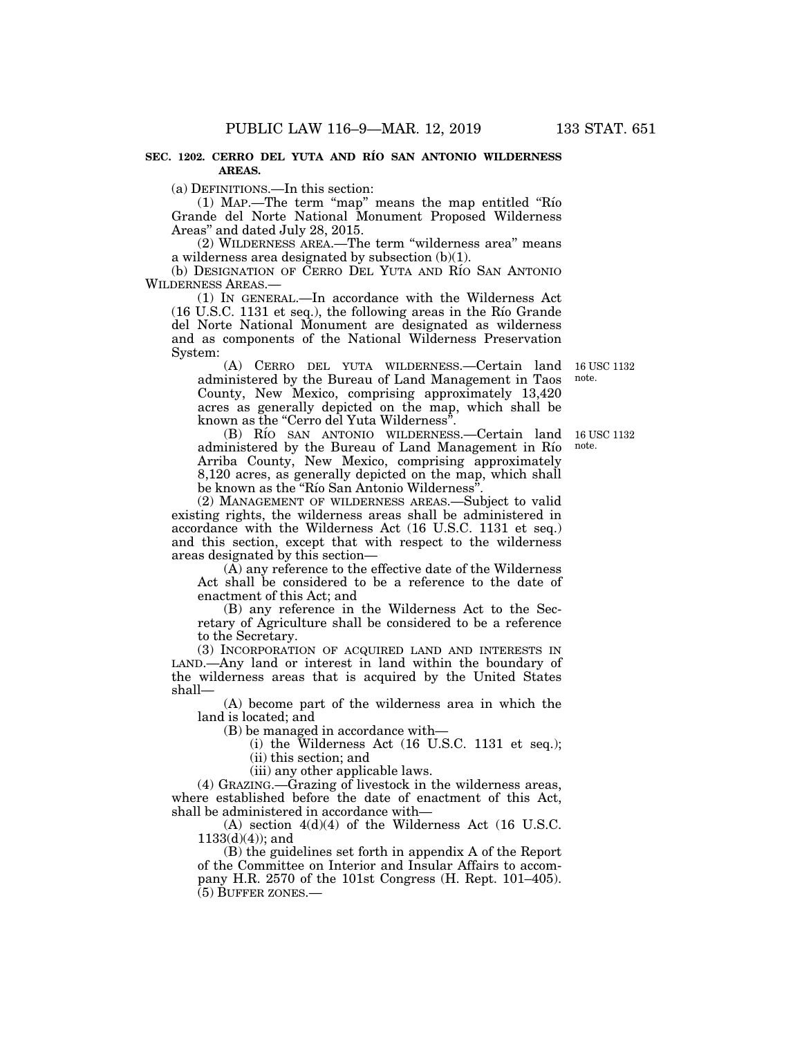#### **SEC. 1202. CERRO DEL YUTA AND RI´O SAN ANTONIO WILDERNESS AREAS.**

(a) DEFINITIONS.—In this section:

(1) MAP.—The term ''map'' means the map entitled ''Rı´o Grande del Norte National Monument Proposed Wilderness Areas'' and dated July 28, 2015.

(2) WILDERNESS AREA.—The term ''wilderness area'' means a wilderness area designated by subsection (b)(1).

(b) DESIGNATION OF CERRO DEL YUTA AND RÍO SAN ANTONIO WILDERNESS AREAS.—

(1) IN GENERAL.—In accordance with the Wilderness Act (16 U.S.C. 1131 et seq.), the following areas in the Rı´o Grande del Norte National Monument are designated as wilderness and as components of the National Wilderness Preservation System:

(A) CERRO DEL YUTA WILDERNESS.—Certain land administered by the Bureau of Land Management in Taos County, New Mexico, comprising approximately 13,420 acres as generally depicted on the map, which shall be known as the ''Cerro del Yuta Wilderness''.

(B) RÍO SAN ANTONIO WILDERNESS.-Certain land administered by the Bureau of Land Management in Río Arriba County, New Mexico, comprising approximately 8,120 acres, as generally depicted on the map, which shall be known as the "Río San Antonio Wilderness"

(2) MANAGEMENT OF WILDERNESS AREAS.—Subject to valid existing rights, the wilderness areas shall be administered in accordance with the Wilderness Act (16 U.S.C. 1131 et seq.) and this section, except that with respect to the wilderness areas designated by this section—

(A) any reference to the effective date of the Wilderness Act shall be considered to be a reference to the date of enactment of this Act; and

(B) any reference in the Wilderness Act to the Secretary of Agriculture shall be considered to be a reference to the Secretary.

(3) INCORPORATION OF ACQUIRED LAND AND INTERESTS IN LAND.—Any land or interest in land within the boundary of the wilderness areas that is acquired by the United States shall—

(A) become part of the wilderness area in which the land is located; and

(B) be managed in accordance with—

(i) the Wilderness Act (16 U.S.C. 1131 et seq.); (ii) this section; and

(iii) any other applicable laws.

(4) GRAZING.—Grazing of livestock in the wilderness areas, where established before the date of enactment of this Act, shall be administered in accordance with—

 $(A)$  section  $4(d)(4)$  of the Wilderness Act (16 U.S.C.)  $1133(d)(4)$ ; and

(B) the guidelines set forth in appendix A of the Report of the Committee on Interior and Insular Affairs to accompany H.R. 2570 of the 101st Congress (H. Rept. 101–405). (5) BUFFER ZONES.—

16 USC 1132 note.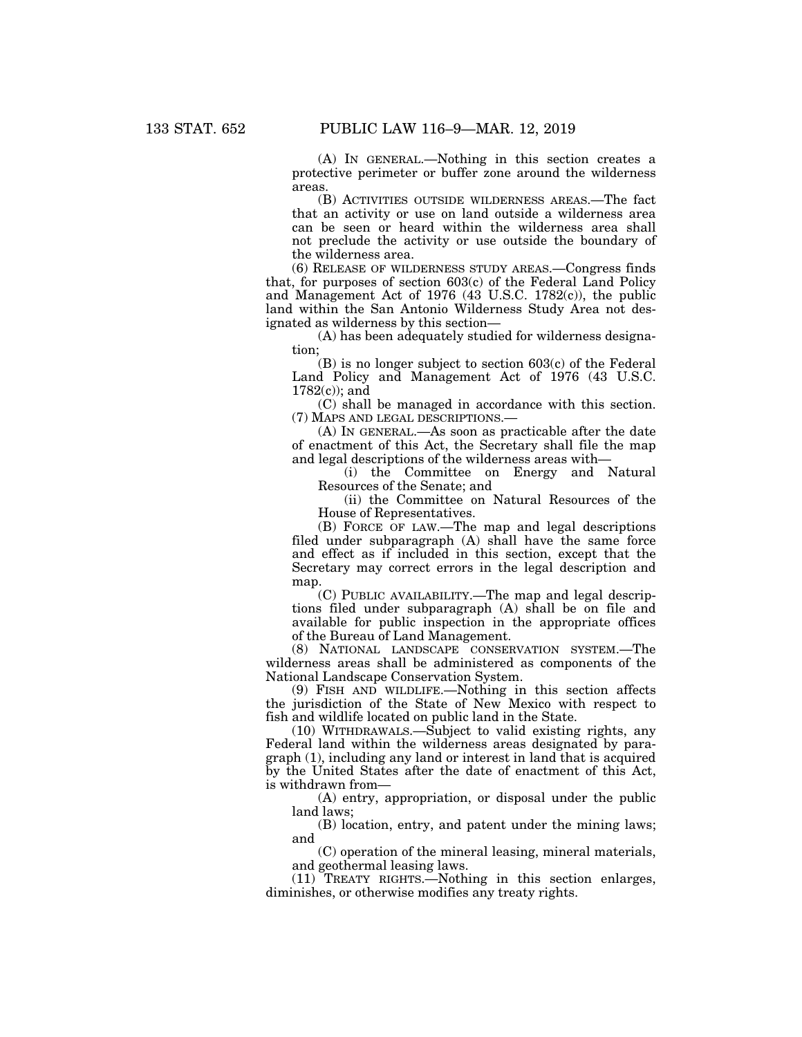(A) IN GENERAL.—Nothing in this section creates a protective perimeter or buffer zone around the wilderness areas.

(B) ACTIVITIES OUTSIDE WILDERNESS AREAS.—The fact that an activity or use on land outside a wilderness area can be seen or heard within the wilderness area shall not preclude the activity or use outside the boundary of the wilderness area.

(6) RELEASE OF WILDERNESS STUDY AREAS.—Congress finds that, for purposes of section 603(c) of the Federal Land Policy and Management Act of 1976 (43 U.S.C. 1782(c)), the public land within the San Antonio Wilderness Study Area not designated as wilderness by this section—

(A) has been adequately studied for wilderness designation;

(B) is no longer subject to section 603(c) of the Federal Land Policy and Management Act of 1976 (43 U.S.C. 1782(c)); and

(C) shall be managed in accordance with this section. (7) MAPS AND LEGAL DESCRIPTIONS.—

(A) IN GENERAL.—As soon as practicable after the date of enactment of this Act, the Secretary shall file the map and legal descriptions of the wilderness areas with—

(i) the Committee on Energy and Natural Resources of the Senate; and

(ii) the Committee on Natural Resources of the House of Representatives.

(B) FORCE OF LAW.—The map and legal descriptions filed under subparagraph (A) shall have the same force and effect as if included in this section, except that the Secretary may correct errors in the legal description and map

(C) PUBLIC AVAILABILITY.—The map and legal descriptions filed under subparagraph (A) shall be on file and available for public inspection in the appropriate offices of the Bureau of Land Management.

(8) NATIONAL LANDSCAPE CONSERVATION SYSTEM.—The wilderness areas shall be administered as components of the National Landscape Conservation System.

(9) FISH AND WILDLIFE.—Nothing in this section affects the jurisdiction of the State of New Mexico with respect to fish and wildlife located on public land in the State.

(10) WITHDRAWALS.—Subject to valid existing rights, any Federal land within the wilderness areas designated by paragraph (1), including any land or interest in land that is acquired by the United States after the date of enactment of this Act, is withdrawn from—

(A) entry, appropriation, or disposal under the public land laws;

(B) location, entry, and patent under the mining laws; and

(C) operation of the mineral leasing, mineral materials, and geothermal leasing laws.

(11) TREATY RIGHTS.—Nothing in this section enlarges, diminishes, or otherwise modifies any treaty rights.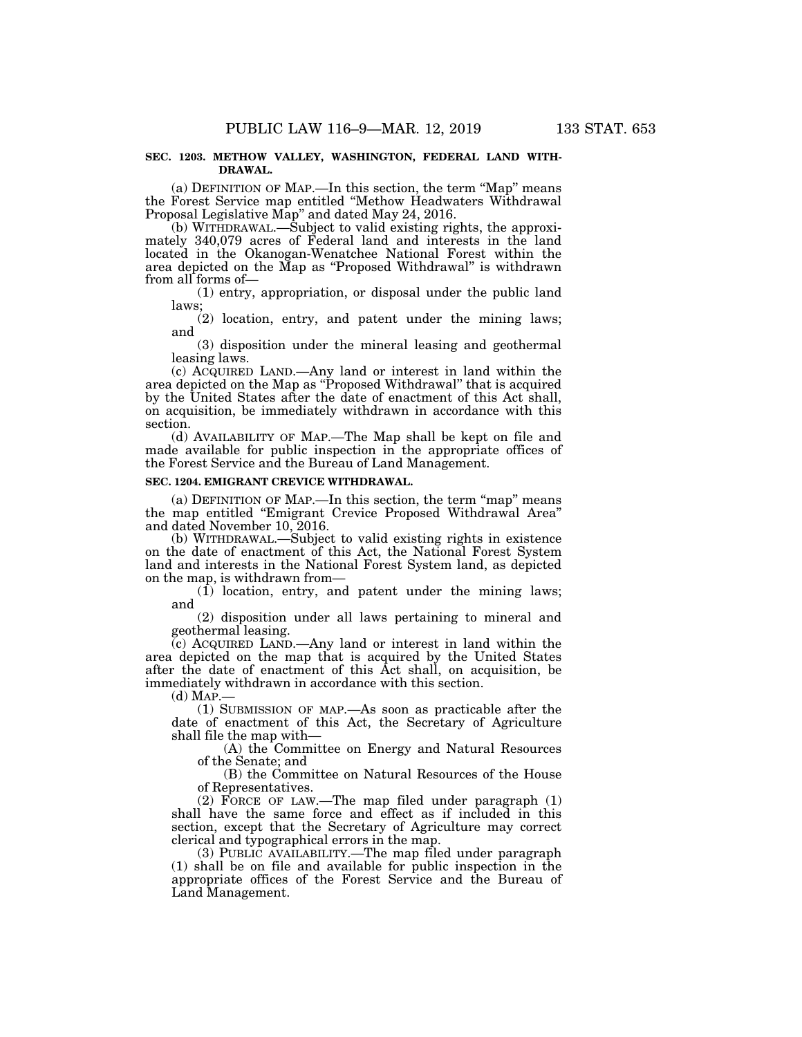### **SEC. 1203. METHOW VALLEY, WASHINGTON, FEDERAL LAND WITH-DRAWAL.**

(a) DEFINITION OF MAP.—In this section, the term ''Map'' means the Forest Service map entitled ''Methow Headwaters Withdrawal Proposal Legislative Map'' and dated May 24, 2016.

(b) WITHDRAWAL.—Subject to valid existing rights, the approximately 340,079 acres of Federal land and interests in the land located in the Okanogan-Wenatchee National Forest within the area depicted on the Map as ''Proposed Withdrawal'' is withdrawn from all forms of—

(1) entry, appropriation, or disposal under the public land laws;

(2) location, entry, and patent under the mining laws; and

(3) disposition under the mineral leasing and geothermal leasing laws.

(c) ACQUIRED LAND.—Any land or interest in land within the area depicted on the Map as ''Proposed Withdrawal'' that is acquired by the United States after the date of enactment of this Act shall, on acquisition, be immediately withdrawn in accordance with this section.

(d) AVAILABILITY OF MAP.—The Map shall be kept on file and made available for public inspection in the appropriate offices of the Forest Service and the Bureau of Land Management.

#### **SEC. 1204. EMIGRANT CREVICE WITHDRAWAL.**

(a) DEFINITION OF MAP.—In this section, the term ''map'' means the map entitled ''Emigrant Crevice Proposed Withdrawal Area'' and dated November 10, 2016.

(b) WITHDRAWAL.—Subject to valid existing rights in existence on the date of enactment of this Act, the National Forest System land and interests in the National Forest System land, as depicted on the map, is withdrawn from—

(1) location, entry, and patent under the mining laws; and

(2) disposition under all laws pertaining to mineral and geothermal leasing.

(c) ACQUIRED LAND.—Any land or interest in land within the area depicted on the map that is acquired by the United States after the date of enactment of this Act shall, on acquisition, be immediately withdrawn in accordance with this section.

 $(d)$  MAP. $-$ 

(1) SUBMISSION OF MAP.—As soon as practicable after the date of enactment of this Act, the Secretary of Agriculture shall file the map with—

(A) the Committee on Energy and Natural Resources of the Senate; and

(B) the Committee on Natural Resources of the House of Representatives.

(2) FORCE OF LAW.—The map filed under paragraph (1) shall have the same force and effect as if included in this section, except that the Secretary of Agriculture may correct clerical and typographical errors in the map.

(3) PUBLIC AVAILABILITY.—The map filed under paragraph (1) shall be on file and available for public inspection in the appropriate offices of the Forest Service and the Bureau of Land Management.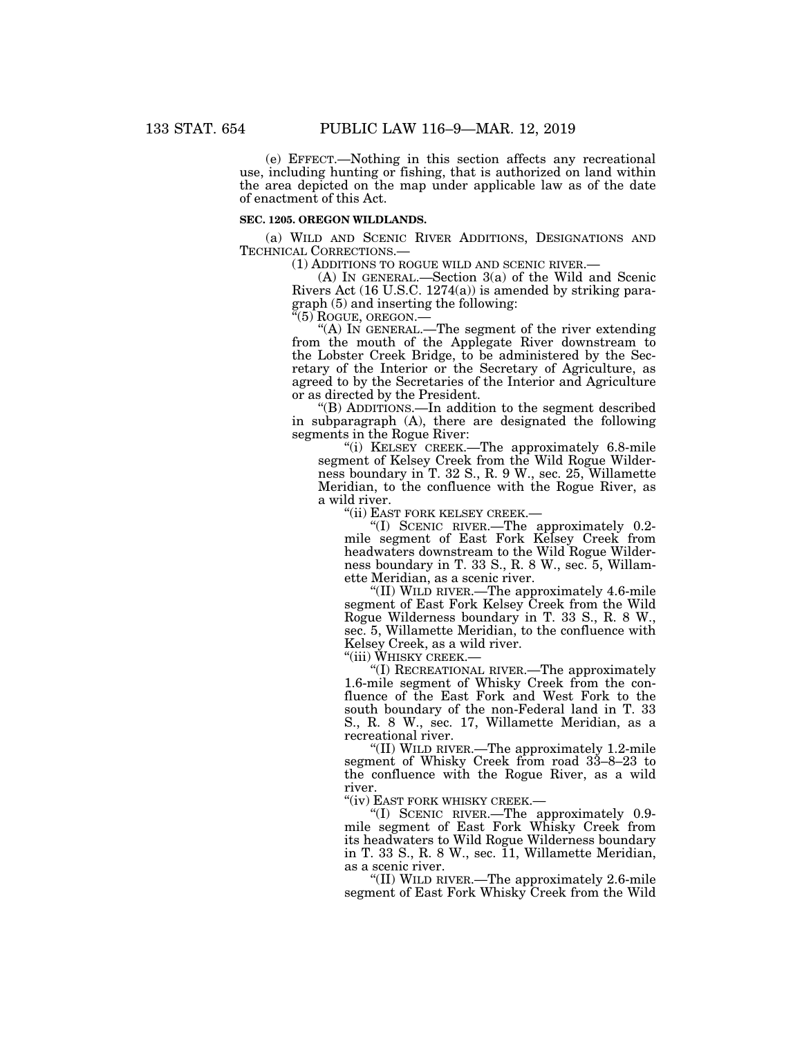(e) EFFECT.—Nothing in this section affects any recreational use, including hunting or fishing, that is authorized on land within the area depicted on the map under applicable law as of the date of enactment of this Act.

#### **SEC. 1205. OREGON WILDLANDS.**

(a) WILD AND SCENIC RIVER ADDITIONS, DESIGNATIONS AND TECHNICAL CORRECTIONS.— (1) ADDITIONS TO ROGUE WILD AND SCENIC RIVER.— (A) IN GENERAL.—Section 3(a) of the Wild and Scenic

Rivers Act (16 U.S.C. 1274(a)) is amended by striking paragraph  $(5)$  and inserting the following:<br>" $(5)$  ROGUE, OREGON.—

"(A) IN GENERAL.—The segment of the river extending from the mouth of the Applegate River downstream to the Lobster Creek Bridge, to be administered by the Secretary of the Interior or the Secretary of Agriculture, as agreed to by the Secretaries of the Interior and Agriculture or as directed by the President.

''(B) ADDITIONS.—In addition to the segment described in subparagraph (A), there are designated the following segments in the Rogue River:

''(i) KELSEY CREEK.—The approximately 6.8-mile segment of Kelsey Creek from the Wild Rogue Wilderness boundary in T. 32 S., R. 9 W., sec. 25, Willamette Meridian, to the confluence with the Rogue River, as a wild river.

''(ii) EAST FORK KELSEY CREEK.—

''(I) SCENIC RIVER.—The approximately 0.2 mile segment of East Fork Kelsey Creek from headwaters downstream to the Wild Rogue Wilderness boundary in T. 33 S., R. 8 W., sec. 5, Willamette Meridian, as a scenic river.

''(II) WILD RIVER.—The approximately 4.6-mile segment of East Fork Kelsey Creek from the Wild Rogue Wilderness boundary in T. 33 S., R. 8 W., sec. 5, Willamette Meridian, to the confluence with Kelsey Creek, as a wild river.

''(iii) WHISKY CREEK.—

''(I) RECREATIONAL RIVER.—The approximately 1.6-mile segment of Whisky Creek from the confluence of the East Fork and West Fork to the south boundary of the non-Federal land in T. 33 S., R. 8 W., sec. 17, Willamette Meridian, as a recreational river.

''(II) WILD RIVER.—The approximately 1.2-mile segment of Whisky Creek from road 33–8–23 to the confluence with the Rogue River, as a wild river.

''(iv) EAST FORK WHISKY CREEK.—

''(I) SCENIC RIVER.—The approximately 0.9 mile segment of East Fork Whisky Creek from its headwaters to Wild Rogue Wilderness boundary in T. 33 S., R. 8 W., sec.  $\overline{1}1$ , Willamette Meridian, as a scenic river.

''(II) WILD RIVER.—The approximately 2.6-mile segment of East Fork Whisky Creek from the Wild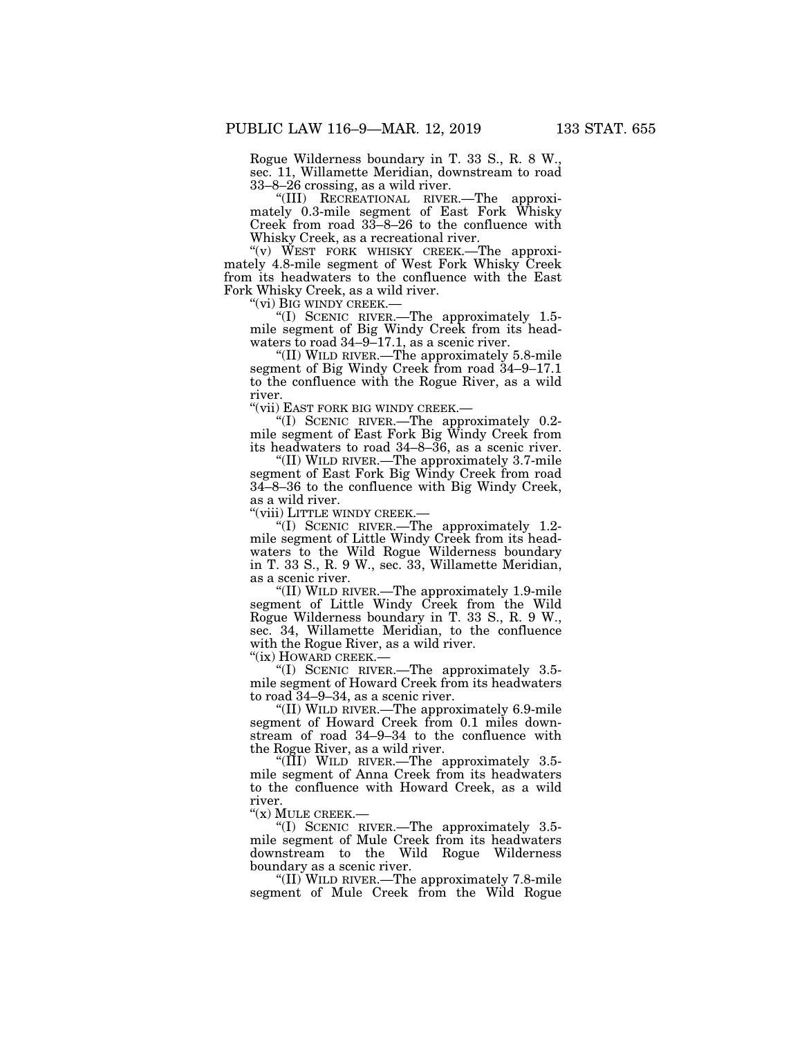Rogue Wilderness boundary in T. 33 S., R. 8 W., sec. 11, Willamette Meridian, downstream to road 33–8–26 crossing, as a wild river.

''(III) RECREATIONAL RIVER.—The approximately 0.3-mile segment of East Fork Whisky Creek from road 33–8–26 to the confluence with Whisky Creek, as a recreational river.

" $(v)$  WEST FORK WHISKY CREEK.—The approximately 4.8-mile segment of West Fork Whisky Creek from its headwaters to the confluence with the East Fork Whisky Creek, as a wild river.<br>"(vi) BIG WINDY CREEK.—

''(vi) BIG WINDY CREEK.— ''(I) SCENIC RIVER.—The approximately 1.5 mile segment of Big Windy Creek from its headwaters to road  $34-9-17.1$ , as a scenic river.

''(II) WILD RIVER.—The approximately 5.8-mile segment of Big Windy Creek from road 34–9–17.1 to the confluence with the Rogue River, as a wild river.

''(vii) EAST FORK BIG WINDY CREEK.—

''(I) SCENIC RIVER.—The approximately 0.2 mile segment of East Fork Big Windy Creek from its headwaters to road 34–8–36, as a scenic river.

''(II) WILD RIVER.—The approximately 3.7-mile segment of East Fork Big Windy Creek from road 34–8–36 to the confluence with Big Windy Creek, as a wild river.

''(viii) LITTLE WINDY CREEK.—

''(I) SCENIC RIVER.—The approximately 1.2 mile segment of Little Windy Creek from its headwaters to the Wild Rogue Wilderness boundary in T. 33 S., R. 9 W., sec. 33, Willamette Meridian, as a scenic river.

''(II) WILD RIVER.—The approximately 1.9-mile segment of Little Windy Creek from the Wild Rogue Wilderness boundary in T. 33 S., R. 9 W., sec. 34, Willamette Meridian, to the confluence with the Rogue River, as a wild river.

''(ix) HOWARD CREEK.—

''(I) SCENIC RIVER.—The approximately 3.5 mile segment of Howard Creek from its headwaters to road 34–9–34, as a scenic river.

''(II) WILD RIVER.—The approximately 6.9-mile segment of Howard Creek from 0.1 miles downstream of road 34–9–34 to the confluence with the Rogue River, as a wild river.

''(III) WILD RIVER.—The approximately 3.5 mile segment of Anna Creek from its headwaters to the confluence with Howard Creek, as a wild river.<br>"(x) MULE CREEK.—

"(I) SCENIC RIVER.— The approximately 3.5mile segment of Mule Creek from its headwaters downstream to the Wild Rogue Wilderness boundary as a scenic river.

''(II) WILD RIVER.—The approximately 7.8-mile segment of Mule Creek from the Wild Rogue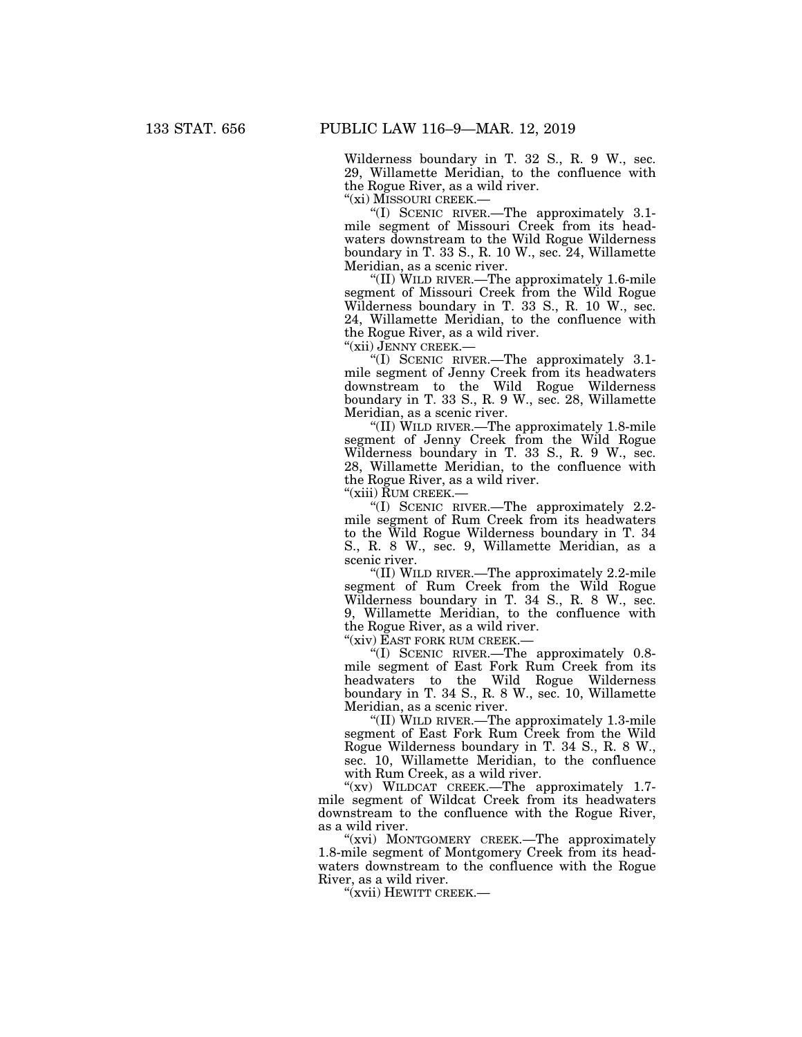Wilderness boundary in T. 32 S., R. 9 W., sec. 29, Willamette Meridian, to the confluence with the Rogue River, as a wild river.

''(xi) MISSOURI CREEK.—

''(I) SCENIC RIVER.—The approximately 3.1 mile segment of Missouri Creek from its headwaters downstream to the Wild Rogue Wilderness boundary in T. 33 S., R. 10 W., sec. 24, Willamette Meridian, as a scenic river.

''(II) WILD RIVER.—The approximately 1.6-mile segment of Missouri Creek from the Wild Rogue Wilderness boundary in T. 33 S., R. 10 W., sec. 24, Willamette Meridian, to the confluence with the Rogue River, as a wild river.

''(xii) JENNY CREEK.—

''(I) SCENIC RIVER.—The approximately 3.1 mile segment of Jenny Creek from its headwaters downstream to the Wild Rogue Wilderness boundary in T. 33 S., R. 9 W., sec. 28, Willamette Meridian, as a scenic river.

''(II) WILD RIVER.—The approximately 1.8-mile segment of Jenny Creek from the Wild Rogue Wilderness boundary in T. 33 S., R. 9 W., sec. 28, Willamette Meridian, to the confluence with the Rogue River, as a wild river.

''(xiii) RUM CREEK.—

''(I) SCENIC RIVER.—The approximately 2.2 mile segment of Rum Creek from its headwaters to the Wild Rogue Wilderness boundary in T. 34 S., R. 8 W., sec. 9, Willamette Meridian, as a scenic river.

''(II) WILD RIVER.—The approximately 2.2-mile segment of Rum Creek from the Wild Rogue Wilderness boundary in T. 34 S., R. 8 W., sec. 9, Willamette Meridian, to the confluence with the Rogue River, as a wild river.

''(xiv) EAST FORK RUM CREEK.—

''(I) SCENIC RIVER.—The approximately 0.8 mile segment of East Fork Rum Creek from its headwaters to the Wild Rogue Wilderness boundary in T. 34 S., R. 8 W., sec. 10, Willamette Meridian, as a scenic river.

''(II) WILD RIVER.—The approximately 1.3-mile segment of East Fork Rum Creek from the Wild Rogue Wilderness boundary in T. 34 S., R. 8 W., sec. 10, Willamette Meridian, to the confluence with Rum Creek, as a wild river.

"(xv) WILDCAT CREEK.—The approximately 1.7mile segment of Wildcat Creek from its headwaters downstream to the confluence with the Rogue River, as a wild river.

"(xvi) MONTGOMERY CREEK.—The approximately 1.8-mile segment of Montgomery Creek from its headwaters downstream to the confluence with the Rogue River, as a wild river.

"(xvii) HEWITT CREEK.—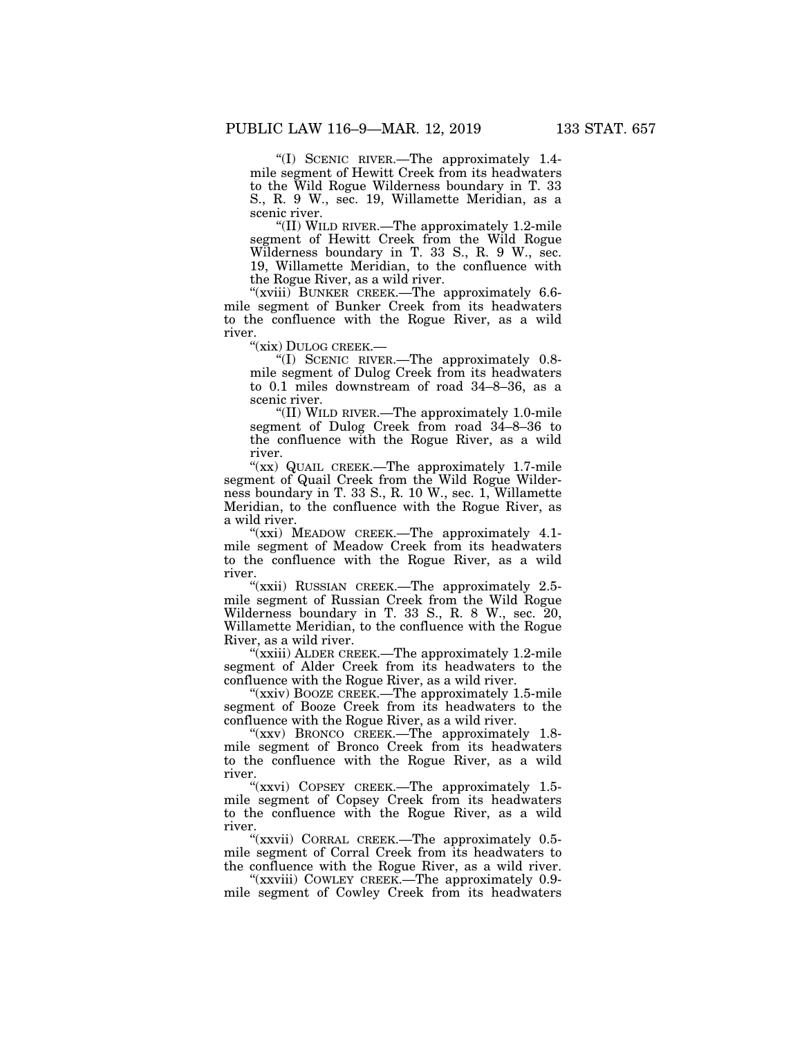''(I) SCENIC RIVER.—The approximately 1.4 mile segment of Hewitt Creek from its headwaters to the Wild Rogue Wilderness boundary in T. 33 S., R. 9 W., sec. 19, Willamette Meridian, as a scenic river.

''(II) WILD RIVER.—The approximately 1.2-mile segment of Hewitt Creek from the Wild Rogue Wilderness boundary in T. 33 S., R. 9 W., sec. 19, Willamette Meridian, to the confluence with the Rogue River, as a wild river.

''(xviii) BUNKER CREEK.—The approximately 6.6 mile segment of Bunker Creek from its headwaters to the confluence with the Rogue River, as a wild river.

''(xix) DULOG CREEK.—

''(I) SCENIC RIVER.—The approximately 0.8 mile segment of Dulog Creek from its headwaters to 0.1 miles downstream of road 34–8–36, as a scenic river.

''(II) WILD RIVER.—The approximately 1.0-mile segment of Dulog Creek from road 34–8–36 to the confluence with the Rogue River, as a wild river.

" $(xx)$  QUAIL CREEK.—The approximately 1.7-mile segment of Quail Creek from the Wild Rogue Wilderness boundary in T. 33 S., R. 10 W., sec. 1, Willamette Meridian, to the confluence with the Rogue River, as a wild river.

'(xxi) MEADOW CREEK.—The approximately 4.1mile segment of Meadow Creek from its headwaters to the confluence with the Rogue River, as a wild river.

"(xxii) RUSSIAN CREEK.—The approximately  $2.5$ mile segment of Russian Creek from the Wild Rogue Wilderness boundary in T. 33 S., R. 8 W., sec. 20, Willamette Meridian, to the confluence with the Rogue River, as a wild river.

"(xxiii) ALDER CREEK.—The approximately 1.2-mile segment of Alder Creek from its headwaters to the confluence with the Rogue River, as a wild river.

"(xxiv) BOOZE CREEK.—The approximately 1.5-mile segment of Booze Creek from its headwaters to the confluence with the Rogue River, as a wild river.

"(xxv) BRONCO CREEK.—The approximately 1.8mile segment of Bronco Creek from its headwaters to the confluence with the Rogue River, as a wild river.

"(xxvi) COPSEY CREEK.—The approximately 1.5mile segment of Copsey Creek from its headwaters to the confluence with the Rogue River, as a wild river.

''(xxvii) CORRAL CREEK.—The approximately 0.5 mile segment of Corral Creek from its headwaters to the confluence with the Rogue River, as a wild river.

"(xxviii) COWLEY CREEK.—The approximately 0.9mile segment of Cowley Creek from its headwaters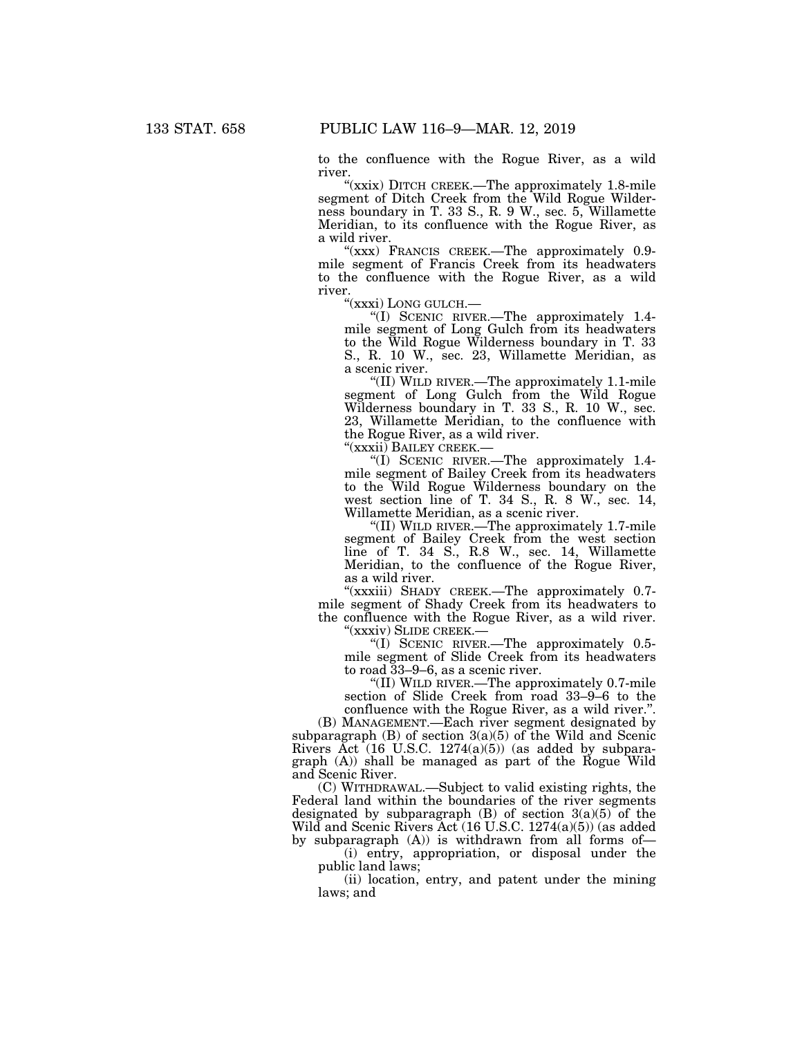to the confluence with the Rogue River, as a wild river.

"(xxix) DITCH CREEK.—The approximately 1.8-mile segment of Ditch Creek from the Wild Rogue Wilderness boundary in T. 33 S., R. 9 W., sec. 5, Willamette Meridian, to its confluence with the Rogue River, as a wild river.

"(xxx) FRANCIS CREEK.—The approximately 0.9mile segment of Francis Creek from its headwaters to the confluence with the Rogue River, as a wild river.<br>"(xxxi) LONG GULCH.—

"(I) SCENIC RIVER.— The approximately 1.4mile segment of Long Gulch from its headwaters to the Wild Rogue Wilderness boundary in T. 33 S., R. 10 W., sec. 23, Willamette Meridian, as a scenic river.

''(II) WILD RIVER.—The approximately 1.1-mile segment of Long Gulch from the Wild Rogue Wilderness boundary in T. 33 S., R. 10 W., sec. 23, Willamette Meridian, to the confluence with the Rogue River, as a wild river.

''(xxxii) BAILEY CREEK.—

''(I) SCENIC RIVER.—The approximately 1.4 mile segment of Bailey Creek from its headwaters to the Wild Rogue Wilderness boundary on the west section line of T. 34 S., R. 8 W., sec. 14, Willamette Meridian, as a scenic river.

''(II) WILD RIVER.—The approximately 1.7-mile segment of Bailey Creek from the west section line of T. 34 S., R.8 W., sec. 14, Willamette Meridian, to the confluence of the Rogue River, as a wild river.

"(xxxiii) SHADY CREEK.—The approximately 0.7mile segment of Shady Creek from its headwaters to the confluence with the Rogue River, as a wild river. ''(xxxiv) SLIDE CREEK.—

''(I) SCENIC RIVER.—The approximately 0.5 mile segment of Slide Creek from its headwaters to road 33–9–6, as a scenic river.

''(II) WILD RIVER.—The approximately 0.7-mile section of Slide Creek from road 33–9–6 to the confluence with the Rogue River, as a wild river.''.

(B) MANAGEMENT.—Each river segment designated by subparagraph  $(B)$  of section  $3(a)(5)$  of the Wild and Scenic Rivers Act  $(16 \text{ U.S.C. } 1274(a)(5))$  (as added by subparagraph (A)) shall be managed as part of the Rogue Wild and Scenic River.

(C) WITHDRAWAL.—Subject to valid existing rights, the Federal land within the boundaries of the river segments designated by subparagraph  $(B)$  of section  $3(a)(5)$  of the Wild and Scenic Rivers Act (16 U.S.C. 1274(a)(5)) (as added by subparagraph (A)) is withdrawn from all forms of—

(i) entry, appropriation, or disposal under the public land laws;

(ii) location, entry, and patent under the mining laws; and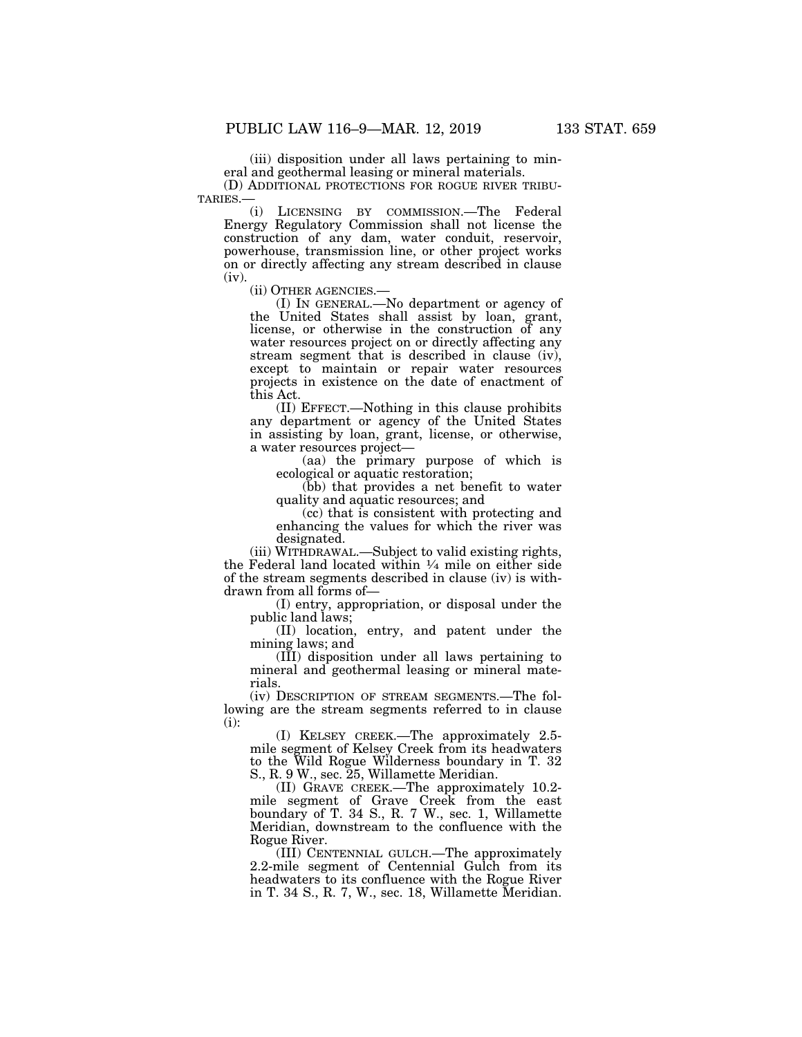(iii) disposition under all laws pertaining to mineral and geothermal leasing or mineral materials.

(D) ADDITIONAL PROTECTIONS FOR ROGUE RIVER TRIBU-TARIES.—

(i) LICENSING BY COMMISSION.—The Federal Energy Regulatory Commission shall not license the construction of any dam, water conduit, reservoir, powerhouse, transmission line, or other project works on or directly affecting any stream described in clause

(iv).<br>(ii) OTHER AGENCIES.-

 $(I)$  In GENERAL.—No department or agency of the United States shall assist by loan, grant, license, or otherwise in the construction of any water resources project on or directly affecting any stream segment that is described in clause (iv), except to maintain or repair water resources projects in existence on the date of enactment of this Act.

(II) EFFECT.—Nothing in this clause prohibits any department or agency of the United States in assisting by loan, grant, license, or otherwise, a water resources project—

(aa) the primary purpose of which is ecological or aquatic restoration;

(bb) that provides a net benefit to water quality and aquatic resources; and

(cc) that is consistent with protecting and enhancing the values for which the river was designated.

(iii) WITHDRAWAL.—Subject to valid existing rights, the Federal land located within  $\frac{1}{4}$  mile on either side of the stream segments described in clause (iv) is withdrawn from all forms of—

(I) entry, appropriation, or disposal under the public land laws;

(II) location, entry, and patent under the mining laws; and

(III) disposition under all laws pertaining to mineral and geothermal leasing or mineral materials.

(iv) DESCRIPTION OF STREAM SEGMENTS.—The following are the stream segments referred to in clause (i):

(I) KELSEY CREEK.—The approximately 2.5 mile segment of Kelsey Creek from its headwaters to the Wild Rogue Wilderness boundary in T. 32 S., R. 9 W., sec. 25, Willamette Meridian.

(II) GRAVE CREEK.—The approximately 10.2 mile segment of Grave Creek from the east boundary of T. 34 S., R. 7 W., sec. 1, Willamette Meridian, downstream to the confluence with the Rogue River.

(III) CENTENNIAL GULCH.—The approximately 2.2-mile segment of Centennial Gulch from its headwaters to its confluence with the Rogue River in T. 34 S., R. 7, W., sec. 18, Willamette Meridian.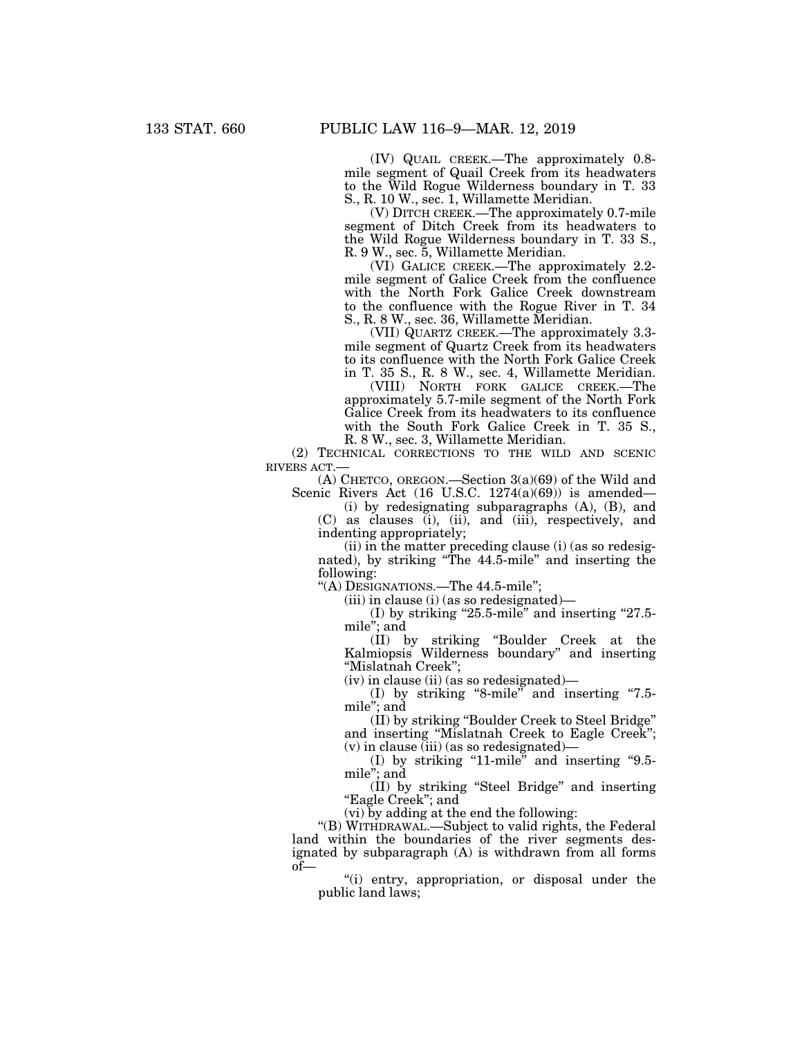(IV) QUAIL CREEK.—The approximately 0.8 mile segment of Quail Creek from its headwaters to the Wild Rogue Wilderness boundary in T. 33 S., R. 10 W., sec. 1, Willamette Meridian.

(V) DITCH CREEK.—The approximately 0.7-mile segment of Ditch Creek from its headwaters to the Wild Rogue Wilderness boundary in T. 33 S., R. 9 W., sec. 5, Willamette Meridian.

(VI) GALICE CREEK.—The approximately 2.2 mile segment of Galice Creek from the confluence with the North Fork Galice Creek downstream to the confluence with the Rogue River in T. 34 S., R. 8 W., sec. 36, Willamette Meridian.

(VII) QUARTZ CREEK.—The approximately 3.3 mile segment of Quartz Creek from its headwaters to its confluence with the North Fork Galice Creek in T. 35 S., R. 8 W., sec. 4, Willamette Meridian.

(VIII) NORTH FORK GALICE CREEK.—The approximately 5.7-mile segment of the North Fork Galice Creek from its headwaters to its confluence with the South Fork Galice Creek in T. 35 S., R. 8 W., sec. 3, Willamette Meridian.

(2) TECHNICAL CORRECTIONS TO THE WILD AND SCENIC RIVERS ACT.—

(A) CHETCO, OREGON.—Section 3(a)(69) of the Wild and Scenic Rivers Act  $(16 \text{ U.S.C. } 1274(a)(69))$  is amended—

(i) by redesignating subparagraphs (A), (B), and (C) as clauses (i), (ii), and (iii), respectively, and indenting appropriately;

(ii) in the matter preceding clause (i) (as so redesignated), by striking ''The 44.5-mile'' and inserting the following:

''(A) DESIGNATIONS.—The 44.5-mile'';

 $(iii)$  in clause  $(i)$  (as so redesignated)—

(I) by striking "25.5-mile" and inserting "27.5mile''; and

(II) by striking ''Boulder Creek at the Kalmiopsis Wilderness boundary'' and inserting ''Mislatnah Creek'';

(iv) in clause (ii) (as so redesignated)—

(I) by striking "8-mile" and inserting "7.5mile''; and

(II) by striking ''Boulder Creek to Steel Bridge'' and inserting ''Mislatnah Creek to Eagle Creek'';  $(v)$  in clause (iii) (as so redesignated)—

(I) by striking "11-mile" and inserting "9.5mile''; and

(II) by striking ''Steel Bridge'' and inserting "Eagle Creek"; and

(vi) by adding at the end the following:

''(B) WITHDRAWAL.—Subject to valid rights, the Federal land within the boundaries of the river segments designated by subparagraph (A) is withdrawn from all forms of—

''(i) entry, appropriation, or disposal under the public land laws;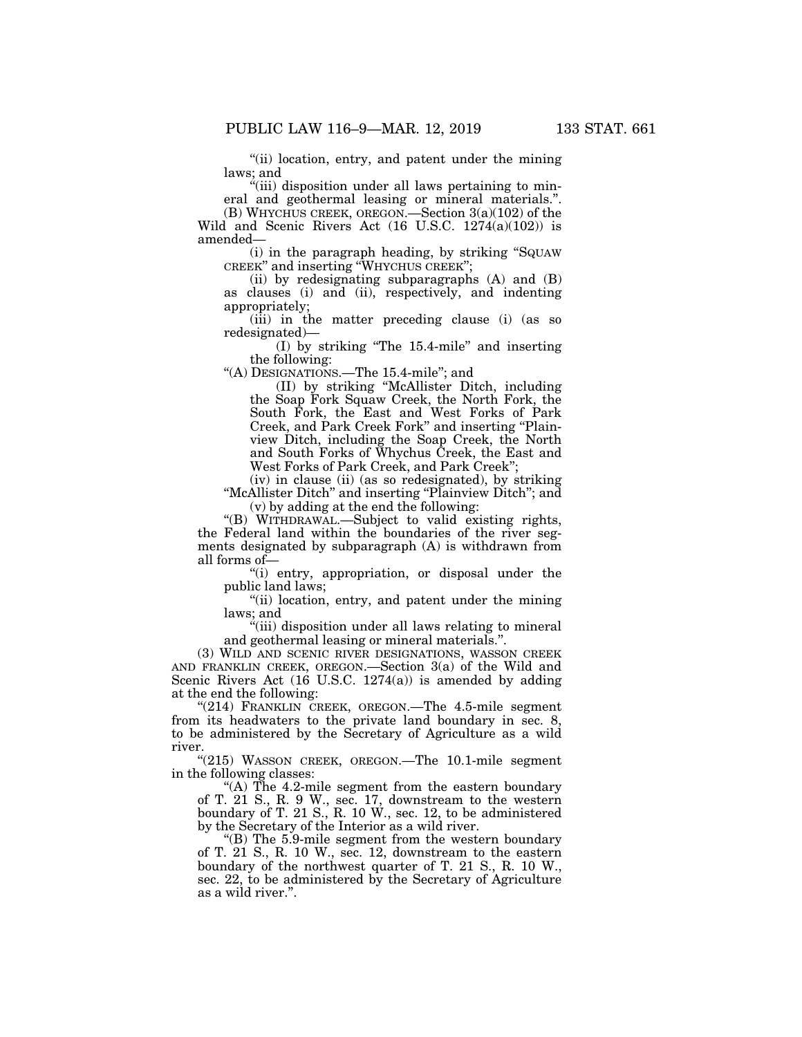''(ii) location, entry, and patent under the mining laws; and

"(iii) disposition under all laws pertaining to mineral and geothermal leasing or mineral materials.''. (B) WHYCHUS CREEK, OREGON.—Section 3(a)(102) of the Wild and Scenic Rivers Act (16 U.S.C. 1274(a)(102)) is

amended—

(i) in the paragraph heading, by striking ''SQUAW CREEK'' and inserting ''WHYCHUS CREEK'';

(ii) by redesignating subparagraphs (A) and (B) as clauses (i) and (ii), respectively, and indenting appropriately;

(iii) in the matter preceding clause (i) (as so redesignated)—

(I) by striking ''The 15.4-mile'' and inserting the following:

''(A) DESIGNATIONS.—The 15.4-mile''; and

(II) by striking ''McAllister Ditch, including the Soap Fork Squaw Creek, the North Fork, the South Fork, the East and West Forks of Park Creek, and Park Creek Fork'' and inserting ''Plainview Ditch, including the Soap Creek, the North and South Forks of Whychus Creek, the East and West Forks of Park Creek, and Park Creek'';

(iv) in clause (ii) (as so redesignated), by striking ''McAllister Ditch'' and inserting ''Plainview Ditch''; and (v) by adding at the end the following:

''(B) WITHDRAWAL.—Subject to valid existing rights, the Federal land within the boundaries of the river segments designated by subparagraph (A) is withdrawn from all forms of—

''(i) entry, appropriation, or disposal under the public land laws;

''(ii) location, entry, and patent under the mining laws; and

''(iii) disposition under all laws relating to mineral and geothermal leasing or mineral materials.''.

(3) WILD AND SCENIC RIVER DESIGNATIONS, WASSON CREEK AND FRANKLIN CREEK, OREGON.—Section 3(a) of the Wild and Scenic Rivers Act (16 U.S.C. 1274(a)) is amended by adding at the end the following:

"(214) FRANKLIN CREEK, OREGON.—The 4.5-mile segment from its headwaters to the private land boundary in sec. 8, to be administered by the Secretary of Agriculture as a wild river.

"(215) WASSON CREEK, OREGON.—The 10.1-mile segment in the following classes:

"(A) The 4.2-mile segment from the eastern boundary of T. 21 S., R. 9 W., sec. 17, downstream to the western boundary of T. 21 S., R. 10 W., sec. 12, to be administered by the Secretary of the Interior as a wild river.

''(B) The 5.9-mile segment from the western boundary of T. 21 S., R. 10 W., sec. 12, downstream to the eastern boundary of the northwest quarter of T. 21 S., R. 10 W., sec. 22, to be administered by the Secretary of Agriculture as a wild river.''.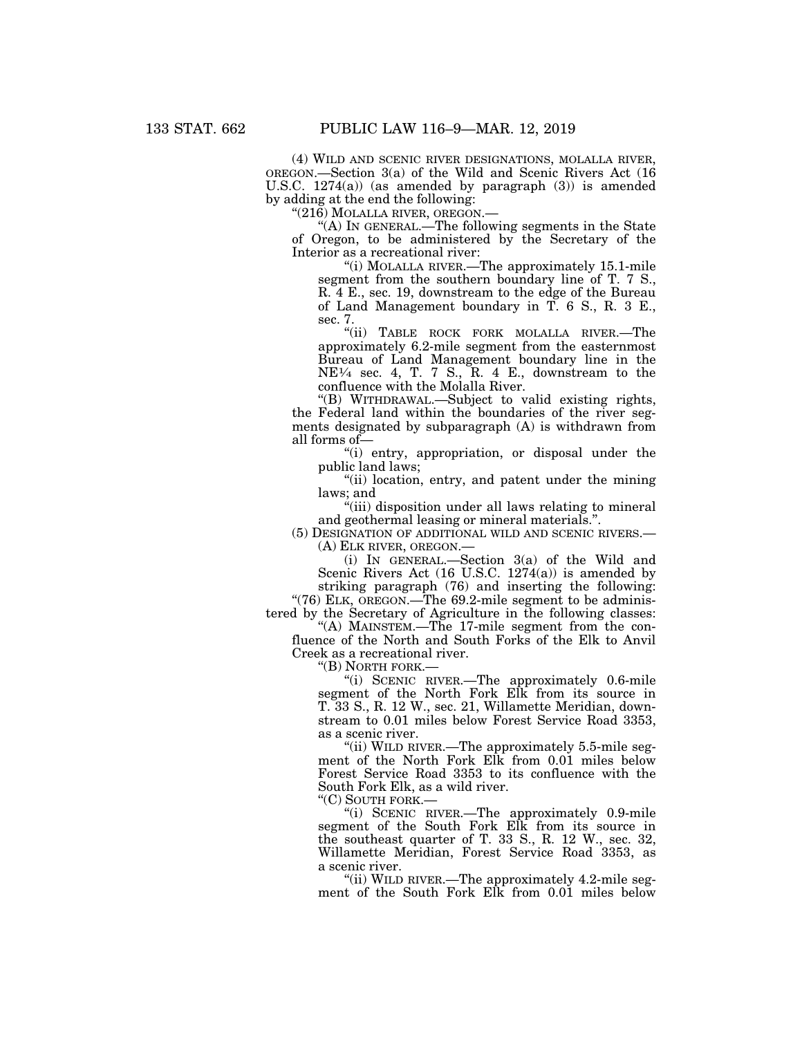(4) WILD AND SCENIC RIVER DESIGNATIONS, MOLALLA RIVER, OREGON.—Section 3(a) of the Wild and Scenic Rivers Act (16 U.S.C. 1274(a)) (as amended by paragraph (3)) is amended by adding at the end the following:

 $"({\bf 21\bar{6}})$  MOLALLA RIVER, OREGON.—

''(A) IN GENERAL.—The following segments in the State of Oregon, to be administered by the Secretary of the Interior as a recreational river:

''(i) MOLALLA RIVER.—The approximately 15.1-mile segment from the southern boundary line of T. 7 S., R. 4 E., sec. 19, downstream to the edge of the Bureau of Land Management boundary in T. 6 S., R. 3 E., sec. 7.

"(ii) TABLE ROCK FORK MOLALLA RIVER.-The approximately 6.2-mile segment from the easternmost Bureau of Land Management boundary line in the  $NE<sup>1</sup>/<sub>4</sub>$  sec. 4, T. 7 S., R. 4 E., downstream to the confluence with the Molalla River.

''(B) WITHDRAWAL.—Subject to valid existing rights, the Federal land within the boundaries of the river segments designated by subparagraph (A) is withdrawn from all forms of—

''(i) entry, appropriation, or disposal under the public land laws;

''(ii) location, entry, and patent under the mining laws; and

"(iii) disposition under all laws relating to mineral and geothermal leasing or mineral materials.''.

(5) DESIGNATION OF ADDITIONAL WILD AND SCENIC RIVERS.— (A) ELK RIVER, OREGON.—

(i) IN GENERAL.—Section 3(a) of the Wild and Scenic Rivers Act (16 U.S.C. 1274(a)) is amended by striking paragraph (76) and inserting the following:

"(76) ELK, OREGON.—The 69.2-mile segment to be administered by the Secretary of Agriculture in the following classes:

"(A) MAINSTEM.—The 17-mile segment from the confluence of the North and South Forks of the Elk to Anvil Creek as a recreational river.

''(B) NORTH FORK.—

''(i) SCENIC RIVER.—The approximately 0.6-mile segment of the North Fork Elk from its source in T. 33 S., R. 12 W., sec. 21, Willamette Meridian, downstream to 0.01 miles below Forest Service Road 3353, as a scenic river.

"(ii) WILD RIVER.—The approximately 5.5-mile segment of the North Fork Elk from 0.01 miles below Forest Service Road 3353 to its confluence with the South Fork Elk, as a wild river.

"(C) SOUTH FORK.-

''(i) SCENIC RIVER.—The approximately 0.9-mile segment of the South Fork Elk from its source in the southeast quarter of T. 33 S., R. 12 W., sec. 32, Willamette Meridian, Forest Service Road 3353, as a scenic river.

''(ii) WILD RIVER.—The approximately 4.2-mile segment of the South Fork Elk from 0.01 miles below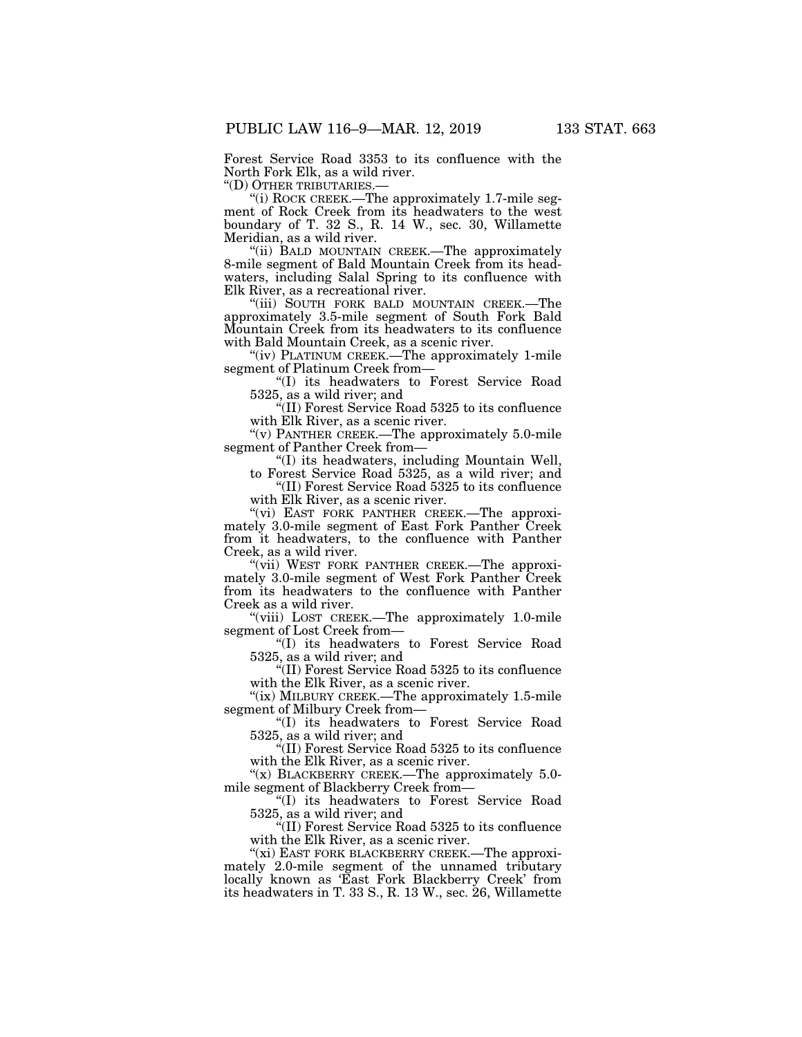Forest Service Road 3353 to its confluence with the North Fork Elk, as a wild river.

''(D) OTHER TRIBUTARIES.—

''(i) ROCK CREEK.—The approximately 1.7-mile segment of Rock Creek from its headwaters to the west boundary of T. 32 S., R. 14 W., sec. 30, Willamette Meridian, as a wild river.

"(ii) BALD MOUNTAIN CREEK.—The approximately 8-mile segment of Bald Mountain Creek from its headwaters, including Salal Spring to its confluence with Elk River, as a recreational river.

"(iii) SOUTH FORK BALD MOUNTAIN CREEK.—The approximately 3.5-mile segment of South Fork Bald Mountain Creek from its headwaters to its confluence with Bald Mountain Creek, as a scenic river.

''(iv) PLATINUM CREEK.—The approximately 1-mile segment of Platinum Creek from—

''(I) its headwaters to Forest Service Road 5325, as a wild river; and

''(II) Forest Service Road 5325 to its confluence with Elk River, as a scenic river.

"(v) PANTHER CREEK.—The approximately  $5.0$ -mile segment of Panther Creek from—

''(I) its headwaters, including Mountain Well,

to Forest Service Road 5325, as a wild river; and ''(II) Forest Service Road 5325 to its confluence

with Elk River, as a scenic river.

"(vi) EAST FORK PANTHER CREEK.-The approximately 3.0-mile segment of East Fork Panther Creek from it headwaters, to the confluence with Panther Creek, as a wild river.

''(vii) WEST FORK PANTHER CREEK.—The approximately 3.0-mile segment of West Fork Panther Creek from its headwaters to the confluence with Panther Creek as a wild river.

''(viii) LOST CREEK.—The approximately 1.0-mile segment of Lost Creek from—

''(I) its headwaters to Forest Service Road 5325, as a wild river; and

''(II) Forest Service Road 5325 to its confluence with the Elk River, as a scenic river.

"(ix) MILBURY CREEK.—The approximately 1.5-mile segment of Milbury Creek from—

''(I) its headwaters to Forest Service Road 5325, as a wild river; and

''(II) Forest Service Road 5325 to its confluence with the Elk River, as a scenic river.

" $(x)$  BLACKBERRY CREEK.—The approximately 5.0mile segment of Blackberry Creek from—

''(I) its headwaters to Forest Service Road 5325, as a wild river; and

''(II) Forest Service Road 5325 to its confluence with the Elk River, as a scenic river.

" $(xi)$  EAST FORK BLACKBERRY CREEK.—The approximately 2.0-mile segment of the unnamed tributary locally known as 'East Fork Blackberry Creek' from its headwaters in T. 33 S., R. 13 W., sec. 26, Willamette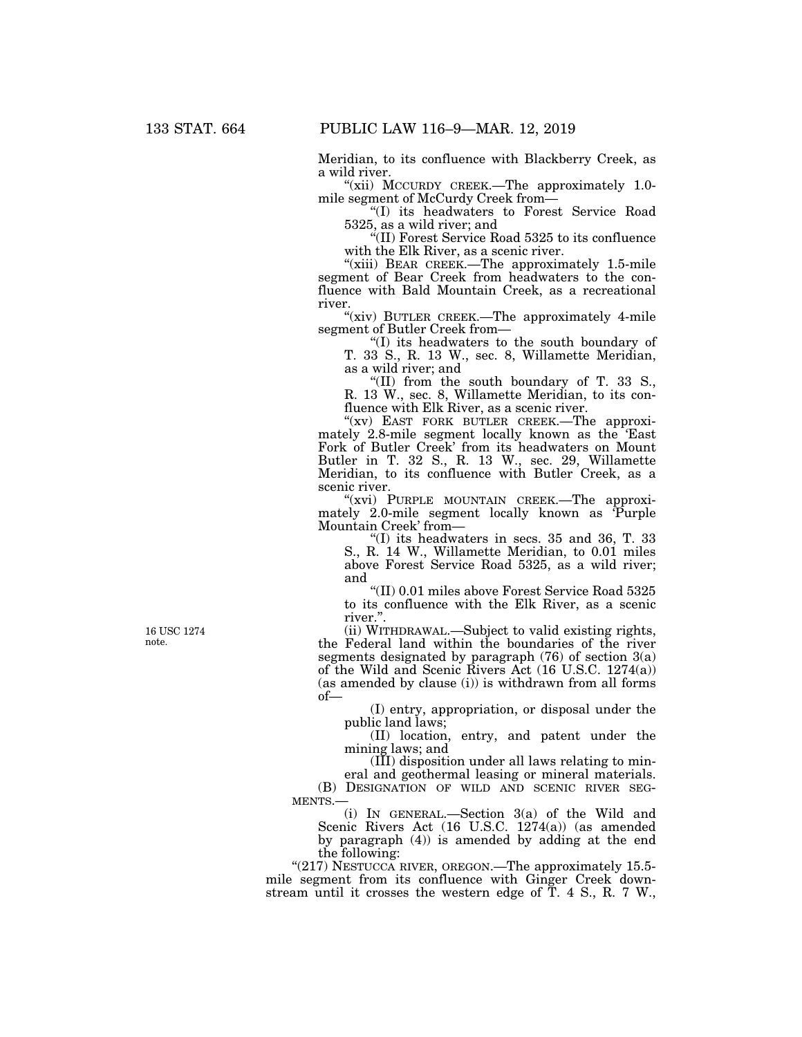Meridian, to its confluence with Blackberry Creek, as a wild river.

"(xii) MCCURDY CREEK.—The approximately 1.0mile segment of McCurdy Creek from-

''(I) its headwaters to Forest Service Road 5325, as a wild river; and

''(II) Forest Service Road 5325 to its confluence with the Elk River, as a scenic river.

"(xiii) BEAR CREEK.—The approximately 1.5-mile segment of Bear Creek from headwaters to the confluence with Bald Mountain Creek, as a recreational river.

"(xiv) BUTLER CREEK.-The approximately 4-mile segment of Butler Creek from—

''(I) its headwaters to the south boundary of T. 33 S., R. 13 W., sec. 8, Willamette Meridian, as a wild river; and

"(II) from the south boundary of T. 33 S., R. 13 W., sec. 8, Willamette Meridian, to its confluence with Elk River, as a scenic river.

"(xv) EAST FORK BUTLER CREEK.-The approximately 2.8-mile segment locally known as the 'East Fork of Butler Creek' from its headwaters on Mount Butler in T. 32 S., R. 13 W., sec. 29, Willamette Meridian, to its confluence with Butler Creek, as a scenic river.

"(xvi) PURPLE MOUNTAIN CREEK.—The approximately 2.0-mile segment locally known as 'Purple Mountain Creek' from—

 $\degree$ (I) its headwaters in secs. 35 and 36, T. 33 S., R. 14 W., Willamette Meridian, to 0.01 miles above Forest Service Road 5325, as a wild river; and

''(II) 0.01 miles above Forest Service Road 5325 to its confluence with the Elk River, as a scenic river.''.

(ii) WITHDRAWAL.—Subject to valid existing rights, the Federal land within the boundaries of the river segments designated by paragraph  $(76)$  of section  $3(a)$ of the Wild and Scenic Rivers Act (16 U.S.C. 1274(a)) (as amended by clause (i)) is withdrawn from all forms of—

(I) entry, appropriation, or disposal under the public land laws;

(II) location, entry, and patent under the mining laws; and

(III) disposition under all laws relating to mineral and geothermal leasing or mineral materials.

(B) DESIGNATION OF WILD AND SCENIC RIVER SEG-MENTS.—

(i) IN GENERAL.—Section 3(a) of the Wild and Scenic Rivers Act (16 U.S.C. 1274(a)) (as amended by paragraph (4)) is amended by adding at the end the following:

" $(217)$  NESTUCCA RIVER, OREGON.—The approximately 15.5mile segment from its confluence with Ginger Creek downstream until it crosses the western edge of T. 4 S., R. 7 W.,

16 USC 1274 note.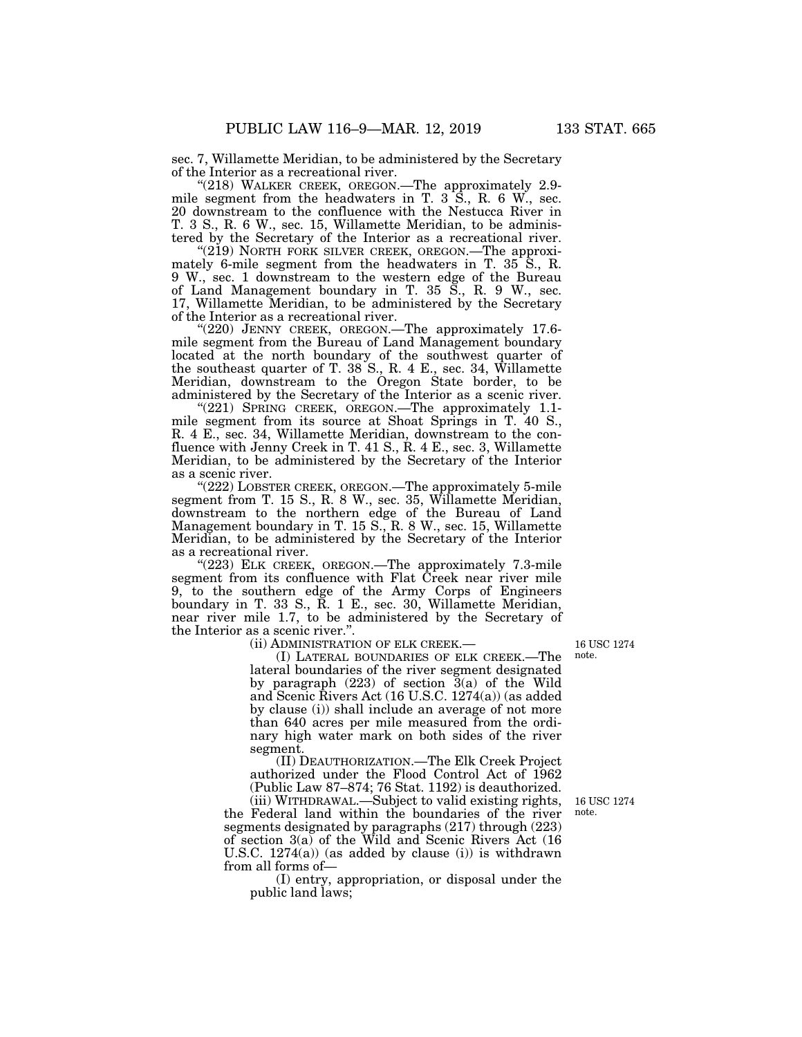sec. 7, Willamette Meridian, to be administered by the Secretary of the Interior as a recreational river.

"(218) WALKER CREEK, OREGON.—The approximately 2.9mile segment from the headwaters in T. 3 S., R. 6 W., sec. 20 downstream to the confluence with the Nestucca River in T. 3 S., R. 6 W., sec. 15, Willamette Meridian, to be administered by the Secretary of the Interior as a recreational river.

"(219) NORTH FORK SILVER CREEK, OREGON.—The approximately 6-mile segment from the headwaters in T. 35 S., R. 9 W., sec. 1 downstream to the western edge of the Bureau of Land Management boundary in T. 35 S., R. 9 W., sec. 17, Willamette Meridian, to be administered by the Secretary of the Interior as a recreational river.

"(220) JENNY CREEK, OREGON.—The approximately 17.6mile segment from the Bureau of Land Management boundary located at the north boundary of the southwest quarter of the southeast quarter of T. 38 S., R. 4 E., sec. 34, Willamette Meridian, downstream to the Oregon State border, to be administered by the Secretary of the Interior as a scenic river.

''(221) SPRING CREEK, OREGON.—The approximately 1.1 mile segment from its source at Shoat Springs in T. 40 S., R. 4 E., sec. 34, Willamette Meridian, downstream to the confluence with Jenny Creek in T. 41 S., R. 4 E., sec. 3, Willamette Meridian, to be administered by the Secretary of the Interior as a scenic river.

"(222) LOBSTER CREEK, OREGON.—The approximately 5-mile segment from T. 15 S., R. 8 W., sec. 35, Willamette Meridian, downstream to the northern edge of the Bureau of Land Management boundary in T. 15 S., R. 8 W., sec. 15, Willamette Meridian, to be administered by the Secretary of the Interior as a recreational river.

"(223) ELK CREEK, OREGON.—The approximately 7.3-mile segment from its confluence with Flat Creek near river mile 9, to the southern edge of the Army Corps of Engineers boundary in T. 33 S., R. 1 E., sec. 30, Willamette Meridian, near river mile 1.7, to be administered by the Secretary of the Interior as a scenic river.''.

(ii) ADMINISTRATION OF ELK CREEK.—

(I) LATERAL BOUNDARIES OF ELK CREEK.—The lateral boundaries of the river segment designated by paragraph (223) of section 3(a) of the Wild and Scenic Rivers Act (16 U.S.C. 1274(a)) (as added by clause (i)) shall include an average of not more than 640 acres per mile measured from the ordinary high water mark on both sides of the river segment.

(II) DEAUTHORIZATION.—The Elk Creek Project authorized under the Flood Control Act of 1962 (Public Law 87–874; 76 Stat. 1192) is deauthorized.

(iii) WITHDRAWAL.—Subject to valid existing rights, the Federal land within the boundaries of the river segments designated by paragraphs (217) through (223) of section 3(a) of the Wild and Scenic Rivers Act (16 U.S.C.  $1274(a)$  (as added by clause (i)) is withdrawn from all forms of—

(I) entry, appropriation, or disposal under the public land laws;

16 USC 1274 note.

16 USC 1274 note.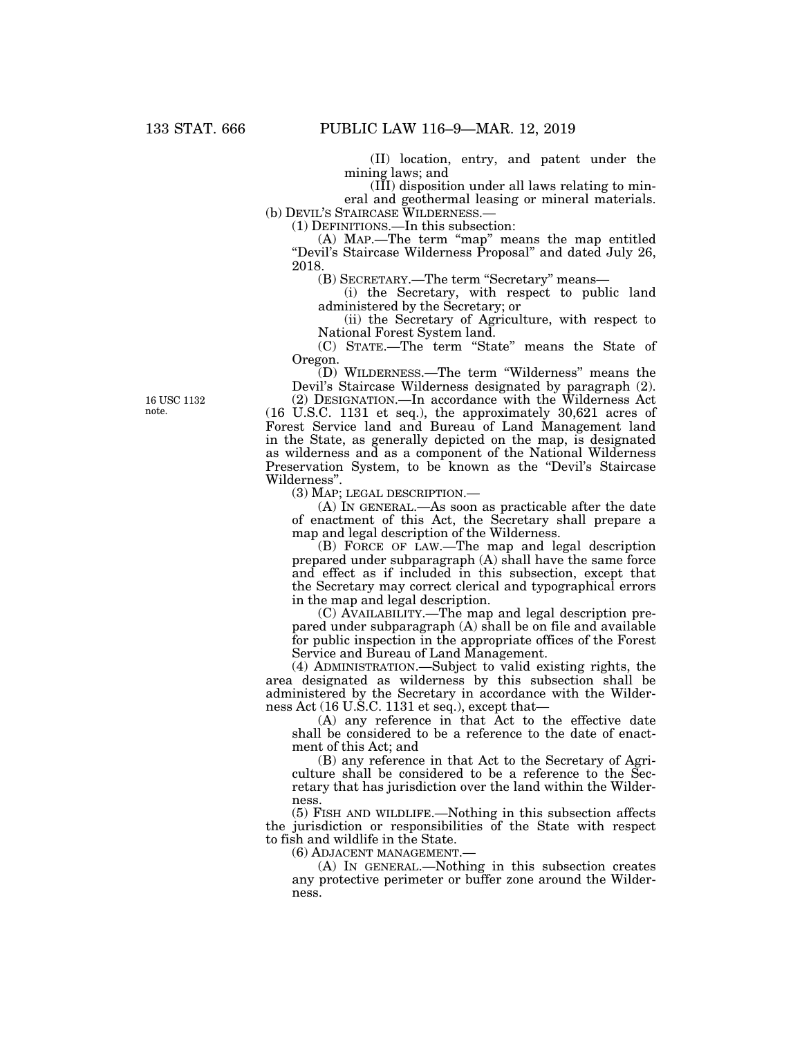(II) location, entry, and patent under the mining laws; and

(III) disposition under all laws relating to mineral and geothermal leasing or mineral materials.

(b) DEVIL'S STAIRCASE WILDERNESS.—

(1) DEFINITIONS.—In this subsection:

(A) MAP.—The term ''map'' means the map entitled "Devil's Staircase Wilderness Proposal" and dated July 26, 2018.

(B) SECRETARY.—The term "Secretary" means—

(i) the Secretary, with respect to public land administered by the Secretary; or

(ii) the Secretary of Agriculture, with respect to National Forest System land.

(C) STATE.—The term ''State'' means the State of Oregon.

(D) WILDERNESS.—The term ''Wilderness'' means the Devil's Staircase Wilderness designated by paragraph (2).

(2) DESIGNATION.—In accordance with the Wilderness Act (16 U.S.C. 1131 et seq.), the approximately 30,621 acres of Forest Service land and Bureau of Land Management land in the State, as generally depicted on the map, is designated as wilderness and as a component of the National Wilderness Preservation System, to be known as the "Devil's Staircase" Wilderness''.

(3) MAP; LEGAL DESCRIPTION.—

(A) IN GENERAL.—As soon as practicable after the date of enactment of this Act, the Secretary shall prepare a map and legal description of the Wilderness.

(B) FORCE OF LAW.—The map and legal description prepared under subparagraph (A) shall have the same force and effect as if included in this subsection, except that the Secretary may correct clerical and typographical errors in the map and legal description.

(C) AVAILABILITY.—The map and legal description prepared under subparagraph (A) shall be on file and available for public inspection in the appropriate offices of the Forest Service and Bureau of Land Management.

(4) ADMINISTRATION.—Subject to valid existing rights, the area designated as wilderness by this subsection shall be administered by the Secretary in accordance with the Wilderness Act (16 U.S.C. 1131 et seq.), except that—

(A) any reference in that Act to the effective date shall be considered to be a reference to the date of enactment of this Act; and

(B) any reference in that Act to the Secretary of Agriculture shall be considered to be a reference to the Secretary that has jurisdiction over the land within the Wilderness.

(5) FISH AND WILDLIFE.—Nothing in this subsection affects the jurisdiction or responsibilities of the State with respect to fish and wildlife in the State.

(6) ADJACENT MANAGEMENT.—

(A) IN GENERAL.—Nothing in this subsection creates any protective perimeter or buffer zone around the Wilderness.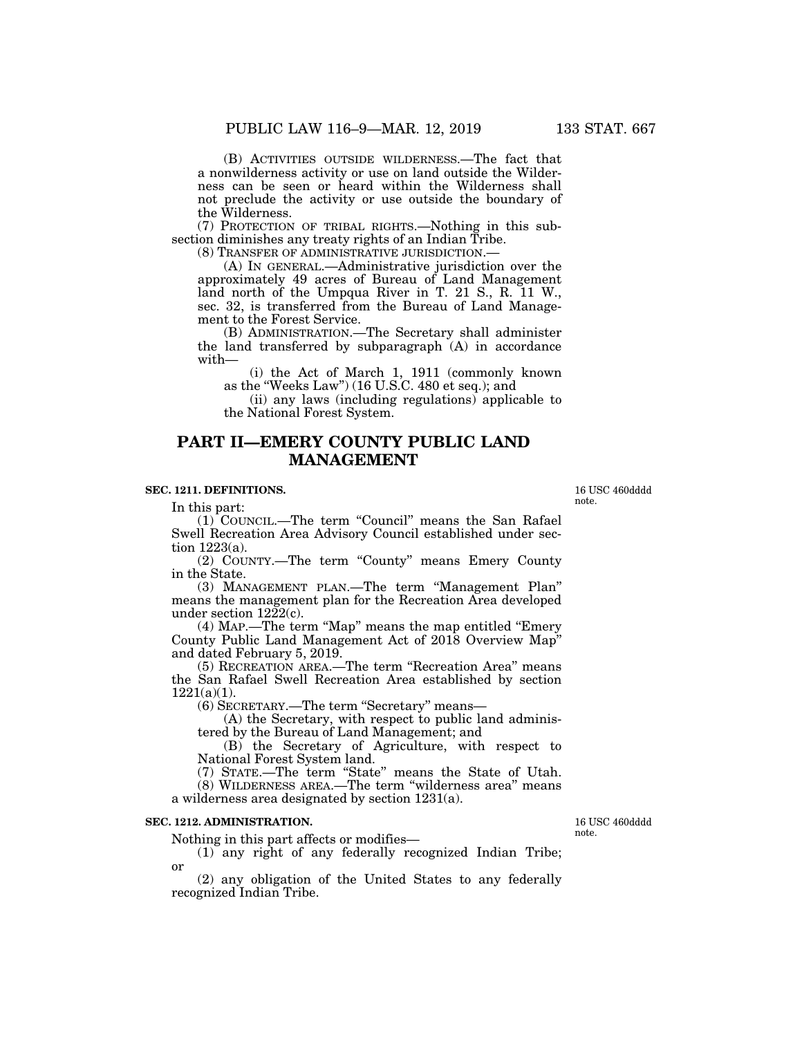(B) ACTIVITIES OUTSIDE WILDERNESS.—The fact that a nonwilderness activity or use on land outside the Wilderness can be seen or heard within the Wilderness shall not preclude the activity or use outside the boundary of

the Wilderness. (7) PROTECTION OF TRIBAL RIGHTS.—Nothing in this subsection diminishes any treaty rights of an Indian Tribe.

(8) TRANSFER OF ADMINISTRATIVE JURISDICTION.—

(A) IN GENERAL.—Administrative jurisdiction over the approximately 49 acres of Bureau of Land Management land north of the Umpqua River in T. 21 S., R. 11 W., sec. 32, is transferred from the Bureau of Land Management to the Forest Service.

(B) ADMINISTRATION.—The Secretary shall administer the land transferred by subparagraph (A) in accordance with—

(i) the Act of March 1, 1911 (commonly known as the ''Weeks Law'') (16 U.S.C. 480 et seq.); and

(ii) any laws (including regulations) applicable to the National Forest System.

# **PART II—EMERY COUNTY PUBLIC LAND MANAGEMENT**

## **SEC. 1211. DEFINITIONS.**

In this part:

(1) COUNCIL.—The term ''Council'' means the San Rafael Swell Recreation Area Advisory Council established under section 1223(a).

(2) COUNTY.—The term ''County'' means Emery County in the State.

(3) MANAGEMENT PLAN.—The term ''Management Plan'' means the management plan for the Recreation Area developed under section  $12\tilde{2}2(c)$ .

(4) MAP.—The term ''Map'' means the map entitled ''Emery County Public Land Management Act of 2018 Overview Map'' and dated February 5, 2019.

(5) RECREATION AREA.—The term ''Recreation Area'' means the San Rafael Swell Recreation Area established by section  $1221(a)(1)$ .

(6) SECRETARY.—The term ''Secretary'' means—

(A) the Secretary, with respect to public land administered by the Bureau of Land Management; and

(B) the Secretary of Agriculture, with respect to National Forest System land.

(7) STATE.—The term ''State'' means the State of Utah. (8) WILDERNESS AREA.—The term ''wilderness area'' means a wilderness area designated by section 1231(a).

### **SEC. 1212. ADMINISTRATION.**

Nothing in this part affects or modifies—

(1) any right of any federally recognized Indian Tribe; or

(2) any obligation of the United States to any federally recognized Indian Tribe.

16 USC 460dddd note.

16 USC 460dddd note.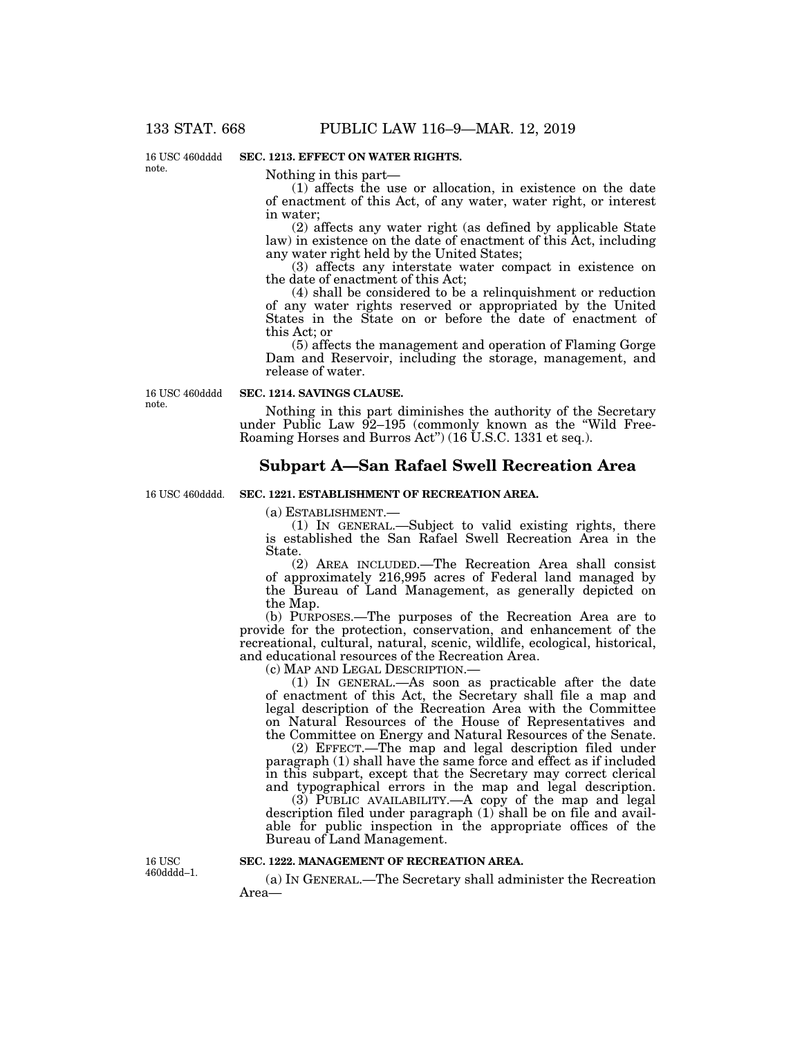16 USC 460dddd note.

### **SEC. 1213. EFFECT ON WATER RIGHTS.**

Nothing in this part—

(1) affects the use or allocation, in existence on the date of enactment of this Act, of any water, water right, or interest in water;

(2) affects any water right (as defined by applicable State law) in existence on the date of enactment of this Act, including any water right held by the United States;

(3) affects any interstate water compact in existence on the date of enactment of this Act;

(4) shall be considered to be a relinquishment or reduction of any water rights reserved or appropriated by the United States in the State on or before the date of enactment of this Act; or

(5) affects the management and operation of Flaming Gorge Dam and Reservoir, including the storage, management, and release of water.

16 USC 460dddd note.

#### **SEC. 1214. SAVINGS CLAUSE.**

Nothing in this part diminishes the authority of the Secretary under Public Law 92-195 (commonly known as the "Wild Free-Roaming Horses and Burros Act'') (16 U.S.C. 1331 et seq.).

## **Subpart A—San Rafael Swell Recreation Area**

#### 16 USC 460dddd.

## (a) ESTABLISHMENT.—

**SEC. 1221. ESTABLISHMENT OF RECREATION AREA.** 

(1) IN GENERAL.—Subject to valid existing rights, there is established the San Rafael Swell Recreation Area in the State.

(2) AREA INCLUDED.—The Recreation Area shall consist of approximately 216,995 acres of Federal land managed by the Bureau of Land Management, as generally depicted on the Map.

(b) PURPOSES.—The purposes of the Recreation Area are to provide for the protection, conservation, and enhancement of the recreational, cultural, natural, scenic, wildlife, ecological, historical, and educational resources of the Recreation Area.

(c) MAP AND LEGAL DESCRIPTION.—

(1) IN GENERAL.—As soon as practicable after the date of enactment of this Act, the Secretary shall file a map and legal description of the Recreation Area with the Committee on Natural Resources of the House of Representatives and the Committee on Energy and Natural Resources of the Senate.

(2) EFFECT.—The map and legal description filed under paragraph (1) shall have the same force and effect as if included in this subpart, except that the Secretary may correct clerical and typographical errors in the map and legal description.

(3) PUBLIC AVAILABILITY.—A copy of the map and legal description filed under paragraph (1) shall be on file and available for public inspection in the appropriate offices of the Bureau of Land Management.

16 USC 460dddd–1.

#### **SEC. 1222. MANAGEMENT OF RECREATION AREA.**

(a) IN GENERAL.—The Secretary shall administer the Recreation Area—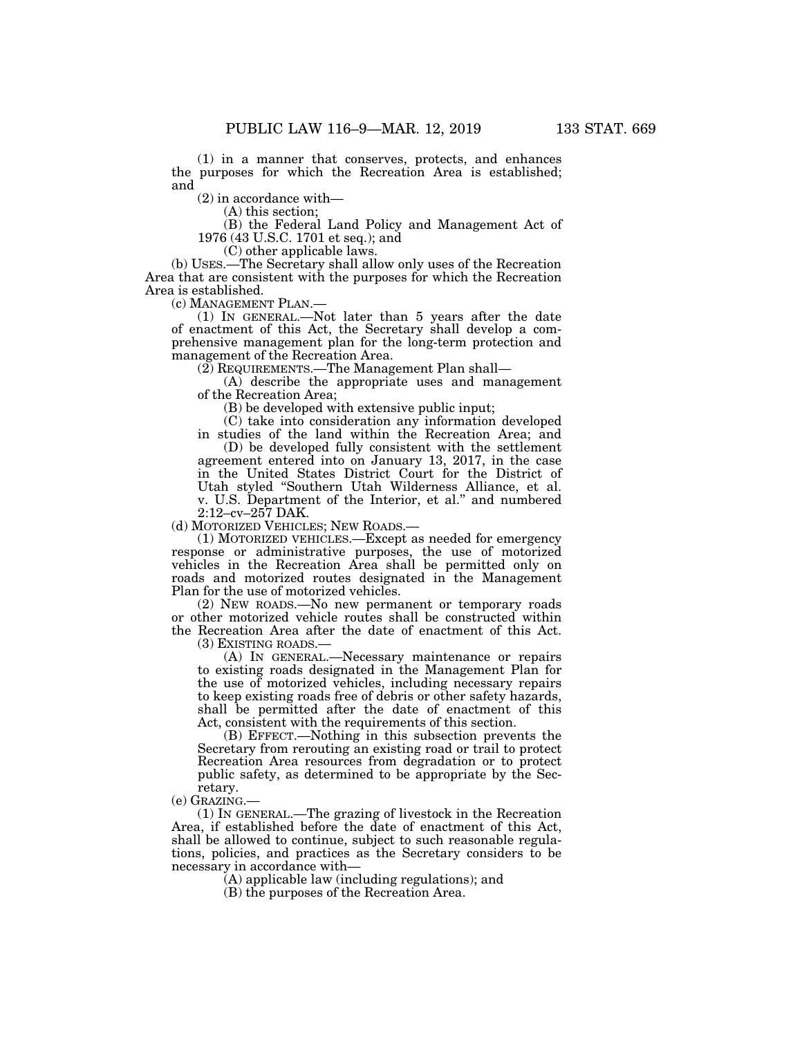(1) in a manner that conserves, protects, and enhances the purposes for which the Recreation Area is established; and

(2) in accordance with—

(A) this section;

(B) the Federal Land Policy and Management Act of 1976 (43 U.S.C. 1701 et seq.); and

(C) other applicable laws.

(b) USES.—The Secretary shall allow only uses of the Recreation Area that are consistent with the purposes for which the Recreation Area is established.

(c) MANAGEMENT PLAN.— (1) IN GENERAL.—Not later than 5 years after the date of enactment of this Act, the Secretary shall develop a comprehensive management plan for the long-term protection and management of the Recreation Area.

(2) REQUIREMENTS.—The Management Plan shall—

(A) describe the appropriate uses and management of the Recreation Area;

(B) be developed with extensive public input;

(C) take into consideration any information developed

in studies of the land within the Recreation Area; and (D) be developed fully consistent with the settlement agreement entered into on January 13, 2017, in the case in the United States District Court for the District of Utah styled ''Southern Utah Wilderness Alliance, et al. v. U.S. Department of the Interior, et al.'' and numbered 2:12–cv–257 DAK.

(d) MOTORIZED VEHICLES; NEW ROADS.—

(1) MOTORIZED VEHICLES.—Except as needed for emergency response or administrative purposes, the use of motorized vehicles in the Recreation Area shall be permitted only on roads and motorized routes designated in the Management Plan for the use of motorized vehicles.

(2) NEW ROADS.—No new permanent or temporary roads or other motorized vehicle routes shall be constructed within the Recreation Area after the date of enactment of this Act. (3) EXISTING ROADS.—

(A) IN GENERAL.—Necessary maintenance or repairs to existing roads designated in the Management Plan for the use of motorized vehicles, including necessary repairs to keep existing roads free of debris or other safety hazards, shall be permitted after the date of enactment of this Act, consistent with the requirements of this section.

(B) EFFECT.—Nothing in this subsection prevents the Secretary from rerouting an existing road or trail to protect Recreation Area resources from degradation or to protect public safety, as determined to be appropriate by the Secretary.

(e) GRAZING.—

(1) IN GENERAL.—The grazing of livestock in the Recreation Area, if established before the date of enactment of this Act, shall be allowed to continue, subject to such reasonable regulations, policies, and practices as the Secretary considers to be necessary in accordance with—

(A) applicable law (including regulations); and

(B) the purposes of the Recreation Area.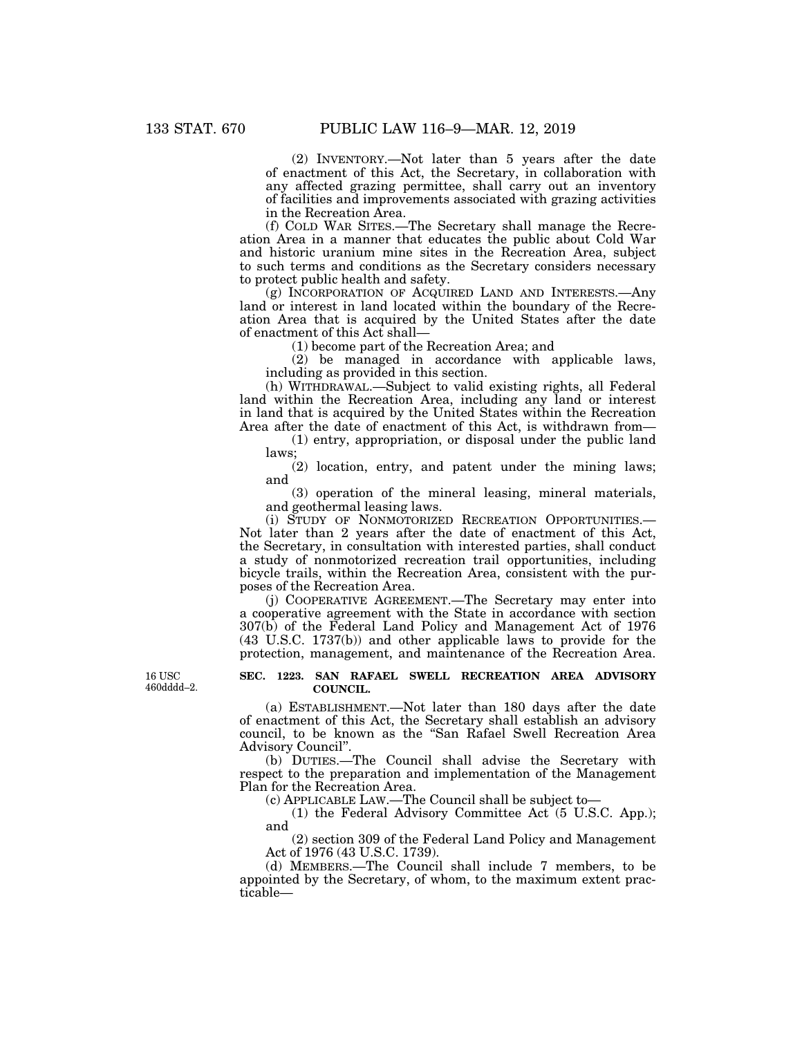(2) INVENTORY.—Not later than 5 years after the date of enactment of this Act, the Secretary, in collaboration with any affected grazing permittee, shall carry out an inventory of facilities and improvements associated with grazing activities in the Recreation Area.

(f) COLD WAR SITES.—The Secretary shall manage the Recreation Area in a manner that educates the public about Cold War and historic uranium mine sites in the Recreation Area, subject to such terms and conditions as the Secretary considers necessary to protect public health and safety.

(g) INCORPORATION OF ACQUIRED LAND AND INTERESTS.—Any land or interest in land located within the boundary of the Recreation Area that is acquired by the United States after the date of enactment of this Act shall—

(1) become part of the Recreation Area; and

(2) be managed in accordance with applicable laws, including as provided in this section.

(h) WITHDRAWAL.—Subject to valid existing rights, all Federal land within the Recreation Area, including any land or interest in land that is acquired by the United States within the Recreation Area after the date of enactment of this Act, is withdrawn from—

(1) entry, appropriation, or disposal under the public land laws;

(2) location, entry, and patent under the mining laws; and

(3) operation of the mineral leasing, mineral materials, and geothermal leasing laws.

(i) STUDY OF NONMOTORIZED RECREATION OPPORTUNITIES.— Not later than 2 years after the date of enactment of this Act, the Secretary, in consultation with interested parties, shall conduct a study of nonmotorized recreation trail opportunities, including bicycle trails, within the Recreation Area, consistent with the purposes of the Recreation Area.

(j) COOPERATIVE AGREEMENT.—The Secretary may enter into a cooperative agreement with the State in accordance with section 307(b) of the Federal Land Policy and Management Act of 1976 (43 U.S.C. 1737(b)) and other applicable laws to provide for the protection, management, and maintenance of the Recreation Area.

**SEC. 1223. SAN RAFAEL SWELL RECREATION AREA ADVISORY COUNCIL.** 

(a) ESTABLISHMENT.—Not later than 180 days after the date of enactment of this Act, the Secretary shall establish an advisory council, to be known as the ''San Rafael Swell Recreation Area Advisory Council''.

(b) DUTIES.—The Council shall advise the Secretary with respect to the preparation and implementation of the Management Plan for the Recreation Area.

(c) APPLICABLE LAW.—The Council shall be subject to—

(1) the Federal Advisory Committee Act (5 U.S.C. App.); and

(2) section 309 of the Federal Land Policy and Management Act of 1976 (43 U.S.C. 1739).

(d) MEMBERS.—The Council shall include 7 members, to be appointed by the Secretary, of whom, to the maximum extent practicable—

16 USC 460dddd–2.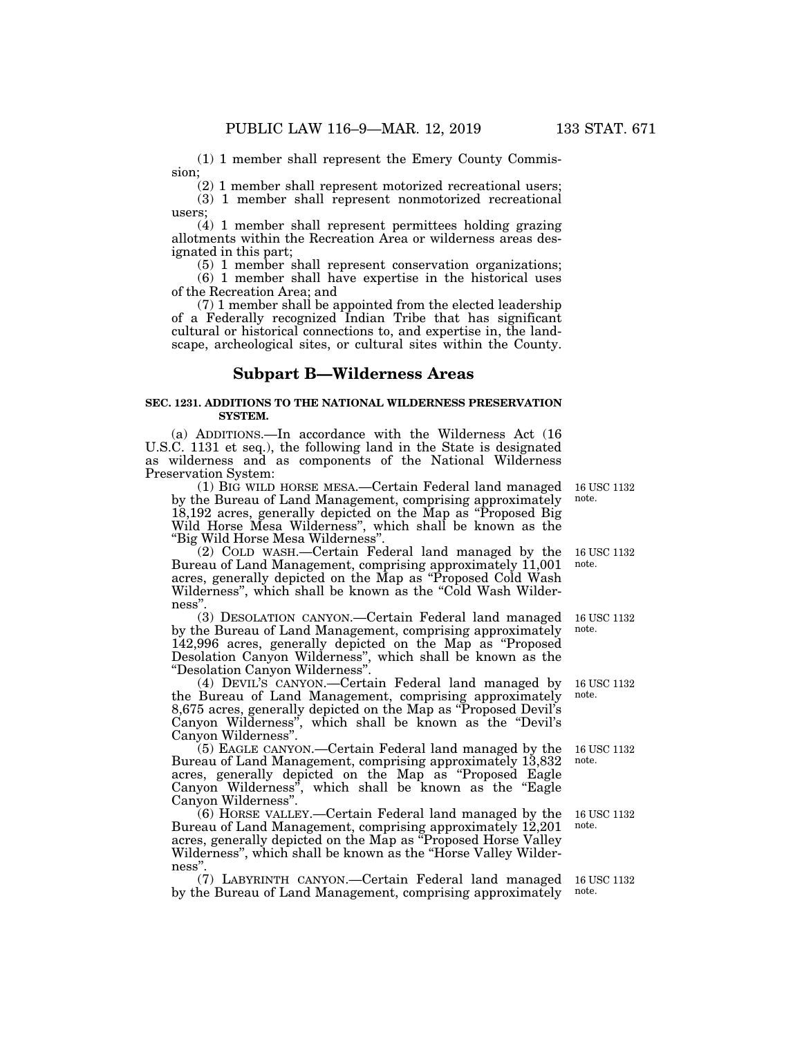(1) 1 member shall represent the Emery County Commission;

(2) 1 member shall represent motorized recreational users;

(3) 1 member shall represent nonmotorized recreational users;

(4) 1 member shall represent permittees holding grazing allotments within the Recreation Area or wilderness areas designated in this part;

(5) 1 member shall represent conservation organizations; (6) 1 member shall have expertise in the historical uses of the Recreation Area; and

(7) 1 member shall be appointed from the elected leadership of a Federally recognized Indian Tribe that has significant cultural or historical connections to, and expertise in, the landscape, archeological sites, or cultural sites within the County.

## **Subpart B—Wilderness Areas**

#### **SEC. 1231. ADDITIONS TO THE NATIONAL WILDERNESS PRESERVATION SYSTEM.**

(a) ADDITIONS.—In accordance with the Wilderness Act (16 U.S.C. 1131 et seq.), the following land in the State is designated as wilderness and as components of the National Wilderness Preservation System:

(1) BIG WILD HORSE MESA.—Certain Federal land managed 16 USC 1132 by the Bureau of Land Management, comprising approximately 18,192 acres, generally depicted on the Map as ''Proposed Big Wild Horse Mesa Wilderness'', which shall be known as the ''Big Wild Horse Mesa Wilderness''. note.

(2) COLD WASH.—Certain Federal land managed by the Bureau of Land Management, comprising approximately 11,001 acres, generally depicted on the Map as ''Proposed Cold Wash Wilderness", which shall be known as the "Cold Wash Wilderness''.

(3) DESOLATION CANYON.—Certain Federal land managed by the Bureau of Land Management, comprising approximately 142,996 acres, generally depicted on the Map as ''Proposed Desolation Canyon Wilderness'', which shall be known as the ''Desolation Canyon Wilderness''.

(4) DEVIL'S CANYON.—Certain Federal land managed by the Bureau of Land Management, comprising approximately 8,675 acres, generally depicted on the Map as ''Proposed Devil's Canyon Wilderness", which shall be known as the "Devil's Canyon Wilderness''.

(5) EAGLE CANYON.—Certain Federal land managed by the Bureau of Land Management, comprising approximately 13,832 acres, generally depicted on the Map as ''Proposed Eagle Canyon Wilderness'', which shall be known as the ''Eagle Canyon Wilderness''.

(6) HORSE VALLEY.—Certain Federal land managed by the Bureau of Land Management, comprising approximately 12,201 acres, generally depicted on the Map as ''Proposed Horse Valley Wilderness'', which shall be known as the ''Horse Valley Wilderness''.

(7) LABYRINTH CANYON.—Certain Federal land managed by the Bureau of Land Management, comprising approximately

16 USC 1132 note.

16 USC 1132 note.

16 USC 1132 note.

16 USC 1132 note.

16 USC 1132 note.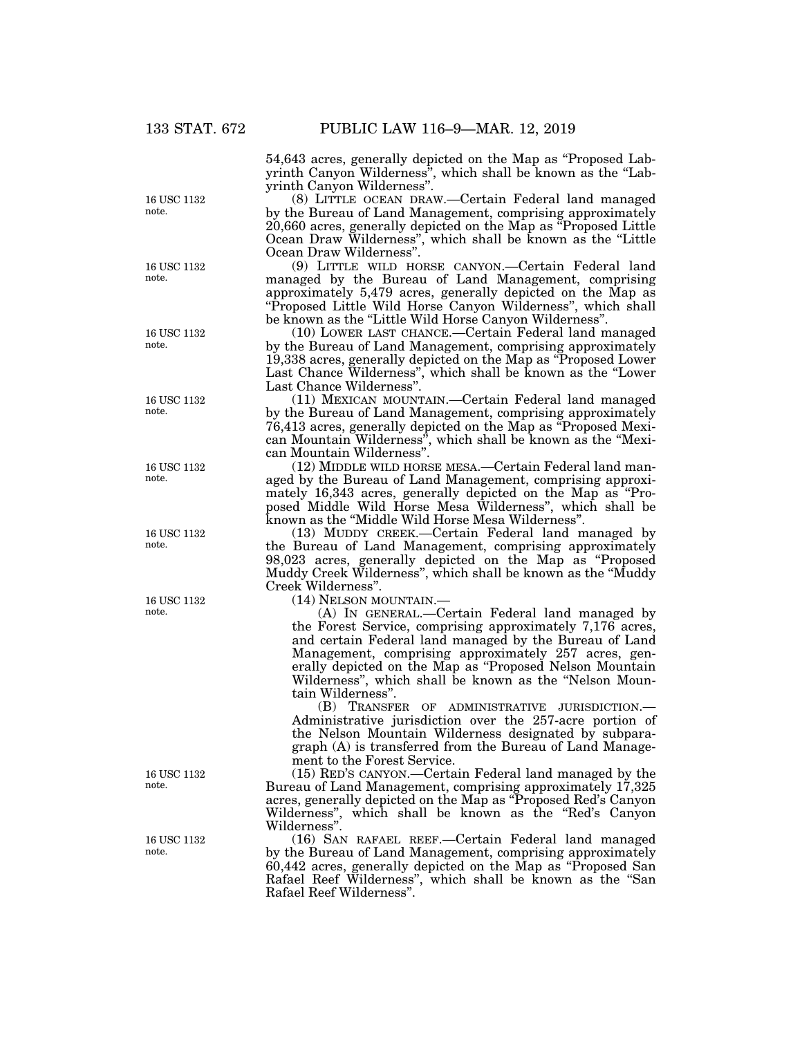54,643 acres, generally depicted on the Map as ''Proposed Labyrinth Canyon Wilderness", which shall be known as the "Labyrinth Canyon Wilderness''.

(8) LITTLE OCEAN DRAW.—Certain Federal land managed by the Bureau of Land Management, comprising approximately 20,660 acres, generally depicted on the Map as ''Proposed Little Ocean Draw Wilderness'', which shall be known as the ''Little Ocean Draw Wilderness''.

(9) LITTLE WILD HORSE CANYON.—Certain Federal land managed by the Bureau of Land Management, comprising approximately 5,479 acres, generally depicted on the Map as "Proposed Little Wild Horse Canyon Wilderness", which shall be known as the "Little Wild Horse Canyon Wilderness".

(10) LOWER LAST CHANCE.—Certain Federal land managed by the Bureau of Land Management, comprising approximately 19,338 acres, generally depicted on the Map as ''Proposed Lower Last Chance Wilderness'', which shall be known as the ''Lower Last Chance Wilderness''.

(11) MEXICAN MOUNTAIN.—Certain Federal land managed by the Bureau of Land Management, comprising approximately 76,413 acres, generally depicted on the Map as ''Proposed Mexican Mountain Wilderness'', which shall be known as the ''Mexican Mountain Wilderness''.

(12) MIDDLE WILD HORSE MESA.—Certain Federal land managed by the Bureau of Land Management, comprising approximately 16,343 acres, generally depicted on the Map as ''Proposed Middle Wild Horse Mesa Wilderness'', which shall be known as the ''Middle Wild Horse Mesa Wilderness''.

(13) MUDDY CREEK.—Certain Federal land managed by the Bureau of Land Management, comprising approximately 98,023 acres, generally depicted on the Map as ''Proposed Muddy Creek Wilderness'', which shall be known as the ''Muddy Creek Wilderness''.

(14) NELSON MOUNTAIN.—

(A) IN GENERAL.—Certain Federal land managed by the Forest Service, comprising approximately 7,176 acres, and certain Federal land managed by the Bureau of Land Management, comprising approximately 257 acres, generally depicted on the Map as ''Proposed Nelson Mountain Wilderness", which shall be known as the "Nelson Mountain Wilderness''.

(B) TRANSFER OF ADMINISTRATIVE JURISDICTION.— Administrative jurisdiction over the 257-acre portion of the Nelson Mountain Wilderness designated by subparagraph (A) is transferred from the Bureau of Land Management to the Forest Service.

(15) RED'S CANYON.—Certain Federal land managed by the Bureau of Land Management, comprising approximately 17,325 acres, generally depicted on the Map as ''Proposed Red's Canyon Wilderness", which shall be known as the "Red's Canyon Wilderness''.

(16) SAN RAFAEL REEF.—Certain Federal land managed by the Bureau of Land Management, comprising approximately 60,442 acres, generally depicted on the Map as ''Proposed San Rafael Reef Wilderness'', which shall be known as the ''San Rafael Reef Wilderness''.

16 USC 1132 note.

16 USC 1132 note.

16 USC 1132 note.

16 USC 1132 note.

16 USC 1132 note.

16 USC 1132 note.

16 USC 1132 note.

16 USC 1132 note.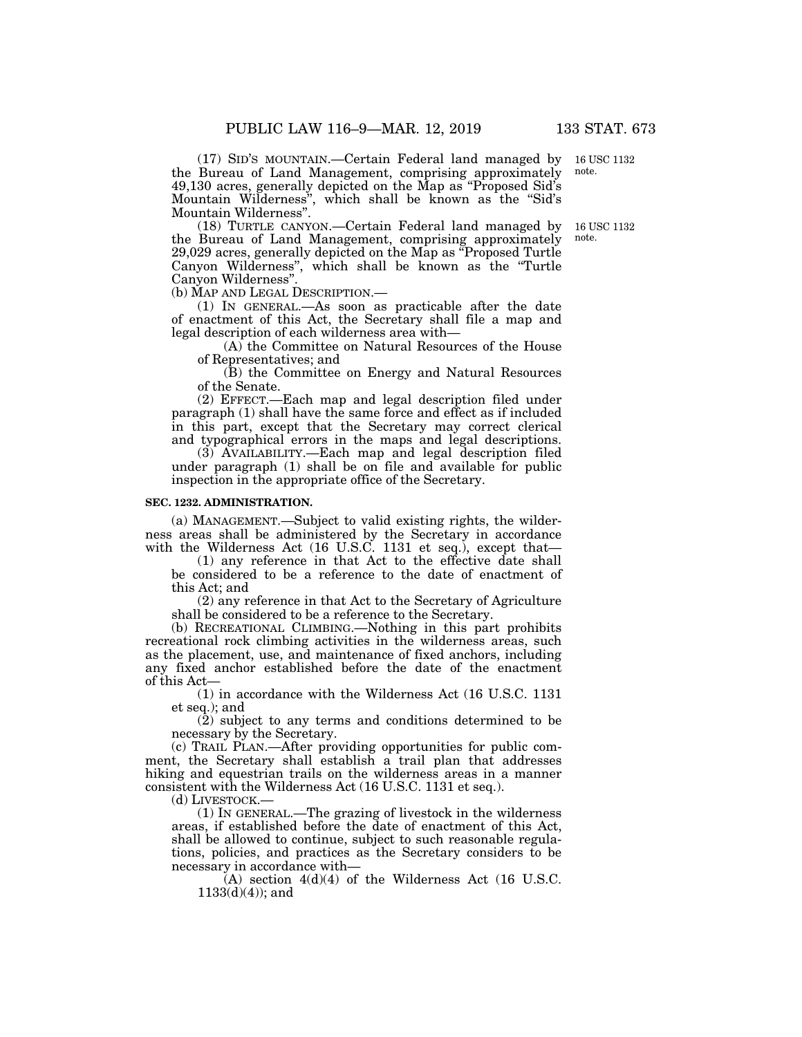(17) SID'S MOUNTAIN.—Certain Federal land managed by 16 USC 1132 the Bureau of Land Management, comprising approximately 49,130 acres, generally depicted on the Map as ''Proposed Sid's Mountain Wilderness'', which shall be known as the ''Sid's Mountain Wilderness''.

(18) TURTLE CANYON.—Certain Federal land managed by the Bureau of Land Management, comprising approximately 29,029 acres, generally depicted on the Map as ''Proposed Turtle Canyon Wilderness'', which shall be known as the ''Turtle Canyon Wilderness''.

(b) MAP AND LEGAL DESCRIPTION.—

(1) IN GENERAL.—As soon as practicable after the date of enactment of this Act, the Secretary shall file a map and legal description of each wilderness area with—

(A) the Committee on Natural Resources of the House of Representatives; and

(B) the Committee on Energy and Natural Resources of the Senate.

(2) EFFECT.—Each map and legal description filed under paragraph (1) shall have the same force and effect as if included in this part, except that the Secretary may correct clerical and typographical errors in the maps and legal descriptions.

(3) AVAILABILITY.—Each map and legal description filed under paragraph (1) shall be on file and available for public inspection in the appropriate office of the Secretary.

#### **SEC. 1232. ADMINISTRATION.**

(a) MANAGEMENT.—Subject to valid existing rights, the wilderness areas shall be administered by the Secretary in accordance with the Wilderness Act (16 U.S.C. 1131 et seq.), except that—

(1) any reference in that Act to the effective date shall be considered to be a reference to the date of enactment of this Act; and

(2) any reference in that Act to the Secretary of Agriculture shall be considered to be a reference to the Secretary.

(b) RECREATIONAL CLIMBING.—Nothing in this part prohibits recreational rock climbing activities in the wilderness areas, such as the placement, use, and maintenance of fixed anchors, including any fixed anchor established before the date of the enactment of this Act—

(1) in accordance with the Wilderness Act (16 U.S.C. 1131 et seq.); and

(2) subject to any terms and conditions determined to be necessary by the Secretary.

(c) TRAIL PLAN.—After providing opportunities for public comment, the Secretary shall establish a trail plan that addresses hiking and equestrian trails on the wilderness areas in a manner consistent with the Wilderness Act (16 U.S.C. 1131 et seq.).

(d) LIVESTOCK.—

(1) IN GENERAL.—The grazing of livestock in the wilderness areas, if established before the date of enactment of this Act, shall be allowed to continue, subject to such reasonable regulations, policies, and practices as the Secretary considers to be necessary in accordance with—

 $(A)$  section  $4(d)(4)$  of the Wilderness Act (16 U.S.C.)  $1133(d)(4)$ ; and

note.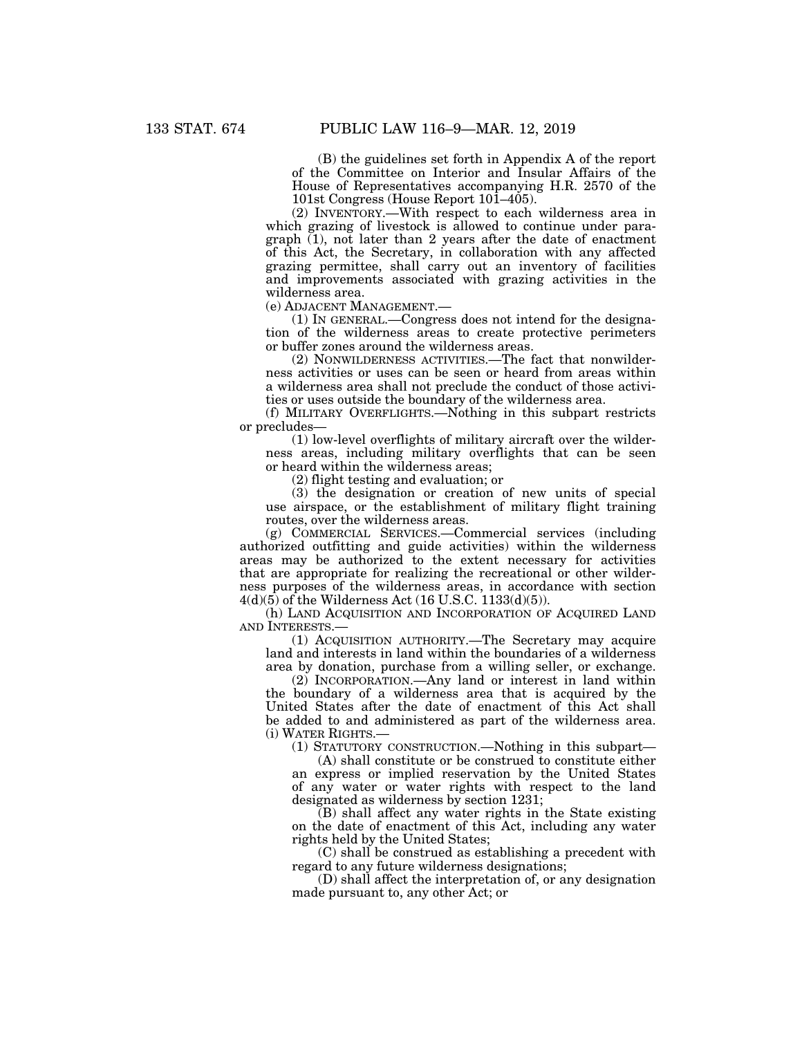(B) the guidelines set forth in Appendix A of the report of the Committee on Interior and Insular Affairs of the House of Representatives accompanying H.R. 2570 of the 101st Congress (House Report 101–405).

(2) INVENTORY.—With respect to each wilderness area in which grazing of livestock is allowed to continue under paragraph  $(1)$ , not later than 2 years after the date of enactment of this Act, the Secretary, in collaboration with any affected grazing permittee, shall carry out an inventory of facilities and improvements associated with grazing activities in the wilderness area.

(e) ADJACENT MANAGEMENT.—

(1) IN GENERAL.—Congress does not intend for the designation of the wilderness areas to create protective perimeters or buffer zones around the wilderness areas.

(2) NONWILDERNESS ACTIVITIES.—The fact that nonwilderness activities or uses can be seen or heard from areas within a wilderness area shall not preclude the conduct of those activities or uses outside the boundary of the wilderness area.

(f) MILITARY OVERFLIGHTS.—Nothing in this subpart restricts or precludes—

(1) low-level overflights of military aircraft over the wilderness areas, including military overflights that can be seen or heard within the wilderness areas;

(2) flight testing and evaluation; or

(3) the designation or creation of new units of special use airspace, or the establishment of military flight training routes, over the wilderness areas.

(g) COMMERCIAL SERVICES.—Commercial services (including authorized outfitting and guide activities) within the wilderness areas may be authorized to the extent necessary for activities that are appropriate for realizing the recreational or other wilderness purposes of the wilderness areas, in accordance with section  $4(d)(5)$  of the Wilderness Act (16 U.S.C. 1133 $(d)(5)$ ).

(h) LAND ACQUISITION AND INCORPORATION OF ACQUIRED LAND AND INTERESTS.—

(1) ACQUISITION AUTHORITY.—The Secretary may acquire land and interests in land within the boundaries of a wilderness area by donation, purchase from a willing seller, or exchange.

(2) INCORPORATION.—Any land or interest in land within the boundary of a wilderness area that is acquired by the United States after the date of enactment of this Act shall be added to and administered as part of the wilderness area. (i) WATER RIGHTS.—

(1) STATUTORY CONSTRUCTION.—Nothing in this subpart—

(A) shall constitute or be construed to constitute either an express or implied reservation by the United States of any water or water rights with respect to the land designated as wilderness by section 1231;

 $(B)$  shall affect any water rights in the State existing on the date of enactment of this Act, including any water rights held by the United States;

(C) shall be construed as establishing a precedent with regard to any future wilderness designations;

(D) shall affect the interpretation of, or any designation made pursuant to, any other Act; or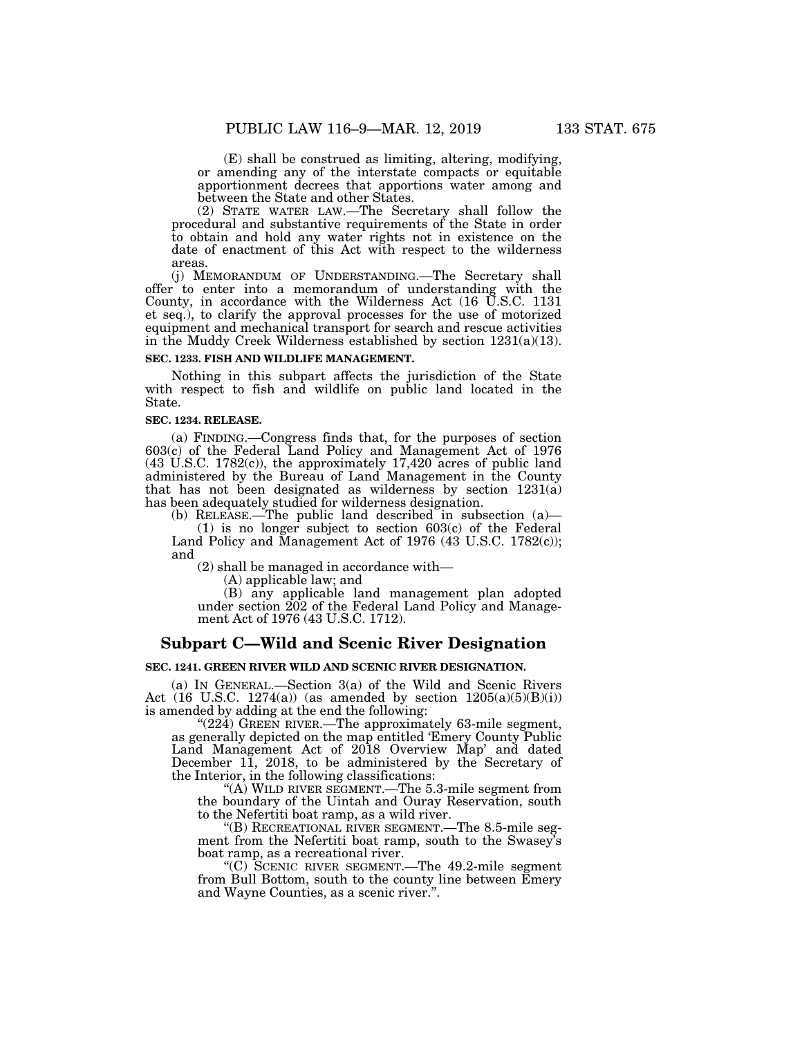(E) shall be construed as limiting, altering, modifying, or amending any of the interstate compacts or equitable apportionment decrees that apportions water among and between the State and other States.

(2) STATE WATER LAW.—The Secretary shall follow the procedural and substantive requirements of the State in order to obtain and hold any water rights not in existence on the date of enactment of this Act with respect to the wilderness areas.

(j) MEMORANDUM OF UNDERSTANDING.—The Secretary shall offer to enter into a memorandum of understanding with the County, in accordance with the Wilderness Act (16 U.S.C. 1131 et seq.), to clarify the approval processes for the use of motorized equipment and mechanical transport for search and rescue activities in the Muddy Creek Wilderness established by section 1231(a)(13).

### **SEC. 1233. FISH AND WILDLIFE MANAGEMENT.**

Nothing in this subpart affects the jurisdiction of the State with respect to fish and wildlife on public land located in the State.

#### **SEC. 1234. RELEASE.**

(a) FINDING.—Congress finds that, for the purposes of section 603(c) of the Federal Land Policy and Management Act of 1976 (43 U.S.C. 1782(c)), the approximately 17,420 acres of public land administered by the Bureau of Land Management in the County that has not been designated as wilderness by section 1231(a) has been adequately studied for wilderness designation.

(b) RELEASE.—The public land described in subsection (a)—

(1) is no longer subject to section 603(c) of the Federal Land Policy and Management Act of 1976 (43 U.S.C. 1782(c)); and

(2) shall be managed in accordance with—

(A) applicable law; and

(B) any applicable land management plan adopted under section  $202$  of the Federal Land Policy and Management Act of 1976 (43 U.S.C. 1712).

## **Subpart C—Wild and Scenic River Designation**

#### **SEC. 1241. GREEN RIVER WILD AND SCENIC RIVER DESIGNATION.**

(a) IN GENERAL.—Section 3(a) of the Wild and Scenic Rivers Act (16 U.S.C. 1274(a)) (as amended by section  $1205(a)(5)(B)(i)$ ) is amended by adding at the end the following:

" $(224)$  GREEN RIVER.—The approximately 63-mile segment, as generally depicted on the map entitled 'Emery County Public Land Management Act of 2018 Overview Map' and dated December 11, 2018, to be administered by the Secretary of the Interior, in the following classifications:

''(A) WILD RIVER SEGMENT.—The 5.3-mile segment from the boundary of the Uintah and Ouray Reservation, south to the Nefertiti boat ramp, as a wild river.

''(B) RECREATIONAL RIVER SEGMENT.—The 8.5-mile segment from the Nefertiti boat ramp, south to the Swasey's boat ramp, as a recreational river.

''(C) SCENIC RIVER SEGMENT.—The 49.2-mile segment from Bull Bottom, south to the county line between Emery and Wayne Counties, as a scenic river.''.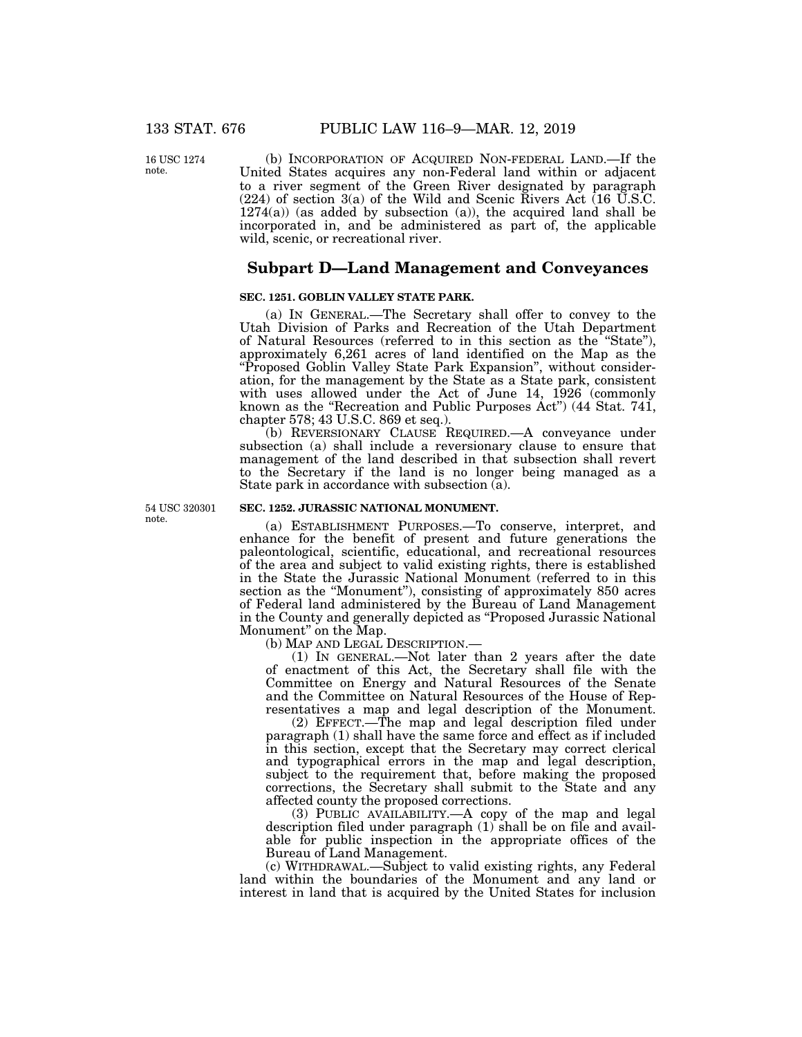16 USC 1274 note.

(b) INCORPORATION OF ACQUIRED NON-FEDERAL LAND.—If the United States acquires any non-Federal land within or adjacent to a river segment of the Green River designated by paragraph (224) of section 3(a) of the Wild and Scenic Rivers Act (16 U.S.C.  $1274(a)$ ) (as added by subsection (a)), the acquired land shall be incorporated in, and be administered as part of, the applicable wild, scenic, or recreational river.

## **Subpart D—Land Management and Conveyances**

## **SEC. 1251. GOBLIN VALLEY STATE PARK.**

(a) IN GENERAL.—The Secretary shall offer to convey to the Utah Division of Parks and Recreation of the Utah Department of Natural Resources (referred to in this section as the ''State''), approximately 6,261 acres of land identified on the Map as the ''Proposed Goblin Valley State Park Expansion'', without consideration, for the management by the State as a State park, consistent with uses allowed under the Act of June 14, 1926 (commonly known as the "Recreation and Public Purposes Act") (44 Stat. 741, chapter 578; 43 U.S.C. 869 et seq.).

(b) REVERSIONARY CLAUSE REQUIRED.—A conveyance under subsection (a) shall include a reversionary clause to ensure that management of the land described in that subsection shall revert to the Secretary if the land is no longer being managed as a State park in accordance with subsection (a).

54 USC 320301 note.

### **SEC. 1252. JURASSIC NATIONAL MONUMENT.**

(a) ESTABLISHMENT PURPOSES.—To conserve, interpret, and enhance for the benefit of present and future generations the paleontological, scientific, educational, and recreational resources of the area and subject to valid existing rights, there is established in the State the Jurassic National Monument (referred to in this section as the "Monument"), consisting of approximately 850 acres of Federal land administered by the Bureau of Land Management in the County and generally depicted as ''Proposed Jurassic National Monument'' on the Map.

(b) MAP AND LEGAL DESCRIPTION.—

(1) IN GENERAL.—Not later than 2 years after the date of enactment of this Act, the Secretary shall file with the Committee on Energy and Natural Resources of the Senate and the Committee on Natural Resources of the House of Representatives a map and legal description of the Monument.

(2) EFFECT.—The map and legal description filed under paragraph (1) shall have the same force and effect as if included in this section, except that the Secretary may correct clerical and typographical errors in the map and legal description, subject to the requirement that, before making the proposed corrections, the Secretary shall submit to the State and any affected county the proposed corrections.

(3) PUBLIC AVAILABILITY.—A copy of the map and legal description filed under paragraph (1) shall be on file and available for public inspection in the appropriate offices of the Bureau of Land Management.

(c) WITHDRAWAL.—Subject to valid existing rights, any Federal land within the boundaries of the Monument and any land or interest in land that is acquired by the United States for inclusion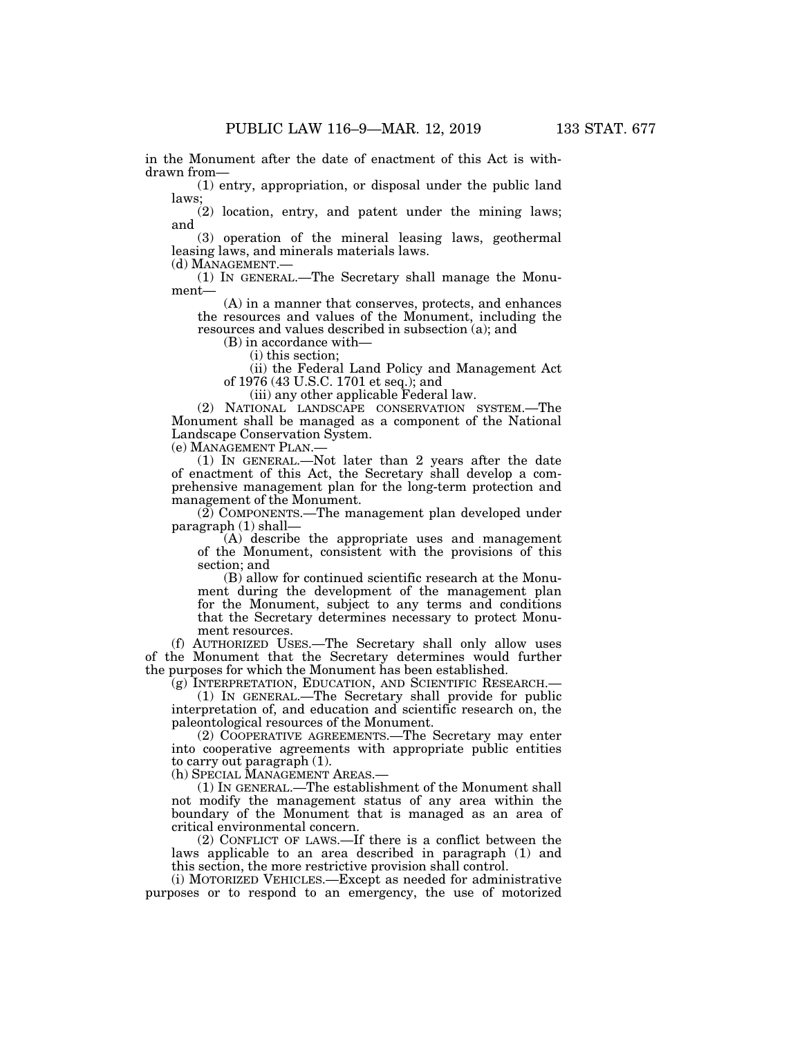in the Monument after the date of enactment of this Act is withdrawn from—

(1) entry, appropriation, or disposal under the public land laws;

(2) location, entry, and patent under the mining laws; and

(3) operation of the mineral leasing laws, geothermal leasing laws, and minerals materials laws.

(d) MANAGEMENT.— (1) IN GENERAL.—The Secretary shall manage the Monument—

(A) in a manner that conserves, protects, and enhances the resources and values of the Monument, including the resources and values described in subsection (a); and

(B) in accordance with—

(i) this section;

(ii) the Federal Land Policy and Management Act of 1976 (43 U.S.C. 1701 et seq.); and

(iii) any other applicable Federal law.

(2) NATIONAL LANDSCAPE CONSERVATION SYSTEM.—The Monument shall be managed as a component of the National Landscape Conservation System.

(e) MANAGEMENT PLAN.—

(1) IN GENERAL.—Not later than 2 years after the date of enactment of this Act, the Secretary shall develop a comprehensive management plan for the long-term protection and management of the Monument.

(2) COMPONENTS.—The management plan developed under paragraph (1) shall—

(A) describe the appropriate uses and management of the Monument, consistent with the provisions of this section; and

(B) allow for continued scientific research at the Monument during the development of the management plan for the Monument, subject to any terms and conditions that the Secretary determines necessary to protect Monument resources.

(f) AUTHORIZED USES.—The Secretary shall only allow uses of the Monument that the Secretary determines would further the purposes for which the Monument has been established.

(g) INTERPRETATION, EDUCATION, AND SCIENTIFIC RESEARCH.— (1) IN GENERAL.—The Secretary shall provide for public interpretation of, and education and scientific research on, the

paleontological resources of the Monument.

(2) COOPERATIVE AGREEMENTS.—The Secretary may enter into cooperative agreements with appropriate public entities to carry out paragraph (1).

(h) SPECIAL MANAGEMENT AREAS.—

(1) IN GENERAL.—The establishment of the Monument shall not modify the management status of any area within the boundary of the Monument that is managed as an area of critical environmental concern.

(2) CONFLICT OF LAWS.—If there is a conflict between the laws applicable to an area described in paragraph (1) and this section, the more restrictive provision shall control.

(i) MOTORIZED VEHICLES.—Except as needed for administrative purposes or to respond to an emergency, the use of motorized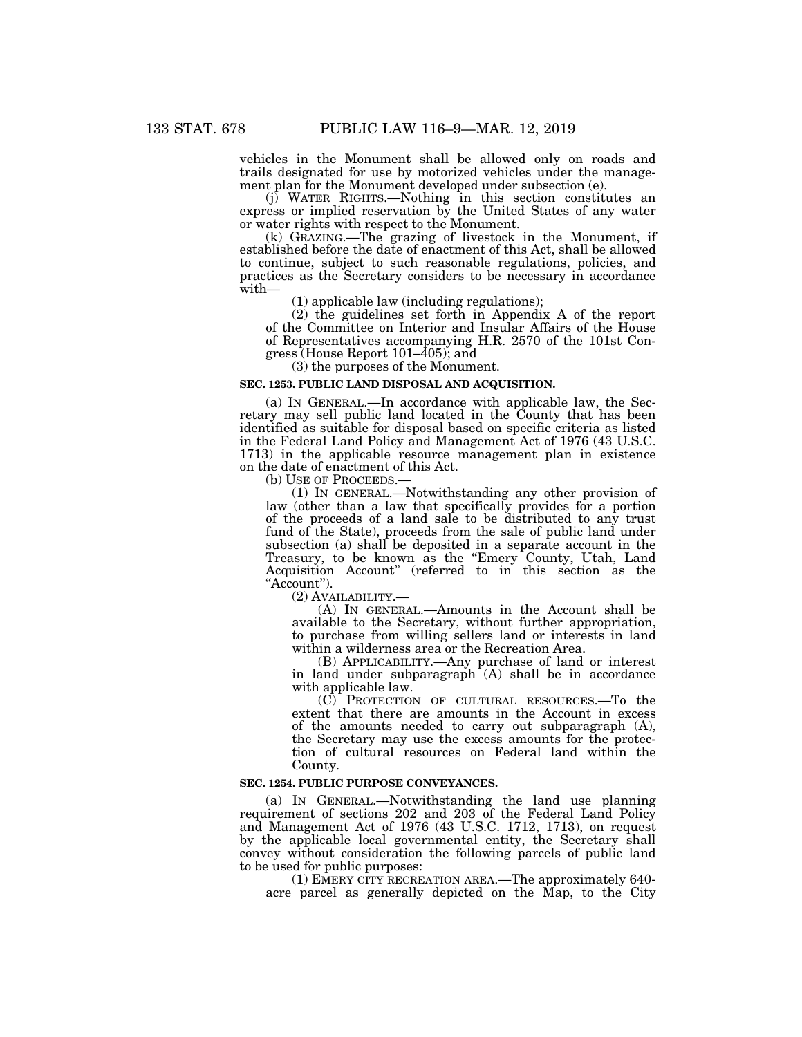vehicles in the Monument shall be allowed only on roads and trails designated for use by motorized vehicles under the management plan for the Monument developed under subsection (e).

(j) WATER RIGHTS.—Nothing in this section constitutes an express or implied reservation by the United States of any water or water rights with respect to the Monument.

(k) GRAZING.—The grazing of livestock in the Monument, if established before the date of enactment of this Act, shall be allowed to continue, subject to such reasonable regulations, policies, and practices as the Secretary considers to be necessary in accordance with—

(1) applicable law (including regulations);

(2) the guidelines set forth in Appendix A of the report of the Committee on Interior and Insular Affairs of the House of Representatives accompanying H.R. 2570 of the 101st Congress (House Report 101–405); and

(3) the purposes of the Monument.

#### **SEC. 1253. PUBLIC LAND DISPOSAL AND ACQUISITION.**

(a) IN GENERAL.—In accordance with applicable law, the Secretary may sell public land located in the County that has been identified as suitable for disposal based on specific criteria as listed in the Federal Land Policy and Management Act of 1976 (43 U.S.C. 1713) in the applicable resource management plan in existence on the date of enactment of this Act.

(b) USE OF PROCEEDS.— $(1)$  In GENERAL.—Notwithstanding any other provision of law (other than a law that specifically provides for a portion of the proceeds of a land sale to be distributed to any trust fund of the State), proceeds from the sale of public land under subsection (a) shall be deposited in a separate account in the Treasury, to be known as the "Emery County, Utah, Land Acquisition Account'' (referred to in this section as the "Account").

(2) AVAILABILITY.— (A) IN GENERAL.—Amounts in the Account shall be available to the Secretary, without further appropriation, to purchase from willing sellers land or interests in land within a wilderness area or the Recreation Area.

(B) APPLICABILITY.—Any purchase of land or interest in land under subparagraph  $(A)$  shall be in accordance with applicable law.

(C) PROTECTION OF CULTURAL RESOURCES.—To the extent that there are amounts in the Account in excess of the amounts needed to carry out subparagraph (A), the Secretary may use the excess amounts for the protection of cultural resources on Federal land within the County.

## **SEC. 1254. PUBLIC PURPOSE CONVEYANCES.**

(a) IN GENERAL.—Notwithstanding the land use planning requirement of sections 202 and 203 of the Federal Land Policy and Management Act of 1976 (43 U.S.C. 1712, 1713), on request by the applicable local governmental entity, the Secretary shall convey without consideration the following parcels of public land to be used for public purposes:

(1) EMERY CITY RECREATION AREA.—The approximately 640 acre parcel as generally depicted on the Map, to the City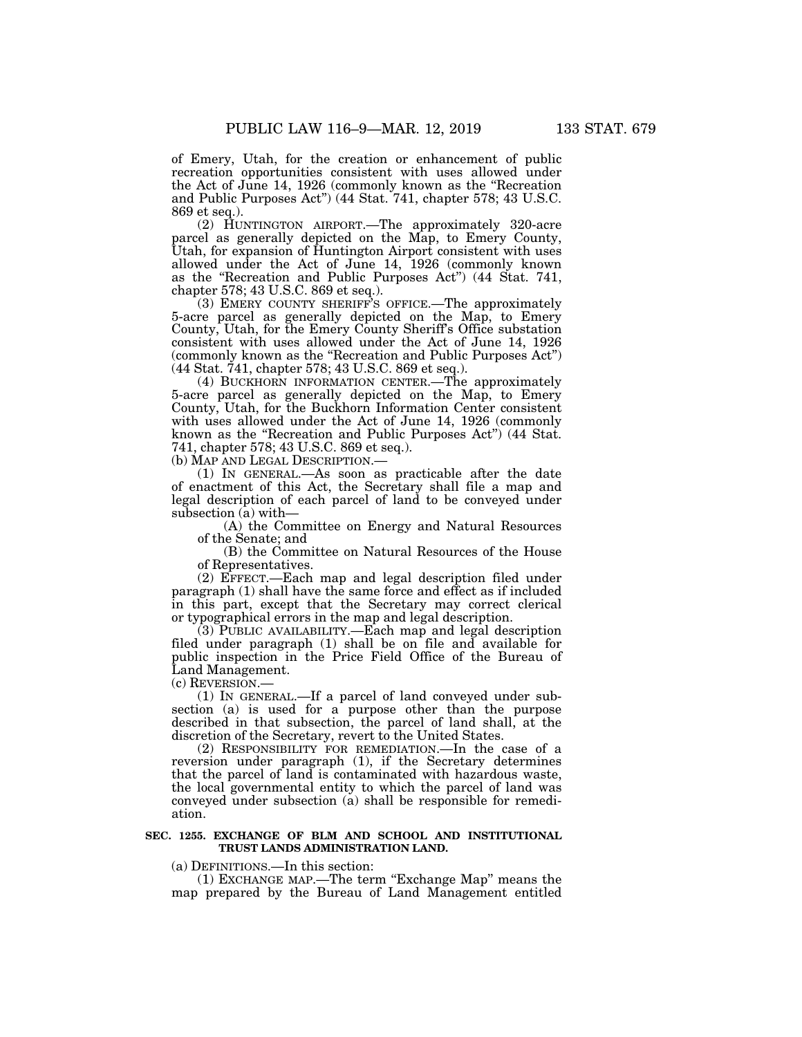of Emery, Utah, for the creation or enhancement of public recreation opportunities consistent with uses allowed under the Act of June 14, 1926 (commonly known as the ''Recreation and Public Purposes Act'') (44 Stat. 741, chapter 578; 43 U.S.C. 869 et seq.).

(2) HUNTINGTON AIRPORT.—The approximately 320-acre parcel as generally depicted on the Map, to Emery County, Utah, for expansion of Huntington Airport consistent with uses allowed under the Act of June 14, 1926 (commonly known as the ''Recreation and Public Purposes Act'') (44 Stat. 741, chapter 578; 43 U.S.C. 869 et seq.).

(3) EMERY COUNTY SHERIFF'S OFFICE.—The approximately 5-acre parcel as generally depicted on the Map, to Emery County, Utah, for the Emery County Sheriff's Office substation consistent with uses allowed under the Act of June 14, 1926 (commonly known as the ''Recreation and Public Purposes Act'') (44 Stat. 741, chapter 578; 43 U.S.C. 869 et seq.).

(4) BUCKHORN INFORMATION CENTER.—The approximately 5-acre parcel as generally depicted on the Map, to Emery County, Utah, for the Buckhorn Information Center consistent with uses allowed under the Act of June 14, 1926 (commonly known as the ''Recreation and Public Purposes Act'') (44 Stat. 741, chapter 578; 43 U.S.C. 869 et seq.).

(b) MAP AND LEGAL DESCRIPTION.—

(1) IN GENERAL.—As soon as practicable after the date of enactment of this Act, the Secretary shall file a map and legal description of each parcel of land to be conveyed under subsection (a) with—

(A) the Committee on Energy and Natural Resources of the Senate; and

(B) the Committee on Natural Resources of the House of Representatives.

(2) EFFECT.—Each map and legal description filed under paragraph (1) shall have the same force and effect as if included in this part, except that the Secretary may correct clerical or typographical errors in the map and legal description.

(3) PUBLIC AVAILABILITY.—Each map and legal description filed under paragraph (1) shall be on file and available for public inspection in the Price Field Office of the Bureau of Land Management.

(c) REVERSION.—

(1) IN GENERAL.—If a parcel of land conveyed under subsection (a) is used for a purpose other than the purpose described in that subsection, the parcel of land shall, at the discretion of the Secretary, revert to the United States.

(2) RESPONSIBILITY FOR REMEDIATION.—In the case of a reversion under paragraph (1), if the Secretary determines that the parcel of land is contaminated with hazardous waste, the local governmental entity to which the parcel of land was conveyed under subsection (a) shall be responsible for remediation.

#### **SEC. 1255. EXCHANGE OF BLM AND SCHOOL AND INSTITUTIONAL TRUST LANDS ADMINISTRATION LAND.**

#### (a) DEFINITIONS.—In this section:

(1) EXCHANGE MAP.—The term ''Exchange Map'' means the map prepared by the Bureau of Land Management entitled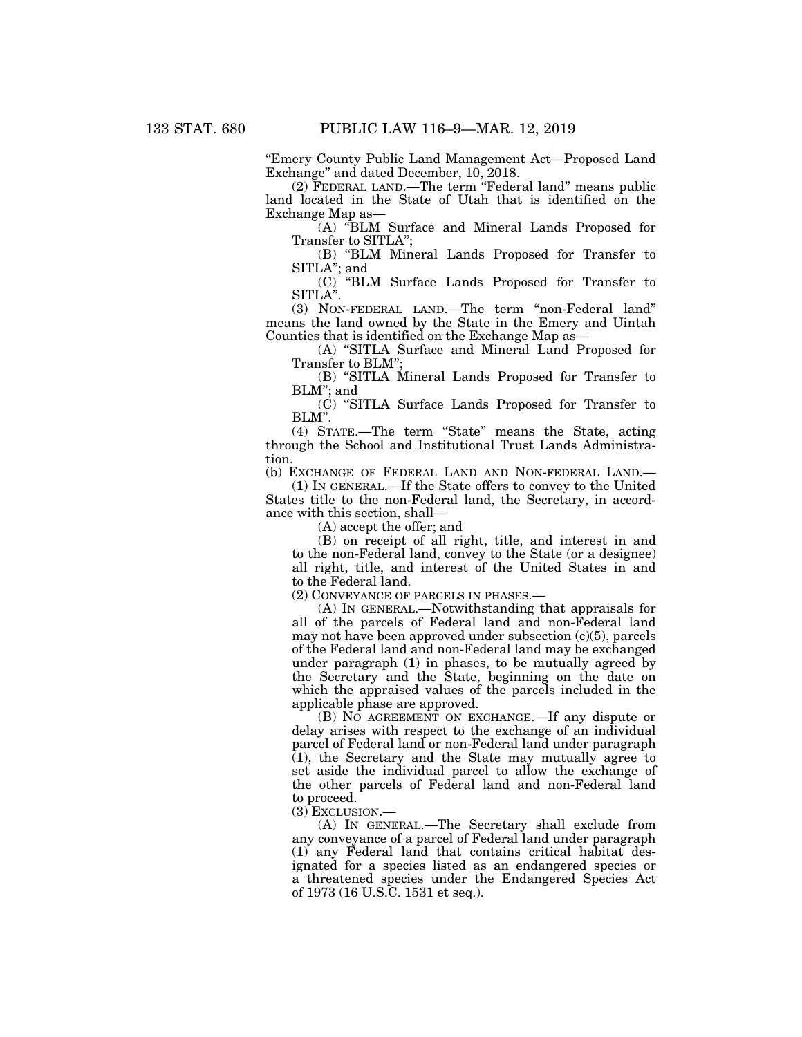''Emery County Public Land Management Act—Proposed Land Exchange'' and dated December, 10, 2018.

(2) FEDERAL LAND.—The term ''Federal land'' means public land located in the State of Utah that is identified on the Exchange Map as—

(A) ''BLM Surface and Mineral Lands Proposed for Transfer to SITLA'';

(B) ''BLM Mineral Lands Proposed for Transfer to SITLA''; and

(C) ''BLM Surface Lands Proposed for Transfer to SITLA''.

(3) NON-FEDERAL LAND.—The term ''non-Federal land'' means the land owned by the State in the Emery and Uintah Counties that is identified on the Exchange Map as—

(A) ''SITLA Surface and Mineral Land Proposed for Transfer to BLM'';

(B) ''SITLA Mineral Lands Proposed for Transfer to BLM''; and

(C) ''SITLA Surface Lands Proposed for Transfer to BLM''.

(4) STATE.—The term ''State'' means the State, acting through the School and Institutional Trust Lands Administration.

(b) EXCHANGE OF FEDERAL LAND AND NON-FEDERAL LAND.—

(1) IN GENERAL.—If the State offers to convey to the United States title to the non-Federal land, the Secretary, in accordance with this section, shall—

(A) accept the offer; and

(B) on receipt of all right, title, and interest in and to the non-Federal land, convey to the State (or a designee) all right, title, and interest of the United States in and to the Federal land.

(2) CONVEYANCE OF PARCELS IN PHASES.—

(A) IN GENERAL.—Notwithstanding that appraisals for all of the parcels of Federal land and non-Federal land may not have been approved under subsection  $(c)(5)$ , parcels of the Federal land and non-Federal land may be exchanged under paragraph (1) in phases, to be mutually agreed by the Secretary and the State, beginning on the date on which the appraised values of the parcels included in the applicable phase are approved.

(B) NO AGREEMENT ON EXCHANGE.—If any dispute or delay arises with respect to the exchange of an individual parcel of Federal land or non-Federal land under paragraph  $(1)$ , the Secretary and the State may mutually agree to set aside the individual parcel to allow the exchange of the other parcels of Federal land and non-Federal land to proceed.

(3) EXCLUSION.—

(A) IN GENERAL.—The Secretary shall exclude from any conveyance of a parcel of Federal land under paragraph (1) any Federal land that contains critical habitat designated for a species listed as an endangered species or a threatened species under the Endangered Species Act of 1973 (16 U.S.C. 1531 et seq.).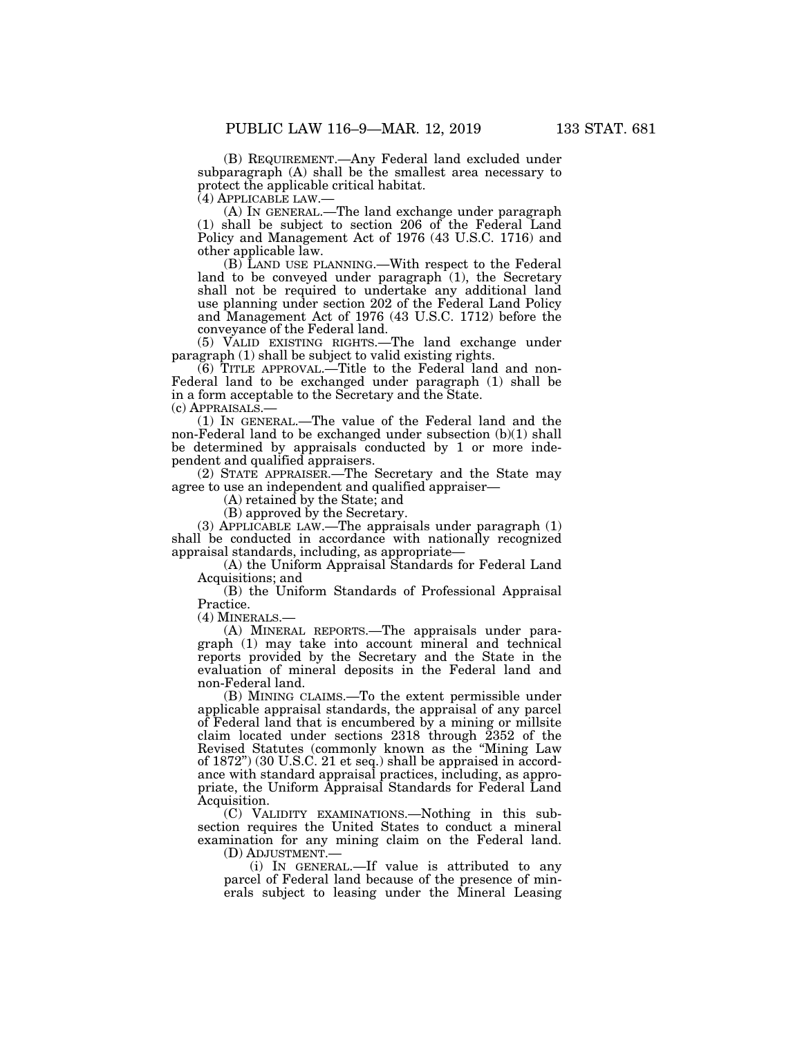(B) REQUIREMENT.—Any Federal land excluded under subparagraph (A) shall be the smallest area necessary to protect the applicable critical habitat.

(4) APPLICABLE LAW.— (A) IN GENERAL.—The land exchange under paragraph (1) shall be subject to section 206 of the Federal Land Policy and Management Act of 1976 (43 U.S.C. 1716) and other applicable law.

(B) LAND USE PLANNING.—With respect to the Federal land to be conveyed under paragraph  $(1)$ , the Secretary shall not be required to undertake any additional land use planning under section 202 of the Federal Land Policy and Management Act of 1976 (43 U.S.C. 1712) before the conveyance of the Federal land.

(5) VALID EXISTING RIGHTS.—The land exchange under paragraph (1) shall be subject to valid existing rights.

(6) TITLE APPROVAL.—Title to the Federal land and non-Federal land to be exchanged under paragraph (1) shall be in a form acceptable to the Secretary and the State. (c) APPRAISALS.—

(1) IN GENERAL.—The value of the Federal land and the non-Federal land to be exchanged under subsection (b)(1) shall be determined by appraisals conducted by 1 or more independent and qualified appraisers.

(2) STATE APPRAISER.—The Secretary and the State may agree to use an independent and qualified appraiser—

(A) retained by the State; and

(B) approved by the Secretary.

(3) APPLICABLE LAW.—The appraisals under paragraph (1) shall be conducted in accordance with nationally recognized appraisal standards, including, as appropriate—

(A) the Uniform Appraisal Standards for Federal Land Acquisitions; and

(B) the Uniform Standards of Professional Appraisal Practice.

(4) MINERALS.—

(A) MINERAL REPORTS.—The appraisals under paragraph (1) may take into account mineral and technical reports provided by the Secretary and the State in the evaluation of mineral deposits in the Federal land and non-Federal land.

(B) MINING CLAIMS.—To the extent permissible under applicable appraisal standards, the appraisal of any parcel of Federal land that is encumbered by a mining or millsite claim located under sections 2318 through 2352 of the Revised Statutes (commonly known as the ''Mining Law of 1872'') (30 U.S.C. 21 et seq.) shall be appraised in accordance with standard appraisal practices, including, as appropriate, the Uniform Appraisal Standards for Federal Land Acquisition.

(C) VALIDITY EXAMINATIONS.—Nothing in this subsection requires the United States to conduct a mineral examination for any mining claim on the Federal land.

(D) ADJUSTMENT.—

(i) IN GENERAL.—If value is attributed to any parcel of Federal land because of the presence of minerals subject to leasing under the Mineral Leasing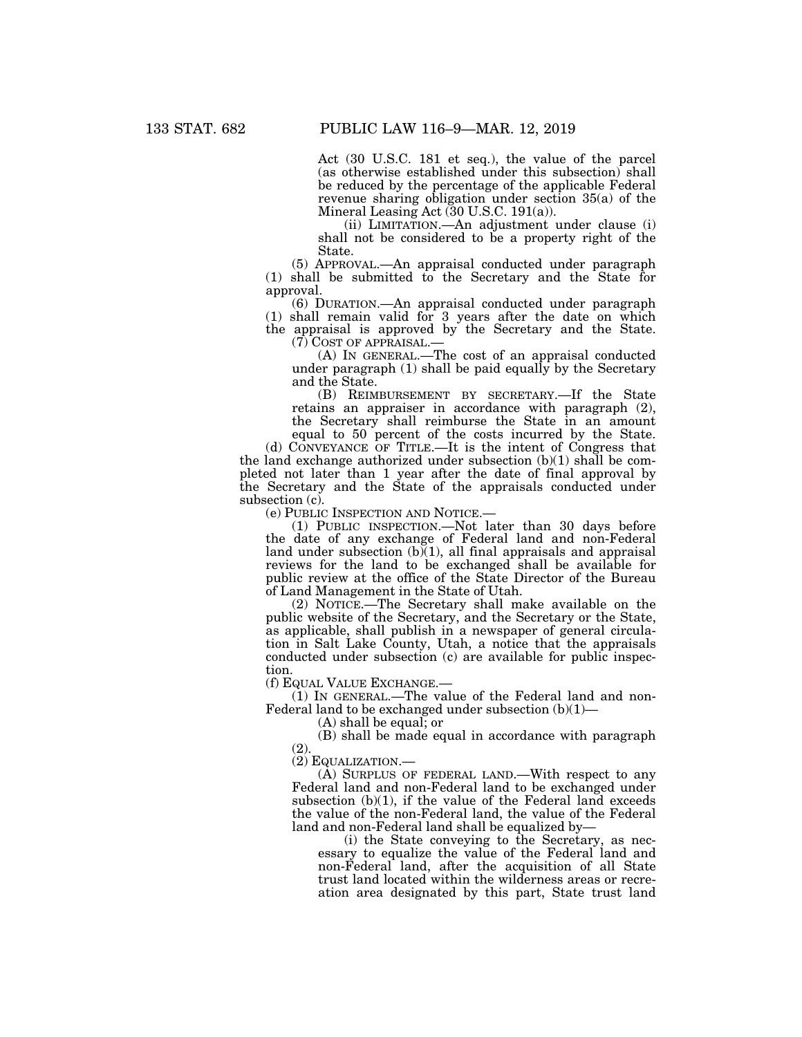Act (30 U.S.C. 181 et seq.), the value of the parcel (as otherwise established under this subsection) shall be reduced by the percentage of the applicable Federal revenue sharing obligation under section 35(a) of the Mineral Leasing Act (30 U.S.C. 191(a)).

(ii) LIMITATION.—An adjustment under clause (i) shall not be considered to be a property right of the State.

(5) APPROVAL.—An appraisal conducted under paragraph (1) shall be submitted to the Secretary and the State for approval.

(6) DURATION.—An appraisal conducted under paragraph (1) shall remain valid for 3 years after the date on which the appraisal is approved by the Secretary and the State.

 $(7)$  COST OF APPRAISAL.—<br>(A) IN GENERAL.—The cost of an appraisal conducted under paragraph  $(1)$  shall be paid equally by the Secretary and the State.

(B) REIMBURSEMENT BY SECRETARY.—If the State retains an appraiser in accordance with paragraph (2), the Secretary shall reimburse the State in an amount

equal to 50 percent of the costs incurred by the State. (d) CONVEYANCE OF TITLE.—It is the intent of Congress that the land exchange authorized under subsection (b)(1) shall be completed not later than 1 year after the date of final approval by the Secretary and the State of the appraisals conducted under subsection (c).

(e) PUBLIC INSPECTION AND NOTICE.—

(1) PUBLIC INSPECTION.—Not later than 30 days before the date of any exchange of Federal land and non-Federal land under subsection  $(b)(1)$ , all final appraisals and appraisal reviews for the land to be exchanged shall be available for public review at the office of the State Director of the Bureau of Land Management in the State of Utah.

(2) NOTICE.—The Secretary shall make available on the public website of the Secretary, and the Secretary or the State, as applicable, shall publish in a newspaper of general circulation in Salt Lake County, Utah, a notice that the appraisals conducted under subsection (c) are available for public inspection.

(f) EQUAL VALUE EXCHANGE.—

(1) IN GENERAL.—The value of the Federal land and non-Federal land to be exchanged under subsection  $(b)(1)$ 

(A) shall be equal; or

(B) shall be made equal in accordance with paragraph (2).

(2) EQUALIZATION.—

(A) SURPLUS OF FEDERAL LAND.—With respect to any Federal land and non-Federal land to be exchanged under subsection  $(b)(1)$ , if the value of the Federal land exceeds the value of the non-Federal land, the value of the Federal land and non-Federal land shall be equalized by—

(i) the State conveying to the Secretary, as necessary to equalize the value of the Federal land and non-Federal land, after the acquisition of all State trust land located within the wilderness areas or recreation area designated by this part, State trust land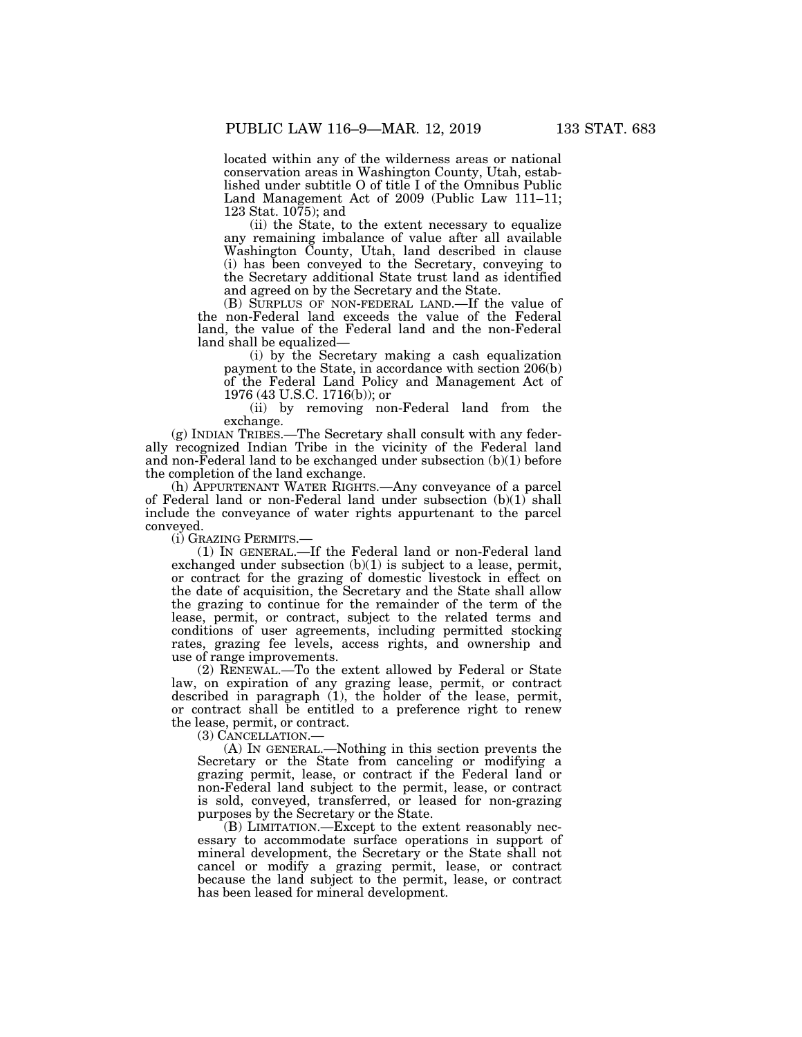located within any of the wilderness areas or national conservation areas in Washington County, Utah, established under subtitle O of title I of the Omnibus Public Land Management Act of 2009 (Public Law 111–11; 123 Stat. 1075); and

(ii) the State, to the extent necessary to equalize any remaining imbalance of value after all available Washington County, Utah, land described in clause (i) has been conveyed to the Secretary, conveying to the Secretary additional State trust land as identified and agreed on by the Secretary and the State.

(B) SURPLUS OF NON-FEDERAL LAND.—If the value of the non-Federal land exceeds the value of the Federal land, the value of the Federal land and the non-Federal land shall be equalized—

(i) by the Secretary making a cash equalization payment to the State, in accordance with section 206(b) of the Federal Land Policy and Management Act of 1976 (43 U.S.C. 1716(b)); or

(ii) by removing non-Federal land from the exchange.

(g) INDIAN TRIBES.—The Secretary shall consult with any federally recognized Indian Tribe in the vicinity of the Federal land and non-Federal land to be exchanged under subsection  $(b)(1)$  before the completion of the land exchange.

(h) APPURTENANT WATER RIGHTS.—Any conveyance of a parcel of Federal land or non-Federal land under subsection (b)(1) shall include the conveyance of water rights appurtenant to the parcel conveyed.

(i) GRAZING PERMITS.—

(1) IN GENERAL.—If the Federal land or non-Federal land exchanged under subsection  $(b)(1)$  is subject to a lease, permit, or contract for the grazing of domestic livestock in effect on the date of acquisition, the Secretary and the State shall allow the grazing to continue for the remainder of the term of the lease, permit, or contract, subject to the related terms and conditions of user agreements, including permitted stocking rates, grazing fee levels, access rights, and ownership and use of range improvements.

(2) RENEWAL.—To the extent allowed by Federal or State law, on expiration of any grazing lease, permit, or contract described in paragraph (1), the holder of the lease, permit, or contract shall be entitled to a preference right to renew the lease, permit, or contract.

(3) CANCELLATION.—

(A) IN GENERAL.—Nothing in this section prevents the Secretary or the State from canceling or modifying a grazing permit, lease, or contract if the Federal land or non-Federal land subject to the permit, lease, or contract is sold, conveyed, transferred, or leased for non-grazing purposes by the Secretary or the State.

(B) LIMITATION.—Except to the extent reasonably necessary to accommodate surface operations in support of mineral development, the Secretary or the State shall not cancel or modify a grazing permit, lease, or contract because the land subject to the permit, lease, or contract has been leased for mineral development.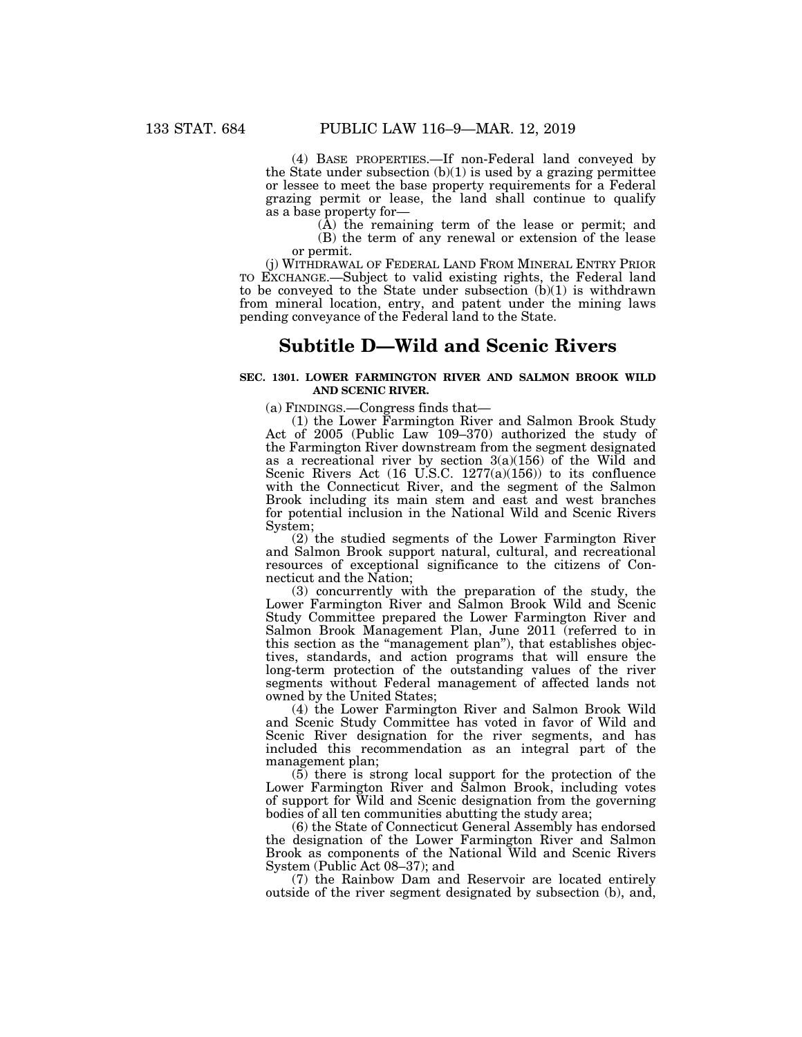(4) BASE PROPERTIES.—If non-Federal land conveyed by the State under subsection  $(b)(1)$  is used by a grazing permittee or lessee to meet the base property requirements for a Federal grazing permit or lease, the land shall continue to qualify as a base property for—

(A) the remaining term of the lease or permit; and (B) the term of any renewal or extension of the lease or permit.

(j) WITHDRAWAL OF FEDERAL LAND FROM MINERAL ENTRY PRIOR TO EXCHANGE.—Subject to valid existing rights, the Federal land to be conveyed to the State under subsection (b)(1) is withdrawn from mineral location, entry, and patent under the mining laws pending conveyance of the Federal land to the State.

# **Subtitle D—Wild and Scenic Rivers**

### **SEC. 1301. LOWER FARMINGTON RIVER AND SALMON BROOK WILD AND SCENIC RIVER.**

(a) FINDINGS.—Congress finds that—

(1) the Lower Farmington River and Salmon Brook Study Act of 2005 (Public Law 109–370) authorized the study of the Farmington River downstream from the segment designated as a recreational river by section  $3(a)(156)$  of the Wild and Scenic Rivers Act  $(16 \text{ U.S.C. } 1277(a)(156))$  to its confluence with the Connecticut River, and the segment of the Salmon Brook including its main stem and east and west branches for potential inclusion in the National Wild and Scenic Rivers System;

(2) the studied segments of the Lower Farmington River and Salmon Brook support natural, cultural, and recreational resources of exceptional significance to the citizens of Connecticut and the Nation;

(3) concurrently with the preparation of the study, the Lower Farmington River and Salmon Brook Wild and Scenic Study Committee prepared the Lower Farmington River and Salmon Brook Management Plan, June 2011 (referred to in this section as the ''management plan''), that establishes objectives, standards, and action programs that will ensure the long-term protection of the outstanding values of the river segments without Federal management of affected lands not owned by the United States;

(4) the Lower Farmington River and Salmon Brook Wild and Scenic Study Committee has voted in favor of Wild and Scenic River designation for the river segments, and has included this recommendation as an integral part of the management plan;

(5) there is strong local support for the protection of the Lower Farmington River and Salmon Brook, including votes of support for Wild and Scenic designation from the governing bodies of all ten communities abutting the study area;

(6) the State of Connecticut General Assembly has endorsed the designation of the Lower Farmington River and Salmon Brook as components of the National Wild and Scenic Rivers System (Public Act 08–37); and

(7) the Rainbow Dam and Reservoir are located entirely outside of the river segment designated by subsection (b), and,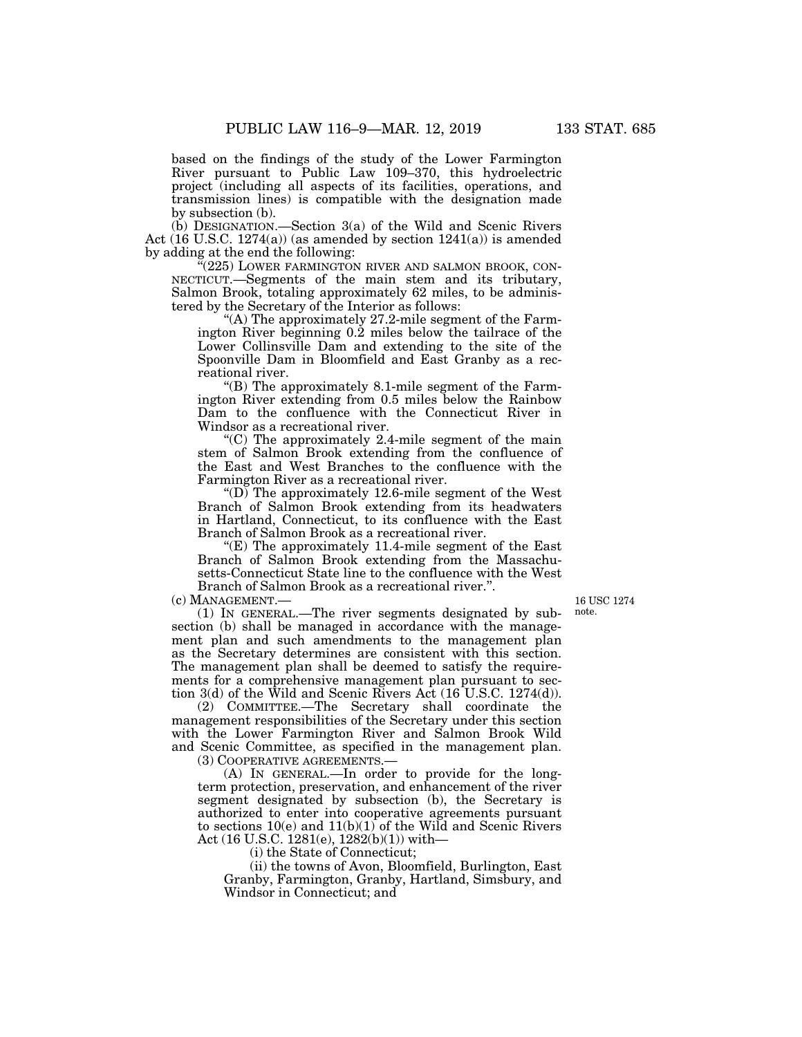based on the findings of the study of the Lower Farmington River pursuant to Public Law 109–370, this hydroelectric project (including all aspects of its facilities, operations, and transmission lines) is compatible with the designation made by subsection (b).

(b) DESIGNATION.—Section 3(a) of the Wild and Scenic Rivers Act  $(16 \text{ U.S.C. } 1274(a))$  (as amended by section  $1241(a)$ ) is amended by adding at the end the following:

 $\mathbb{F}(225)$  LOWER FARMINGTON RIVER AND SALMON BROOK, CON-NECTICUT.—Segments of the main stem and its tributary, Salmon Brook, totaling approximately 62 miles, to be administered by the Secretary of the Interior as follows:

"(A) The approximately 27.2-mile segment of the Farmington River beginning 0.2 miles below the tailrace of the Lower Collinsville Dam and extending to the site of the Spoonville Dam in Bloomfield and East Granby as a recreational river.

" $(B)$  The approximately 8.1-mile segment of the Farmington River extending from 0.5 miles below the Rainbow Dam to the confluence with the Connecticut River in Windsor as a recreational river.

 $(C)$  The approximately 2.4-mile segment of the main stem of Salmon Brook extending from the confluence of the East and West Branches to the confluence with the Farmington River as a recreational river.

"(D) The approximately  $12.6$ -mile segment of the West" Branch of Salmon Brook extending from its headwaters in Hartland, Connecticut, to its confluence with the East Branch of Salmon Brook as a recreational river.

" $(E)$  The approximately 11.4-mile segment of the East Branch of Salmon Brook extending from the Massachusetts-Connecticut State line to the confluence with the West Branch of Salmon Brook as a recreational river.''.

(c) MANAGEMENT.—

(1) IN GENERAL.—The river segments designated by subsection (b) shall be managed in accordance with the management plan and such amendments to the management plan as the Secretary determines are consistent with this section. The management plan shall be deemed to satisfy the requirements for a comprehensive management plan pursuant to section 3(d) of the Wild and Scenic Rivers Act (16 U.S.C. 1274(d)).

(2) COMMITTEE.—The Secretary shall coordinate the management responsibilities of the Secretary under this section with the Lower Farmington River and Salmon Brook Wild and Scenic Committee, as specified in the management plan.

(3) COOPERATIVE AGREEMENTS.—

(A) IN GENERAL.—In order to provide for the longterm protection, preservation, and enhancement of the river segment designated by subsection (b), the Secretary is authorized to enter into cooperative agreements pursuant to sections  $10(e)$  and  $11(b)(1)$  of the Wild and Scenic Rivers Act (16 U.S.C. 1281(e), 1282(b)(1)) with—

(i) the State of Connecticut;

(ii) the towns of Avon, Bloomfield, Burlington, East Granby, Farmington, Granby, Hartland, Simsbury, and Windsor in Connecticut; and

16 USC 1274 note.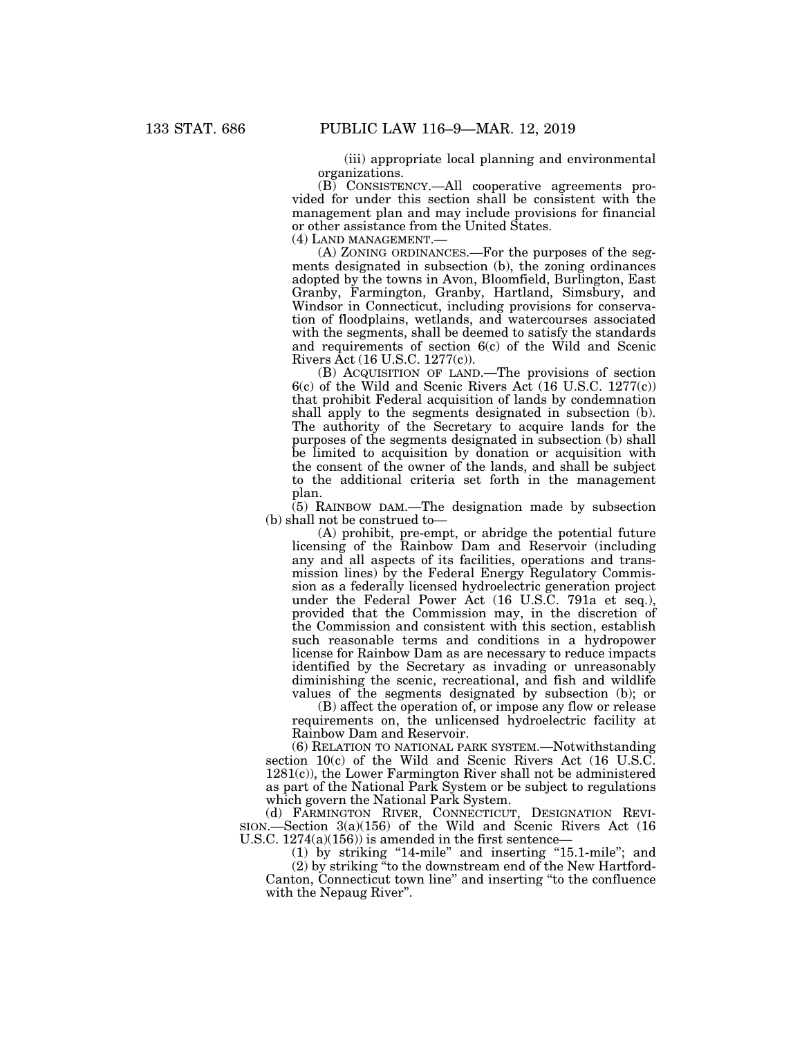(iii) appropriate local planning and environmental organizations.

(B) CONSISTENCY.—All cooperative agreements provided for under this section shall be consistent with the management plan and may include provisions for financial or other assistance from the United States.

(4) LAND MANAGEMENT.—

(A) ZONING ORDINANCES.—For the purposes of the segments designated in subsection (b), the zoning ordinances adopted by the towns in Avon, Bloomfield, Burlington, East Granby, Farmington, Granby, Hartland, Simsbury, and Windsor in Connecticut, including provisions for conservation of floodplains, wetlands, and watercourses associated with the segments, shall be deemed to satisfy the standards and requirements of section 6(c) of the Wild and Scenic Rivers Act (16 U.S.C. 1277(c)).

(B) ACQUISITION OF LAND.—The provisions of section 6(c) of the Wild and Scenic Rivers Act (16 U.S.C. 1277(c)) that prohibit Federal acquisition of lands by condemnation shall apply to the segments designated in subsection (b). The authority of the Secretary to acquire lands for the purposes of the segments designated in subsection (b) shall be limited to acquisition by donation or acquisition with the consent of the owner of the lands, and shall be subject to the additional criteria set forth in the management plan.

(5) RAINBOW DAM.—The designation made by subsection (b) shall not be construed to—

(A) prohibit, pre-empt, or abridge the potential future licensing of the Rainbow Dam and Reservoir (including any and all aspects of its facilities, operations and transmission lines) by the Federal Energy Regulatory Commission as a federally licensed hydroelectric generation project under the Federal Power Act (16 U.S.C. 791a et seq.), provided that the Commission may, in the discretion of the Commission and consistent with this section, establish such reasonable terms and conditions in a hydropower license for Rainbow Dam as are necessary to reduce impacts identified by the Secretary as invading or unreasonably diminishing the scenic, recreational, and fish and wildlife values of the segments designated by subsection (b); or

(B) affect the operation of, or impose any flow or release requirements on, the unlicensed hydroelectric facility at Rainbow Dam and Reservoir.

(6) RELATION TO NATIONAL PARK SYSTEM.—Notwithstanding section 10(c) of the Wild and Scenic Rivers Act (16 U.S.C. 1281(c)), the Lower Farmington River shall not be administered as part of the National Park System or be subject to regulations which govern the National Park System.

(d) FARMINGTON RIVER, CONNECTICUT, DESIGNATION REVI-SION.—Section 3(a)(156) of the Wild and Scenic Rivers Act (16 U.S.C.  $1274(a)(156)$  is amended in the first sentence-

(1) by striking ''14-mile'' and inserting ''15.1-mile''; and (2) by striking ''to the downstream end of the New Hartford-Canton, Connecticut town line'' and inserting ''to the confluence with the Nepaug River''.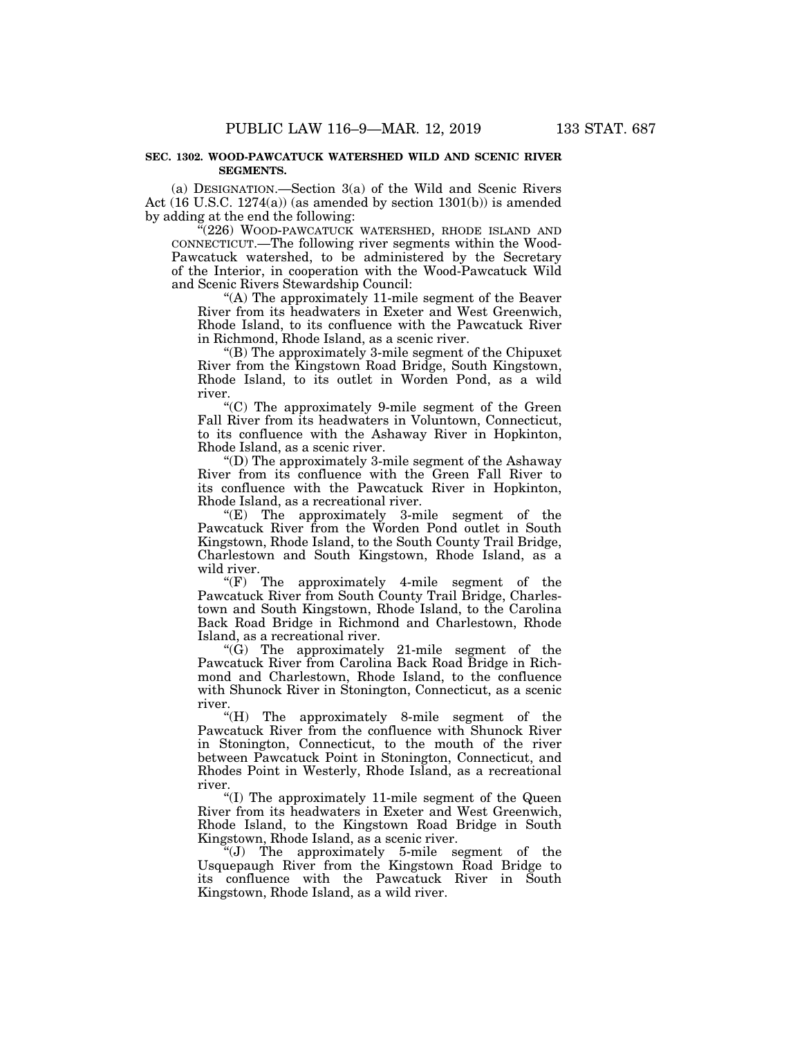#### **SEC. 1302. WOOD-PAWCATUCK WATERSHED WILD AND SCENIC RIVER SEGMENTS.**

(a) DESIGNATION.—Section 3(a) of the Wild and Scenic Rivers Act (16 U.S.C. 1274(a)) (as amended by section 1301(b)) is amended by adding at the end the following:

''(226) WOOD-PAWCATUCK WATERSHED, RHODE ISLAND AND CONNECTICUT.—The following river segments within the Wood-Pawcatuck watershed, to be administered by the Secretary of the Interior, in cooperation with the Wood-Pawcatuck Wild and Scenic Rivers Stewardship Council:

''(A) The approximately 11-mile segment of the Beaver River from its headwaters in Exeter and West Greenwich, Rhode Island, to its confluence with the Pawcatuck River in Richmond, Rhode Island, as a scenic river.

''(B) The approximately 3-mile segment of the Chipuxet River from the Kingstown Road Bridge, South Kingstown, Rhode Island, to its outlet in Worden Pond, as a wild river.

''(C) The approximately 9-mile segment of the Green Fall River from its headwaters in Voluntown, Connecticut, to its confluence with the Ashaway River in Hopkinton, Rhode Island, as a scenic river.

''(D) The approximately 3-mile segment of the Ashaway River from its confluence with the Green Fall River to its confluence with the Pawcatuck River in Hopkinton, Rhode Island, as a recreational river.

 $E$ ) The approximately 3-mile segment of the Pawcatuck River from the Worden Pond outlet in South Kingstown, Rhode Island, to the South County Trail Bridge, Charlestown and South Kingstown, Rhode Island, as a wild river.

''(F) The approximately 4-mile segment of the Pawcatuck River from South County Trail Bridge, Charlestown and South Kingstown, Rhode Island, to the Carolina Back Road Bridge in Richmond and Charlestown, Rhode Island, as a recreational river.

" $(G)$  The approximately 21-mile segment of the Pawcatuck River from Carolina Back Road Bridge in Richmond and Charlestown, Rhode Island, to the confluence with Shunock River in Stonington, Connecticut, as a scenic river.

''(H) The approximately 8-mile segment of the Pawcatuck River from the confluence with Shunock River in Stonington, Connecticut, to the mouth of the river between Pawcatuck Point in Stonington, Connecticut, and Rhodes Point in Westerly, Rhode Island, as a recreational river.

''(I) The approximately 11-mile segment of the Queen River from its headwaters in Exeter and West Greenwich, Rhode Island, to the Kingstown Road Bridge in South Kingstown, Rhode Island, as a scenic river.

''(J) The approximately 5-mile segment of the Usquepaugh River from the Kingstown Road Bridge to its confluence with the Pawcatuck River in South Kingstown, Rhode Island, as a wild river.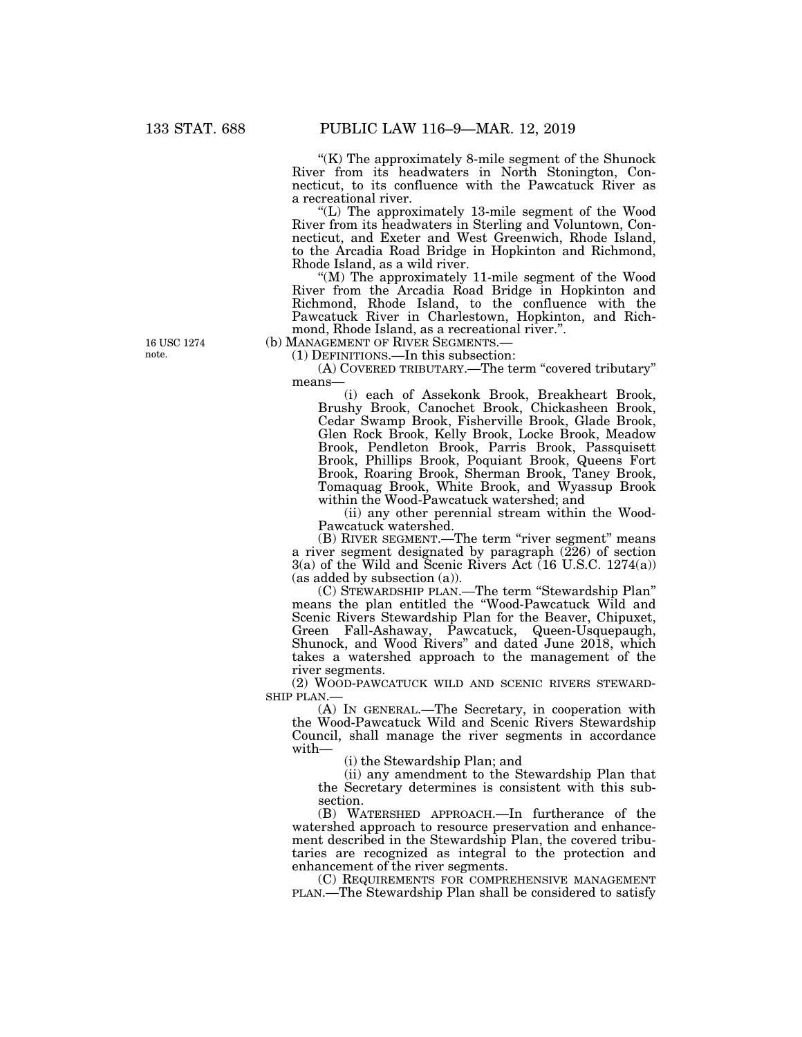" $(K)$  The approximately 8-mile segment of the Shunock" River from its headwaters in North Stonington, Connecticut, to its confluence with the Pawcatuck River as a recreational river.

''(L) The approximately 13-mile segment of the Wood River from its headwaters in Sterling and Voluntown, Connecticut, and Exeter and West Greenwich, Rhode Island, to the Arcadia Road Bridge in Hopkinton and Richmond, Rhode Island, as a wild river.

"(M) The approximately 11-mile segment of the Wood River from the Arcadia Road Bridge in Hopkinton and Richmond, Rhode Island, to the confluence with the Pawcatuck River in Charlestown, Hopkinton, and Richmond, Rhode Island, as a recreational river.''.

(b) MANAGEMENT OF RIVER SEGMENTS.— (1) DEFINITIONS.—In this subsection:

(A) COVERED TRIBUTARY.—The term ''covered tributary'' means—

(i) each of Assekonk Brook, Breakheart Brook, Brushy Brook, Canochet Brook, Chickasheen Brook, Cedar Swamp Brook, Fisherville Brook, Glade Brook, Glen Rock Brook, Kelly Brook, Locke Brook, Meadow Brook, Pendleton Brook, Parris Brook, Passquisett Brook, Phillips Brook, Poquiant Brook, Queens Fort Brook, Roaring Brook, Sherman Brook, Taney Brook, Tomaquag Brook, White Brook, and Wyassup Brook within the Wood-Pawcatuck watershed; and

(ii) any other perennial stream within the Wood-Pawcatuck watershed.

(B) RIVER SEGMENT.—The term "river segment" means a river segment designated by paragraph  $(226)$  of section 3(a) of the Wild and Scenic Rivers Act (16 U.S.C. 1274(a)) (as added by subsection (a)).

(C) STEWARDSHIP PLAN.—The term ''Stewardship Plan'' means the plan entitled the ''Wood-Pawcatuck Wild and Scenic Rivers Stewardship Plan for the Beaver, Chipuxet, Green Fall-Ashaway, Pawcatuck, Queen-Usquepaugh, Shunock, and Wood Rivers'' and dated June 2018, which takes a watershed approach to the management of the river segments.

(2) WOOD-PAWCATUCK WILD AND SCENIC RIVERS STEWARD-SHIP PLAN.—

(A) IN GENERAL.—The Secretary, in cooperation with the Wood-Pawcatuck Wild and Scenic Rivers Stewardship Council, shall manage the river segments in accordance with—

(i) the Stewardship Plan; and

(ii) any amendment to the Stewardship Plan that the Secretary determines is consistent with this subsection.

(B) WATERSHED APPROACH.—In furtherance of the watershed approach to resource preservation and enhancement described in the Stewardship Plan, the covered tributaries are recognized as integral to the protection and enhancement of the river segments.

(C) REQUIREMENTS FOR COMPREHENSIVE MANAGEMENT PLAN.—The Stewardship Plan shall be considered to satisfy

16 USC 1274 note.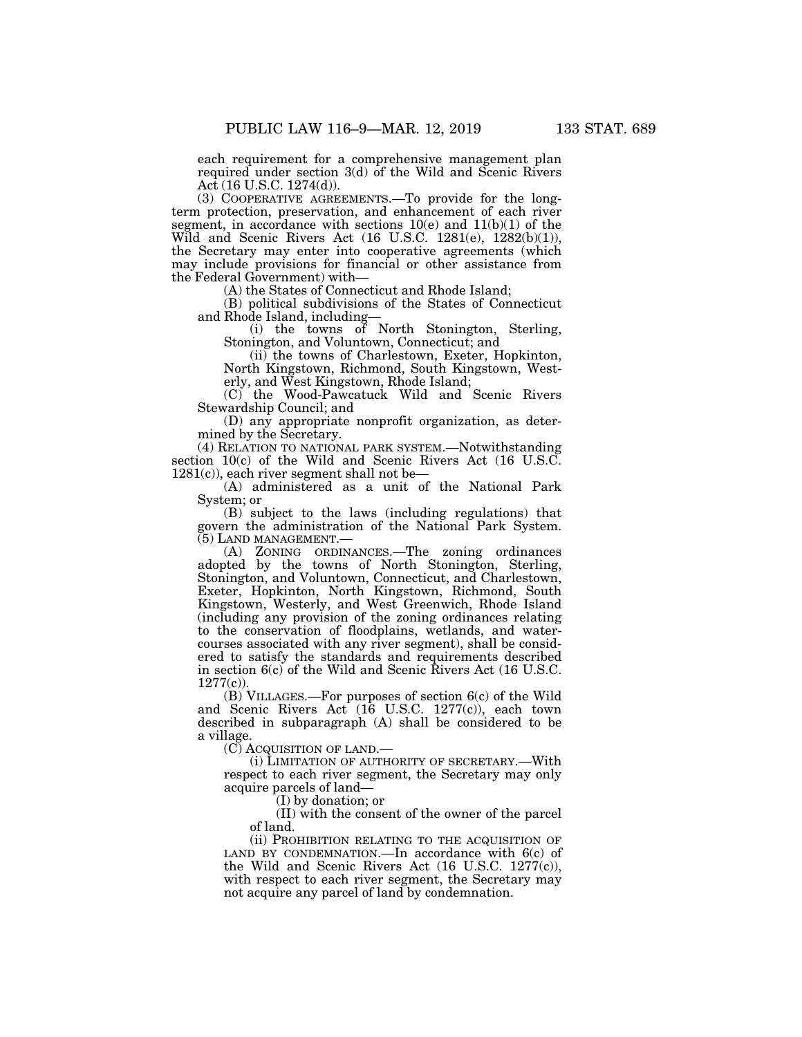each requirement for a comprehensive management plan required under section 3(d) of the Wild and Scenic Rivers Act (16 U.S.C. 1274(d)).

(3) COOPERATIVE AGREEMENTS.—To provide for the longterm protection, preservation, and enhancement of each river segment, in accordance with sections  $10(e)$  and  $11(b)(1)$  of the Wild and Scenic Rivers Act (16 U.S.C. 1281(e), 1282(b)(1)), the Secretary may enter into cooperative agreements (which may include provisions for financial or other assistance from the Federal Government) with—

(A) the States of Connecticut and Rhode Island;

(B) political subdivisions of the States of Connecticut and Rhode Island, including—

(i) the towns of North Stonington, Sterling, Stonington, and Voluntown, Connecticut; and

(ii) the towns of Charlestown, Exeter, Hopkinton, North Kingstown, Richmond, South Kingstown, Westerly, and West Kingstown, Rhode Island;

(C) the Wood-Pawcatuck Wild and Scenic Rivers Stewardship Council; and

(D) any appropriate nonprofit organization, as determined by the Secretary.

(4) RELATION TO NATIONAL PARK SYSTEM.—Notwithstanding section 10(c) of the Wild and Scenic Rivers Act (16 U.S.C.  $1281(c)$ , each river segment shall not be—

(A) administered as a unit of the National Park System; or

(B) subject to the laws (including regulations) that govern the administration of the National Park System. (5) LAND MANAGEMENT.—

(A) ZONING ORDINANCES.—The zoning ordinances adopted by the towns of North Stonington, Sterling, Stonington, and Voluntown, Connecticut, and Charlestown, Exeter, Hopkinton, North Kingstown, Richmond, South Kingstown, Westerly, and West Greenwich, Rhode Island (including any provision of the zoning ordinances relating to the conservation of floodplains, wetlands, and watercourses associated with any river segment), shall be considered to satisfy the standards and requirements described in section 6(c) of the Wild and Scenic Rivers Act (16 U.S.C.  $1277(c)$ ).

(B) VILLAGES.—For purposes of section 6(c) of the Wild and Scenic Rivers Act (16 U.S.C. 1277(c)), each town described in subparagraph (A) shall be considered to be a village.

(C) ACQUISITION OF LAND.—

(i) LIMITATION OF AUTHORITY OF SECRETARY.—With respect to each river segment, the Secretary may only acquire parcels of land—

(I) by donation; or

(II) with the consent of the owner of the parcel of land.

(ii) PROHIBITION RELATING TO THE ACQUISITION OF LAND BY CONDEMNATION.—In accordance with  $6(c)$  of the Wild and Scenic Rivers Act (16 U.S.C. 1277(c)), with respect to each river segment, the Secretary may not acquire any parcel of land by condemnation.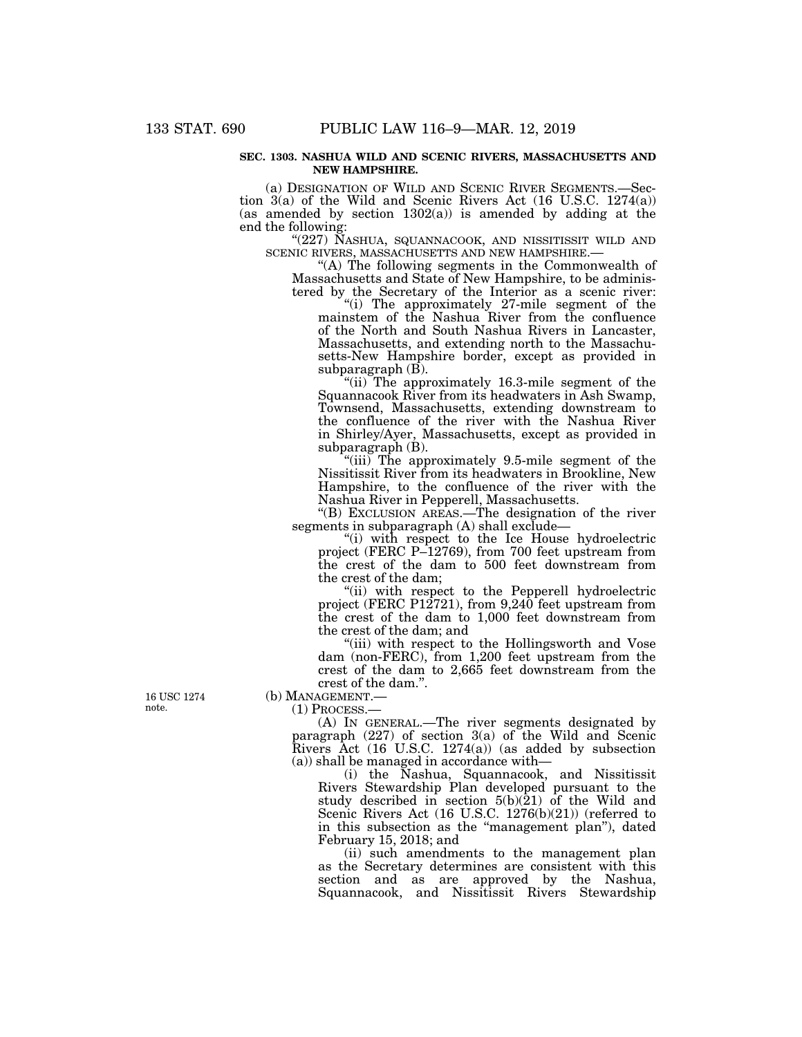#### **SEC. 1303. NASHUA WILD AND SCENIC RIVERS, MASSACHUSETTS AND NEW HAMPSHIRE.**

(a) DESIGNATION OF WILD AND SCENIC RIVER SEGMENTS.—Section 3(a) of the Wild and Scenic Rivers Act (16 U.S.C. 1274(a)) (as amended by section  $1302(a)$ ) is amended by adding at the end the following:

 $\text{``(227)}$  NASHUA, SQUANNACOOK, AND NISSITISSIT WILD AND SCENIC RIVERS, MASSACHUSETTS AND NEW HAMPSHIRE.—

"(A) The following segments in the Commonwealth of Massachusetts and State of New Hampshire, to be administered by the Secretary of the Interior as a scenic river:

"(i) The approximately 27-mile segment of the mainstem of the Nashua River from the confluence of the North and South Nashua Rivers in Lancaster, Massachusetts, and extending north to the Massachusetts-New Hampshire border, except as provided in subparagraph  $(\overline{B})$ .

"(ii) The approximately 16.3-mile segment of the Squannacook River from its headwaters in Ash Swamp, Townsend, Massachusetts, extending downstream to the confluence of the river with the Nashua River in Shirley/Ayer, Massachusetts, except as provided in subparagraph (B).

"(iii) The approximately 9.5-mile segment of the Nissitissit River from its headwaters in Brookline, New Hampshire, to the confluence of the river with the Nashua River in Pepperell, Massachusetts.

''(B) EXCLUSION AREAS.—The designation of the river segments in subparagraph (A) shall exclude—

''(i) with respect to the Ice House hydroelectric project (FERC P–12769), from 700 feet upstream from the crest of the dam to 500 feet downstream from the crest of the dam;

"(ii) with respect to the Pepperell hydroelectric project (FERC P12721), from 9,240 feet upstream from the crest of the dam to 1,000 feet downstream from the crest of the dam; and

"(iii) with respect to the Hollingsworth and Vose" dam (non-FERC), from 1,200 feet upstream from the crest of the dam to 2,665 feet downstream from the crest of the dam.''.

(b) MANAGEMENT.—

(1) PROCESS.—

(A) IN GENERAL.—The river segments designated by paragraph  $(227)$  of section  $3(a)$  of the Wild and Scenic Rivers Act (16 U.S.C. 1274(a)) (as added by subsection (a)) shall be managed in accordance with—

(i) the Nashua, Squannacook, and Nissitissit Rivers Stewardship Plan developed pursuant to the study described in section 5(b)(21) of the Wild and Scenic Rivers Act (16 U.S.C. 1276(b)(21)) (referred to in this subsection as the ''management plan''), dated February 15, 2018; and

(ii) such amendments to the management plan as the Secretary determines are consistent with this section and as are approved by the Nashua, Squannacook, and Nissitissit Rivers Stewardship

16 USC 1274 note.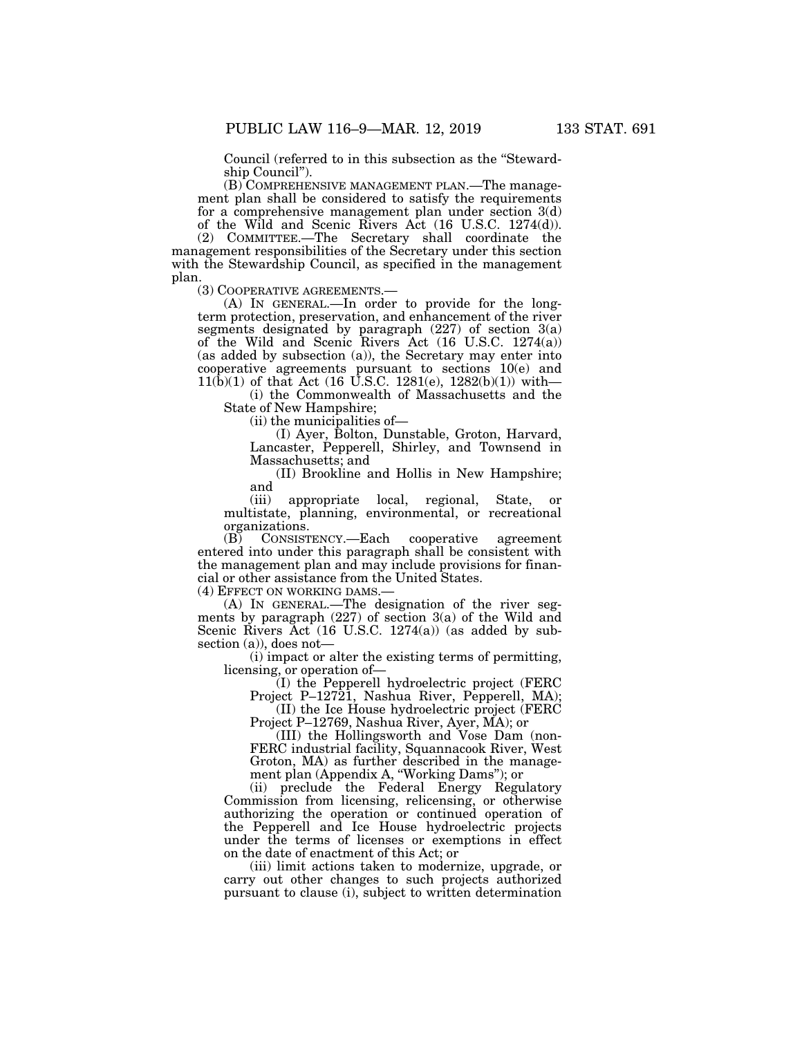Council (referred to in this subsection as the ''Stewardship Council'').

(B) COMPREHENSIVE MANAGEMENT PLAN.—The management plan shall be considered to satisfy the requirements for a comprehensive management plan under section 3(d) of the Wild and Scenic Rivers Act (16 U.S.C. 1274(d)).

(2) COMMITTEE.—The Secretary shall coordinate the management responsibilities of the Secretary under this section with the Stewardship Council, as specified in the management plan.

(3) COOPERATIVE AGREEMENTS.— (A) IN GENERAL.—In order to provide for the longterm protection, preservation, and enhancement of the river segments designated by paragraph (227) of section 3(a) of the Wild and Scenic Rivers Act (16 U.S.C. 1274(a)) (as added by subsection (a)), the Secretary may enter into cooperative agreements pursuant to sections 10(e) and 11(b)(1) of that Act (16 U.S.C. 1281(e), 1282(b)(1)) with—

(i) the Commonwealth of Massachusetts and the State of New Hampshire;

(ii) the municipalities of—

(I) Ayer, Bolton, Dunstable, Groton, Harvard, Lancaster, Pepperell, Shirley, and Townsend in Massachusetts; and

(II) Brookline and Hollis in New Hampshire; and

(iii) appropriate local, regional, State, or multistate, planning, environmental, or recreational organizations.

(B) CONSISTENCY.—Each cooperative agreement entered into under this paragraph shall be consistent with the management plan and may include provisions for financial or other assistance from the United States.

(4) EFFECT ON WORKING DAMS.—

(A) IN GENERAL.—The designation of the river segments by paragraph (227) of section 3(a) of the Wild and Scenic Rivers Act (16 U.S.C. 1274(a)) (as added by subsection (a)), does not—

(i) impact or alter the existing terms of permitting, licensing, or operation of—

(I) the Pepperell hydroelectric project (FERC

Project P–12721, Nashua River, Pepperell, MA); (II) the Ice House hydroelectric project (FERC

Project P–12769, Nashua River, Ayer, MA); or (III) the Hollingsworth and Vose Dam (non-

FERC industrial facility, Squannacook River, West Groton, MA) as further described in the management plan (Appendix A, ''Working Dams''); or

(ii) preclude the Federal Energy Regulatory Commission from licensing, relicensing, or otherwise authorizing the operation or continued operation of the Pepperell and Ice House hydroelectric projects under the terms of licenses or exemptions in effect on the date of enactment of this Act; or

(iii) limit actions taken to modernize, upgrade, or carry out other changes to such projects authorized pursuant to clause (i), subject to written determination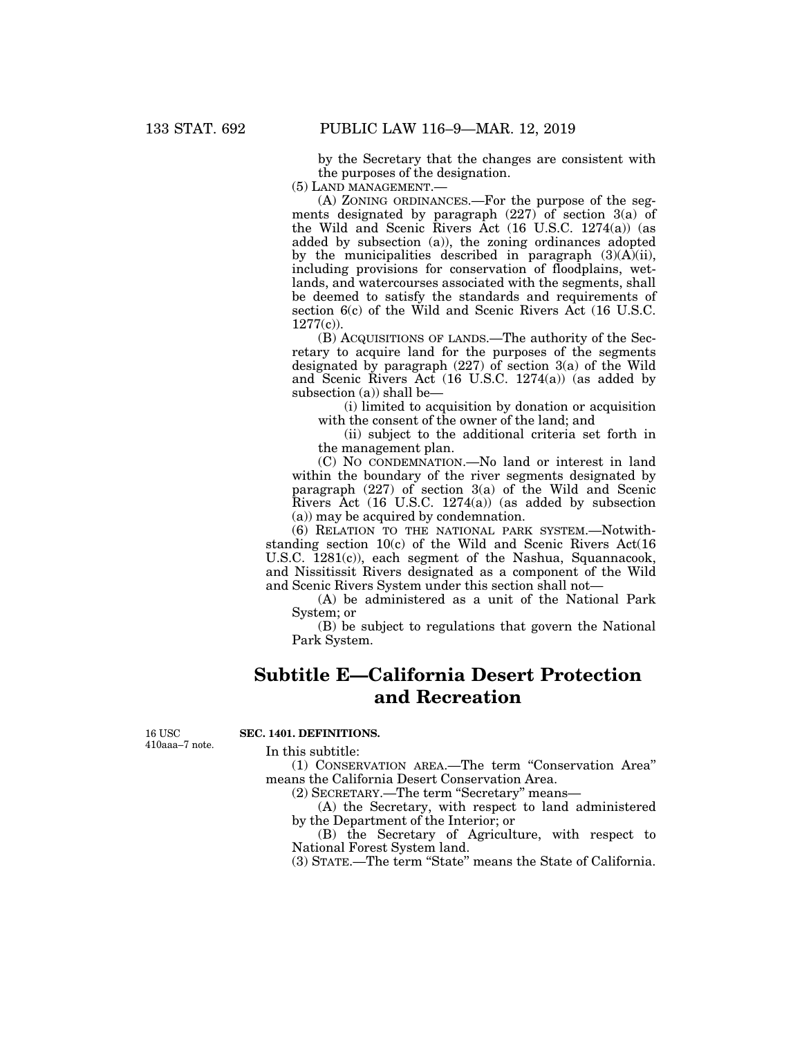by the Secretary that the changes are consistent with the purposes of the designation.

(5) LAND MANAGEMENT.—

(A) ZONING ORDINANCES.—For the purpose of the segments designated by paragraph (227) of section 3(a) of the Wild and Scenic Rivers Act (16 U.S.C. 1274(a)) (as added by subsection (a)), the zoning ordinances adopted by the municipalities described in paragraph  $(3)(A)(ii)$ , including provisions for conservation of floodplains, wetlands, and watercourses associated with the segments, shall be deemed to satisfy the standards and requirements of section 6(c) of the Wild and Scenic Rivers Act (16 U.S.C. 1277(c)).

(B) ACQUISITIONS OF LANDS.—The authority of the Secretary to acquire land for the purposes of the segments designated by paragraph (227) of section 3(a) of the Wild and Scenic Rivers Act (16 U.S.C. 1274(a)) (as added by subsection (a)) shall be—

(i) limited to acquisition by donation or acquisition with the consent of the owner of the land; and

(ii) subject to the additional criteria set forth in the management plan.

(C) NO CONDEMNATION.—No land or interest in land within the boundary of the river segments designated by paragraph (227) of section 3(a) of the Wild and Scenic Rivers Act (16 U.S.C. 1274(a)) (as added by subsection (a)) may be acquired by condemnation.

(6) RELATION TO THE NATIONAL PARK SYSTEM.—Notwithstanding section 10(c) of the Wild and Scenic Rivers Act(16 U.S.C. 1281(c)), each segment of the Nashua, Squannacook, and Nissitissit Rivers designated as a component of the Wild and Scenic Rivers System under this section shall not—

(A) be administered as a unit of the National Park System; or

(B) be subject to regulations that govern the National Park System.

# **Subtitle E—California Desert Protection and Recreation**

16 USC 410aaa–7 note.

## **SEC. 1401. DEFINITIONS.**

In this subtitle:

(1) CONSERVATION AREA.—The term ''Conservation Area'' means the California Desert Conservation Area.

(2) SECRETARY.—The term ''Secretary'' means—

(A) the Secretary, with respect to land administered by the Department of the Interior; or

(B) the Secretary of Agriculture, with respect to National Forest System land.

(3) STATE.—The term ''State'' means the State of California.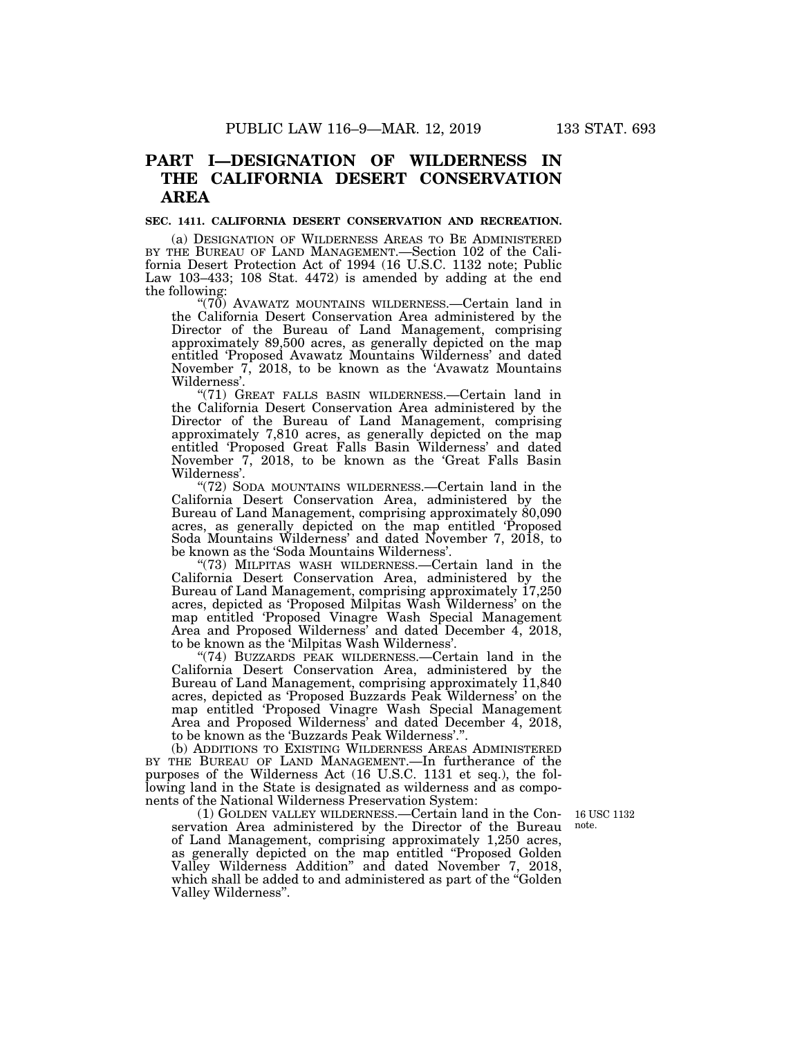# **PART I—DESIGNATION OF WILDERNESS IN THE CALIFORNIA DESERT CONSERVATION AREA**

#### **SEC. 1411. CALIFORNIA DESERT CONSERVATION AND RECREATION.**

(a) DESIGNATION OF WILDERNESS AREAS TO BE ADMINISTERED BY THE BUREAU OF LAND MANAGEMENT.—Section 102 of the California Desert Protection Act of 1994 (16 U.S.C. 1132 note; Public Law 103–433; 108 Stat. 4472) is amended by adding at the end the following:

 $(70)$  AVAWATZ MOUNTAINS WILDERNESS.—Certain land in the California Desert Conservation Area administered by the Director of the Bureau of Land Management, comprising approximately 89,500 acres, as generally depicted on the map entitled 'Proposed Avawatz Mountains Wilderness' and dated November 7, 2018, to be known as the 'Avawatz Mountains Wilderness'.

''(71) GREAT FALLS BASIN WILDERNESS.—Certain land in the California Desert Conservation Area administered by the Director of the Bureau of Land Management, comprising approximately 7,810 acres, as generally depicted on the map entitled 'Proposed Great Falls Basin Wilderness' and dated November 7, 2018, to be known as the 'Great Falls Basin Wilderness'.

''(72) SODA MOUNTAINS WILDERNESS.—Certain land in the California Desert Conservation Area, administered by the Bureau of Land Management, comprising approximately 80,090 acres, as generally depicted on the map entitled 'Proposed Soda Mountains Wilderness' and dated November 7, 2018, to be known as the 'Soda Mountains Wilderness'.

''(73) MILPITAS WASH WILDERNESS.—Certain land in the California Desert Conservation Area, administered by the Bureau of Land Management, comprising approximately 17,250 acres, depicted as 'Proposed Milpitas Wash Wilderness' on the map entitled 'Proposed Vinagre Wash Special Management Area and Proposed Wilderness' and dated December 4, 2018, to be known as the 'Milpitas Wash Wilderness'.

"(74) BUZZARDS PEAK WILDERNESS.—Certain land in the California Desert Conservation Area, administered by the Bureau of Land Management, comprising approximately 11,840 acres, depicted as 'Proposed Buzzards Peak Wilderness' on the map entitled 'Proposed Vinagre Wash Special Management Area and Proposed Wilderness' and dated December 4, 2018, to be known as the 'Buzzards Peak Wilderness'.''.

(b) ADDITIONS TO EXISTING WILDERNESS AREAS ADMINISTERED BY THE BUREAU OF LAND MANAGEMENT.—In furtherance of the purposes of the Wilderness Act (16 U.S.C. 1131 et seq.), the following land in the State is designated as wilderness and as components of the National Wilderness Preservation System:

(1) GOLDEN VALLEY WILDERNESS.—Certain land in the Conservation Area administered by the Director of the Bureau of Land Management, comprising approximately 1,250 acres, as generally depicted on the map entitled ''Proposed Golden Valley Wilderness Addition'' and dated November 7, 2018, which shall be added to and administered as part of the "Golden" Valley Wilderness''.

16 USC 1132 note.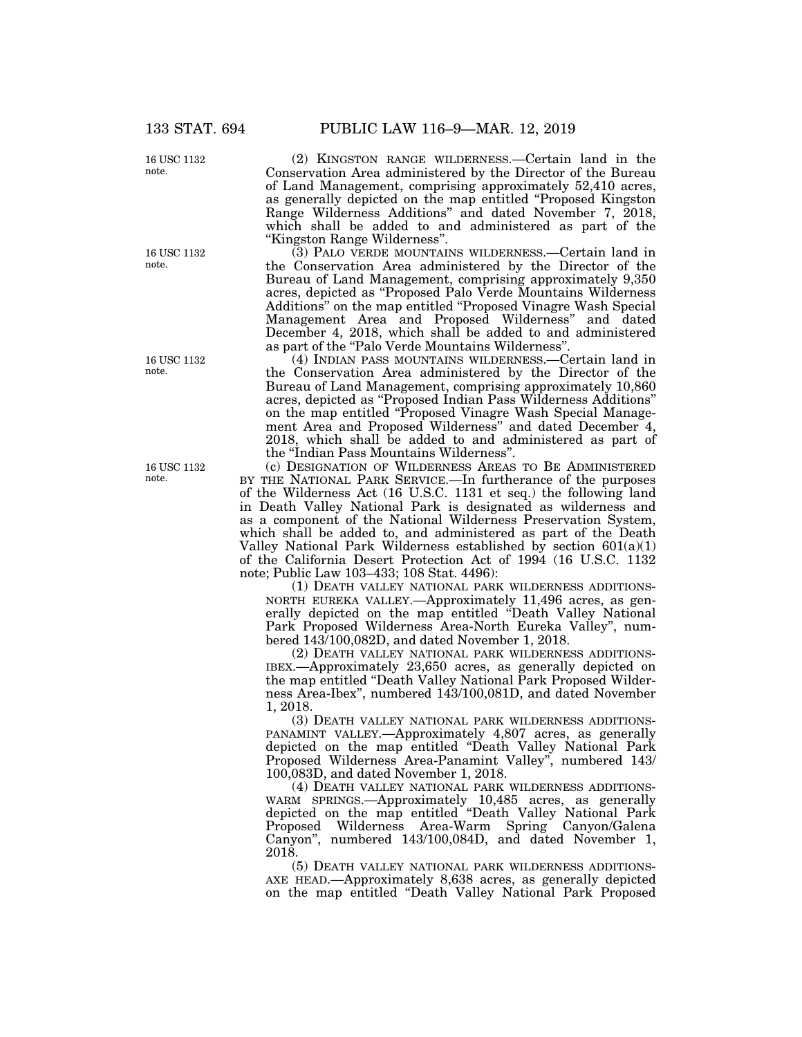16 USC 1132 note.

16 USC 1132 note.

16 USC 1132 note.

16 USC 1132 note.

(2) KINGSTON RANGE WILDERNESS.—Certain land in the Conservation Area administered by the Director of the Bureau of Land Management, comprising approximately 52,410 acres, as generally depicted on the map entitled "Proposed Kingston" Range Wilderness Additions'' and dated November 7, 2018, which shall be added to and administered as part of the ''Kingston Range Wilderness''.

(3) PALO VERDE MOUNTAINS WILDERNESS.—Certain land in the Conservation Area administered by the Director of the Bureau of Land Management, comprising approximately 9,350 acres, depicted as ''Proposed Palo Verde Mountains Wilderness Additions'' on the map entitled ''Proposed Vinagre Wash Special Management Area and Proposed Wilderness'' and dated December 4, 2018, which shall be added to and administered as part of the ''Palo Verde Mountains Wilderness''.

(4) INDIAN PASS MOUNTAINS WILDERNESS.—Certain land in the Conservation Area administered by the Director of the Bureau of Land Management, comprising approximately 10,860 acres, depicted as ''Proposed Indian Pass Wilderness Additions'' on the map entitled ''Proposed Vinagre Wash Special Management Area and Proposed Wilderness'' and dated December 4, 2018, which shall be added to and administered as part of the ''Indian Pass Mountains Wilderness''.

(c) DESIGNATION OF WILDERNESS AREAS TO BE ADMINISTERED BY THE NATIONAL PARK SERVICE.—In furtherance of the purposes of the Wilderness Act (16 U.S.C. 1131 et seq.) the following land in Death Valley National Park is designated as wilderness and as a component of the National Wilderness Preservation System, which shall be added to, and administered as part of the Death Valley National Park Wilderness established by section 601(a)(1) of the California Desert Protection Act of 1994 (16 U.S.C. 1132 note; Public Law 103–433; 108 Stat. 4496):

(1) DEATH VALLEY NATIONAL PARK WILDERNESS ADDITIONS-NORTH EUREKA VALLEY.—Approximately 11,496 acres, as generally depicted on the map entitled "Death Valley National Park Proposed Wilderness Area-North Eureka Valley'', numbered 143/100,082D, and dated November 1, 2018.

(2) DEATH VALLEY NATIONAL PARK WILDERNESS ADDITIONS-IBEX.—Approximately 23,650 acres, as generally depicted on the map entitled ''Death Valley National Park Proposed Wilderness Area-Ibex'', numbered 143/100,081D, and dated November 1, 2018.

(3) DEATH VALLEY NATIONAL PARK WILDERNESS ADDITIONS-PANAMINT VALLEY.—Approximately 4,807 acres, as generally depicted on the map entitled ''Death Valley National Park Proposed Wilderness Area-Panamint Valley'', numbered 143/ 100,083D, and dated November 1, 2018.

(4) DEATH VALLEY NATIONAL PARK WILDERNESS ADDITIONS-WARM SPRINGS.—Approximately 10,485 acres, as generally depicted on the map entitled ''Death Valley National Park Proposed Wilderness Area-Warm Spring Canyon/Galena Canyon'', numbered 143/100,084D, and dated November 1, 2018.

(5) DEATH VALLEY NATIONAL PARK WILDERNESS ADDITIONS-AXE HEAD.—Approximately 8,638 acres, as generally depicted on the map entitled ''Death Valley National Park Proposed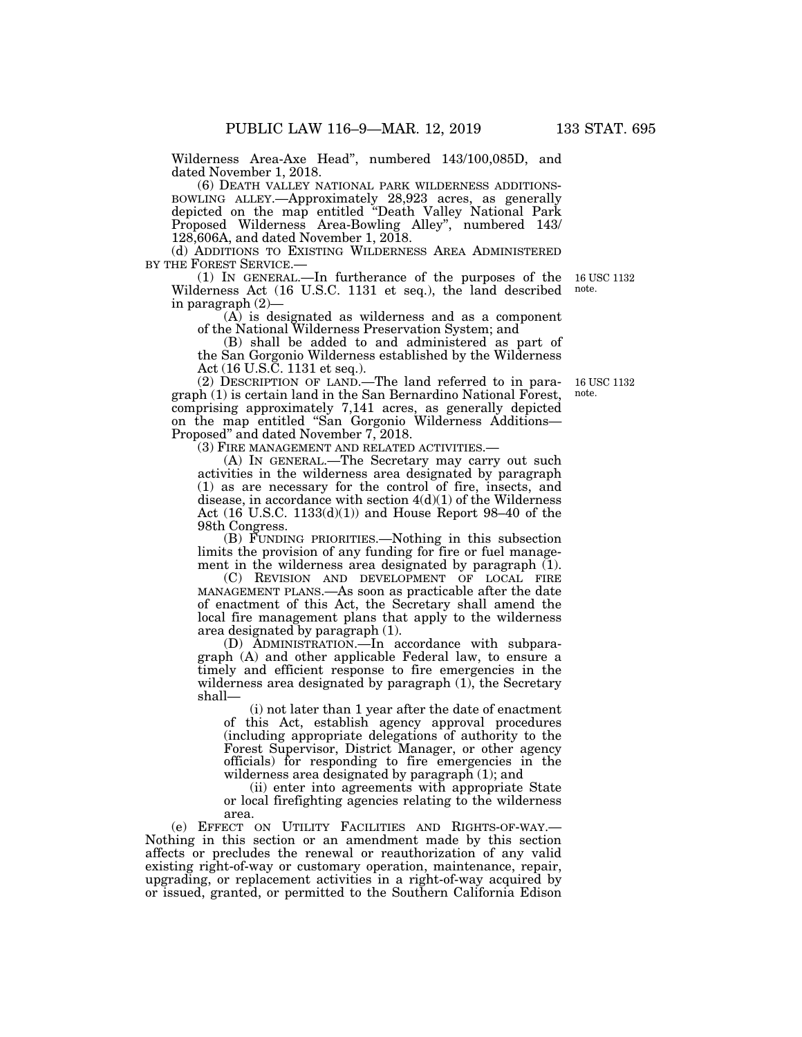Wilderness Area-Axe Head'', numbered 143/100,085D, and dated November 1, 2018.

(6) DEATH VALLEY NATIONAL PARK WILDERNESS ADDITIONS-BOWLING ALLEY.—Approximately 28,923 acres, as generally depicted on the map entitled ''Death Valley National Park Proposed Wilderness Area-Bowling Alley'', numbered 143/ 128,606A, and dated November 1, 2018.

(d) ADDITIONS TO EXISTING WILDERNESS AREA ADMINISTERED BY THE FOREST SERVICE.— BY THE FOREST SERVICE.— (1) IN GENERAL.—In furtherance of the purposes of the 16 USC 1132

Wilderness Act (16 U.S.C. 1131 et seq.), the land described in paragraph  $(2)$ 

(A) is designated as wilderness and as a component of the National Wilderness Preservation System; and

(B) shall be added to and administered as part of the San Gorgonio Wilderness established by the Wilderness Act (16 U.S.C. 1131 et seq.).

(2) DESCRIPTION OF LAND.—The land referred to in paragraph (1) is certain land in the San Bernardino National Forest, comprising approximately 7,141 acres, as generally depicted on the map entitled ''San Gorgonio Wilderness Additions— Proposed'' and dated November 7, 2018.

(3) FIRE MANAGEMENT AND RELATED ACTIVITIES.—

(A) IN GENERAL.—The Secretary may carry out such activities in the wilderness area designated by paragraph (1) as are necessary for the control of fire, insects, and disease, in accordance with section  $4(d)(1)$  of the Wilderness Act  $(16 \text{ U.S.C. } 1133(d)(1))$  and House Report 98–40 of the 98th Congress.

(B) FUNDING PRIORITIES.—Nothing in this subsection limits the provision of any funding for fire or fuel management in the wilderness area designated by paragraph (1).

(C) REVISION AND DEVELOPMENT OF LOCAL FIRE MANAGEMENT PLANS.—As soon as practicable after the date of enactment of this Act, the Secretary shall amend the local fire management plans that apply to the wilderness area designated by paragraph (1).

(D) ADMINISTRATION.—In accordance with subparagraph (A) and other applicable Federal law, to ensure a timely and efficient response to fire emergencies in the wilderness area designated by paragraph  $(1)$ , the Secretary shall—

(i) not later than 1 year after the date of enactment of this Act, establish agency approval procedures (including appropriate delegations of authority to the Forest Supervisor, District Manager, or other agency officials) for responding to fire emergencies in the wilderness area designated by paragraph (1); and

(ii) enter into agreements with appropriate State or local firefighting agencies relating to the wilderness area.

(e) EFFECT ON UTILITY FACILITIES AND RIGHTS-OF-WAY.— Nothing in this section or an amendment made by this section affects or precludes the renewal or reauthorization of any valid existing right-of-way or customary operation, maintenance, repair, upgrading, or replacement activities in a right-of-way acquired by or issued, granted, or permitted to the Southern California Edison

note.

16 USC 1132 note.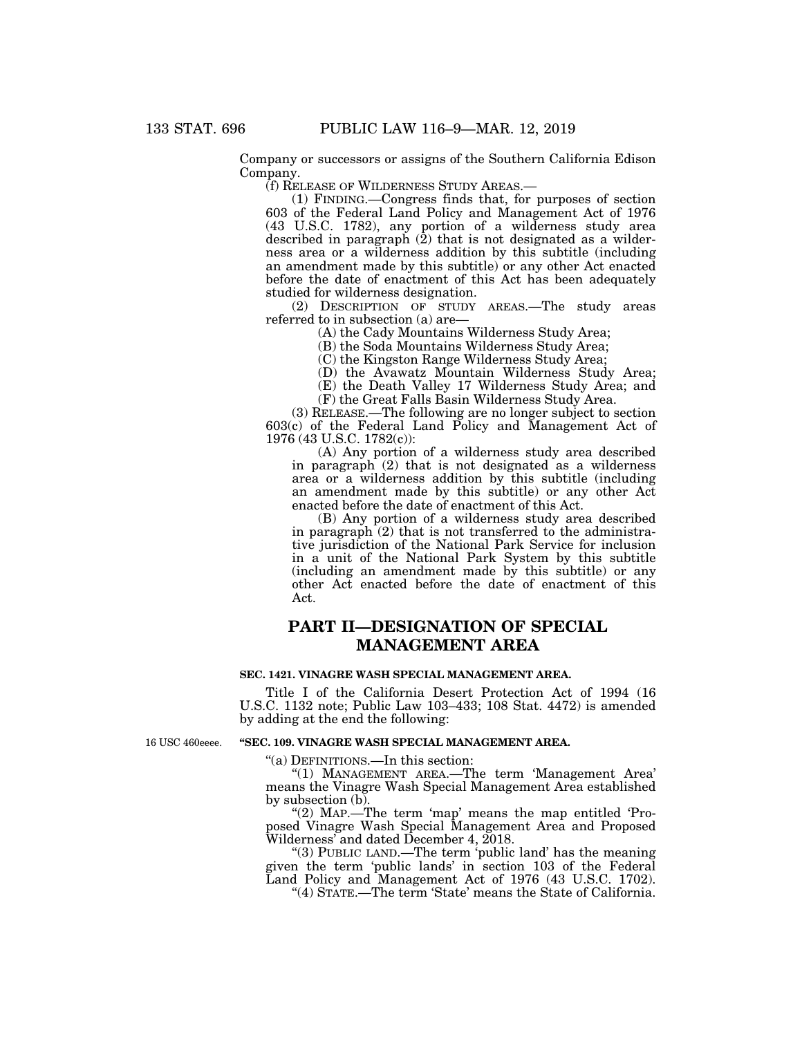Company or successors or assigns of the Southern California Edison Company.

(f) RELEASE OF WILDERNESS STUDY AREAS.—

(1) FINDING.—Congress finds that, for purposes of section 603 of the Federal Land Policy and Management Act of 1976 (43 U.S.C. 1782), any portion of a wilderness study area described in paragraph (2) that is not designated as a wilderness area or a wilderness addition by this subtitle (including an amendment made by this subtitle) or any other Act enacted before the date of enactment of this Act has been adequately studied for wilderness designation.

(2) DESCRIPTION OF STUDY AREAS.—The study areas referred to in subsection (a) are—

(A) the Cady Mountains Wilderness Study Area;

(B) the Soda Mountains Wilderness Study Area;

(C) the Kingston Range Wilderness Study Area;

(D) the Avawatz Mountain Wilderness Study Area;

(E) the Death Valley 17 Wilderness Study Area; and

(F) the Great Falls Basin Wilderness Study Area.

(3) RELEASE.—The following are no longer subject to section 603(c) of the Federal Land Policy and Management Act of 1976 (43 U.S.C. 1782(c)):

(A) Any portion of a wilderness study area described in paragraph (2) that is not designated as a wilderness area or a wilderness addition by this subtitle (including an amendment made by this subtitle) or any other Act enacted before the date of enactment of this Act.

(B) Any portion of a wilderness study area described in paragraph (2) that is not transferred to the administrative jurisdiction of the National Park Service for inclusion in a unit of the National Park System by this subtitle (including an amendment made by this subtitle) or any other Act enacted before the date of enactment of this Act.

# **PART II—DESIGNATION OF SPECIAL MANAGEMENT AREA**

#### **SEC. 1421. VINAGRE WASH SPECIAL MANAGEMENT AREA.**

Title I of the California Desert Protection Act of 1994 (16 U.S.C. 1132 note; Public Law 103–433; 108 Stat. 4472) is amended by adding at the end the following:

16 USC 460eeee.

#### **''SEC. 109. VINAGRE WASH SPECIAL MANAGEMENT AREA.**

''(a) DEFINITIONS.—In this section:

''(1) MANAGEMENT AREA.—The term 'Management Area' means the Vinagre Wash Special Management Area established by subsection (b).

"(2) MAP.—The term 'map' means the map entitled 'Proposed Vinagre Wash Special Management Area and Proposed Wilderness' and dated December 4, 2018.

''(3) PUBLIC LAND.—The term 'public land' has the meaning given the term 'public lands' in section 103 of the Federal Land Policy and Management Act of 1976 (43 U.S.C. 1702).

''(4) STATE.—The term 'State' means the State of California.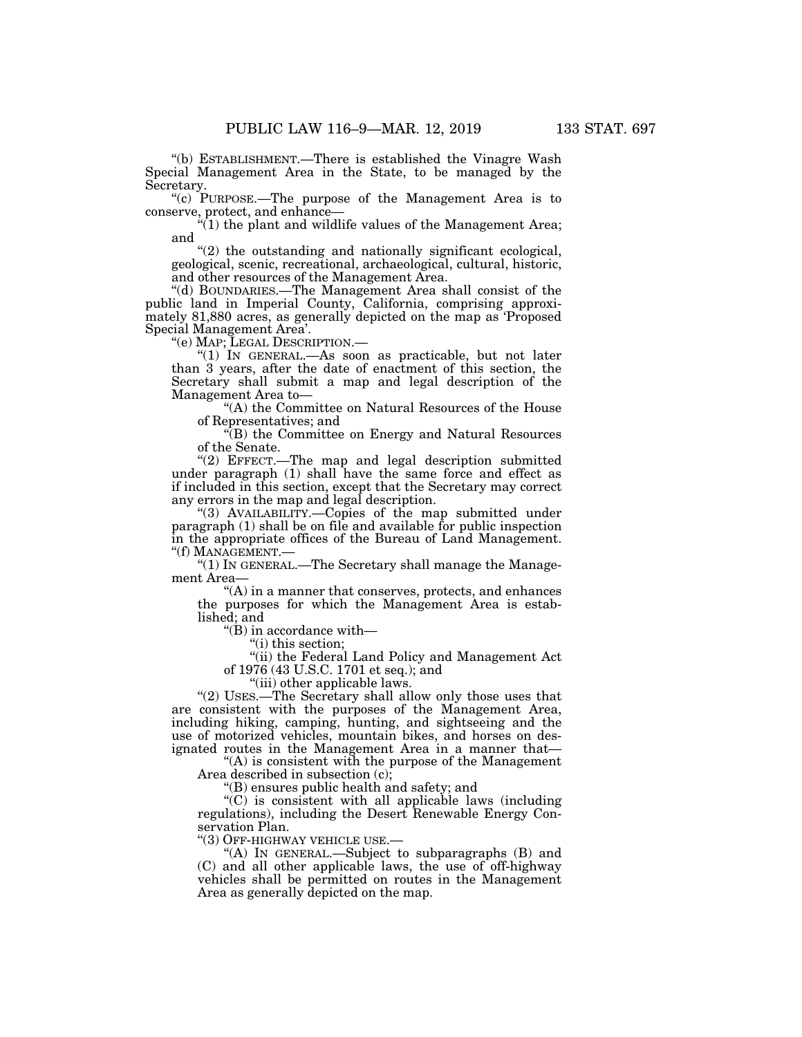''(b) ESTABLISHMENT.—There is established the Vinagre Wash Special Management Area in the State, to be managed by the Secretary.

"(c) PURPOSE.—The purpose of the Management Area is to conserve, protect, and enhance—

" $(1)$  the plant and wildlife values of the Management Area; and

"(2) the outstanding and nationally significant ecological, geological, scenic, recreational, archaeological, cultural, historic, and other resources of the Management Area.

''(d) BOUNDARIES.—The Management Area shall consist of the public land in Imperial County, California, comprising approximately 81,880 acres, as generally depicted on the map as 'Proposed Special Management Area'.

" $(1)$  In GENERAL.—As soon as practicable, but not later than 3 years, after the date of enactment of this section, the Secretary shall submit a map and legal description of the Management Area to—

''(A) the Committee on Natural Resources of the House of Representatives; and

''(B) the Committee on Energy and Natural Resources of the Senate.

"(2) EFFECT.—The map and legal description submitted under paragraph (1) shall have the same force and effect as if included in this section, except that the Secretary may correct any errors in the map and legal description.

''(3) AVAILABILITY.—Copies of the map submitted under paragraph (1) shall be on file and available for public inspection in the appropriate offices of the Bureau of Land Management. "(f) MANAGEMENT.-

''(1) IN GENERAL.—The Secretary shall manage the Management Area—

''(A) in a manner that conserves, protects, and enhances the purposes for which the Management Area is established; and

''(B) in accordance with—

''(i) this section;

"(ii) the Federal Land Policy and Management Act of 1976 (43 U.S.C. 1701 et seq.); and

"(iii) other applicable laws.

"(2) USES.—The Secretary shall allow only those uses that are consistent with the purposes of the Management Area, including hiking, camping, hunting, and sightseeing and the use of motorized vehicles, mountain bikes, and horses on designated routes in the Management Area in a manner that—

''(A) is consistent with the purpose of the Management Area described in subsection  $(c)$ ;

''(B) ensures public health and safety; and

 $\mathrm{C}^*(\mathrm{C})$  is consistent with all applicable laws (including regulations), including the Desert Renewable Energy Conservation Plan.

''(3) OFF-HIGHWAY VEHICLE USE.—

''(A) IN GENERAL.—Subject to subparagraphs (B) and (C) and all other applicable laws, the use of off-highway vehicles shall be permitted on routes in the Management Area as generally depicted on the map.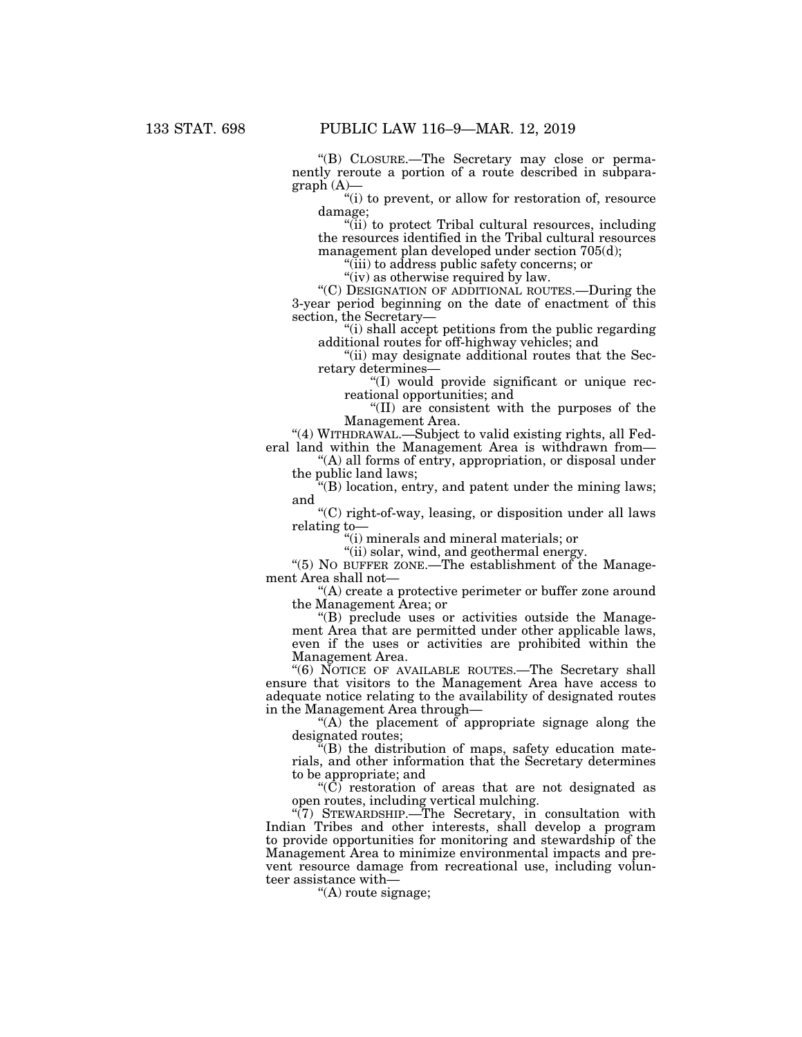''(B) CLOSURE.—The Secretary may close or permanently reroute a portion of a route described in subparagraph (A)—

"(i) to prevent, or allow for restoration of, resource damage;

''(ii) to protect Tribal cultural resources, including the resources identified in the Tribal cultural resources management plan developed under section 705(d);

''(iii) to address public safety concerns; or

"(iv) as otherwise required by law.

''(C) DESIGNATION OF ADDITIONAL ROUTES.—During the 3-year period beginning on the date of enactment of this section, the Secretary—

''(i) shall accept petitions from the public regarding additional routes for off-highway vehicles; and

''(ii) may designate additional routes that the Secretary determines—

''(I) would provide significant or unique recreational opportunities; and

''(II) are consistent with the purposes of the Management Area.

''(4) WITHDRAWAL.—Subject to valid existing rights, all Federal land within the Management Area is withdrawn from—

''(A) all forms of entry, appropriation, or disposal under the public land laws;

''(B) location, entry, and patent under the mining laws; and

''(C) right-of-way, leasing, or disposition under all laws relating to—

''(i) minerals and mineral materials; or

''(ii) solar, wind, and geothermal energy.

''(5) NO BUFFER ZONE.—The establishment of the Management Area shall not—

''(A) create a protective perimeter or buffer zone around the Management Area; or

''(B) preclude uses or activities outside the Management Area that are permitted under other applicable laws, even if the uses or activities are prohibited within the Management Area.

''(6) NOTICE OF AVAILABLE ROUTES.—The Secretary shall ensure that visitors to the Management Area have access to adequate notice relating to the availability of designated routes in the Management Area through—

 $(A)$  the placement of appropriate signage along the designated routes;

 $\tilde{H}(B)$  the distribution of maps, safety education materials, and other information that the Secretary determines to be appropriate; and

''(C) restoration of areas that are not designated as open routes, including vertical mulching.

 $\sqrt{\frac{7}{7}}$  STEWARDSHIP. The Secretary, in consultation with Indian Tribes and other interests, shall develop a program to provide opportunities for monitoring and stewardship of the Management Area to minimize environmental impacts and prevent resource damage from recreational use, including volunteer assistance with—

''(A) route signage;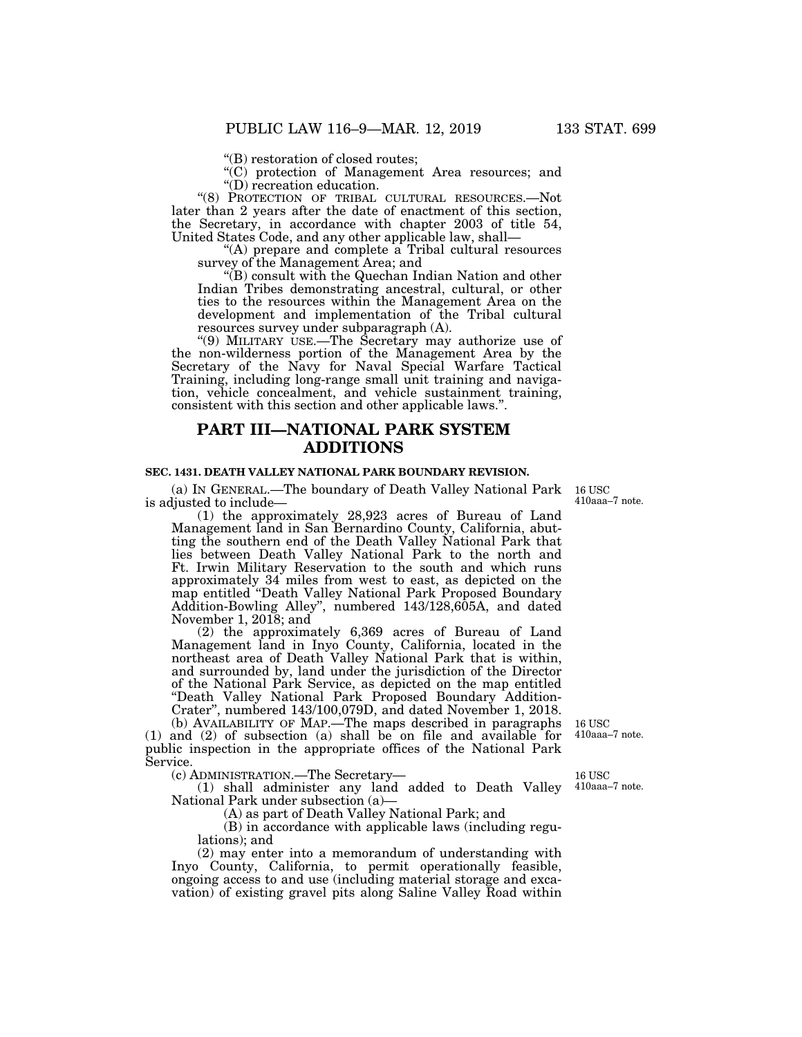''(B) restoration of closed routes;

''(C) protection of Management Area resources; and ''(D) recreation education.

''(8) PROTECTION OF TRIBAL CULTURAL RESOURCES.—Not later than 2 years after the date of enactment of this section, the Secretary, in accordance with chapter 2003 of title 54, United States Code, and any other applicable law, shall—

''(A) prepare and complete a Tribal cultural resources survey of the Management Area; and

''(B) consult with the Quechan Indian Nation and other Indian Tribes demonstrating ancestral, cultural, or other ties to the resources within the Management Area on the development and implementation of the Tribal cultural resources survey under subparagraph (A).

''(9) MILITARY USE.—The Secretary may authorize use of the non-wilderness portion of the Management Area by the Secretary of the Navy for Naval Special Warfare Tactical Training, including long-range small unit training and navigation, vehicle concealment, and vehicle sustainment training, consistent with this section and other applicable laws.''.

## **PART III—NATIONAL PARK SYSTEM ADDITIONS**

#### **SEC. 1431. DEATH VALLEY NATIONAL PARK BOUNDARY REVISION.**

(a) IN GENERAL.—The boundary of Death Valley National Park 16 USC is adjusted to include—

(1) the approximately 28,923 acres of Bureau of Land Management land in San Bernardino County, California, abutting the southern end of the Death Valley National Park that lies between Death Valley National Park to the north and Ft. Irwin Military Reservation to the south and which runs approximately 34 miles from west to east, as depicted on the map entitled "Death Valley National Park Proposed Boundary Addition-Bowling Alley'', numbered 143/128,605A, and dated November 1, 2018; and

(2) the approximately 6,369 acres of Bureau of Land Management land in Inyo County, California, located in the northeast area of Death Valley National Park that is within, and surrounded by, land under the jurisdiction of the Director of the National Park Service, as depicted on the map entitled ''Death Valley National Park Proposed Boundary Addition-Crater'', numbered 143/100,079D, and dated November 1, 2018.

(b) AVAILABILITY OF MAP.—The maps described in paragraphs (1) and (2) of subsection (a) shall be on file and available for public inspection in the appropriate offices of the National Park Service.

(c) ADMINISTRATION.—The Secretary—

(1) shall administer any land added to Death Valley National Park under subsection (a)—

(A) as part of Death Valley National Park; and

(B) in accordance with applicable laws (including regulations); and

(2) may enter into a memorandum of understanding with Inyo County, California, to permit operationally feasible, ongoing access to and use (including material storage and excavation) of existing gravel pits along Saline Valley Road within

410aaa–7 note.

16 USC 410aaa–7 note.

16 USC 410aaa–7 note.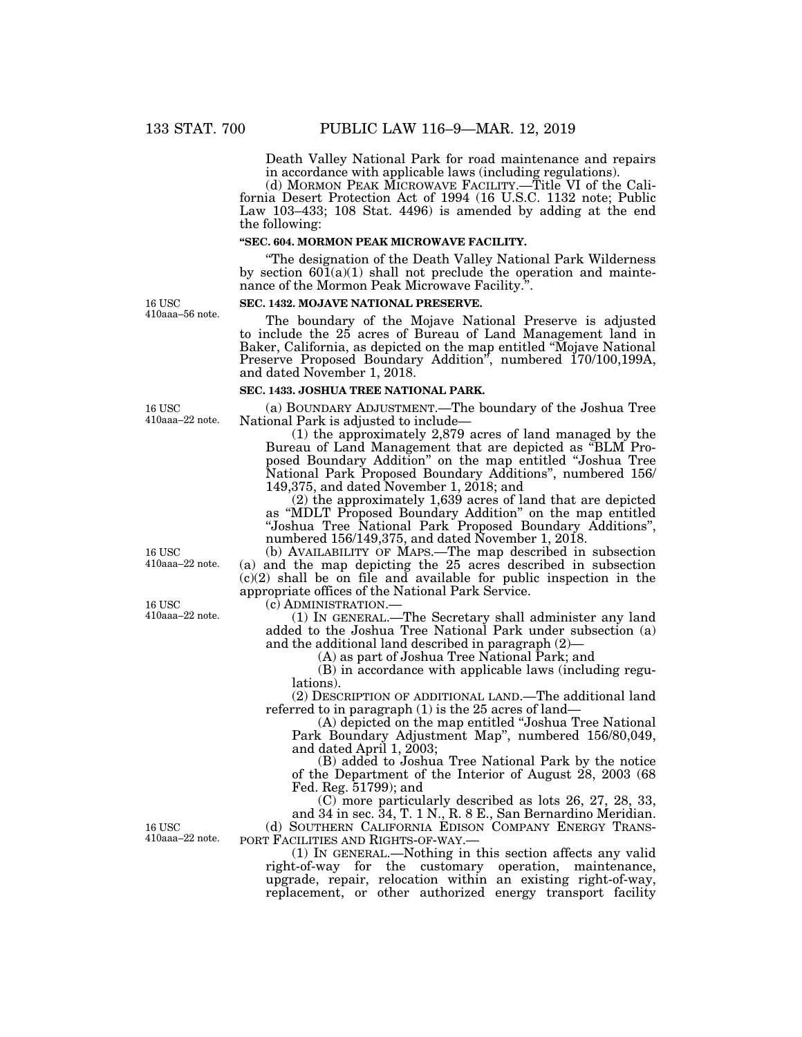Death Valley National Park for road maintenance and repairs in accordance with applicable laws (including regulations).

(d) MORMON PEAK MICROWAVE FACILITY.—Title VI of the California Desert Protection Act of 1994 (16 U.S.C. 1132 note; Public Law 103–433; 108 Stat. 4496) is amended by adding at the end the following:

### **''SEC. 604. MORMON PEAK MICROWAVE FACILITY.**

''The designation of the Death Valley National Park Wilderness by section  $60\bar{1}(a)(1)$  shall not preclude the operation and maintenance of the Mormon Peak Microwave Facility.''.

16 USC 410aaa–56 note.

16 USC 410aaa–22 note.

The boundary of the Mojave National Preserve is adjusted to include the 25 acres of Bureau of Land Management land in Baker, California, as depicted on the map entitled ''Mojave National Preserve Proposed Boundary Addition'', numbered 170/100,199A, and dated November 1, 2018.

#### **SEC. 1433. JOSHUA TREE NATIONAL PARK.**

**SEC. 1432. MOJAVE NATIONAL PRESERVE.** 

(a) BOUNDARY ADJUSTMENT.—The boundary of the Joshua Tree National Park is adjusted to include—

(1) the approximately 2,879 acres of land managed by the Bureau of Land Management that are depicted as ''BLM Proposed Boundary Addition'' on the map entitled ''Joshua Tree National Park Proposed Boundary Additions", numbered 156/ 149,375, and dated November 1, 2018; and

(2) the approximately 1,639 acres of land that are depicted as ''MDLT Proposed Boundary Addition'' on the map entitled ''Joshua Tree National Park Proposed Boundary Additions'', numbered 156/149,375, and dated November 1, 2018.

(b) AVAILABILITY OF MAPS.—The map described in subsection (a) and the map depicting the 25 acres described in subsection (c)(2) shall be on file and available for public inspection in the appropriate offices of the National Park Service.

 $(1)$  In GENERAL.—The Secretary shall administer any land added to the Joshua Tree National Park under subsection (a) and the additional land described in paragraph (2)—

(A) as part of Joshua Tree National Park; and

(B) in accordance with applicable laws (including regulations).

(2) DESCRIPTION OF ADDITIONAL LAND.—The additional land referred to in paragraph (1) is the 25 acres of land—

(A) depicted on the map entitled ''Joshua Tree National Park Boundary Adjustment Map'', numbered 156/80,049, and dated April 1, 2003;

(B) added to Joshua Tree National Park by the notice of the Department of the Interior of August 28, 2003 (68 Fed. Reg. 51799); and

(C) more particularly described as lots 26, 27, 28, 33, and 34 in sec. 34, T. 1 N., R. 8 E., San Bernardino Meridian.

(d) SOUTHERN CALIFORNIA EDISON COMPANY ENERGY TRANS-PORT FACILITIES AND RIGHTS-OF-WAY.—

(1) IN GENERAL.—Nothing in this section affects any valid right-of-way for the customary operation, maintenance, upgrade, repair, relocation within an existing right-of-way, replacement, or other authorized energy transport facility

16 USC 410aaa–22 note.

16 USC 410aaa–22 note.

16 USC 410aaa–22 note.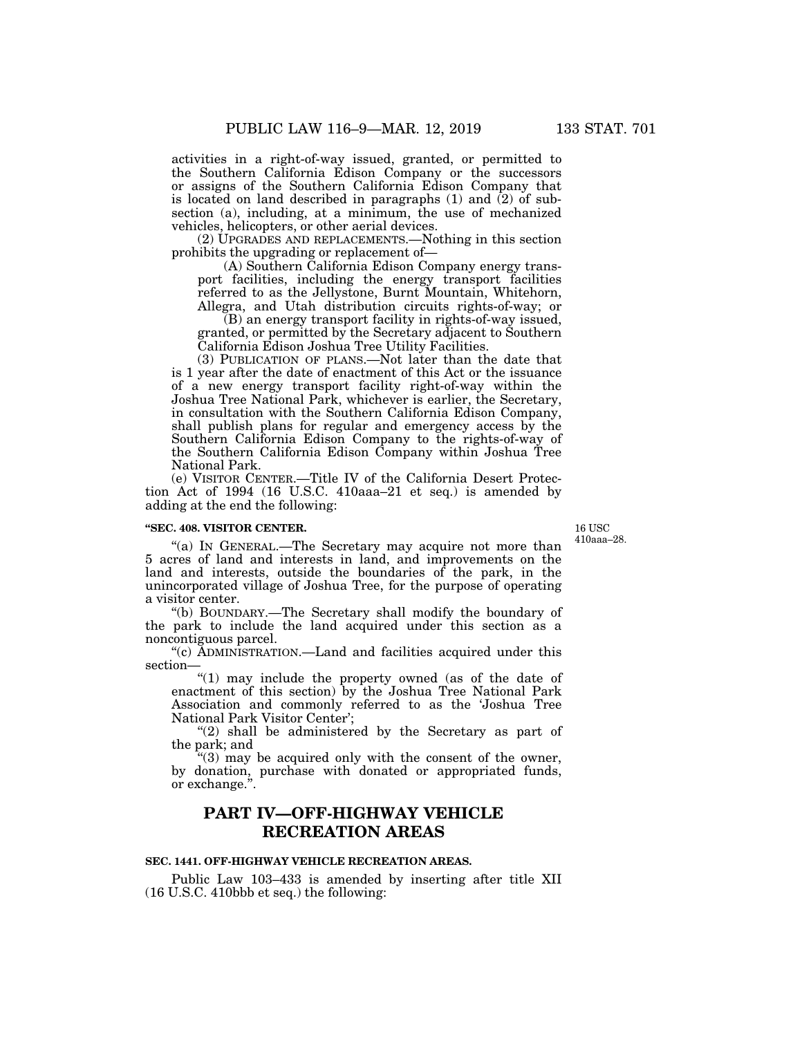activities in a right-of-way issued, granted, or permitted to the Southern California Edison Company or the successors or assigns of the Southern California Edison Company that is located on land described in paragraphs (1) and (2) of subsection (a), including, at a minimum, the use of mechanized vehicles, helicopters, or other aerial devices.

(2) UPGRADES AND REPLACEMENTS.—Nothing in this section prohibits the upgrading or replacement of—

(A) Southern California Edison Company energy transport facilities, including the energy transport facilities referred to as the Jellystone, Burnt Mountain, Whitehorn, Allegra, and Utah distribution circuits rights-of-way; or

(B) an energy transport facility in rights-of-way issued, granted, or permitted by the Secretary adjacent to Southern California Edison Joshua Tree Utility Facilities.

(3) PUBLICATION OF PLANS.—Not later than the date that is 1 year after the date of enactment of this Act or the issuance of a new energy transport facility right-of-way within the Joshua Tree National Park, whichever is earlier, the Secretary, in consultation with the Southern California Edison Company, shall publish plans for regular and emergency access by the Southern California Edison Company to the rights-of-way of the Southern California Edison Company within Joshua Tree National Park.

(e) VISITOR CENTER.—Title IV of the California Desert Protection Act of 1994 (16 U.S.C. 410aaa–21 et seq.) is amended by adding at the end the following:

#### **''SEC. 408. VISITOR CENTER.**

16 USC 410aaa–28.

''(a) IN GENERAL.—The Secretary may acquire not more than 5 acres of land and interests in land, and improvements on the land and interests, outside the boundaries of the park, in the unincorporated village of Joshua Tree, for the purpose of operating a visitor center.

''(b) BOUNDARY.—The Secretary shall modify the boundary of the park to include the land acquired under this section as a noncontiguous parcel.

''(c) ADMINISTRATION.—Land and facilities acquired under this section—

''(1) may include the property owned (as of the date of enactment of this section) by the Joshua Tree National Park Association and commonly referred to as the 'Joshua Tree National Park Visitor Center';

"(2) shall be administered by the Secretary as part of the park; and

 $(3)$  may be acquired only with the consent of the owner, by donation, purchase with donated or appropriated funds, or exchange.'

# **PART IV—OFF-HIGHWAY VEHICLE RECREATION AREAS**

### **SEC. 1441. OFF-HIGHWAY VEHICLE RECREATION AREAS.**

Public Law 103–433 is amended by inserting after title XII (16 U.S.C. 410bbb et seq.) the following: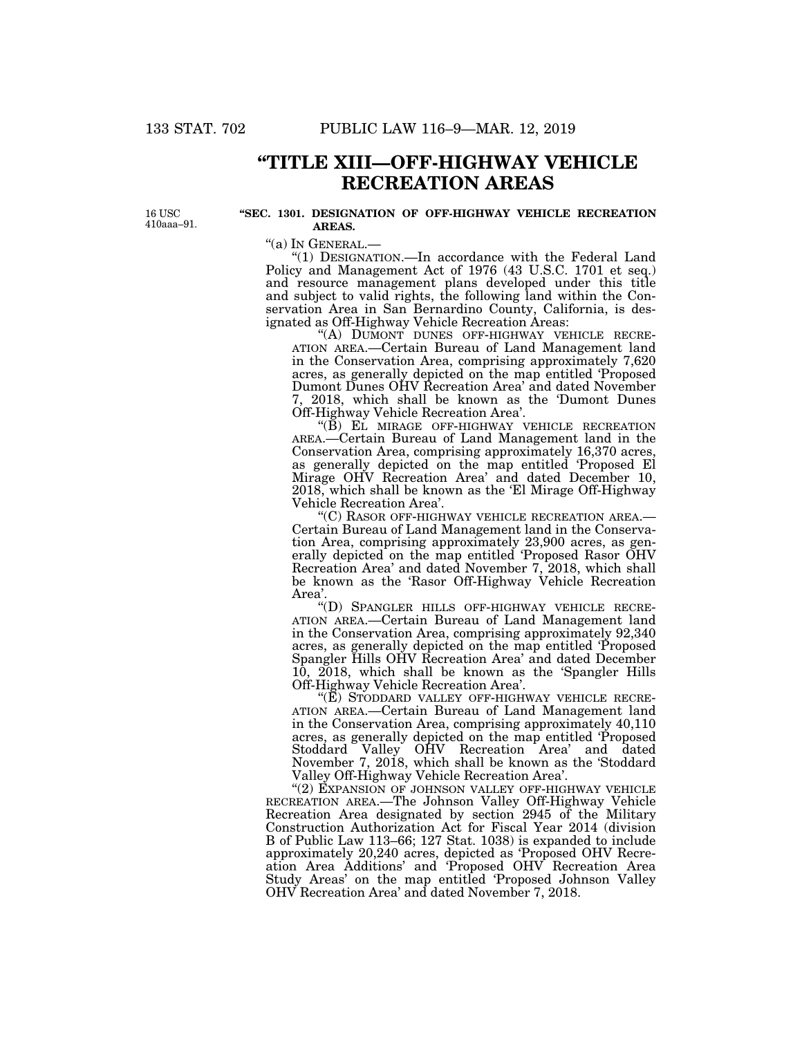# **''TITLE XIII—OFF-HIGHWAY VEHICLE RECREATION AREAS**

16 USC 410aaa–91.

#### **''SEC. 1301. DESIGNATION OF OFF-HIGHWAY VEHICLE RECREATION AREAS.**

''(a) IN GENERAL.— ''(1) DESIGNATION.—In accordance with the Federal Land Policy and Management Act of 1976 (43 U.S.C. 1701 et seq.) and resource management plans developed under this title and subject to valid rights, the following land within the Conservation Area in San Bernardino County, California, is designated as Off-Highway Vehicle Recreation Areas:

ATION AREA.—Certain Bureau of Land Management land in the Conservation Area, comprising approximately 7,620 acres, as generally depicted on the map entitled 'Proposed Dumont Dunes OHV Recreation Area' and dated November 7, 2018, which shall be known as the 'Dumont Dunes Off-Highway Vehicle Recreation Area'.

"(B) EL MIRAGE OFF-HIGHWAY VEHICLE RECREATION AREA.—Certain Bureau of Land Management land in the Conservation Area, comprising approximately 16,370 acres, as generally depicted on the map entitled 'Proposed El Mirage OHV Recreation Area' and dated December 10, 2018, which shall be known as the 'El Mirage Off-Highway Vehicle Recreation Area'.<br>"(C) RASOR OFF-HIGHWAY VEHICLE RECREATION AREA.—

Certain Bureau of Land Management land in the Conservation Area, comprising approximately 23,900 acres, as generally depicted on the map entitled 'Proposed Rasor OHV Recreation Area' and dated November 7, 2018, which shall be known as the 'Rasor Off-Highway Vehicle Recreation

Area'.<br>"(D) SPANGLER HILLS OFF-HIGHWAY VEHICLE RECRE-ATION AREA.-Certain Bureau of Land Management land in the Conservation Area, comprising approximately 92,340 acres, as generally depicted on the map entitled 'Proposed Spangler Hills OHV Recreation Area' and dated December 10, 2018, which shall be known as the 'Spangler Hills Off-Highway Vehicle Recreation Area'.<br>"(E) STODDARD VALLEY OFF-HIGHWAY VEHICLE RECRE-

ATION AREA.—Certain Bureau of Land Management land in the Conservation Area, comprising approximately 40,110 acres, as generally depicted on the map entitled 'Proposed Stoddard Valley OHV Recreation Area' and dated November 7, 2018, which shall be known as the 'Stoddard Valley Off-Highway Vehicle Recreation Area'.

"(2) EXPANSION OF JOHNSON VALLEY OFF-HIGHWAY VEHICLE RECREATION AREA.—The Johnson Valley Off-Highway Vehicle Recreation Area designated by section 2945 of the Military Construction Authorization Act for Fiscal Year 2014 (division B of Public Law 113–66; 127 Stat. 1038) is expanded to include approximately 20,240 acres, depicted as 'Proposed OHV Recreation Area Additions' and 'Proposed OHV Recreation Area Study Areas' on the map entitled 'Proposed Johnson Valley OHV Recreation Area' and dated November 7, 2018.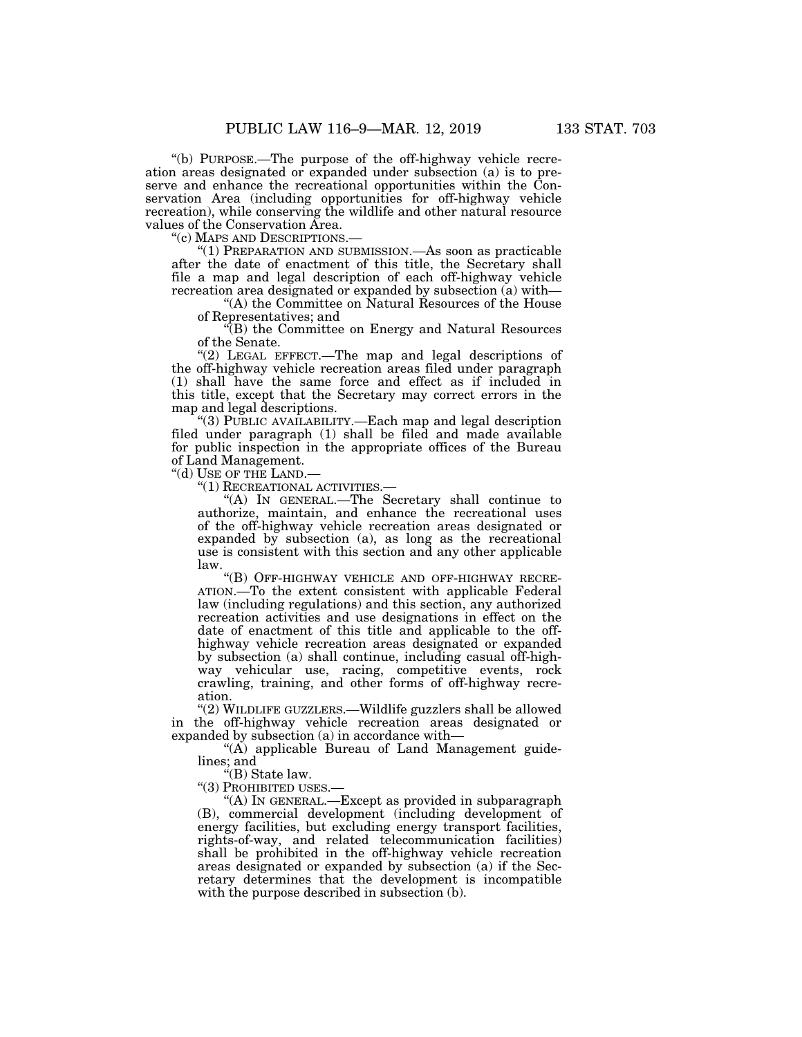''(b) PURPOSE.—The purpose of the off-highway vehicle recreation areas designated or expanded under subsection (a) is to preserve and enhance the recreational opportunities within the Conservation Area (including opportunities for off-highway vehicle recreation), while conserving the wildlife and other natural resource values of the Conservation Area.<br>"(c) MAPS AND DESCRIPTIONS.

" $(1)$  PREPARATION AND SUBMISSION.—As soon as practicable after the date of enactment of this title, the Secretary shall file a map and legal description of each off-highway vehicle recreation area designated or expanded by subsection (a) with—

''(A) the Committee on Natural Resources of the House of Representatives; and

''(B) the Committee on Energy and Natural Resources of the Senate.

"(2) LEGAL EFFECT.—The map and legal descriptions of the off-highway vehicle recreation areas filed under paragraph (1) shall have the same force and effect as if included in this title, except that the Secretary may correct errors in the map and legal descriptions.

''(3) PUBLIC AVAILABILITY.—Each map and legal description filed under paragraph (1) shall be filed and made available for public inspection in the appropriate offices of the Bureau of Land Management.

"(d) USE OF THE LAND.-

''(1) RECREATIONAL ACTIVITIES.—

''(A) IN GENERAL.—The Secretary shall continue to authorize, maintain, and enhance the recreational uses of the off-highway vehicle recreation areas designated or expanded by subsection (a), as long as the recreational use is consistent with this section and any other applicable law.

''(B) OFF-HIGHWAY VEHICLE AND OFF-HIGHWAY RECRE-ATION.—To the extent consistent with applicable Federal law (including regulations) and this section, any authorized recreation activities and use designations in effect on the date of enactment of this title and applicable to the offhighway vehicle recreation areas designated or expanded by subsection (a) shall continue, including casual off-highway vehicular use, racing, competitive events, rock crawling, training, and other forms of off-highway recreation.

''(2) WILDLIFE GUZZLERS.—Wildlife guzzlers shall be allowed in the off-highway vehicle recreation areas designated or expanded by subsection (a) in accordance with—

''(A) applicable Bureau of Land Management guidelines; and

''(B) State law.

''(3) PROHIBITED USES.—

''(A) IN GENERAL.—Except as provided in subparagraph (B), commercial development (including development of energy facilities, but excluding energy transport facilities, rights-of-way, and related telecommunication facilities) shall be prohibited in the off-highway vehicle recreation areas designated or expanded by subsection (a) if the Secretary determines that the development is incompatible with the purpose described in subsection (b).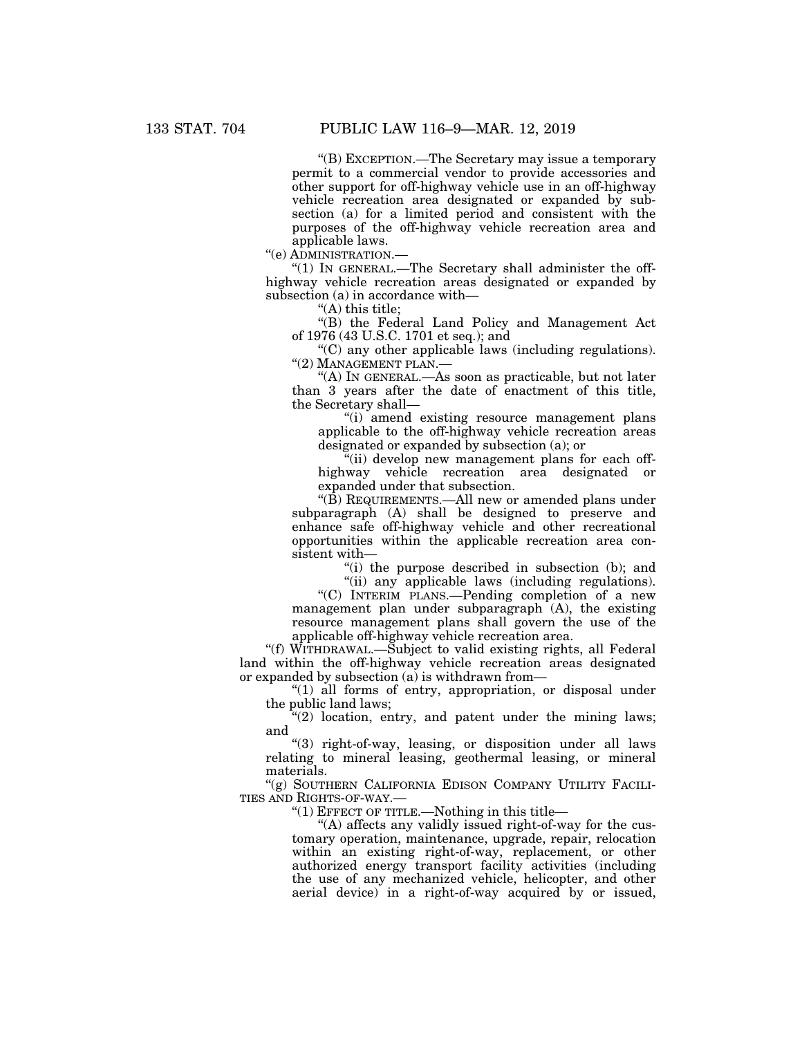''(B) EXCEPTION.—The Secretary may issue a temporary permit to a commercial vendor to provide accessories and other support for off-highway vehicle use in an off-highway vehicle recreation area designated or expanded by subsection (a) for a limited period and consistent with the purposes of the off-highway vehicle recreation area and applicable laws.

''(e) ADMINISTRATION.—

 $''(1)$  In GENERAL.—The Secretary shall administer the offhighway vehicle recreation areas designated or expanded by subsection (a) in accordance with—

''(A) this title;

''(B) the Federal Land Policy and Management Act of 1976 (43 U.S.C. 1701 et seq.); and

''(C) any other applicable laws (including regulations). ''(2) MANAGEMENT PLAN.—

''(A) IN GENERAL.—As soon as practicable, but not later than 3 years after the date of enactment of this title, the Secretary shall—

''(i) amend existing resource management plans applicable to the off-highway vehicle recreation areas designated or expanded by subsection (a); or

''(ii) develop new management plans for each offhighway vehicle recreation area designated or expanded under that subsection.

''(B) REQUIREMENTS.—All new or amended plans under subparagraph (A) shall be designed to preserve and enhance safe off-highway vehicle and other recreational opportunities within the applicable recreation area consistent with—

"(i) the purpose described in subsection (b); and "(ii) any applicable laws (including regulations).

''(C) INTERIM PLANS.—Pending completion of a new management plan under subparagraph  $(A)$ , the existing resource management plans shall govern the use of the applicable off-highway vehicle recreation area.

"(f) WITHDRAWAL.—Subject to valid existing rights, all Federal land within the off-highway vehicle recreation areas designated or expanded by subsection (a) is withdrawn from—

''(1) all forms of entry, appropriation, or disposal under the public land laws;

 $\mathcal{L}(2)$  location, entry, and patent under the mining laws; and

''(3) right-of-way, leasing, or disposition under all laws relating to mineral leasing, geothermal leasing, or mineral materials.

"(g) SOUTHERN CALIFORNIA EDISON COMPANY UTILITY FACILI-TIES AND RIGHTS-OF-WAY.—

" $(1)$  EFFECT OF TITLE.—Nothing in this title—

''(A) affects any validly issued right-of-way for the customary operation, maintenance, upgrade, repair, relocation within an existing right-of-way, replacement, or other authorized energy transport facility activities (including the use of any mechanized vehicle, helicopter, and other aerial device) in a right-of-way acquired by or issued,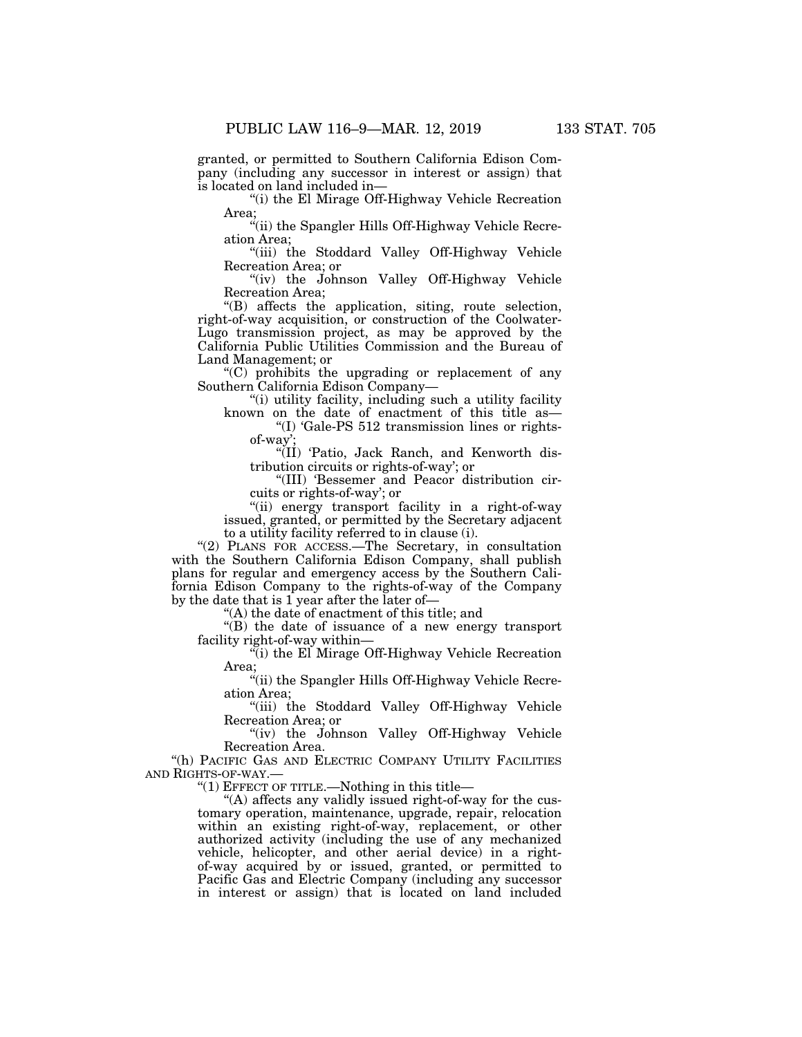granted, or permitted to Southern California Edison Company (including any successor in interest or assign) that is located on land included in—

''(i) the El Mirage Off-Highway Vehicle Recreation Area;

''(ii) the Spangler Hills Off-Highway Vehicle Recreation Area;

"(iii) the Stoddard Valley Off-Highway Vehicle Recreation Area; or

"(iv) the Johnson Valley Off-Highway Vehicle Recreation Area;

''(B) affects the application, siting, route selection, right-of-way acquisition, or construction of the Coolwater-Lugo transmission project, as may be approved by the California Public Utilities Commission and the Bureau of Land Management; or

''(C) prohibits the upgrading or replacement of any Southern California Edison Company—

''(i) utility facility, including such a utility facility known on the date of enactment of this title as—

''(I) 'Gale-PS 512 transmission lines or rightsof-way';

"(II) 'Patio, Jack Ranch, and Kenworth distribution circuits or rights-of-way'; or

''(III) 'Bessemer and Peacor distribution circuits or rights-of-way'; or

"(ii) energy transport facility in a right-of-way issued, granted, or permitted by the Secretary adjacent to a utility facility referred to in clause (i).

"(2) PLANS FOR ACCESS.—The Secretary, in consultation with the Southern California Edison Company, shall publish plans for regular and emergency access by the Southern California Edison Company to the rights-of-way of the Company by the date that is  $1$  year after the later of-

''(A) the date of enactment of this title; and

''(B) the date of issuance of a new energy transport facility right-of-way within—

''(i) the El Mirage Off-Highway Vehicle Recreation Area;

''(ii) the Spangler Hills Off-Highway Vehicle Recreation Area;

''(iii) the Stoddard Valley Off-Highway Vehicle Recreation Area; or

"(iv) the Johnson Valley Off-Highway Vehicle Recreation Area.

"(h) PACIFIC GAS AND ELECTRIC COMPANY UTILITY FACILITIES AND RIGHTS-OF-WAY.—

" $(1)$  EFFECT OF TITLE.—Nothing in this title—

"(A) affects any validly issued right-of-way for the customary operation, maintenance, upgrade, repair, relocation within an existing right-of-way, replacement, or other authorized activity (including the use of any mechanized vehicle, helicopter, and other aerial device) in a rightof-way acquired by or issued, granted, or permitted to Pacific Gas and Electric Company (including any successor in interest or assign) that is located on land included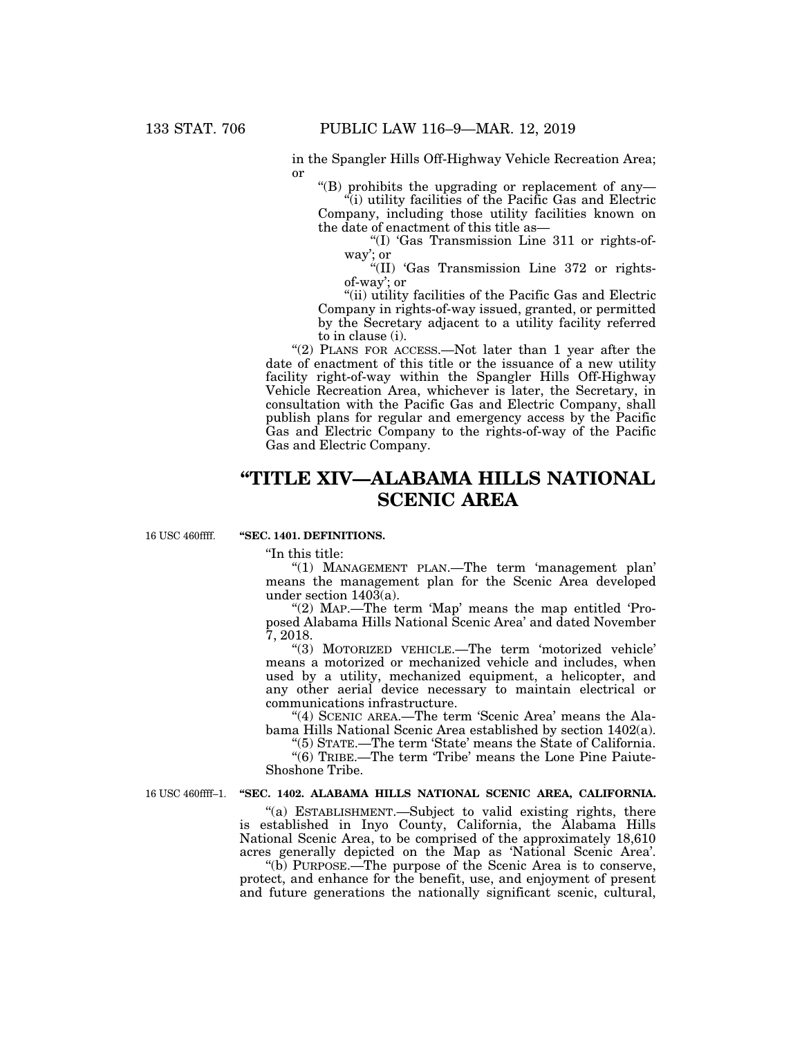in the Spangler Hills Off-Highway Vehicle Recreation Area; or

"(B) prohibits the upgrading or replacement of any-

 $\ddot{q}$ (i) utility facilities of the Pacific Gas and Electric Company, including those utility facilities known on the date of enactment of this title as—

''(I) 'Gas Transmission Line 311 or rights-ofway'; or

''(II) 'Gas Transmission Line 372 or rightsof-way'; or

''(ii) utility facilities of the Pacific Gas and Electric Company in rights-of-way issued, granted, or permitted by the Secretary adjacent to a utility facility referred to in clause (i).

"(2) PLANS FOR ACCESS.—Not later than 1 year after the date of enactment of this title or the issuance of a new utility facility right-of-way within the Spangler Hills Off-Highway Vehicle Recreation Area, whichever is later, the Secretary, in consultation with the Pacific Gas and Electric Company, shall publish plans for regular and emergency access by the Pacific Gas and Electric Company to the rights-of-way of the Pacific Gas and Electric Company.

# **''TITLE XIV—ALABAMA HILLS NATIONAL SCENIC AREA**

16 USC 460ffff.

#### **''SEC. 1401. DEFINITIONS.**

''In this title:

"(1) MANAGEMENT PLAN.—The term 'management plan' means the management plan for the Scenic Area developed under section  $140\overline{3}$ (a).

"(2) Map.—The term 'Map' means the map entitled 'Proposed Alabama Hills National Scenic Area' and dated November 7, 2018.

''(3) MOTORIZED VEHICLE.—The term 'motorized vehicle' means a motorized or mechanized vehicle and includes, when used by a utility, mechanized equipment, a helicopter, and any other aerial device necessary to maintain electrical or communications infrastructure.

"(4) SCENIC AREA.—The term 'Scenic Area' means the Alabama Hills National Scenic Area established by section 1402(a).

''(5) STATE.—The term 'State' means the State of California.

"(6) TRIBE.—The term 'Tribe' means the Lone Pine Paiute-Shoshone Tribe.

#### 16 USC 460ffff–1. "SEC. 1402. ALABAMA HILLS NATIONAL SCENIC AREA, CALIFORNIA.

''(a) ESTABLISHMENT.—Subject to valid existing rights, there is established in Inyo County, California, the Alabama Hills National Scenic Area, to be comprised of the approximately 18,610 acres generally depicted on the Map as 'National Scenic Area'.

''(b) PURPOSE.—The purpose of the Scenic Area is to conserve, protect, and enhance for the benefit, use, and enjoyment of present and future generations the nationally significant scenic, cultural,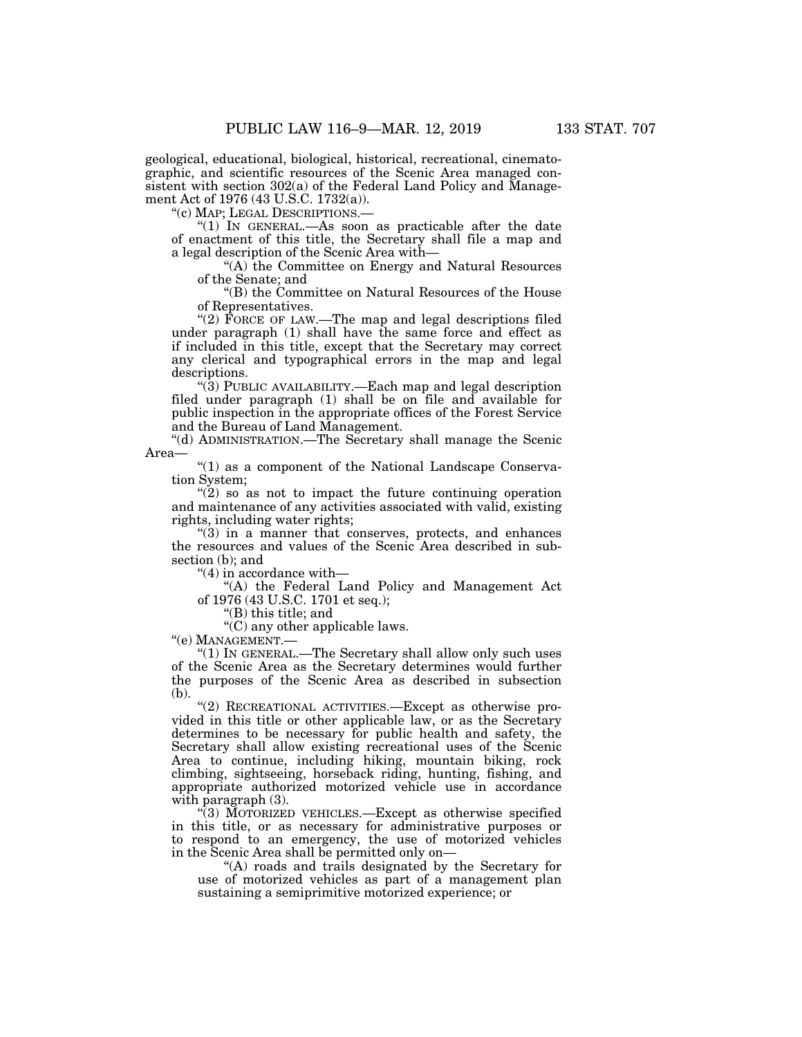geological, educational, biological, historical, recreational, cinematographic, and scientific resources of the Scenic Area managed consistent with section 302(a) of the Federal Land Policy and Management Act of 1976 (43 U.S.C. 1732(a)).

''(c) MAP; LEGAL DESCRIPTIONS.—

"(1) In GENERAL.—As soon as practicable after the date of enactment of this title, the Secretary shall file a map and a legal description of the Scenic Area with—

''(A) the Committee on Energy and Natural Resources of the Senate; and

''(B) the Committee on Natural Resources of the House of Representatives.

"(2) FORCE OF LAW.—The map and legal descriptions filed under paragraph (1) shall have the same force and effect as if included in this title, except that the Secretary may correct any clerical and typographical errors in the map and legal descriptions.

''(3) PUBLIC AVAILABILITY.—Each map and legal description filed under paragraph (1) shall be on file and available for public inspection in the appropriate offices of the Forest Service and the Bureau of Land Management.

''(d) ADMINISTRATION.—The Secretary shall manage the Scenic Area—

"(1) as a component of the National Landscape Conservation System;

 $(2)$  so as not to impact the future continuing operation and maintenance of any activities associated with valid, existing rights, including water rights;

''(3) in a manner that conserves, protects, and enhances the resources and values of the Scenic Area described in subsection (b); and

''(4) in accordance with—

''(A) the Federal Land Policy and Management Act of 1976 (43 U.S.C. 1701 et seq.);

''(B) this title; and

''(C) any other applicable laws.

''(e) MANAGEMENT.—

''(1) IN GENERAL.—The Secretary shall allow only such uses of the Scenic Area as the Secretary determines would further the purposes of the Scenic Area as described in subsection (b).

"(2) RECREATIONAL ACTIVITIES. - Except as otherwise provided in this title or other applicable law, or as the Secretary determines to be necessary for public health and safety, the Secretary shall allow existing recreational uses of the Scenic Area to continue, including hiking, mountain biking, rock climbing, sightseeing, horseback riding, hunting, fishing, and appropriate authorized motorized vehicle use in accordance with paragraph  $(3)$ .

"(3) MOTORIZED VEHICLES.—Except as otherwise specified in this title, or as necessary for administrative purposes or to respond to an emergency, the use of motorized vehicles in the Scenic Area shall be permitted only on—

''(A) roads and trails designated by the Secretary for use of motorized vehicles as part of a management plan sustaining a semiprimitive motorized experience; or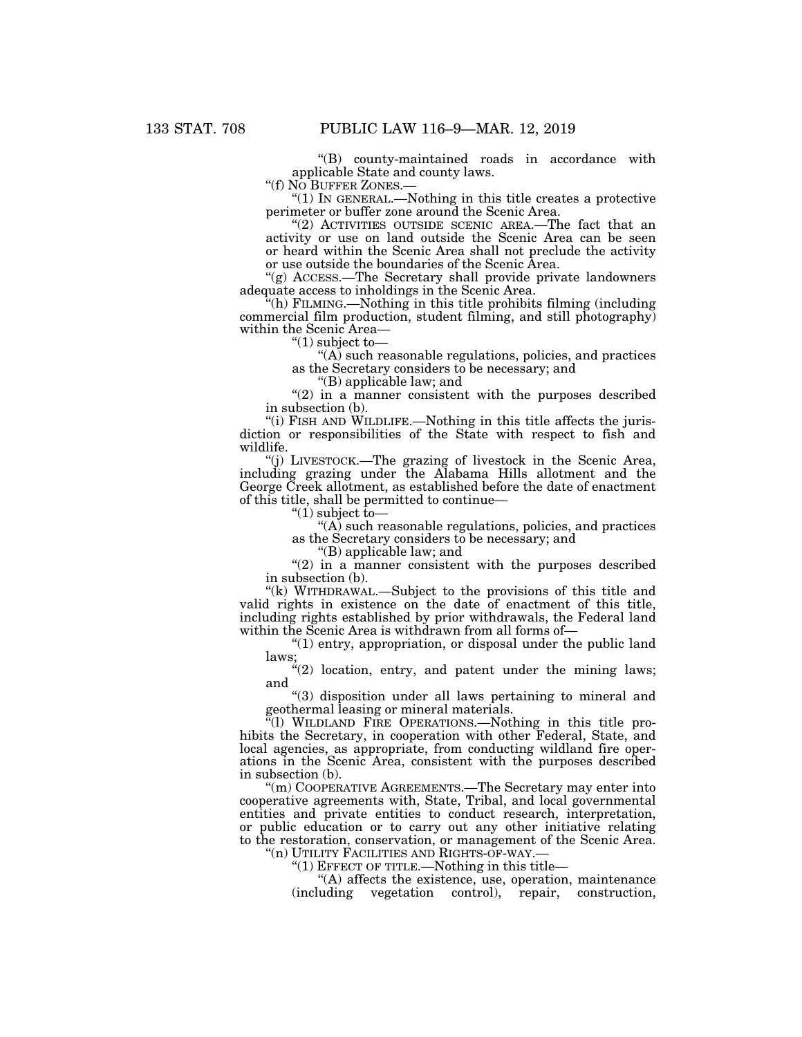''(B) county-maintained roads in accordance with applicable State and county laws.

"(f) NO BUFFER ZONES.-

''(1) IN GENERAL.—Nothing in this title creates a protective perimeter or buffer zone around the Scenic Area.

''(2) ACTIVITIES OUTSIDE SCENIC AREA.—The fact that an activity or use on land outside the Scenic Area can be seen or heard within the Scenic Area shall not preclude the activity or use outside the boundaries of the Scenic Area.

''(g) ACCESS.—The Secretary shall provide private landowners adequate access to inholdings in the Scenic Area.

 $f(h)$  FILMING.—Nothing in this title prohibits filming (including) commercial film production, student filming, and still photography) within the Scenic Area—

" $(1)$  subject to-

''(A) such reasonable regulations, policies, and practices as the Secretary considers to be necessary; and

''(B) applicable law; and

 $''(2)$  in a manner consistent with the purposes described in subsection (b).

''(i) FISH AND WILDLIFE.—Nothing in this title affects the jurisdiction or responsibilities of the State with respect to fish and wildlife.

''(j) LIVESTOCK.—The grazing of livestock in the Scenic Area, including grazing under the Alabama Hills allotment and the George Creek allotment, as established before the date of enactment of this title, shall be permitted to continue—

" $(1)$  subject to-

''(A) such reasonable regulations, policies, and practices as the Secretary considers to be necessary; and

''(B) applicable law; and

 $''(2)$  in a manner consistent with the purposes described in subsection (b).

"(k) WITHDRAWAL.—Subject to the provisions of this title and valid rights in existence on the date of enactment of this title, including rights established by prior withdrawals, the Federal land within the Scenic Area is withdrawn from all forms of—

''(1) entry, appropriation, or disposal under the public land laws;

" $(2)$  location, entry, and patent under the mining laws; and

''(3) disposition under all laws pertaining to mineral and geothermal leasing or mineral materials.

''(l) WILDLAND FIRE OPERATIONS.—Nothing in this title prohibits the Secretary, in cooperation with other Federal, State, and local agencies, as appropriate, from conducting wildland fire operations in the Scenic Area, consistent with the purposes described in subsection (b).

''(m) COOPERATIVE AGREEMENTS.—The Secretary may enter into cooperative agreements with, State, Tribal, and local governmental entities and private entities to conduct research, interpretation, or public education or to carry out any other initiative relating to the restoration, conservation, or management of the Scenic Area.

''(n) UTILITY FACILITIES AND RIGHTS-OF-WAY.—

"(1) EFFECT OF TITLE.—Nothing in this title—

''(A) affects the existence, use, operation, maintenance (including vegetation control), repair, construction,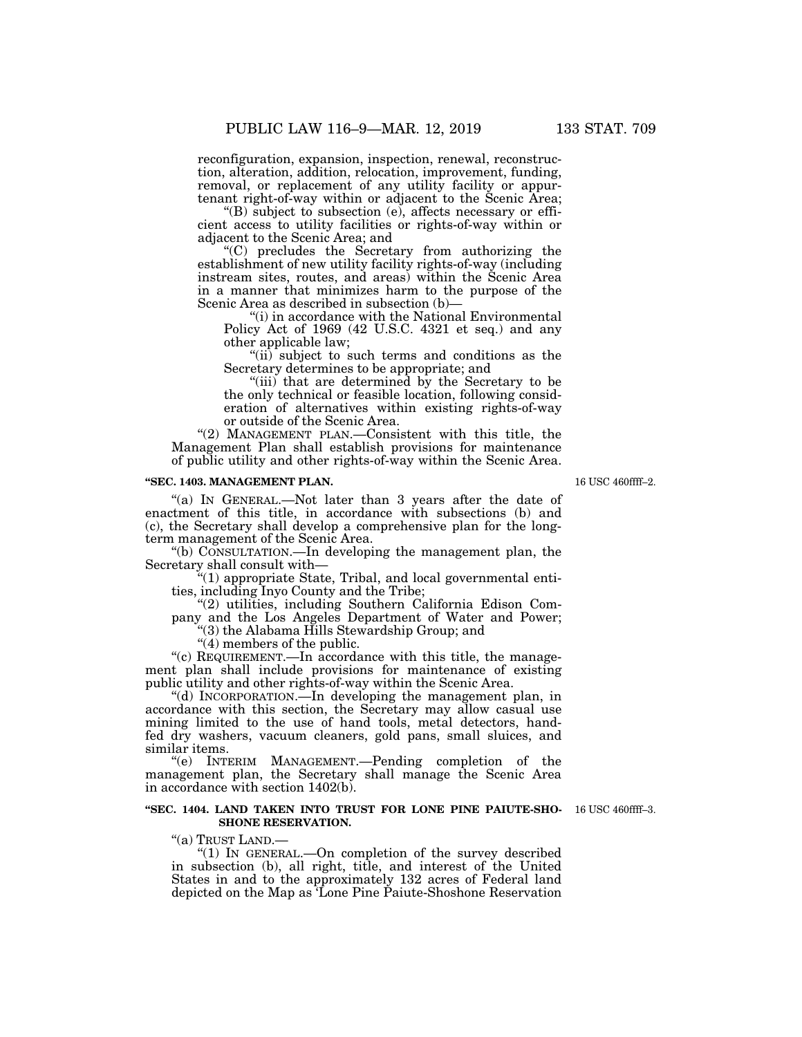reconfiguration, expansion, inspection, renewal, reconstruction, alteration, addition, relocation, improvement, funding, removal, or replacement of any utility facility or appurtenant right-of-way within or adjacent to the Scenic Area;

''(B) subject to subsection (e), affects necessary or efficient access to utility facilities or rights-of-way within or adjacent to the Scenic Area; and

''(C) precludes the Secretary from authorizing the establishment of new utility facility rights-of-way (including instream sites, routes, and areas) within the Scenic Area in a manner that minimizes harm to the purpose of the Scenic Area as described in subsection (b)—

"(i) in accordance with the National Environmental Policy Act of 1969 (42 U.S.C. 4321 et seq.) and any other applicable law;

''(ii) subject to such terms and conditions as the Secretary determines to be appropriate; and

"(iii) that are determined by the Secretary to be the only technical or feasible location, following consideration of alternatives within existing rights-of-way or outside of the Scenic Area.

"(2) MANAGEMENT PLAN.—Consistent with this title, the Management Plan shall establish provisions for maintenance of public utility and other rights-of-way within the Scenic Area.

#### **''SEC. 1403. MANAGEMENT PLAN.**

"(a) IN GENERAL.—Not later than 3 years after the date of enactment of this title, in accordance with subsections (b) and (c), the Secretary shall develop a comprehensive plan for the longterm management of the Scenic Area.

''(b) CONSULTATION.—In developing the management plan, the Secretary shall consult with—

''(1) appropriate State, Tribal, and local governmental entities, including Inyo County and the Tribe;

''(2) utilities, including Southern California Edison Company and the Los Angeles Department of Water and Power;

''(3) the Alabama Hills Stewardship Group; and

''(4) members of the public.

''(c) REQUIREMENT.—In accordance with this title, the management plan shall include provisions for maintenance of existing public utility and other rights-of-way within the Scenic Area.

''(d) INCORPORATION.—In developing the management plan, in accordance with this section, the Secretary may allow casual use mining limited to the use of hand tools, metal detectors, handfed dry washers, vacuum cleaners, gold pans, small sluices, and similar items.

''(e) INTERIM MANAGEMENT.—Pending completion of the management plan, the Secretary shall manage the Scenic Area in accordance with section 1402(b).

#### **''SEC. 1404. LAND TAKEN INTO TRUST FOR LONE PINE PAIUTE-SHO-**16 USC 460ffff–3. **SHONE RESERVATION.**

''(a) TRUST LAND.—

''(1) IN GENERAL.—On completion of the survey described in subsection (b), all right, title, and interest of the United States in and to the approximately 132 acres of Federal land depicted on the Map as 'Lone Pine Paiute-Shoshone Reservation

16 USC 460ffff–2.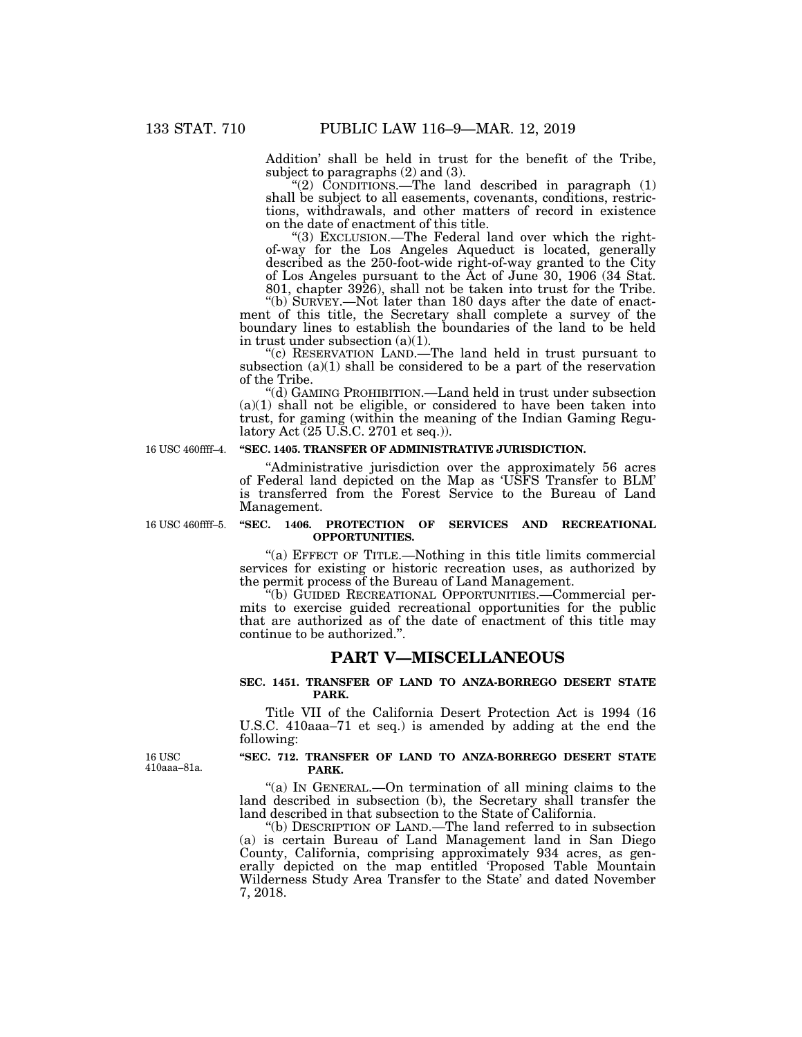Addition' shall be held in trust for the benefit of the Tribe, subject to paragraphs (2) and (3).

"(2) CONDITIONS.—The land described in paragraph (1) shall be subject to all easements, covenants, conditions, restrictions, withdrawals, and other matters of record in existence on the date of enactment of this title.

"(3) EXCLUSION.—The Federal land over which the rightof-way for the Los Angeles Aqueduct is located, generally described as the 250-foot-wide right-of-way granted to the City of Los Angeles pursuant to the Act of June 30, 1906 (34 Stat. 801, chapter 3926), shall not be taken into trust for the Tribe.

''(b) SURVEY.—Not later than 180 days after the date of enactment of this title, the Secretary shall complete a survey of the boundary lines to establish the boundaries of the land to be held in trust under subsection (a)(1).

''(c) RESERVATION LAND.—The land held in trust pursuant to subsection  $(a)(1)$  shall be considered to be a part of the reservation of the Tribe.

''(d) GAMING PROHIBITION.—Land held in trust under subsection  $(a)(1)$  shall not be eligible, or considered to have been taken into trust, for gaming (within the meaning of the Indian Gaming Regulatory Act (25 U.S.C. 2701 et seq.)).

16 USC 460ffff–4.

#### **''SEC. 1405. TRANSFER OF ADMINISTRATIVE JURISDICTION.**

''Administrative jurisdiction over the approximately 56 acres of Federal land depicted on the Map as 'USFS Transfer to BLM' is transferred from the Forest Service to the Bureau of Land Management.

16 USC 460ffff–5.

## **''SEC. 1406. PROTECTION OF SERVICES AND RECREATIONAL OPPORTUNITIES.**

''(a) EFFECT OF TITLE.—Nothing in this title limits commercial services for existing or historic recreation uses, as authorized by the permit process of the Bureau of Land Management.

''(b) GUIDED RECREATIONAL OPPORTUNITIES.—Commercial permits to exercise guided recreational opportunities for the public that are authorized as of the date of enactment of this title may continue to be authorized.''.

## **PART V—MISCELLANEOUS**

## **SEC. 1451. TRANSFER OF LAND TO ANZA-BORREGO DESERT STATE PARK.**

Title VII of the California Desert Protection Act is 1994 (16 U.S.C. 410aaa–71 et seq.) is amended by adding at the end the following:

16 USC 410aaa–81a.

#### **''SEC. 712. TRANSFER OF LAND TO ANZA-BORREGO DESERT STATE PARK.**

"(a) IN GENERAL.—On termination of all mining claims to the land described in subsection (b), the Secretary shall transfer the land described in that subsection to the State of California.

''(b) DESCRIPTION OF LAND.—The land referred to in subsection (a) is certain Bureau of Land Management land in San Diego County, California, comprising approximately 934 acres, as generally depicted on the map entitled 'Proposed Table Mountain Wilderness Study Area Transfer to the State' and dated November 7, 2018.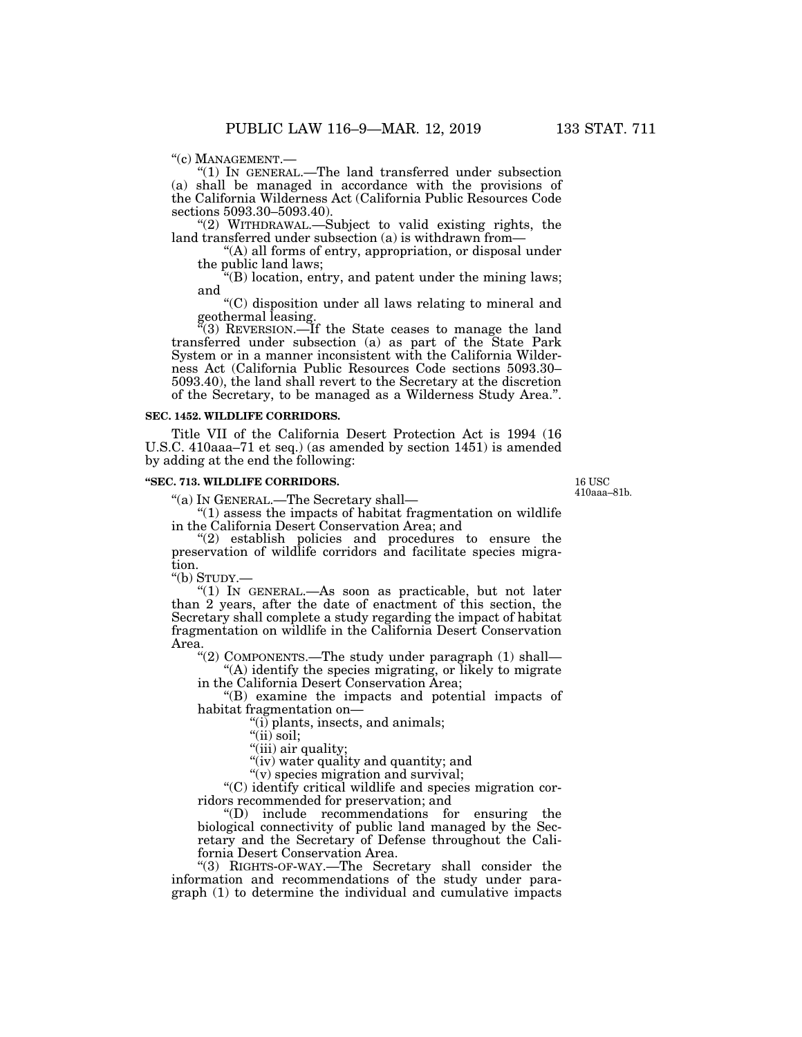''(c) MANAGEMENT.— ''(1) IN GENERAL.—The land transferred under subsection (a) shall be managed in accordance with the provisions of the California Wilderness Act (California Public Resources Code sections 5093.30–5093.40).

''(2) WITHDRAWAL.—Subject to valid existing rights, the land transferred under subsection (a) is withdrawn from—

''(A) all forms of entry, appropriation, or disposal under the public land laws;

 $'(B)$  location, entry, and patent under the mining laws; and

''(C) disposition under all laws relating to mineral and geothermal leasing.

''(3) REVERSION.—If the State ceases to manage the land transferred under subsection (a) as part of the State Park System or in a manner inconsistent with the California Wilderness Act (California Public Resources Code sections 5093.30– 5093.40), the land shall revert to the Secretary at the discretion of the Secretary, to be managed as a Wilderness Study Area.''.

## **SEC. 1452. WILDLIFE CORRIDORS.**

Title VII of the California Desert Protection Act is 1994 (16 U.S.C. 410aaa–71 et seq.) (as amended by section 1451) is amended by adding at the end the following:

#### **''SEC. 713. WILDLIFE CORRIDORS.**

''(a) IN GENERAL.—The Secretary shall—

16 USC 410aaa–81b.

 $''(1)$  assess the impacts of habitat fragmentation on wildlife in the California Desert Conservation Area; and

''(2) establish policies and procedures to ensure the preservation of wildlife corridors and facilitate species migration.

''(b) STUDY.—

''(1) IN GENERAL.—As soon as practicable, but not later than 2 years, after the date of enactment of this section, the Secretary shall complete a study regarding the impact of habitat fragmentation on wildlife in the California Desert Conservation Area.

''(2) COMPONENTS.—The study under paragraph (1) shall—

''(A) identify the species migrating, or likely to migrate in the California Desert Conservation Area;

''(B) examine the impacts and potential impacts of habitat fragmentation on—

''(i) plants, insects, and animals;

"(ii) soil;

"(iii) air quality;

"(iv) water quality and quantity; and

''(v) species migration and survival;

''(C) identify critical wildlife and species migration corridors recommended for preservation; and

''(D) include recommendations for ensuring the biological connectivity of public land managed by the Secretary and the Secretary of Defense throughout the California Desert Conservation Area.

''(3) RIGHTS-OF-WAY.—The Secretary shall consider the information and recommendations of the study under paragraph (1) to determine the individual and cumulative impacts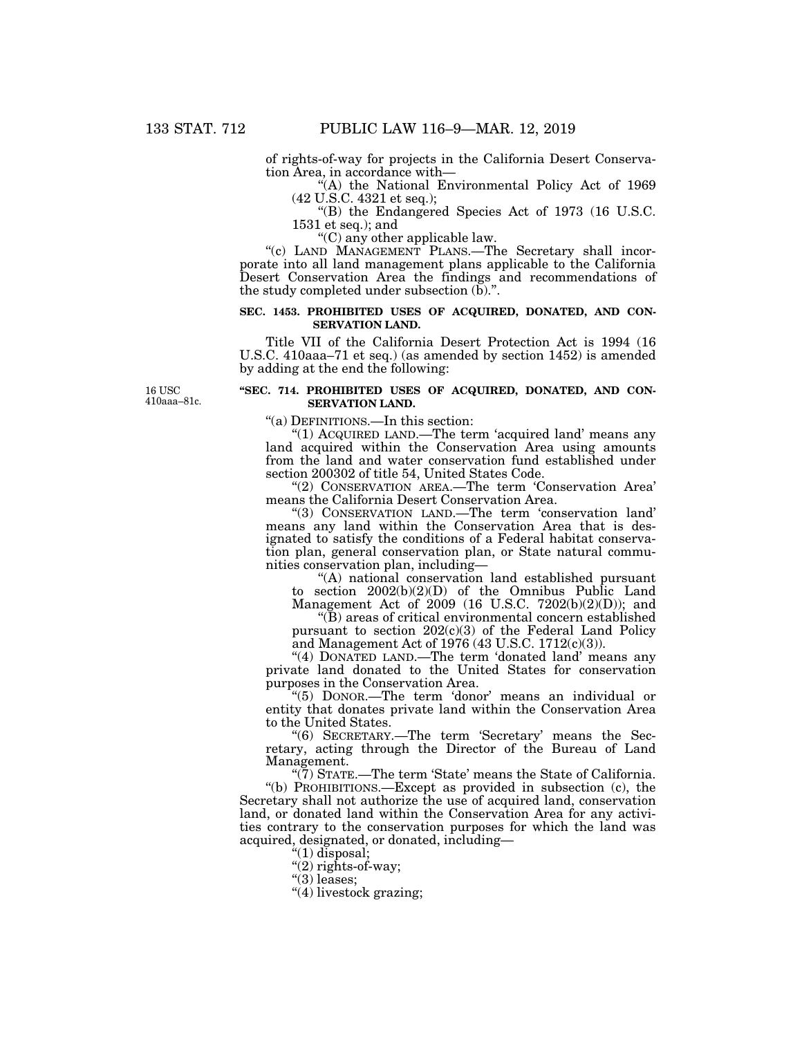of rights-of-way for projects in the California Desert Conservation Area, in accordance with—

"(A) the National Environmental Policy Act of 1969 (42 U.S.C. 4321 et seq.);

''(B) the Endangered Species Act of 1973 (16 U.S.C. 1531 et seq.); and

''(C) any other applicable law.

"(c) LAND MANAGEMENT PLANS.—The Secretary shall incorporate into all land management plans applicable to the California Desert Conservation Area the findings and recommendations of the study completed under subsection (b).''.

## **SEC. 1453. PROHIBITED USES OF ACQUIRED, DONATED, AND CON-SERVATION LAND.**

Title VII of the California Desert Protection Act is 1994 (16 U.S.C. 410aaa–71 et seq.) (as amended by section 1452) is amended by adding at the end the following:

16 USC 410aaa–81c.

## **''SEC. 714. PROHIBITED USES OF ACQUIRED, DONATED, AND CON-SERVATION LAND.**

''(a) DEFINITIONS.—In this section:

"(1) ACQUIRED LAND.—The term 'acquired land' means any land acquired within the Conservation Area using amounts from the land and water conservation fund established under section 200302 of title 54, United States Code.

''(2) CONSERVATION AREA.—The term 'Conservation Area' means the California Desert Conservation Area.

''(3) CONSERVATION LAND.—The term 'conservation land' means any land within the Conservation Area that is designated to satisfy the conditions of a Federal habitat conservation plan, general conservation plan, or State natural communities conservation plan, including—

''(A) national conservation land established pursuant to section 2002(b)(2)(D) of the Omnibus Public Land

Management Act of 2009 (16 U.S.C. 7202(b)(2)(D)); and ''(B) areas of critical environmental concern established

pursuant to section 202(c)(3) of the Federal Land Policy and Management Act of 1976 (43 U.S.C. 1712(c)(3)).

"(4) DONATED LAND.—The term 'donated land' means any private land donated to the United States for conservation purposes in the Conservation Area.

''(5) DONOR.—The term 'donor' means an individual or entity that donates private land within the Conservation Area to the United States.

"(6) SECRETARY.—The term 'Secretary' means the Secretary, acting through the Director of the Bureau of Land Management.

" $(7)$  STATE.—The term 'State' means the State of California. ''(b) PROHIBITIONS.—Except as provided in subsection (c), the Secretary shall not authorize the use of acquired land, conservation land, or donated land within the Conservation Area for any activities contrary to the conservation purposes for which the land was acquired, designated, or donated, including—

''(1) disposal;

''(2) rights-of-way;

''(3) leases;

''(4) livestock grazing;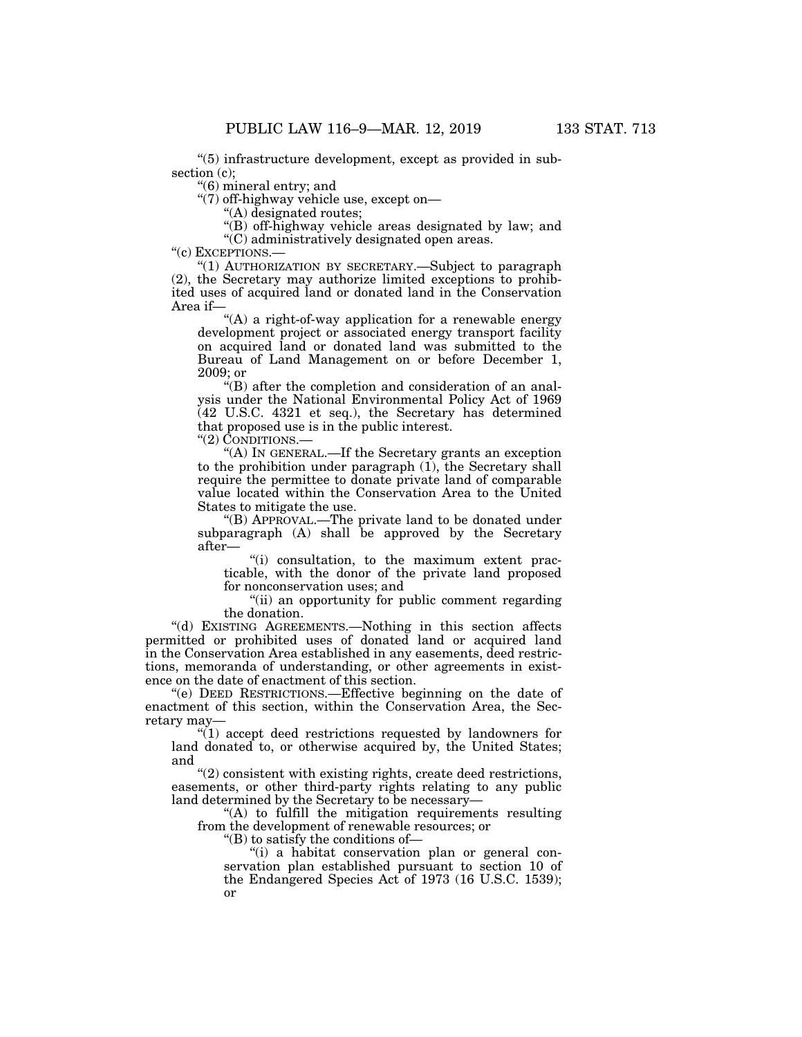''(5) infrastructure development, except as provided in subsection (c);

''(6) mineral entry; and

''(7) off-highway vehicle use, except on—

''(A) designated routes;

''(B) off-highway vehicle areas designated by law; and ''(C) administratively designated open areas.

"(c) EXCEPTIONS.-

''(1) AUTHORIZATION BY SECRETARY.—Subject to paragraph (2), the Secretary may authorize limited exceptions to prohibited uses of acquired land or donated land in the Conservation Area if—

"(A) a right-of-way application for a renewable energy development project or associated energy transport facility on acquired land or donated land was submitted to the Bureau of Land Management on or before December 1, 2009; or

 $\cdot$ (B) after the completion and consideration of an analysis under the National Environmental Policy Act of 1969 (42 U.S.C. 4321 et seq.), the Secretary has determined that proposed use is in the public interest.

"(2) CONDITIONS.

''(A) IN GENERAL.—If the Secretary grants an exception to the prohibition under paragraph (1), the Secretary shall require the permittee to donate private land of comparable value located within the Conservation Area to the United States to mitigate the use.

''(B) APPROVAL.—The private land to be donated under subparagraph (A) shall be approved by the Secretary after—

''(i) consultation, to the maximum extent practicable, with the donor of the private land proposed for nonconservation uses; and

''(ii) an opportunity for public comment regarding the donation.

''(d) EXISTING AGREEMENTS.—Nothing in this section affects permitted or prohibited uses of donated land or acquired land in the Conservation Area established in any easements, deed restrictions, memoranda of understanding, or other agreements in existence on the date of enactment of this section.

''(e) DEED RESTRICTIONS.—Effective beginning on the date of enactment of this section, within the Conservation Area, the Secretary may—

 $(1)$  accept deed restrictions requested by landowners for land donated to, or otherwise acquired by, the United States; and

''(2) consistent with existing rights, create deed restrictions, easements, or other third-party rights relating to any public land determined by the Secretary to be necessary-

"(A) to fulfill the mitigation requirements resulting from the development of renewable resources; or

''(B) to satisfy the conditions of—

''(i) a habitat conservation plan or general conservation plan established pursuant to section 10 of the Endangered Species Act of 1973 (16 U.S.C. 1539); or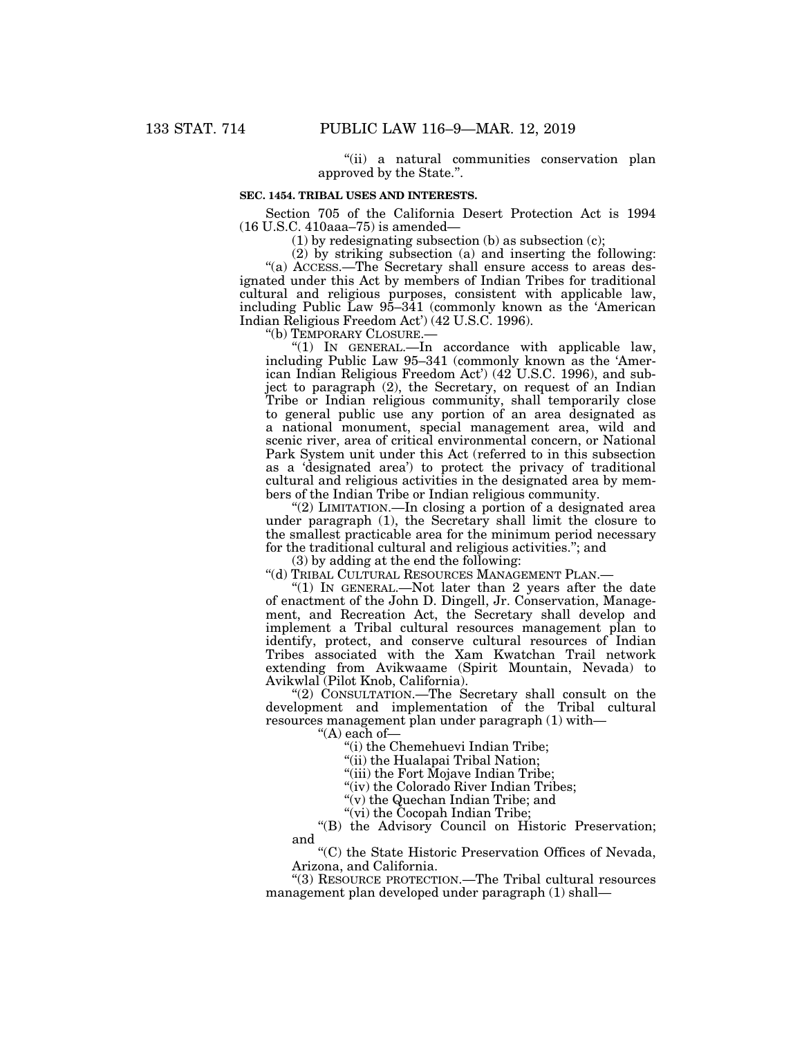''(ii) a natural communities conservation plan approved by the State.''.

## **SEC. 1454. TRIBAL USES AND INTERESTS.**

Section 705 of the California Desert Protection Act is 1994 (16 U.S.C. 410aaa–75) is amended—

(1) by redesignating subsection (b) as subsection (c);

(2) by striking subsection (a) and inserting the following:

"(a) ACCESS.—The Secretary shall ensure access to areas designated under this Act by members of Indian Tribes for traditional cultural and religious purposes, consistent with applicable law, including Public Law 95–341 (commonly known as the 'American Indian Religious Freedom Act') (42 U.S.C. 1996).

''(b) TEMPORARY CLOSURE.—

''(1) IN GENERAL.—In accordance with applicable law, including Public Law 95–341 (commonly known as the 'American Indian Religious Freedom Act') (42 U.S.C. 1996), and subject to paragraph (2), the Secretary, on request of an Indian Tribe or Indian religious community, shall temporarily close to general public use any portion of an area designated as a national monument, special management area, wild and scenic river, area of critical environmental concern, or National Park System unit under this Act (referred to in this subsection as a 'designated area') to protect the privacy of traditional cultural and religious activities in the designated area by members of the Indian Tribe or Indian religious community.

''(2) LIMITATION.—In closing a portion of a designated area under paragraph (1), the Secretary shall limit the closure to the smallest practicable area for the minimum period necessary for the traditional cultural and religious activities.''; and

(3) by adding at the end the following:

''(d) TRIBAL CULTURAL RESOURCES MANAGEMENT PLAN.—

"(1) IN GENERAL.—Not later than 2 years after the date of enactment of the John D. Dingell, Jr. Conservation, Management, and Recreation Act, the Secretary shall develop and implement a Tribal cultural resources management plan to identify, protect, and conserve cultural resources of Indian Tribes associated with the Xam Kwatchan Trail network extending from Avikwaame (Spirit Mountain, Nevada) to Avikwlal (Pilot Knob, California).

''(2) CONSULTATION.—The Secretary shall consult on the development and implementation of the Tribal cultural resources management plan under paragraph (1) with—

''(A) each of—

''(i) the Chemehuevi Indian Tribe;

"(ii) the Hualapai Tribal Nation;

''(iii) the Fort Mojave Indian Tribe;

"(iv) the Colorado River Indian Tribes;

"(v) the Quechan Indian Tribe; and

"(vi) the Cocopah Indian Tribe;

''(B) the Advisory Council on Historic Preservation; and

''(C) the State Historic Preservation Offices of Nevada, Arizona, and California.

''(3) RESOURCE PROTECTION.—The Tribal cultural resources management plan developed under paragraph (1) shall—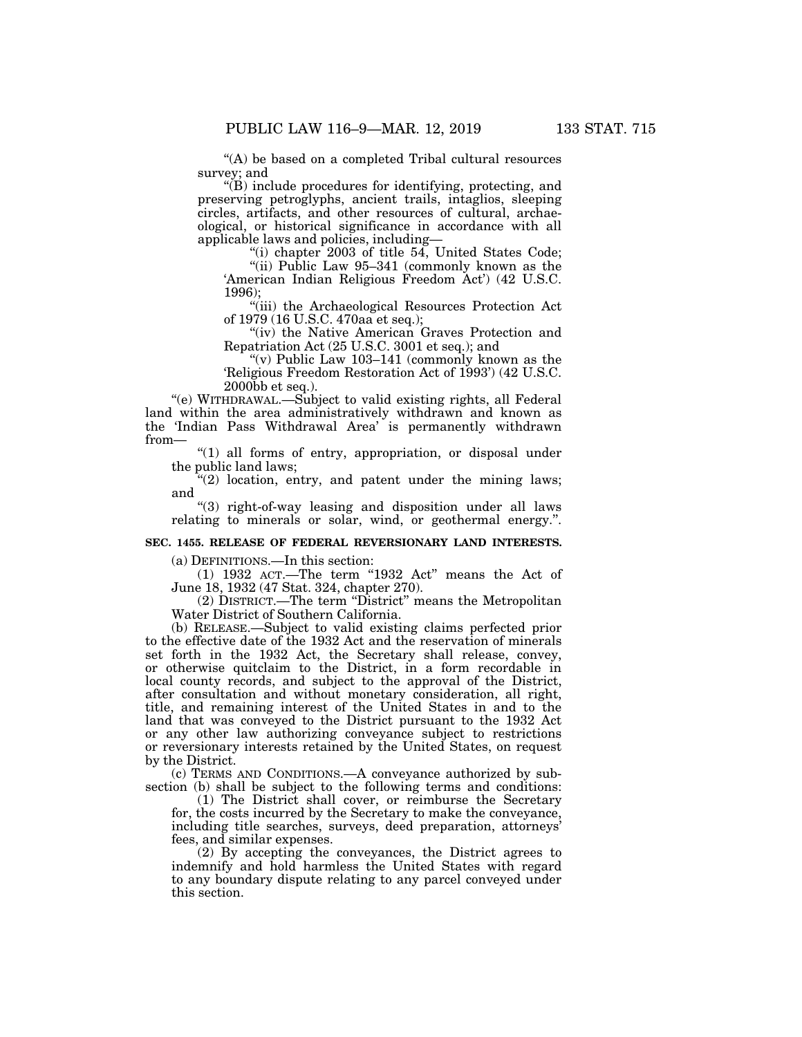"(A) be based on a completed Tribal cultural resources survey; and

 $\mathcal{L}(B)$  include procedures for identifying, protecting, and preserving petroglyphs, ancient trails, intaglios, sleeping circles, artifacts, and other resources of cultural, archaeological, or historical significance in accordance with all applicable laws and policies, including—

"(i) chapter  $2003$  of title 54, United States Code; ''(ii) Public Law 95–341 (commonly known as the

'American Indian Religious Freedom Act') (42 U.S.C. 1996);

''(iii) the Archaeological Resources Protection Act of 1979 (16 U.S.C. 470aa et seq.);

"(iv) the Native American Graves Protection and Repatriation Act (25 U.S.C. 3001 et seq.); and

''(v) Public Law 103–141 (commonly known as the 'Religious Freedom Restoration Act of 1993') (42 U.S.C.  $2000\bar{b}b$  et seq.).

''(e) WITHDRAWAL.—Subject to valid existing rights, all Federal land within the area administratively withdrawn and known as the 'Indian Pass Withdrawal Area' is permanently withdrawn from—

''(1) all forms of entry, appropriation, or disposal under the public land laws;

 $\mathcal{L}(2)$  location, entry, and patent under the mining laws; and

''(3) right-of-way leasing and disposition under all laws relating to minerals or solar, wind, or geothermal energy.".

#### **SEC. 1455. RELEASE OF FEDERAL REVERSIONARY LAND INTERESTS.**

(a) DEFINITIONS.—In this section:

 $(1)$  1932 ACT.—The term "1932 Act" means the Act of June 18, 1932 (47 Stat. 324, chapter 270).

(2) DISTRICT.—The term ''District'' means the Metropolitan Water District of Southern California.

(b) RELEASE.—Subject to valid existing claims perfected prior to the effective date of the 1932 Act and the reservation of minerals set forth in the 1932 Act, the Secretary shall release, convey, or otherwise quitclaim to the District, in a form recordable in local county records, and subject to the approval of the District, after consultation and without monetary consideration, all right, title, and remaining interest of the United States in and to the land that was conveyed to the District pursuant to the 1932 Act or any other law authorizing conveyance subject to restrictions or reversionary interests retained by the United States, on request by the District.

(c) TERMS AND CONDITIONS.—A conveyance authorized by subsection (b) shall be subject to the following terms and conditions:

(1) The District shall cover, or reimburse the Secretary for, the costs incurred by the Secretary to make the conveyance, including title searches, surveys, deed preparation, attorneys' fees, and similar expenses.

(2) By accepting the conveyances, the District agrees to indemnify and hold harmless the United States with regard to any boundary dispute relating to any parcel conveyed under this section.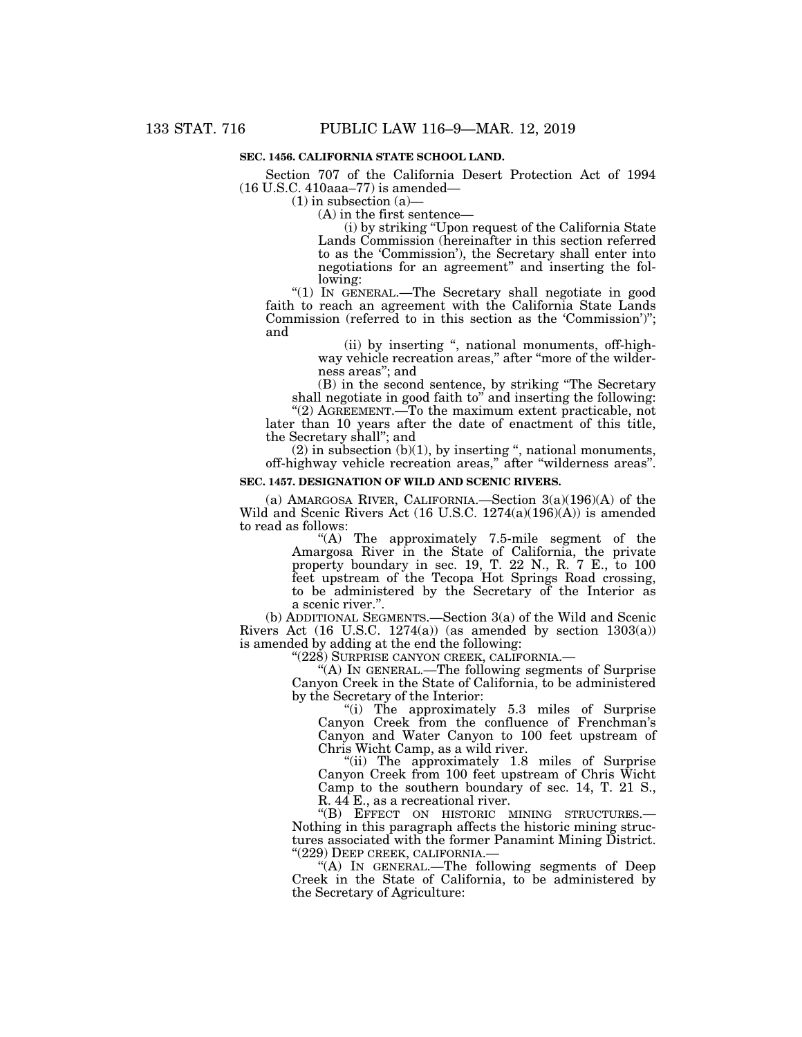## **SEC. 1456. CALIFORNIA STATE SCHOOL LAND.**

Section 707 of the California Desert Protection Act of 1994 (16 U.S.C. 410aaa–77) is amended—

 $(1)$  in subsection  $(a)$ —

(A) in the first sentence—

(i) by striking ''Upon request of the California State Lands Commission (hereinafter in this section referred to as the 'Commission'), the Secretary shall enter into negotiations for an agreement'' and inserting the following:

''(1) IN GENERAL.—The Secretary shall negotiate in good faith to reach an agreement with the California State Lands Commission (referred to in this section as the 'Commission')''; and

(ii) by inserting '', national monuments, off-highway vehicle recreation areas," after "more of the wilderness areas''; and

(B) in the second sentence, by striking ''The Secretary shall negotiate in good faith to" and inserting the following:

"(2) AGREEMENT.—To the maximum extent practicable, not later than 10 years after the date of enactment of this title, the Secretary shall''; and

 $(2)$  in subsection  $(b)(1)$ , by inserting ", national monuments, off-highway vehicle recreation areas,'' after ''wilderness areas''.

## **SEC. 1457. DESIGNATION OF WILD AND SCENIC RIVERS.**

(a) AMARGOSA RIVER, CALIFORNIA.—Section 3(a)(196)(A) of the Wild and Scenic Rivers Act (16 U.S.C. 1274(a)(196)(A)) is amended to read as follows:

''(A) The approximately 7.5-mile segment of the Amargosa River in the State of California, the private property boundary in sec. 19, T. 22 N., R. 7 E., to 100 feet upstream of the Tecopa Hot Springs Road crossing, to be administered by the Secretary of the Interior as a scenic river.''.

(b) ADDITIONAL SEGMENTS.—Section 3(a) of the Wild and Scenic Rivers Act  $(16 \text{ U.S.C. } 1274(a))$  (as amended by section  $1303(a)$ ) is amended by adding at the end the following:

''(228) SURPRISE CANYON CREEK, CALIFORNIA.—

''(A) IN GENERAL.—The following segments of Surprise Canyon Creek in the State of California, to be administered by the Secretary of the Interior:

''(i) The approximately 5.3 miles of Surprise Canyon Creek from the confluence of Frenchman's Canyon and Water Canyon to 100 feet upstream of Chris Wicht Camp, as a wild river.

"(ii) The approximately 1.8 miles of Surprise Canyon Creek from 100 feet upstream of Chris Wicht Camp to the southern boundary of sec. 14, T. 21 S., R. 44 E., as a recreational river.<br>"(B) EFFECT ON HISTORIC MINING STRUCTURES.—

Nothing in this paragraph affects the historic mining structures associated with the former Panamint Mining District. ''(229) DEEP CREEK, CALIFORNIA.—

''(A) IN GENERAL.—The following segments of Deep Creek in the State of California, to be administered by the Secretary of Agriculture: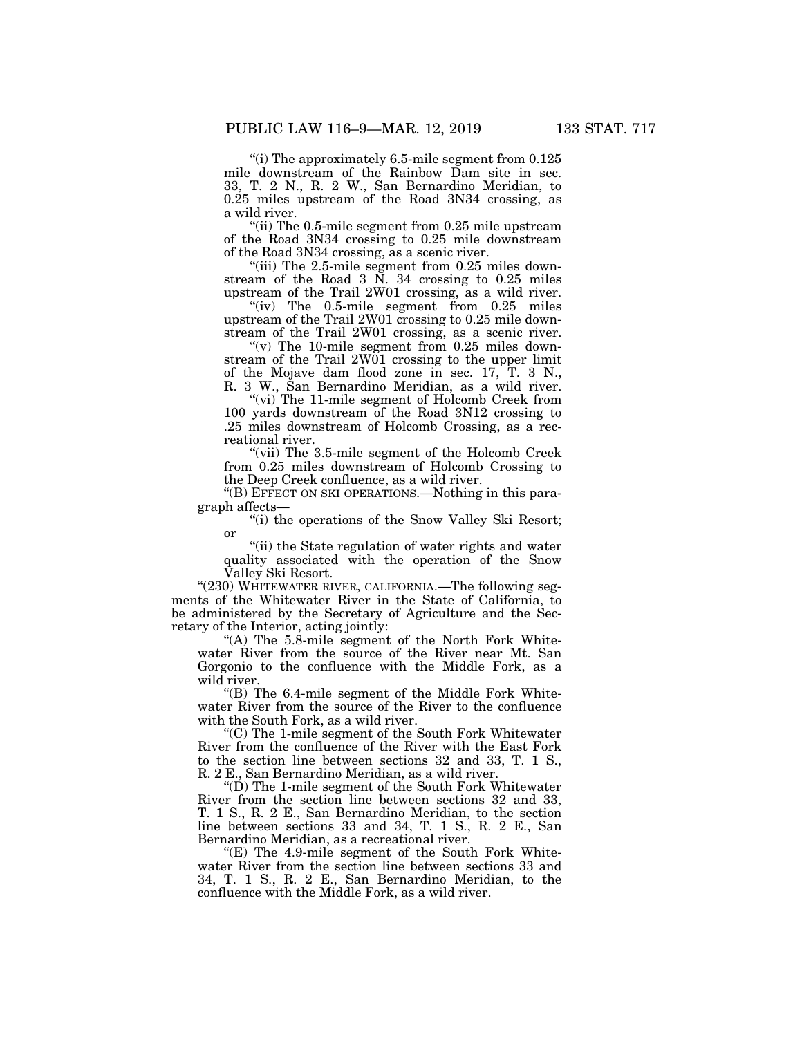"(i) The approximately 6.5-mile segment from  $0.125\,$ mile downstream of the Rainbow Dam site in sec. 33, T. 2 N., R. 2 W., San Bernardino Meridian, to 0.25 miles upstream of the Road 3N34 crossing, as a wild river.

''(ii) The 0.5-mile segment from 0.25 mile upstream of the Road 3N34 crossing to 0.25 mile downstream of the Road 3N34 crossing, as a scenic river.

"(iii) The  $2.5$ -mile segment from  $0.25$  miles downstream of the Road 3 N. 34 crossing to 0.25 miles upstream of the Trail 2W01 crossing, as a wild river.

" $(iv)$  The 0.5-mile segment from 0.25 miles upstream of the Trail 2W01 crossing to 0.25 mile downstream of the Trail 2W01 crossing, as a scenic river.

" $(v)$  The 10-mile segment from 0.25 miles downstream of the Trail 2W01 crossing to the upper limit of the Mojave dam flood zone in sec. 17, T. 3 N., R. 3 W., San Bernardino Meridian, as a wild river.

"(vi) The 11-mile segment of Holcomb Creek from 100 yards downstream of the Road 3N12 crossing to .25 miles downstream of Holcomb Crossing, as a recreational river.

"(vii) The 3.5-mile segment of the Holcomb Creek from 0.25 miles downstream of Holcomb Crossing to the Deep Creek confluence, as a wild river.

''(B) EFFECT ON SKI OPERATIONS.—Nothing in this paragraph affects—

"(i) the operations of the Snow Valley Ski Resort; or

"(ii) the State regulation of water rights and water quality associated with the operation of the Snow Valley Ski Resort.

"(230) WHITEWATER RIVER, CALIFORNIA.—The following segments of the Whitewater River in the State of California, to be administered by the Secretary of Agriculture and the Secretary of the Interior, acting jointly:

"(A) The 5.8-mile segment of the North Fork Whitewater River from the source of the River near Mt. San Gorgonio to the confluence with the Middle Fork, as a wild river.

"(B) The  $6.4$ -mile segment of the Middle Fork Whitewater River from the source of the River to the confluence with the South Fork, as a wild river.

''(C) The 1-mile segment of the South Fork Whitewater River from the confluence of the River with the East Fork to the section line between sections 32 and 33, T. 1 S., R. 2 E., San Bernardino Meridian, as a wild river.

''(D) The 1-mile segment of the South Fork Whitewater River from the section line between sections 32 and 33, T. 1 S., R. 2 E., San Bernardino Meridian, to the section line between sections 33 and 34, T. 1 S., R. 2 E., San Bernardino Meridian, as a recreational river.

" $(E)$  The 4.9-mile segment of the South Fork Whitewater River from the section line between sections 33 and 34, T. 1 S., R. 2 E., San Bernardino Meridian, to the confluence with the Middle Fork, as a wild river.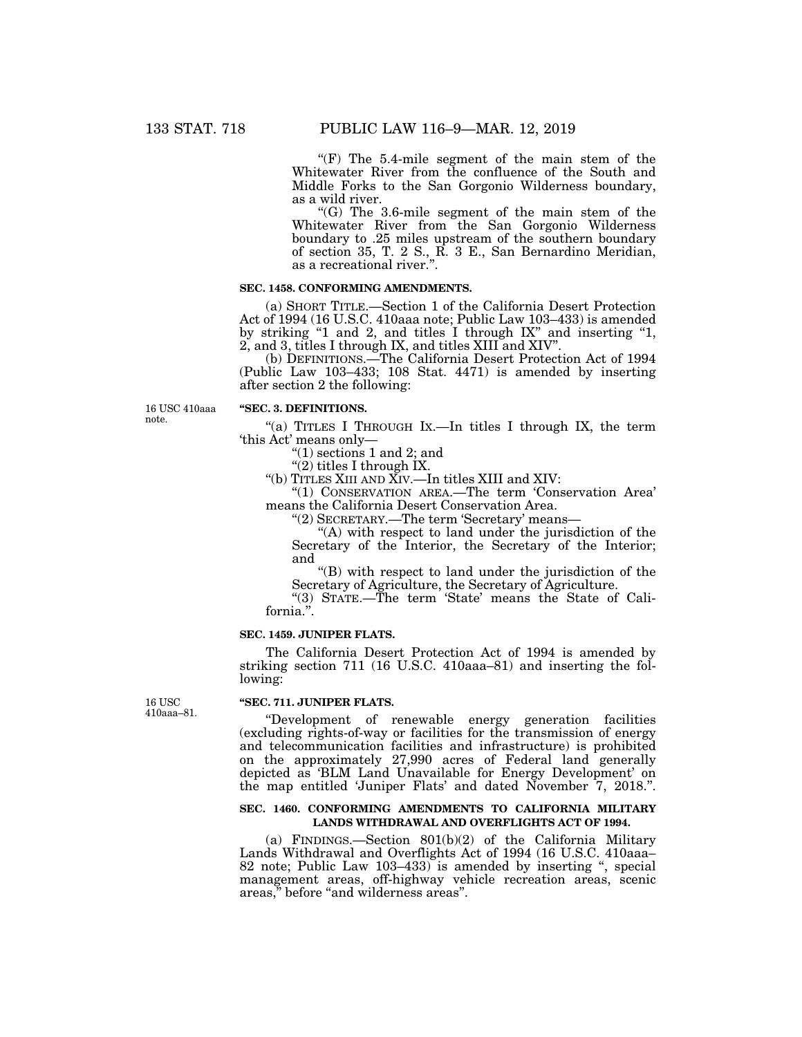"(F) The 5.4-mile segment of the main stem of the Whitewater River from the confluence of the South and Middle Forks to the San Gorgonio Wilderness boundary, as a wild river.

''(G) The 3.6-mile segment of the main stem of the Whitewater River from the San Gorgonio Wilderness boundary to .25 miles upstream of the southern boundary of section 35, T. 2 S., R. 3 E., San Bernardino Meridian, as a recreational river.''.

### **SEC. 1458. CONFORMING AMENDMENTS.**

(a) SHORT TITLE.—Section 1 of the California Desert Protection Act of 1994 (16 U.S.C. 410aaa note; Public Law 103–433) is amended by striking "1 and 2, and titles I through IX" and inserting "1, 2, and 3, titles I through IX, and titles XIII and XIV''.

(b) DEFINITIONS.—The California Desert Protection Act of 1994 (Public Law 103–433; 108 Stat. 4471) is amended by inserting after section 2 the following:

16 USC 410aaa note.

## **''SEC. 3. DEFINITIONS.**

''(a) TITLES I THROUGH IX.—In titles I through IX, the term 'this Act' means only—

" $(1)$  sections 1 and 2; and

"(2) titles I through IX.

''(b) TITLES XIII AND XIV.—In titles XIII and XIV:

''(1) CONSERVATION AREA.—The term 'Conservation Area' means the California Desert Conservation Area.

''(2) SECRETARY.—The term 'Secretary' means—

"(A) with respect to land under the jurisdiction of the Secretary of the Interior, the Secretary of the Interior; and

''(B) with respect to land under the jurisdiction of the Secretary of Agriculture, the Secretary of Agriculture.

''(3) STATE.—The term 'State' means the State of California.''.

## **SEC. 1459. JUNIPER FLATS.**

The California Desert Protection Act of 1994 is amended by striking section 711 (16 U.S.C. 410aaa–81) and inserting the following:

16 USC 410aaa–81.

#### **''SEC. 711. JUNIPER FLATS.**

''Development of renewable energy generation facilities (excluding rights-of-way or facilities for the transmission of energy and telecommunication facilities and infrastructure) is prohibited on the approximately 27,990 acres of Federal land generally depicted as 'BLM Land Unavailable for Energy Development' on the map entitled 'Juniper Flats' and dated November 7, 2018.''.

#### **SEC. 1460. CONFORMING AMENDMENTS TO CALIFORNIA MILITARY LANDS WITHDRAWAL AND OVERFLIGHTS ACT OF 1994.**

(a) FINDINGS.—Section 801(b)(2) of the California Military Lands Withdrawal and Overflights Act of 1994 (16 U.S.C. 410aaa– 82 note; Public Law 103-433) is amended by inserting ", special management areas, off-highway vehicle recreation areas, scenic areas," before "and wilderness areas".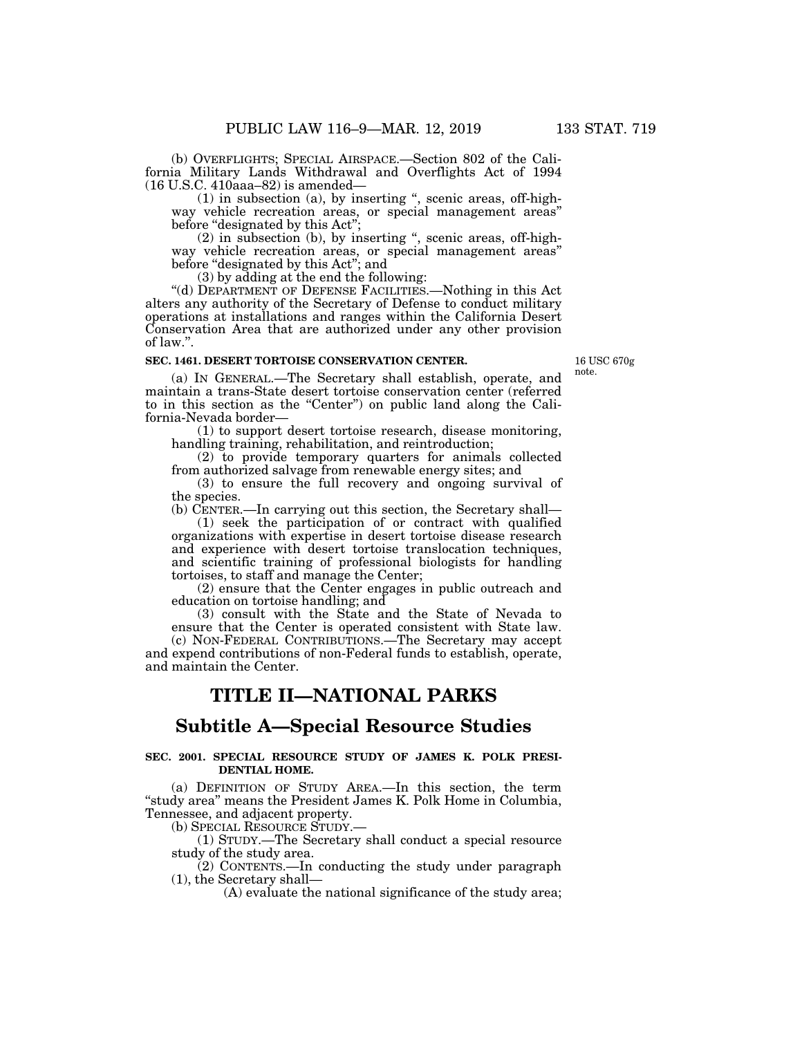(b) OVERFLIGHTS; SPECIAL AIRSPACE.—Section 802 of the California Military Lands Withdrawal and Overflights Act of 1994

(16 U.S.C. 410aaa–82) is amended—

(1) in subsection (a), by inserting '', scenic areas, off-highway vehicle recreation areas, or special management areas'' before "designated by this Act":

(2) in subsection (b), by inserting '', scenic areas, off-highway vehicle recreation areas, or special management areas'' before "designated by this Act"; and

(3) by adding at the end the following:

''(d) DEPARTMENT OF DEFENSE FACILITIES.—Nothing in this Act alters any authority of the Secretary of Defense to conduct military operations at installations and ranges within the California Desert Conservation Area that are authorized under any other provision of law.''.

## **SEC. 1461. DESERT TORTOISE CONSERVATION CENTER.**

16 USC 670g note.

(a) IN GENERAL.—The Secretary shall establish, operate, and maintain a trans-State desert tortoise conservation center (referred to in this section as the "Center") on public land along the California-Nevada border—

(1) to support desert tortoise research, disease monitoring, handling training, rehabilitation, and reintroduction;

(2) to provide temporary quarters for animals collected from authorized salvage from renewable energy sites; and

(3) to ensure the full recovery and ongoing survival of the species.

(b) CENTER.—In carrying out this section, the Secretary shall— (1) seek the participation of or contract with qualified

organizations with expertise in desert tortoise disease research and experience with desert tortoise translocation techniques, and scientific training of professional biologists for handling tortoises, to staff and manage the Center;

(2) ensure that the Center engages in public outreach and education on tortoise handling; and

(3) consult with the State and the State of Nevada to ensure that the Center is operated consistent with State law. (c) NON-FEDERAL CONTRIBUTIONS.—The Secretary may accept and expend contributions of non-Federal funds to establish, operate, and maintain the Center.

# **TITLE II—NATIONAL PARKS**

# **Subtitle A—Special Resource Studies**

### **SEC. 2001. SPECIAL RESOURCE STUDY OF JAMES K. POLK PRESI-DENTIAL HOME.**

(a) DEFINITION OF STUDY AREA.—In this section, the term ''study area'' means the President James K. Polk Home in Columbia, Tennessee, and adjacent property.

(b) SPECIAL RESOURCE STUDY.—

(1) STUDY.—The Secretary shall conduct a special resource study of the study area.

(2) CONTENTS.—In conducting the study under paragraph (1), the Secretary shall—

(A) evaluate the national significance of the study area;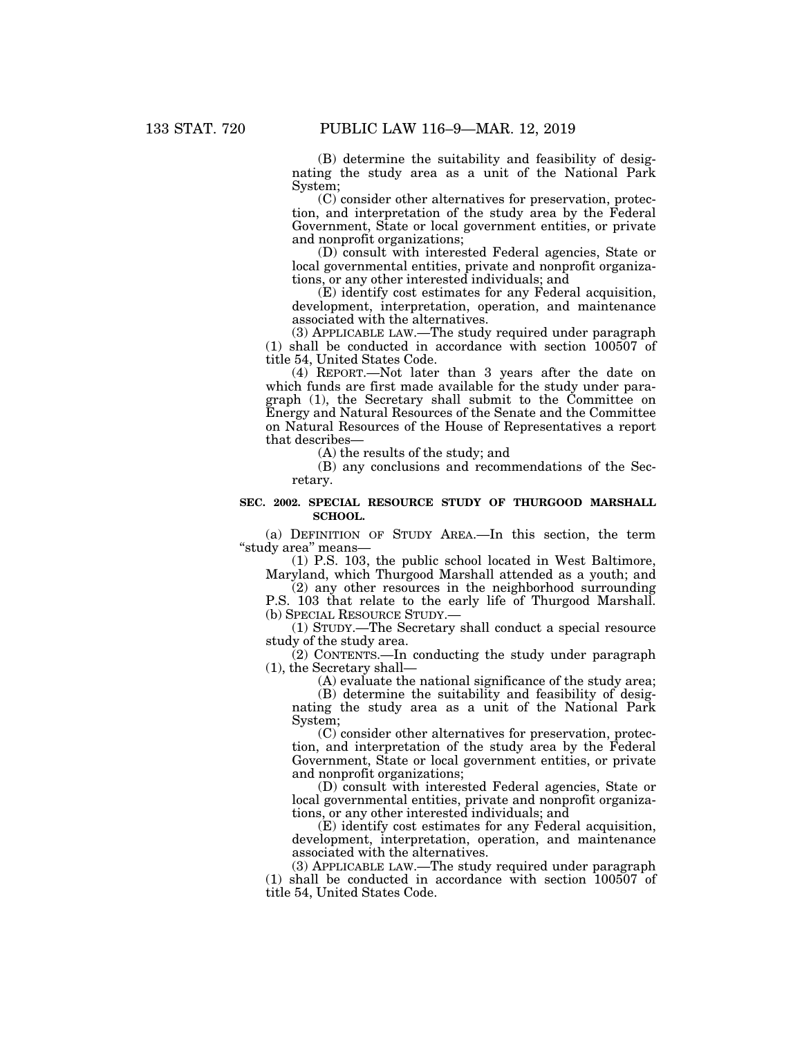(B) determine the suitability and feasibility of designating the study area as a unit of the National Park System;

(C) consider other alternatives for preservation, protection, and interpretation of the study area by the Federal Government, State or local government entities, or private and nonprofit organizations;

(D) consult with interested Federal agencies, State or local governmental entities, private and nonprofit organizations, or any other interested individuals; and

(E) identify cost estimates for any Federal acquisition, development, interpretation, operation, and maintenance associated with the alternatives.

(3) APPLICABLE LAW.—The study required under paragraph (1) shall be conducted in accordance with section 100507 of title 54, United States Code.

(4) REPORT.—Not later than 3 years after the date on which funds are first made available for the study under paragraph (1), the Secretary shall submit to the Committee on Energy and Natural Resources of the Senate and the Committee on Natural Resources of the House of Representatives a report that describes—

(A) the results of the study; and

(B) any conclusions and recommendations of the Secretary.

### **SEC. 2002. SPECIAL RESOURCE STUDY OF THURGOOD MARSHALL SCHOOL.**

(a) DEFINITION OF STUDY AREA.—In this section, the term ''study area'' means—

(1) P.S. 103, the public school located in West Baltimore, Maryland, which Thurgood Marshall attended as a youth; and

(2) any other resources in the neighborhood surrounding P.S. 103 that relate to the early life of Thurgood Marshall. (b) SPECIAL RESOURCE STUDY.—

(1) STUDY.—The Secretary shall conduct a special resource study of the study area.

(2) CONTENTS.—In conducting the study under paragraph (1), the Secretary shall—

(A) evaluate the national significance of the study area;

(B) determine the suitability and feasibility of designating the study area as a unit of the National Park System;

(C) consider other alternatives for preservation, protection, and interpretation of the study area by the Federal Government, State or local government entities, or private and nonprofit organizations;

(D) consult with interested Federal agencies, State or local governmental entities, private and nonprofit organizations, or any other interested individuals; and

(E) identify cost estimates for any Federal acquisition, development, interpretation, operation, and maintenance associated with the alternatives.

(3) APPLICABLE LAW.—The study required under paragraph (1) shall be conducted in accordance with section 100507 of title 54, United States Code.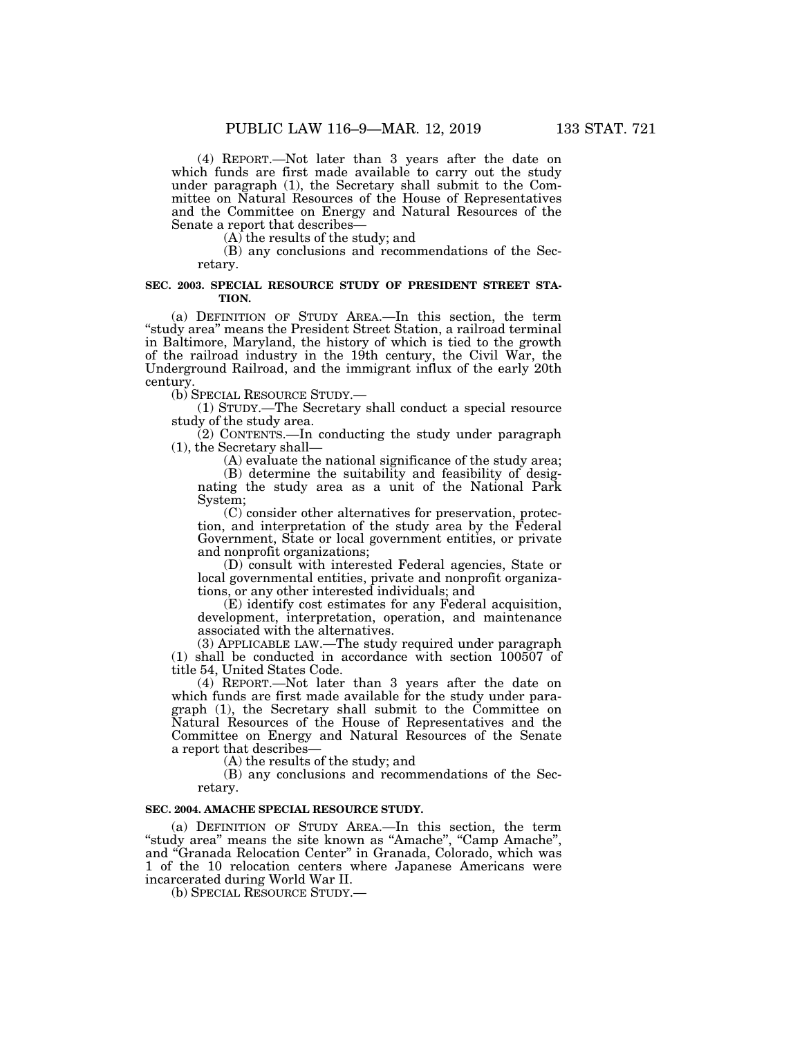(4) REPORT.—Not later than 3 years after the date on which funds are first made available to carry out the study under paragraph (1), the Secretary shall submit to the Committee on Natural Resources of the House of Representatives and the Committee on Energy and Natural Resources of the Senate a report that describes—

(A) the results of the study; and

(B) any conclusions and recommendations of the Secretary.

#### **SEC. 2003. SPECIAL RESOURCE STUDY OF PRESIDENT STREET STA-TION.**

(a) DEFINITION OF STUDY AREA.—In this section, the term ''study area'' means the President Street Station, a railroad terminal in Baltimore, Maryland, the history of which is tied to the growth of the railroad industry in the 19th century, the Civil War, the Underground Railroad, and the immigrant influx of the early 20th century.

(b) SPECIAL RESOURCE STUDY.—

(1) STUDY.—The Secretary shall conduct a special resource study of the study area.

(2) CONTENTS.—In conducting the study under paragraph (1), the Secretary shall—

(A) evaluate the national significance of the study area;

(B) determine the suitability and feasibility of designating the study area as a unit of the National Park System;

(C) consider other alternatives for preservation, protection, and interpretation of the study area by the Federal Government, State or local government entities, or private and nonprofit organizations;

(D) consult with interested Federal agencies, State or local governmental entities, private and nonprofit organizations, or any other interested individuals; and

(E) identify cost estimates for any Federal acquisition, development, interpretation, operation, and maintenance associated with the alternatives.

(3) APPLICABLE LAW.—The study required under paragraph (1) shall be conducted in accordance with section 100507 of title 54, United States Code.

(4) REPORT.—Not later than 3 years after the date on which funds are first made available for the study under paragraph (1), the Secretary shall submit to the Committee on Natural Resources of the House of Representatives and the Committee on Energy and Natural Resources of the Senate a report that describes—

(A) the results of the study; and

(B) any conclusions and recommendations of the Secretary.

### **SEC. 2004. AMACHE SPECIAL RESOURCE STUDY.**

(a) DEFINITION OF STUDY AREA.—In this section, the term "study area" means the site known as "Amache", "Camp Amache", and ''Granada Relocation Center'' in Granada, Colorado, which was 1 of the 10 relocation centers where Japanese Americans were incarcerated during World War II.

(b) SPECIAL RESOURCE STUDY.—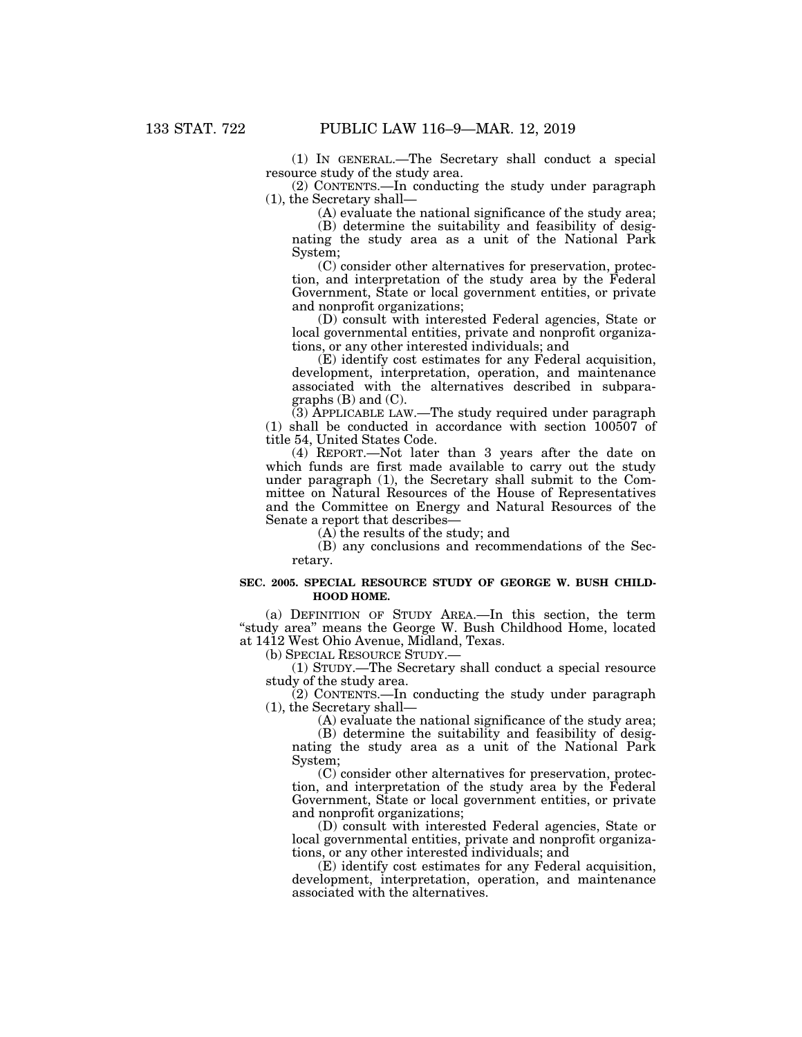(1) IN GENERAL.—The Secretary shall conduct a special resource study of the study area.

(2) CONTENTS.—In conducting the study under paragraph (1), the Secretary shall—

(A) evaluate the national significance of the study area;

(B) determine the suitability and feasibility of designating the study area as a unit of the National Park System;

(C) consider other alternatives for preservation, protection, and interpretation of the study area by the Federal Government, State or local government entities, or private and nonprofit organizations;

(D) consult with interested Federal agencies, State or local governmental entities, private and nonprofit organizations, or any other interested individuals; and

(E) identify cost estimates for any Federal acquisition, development, interpretation, operation, and maintenance associated with the alternatives described in subparagraphs  $(B)$  and  $(C)$ .

(3) APPLICABLE LAW.—The study required under paragraph (1) shall be conducted in accordance with section 100507 of title 54, United States Code.

(4) REPORT.—Not later than 3 years after the date on which funds are first made available to carry out the study under paragraph (1), the Secretary shall submit to the Committee on Natural Resources of the House of Representatives and the Committee on Energy and Natural Resources of the Senate a report that describes—

(A) the results of the study; and

(B) any conclusions and recommendations of the Secretary.

#### **SEC. 2005. SPECIAL RESOURCE STUDY OF GEORGE W. BUSH CHILD-HOOD HOME.**

(a) DEFINITION OF STUDY AREA.—In this section, the term "study area" means the George W. Bush Childhood Home, located at 1412 West Ohio Avenue, Midland, Texas.

(b) SPECIAL RESOURCE STUDY.—

(1) STUDY.—The Secretary shall conduct a special resource study of the study area.

 $(2)$  CONTENTS.—In conducting the study under paragraph (1), the Secretary shall—

(A) evaluate the national significance of the study area;

(B) determine the suitability and feasibility of designating the study area as a unit of the National Park System;

(C) consider other alternatives for preservation, protection, and interpretation of the study area by the Federal Government, State or local government entities, or private and nonprofit organizations;

(D) consult with interested Federal agencies, State or local governmental entities, private and nonprofit organizations, or any other interested individuals; and

(E) identify cost estimates for any Federal acquisition, development, interpretation, operation, and maintenance associated with the alternatives.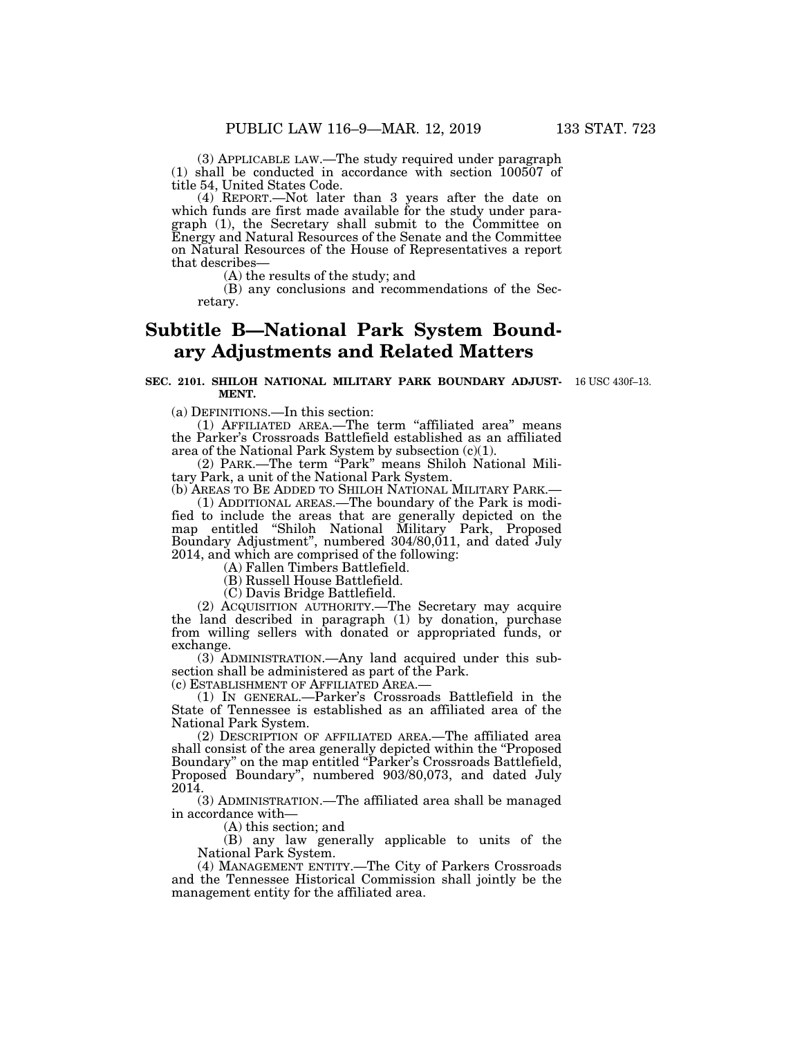(3) APPLICABLE LAW.—The study required under paragraph (1) shall be conducted in accordance with section 100507 of title 54, United States Code.

(4) REPORT.—Not later than 3 years after the date on which funds are first made available for the study under paragraph (1), the Secretary shall submit to the Committee on Energy and Natural Resources of the Senate and the Committee on Natural Resources of the House of Representatives a report that describes—

(A) the results of the study; and

(B) any conclusions and recommendations of the Secretary.

# **Subtitle B—National Park System Boundary Adjustments and Related Matters**

## **SEC. 2101. SHILOH NATIONAL MILITARY PARK BOUNDARY ADJUST-**16 USC 430f–13. **MENT.**

(a) DEFINITIONS.—In this section:

(1) AFFILIATED AREA.—The term ''affiliated area'' means the Parker's Crossroads Battlefield established as an affiliated area of the National Park System by subsection (c)(1).

(2) PARK.—The term ''Park'' means Shiloh National Military Park, a unit of the National Park System.

(b) AREAS TO BE ADDED TO SHILOH NATIONAL MILITARY PARK.— (1) ADDITIONAL AREAS.—The boundary of the Park is modi-

fied to include the areas that are generally depicted on the map entitled ''Shiloh National Military Park, Proposed Boundary Adjustment", numbered 304/80,011, and dated July 2014, and which are comprised of the following:

(A) Fallen Timbers Battlefield.

(B) Russell House Battlefield.

(C) Davis Bridge Battlefield.

(2) ACQUISITION AUTHORITY.—The Secretary may acquire the land described in paragraph (1) by donation, purchase from willing sellers with donated or appropriated funds, or exchange.

(3) ADMINISTRATION.—Any land acquired under this subsection shall be administered as part of the Park.<br>(c) ESTABLISHMENT OF AFFILIATED AREA.—

(1) IN GENERAL.—Parker's Crossroads Battlefield in the State of Tennessee is established as an affiliated area of the National Park System.

(2) DESCRIPTION OF AFFILIATED AREA.—The affiliated area shall consist of the area generally depicted within the "Proposed" Boundary'' on the map entitled ''Parker's Crossroads Battlefield, Proposed Boundary'', numbered 903/80,073, and dated July 2014.

(3) ADMINISTRATION.—The affiliated area shall be managed in accordance with—

(A) this section; and

(B) any law generally applicable to units of the National Park System.

(4) MANAGEMENT ENTITY.—The City of Parkers Crossroads and the Tennessee Historical Commission shall jointly be the management entity for the affiliated area.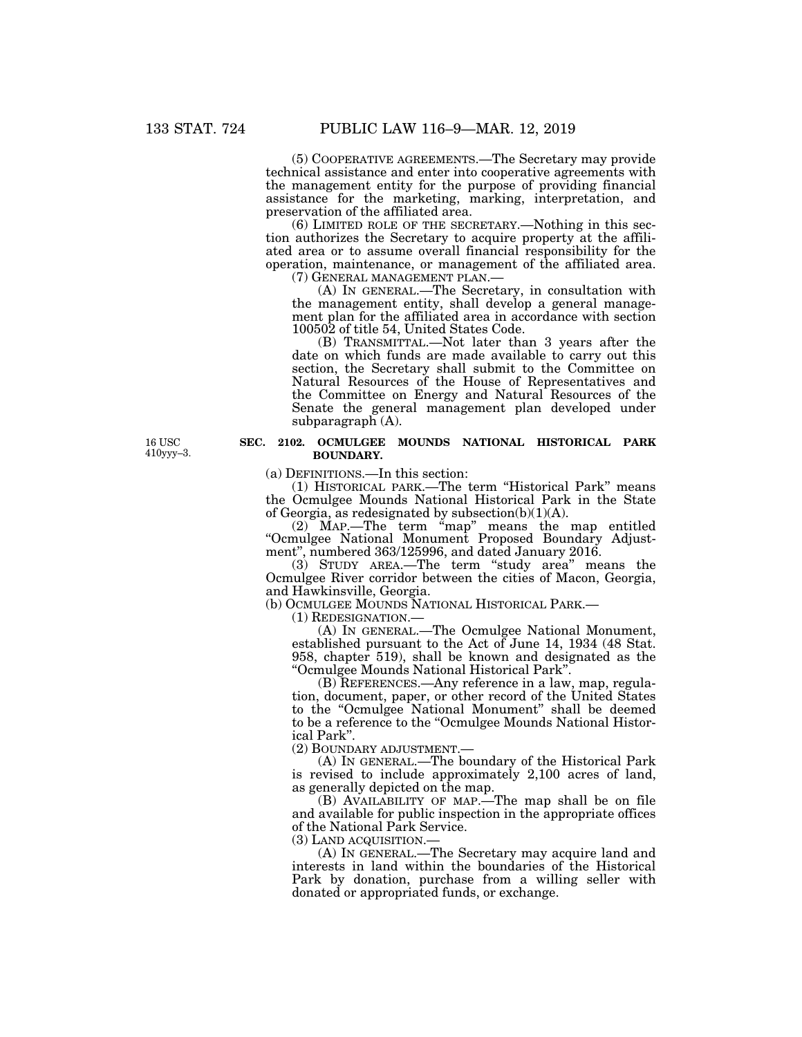(5) COOPERATIVE AGREEMENTS.—The Secretary may provide technical assistance and enter into cooperative agreements with the management entity for the purpose of providing financial assistance for the marketing, marking, interpretation, and preservation of the affiliated area.

(6) LIMITED ROLE OF THE SECRETARY.—Nothing in this section authorizes the Secretary to acquire property at the affiliated area or to assume overall financial responsibility for the operation, maintenance, or management of the affiliated area.<br>(7) GENERAL MANAGEMENT PLAN.—

(A) IN GENERAL.—The Secretary, in consultation with the management entity, shall develop a general management plan for the affiliated area in accordance with section 100502 of title 54, United States Code.

(B) TRANSMITTAL.—Not later than 3 years after the date on which funds are made available to carry out this section, the Secretary shall submit to the Committee on Natural Resources of the House of Representatives and the Committee on Energy and Natural Resources of the Senate the general management plan developed under subparagraph (A).

## **SEC. 2102. OCMULGEE MOUNDS NATIONAL HISTORICAL PARK BOUNDARY.**

(a) DEFINITIONS.—In this section:

(1) HISTORICAL PARK.—The term ''Historical Park'' means the Ocmulgee Mounds National Historical Park in the State of Georgia, as redesignated by subsection $(b)(1)(A)$ .

(2) MAP.—The term ''map'' means the map entitled ''Ocmulgee National Monument Proposed Boundary Adjustment'', numbered 363/125996, and dated January 2016.

(3) STUDY AREA.—The term ''study area'' means the Ocmulgee River corridor between the cities of Macon, Georgia, and Hawkinsville, Georgia.

(b) OCMULGEE MOUNDS NATIONAL HISTORICAL PARK.— (1) REDESIGNATION.—

(A) IN GENERAL.—The Ocmulgee National Monument, established pursuant to the Act of June 14, 1934 (48 Stat. 958, chapter 519), shall be known and designated as the ''Ocmulgee Mounds National Historical Park''.

(B) REFERENCES.—Any reference in a law, map, regulation, document, paper, or other record of the United States to the ''Ocmulgee National Monument'' shall be deemed to be a reference to the ''Ocmulgee Mounds National Historical Park''.

(2) BOUNDARY ADJUSTMENT.—

(A) IN GENERAL.—The boundary of the Historical Park is revised to include approximately 2,100 acres of land, as generally depicted on the map.

(B) AVAILABILITY OF MAP.—The map shall be on file and available for public inspection in the appropriate offices of the National Park Service.

(3) LAND ACQUISITION.—

(A) IN GENERAL.—The Secretary may acquire land and interests in land within the boundaries of the Historical Park by donation, purchase from a willing seller with donated or appropriated funds, or exchange.

16 USC 410yyy–3.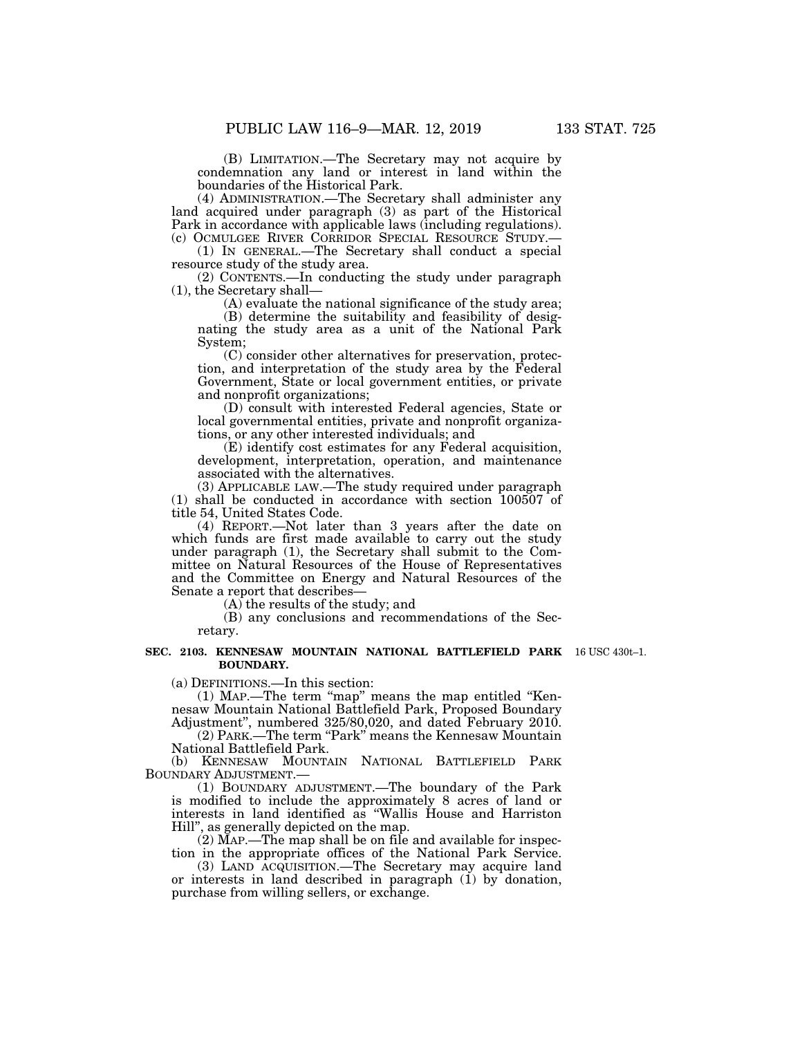(B) LIMITATION.—The Secretary may not acquire by condemnation any land or interest in land within the boundaries of the Historical Park.

(4) ADMINISTRATION.—The Secretary shall administer any land acquired under paragraph (3) as part of the Historical Park in accordance with applicable laws (including regulations).<br>(c) OCMULGEE RIVER CORRIDOR SPECIAL RESOURCE STUDY.—

(1) IN GENERAL.—The Secretary shall conduct a special resource study of the study area.

(2) CONTENTS.—In conducting the study under paragraph (1), the Secretary shall—

(A) evaluate the national significance of the study area;

(B) determine the suitability and feasibility of designating the study area as a unit of the National Park System;

(C) consider other alternatives for preservation, protection, and interpretation of the study area by the Federal Government, State or local government entities, or private and nonprofit organizations;

(D) consult with interested Federal agencies, State or local governmental entities, private and nonprofit organizations, or any other interested individuals; and

(E) identify cost estimates for any Federal acquisition, development, interpretation, operation, and maintenance associated with the alternatives.

(3) APPLICABLE LAW.—The study required under paragraph (1) shall be conducted in accordance with section 100507 of title 54, United States Code.

(4) REPORT.—Not later than 3 years after the date on which funds are first made available to carry out the study under paragraph (1), the Secretary shall submit to the Committee on Natural Resources of the House of Representatives and the Committee on Energy and Natural Resources of the Senate a report that describes—

(A) the results of the study; and

(B) any conclusions and recommendations of the Secretary.

#### **SEC. 2103. KENNESAW MOUNTAIN NATIONAL BATTLEFIELD PARK**  16 USC 430t–1. **BOUNDARY.**

(a) DEFINITIONS.—In this section:

(1) MAP.—The term ''map'' means the map entitled ''Kennesaw Mountain National Battlefield Park, Proposed Boundary Adjustment'', numbered 325/80,020, and dated February 2010.

(2) PARK.—The term "Park" means the Kennesaw Mountain National Battlefield Park.

(b) KENNESAW MOUNTAIN NATIONAL BATTLEFIELD PARK BOUNDARY ADJUSTMENT.—

(1) BOUNDARY ADJUSTMENT.—The boundary of the Park is modified to include the approximately 8 acres of land or interests in land identified as ''Wallis House and Harriston Hill'', as generally depicted on the map.

(2) MAP.—The map shall be on file and available for inspection in the appropriate offices of the National Park Service.

(3) LAND ACQUISITION.—The Secretary may acquire land or interests in land described in paragraph (1) by donation, purchase from willing sellers, or exchange.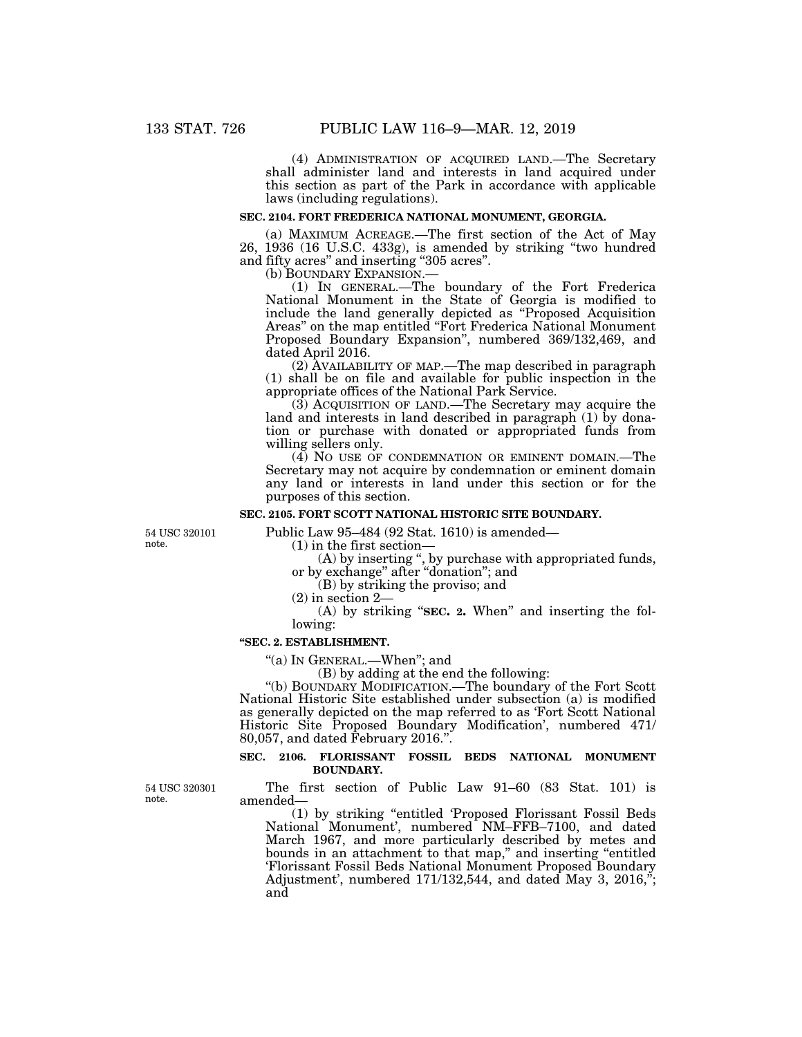(4) ADMINISTRATION OF ACQUIRED LAND.—The Secretary shall administer land and interests in land acquired under this section as part of the Park in accordance with applicable laws (including regulations).

# **SEC. 2104. FORT FREDERICA NATIONAL MONUMENT, GEORGIA.**

(a) MAXIMUM ACREAGE.—The first section of the Act of May 26, 1936 (16 U.S.C. 433g), is amended by striking ''two hundred and fifty acres'' and inserting ''305 acres''.

(b) BOUNDARY EXPANSION.— (1) IN GENERAL.—The boundary of the Fort Frederica National Monument in the State of Georgia is modified to include the land generally depicted as ''Proposed Acquisition Areas'' on the map entitled ''Fort Frederica National Monument Proposed Boundary Expansion'', numbered 369/132,469, and dated April 2016.

(2) AVAILABILITY OF MAP.—The map described in paragraph (1) shall be on file and available for public inspection in the appropriate offices of the National Park Service.

(3) ACQUISITION OF LAND.—The Secretary may acquire the land and interests in land described in paragraph (1) by donation or purchase with donated or appropriated funds from willing sellers only.

(4) NO USE OF CONDEMNATION OR EMINENT DOMAIN.—The Secretary may not acquire by condemnation or eminent domain any land or interests in land under this section or for the purposes of this section.

## **SEC. 2105. FORT SCOTT NATIONAL HISTORIC SITE BOUNDARY.**

54 USC 320101 note.

Public Law 95–484 (92 Stat. 1610) is amended—

(1) in the first section—

(A) by inserting '', by purchase with appropriated funds, or by exchange'' after ''donation''; and

(B) by striking the proviso; and

(2) in section 2—

(A) by striking "**SEC. 2.** When" and inserting the following:

### **''SEC. 2. ESTABLISHMENT.**

''(a) IN GENERAL.—When''; and

(B) by adding at the end the following:

''(b) BOUNDARY MODIFICATION.—The boundary of the Fort Scott National Historic Site established under subsection (a) is modified as generally depicted on the map referred to as 'Fort Scott National Historic Site Proposed Boundary Modification', numbered 471/ 80,057, and dated February 2016.''.

## **SEC. 2106. FLORISSANT FOSSIL BEDS NATIONAL MONUMENT BOUNDARY.**

The first section of Public Law 91–60 (83 Stat. 101) is amended—

(1) by striking ''entitled 'Proposed Florissant Fossil Beds National Monument', numbered NM–FFB–7100, and dated March 1967, and more particularly described by metes and bounds in an attachment to that map,'' and inserting ''entitled 'Florissant Fossil Beds National Monument Proposed Boundary Adjustment', numbered  $171/132,544$ , and dated May 3,  $2016,$ <sup>\*</sup>; and

54 USC 320301 note.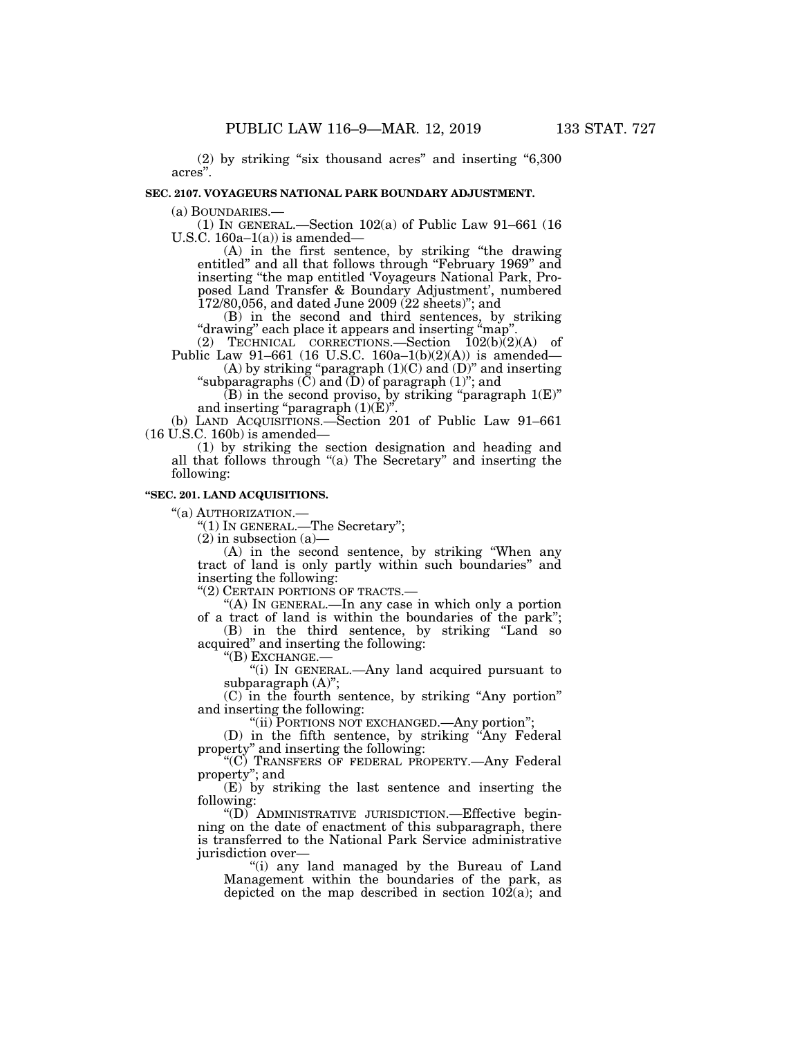$(2)$  by striking "six thousand acres" and inserting "6,300 acres''.

### **SEC. 2107. VOYAGEURS NATIONAL PARK BOUNDARY ADJUSTMENT.**

(a) BOUNDARIES.—<br>(1) IN GENERAL.—Section 102(a) of Public Law 91–661 (16 U.S.C.  $160a-1(a)$  is amended—

(A) in the first sentence, by striking ''the drawing entitled'' and all that follows through ''February 1969'' and inserting ''the map entitled 'Voyageurs National Park, Proposed Land Transfer & Boundary Adjustment', numbered 172/80,056, and dated June 2009 (22 sheets)''; and

(B) in the second and third sentences, by striking "drawing" each place it appears and inserting "map"

(2) TECHNICAL CORRECTIONS.—Section  $\overline{102(b)}(2)(A)$  of Public Law 91–661 (16 U.S.C. 160a–1(b)(2)(A)) is amended—

(A) by striking "paragraph  $(1)(C)$  and  $(D)$ " and inserting "subparagraphs  $(C)$  and  $(D)$  of paragraph  $(1)$ "; and

 $(B)$  in the second proviso, by striking "paragraph  $1(E)$ " and inserting "paragraph  $(1)(E)$ ".

(b) LAND ACQUISITIONS.—Section 201 of Public Law 91–661 (16 U.S.C. 160b) is amended—

(1) by striking the section designation and heading and all that follows through ''(a) The Secretary'' and inserting the following:

## **''SEC. 201. LAND ACQUISITIONS.**

''(a) AUTHORIZATION.—

''(1) IN GENERAL.—The Secretary'';

 $(2)$  in subsection  $(a)$ —

(A) in the second sentence, by striking ''When any tract of land is only partly within such boundaries'' and inserting the following:

''(2) CERTAIN PORTIONS OF TRACTS.—

''(A) IN GENERAL.—In any case in which only a portion of a tract of land is within the boundaries of the park'';

(B) in the third sentence, by striking ''Land so acquired'' and inserting the following:

''(B) EXCHANGE.—

''(i) IN GENERAL.—Any land acquired pursuant to subparagraph (A)'';

(C) in the fourth sentence, by striking ''Any portion'' and inserting the following:

''(ii) PORTIONS NOT EXCHANGED.—Any portion'';

(D) in the fifth sentence, by striking ''Any Federal property'' and inserting the following:

''(C) TRANSFERS OF FEDERAL PROPERTY.—Any Federal property"; and

(E) by striking the last sentence and inserting the following:

''(D) ADMINISTRATIVE JURISDICTION.—Effective beginning on the date of enactment of this subparagraph, there is transferred to the National Park Service administrative jurisdiction over—

''(i) any land managed by the Bureau of Land Management within the boundaries of the park, as depicted on the map described in section  $10\overline{2}(a)$ ; and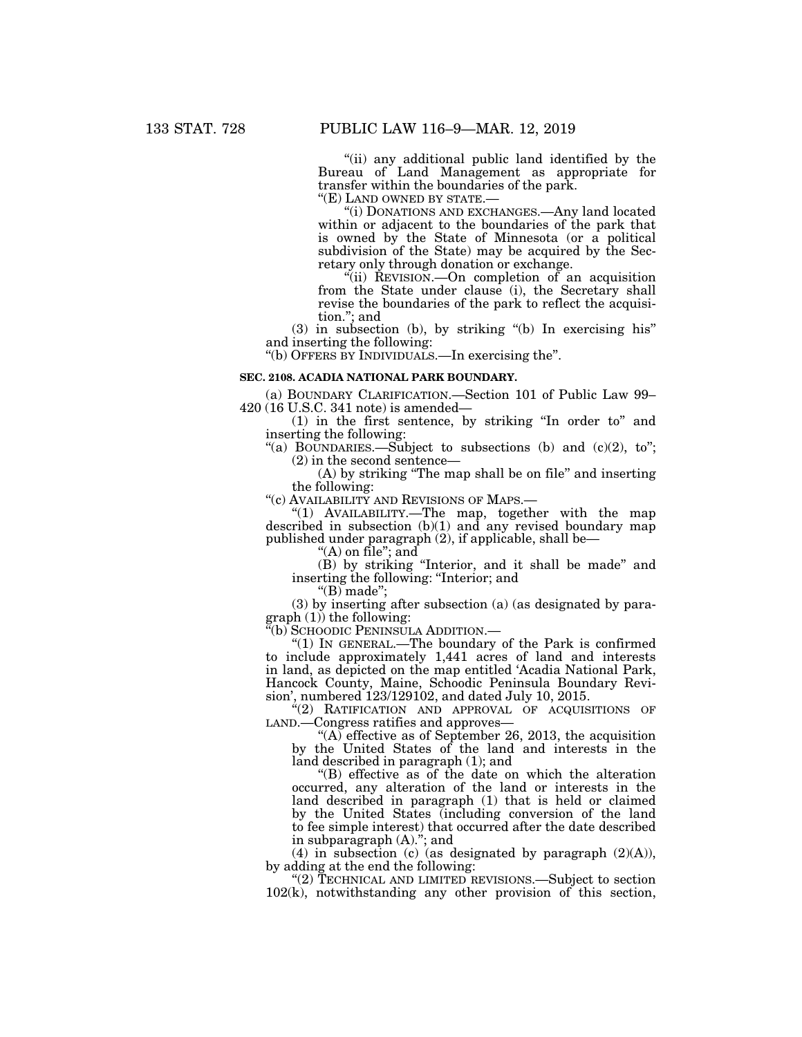''(ii) any additional public land identified by the Bureau of Land Management as appropriate for transfer within the boundaries of the park.

''(E) LAND OWNED BY STATE.— ''(i) DONATIONS AND EXCHANGES.—Any land located within or adjacent to the boundaries of the park that is owned by the State of Minnesota (or a political subdivision of the State) may be acquired by the Secretary only through donation or exchange.

''(ii) REVISION.—On completion of an acquisition from the State under clause (i), the Secretary shall revise the boundaries of the park to reflect the acquisition.''; and

(3) in subsection (b), by striking ''(b) In exercising his'' and inserting the following:

''(b) OFFERS BY INDIVIDUALS.—In exercising the''.

### **SEC. 2108. ACADIA NATIONAL PARK BOUNDARY.**

(a) BOUNDARY CLARIFICATION.—Section 101 of Public Law 99– 420 (16 U.S.C. 341 note) is amended—

(1) in the first sentence, by striking ''In order to'' and inserting the following:

"(a) BOUNDARIES.—Subject to subsections (b) and  $(c)(2)$ , to"; (2) in the second sentence—

(A) by striking ''The map shall be on file'' and inserting the following:

''(c) AVAILABILITY AND REVISIONS OF MAPS.—

''(1) AVAILABILITY.—The map, together with the map described in subsection  $(b)(1)$  and any revised boundary map published under paragraph (2), if applicable, shall be—

''(A) on file''; and

(B) by striking ''Interior, and it shall be made'' and inserting the following: ''Interior; and

" $(B)$  made";

(3) by inserting after subsection (a) (as designated by para $graph (1)$  the following:

''(b) SCHOODIC PENINSULA ADDITION.—

''(1) IN GENERAL.—The boundary of the Park is confirmed to include approximately 1,441 acres of land and interests in land, as depicted on the map entitled 'Acadia National Park, Hancock County, Maine, Schoodic Peninsula Boundary Revision', numbered 123/129102, and dated July 10, 2015.

''(2) RATIFICATION AND APPROVAL OF ACQUISITIONS OF LAND.—Congress ratifies and approves—

"(A) effective as of September 26, 2013, the acquisition by the United States of the land and interests in the land described in paragraph (1); and

''(B) effective as of the date on which the alteration occurred, any alteration of the land or interests in the land described in paragraph (1) that is held or claimed by the United States (including conversion of the land to fee simple interest) that occurred after the date described in subparagraph (A).''; and

(4) in subsection (c) (as designated by paragraph  $(2)(A)$ ), by adding at the end the following:

"(2) TECHNICAL AND LIMITED REVISIONS.—Subject to section 102(k), notwithstanding any other provision of this section,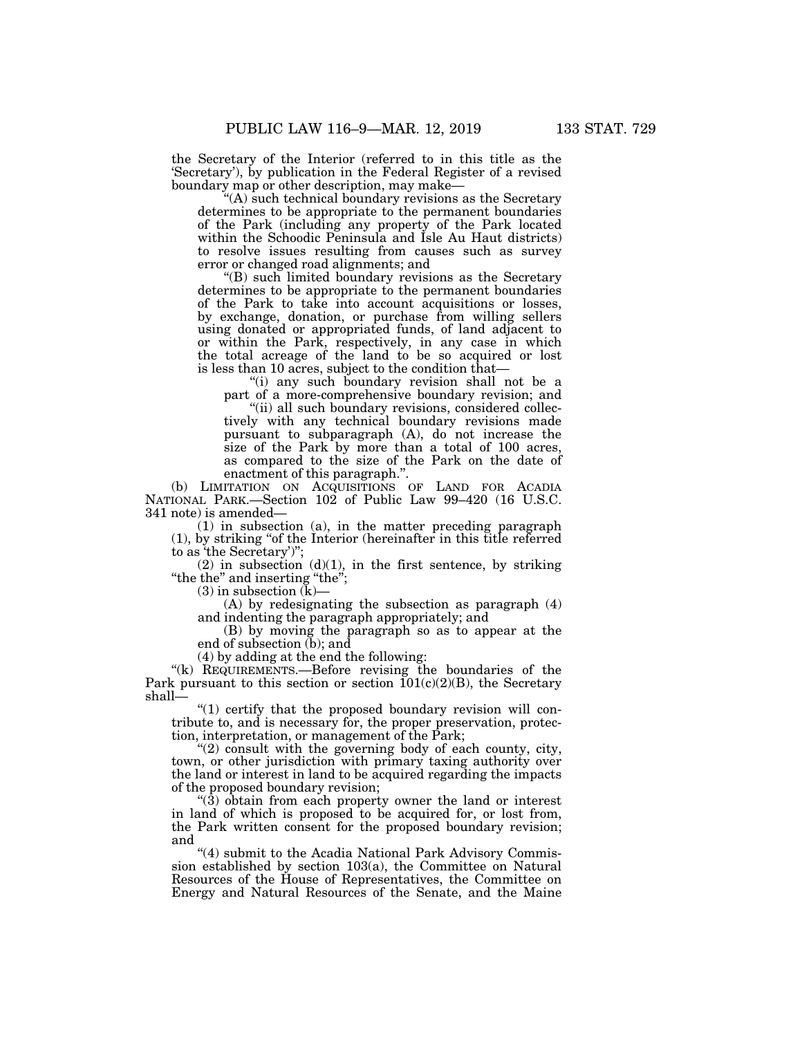the Secretary of the Interior (referred to in this title as the 'Secretary'), by publication in the Federal Register of a revised boundary map or other description, may make—

''(A) such technical boundary revisions as the Secretary determines to be appropriate to the permanent boundaries of the Park (including any property of the Park located within the Schoodic Peninsula and Isle Au Haut districts) to resolve issues resulting from causes such as survey error or changed road alignments; and

''(B) such limited boundary revisions as the Secretary determines to be appropriate to the permanent boundaries of the Park to take into account acquisitions or losses, by exchange, donation, or purchase from willing sellers using donated or appropriated funds, of land adjacent to or within the Park, respectively, in any case in which the total acreage of the land to be so acquired or lost is less than 10 acres, subject to the condition that—

''(i) any such boundary revision shall not be a part of a more-comprehensive boundary revision; and

"(ii) all such boundary revisions, considered collectively with any technical boundary revisions made pursuant to subparagraph (A), do not increase the size of the Park by more than a total of 100 acres, as compared to the size of the Park on the date of enactment of this paragraph.''.

(b) LIMITATION ON ACQUISITIONS OF LAND FOR ACADIA NATIONAL PARK.—Section 102 of Public Law 99–420 (16 U.S.C. 341 note) is amended—

(1) in subsection (a), in the matter preceding paragraph (1), by striking ''of the Interior (hereinafter in this title referred to as 'the Secretary')'';

 $(2)$  in subsection  $(d)(1)$ , in the first sentence, by striking ''the the'' and inserting ''the'';

(3) in subsection  $(K)$ —

(A) by redesignating the subsection as paragraph (4) and indenting the paragraph appropriately; and

(B) by moving the paragraph so as to appear at the end of subsection (b); and

(4) by adding at the end the following:

"(k) REQUIREMENTS.—Before revising the boundaries of the Park pursuant to this section or section  $101(c)(2)(B)$ , the Secretary shall—

"(1) certify that the proposed boundary revision will contribute to, and is necessary for, the proper preservation, protection, interpretation, or management of the Park;

''(2) consult with the governing body of each county, city, town, or other jurisdiction with primary taxing authority over the land or interest in land to be acquired regarding the impacts of the proposed boundary revision;

 $\mathcal{L}(\mathbf{3})$  obtain from each property owner the land or interest in land of which is proposed to be acquired for, or lost from, the Park written consent for the proposed boundary revision; and

"(4) submit to the Acadia National Park Advisory Commission established by section 103(a), the Committee on Natural Resources of the House of Representatives, the Committee on Energy and Natural Resources of the Senate, and the Maine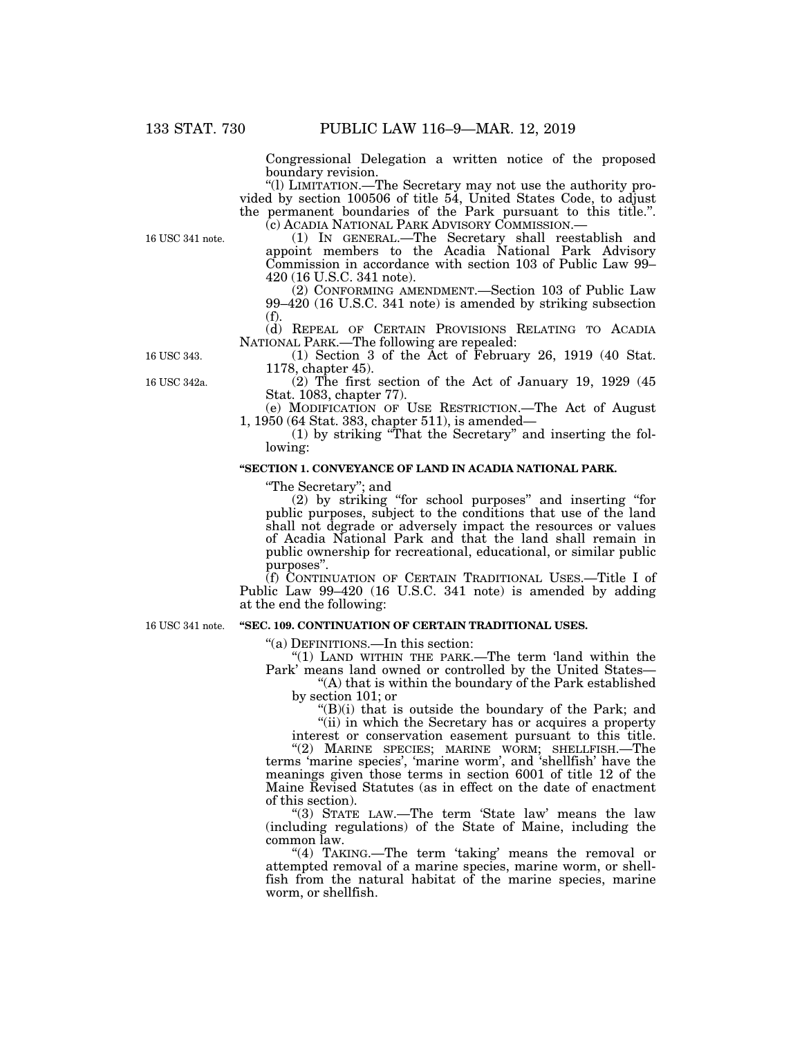Congressional Delegation a written notice of the proposed boundary revision.

''(l) LIMITATION.—The Secretary may not use the authority provided by section 100506 of title 54, United States Code, to adjust the permanent boundaries of the Park pursuant to this title.''.

16 USC 341 note.

(c) ACADIA NATIONAL PARK ADVISORY COMMISSION.— (1) IN GENERAL.—The Secretary shall reestablish and appoint members to the Acadia National Park Advisory Commission in accordance with section 103 of Public Law 99– 420 (16 U.S.C. 341 note).

(2) CONFORMING AMENDMENT.—Section 103 of Public Law 99–420 (16 U.S.C. 341 note) is amended by striking subsection (f).

(d) REPEAL OF CERTAIN PROVISIONS RELATING TO ACADIA NATIONAL PARK.—The following are repealed: (1) Section 3 of the Act of February 26, 1919 (40 Stat.

16 USC 343.

16 USC 342a.

1178, chapter 45).  $(2)$  The first section of the Act of January 19, 1929 (45) Stat. 1083, chapter 77).

(e) MODIFICATION OF USE RESTRICTION.—The Act of August 1, 1950 (64 Stat. 383, chapter 511), is amended—

(1) by striking ''That the Secretary'' and inserting the following:

# **''SECTION 1. CONVEYANCE OF LAND IN ACADIA NATIONAL PARK.**

''The Secretary''; and

(2) by striking ''for school purposes'' and inserting ''for public purposes, subject to the conditions that use of the land shall not degrade or adversely impact the resources or values of Acadia National Park and that the land shall remain in public ownership for recreational, educational, or similar public purposes''.

(f) CONTINUATION OF CERTAIN TRADITIONAL USES.—Title I of Public Law 99–420 (16 U.S.C. 341 note) is amended by adding at the end the following:

### 16 USC 341 note.

# **''SEC. 109. CONTINUATION OF CERTAIN TRADITIONAL USES.**

''(a) DEFINITIONS.—In this section:

''(1) LAND WITHIN THE PARK.—The term 'land within the Park' means land owned or controlled by the United States—

''(A) that is within the boundary of the Park established by section 101; or

 $\mathrm{H}(B)(i)$  that is outside the boundary of the Park; and "(ii) in which the Secretary has or acquires a property

interest or conservation easement pursuant to this title.

"(2) MARINE SPECIES; MARINE WORM; SHELLFISH.—The terms 'marine species', 'marine worm', and 'shellfish' have the meanings given those terms in section 6001 of title 12 of the Maine Revised Statutes (as in effect on the date of enactment of this section).

''(3) STATE LAW.—The term 'State law' means the law (including regulations) of the State of Maine, including the common law.

"(4) TAKING.—The term 'taking' means the removal or attempted removal of a marine species, marine worm, or shellfish from the natural habitat of the marine species, marine worm, or shellfish.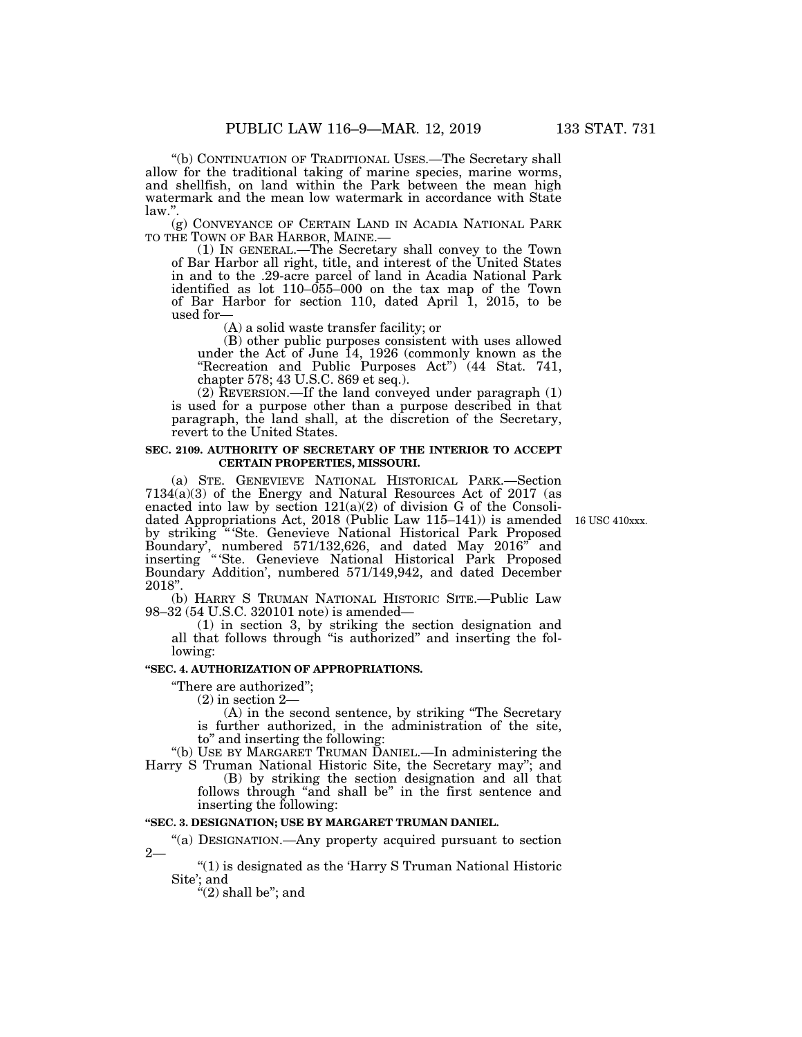''(b) CONTINUATION OF TRADITIONAL USES.—The Secretary shall allow for the traditional taking of marine species, marine worms, and shellfish, on land within the Park between the mean high watermark and the mean low watermark in accordance with State law.''.

(g) CONVEYANCE OF CERTAIN LAND IN ACADIA NATIONAL PARK TO THE TOWN OF BAR HARBOR, MAINE.—

 $(1)$  In GENERAL.—The Secretary shall convey to the Town of Bar Harbor all right, title, and interest of the United States in and to the .29-acre parcel of land in Acadia National Park identified as lot  $110-\overline{055}$ -000 on the tax map of the Town of Bar Harbor for section 110, dated April 1, 2015, to be used for—

(A) a solid waste transfer facility; or

(B) other public purposes consistent with uses allowed under the Act of June 14, 1926 (commonly known as the "Recreation and Public Purposes Act") (44 Stat. 741, chapter 578; 43 U.S.C. 869 et seq.).

(2) REVERSION.—If the land conveyed under paragraph (1) is used for a purpose other than a purpose described in that paragraph, the land shall, at the discretion of the Secretary, revert to the United States.

## **SEC. 2109. AUTHORITY OF SECRETARY OF THE INTERIOR TO ACCEPT CERTAIN PROPERTIES, MISSOURI.**

(a) STE. GENEVIEVE NATIONAL HISTORICAL PARK.—Section 7134(a)(3) of the Energy and Natural Resources Act of 2017 (as enacted into law by section  $121(a)(2)$  of division G of the Consolidated Appropriations Act, 2018 (Public Law 115–141)) is amended by striking "'Ste. Genevieve National Historical Park Proposed Boundary', numbered 571/132,626, and dated May 2016'' and inserting '' 'Ste. Genevieve National Historical Park Proposed Boundary Addition', numbered 571/149,942, and dated December 2018''.

(b) HARRY S TRUMAN NATIONAL HISTORIC SITE.—Public Law 98–32 (54 U.S.C. 320101 note) is amended—

(1) in section 3, by striking the section designation and all that follows through ''is authorized'' and inserting the following:

# **''SEC. 4. AUTHORIZATION OF APPROPRIATIONS.**

''There are authorized'';

(2) in section 2—

(A) in the second sentence, by striking ''The Secretary is further authorized, in the administration of the site, to'' and inserting the following:

''(b) USE BY MARGARET TRUMAN DANIEL.—In administering the Harry S Truman National Historic Site, the Secretary may''; and

(B) by striking the section designation and all that follows through "and shall be" in the first sentence and inserting the following:

# **''SEC. 3. DESIGNATION; USE BY MARGARET TRUMAN DANIEL.**

''(a) DESIGNATION.—Any property acquired pursuant to section  $2 -$ 

''(1) is designated as the 'Harry S Truman National Historic Site'; and

" $(2)$  shall be"; and

16 USC 410xxx.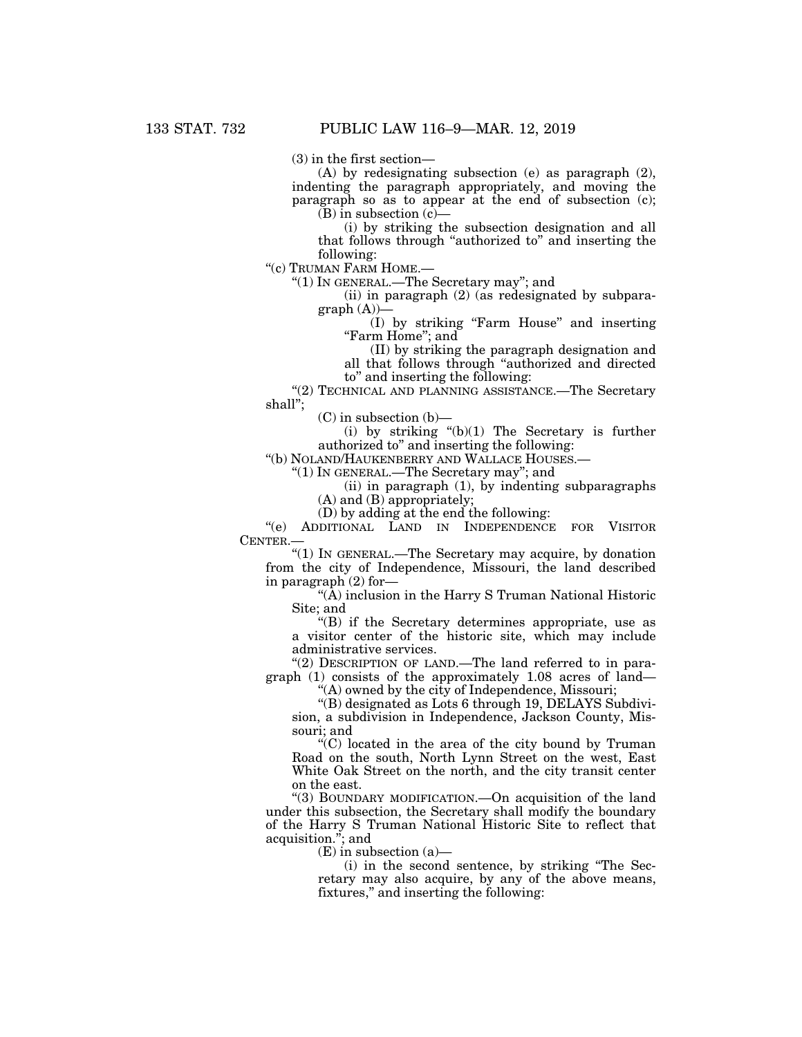(3) in the first section—

(A) by redesignating subsection (e) as paragraph (2), indenting the paragraph appropriately, and moving the paragraph so as to appear at the end of subsection (c);  $(B)$  in subsection  $(c)$ —

(i) by striking the subsection designation and all that follows through ''authorized to'' and inserting the following:

''(c) TRUMAN FARM HOME.—

''(1) IN GENERAL.—The Secretary may''; and

(ii) in paragraph (2) (as redesignated by subpara $graph(A)$ 

(I) by striking ''Farm House'' and inserting ''Farm Home''; and

(II) by striking the paragraph designation and

all that follows through ''authorized and directed

to'' and inserting the following:

''(2) TECHNICAL AND PLANNING ASSISTANCE.—The Secretary shall'';

 $(C)$  in subsection  $(b)$ –

(i) by striking  $'(b)(1)$  The Secretary is further authorized to'' and inserting the following:

''(b) NOLAND/HAUKENBERRY AND WALLACE HOUSES.—

''(1) IN GENERAL.—The Secretary may''; and

(ii) in paragraph (1), by indenting subparagraphs (A) and (B) appropriately;

(D) by adding at the end the following:

''(e) ADDITIONAL LAND IN INDEPENDENCE FOR VISITOR CENTER.—

''(1) IN GENERAL.—The Secretary may acquire, by donation from the city of Independence, Missouri, the land described in paragraph (2) for—

''(A) inclusion in the Harry S Truman National Historic Site; and

''(B) if the Secretary determines appropriate, use as a visitor center of the historic site, which may include administrative services.

"(2) DESCRIPTION OF LAND.—The land referred to in paragraph (1) consists of the approximately 1.08 acres of land—

"(A) owned by the city of Independence, Missouri;

''(B) designated as Lots 6 through 19, DELAYS Subdivision, a subdivision in Independence, Jackson County, Missouri; and

 $(C)$  located in the area of the city bound by Truman Road on the south, North Lynn Street on the west, East White Oak Street on the north, and the city transit center on the east.

''(3) BOUNDARY MODIFICATION.—On acquisition of the land under this subsection, the Secretary shall modify the boundary of the Harry S Truman National Historic Site to reflect that acquisition.''; and

 $(E)$  in subsection  $(a)$ —

(i) in the second sentence, by striking ''The Secretary may also acquire, by any of the above means, fixtures," and inserting the following: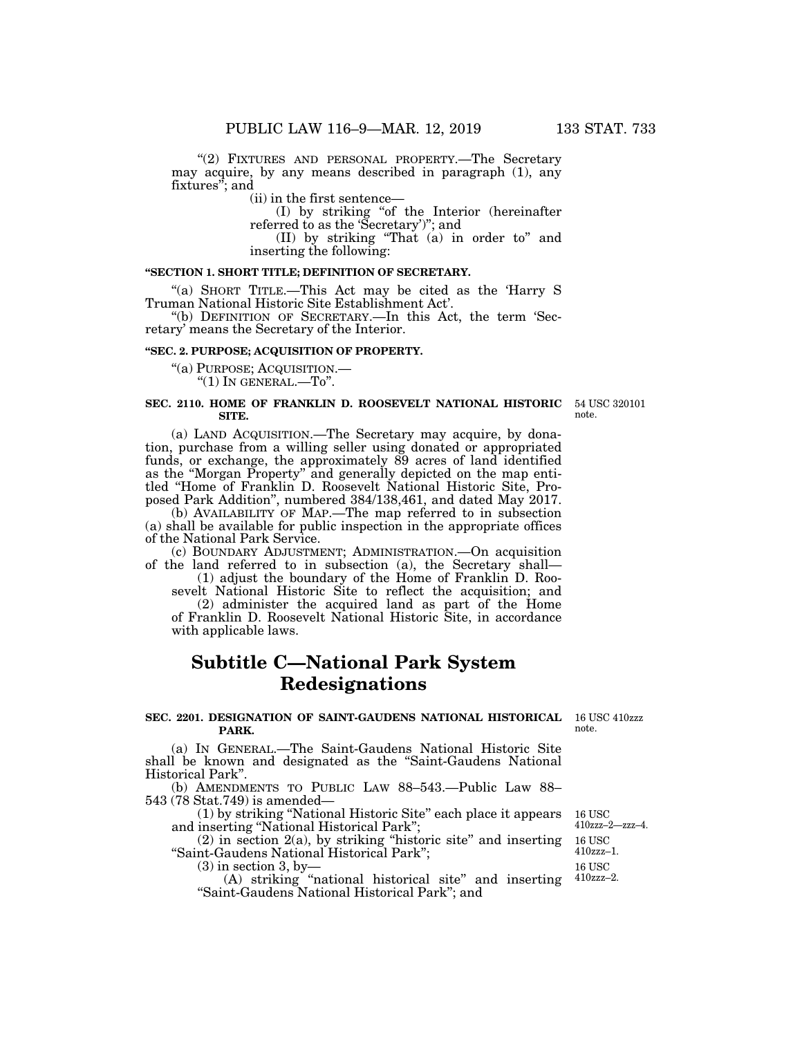"(2) FIXTURES AND PERSONAL PROPERTY.—The Secretary may acquire, by any means described in paragraph (1), any fixtures''; and

(ii) in the first sentence—

(I) by striking ''of the Interior (hereinafter referred to as the 'Secretary')''; and

(II) by striking ''That (a) in order to'' and inserting the following:

## **''SECTION 1. SHORT TITLE; DEFINITION OF SECRETARY.**

''(a) SHORT TITLE.—This Act may be cited as the 'Harry S Truman National Historic Site Establishment Act'.

''(b) DEFINITION OF SECRETARY.—In this Act, the term 'Secretary' means the Secretary of the Interior.

### **''SEC. 2. PURPOSE; ACQUISITION OF PROPERTY.**

''(a) PURPOSE; ACQUISITION.—  $"(1)$  In GENERAL. $-To"$ .

#### **SEC. 2110. HOME OF FRANKLIN D. ROOSEVELT NATIONAL HISTORIC**  54 USC 320101 **SITE.**

(a) LAND ACQUISITION.—The Secretary may acquire, by donation, purchase from a willing seller using donated or appropriated funds, or exchange, the approximately 89 acres of land identified as the ''Morgan Property'' and generally depicted on the map entitled ''Home of Franklin D. Roosevelt National Historic Site, Proposed Park Addition'', numbered 384/138,461, and dated May 2017.

(b) AVAILABILITY OF MAP.—The map referred to in subsection (a) shall be available for public inspection in the appropriate offices of the National Park Service.

(c) BOUNDARY ADJUSTMENT; ADMINISTRATION.—On acquisition of the land referred to in subsection (a), the Secretary shall—

(1) adjust the boundary of the Home of Franklin D. Roosevelt National Historic Site to reflect the acquisition; and

(2) administer the acquired land as part of the Home of Franklin D. Roosevelt National Historic Site, in accordance with applicable laws.

# **Subtitle C—National Park System Redesignations**

### **SEC. 2201. DESIGNATION OF SAINT-GAUDENS NATIONAL HISTORICAL**  16 USC 410zzz **PARK.**

(a) IN GENERAL.—The Saint-Gaudens National Historic Site shall be known and designated as the ''Saint-Gaudens National Historical Park''.

(b) AMENDMENTS TO PUBLIC LAW 88–543.—Public Law 88– 543 (78 Stat.749) is amended—

(1) by striking ''National Historic Site'' each place it appears and inserting ''National Historical Park'';

 $(2)$  in section  $2(a)$ , by striking "historic site" and inserting ''Saint-Gaudens National Historical Park''; 16 USC 16 USC 410zzz–1.

 $(3)$  in section 3, by-

(A) striking ''national historical site'' and inserting ''Saint-Gaudens National Historical Park''; and 410zzz–2.

note.

16 USC 410zzz–2—zzz–4.

note.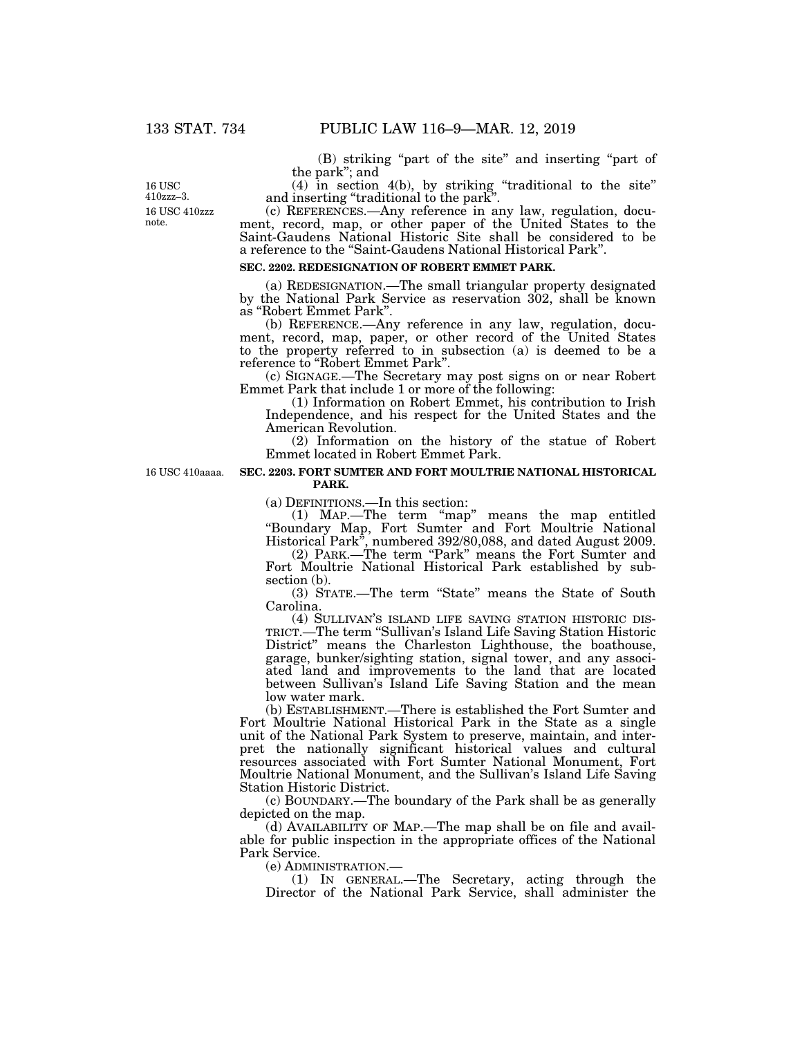(B) striking ''part of the site'' and inserting ''part of the park''; and

(4) in section 4(b), by striking ''traditional to the site'' and inserting ''traditional to the park''.

(c) REFERENCES.—Any reference in any law, regulation, document, record, map, or other paper of the United States to the Saint-Gaudens National Historic Site shall be considered to be a reference to the ''Saint-Gaudens National Historical Park''.

## **SEC. 2202. REDESIGNATION OF ROBERT EMMET PARK.**

(a) REDESIGNATION.—The small triangular property designated by the National Park Service as reservation 302, shall be known as ''Robert Emmet Park''.

(b) REFERENCE.—Any reference in any law, regulation, document, record, map, paper, or other record of the United States to the property referred to in subsection (a) is deemed to be a reference to ''Robert Emmet Park''.

(c) SIGNAGE.—The Secretary may post signs on or near Robert Emmet Park that include 1 or more of the following:

(1) Information on Robert Emmet, his contribution to Irish Independence, and his respect for the United States and the American Revolution.

(2) Information on the history of the statue of Robert Emmet located in Robert Emmet Park.

16 USC 410aaaa.

**SEC. 2203. FORT SUMTER AND FORT MOULTRIE NATIONAL HISTORICAL** 

# **PARK.**

(a) DEFINITIONS.—In this section:

(1) MAP.—The term ''map'' means the map entitled ''Boundary Map, Fort Sumter and Fort Moultrie National Historical Park'', numbered 392/80,088, and dated August 2009.

(2) PARK.—The term ''Park'' means the Fort Sumter and Fort Moultrie National Historical Park established by subsection (b).

(3) STATE.—The term ''State'' means the State of South Carolina.<br>(4) SULLIVAN'S ISLAND LIFE SAVING STATION HISTORIC DIS-

TRICT.—The term "Sullivan's Island Life Saving Station Historic District'' means the Charleston Lighthouse, the boathouse, garage, bunker/sighting station, signal tower, and any associated land and improvements to the land that are located between Sullivan's Island Life Saving Station and the mean low water mark.

(b) ESTABLISHMENT.—There is established the Fort Sumter and Fort Moultrie National Historical Park in the State as a single unit of the National Park System to preserve, maintain, and interpret the nationally significant historical values and cultural resources associated with Fort Sumter National Monument, Fort Moultrie National Monument, and the Sullivan's Island Life Saving Station Historic District.

(c) BOUNDARY.—The boundary of the Park shall be as generally depicted on the map.

(d) AVAILABILITY OF MAP.—The map shall be on file and available for public inspection in the appropriate offices of the National Park Service.

(e) ADMINISTRATION.—

(1) IN GENERAL.—The Secretary, acting through the Director of the National Park Service, shall administer the

16 USC 410zzz note. 16 USC 410zzz–3.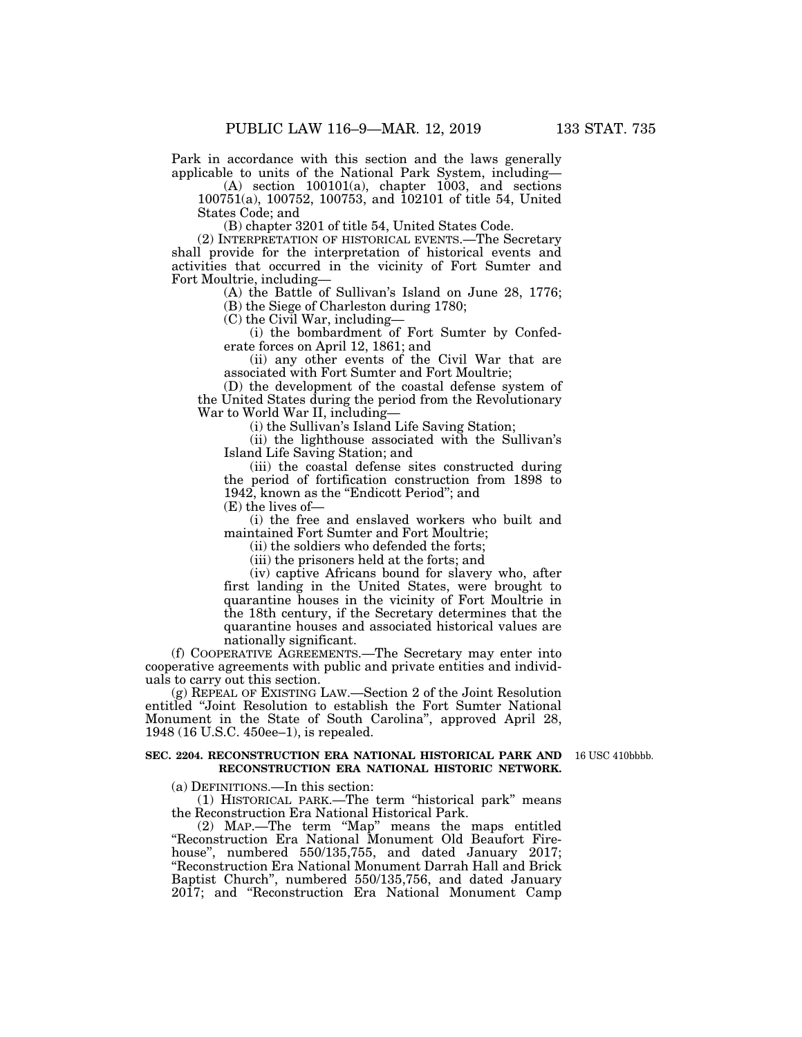Park in accordance with this section and the laws generally applicable to units of the National Park System, including—

(A) section 100101(a), chapter 1003, and sections 100751(a), 100752, 100753, and 102101 of title 54, United States Code; and

(B) chapter 3201 of title 54, United States Code.

(2) INTERPRETATION OF HISTORICAL EVENTS.—The Secretary shall provide for the interpretation of historical events and activities that occurred in the vicinity of Fort Sumter and Fort Moultrie, including—

(A) the Battle of Sullivan's Island on June 28, 1776;

(B) the Siege of Charleston during 1780;

(C) the Civil War, including—

(i) the bombardment of Fort Sumter by Confederate forces on April 12, 1861; and

(ii) any other events of the Civil War that are associated with Fort Sumter and Fort Moultrie;

(D) the development of the coastal defense system of the United States during the period from the Revolutionary War to World War II, including—

(i) the Sullivan's Island Life Saving Station;

(ii) the lighthouse associated with the Sullivan's Island Life Saving Station; and

(iii) the coastal defense sites constructed during the period of fortification construction from 1898 to 1942, known as the ''Endicott Period''; and (E) the lives of—

(i) the free and enslaved workers who built and maintained Fort Sumter and Fort Moultrie;

(ii) the soldiers who defended the forts;

(iii) the prisoners held at the forts; and

(iv) captive Africans bound for slavery who, after first landing in the United States, were brought to quarantine houses in the vicinity of Fort Moultrie in the 18th century, if the Secretary determines that the quarantine houses and associated historical values are nationally significant.

(f) COOPERATIVE AGREEMENTS.—The Secretary may enter into cooperative agreements with public and private entities and individuals to carry out this section.

(g) REPEAL OF EXISTING LAW.—Section 2 of the Joint Resolution entitled ''Joint Resolution to establish the Fort Sumter National Monument in the State of South Carolina'', approved April 28, 1948 (16 U.S.C. 450ee–1), is repealed.

#### **SEC. 2204. RECONSTRUCTION ERA NATIONAL HISTORICAL PARK AND**  16 USC 410bbbb. **RECONSTRUCTION ERA NATIONAL HISTORIC NETWORK.**

(a) DEFINITIONS.—In this section:

(1) HISTORICAL PARK.—The term ''historical park'' means the Reconstruction Era National Historical Park.

(2) MAP.—The term ''Map'' means the maps entitled ''Reconstruction Era National Monument Old Beaufort Firehouse'', numbered 550/135,755, and dated January 2017; ''Reconstruction Era National Monument Darrah Hall and Brick Baptist Church'', numbered 550/135,756, and dated January 2017; and ''Reconstruction Era National Monument Camp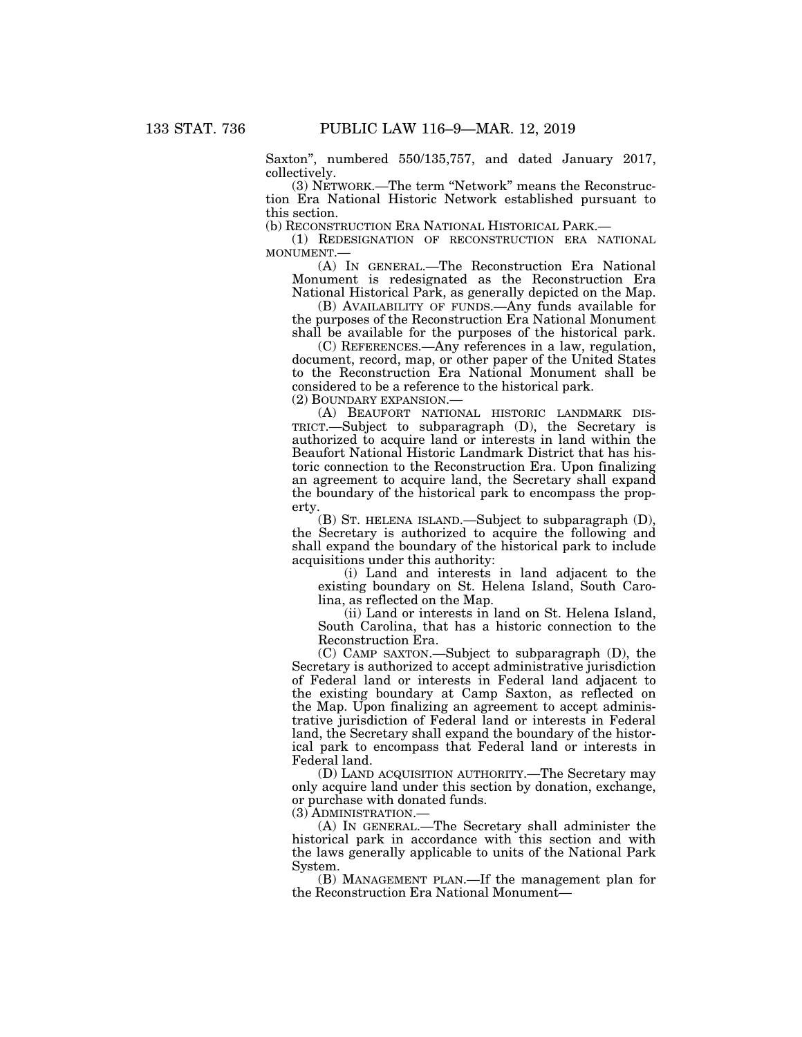Saxton'', numbered 550/135,757, and dated January 2017, collectively.

(3) NETWORK.—The term ''Network'' means the Reconstruction Era National Historic Network established pursuant to this section.

(b) RECONSTRUCTION ERA NATIONAL HISTORICAL PARK.—

(1) REDESIGNATION OF RECONSTRUCTION ERA NATIONAL MONUMENT.—

(A) IN GENERAL.—The Reconstruction Era National Monument is redesignated as the Reconstruction Era National Historical Park, as generally depicted on the Map.

(B) AVAILABILITY OF FUNDS.—Any funds available for the purposes of the Reconstruction Era National Monument shall be available for the purposes of the historical park.

(C) REFERENCES.—Any references in a law, regulation, document, record, map, or other paper of the United States to the Reconstruction Era National Monument shall be considered to be a reference to the historical park.

(2) BOUNDARY EXPANSION.—

(A) BEAUFORT NATIONAL HISTORIC LANDMARK DIS-TRICT.—Subject to subparagraph (D), the Secretary is authorized to acquire land or interests in land within the Beaufort National Historic Landmark District that has historic connection to the Reconstruction Era. Upon finalizing an agreement to acquire land, the Secretary shall expand the boundary of the historical park to encompass the property.

(B) ST. HELENA ISLAND.—Subject to subparagraph (D), the Secretary is authorized to acquire the following and shall expand the boundary of the historical park to include acquisitions under this authority:

(i) Land and interests in land adjacent to the existing boundary on St. Helena Island, South Carolina, as reflected on the Map.

(ii) Land or interests in land on St. Helena Island, South Carolina, that has a historic connection to the Reconstruction Era.

(C) CAMP SAXTON.—Subject to subparagraph (D), the Secretary is authorized to accept administrative jurisdiction of Federal land or interests in Federal land adjacent to the existing boundary at Camp Saxton, as reflected on the Map. Upon finalizing an agreement to accept administrative jurisdiction of Federal land or interests in Federal land, the Secretary shall expand the boundary of the historical park to encompass that Federal land or interests in Federal land.

(D) LAND ACQUISITION AUTHORITY.—The Secretary may only acquire land under this section by donation, exchange, or purchase with donated funds.

(3) ADMINISTRATION.—

(A) IN GENERAL.—The Secretary shall administer the historical park in accordance with this section and with the laws generally applicable to units of the National Park System.

(B) MANAGEMENT PLAN.—If the management plan for the Reconstruction Era National Monument—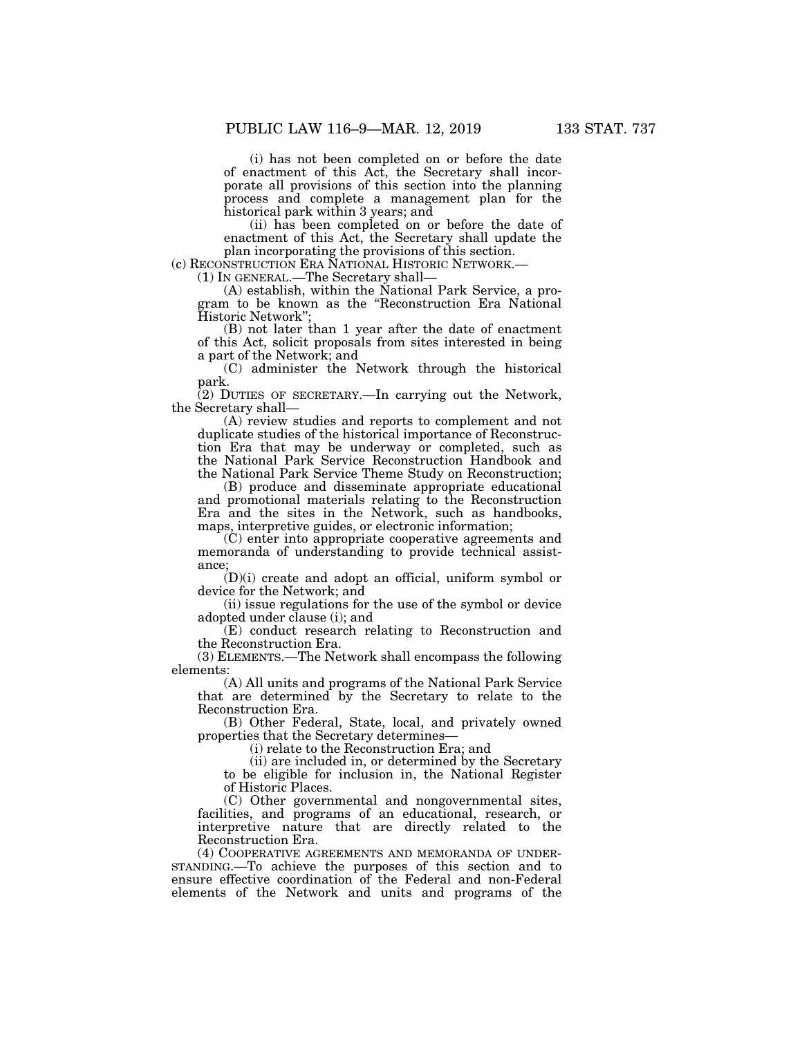(i) has not been completed on or before the date of enactment of this Act, the Secretary shall incorporate all provisions of this section into the planning process and complete a management plan for the historical park within 3 years; and

(ii) has been completed on or before the date of enactment of this Act, the Secretary shall update the plan incorporating the provisions of this section.

(c) RECONSTRUCTION ERA NATIONAL HISTORIC NETWORK.— (1) IN GENERAL.—The Secretary shall—

(A) establish, within the National Park Service, a program to be known as the ''Reconstruction Era National Historic Network'';

(B) not later than 1 year after the date of enactment of this Act, solicit proposals from sites interested in being a part of the Network; and

(C) administer the Network through the historical park.

(2) DUTIES OF SECRETARY.—In carrying out the Network, the Secretary shall—

(A) review studies and reports to complement and not duplicate studies of the historical importance of Reconstruction Era that may be underway or completed, such as the National Park Service Reconstruction Handbook and the National Park Service Theme Study on Reconstruction;

(B) produce and disseminate appropriate educational and promotional materials relating to the Reconstruction Era and the sites in the Network, such as handbooks, maps, interpretive guides, or electronic information;

(C) enter into appropriate cooperative agreements and memoranda of understanding to provide technical assistance;

(D)(i) create and adopt an official, uniform symbol or device for the Network; and

(ii) issue regulations for the use of the symbol or device adopted under clause (i); and

(E) conduct research relating to Reconstruction and the Reconstruction Era.

(3) ELEMENTS.—The Network shall encompass the following elements:

(A) All units and programs of the National Park Service that are determined by the Secretary to relate to the Reconstruction Era.

(B) Other Federal, State, local, and privately owned properties that the Secretary determines—

(i) relate to the Reconstruction Era; and

(ii) are included in, or determined by the Secretary to be eligible for inclusion in, the National Register of Historic Places.

(C) Other governmental and nongovernmental sites, facilities, and programs of an educational, research, or interpretive nature that are directly related to the Reconstruction Era.

(4) COOPERATIVE AGREEMENTS AND MEMORANDA OF UNDER-STANDING.—To achieve the purposes of this section and to ensure effective coordination of the Federal and non-Federal elements of the Network and units and programs of the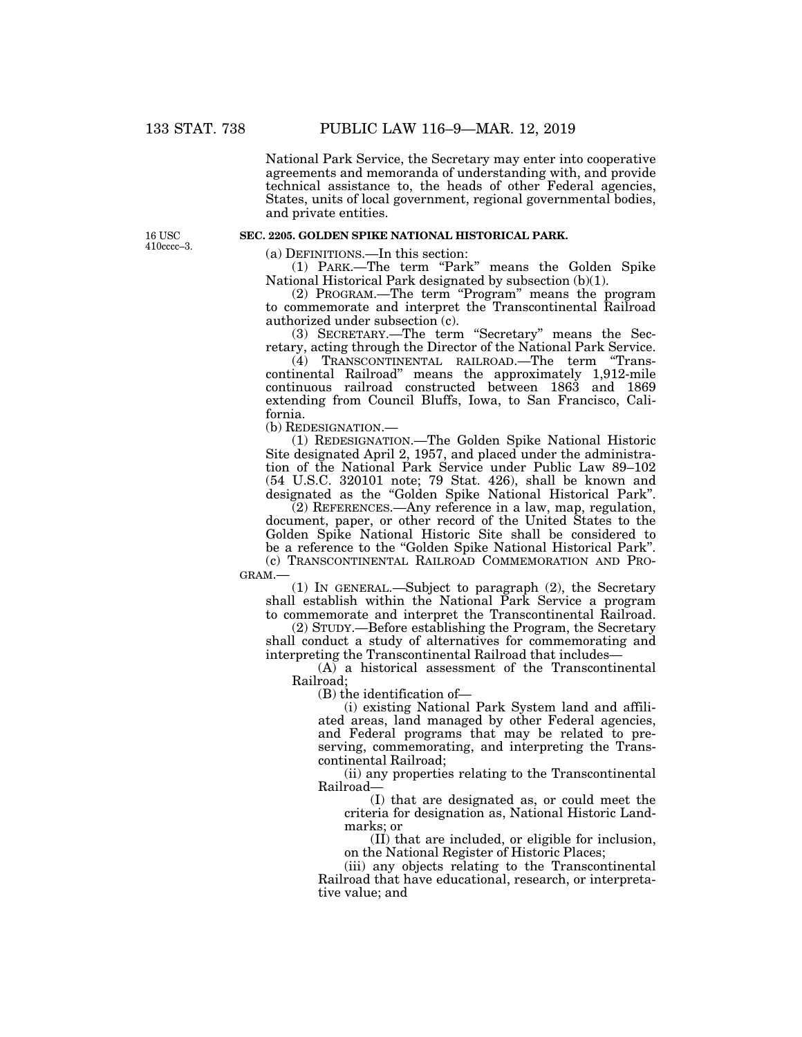National Park Service, the Secretary may enter into cooperative agreements and memoranda of understanding with, and provide technical assistance to, the heads of other Federal agencies, States, units of local government, regional governmental bodies, and private entities.

16 USC 410cccc–3.

## **SEC. 2205. GOLDEN SPIKE NATIONAL HISTORICAL PARK.**

(a) DEFINITIONS.—In this section:

(1) PARK.—The term ''Park'' means the Golden Spike National Historical Park designated by subsection (b)(1).

(2) PROGRAM.—The term "Program" means the program to commemorate and interpret the Transcontinental Railroad authorized under subsection (c).

(3) SECRETARY.—The term ''Secretary'' means the Secretary, acting through the Director of the National Park Service.

(4) TRANSCONTINENTAL RAILROAD.—The term ''Transcontinental Railroad'' means the approximately 1,912-mile continuous railroad constructed between 1863 and 1869 extending from Council Bluffs, Iowa, to San Francisco, California.

(b) REDESIGNATION.—

(1) REDESIGNATION.—The Golden Spike National Historic Site designated April 2, 1957, and placed under the administration of the National Park Service under Public Law 89–102 (54 U.S.C. 320101 note; 79 Stat. 426), shall be known and designated as the ''Golden Spike National Historical Park''.

(2) REFERENCES.—Any reference in a law, map, regulation, document, paper, or other record of the United States to the Golden Spike National Historic Site shall be considered to be a reference to the ''Golden Spike National Historical Park''. (c) TRANSCONTINENTAL RAILROAD COMMEMORATION AND PRO-GRAM.—

(1) IN GENERAL.—Subject to paragraph (2), the Secretary shall establish within the National Park Service a program to commemorate and interpret the Transcontinental Railroad.

(2) STUDY.—Before establishing the Program, the Secretary shall conduct a study of alternatives for commemorating and interpreting the Transcontinental Railroad that includes—

 $(A)$  a historical assessment of the Transcontinental Railroad;

(B) the identification of—

(i) existing National Park System land and affiliated areas, land managed by other Federal agencies, and Federal programs that may be related to preserving, commemorating, and interpreting the Transcontinental Railroad;

(ii) any properties relating to the Transcontinental Railroad—

(I) that are designated as, or could meet the criteria for designation as, National Historic Landmarks; or

(II) that are included, or eligible for inclusion, on the National Register of Historic Places;

(iii) any objects relating to the Transcontinental Railroad that have educational, research, or interpretative value; and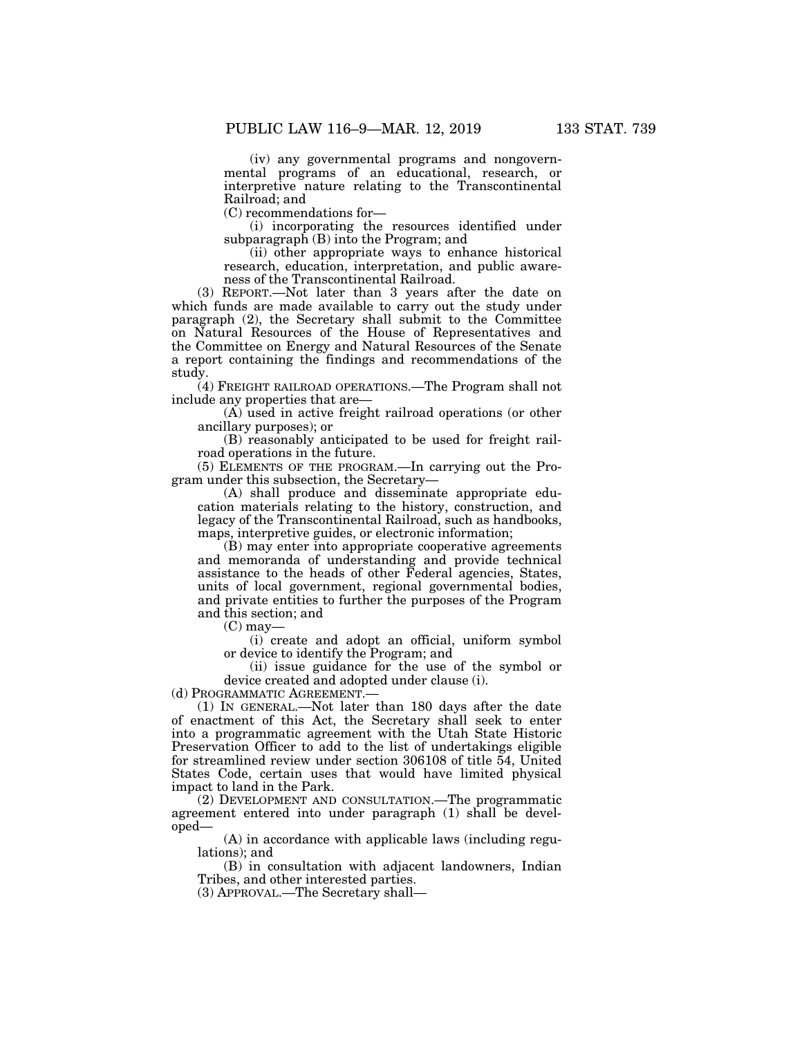(iv) any governmental programs and nongovernmental programs of an educational, research, or interpretive nature relating to the Transcontinental Railroad; and

(C) recommendations for—

(i) incorporating the resources identified under subparagraph  $(B)$  into the Program; and

(ii) other appropriate ways to enhance historical research, education, interpretation, and public awareness of the Transcontinental Railroad.

(3) REPORT.—Not later than 3 years after the date on which funds are made available to carry out the study under paragraph (2), the Secretary shall submit to the Committee on Natural Resources of the House of Representatives and the Committee on Energy and Natural Resources of the Senate a report containing the findings and recommendations of the study.

(4) FREIGHT RAILROAD OPERATIONS.—The Program shall not include any properties that are—

(A) used in active freight railroad operations (or other ancillary purposes); or

(B) reasonably anticipated to be used for freight railroad operations in the future.

(5) ELEMENTS OF THE PROGRAM.—In carrying out the Program under this subsection, the Secretary—

(A) shall produce and disseminate appropriate education materials relating to the history, construction, and legacy of the Transcontinental Railroad, such as handbooks, maps, interpretive guides, or electronic information;

(B) may enter into appropriate cooperative agreements and memoranda of understanding and provide technical assistance to the heads of other Federal agencies, States, units of local government, regional governmental bodies, and private entities to further the purposes of the Program and this section; and

 $(C)$  may-

(i) create and adopt an official, uniform symbol or device to identify the Program; and

(ii) issue guidance for the use of the symbol or device created and adopted under clause (i).

(d) PROGRAMMATIC AGREEMENT.—

(1) IN GENERAL.—Not later than 180 days after the date of enactment of this Act, the Secretary shall seek to enter into a programmatic agreement with the Utah State Historic Preservation Officer to add to the list of undertakings eligible for streamlined review under section 306108 of title 54, United States Code, certain uses that would have limited physical impact to land in the Park.

(2) DEVELOPMENT AND CONSULTATION.—The programmatic agreement entered into under paragraph (1) shall be developed—

(A) in accordance with applicable laws (including regulations); and

(B) in consultation with adjacent landowners, Indian Tribes, and other interested parties.

(3) APPROVAL.—The Secretary shall—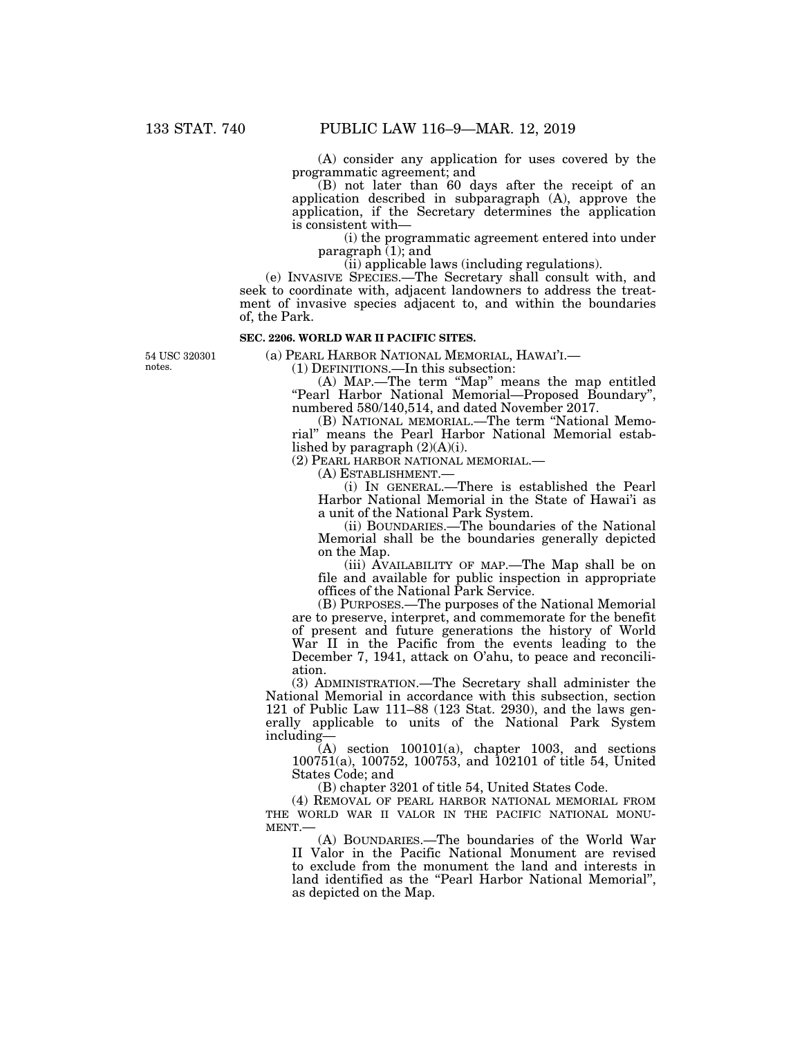(A) consider any application for uses covered by the programmatic agreement; and

(B) not later than 60 days after the receipt of an application described in subparagraph (A), approve the application, if the Secretary determines the application is consistent with—

(i) the programmatic agreement entered into under paragraph  $(1)$ ; and

(ii) applicable laws (including regulations).

(e) INVASIVE SPECIES.—The Secretary shall consult with, and seek to coordinate with, adjacent landowners to address the treatment of invasive species adjacent to, and within the boundaries of, the Park.

## **SEC. 2206. WORLD WAR II PACIFIC SITES.**

54 USC 320301 notes.

(a) PEARL HARBOR NATIONAL MEMORIAL, HAWAI'I.— (1) DEFINITIONS.—In this subsection:

(A) MAP.—The term ''Map'' means the map entitled ''Pearl Harbor National Memorial—Proposed Boundary'', numbered 580/140,514, and dated November 2017.

(B) NATIONAL MEMORIAL.—The term ''National Memorial'' means the Pearl Harbor National Memorial established by paragraph (2)(A)(i).

(2) PEARL HARBOR NATIONAL MEMORIAL.—

(A) ESTABLISHMENT.—

(i) IN GENERAL.—There is established the Pearl Harbor National Memorial in the State of Hawai'i as a unit of the National Park System.

(ii) BOUNDARIES.—The boundaries of the National Memorial shall be the boundaries generally depicted on the Map.

(iii) AVAILABILITY OF MAP.—The Map shall be on file and available for public inspection in appropriate offices of the National Park Service.

(B) PURPOSES.—The purposes of the National Memorial are to preserve, interpret, and commemorate for the benefit of present and future generations the history of World War II in the Pacific from the events leading to the December 7, 1941, attack on O'ahu, to peace and reconciliation.

(3) ADMINISTRATION.—The Secretary shall administer the National Memorial in accordance with this subsection, section 121 of Public Law 111–88 (123 Stat. 2930), and the laws generally applicable to units of the National Park System including—

 $(A)$  section  $100101(a)$ , chapter 1003, and sections 100751(a), 100752, 100753, and 102101 of title 54, United States Code; and

(B) chapter 3201 of title 54, United States Code.

(4) REMOVAL OF PEARL HARBOR NATIONAL MEMORIAL FROM THE WORLD WAR II VALOR IN THE PACIFIC NATIONAL MONUMENT.—

(A) BOUNDARIES.—The boundaries of the World War II Valor in the Pacific National Monument are revised to exclude from the monument the land and interests in land identified as the "Pearl Harbor National Memorial", as depicted on the Map.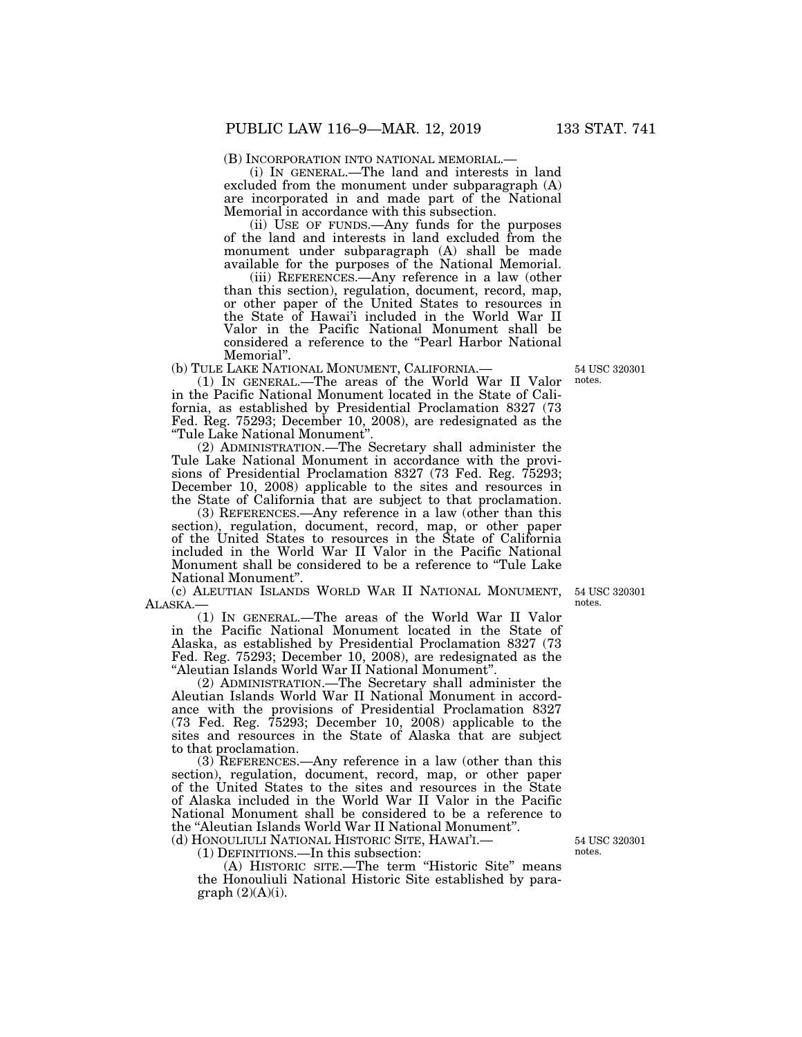(B) INCORPORATION INTO NATIONAL MEMORIAL.— (i) IN GENERAL.—The land and interests in land excluded from the monument under subparagraph (A) are incorporated in and made part of the National Memorial in accordance with this subsection.

(ii) USE OF FUNDS.—Any funds for the purposes of the land and interests in land excluded from the monument under subparagraph (A) shall be made available for the purposes of the National Memorial.

(iii) REFERENCES.—Any reference in a law (other than this section), regulation, document, record, map, or other paper of the United States to resources in the State of Hawai'i included in the World War II Valor in the Pacific National Monument shall be considered a reference to the ''Pearl Harbor National Memorial''.

(b) TULE LAKE NATIONAL MONUMENT, CALIFORNIA.—

(1) IN GENERAL.—The areas of the World War II Valor in the Pacific National Monument located in the State of California, as established by Presidential Proclamation 8327 (73 Fed. Reg. 75293; December 10, 2008), are redesignated as the ''Tule Lake National Monument''.

(2) ADMINISTRATION.—The Secretary shall administer the Tule Lake National Monument in accordance with the provisions of Presidential Proclamation 8327 (73 Fed. Reg. 75293; December 10, 2008) applicable to the sites and resources in the State of California that are subject to that proclamation.

(3) REFERENCES.—Any reference in a law (other than this section), regulation, document, record, map, or other paper of the United States to resources in the State of California included in the World War II Valor in the Pacific National Monument shall be considered to be a reference to ''Tule Lake National Monument''.

(c) ALEUTIAN ISLANDS WORLD WAR II NATIONAL MONUMENT, ALASKA.—

(1) IN GENERAL.—The areas of the World War II Valor in the Pacific National Monument located in the State of Alaska, as established by Presidential Proclamation 8327 (73 Fed. Reg. 75293; December 10, 2008), are redesignated as the ''Aleutian Islands World War II National Monument''.

(2) ADMINISTRATION.—The Secretary shall administer the Aleutian Islands World War II National Monument in accordance with the provisions of Presidential Proclamation 8327 (73 Fed. Reg. 75293; December 10, 2008) applicable to the sites and resources in the State of Alaska that are subject to that proclamation.

(3) REFERENCES.—Any reference in a law (other than this section), regulation, document, record, map, or other paper of the United States to the sites and resources in the State of Alaska included in the World War II Valor in the Pacific National Monument shall be considered to be a reference to the "Aleutian Islands World War II National Monument".

(d) HONOULIULI NATIONAL HISTORIC SITE, HAWAI'I.—

(1) DEFINITIONS.—In this subsection:

(A) HISTORIC SITE.—The term ''Historic Site'' means the Honouliuli National Historic Site established by para $graph (2)(A)(i).$ 

54 USC 320301 notes.

54 USC 320301 notes.

54 USC 320301 notes.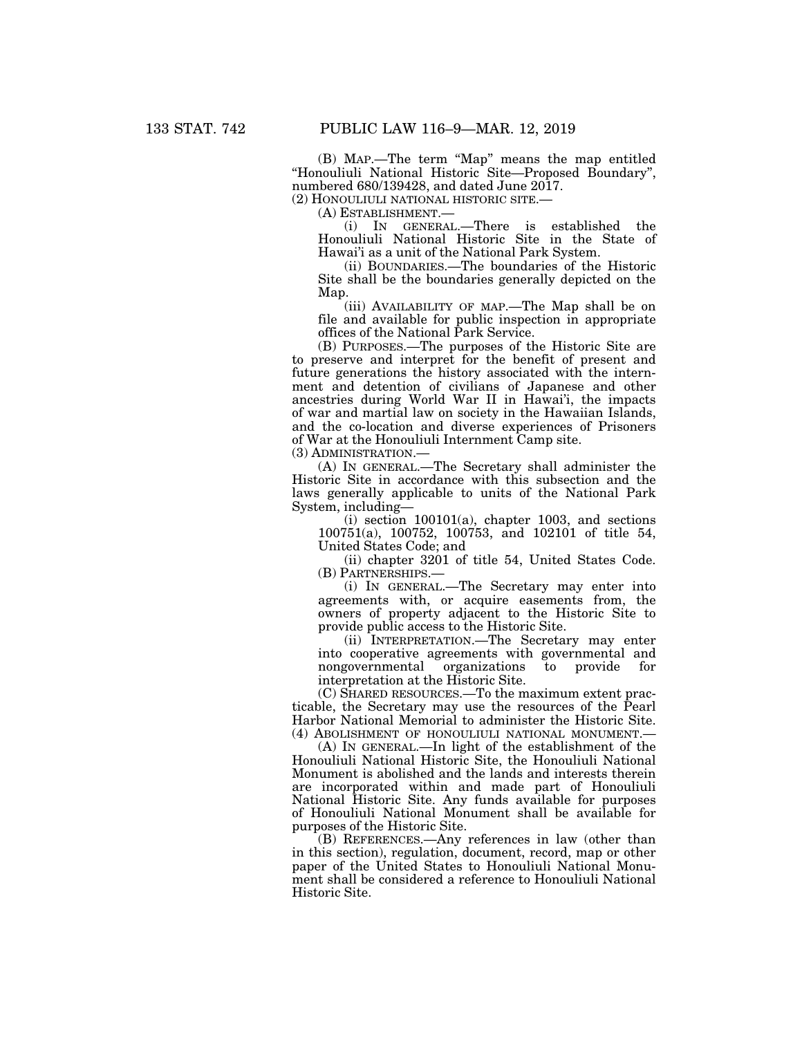(B) MAP.—The term ''Map'' means the map entitled ''Honouliuli National Historic Site—Proposed Boundary'', numbered 680/139428, and dated June 2017.

(2) HONOULIULI NATIONAL HISTORIC SITE.—

(A) ESTABLISHMENT.—

(i) IN GENERAL.—There is established the Honouliuli National Historic Site in the State of Hawai'i as a unit of the National Park System.

(ii) BOUNDARIES.—The boundaries of the Historic Site shall be the boundaries generally depicted on the Map.

(iii) AVAILABILITY OF MAP.—The Map shall be on file and available for public inspection in appropriate offices of the National Park Service.

(B) PURPOSES.—The purposes of the Historic Site are to preserve and interpret for the benefit of present and future generations the history associated with the internment and detention of civilians of Japanese and other ancestries during World War II in Hawai'i, the impacts of war and martial law on society in the Hawaiian Islands, and the co-location and diverse experiences of Prisoners of War at the Honouliuli Internment Camp site.

(3) ADMINISTRATION.—

(A) IN GENERAL.—The Secretary shall administer the Historic Site in accordance with this subsection and the laws generally applicable to units of the National Park System, including—

 $(i)$  section  $100101(a)$ , chapter 1003, and sections 100751(a), 100752, 100753, and 102101 of title 54, United States Code; and

(ii) chapter 3201 of title 54, United States Code. (B) PARTNERSHIPS.—

(i) IN GENERAL.—The Secretary may enter into agreements with, or acquire easements from, the owners of property adjacent to the Historic Site to provide public access to the Historic Site.

(ii) INTERPRETATION.—The Secretary may enter into cooperative agreements with governmental and nongovernmental organizations to provide for interpretation at the Historic Site.

(C) SHARED RESOURCES.—To the maximum extent practicable, the Secretary may use the resources of the Pearl Harbor National Memorial to administer the Historic Site. (4) ABOLISHMENT OF HONOULIULI NATIONAL MONUMENT.—

(A) IN GENERAL.—In light of the establishment of the Honouliuli National Historic Site, the Honouliuli National Monument is abolished and the lands and interests therein are incorporated within and made part of Honouliuli National Historic Site. Any funds available for purposes of Honouliuli National Monument shall be available for purposes of the Historic Site.

(B) REFERENCES.—Any references in law (other than in this section), regulation, document, record, map or other paper of the United States to Honouliuli National Monument shall be considered a reference to Honouliuli National Historic Site.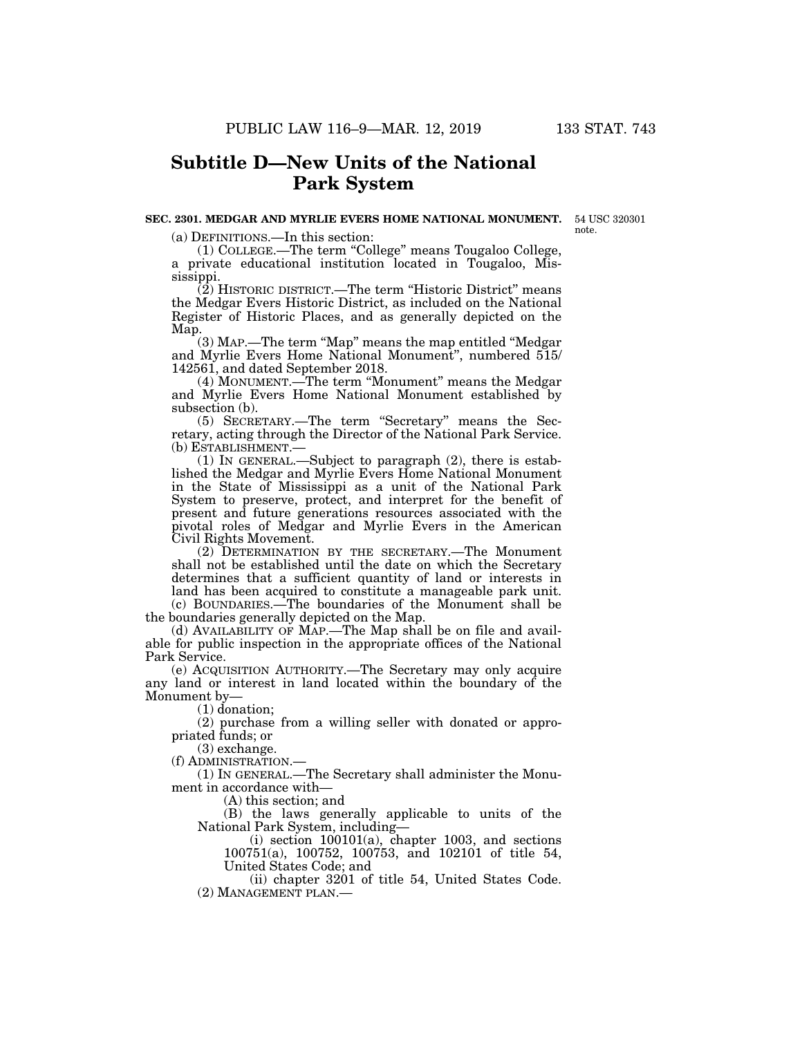# **Subtitle D—New Units of the National Park System**

#### **SEC. 2301. MEDGAR AND MYRLIE EVERS HOME NATIONAL MONUMENT.**  54 USC 320301

note.

(a) DEFINITIONS.—In this section:

(1) COLLEGE.—The term ''College'' means Tougaloo College, a private educational institution located in Tougaloo, Mississippi.

(2) HISTORIC DISTRICT.—The term ''Historic District'' means the Medgar Evers Historic District, as included on the National Register of Historic Places, and as generally depicted on the Map.

(3) MAP.—The term ''Map'' means the map entitled ''Medgar and Myrlie Evers Home National Monument'', numbered 515/ 142561, and dated September 2018.

(4) MONUMENT.—The term ''Monument'' means the Medgar and Myrlie Evers Home National Monument established by subsection (b).

(5) SECRETARY.—The term ''Secretary'' means the Secretary, acting through the Director of the National Park Service. (b) ESTABLISHMENT.—

(1) IN GENERAL.—Subject to paragraph (2), there is established the Medgar and Myrlie Evers Home National Monument in the State of Mississippi as a unit of the National Park System to preserve, protect, and interpret for the benefit of present and future generations resources associated with the pivotal roles of Medgar and Myrlie Evers in the American Civil Rights Movement.

(2) DETERMINATION BY THE SECRETARY.—The Monument shall not be established until the date on which the Secretary determines that a sufficient quantity of land or interests in land has been acquired to constitute a manageable park unit. (c) BOUNDARIES.—The boundaries of the Monument shall be

the boundaries generally depicted on the Map. (d) AVAILABILITY OF MAP.—The Map shall be on file and available for public inspection in the appropriate offices of the National Park Service.

(e) ACQUISITION AUTHORITY.—The Secretary may only acquire any land or interest in land located within the boundary of the Monument by—

(1) donation;

(2) purchase from a willing seller with donated or appropriated funds; or

(3) exchange.

(f) ADMINISTRATION.—

(1) IN GENERAL.—The Secretary shall administer the Monument in accordance with—

(A) this section; and

(B) the laws generally applicable to units of the National Park System, including—

(i) section 100101(a), chapter 1003, and sections 100751(a), 100752, 100753, and 102101 of title 54, United States Code; and

(ii) chapter 3201 of title 54, United States Code. (2) MANAGEMENT PLAN.—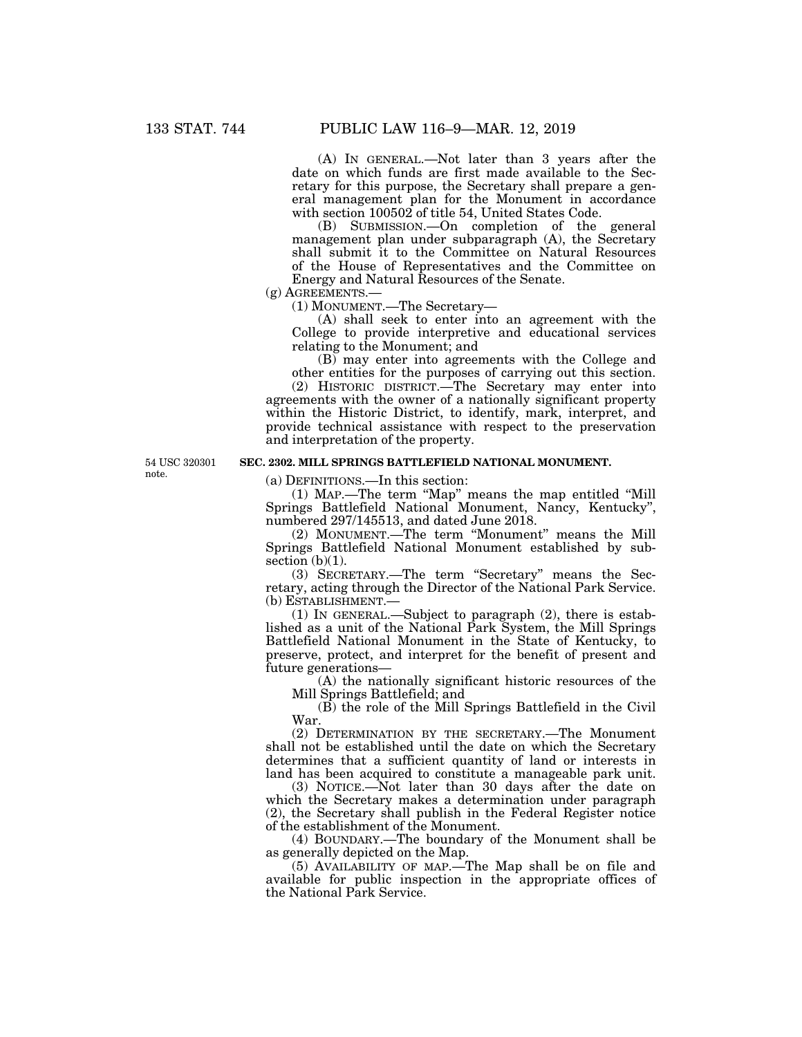(A) IN GENERAL.—Not later than 3 years after the date on which funds are first made available to the Secretary for this purpose, the Secretary shall prepare a general management plan for the Monument in accordance with section 100502 of title 54, United States Code.

(B) SUBMISSION.—On completion of the general management plan under subparagraph (A), the Secretary shall submit it to the Committee on Natural Resources of the House of Representatives and the Committee on Energy and Natural Resources of the Senate.

(g) AGREEMENTS.—

(1) MONUMENT.—The Secretary—

(A) shall seek to enter into an agreement with the College to provide interpretive and educational services relating to the Monument; and

(B) may enter into agreements with the College and other entities for the purposes of carrying out this section.

(2) HISTORIC DISTRICT.—The Secretary may enter into agreements with the owner of a nationally significant property within the Historic District, to identify, mark, interpret, and provide technical assistance with respect to the preservation and interpretation of the property.

54 USC 320301 note.

# **SEC. 2302. MILL SPRINGS BATTLEFIELD NATIONAL MONUMENT.**

(a) DEFINITIONS.—In this section:

(1) MAP.—The term ''Map'' means the map entitled ''Mill Springs Battlefield National Monument, Nancy, Kentucky'', numbered 297/145513, and dated June 2018.

(2) MONUMENT.—The term ''Monument'' means the Mill Springs Battlefield National Monument established by subsection  $(b)(1)$ .

(3) SECRETARY.—The term ''Secretary'' means the Secretary, acting through the Director of the National Park Service. (b) ESTABLISHMENT.—

(1) IN GENERAL.—Subject to paragraph (2), there is established as a unit of the National Park System, the Mill Springs Battlefield National Monument in the State of Kentucky, to preserve, protect, and interpret for the benefit of present and future generations—

(A) the nationally significant historic resources of the Mill Springs Battlefield; and

(B) the role of the Mill Springs Battlefield in the Civil War.

(2) DETERMINATION BY THE SECRETARY.—The Monument shall not be established until the date on which the Secretary determines that a sufficient quantity of land or interests in land has been acquired to constitute a manageable park unit.

(3) NOTICE.—Not later than 30 days after the date on which the Secretary makes a determination under paragraph (2), the Secretary shall publish in the Federal Register notice of the establishment of the Monument.

(4) BOUNDARY.—The boundary of the Monument shall be as generally depicted on the Map.

(5) AVAILABILITY OF MAP.—The Map shall be on file and available for public inspection in the appropriate offices of the National Park Service.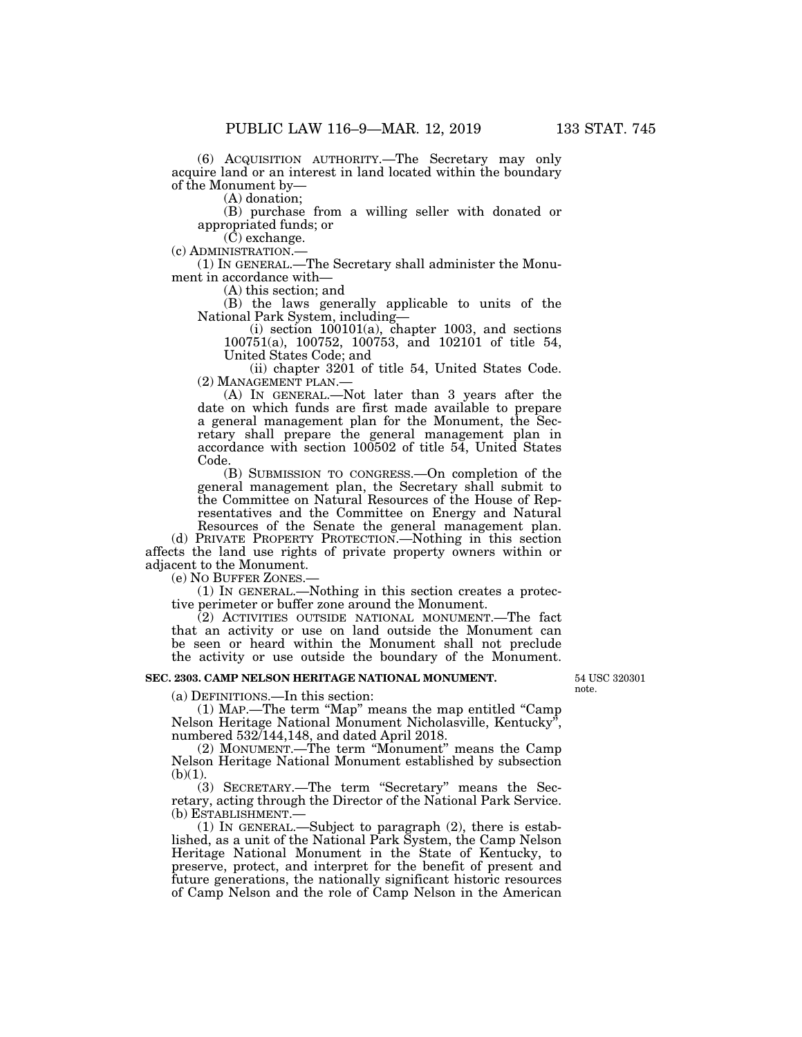(6) ACQUISITION AUTHORITY.—The Secretary may only acquire land or an interest in land located within the boundary of the Monument by—

(A) donation;

(B) purchase from a willing seller with donated or appropriated funds; or

(C) exchange.

(c) ADMINISTRATION.— (1) IN GENERAL.—The Secretary shall administer the Monument in accordance with—

(A) this section; and

(B) the laws generally applicable to units of the National Park System, including—

 $(i)$  section  $100101(a)$ , chapter 1003, and sections 100751(a), 100752, 100753, and 102101 of title 54, United States Code; and

(ii) chapter 3201 of title 54, United States Code. (2) MANAGEMENT PLAN.—

(A) IN GENERAL.—Not later than 3 years after the date on which funds are first made available to prepare a general management plan for the Monument, the Secretary shall prepare the general management plan in accordance with section 100502 of title 54, United States Code.

(B) SUBMISSION TO CONGRESS.—On completion of the general management plan, the Secretary shall submit to the Committee on Natural Resources of the House of Representatives and the Committee on Energy and Natural Resources of the Senate the general management plan.

(d) PRIVATE PROPERTY PROTECTION.—Nothing in this section affects the land use rights of private property owners within or adjacent to the Monument.

(e) NO BUFFER ZONES.—

(1) IN GENERAL.—Nothing in this section creates a protective perimeter or buffer zone around the Monument.

(2) ACTIVITIES OUTSIDE NATIONAL MONUMENT.—The fact that an activity or use on land outside the Monument can be seen or heard within the Monument shall not preclude the activity or use outside the boundary of the Monument.

# **SEC. 2303. CAMP NELSON HERITAGE NATIONAL MONUMENT.**

(a) DEFINITIONS.—In this section:

(1) MAP.—The term ''Map'' means the map entitled ''Camp Nelson Heritage National Monument Nicholasville, Kentucky'', numbered 532/144,148, and dated April 2018.

(2) MONUMENT.—The term ''Monument'' means the Camp Nelson Heritage National Monument established by subsection  $(b)(1)$ .

(3) SECRETARY.—The term ''Secretary'' means the Secretary, acting through the Director of the National Park Service. (b) ESTABLISHMENT.—<br>(1) IN GENERAL.—Subject to paragraph (2), there is estab-

lished, as a unit of the National Park System, the Camp Nelson Heritage National Monument in the State of Kentucky, to preserve, protect, and interpret for the benefit of present and future generations, the nationally significant historic resources of Camp Nelson and the role of Camp Nelson in the American

54 USC 320301 note.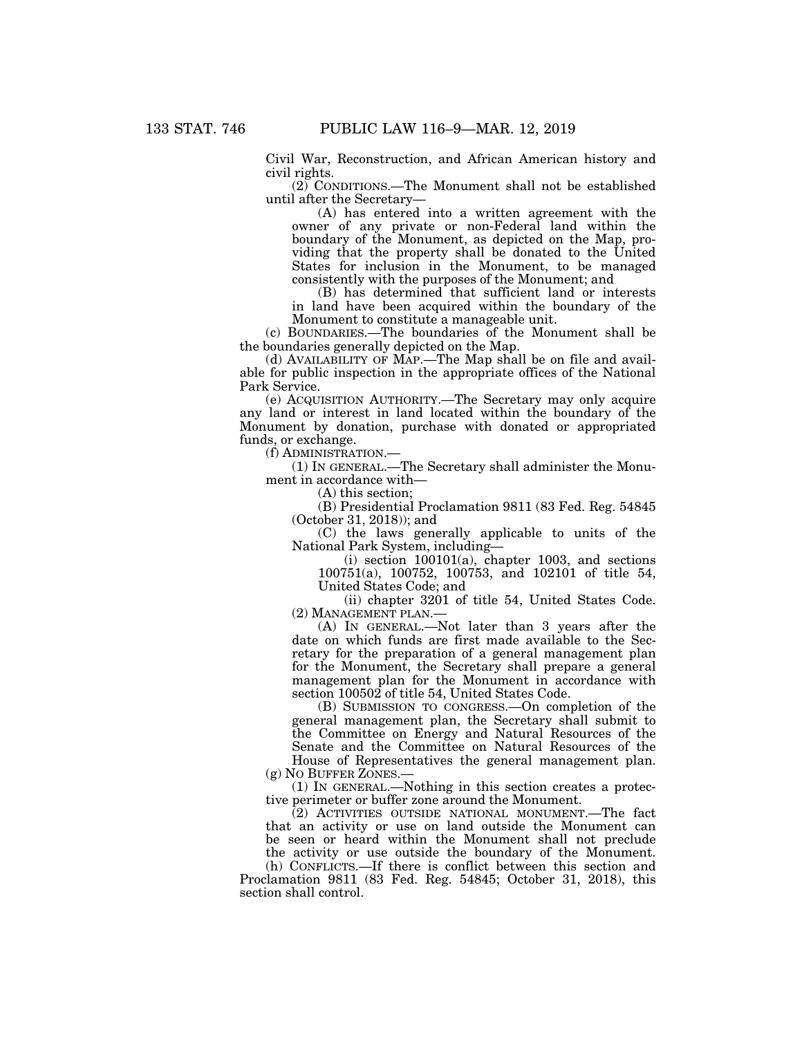Civil War, Reconstruction, and African American history and civil rights.

(2) CONDITIONS.—The Monument shall not be established until after the Secretary—

(A) has entered into a written agreement with the owner of any private or non-Federal land within the boundary of the Monument, as depicted on the Map, providing that the property shall be donated to the United States for inclusion in the Monument, to be managed consistently with the purposes of the Monument; and

(B) has determined that sufficient land or interests in land have been acquired within the boundary of the Monument to constitute a manageable unit.

(c) BOUNDARIES.—The boundaries of the Monument shall be the boundaries generally depicted on the Map.

(d) AVAILABILITY OF MAP.—The Map shall be on file and available for public inspection in the appropriate offices of the National Park Service.

(e) ACQUISITION AUTHORITY.—The Secretary may only acquire any land or interest in land located within the boundary of the Monument by donation, purchase with donated or appropriated funds, or exchange.

(f) ADMINISTRATION.—

(1) IN GENERAL.—The Secretary shall administer the Monument in accordance with—

(A) this section;

(B) Presidential Proclamation 9811 (83 Fed. Reg. 54845 (October 31, 2018)); and

(C) the laws generally applicable to units of the National Park System, including—

 $(i)$  section  $100101(a)$ , chapter 1003, and sections 100751(a), 100752, 100753, and 102101 of title 54, United States Code; and

(ii) chapter 3201 of title 54, United States Code. (2) MANAGEMENT PLAN.—

(A) IN GENERAL.—Not later than 3 years after the date on which funds are first made available to the Secretary for the preparation of a general management plan for the Monument, the Secretary shall prepare a general management plan for the Monument in accordance with section 100502 of title 54, United States Code.

(B) SUBMISSION TO CONGRESS.—On completion of the general management plan, the Secretary shall submit to the Committee on Energy and Natural Resources of the Senate and the Committee on Natural Resources of the House of Representatives the general management plan. (g) NO BUFFER ZONES.—

(1) IN GENERAL.—Nothing in this section creates a protective perimeter or buffer zone around the Monument.

(2) ACTIVITIES OUTSIDE NATIONAL MONUMENT.—The fact that an activity or use on land outside the Monument can be seen or heard within the Monument shall not preclude the activity or use outside the boundary of the Monument.

(h) CONFLICTS.—If there is conflict between this section and Proclamation 9811 (83 Fed. Reg. 54845; October 31, 2018), this section shall control.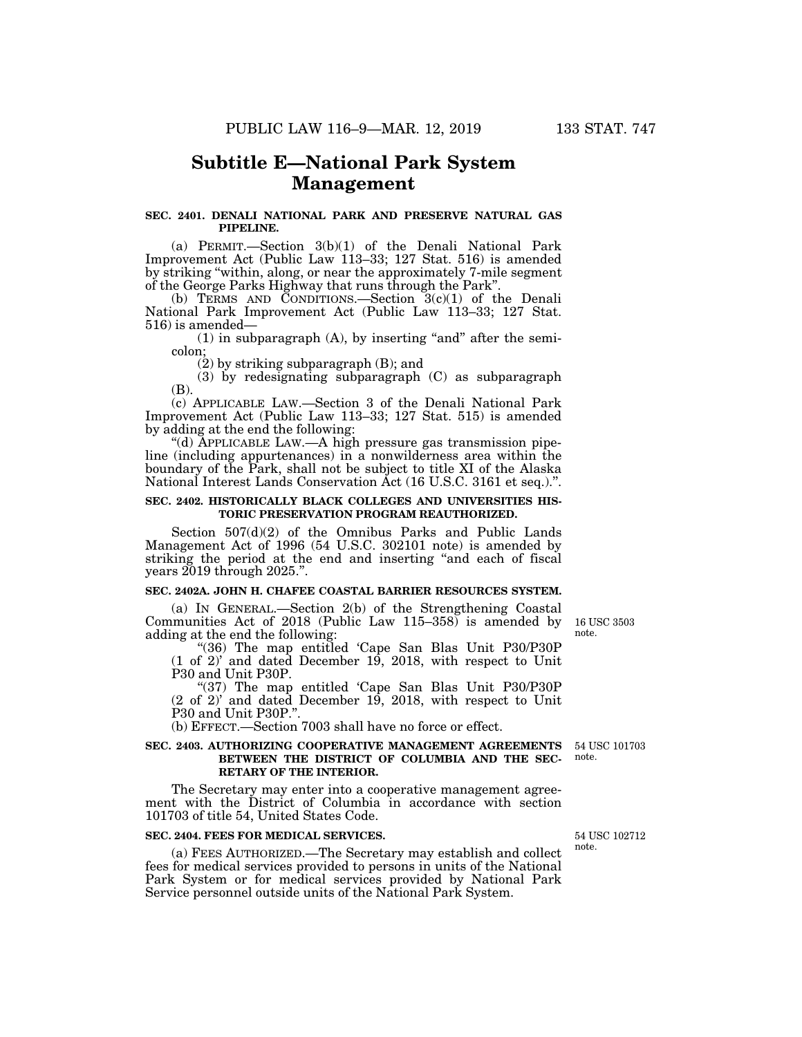# **Subtitle E—National Park System Management**

## **SEC. 2401. DENALI NATIONAL PARK AND PRESERVE NATURAL GAS PIPELINE.**

(a) PERMIT.—Section 3(b)(1) of the Denali National Park Improvement Act (Public Law 113–33; 127 Stat. 516) is amended by striking ''within, along, or near the approximately 7-mile segment of the George Parks Highway that runs through the Park''.

(b) TERMS AND CONDITIONS.—Section 3(c)(1) of the Denali National Park Improvement Act (Public Law 113–33; 127 Stat. 516) is amended—

 $(1)$  in subparagraph  $(A)$ , by inserting "and" after the semicolon;

(2) by striking subparagraph (B); and

(3) by redesignating subparagraph (C) as subparagraph (B).

(c) APPLICABLE LAW.—Section 3 of the Denali National Park Improvement Act (Public Law 113–33; 127 Stat. 515) is amended by adding at the end the following:

''(d) APPLICABLE LAW.—A high pressure gas transmission pipeline (including appurtenances) in a nonwilderness area within the boundary of the Park, shall not be subject to title XI of the Alaska National Interest Lands Conservation Act (16 U.S.C. 3161 et seq.).''.

## **SEC. 2402. HISTORICALLY BLACK COLLEGES AND UNIVERSITIES HIS-TORIC PRESERVATION PROGRAM REAUTHORIZED.**

Section 507(d)(2) of the Omnibus Parks and Public Lands Management Act of 1996 (54 U.S.C. 302101 note) is amended by striking the period at the end and inserting ''and each of fiscal years 2019 through 2025.''.

# **SEC. 2402A. JOHN H. CHAFEE COASTAL BARRIER RESOURCES SYSTEM.**

(a) IN GENERAL.—Section 2(b) of the Strengthening Coastal Communities Act of 2018 (Public Law 115–358) is amended by adding at the end the following:

''(36) The map entitled 'Cape San Blas Unit P30/P30P (1 of 2)' and dated December 19, 2018, with respect to Unit P30 and Unit P30P.

"(37) The map entitled 'Cape San Blas Unit P30/P30P (2 of 2)' and dated December 19, 2018, with respect to Unit P30 and Unit P30P."

(b) EFFECT.—Section 7003 shall have no force or effect.

#### **SEC. 2403. AUTHORIZING COOPERATIVE MANAGEMENT AGREEMENTS** 54 USC 101703 **BETWEEN THE DISTRICT OF COLUMBIA AND THE SEC-RETARY OF THE INTERIOR.**  note.

The Secretary may enter into a cooperative management agreement with the District of Columbia in accordance with section 101703 of title 54, United States Code.

### **SEC. 2404. FEES FOR MEDICAL SERVICES.**

(a) FEES AUTHORIZED.—The Secretary may establish and collect fees for medical services provided to persons in units of the National Park System or for medical services provided by National Park Service personnel outside units of the National Park System.

54 USC 102712 note.

16 USC 3503 note.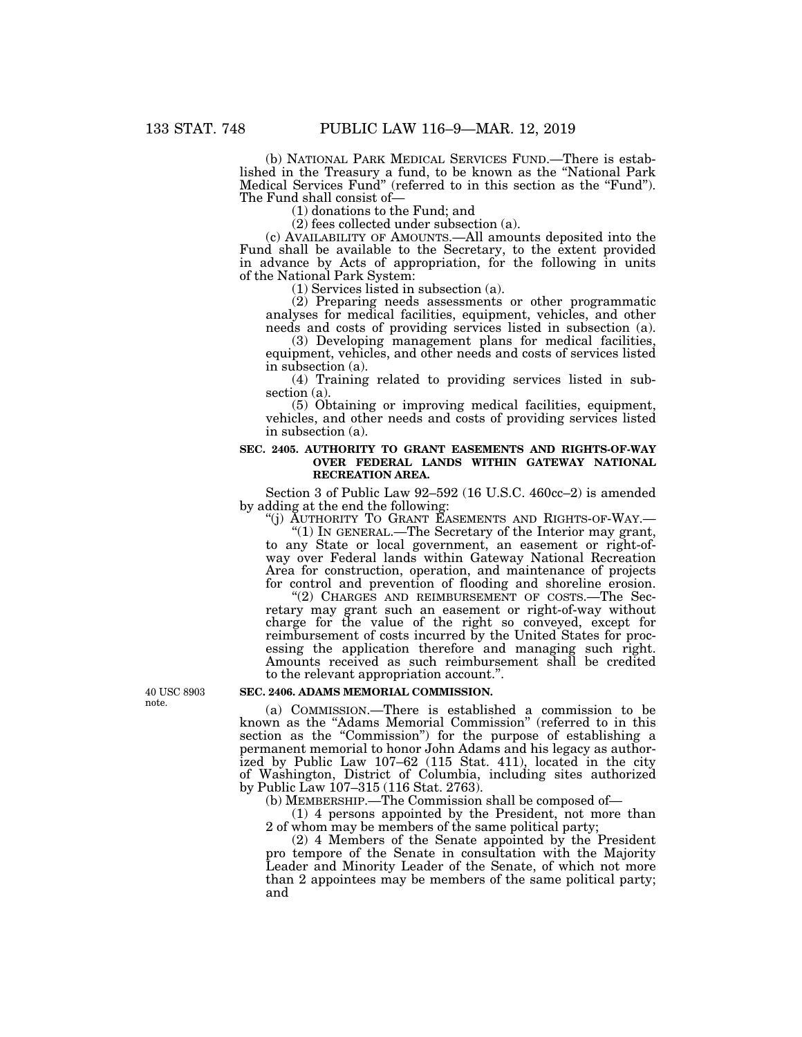(b) NATIONAL PARK MEDICAL SERVICES FUND.—There is established in the Treasury a fund, to be known as the ''National Park Medical Services Fund'' (referred to in this section as the ''Fund''). The Fund shall consist of—

(1) donations to the Fund; and

(2) fees collected under subsection (a).

(c) AVAILABILITY OF AMOUNTS.—All amounts deposited into the Fund shall be available to the Secretary, to the extent provided in advance by Acts of appropriation, for the following in units of the National Park System:

(1) Services listed in subsection (a).

(2) Preparing needs assessments or other programmatic analyses for medical facilities, equipment, vehicles, and other needs and costs of providing services listed in subsection (a).

(3) Developing management plans for medical facilities, equipment, vehicles, and other needs and costs of services listed in subsection (a).

(4) Training related to providing services listed in subsection (a).

(5) Obtaining or improving medical facilities, equipment, vehicles, and other needs and costs of providing services listed in subsection (a).

## **SEC. 2405. AUTHORITY TO GRANT EASEMENTS AND RIGHTS-OF-WAY OVER FEDERAL LANDS WITHIN GATEWAY NATIONAL RECREATION AREA.**

Section 3 of Public Law 92–592 (16 U.S.C. 460cc–2) is amended by adding at the end the following:

''(j) AUTHORITY TO GRANT EASEMENTS AND RIGHTS-OF-WAY.— ''(1) IN GENERAL.—The Secretary of the Interior may grant, to any State or local government, an easement or right-ofway over Federal lands within Gateway National Recreation Area for construction, operation, and maintenance of projects for control and prevention of flooding and shoreline erosion.

"(2) CHARGES AND REIMBURSEMENT OF COSTS.—The Secretary may grant such an easement or right-of-way without charge for the value of the right so conveyed, except for reimbursement of costs incurred by the United States for processing the application therefore and managing such right. Amounts received as such reimbursement shall be credited to the relevant appropriation account.''.

## **SEC. 2406. ADAMS MEMORIAL COMMISSION.**

(a) COMMISSION.—There is established a commission to be known as the "Adams Memorial Commission" (referred to in this section as the "Commission") for the purpose of establishing a permanent memorial to honor John Adams and his legacy as authorized by Public Law 107–62 (115 Stat. 411), located in the city of Washington, District of Columbia, including sites authorized by Public Law 107–315 (116 Stat. 2763).

(b) MEMBERSHIP.—The Commission shall be composed of—

(1) 4 persons appointed by the President, not more than 2 of whom may be members of the same political party;

(2) 4 Members of the Senate appointed by the President pro tempore of the Senate in consultation with the Majority Leader and Minority Leader of the Senate, of which not more than 2 appointees may be members of the same political party; and

40 USC 8903 note.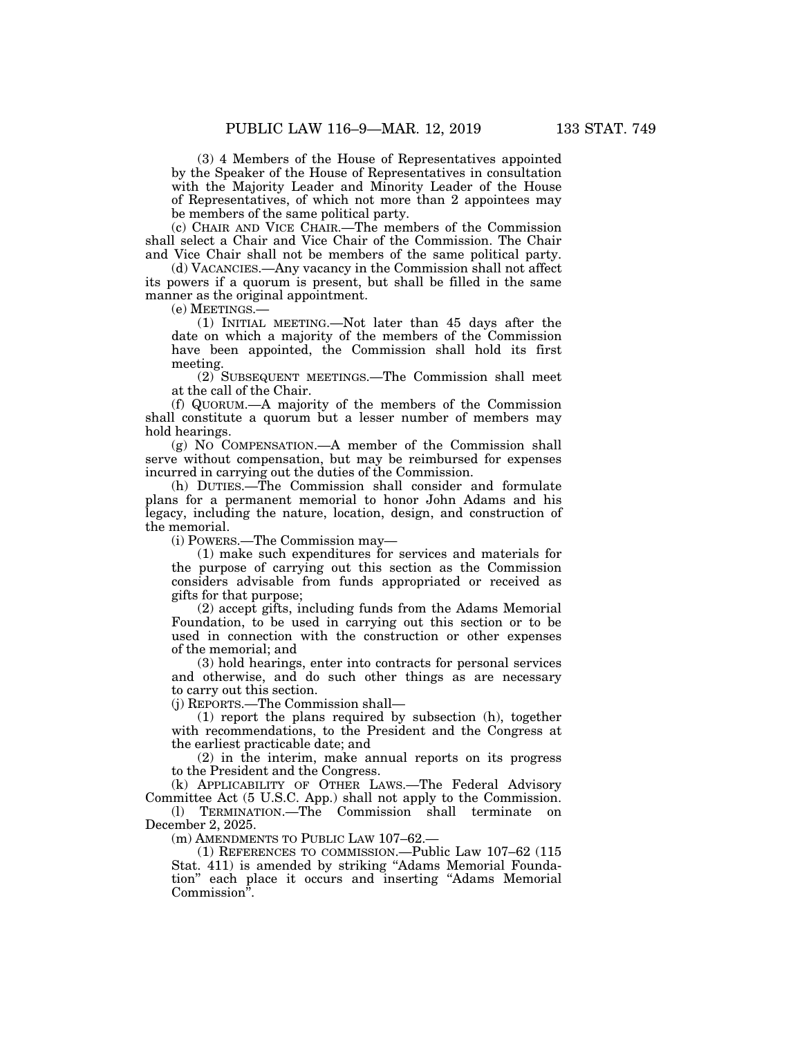(3) 4 Members of the House of Representatives appointed by the Speaker of the House of Representatives in consultation with the Majority Leader and Minority Leader of the House of Representatives, of which not more than 2 appointees may be members of the same political party.

(c) CHAIR AND VICE CHAIR.—The members of the Commission shall select a Chair and Vice Chair of the Commission. The Chair and Vice Chair shall not be members of the same political party.

(d) VACANCIES.—Any vacancy in the Commission shall not affect its powers if a quorum is present, but shall be filled in the same manner as the original appointment.

(e) MEETINGS.—

(1) INITIAL MEETING.—Not later than 45 days after the date on which a majority of the members of the Commission have been appointed, the Commission shall hold its first meeting.

(2) SUBSEQUENT MEETINGS.—The Commission shall meet at the call of the Chair.

(f) QUORUM.—A majority of the members of the Commission shall constitute a quorum but a lesser number of members may hold hearings.

(g) NO COMPENSATION.—A member of the Commission shall serve without compensation, but may be reimbursed for expenses incurred in carrying out the duties of the Commission.

(h) DUTIES.—The Commission shall consider and formulate plans for a permanent memorial to honor John Adams and his legacy, including the nature, location, design, and construction of the memorial.

(i) POWERS.—The Commission may—

(1) make such expenditures for services and materials for the purpose of carrying out this section as the Commission considers advisable from funds appropriated or received as gifts for that purpose;

(2) accept gifts, including funds from the Adams Memorial Foundation, to be used in carrying out this section or to be used in connection with the construction or other expenses of the memorial; and

(3) hold hearings, enter into contracts for personal services and otherwise, and do such other things as are necessary to carry out this section.

(j) REPORTS.—The Commission shall—

(1) report the plans required by subsection (h), together with recommendations, to the President and the Congress at the earliest practicable date; and

(2) in the interim, make annual reports on its progress to the President and the Congress.

(k) APPLICABILITY OF OTHER LAWS.—The Federal Advisory Committee Act (5 U.S.C. App.) shall not apply to the Commission. (l) TERMINATION.—The Commission shall terminate on

December 2, 2025.

(m) AMENDMENTS TO PUBLIC LAW 107–62.—

(1) REFERENCES TO COMMISSION.—Public Law 107–62 (115 Stat. 411) is amended by striking "Adams Memorial Foundation'' each place it occurs and inserting ''Adams Memorial Commission''.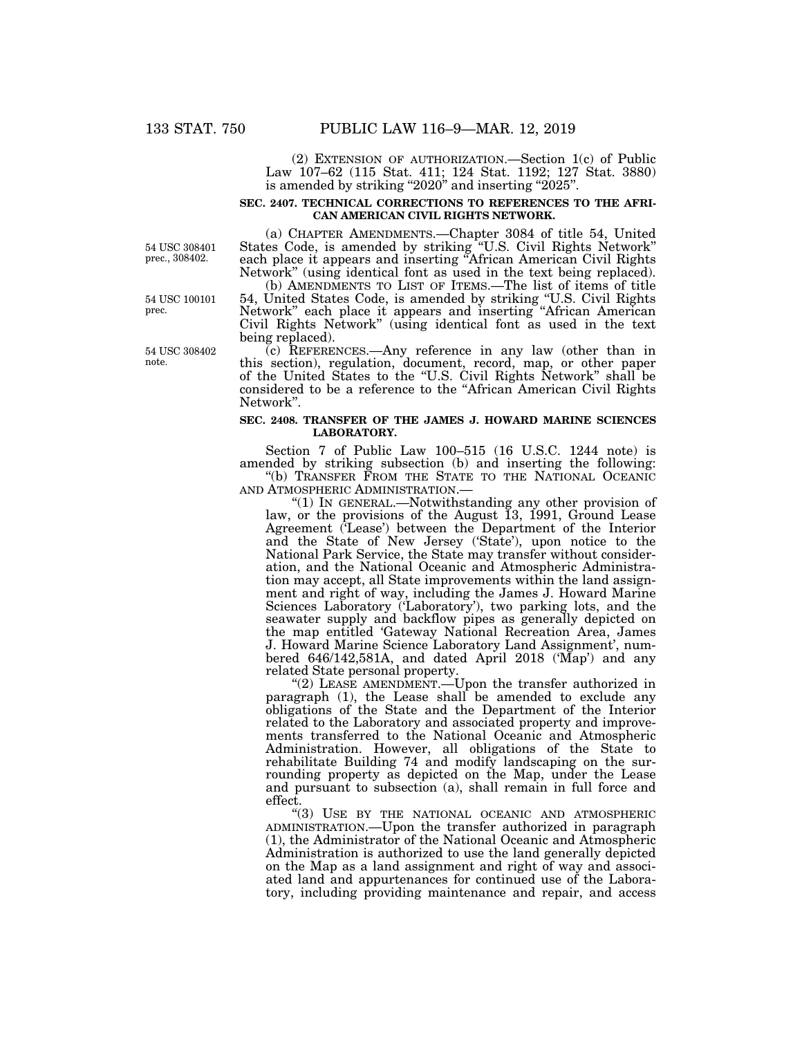(2) EXTENSION OF AUTHORIZATION.—Section 1(c) of Public Law 107–62 (115 Stat. 411; 124 Stat. 1192; 127 Stat. 3880) is amended by striking ''2020'' and inserting ''2025''.

## **SEC. 2407. TECHNICAL CORRECTIONS TO REFERENCES TO THE AFRI-CAN AMERICAN CIVIL RIGHTS NETWORK.**

54 USC 308401 prec., 308402.

(a) CHAPTER AMENDMENTS.—Chapter 3084 of title 54, United States Code, is amended by striking ''U.S. Civil Rights Network'' each place it appears and inserting ''African American Civil Rights Network" (using identical font as used in the text being replaced).

(b) AMENDMENTS TO LIST OF ITEMS.—The list of items of title 54, United States Code, is amended by striking ''U.S. Civil Rights Network'' each place it appears and inserting ''African American Civil Rights Network'' (using identical font as used in the text being replaced).

(c) REFERENCES.—Any reference in any law (other than in this section), regulation, document, record, map, or other paper of the United States to the ''U.S. Civil Rights Network'' shall be considered to be a reference to the ''African American Civil Rights Network''.

## **SEC. 2408. TRANSFER OF THE JAMES J. HOWARD MARINE SCIENCES LABORATORY.**

Section 7 of Public Law 100–515 (16 U.S.C. 1244 note) is amended by striking subsection (b) and inserting the following: "(b) TRANSFER FROM THE STATE TO THE NATIONAL OCEANIC AND ATMOSPHERIC ADMINISTRATION.—

"(1) IN GENERAL.—Notwithstanding any other provision of law, or the provisions of the August 13, 1991, Ground Lease Agreement ('Lease') between the Department of the Interior and the State of New Jersey ('State'), upon notice to the National Park Service, the State may transfer without consideration, and the National Oceanic and Atmospheric Administration may accept, all State improvements within the land assignment and right of way, including the James J. Howard Marine Sciences Laboratory ('Laboratory'), two parking lots, and the seawater supply and backflow pipes as generally depicted on the map entitled 'Gateway National Recreation Area, James J. Howard Marine Science Laboratory Land Assignment', numbered 646/142,581A, and dated April 2018 ('Map') and any related State personal property.

"(2) LEASE AMENDMENT.—Upon the transfer authorized in paragraph (1), the Lease shall be amended to exclude any obligations of the State and the Department of the Interior related to the Laboratory and associated property and improvements transferred to the National Oceanic and Atmospheric Administration. However, all obligations of the State to rehabilitate Building 74 and modify landscaping on the surrounding property as depicted on the Map, under the Lease and pursuant to subsection (a), shall remain in full force and effect.

''(3) USE BY THE NATIONAL OCEANIC AND ATMOSPHERIC ADMINISTRATION.—Upon the transfer authorized in paragraph (1), the Administrator of the National Oceanic and Atmospheric Administration is authorized to use the land generally depicted on the Map as a land assignment and right of way and associated land and appurtenances for continued use of the Laboratory, including providing maintenance and repair, and access

54 USC 100101

prec.

54 USC 308402 note.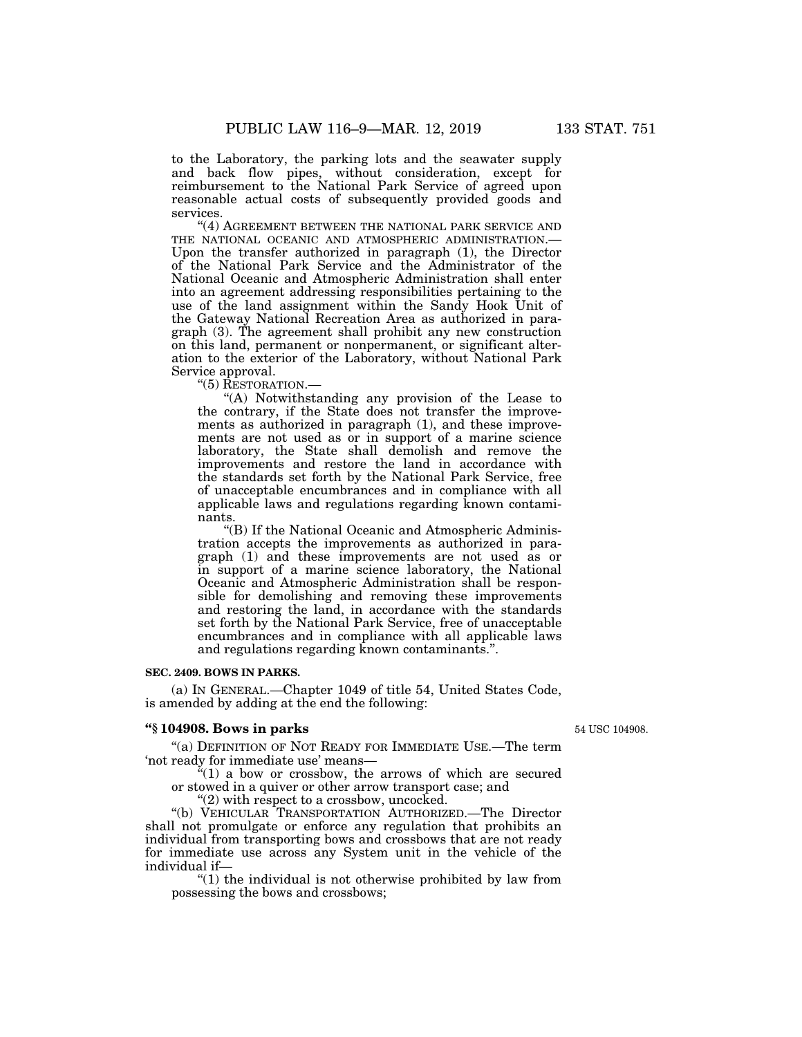to the Laboratory, the parking lots and the seawater supply and back flow pipes, without consideration, except for reimbursement to the National Park Service of agreed upon reasonable actual costs of subsequently provided goods and services.

''(4) AGREEMENT BETWEEN THE NATIONAL PARK SERVICE AND THE NATIONAL OCEANIC AND ATMOSPHERIC ADMINISTRATION.— Upon the transfer authorized in paragraph (1), the Director of the National Park Service and the Administrator of the National Oceanic and Atmospheric Administration shall enter into an agreement addressing responsibilities pertaining to the use of the land assignment within the Sandy Hook Unit of the Gateway National Recreation Area as authorized in paragraph (3). The agreement shall prohibit any new construction on this land, permanent or nonpermanent, or significant alteration to the exterior of the Laboratory, without National Park Service approval.

''(5) RESTORATION.—

''(A) Notwithstanding any provision of the Lease to the contrary, if the State does not transfer the improvements as authorized in paragraph (1), and these improvements are not used as or in support of a marine science laboratory, the State shall demolish and remove the improvements and restore the land in accordance with the standards set forth by the National Park Service, free of unacceptable encumbrances and in compliance with all applicable laws and regulations regarding known contaminants.

''(B) If the National Oceanic and Atmospheric Administration accepts the improvements as authorized in paragraph (1) and these improvements are not used as or in support of a marine science laboratory, the National Oceanic and Atmospheric Administration shall be responsible for demolishing and removing these improvements and restoring the land, in accordance with the standards set forth by the National Park Service, free of unacceptable encumbrances and in compliance with all applicable laws and regulations regarding known contaminants.''.

## **SEC. 2409. BOWS IN PARKS.**

(a) IN GENERAL.—Chapter 1049 of title 54, United States Code, is amended by adding at the end the following:

## **''§ 104908. Bows in parks**

54 USC 104908.

"(a) DEFINITION OF NOT READY FOR IMMEDIATE USE.—The term 'not ready for immediate use' means—

 $\sqrt[2^n]{(1)}$  a bow or crossbow, the arrows of which are secured or stowed in a quiver or other arrow transport case; and

"(2) with respect to a crossbow, uncocked.

''(b) VEHICULAR TRANSPORTATION AUTHORIZED.—The Director shall not promulgate or enforce any regulation that prohibits an individual from transporting bows and crossbows that are not ready for immediate use across any System unit in the vehicle of the individual if—

''(1) the individual is not otherwise prohibited by law from possessing the bows and crossbows;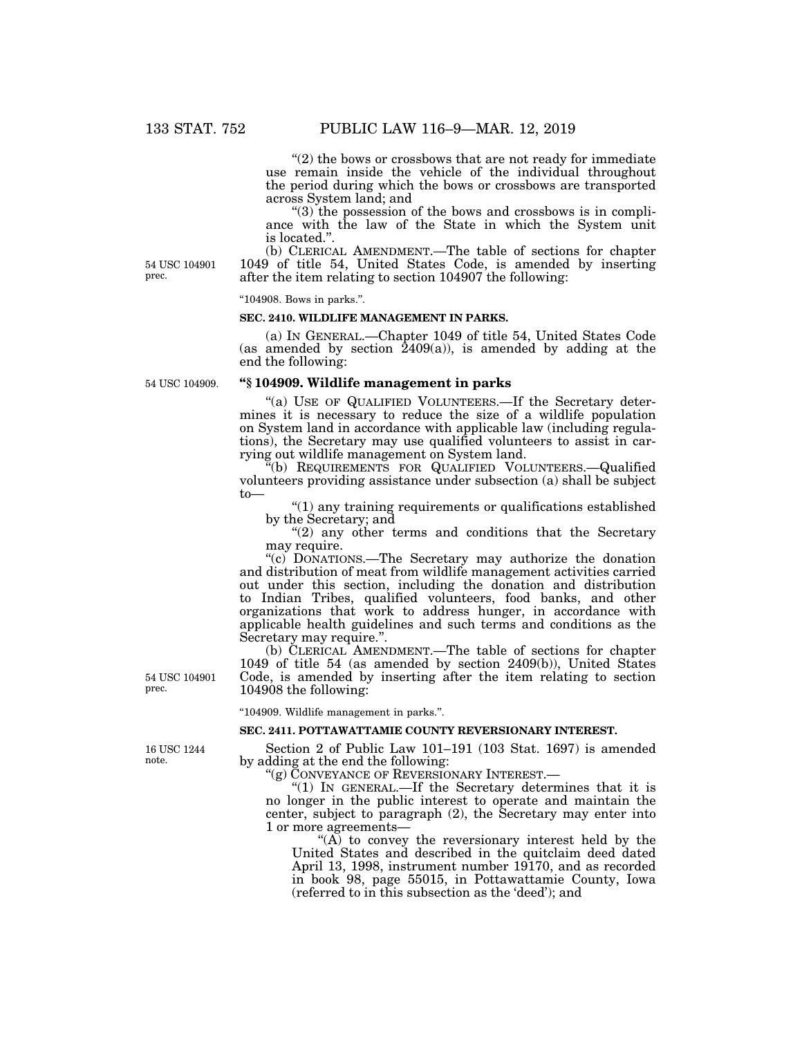" $(2)$  the bows or crossbows that are not ready for immediate use remain inside the vehicle of the individual throughout the period during which the bows or crossbows are transported across System land; and

 $(3)$  the possession of the bows and crossbows is in compliance with the law of the State in which the System unit is located.''.

54 USC 104901 prec.

(b) CLERICAL AMENDMENT.—The table of sections for chapter 1049 of title 54, United States Code, is amended by inserting after the item relating to section 104907 the following:

#### ''104908. Bows in parks.''.

### **SEC. 2410. WILDLIFE MANAGEMENT IN PARKS.**

(a) IN GENERAL.—Chapter 1049 of title 54, United States Code (as amended by section  $2409(a)$ ), is amended by adding at the end the following:

54 USC 104909.

## **''§ 104909. Wildlife management in parks**

"(a) USE OF QUALIFIED VOLUNTEERS.—If the Secretary determines it is necessary to reduce the size of a wildlife population on System land in accordance with applicable law (including regulations), the Secretary may use qualified volunteers to assist in carrying out wildlife management on System land.

''(b) REQUIREMENTS FOR QUALIFIED VOLUNTEERS.—Qualified volunteers providing assistance under subsection (a) shall be subject to—

''(1) any training requirements or qualifications established by the Secretary; and

"(2) any other terms and conditions that the Secretary may require.

''(c) DONATIONS.—The Secretary may authorize the donation and distribution of meat from wildlife management activities carried out under this section, including the donation and distribution to Indian Tribes, qualified volunteers, food banks, and other organizations that work to address hunger, in accordance with applicable health guidelines and such terms and conditions as the Secretary may require.''.

(b) CLERICAL AMENDMENT.—The table of sections for chapter 1049 of title 54 (as amended by section 2409(b)), United States Code, is amended by inserting after the item relating to section 104908 the following:

''104909. Wildlife management in parks.''.

### **SEC. 2411. POTTAWATTAMIE COUNTY REVERSIONARY INTEREST.**

16 USC 1244 note.

54 USC 104901

prec.

Section 2 of Public Law 101–191 (103 Stat. 1697) is amended by adding at the end the following:

''(g) CONVEYANCE OF REVERSIONARY INTEREST.—

''(1) IN GENERAL.—If the Secretary determines that it is no longer in the public interest to operate and maintain the center, subject to paragraph (2), the Secretary may enter into 1 or more agreements—

" $(A)$  to convey the reversionary interest held by the United States and described in the quitclaim deed dated April 13, 1998, instrument number 19170, and as recorded in book 98, page 55015, in Pottawattamie County, Iowa (referred to in this subsection as the 'deed'); and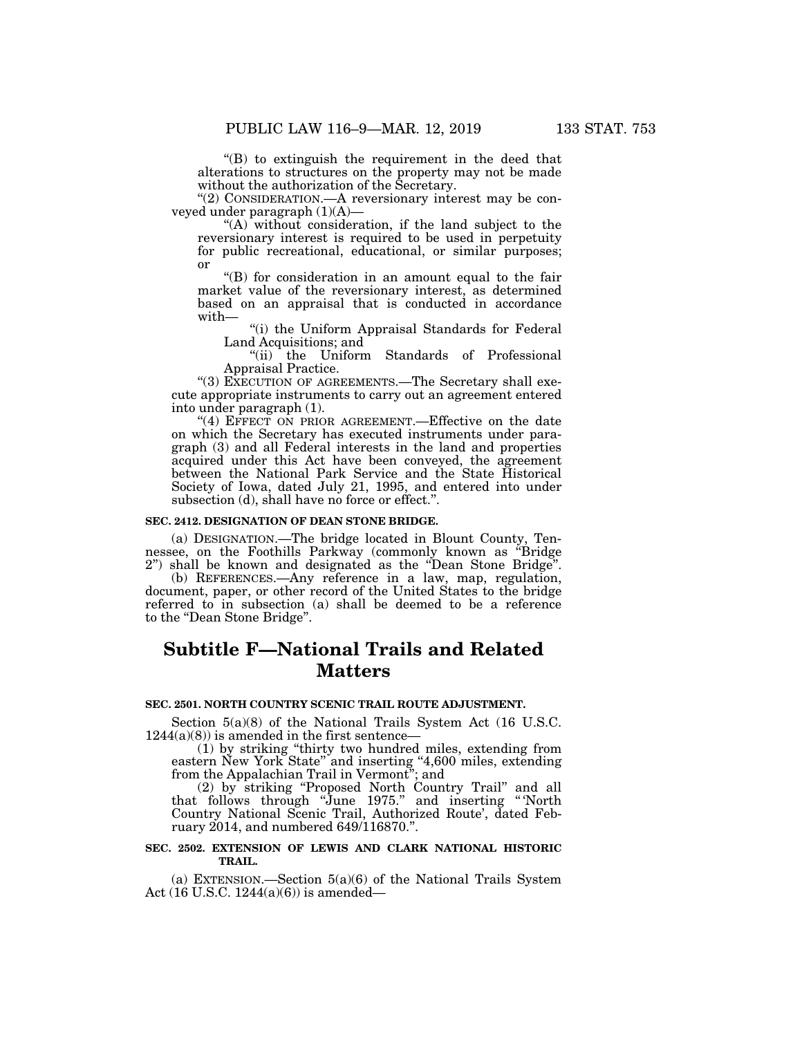''(B) to extinguish the requirement in the deed that alterations to structures on the property may not be made without the authorization of the Secretary.

"(2) CONSIDERATION.—A reversionary interest may be conveyed under paragraph (1)(A)—

"(A) without consideration, if the land subject to the reversionary interest is required to be used in perpetuity for public recreational, educational, or similar purposes; or

''(B) for consideration in an amount equal to the fair market value of the reversionary interest, as determined based on an appraisal that is conducted in accordance with—

"(i) the Uniform Appraisal Standards for Federal Land Acquisitions; and

''(ii) the Uniform Standards of Professional Appraisal Practice.

"(3) EXECUTION OF AGREEMENTS.—The Secretary shall execute appropriate instruments to carry out an agreement entered into under paragraph (1).

''(4) EFFECT ON PRIOR AGREEMENT.—Effective on the date on which the Secretary has executed instruments under paragraph (3) and all Federal interests in the land and properties acquired under this Act have been conveyed, the agreement between the National Park Service and the State Historical Society of Iowa, dated July 21, 1995, and entered into under subsection (d), shall have no force or effect.".

### **SEC. 2412. DESIGNATION OF DEAN STONE BRIDGE.**

(a) DESIGNATION.—The bridge located in Blount County, Tennessee, on the Foothills Parkway (commonly known as ''Bridge 2'') shall be known and designated as the ''Dean Stone Bridge''.

(b) REFERENCES.—Any reference in a law, map, regulation, document, paper, or other record of the United States to the bridge referred to in subsection (a) shall be deemed to be a reference to the ''Dean Stone Bridge''.

# **Subtitle F—National Trails and Related Matters**

## **SEC. 2501. NORTH COUNTRY SCENIC TRAIL ROUTE ADJUSTMENT.**

Section 5(a)(8) of the National Trails System Act (16 U.S.C.  $1244(a)(8)$ ) is amended in the first sentence-

(1) by striking ''thirty two hundred miles, extending from eastern New York State" and inserting "4,600 miles, extending from the Appalachian Trail in Vermont''; and

(2) by striking ''Proposed North Country Trail'' and all that follows through ''June 1975.'' and inserting '' 'North Country National Scenic Trail, Authorized Route', dated February 2014, and numbered 649/116870.''.

# **SEC. 2502. EXTENSION OF LEWIS AND CLARK NATIONAL HISTORIC TRAIL.**

(a) EXTENSION.—Section 5(a)(6) of the National Trails System Act (16 U.S.C. 1244(a)(6)) is amended—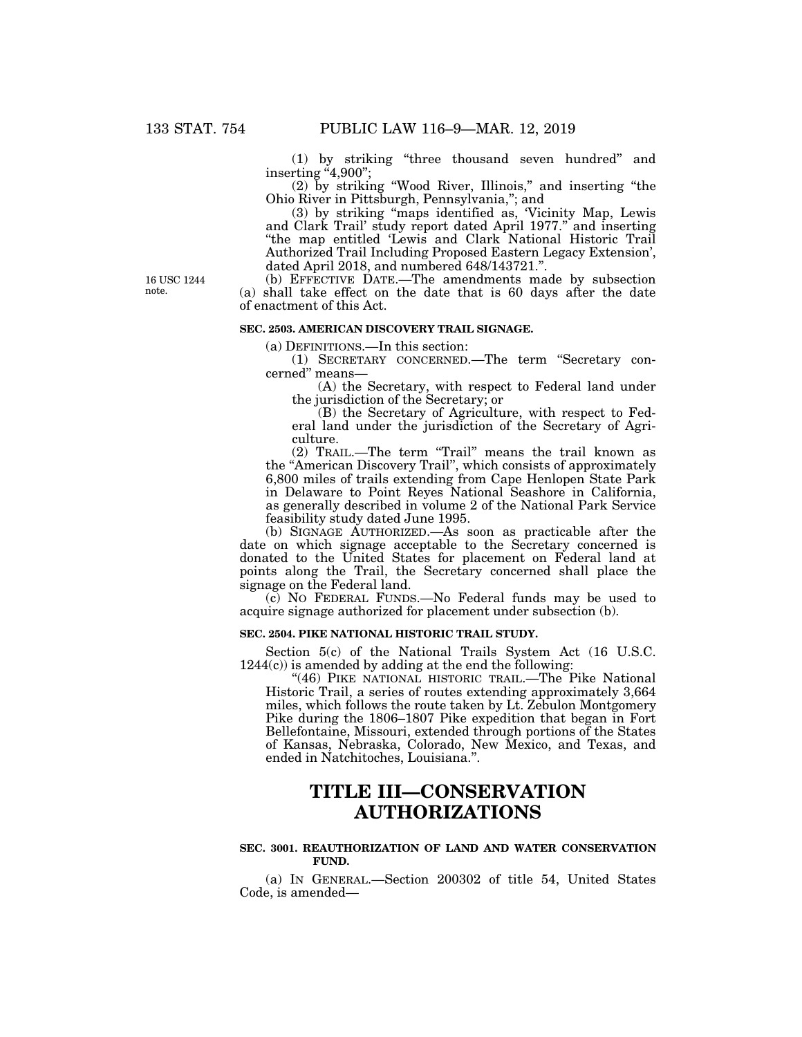(1) by striking ''three thousand seven hundred'' and inserting "4,900";

(2) by striking ''Wood River, Illinois,'' and inserting ''the Ohio River in Pittsburgh, Pennsylvania,''; and

(3) by striking ''maps identified as, 'Vicinity Map, Lewis and Clark Trail' study report dated April 1977.'' and inserting ''the map entitled 'Lewis and Clark National Historic Trail Authorized Trail Including Proposed Eastern Legacy Extension', dated April 2018, and numbered 648/143721.''.

16 USC 1244 note.

(b) EFFECTIVE DATE.—The amendments made by subsection (a) shall take effect on the date that is 60 days after the date of enactment of this Act.

# **SEC. 2503. AMERICAN DISCOVERY TRAIL SIGNAGE.**

(a) DEFINITIONS.—In this section:

(1) SECRETARY CONCERNED.—The term ''Secretary concerned'' means—

(A) the Secretary, with respect to Federal land under the jurisdiction of the Secretary; or

(B) the Secretary of Agriculture, with respect to Federal land under the jurisdiction of the Secretary of Agriculture.

(2) TRAIL.—The term ''Trail'' means the trail known as the ''American Discovery Trail'', which consists of approximately 6,800 miles of trails extending from Cape Henlopen State Park in Delaware to Point Reyes National Seashore in California, as generally described in volume 2 of the National Park Service feasibility study dated June 1995.

(b) SIGNAGE AUTHORIZED.—As soon as practicable after the date on which signage acceptable to the Secretary concerned is donated to the United States for placement on Federal land at points along the Trail, the Secretary concerned shall place the signage on the Federal land.

(c) NO FEDERAL FUNDS.—No Federal funds may be used to acquire signage authorized for placement under subsection (b).

## **SEC. 2504. PIKE NATIONAL HISTORIC TRAIL STUDY.**

Section 5(c) of the National Trails System Act (16 U.S.C. 1244(c)) is amended by adding at the end the following:

"(46) PIKE NATIONAL HISTORIC TRAIL.—The Pike National Historic Trail, a series of routes extending approximately 3,664 miles, which follows the route taken by Lt. Zebulon Montgomery Pike during the 1806–1807 Pike expedition that began in Fort Bellefontaine, Missouri, extended through portions of the States of Kansas, Nebraska, Colorado, New Mexico, and Texas, and ended in Natchitoches, Louisiana.''.

# **TITLE III—CONSERVATION AUTHORIZATIONS**

## **SEC. 3001. REAUTHORIZATION OF LAND AND WATER CONSERVATION FUND.**

(a) IN GENERAL.—Section 200302 of title 54, United States Code, is amended—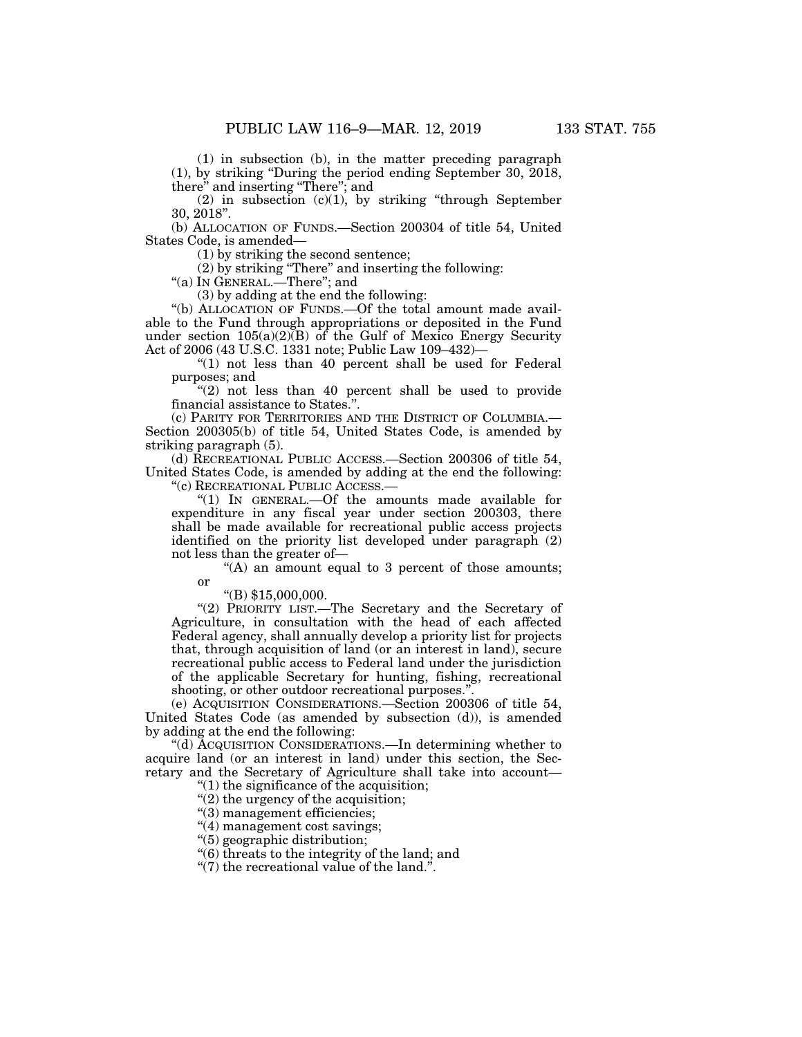(1) in subsection (b), in the matter preceding paragraph (1), by striking ''During the period ending September 30, 2018, there'' and inserting ''There''; and

(2) in subsection (c)(1), by striking ''through September 30, 2018''.

(b) ALLOCATION OF FUNDS.—Section 200304 of title 54, United States Code, is amended—

(1) by striking the second sentence;

(2) by striking ''There'' and inserting the following:

''(a) IN GENERAL.—There''; and

(3) by adding at the end the following:

"(b) ALLOCATION OF FUNDS.—Of the total amount made available to the Fund through appropriations or deposited in the Fund under section  $105(a)(2)(B)$  of the Gulf of Mexico Energy Security Act of 2006 (43 U.S.C. 1331 note; Public Law 109–432)—

"(1) not less than 40 percent shall be used for Federal purposes; and

 $(2)$  not less than 40 percent shall be used to provide financial assistance to States.''.

(c) PARITY FOR TERRITORIES AND THE DISTRICT OF COLUMBIA.— Section 200305(b) of title 54, United States Code, is amended by striking paragraph (5).

(d) RECREATIONAL PUBLIC ACCESS.—Section 200306 of title 54, United States Code, is amended by adding at the end the following: ''(c) RECREATIONAL PUBLIC ACCESS.—

''(1) IN GENERAL.—Of the amounts made available for expenditure in any fiscal year under section 200303, there shall be made available for recreational public access projects identified on the priority list developed under paragraph (2) not less than the greater of—

"(A) an amount equal to 3 percent of those amounts; or

''(B) \$15,000,000.

"(2) PRIORITY LIST.—The Secretary and the Secretary of Agriculture, in consultation with the head of each affected Federal agency, shall annually develop a priority list for projects that, through acquisition of land (or an interest in land), secure recreational public access to Federal land under the jurisdiction of the applicable Secretary for hunting, fishing, recreational shooting, or other outdoor recreational purposes."

(e) ACQUISITION CONSIDERATIONS.—Section 200306 of title 54, United States Code (as amended by subsection (d)), is amended by adding at the end the following:

''(d) ACQUISITION CONSIDERATIONS.—In determining whether to acquire land (or an interest in land) under this section, the Secretary and the Secretary of Agriculture shall take into account—

''(1) the significance of the acquisition;

"(2) the urgency of the acquisition;

''(3) management efficiencies;

''(4) management cost savings;

''(5) geographic distribution;

''(6) threats to the integrity of the land; and

''(7) the recreational value of the land.''.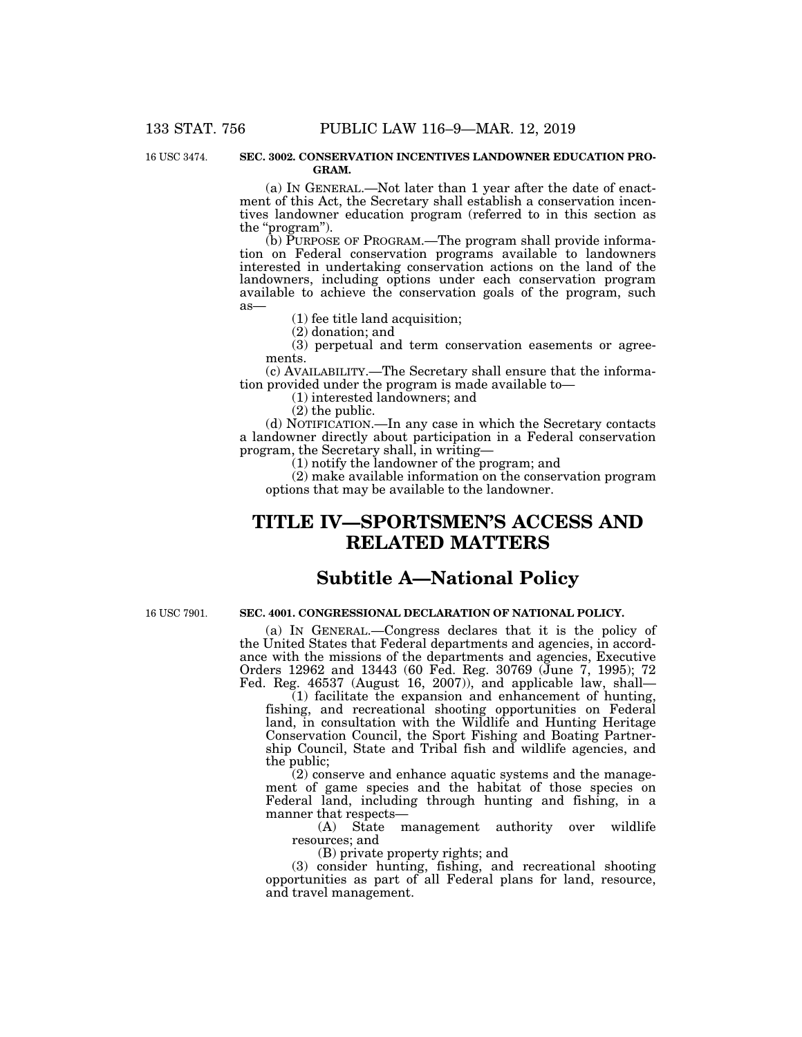16 USC 3474.

#### **SEC. 3002. CONSERVATION INCENTIVES LANDOWNER EDUCATION PRO-GRAM.**

(a) IN GENERAL.—Not later than 1 year after the date of enactment of this Act, the Secretary shall establish a conservation incentives landowner education program (referred to in this section as the ''program'').

(b) PURPOSE OF PROGRAM.—The program shall provide information on Federal conservation programs available to landowners interested in undertaking conservation actions on the land of the landowners, including options under each conservation program available to achieve the conservation goals of the program, such as—

(1) fee title land acquisition;

(2) donation; and

(3) perpetual and term conservation easements or agreements.

(c) AVAILABILITY.—The Secretary shall ensure that the information provided under the program is made available to—

(1) interested landowners; and

(2) the public.

(d) NOTIFICATION.—In any case in which the Secretary contacts a landowner directly about participation in a Federal conservation program, the Secretary shall, in writing—

(1) notify the landowner of the program; and

(2) make available information on the conservation program options that may be available to the landowner.

# **TITLE IV—SPORTSMEN'S ACCESS AND RELATED MATTERS**

# **Subtitle A—National Policy**

16 USC 7901.

# **SEC. 4001. CONGRESSIONAL DECLARATION OF NATIONAL POLICY.**

(a) IN GENERAL.—Congress declares that it is the policy of the United States that Federal departments and agencies, in accordance with the missions of the departments and agencies, Executive Orders 12962 and 13443 (60 Fed. Reg. 30769 (June 7, 1995); 72 Fed. Reg. 46537 (August 16, 2007)), and applicable law, shall—

 $(1)$  facilitate the expansion and enhancement of hunting, fishing, and recreational shooting opportunities on Federal land, in consultation with the Wildlife and Hunting Heritage Conservation Council, the Sport Fishing and Boating Partnership Council, State and Tribal fish and wildlife agencies, and the public;

(2) conserve and enhance aquatic systems and the management of game species and the habitat of those species on Federal land, including through hunting and fishing, in a manner that respects—

(A) State management authority over wildlife resources; and

(B) private property rights; and

(3) consider hunting, fishing, and recreational shooting opportunities as part of all Federal plans for land, resource, and travel management.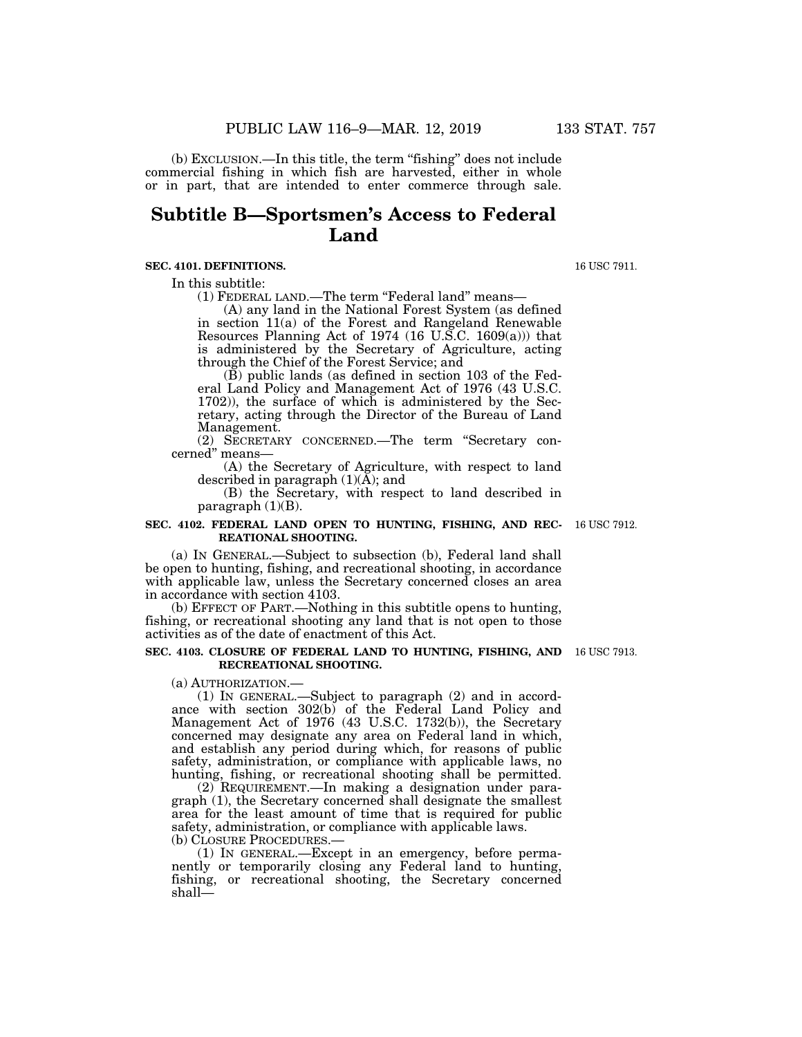(b) EXCLUSION.—In this title, the term ''fishing'' does not include commercial fishing in which fish are harvested, either in whole or in part, that are intended to enter commerce through sale.

# **Subtitle B—Sportsmen's Access to Federal Land**

## **SEC. 4101. DEFINITIONS.**

In this subtitle:

(1) FEDERAL LAND.—The term "Federal land" means—

(A) any land in the National Forest System (as defined in section 11(a) of the Forest and Rangeland Renewable Resources Planning Act of 1974 (16 U.S.C. 1609(a))) that is administered by the Secretary of Agriculture, acting through the Chief of the Forest Service; and

(B) public lands (as defined in section 103 of the Federal Land Policy and Management Act of 1976 (43 U.S.C. 1702)), the surface of which is administered by the Secretary, acting through the Director of the Bureau of Land Management.

(2) SECRETARY CONCERNED.—The term ''Secretary concerned'' means—

(A) the Secretary of Agriculture, with respect to land described in paragraph  $(1)(A)$ ; and

(B) the Secretary, with respect to land described in paragraph  $(1)(B)$ .

#### **SEC. 4102. FEDERAL LAND OPEN TO HUNTING, FISHING, AND REC-**16 USC 7912. **REATIONAL SHOOTING.**

(a) IN GENERAL.—Subject to subsection (b), Federal land shall be open to hunting, fishing, and recreational shooting, in accordance with applicable law, unless the Secretary concerned closes an area in accordance with section 4103.

(b) EFFECT OF PART.—Nothing in this subtitle opens to hunting, fishing, or recreational shooting any land that is not open to those activities as of the date of enactment of this Act.

#### **SEC. 4103. CLOSURE OF FEDERAL LAND TO HUNTING, FISHING, AND**  16 USC 7913. **RECREATIONAL SHOOTING.**

(a) AUTHORIZATION.—

(1) IN GENERAL.—Subject to paragraph (2) and in accordance with section 302(b) of the Federal Land Policy and Management Act of 1976 (43 U.S.C. 1732(b)), the Secretary concerned may designate any area on Federal land in which, and establish any period during which, for reasons of public safety, administration, or compliance with applicable laws, no hunting, fishing, or recreational shooting shall be permitted.

(2) REQUIREMENT.—In making a designation under paragraph (1), the Secretary concerned shall designate the smallest area for the least amount of time that is required for public safety, administration, or compliance with applicable laws. (b) CLOSURE PROCEDURES.—

(1) IN GENERAL.—Except in an emergency, before permanently or temporarily closing any Federal land to hunting, fishing, or recreational shooting, the Secretary concerned shall—

16 USC 7911.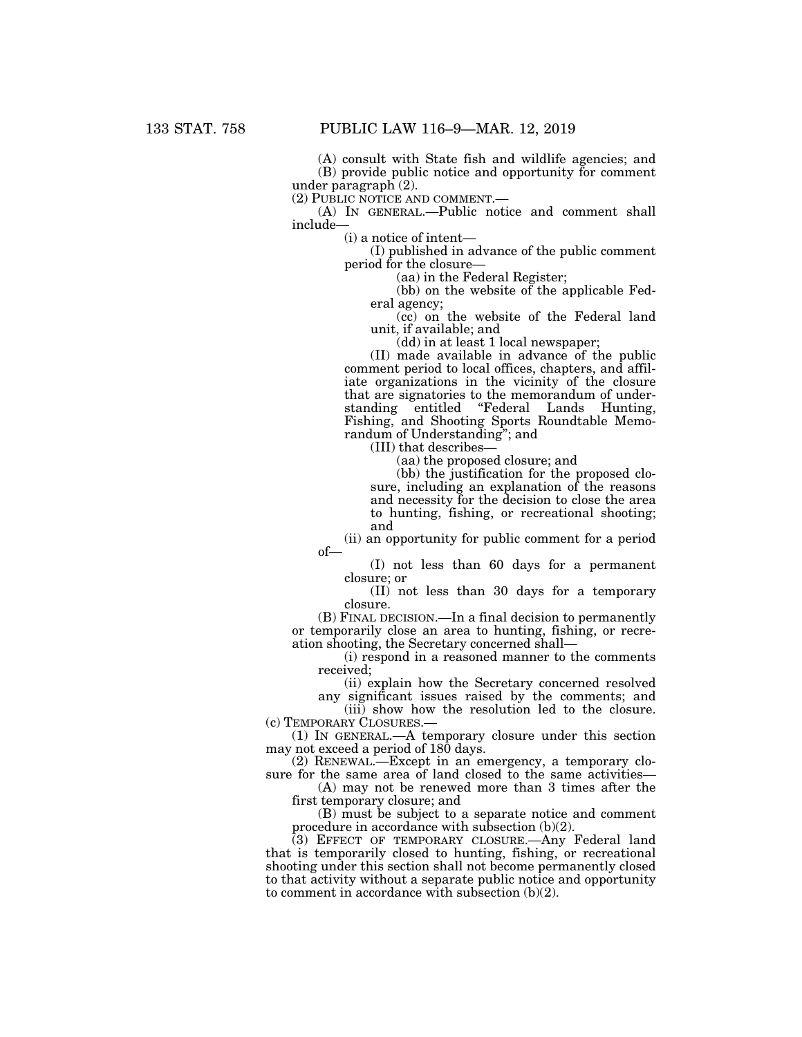(A) consult with State fish and wildlife agencies; and (B) provide public notice and opportunity for comment under paragraph (2).

(2) PUBLIC NOTICE AND COMMENT.— (A) IN GENERAL.—Public notice and comment shall include—

(i) a notice of intent—

(I) published in advance of the public comment period for the closure—

(aa) in the Federal Register;

(bb) on the website of the applicable Federal agency;

(cc) on the website of the Federal land unit, if available; and

(dd) in at least 1 local newspaper;

(II) made available in advance of the public comment period to local offices, chapters, and affiliate organizations in the vicinity of the closure that are signatories to the memorandum of understanding entitled ''Federal Lands Hunting, Fishing, and Shooting Sports Roundtable Memorandum of Understanding''; and

(III) that describes—

(aa) the proposed closure; and

(bb) the justification for the proposed closure, including an explanation of the reasons and necessity for the decision to close the area to hunting, fishing, or recreational shooting; and

(ii) an opportunity for public comment for a period of—

(I) not less than 60 days for a permanent closure; or

(II) not less than 30 days for a temporary closure.

(B) FINAL DECISION.—In a final decision to permanently or temporarily close an area to hunting, fishing, or recreation shooting, the Secretary concerned shall—

(i) respond in a reasoned manner to the comments received;

(ii) explain how the Secretary concerned resolved any significant issues raised by the comments; and

(iii) show how the resolution led to the closure. (c) TEMPORARY CLOSURES.—

(1) IN GENERAL.—A temporary closure under this section may not exceed a period of 180 days.

(2) RENEWAL.—Except in an emergency, a temporary closure for the same area of land closed to the same activities—

(A) may not be renewed more than 3 times after the first temporary closure; and

(B) must be subject to a separate notice and comment procedure in accordance with subsection (b)(2).

(3) EFFECT OF TEMPORARY CLOSURE.—Any Federal land that is temporarily closed to hunting, fishing, or recreational shooting under this section shall not become permanently closed to that activity without a separate public notice and opportunity to comment in accordance with subsection (b)(2).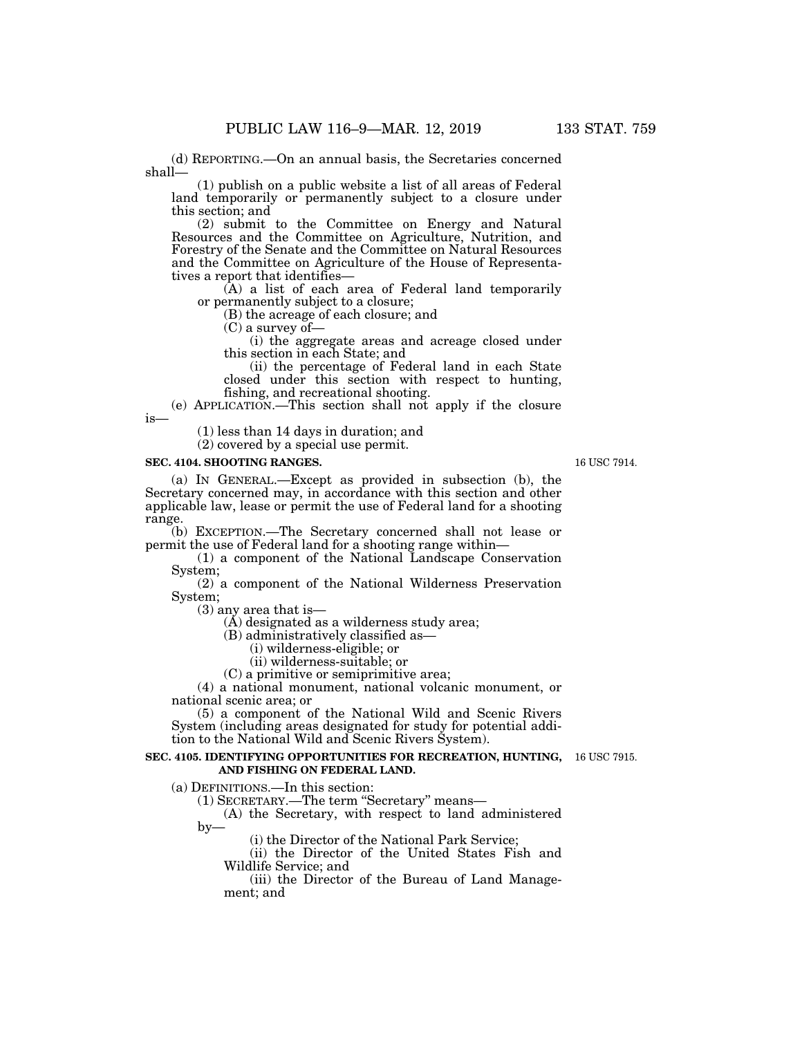(d) REPORTING.—On an annual basis, the Secretaries concerned shall—

(1) publish on a public website a list of all areas of Federal land temporarily or permanently subject to a closure under this section; and

(2) submit to the Committee on Energy and Natural Resources and the Committee on Agriculture, Nutrition, and Forestry of the Senate and the Committee on Natural Resources and the Committee on Agriculture of the House of Representatives a report that identifies—

(A) a list of each area of Federal land temporarily or permanently subject to a closure;

(B) the acreage of each closure; and

(C) a survey of—

(i) the aggregate areas and acreage closed under this section in each State; and

(ii) the percentage of Federal land in each State closed under this section with respect to hunting, fishing, and recreational shooting.

(e) APPLICATION.—This section shall not apply if the closure is—

(1) less than 14 days in duration; and

(2) covered by a special use permit.

#### **SEC. 4104. SHOOTING RANGES.**

(a) IN GENERAL.—Except as provided in subsection (b), the Secretary concerned may, in accordance with this section and other applicable law, lease or permit the use of Federal land for a shooting range.

(b) EXCEPTION.—The Secretary concerned shall not lease or permit the use of Federal land for a shooting range within—

(1) a component of the National Landscape Conservation System;

(2) a component of the National Wilderness Preservation System;

(3) any area that is—

 $(A)$  designated as a wilderness study area;

(B) administratively classified as—

(i) wilderness-eligible; or

(ii) wilderness-suitable; or

(C) a primitive or semiprimitive area;

(4) a national monument, national volcanic monument, or national scenic area; or

(5) a component of the National Wild and Scenic Rivers System (including areas designated for study for potential addition to the National Wild and Scenic Rivers System).

#### **SEC. 4105. IDENTIFYING OPPORTUNITIES FOR RECREATION, HUNTING,**  16 USC 7915. **AND FISHING ON FEDERAL LAND.**

(a) DEFINITIONS.—In this section:

(1) SECRETARY.—The term ''Secretary'' means—

(A) the Secretary, with respect to land administered  $by-$ 

(i) the Director of the National Park Service;

(ii) the Director of the United States Fish and Wildlife Service; and

(iii) the Director of the Bureau of Land Management; and

16 USC 7914.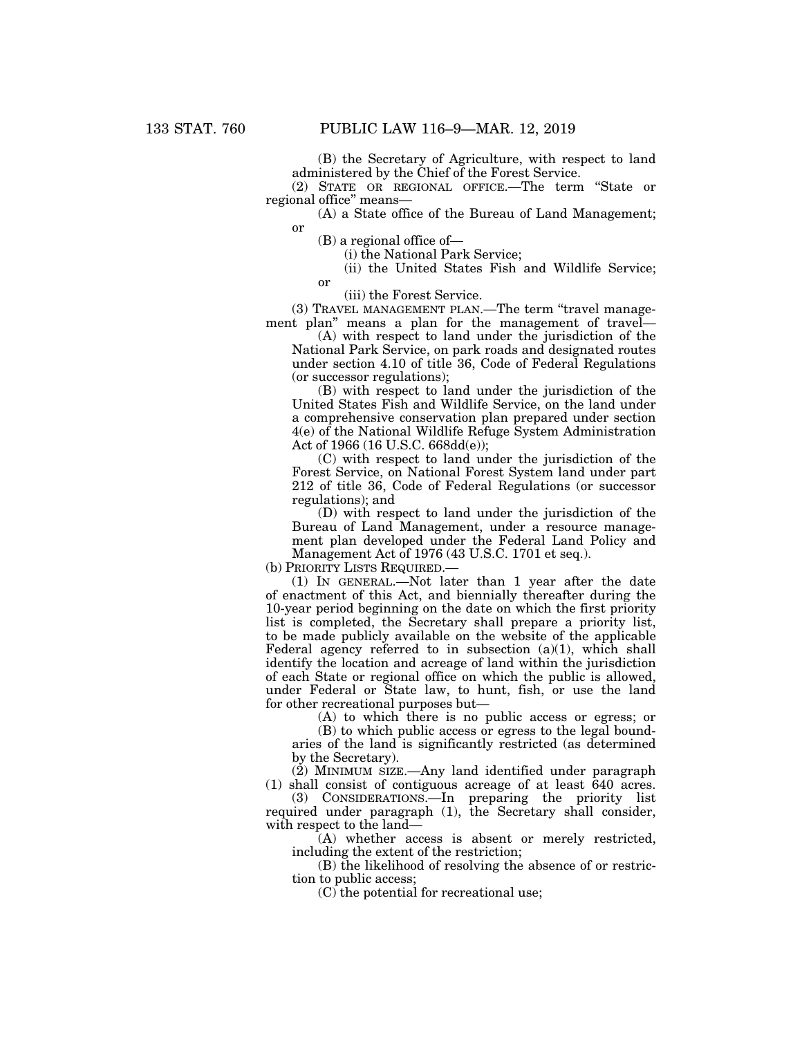(B) the Secretary of Agriculture, with respect to land administered by the Chief of the Forest Service.

(2) STATE OR REGIONAL OFFICE.—The term ''State or regional office'' means—

(A) a State office of the Bureau of Land Management; or

(B) a regional office of—

or

(i) the National Park Service;

(ii) the United States Fish and Wildlife Service;

(iii) the Forest Service.

(3) TRAVEL MANAGEMENT PLAN.—The term ''travel management plan'' means a plan for the management of travel—

(A) with respect to land under the jurisdiction of the National Park Service, on park roads and designated routes under section 4.10 of title 36, Code of Federal Regulations (or successor regulations);

(B) with respect to land under the jurisdiction of the United States Fish and Wildlife Service, on the land under a comprehensive conservation plan prepared under section 4(e) of the National Wildlife Refuge System Administration Act of 1966 (16 U.S.C. 668dd(e));

(C) with respect to land under the jurisdiction of the Forest Service, on National Forest System land under part 212 of title 36, Code of Federal Regulations (or successor regulations); and

(D) with respect to land under the jurisdiction of the Bureau of Land Management, under a resource management plan developed under the Federal Land Policy and Management Act of 1976 (43 U.S.C. 1701 et seq.).

(b) PRIORITY LISTS REQUIRED.—

(1) IN GENERAL.—Not later than 1 year after the date of enactment of this Act, and biennially thereafter during the 10-year period beginning on the date on which the first priority list is completed, the Secretary shall prepare a priority list, to be made publicly available on the website of the applicable Federal agency referred to in subsection  $(a)(1)$ , which shall identify the location and acreage of land within the jurisdiction of each State or regional office on which the public is allowed, under Federal or State law, to hunt, fish, or use the land for other recreational purposes but—

(A) to which there is no public access or egress; or

(B) to which public access or egress to the legal boundaries of the land is significantly restricted (as determined by the Secretary).

(2) MINIMUM SIZE.—Any land identified under paragraph (1) shall consist of contiguous acreage of at least 640 acres.

(3) CONSIDERATIONS.—In preparing the priority list required under paragraph (1), the Secretary shall consider, with respect to the land—

(A) whether access is absent or merely restricted, including the extent of the restriction;

(B) the likelihood of resolving the absence of or restriction to public access;

(C) the potential for recreational use;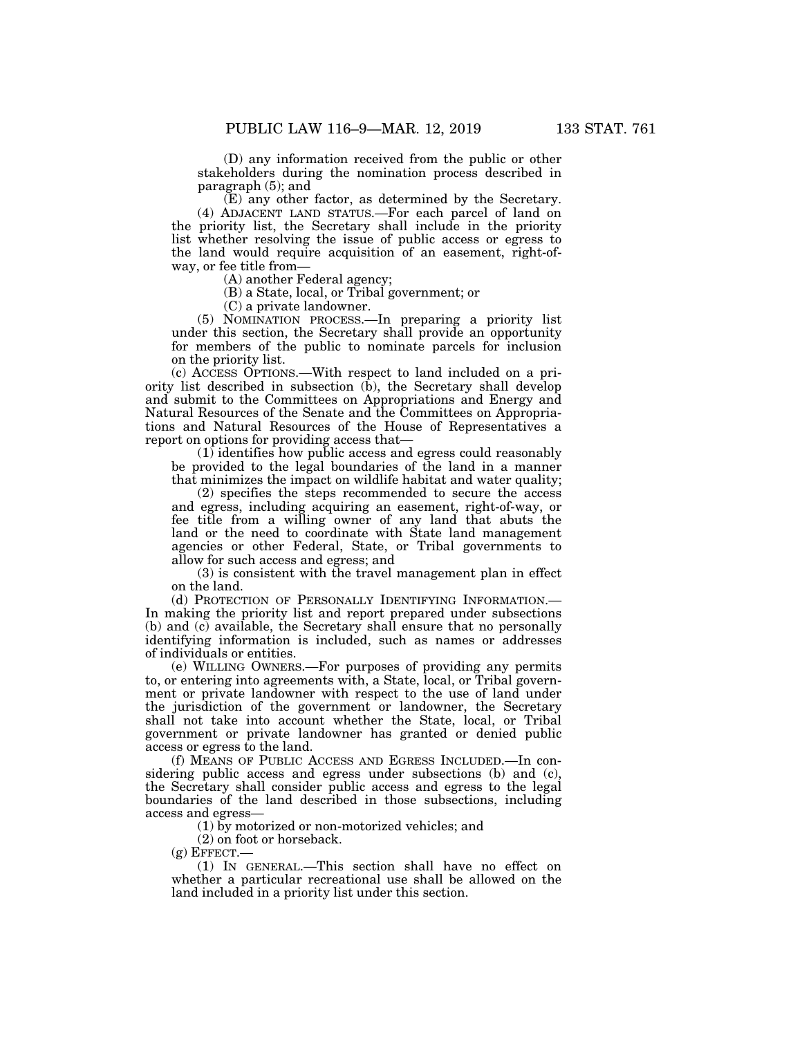(D) any information received from the public or other stakeholders during the nomination process described in paragraph (5); and

(E) any other factor, as determined by the Secretary. (4) ADJACENT LAND STATUS.—For each parcel of land on the priority list, the Secretary shall include in the priority list whether resolving the issue of public access or egress to the land would require acquisition of an easement, right-ofway, or fee title from—

(A) another Federal agency;

(B) a State, local, or Tribal government; or

(C) a private landowner.

(5) NOMINATION PROCESS.—In preparing a priority list under this section, the Secretary shall provide an opportunity for members of the public to nominate parcels for inclusion on the priority list.

(c) ACCESS OPTIONS.—With respect to land included on a priority list described in subsection  $(b)$ , the Secretary shall develop and submit to the Committees on Appropriations and Energy and Natural Resources of the Senate and the Committees on Appropriations and Natural Resources of the House of Representatives a report on options for providing access that—

(1) identifies how public access and egress could reasonably be provided to the legal boundaries of the land in a manner that minimizes the impact on wildlife habitat and water quality;

(2) specifies the steps recommended to secure the access and egress, including acquiring an easement, right-of-way, or fee title from a willing owner of any land that abuts the land or the need to coordinate with State land management agencies or other Federal, State, or Tribal governments to allow for such access and egress; and

(3) is consistent with the travel management plan in effect on the land.

(d) PROTECTION OF PERSONALLY IDENTIFYING INFORMATION.-In making the priority list and report prepared under subsections (b) and (c) available, the Secretary shall ensure that no personally identifying information is included, such as names or addresses of individuals or entities.

(e) WILLING OWNERS.—For purposes of providing any permits to, or entering into agreements with, a State, local, or Tribal government or private landowner with respect to the use of land under the jurisdiction of the government or landowner, the Secretary shall not take into account whether the State, local, or Tribal government or private landowner has granted or denied public access or egress to the land.

(f) MEANS OF PUBLIC ACCESS AND EGRESS INCLUDED.—In considering public access and egress under subsections (b) and (c), the Secretary shall consider public access and egress to the legal boundaries of the land described in those subsections, including access and egress—

(1) by motorized or non-motorized vehicles; and

(2) on foot or horseback.

 $(g)$  EFFECT.

(1) IN GENERAL.—This section shall have no effect on whether a particular recreational use shall be allowed on the land included in a priority list under this section.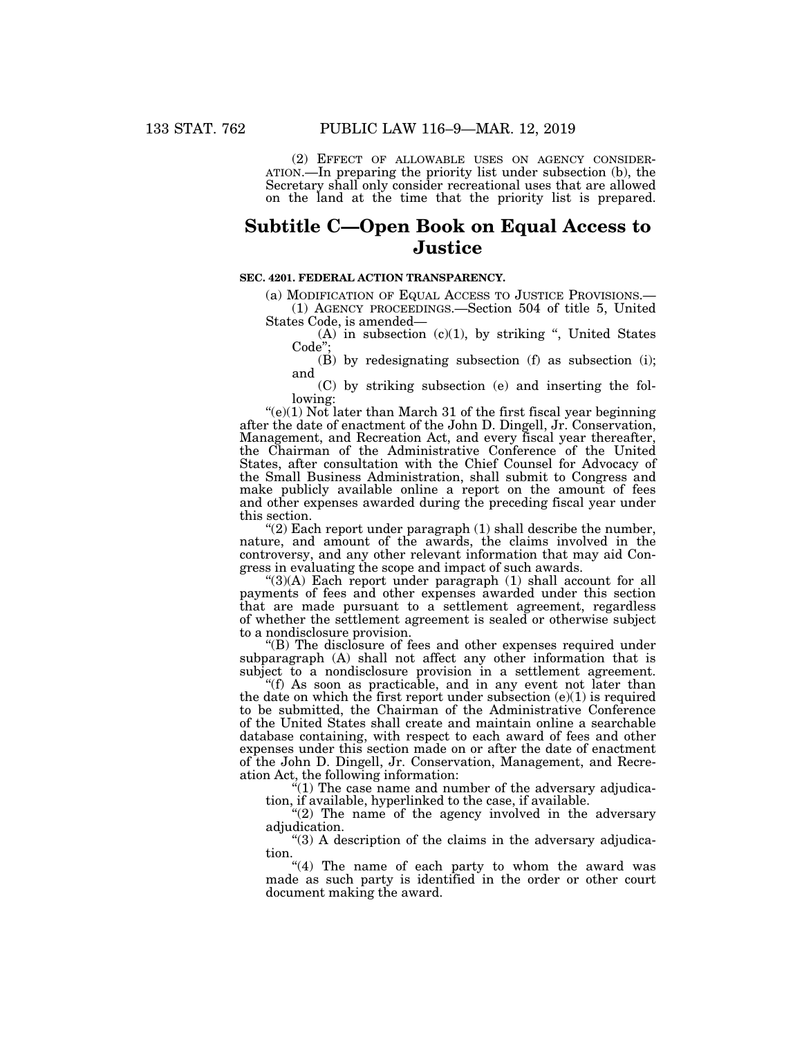(2) EFFECT OF ALLOWABLE USES ON AGENCY CONSIDER- ATION.—In preparing the priority list under subsection (b), the Secretary shall only consider recreational uses that are allowed on the land at the time that the priority list is prepared.

# **Subtitle C—Open Book on Equal Access to Justice**

## **SEC. 4201. FEDERAL ACTION TRANSPARENCY.**

(a) MODIFICATION OF EQUAL ACCESS TO JUSTICE PROVISIONS.— (1) AGENCY PROCEEDINGS.—Section 504 of title 5, United States Code, is amended—

 $(A)$  in subsection  $(c)(1)$ , by striking ", United States Code"

 $(\vec{B})$  by redesignating subsection  $(f)$  as subsection  $(i)$ ; and

(C) by striking subsection (e) and inserting the following:

 $(e)(1)$  Not later than March 31 of the first fiscal year beginning after the date of enactment of the John D. Dingell, Jr. Conservation, Management, and Recreation Act, and every fiscal year thereafter, the Chairman of the Administrative Conference of the United States, after consultation with the Chief Counsel for Advocacy of the Small Business Administration, shall submit to Congress and make publicly available online a report on the amount of fees and other expenses awarded during the preceding fiscal year under this section.

"(2) Each report under paragraph  $(1)$  shall describe the number, nature, and amount of the awards, the claims involved in the controversy, and any other relevant information that may aid Congress in evaluating the scope and impact of such awards.

" $(3)(A)$  Each report under paragraph  $(1)$  shall account for all payments of fees and other expenses awarded under this section that are made pursuant to a settlement agreement, regardless of whether the settlement agreement is sealed or otherwise subject to a nondisclosure provision.

''(B) The disclosure of fees and other expenses required under subparagraph (A) shall not affect any other information that is subject to a nondisclosure provision in a settlement agreement.

"(f) As soon as practicable, and in any event not later than the date on which the first report under subsection  $(e)(1)$  is required to be submitted, the Chairman of the Administrative Conference of the United States shall create and maintain online a searchable database containing, with respect to each award of fees and other expenses under this section made on or after the date of enactment of the John D. Dingell, Jr. Conservation, Management, and Recreation Act, the following information:

 $(1)$  The case name and number of the adversary adjudication, if available, hyperlinked to the case, if available.

"(2) The name of the agency involved in the adversary adjudication.

"(3) A description of the claims in the adversary adjudication.

"(4) The name of each party to whom the award was made as such party is identified in the order or other court document making the award.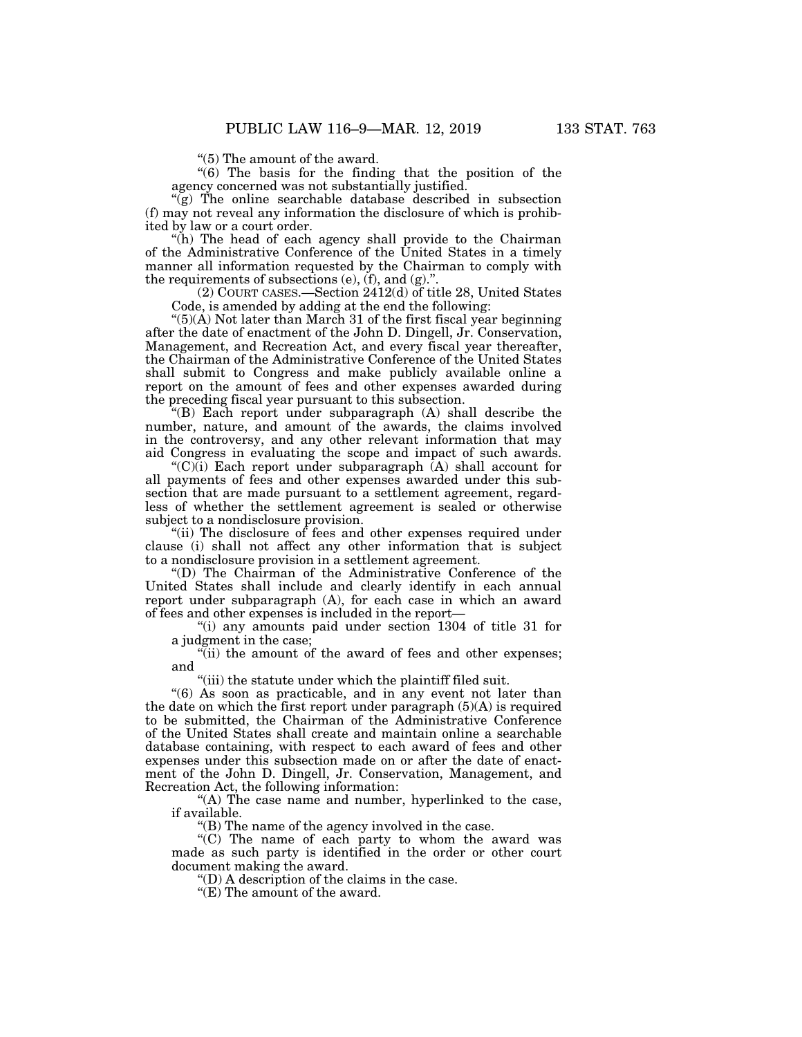''(5) The amount of the award.

''(6) The basis for the finding that the position of the agency concerned was not substantially justified.

 $\tilde{g}$ ) The online searchable database described in subsection (f) may not reveal any information the disclosure of which is prohibited by law or a court order.

''(h) The head of each agency shall provide to the Chairman of the Administrative Conference of the United States in a timely manner all information requested by the Chairman to comply with the requirements of subsections  $(e)$ ,  $(f)$ , and  $(g)$ .".

(2) COURT CASES.—Section 2412(d) of title 28, United States Code, is amended by adding at the end the following:

 $(5)$ (A) Not later than March 31 of the first fiscal year beginning after the date of enactment of the John D. Dingell, Jr. Conservation, Management, and Recreation Act, and every fiscal year thereafter, the Chairman of the Administrative Conference of the United States shall submit to Congress and make publicly available online a report on the amount of fees and other expenses awarded during the preceding fiscal year pursuant to this subsection.

''(B) Each report under subparagraph (A) shall describe the number, nature, and amount of the awards, the claims involved in the controversy, and any other relevant information that may aid Congress in evaluating the scope and impact of such awards.

" $(C)$ (i) Each report under subparagraph (A) shall account for all payments of fees and other expenses awarded under this subsection that are made pursuant to a settlement agreement, regardless of whether the settlement agreement is sealed or otherwise subject to a nondisclosure provision.

"(ii) The disclosure of fees and other expenses required under clause (i) shall not affect any other information that is subject to a nondisclosure provision in a settlement agreement.

''(D) The Chairman of the Administrative Conference of the United States shall include and clearly identify in each annual report under subparagraph (A), for each case in which an award of fees and other expenses is included in the report—

''(i) any amounts paid under section 1304 of title 31 for a judgment in the case;

"(ii) the amount of the award of fees and other expenses; and

''(iii) the statute under which the plaintiff filed suit.

''(6) As soon as practicable, and in any event not later than the date on which the first report under paragraph  $(5)(A)$  is required to be submitted, the Chairman of the Administrative Conference of the United States shall create and maintain online a searchable database containing, with respect to each award of fees and other expenses under this subsection made on or after the date of enactment of the John D. Dingell, Jr. Conservation, Management, and Recreation Act, the following information:

"(A) The case name and number, hyperlinked to the case, if available.

''(B) The name of the agency involved in the case.

"(C) The name of each party to whom the award was made as such party is identified in the order or other court document making the award.

''(D) A description of the claims in the case.

"(E) The amount of the award.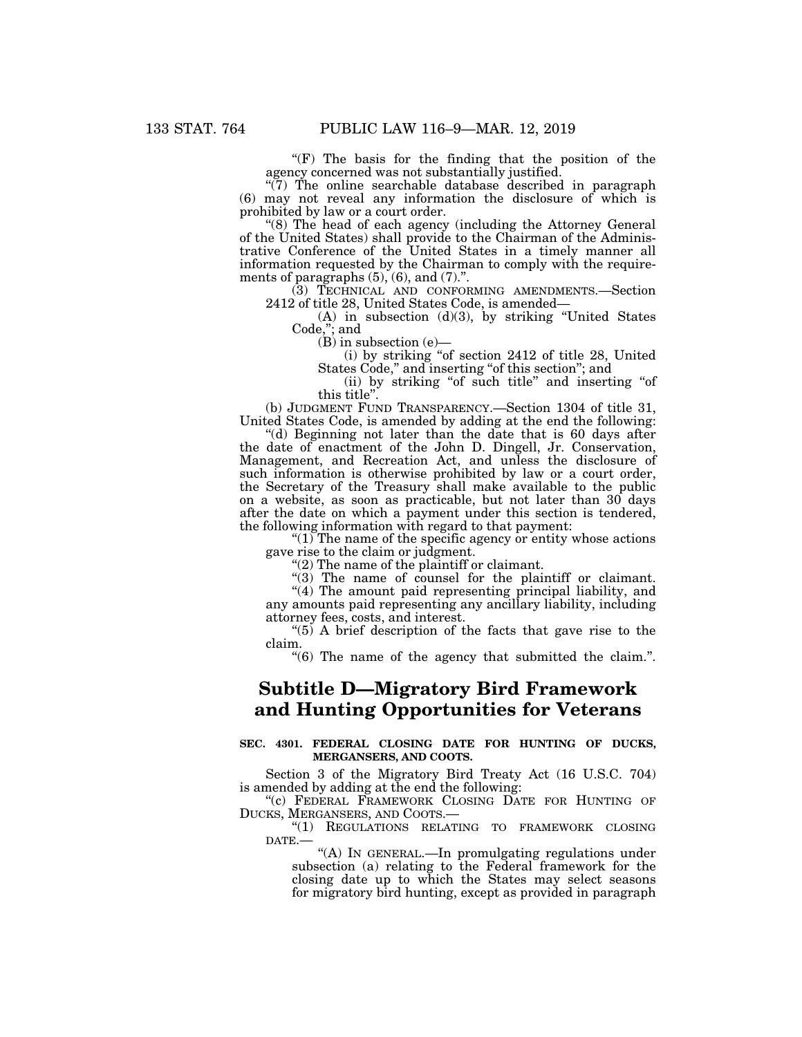" $(F)$  The basis for the finding that the position of the agency concerned was not substantially justified.

 $\sqrt{\tilde{7}}$ ) The online searchable database described in paragraph (6) may not reveal any information the disclosure of which is prohibited by law or a court order.

''(8) The head of each agency (including the Attorney General of the United States) shall provide to the Chairman of the Administrative Conference of the United States in a timely manner all information requested by the Chairman to comply with the requirements of paragraphs  $(5)$ ,  $(6)$ , and  $(7)$ .".

(3) TECHNICAL AND CONFORMING AMENDMENTS.—Section 2412 of title 28, United States Code, is amended—

(A) in subsection (d)(3), by striking ''United States Code,''; and

 $(B)$  in subsection (e)—

(i) by striking ''of section 2412 of title 28, United States Code," and inserting "of this section"; and

(ii) by striking "of such title" and inserting "of this title''.

(b) JUDGMENT FUND TRANSPARENCY.—Section 1304 of title 31, United States Code, is amended by adding at the end the following:

''(d) Beginning not later than the date that is 60 days after the date of enactment of the John D. Dingell, Jr. Conservation, Management, and Recreation Act, and unless the disclosure of such information is otherwise prohibited by law or a court order, the Secretary of the Treasury shall make available to the public on a website, as soon as practicable, but not later than 30 days after the date on which a payment under this section is tendered, the following information with regard to that payment:

" $(1)$  The name of the specific agency or entity whose actions gave rise to the claim or judgment.

 $''(2)$  The name of the plaintiff or claimant.

''(3) The name of counsel for the plaintiff or claimant.

''(4) The amount paid representing principal liability, and any amounts paid representing any ancillary liability, including attorney fees, costs, and interest.

"(5) A brief description of the facts that gave rise to the claim.

 $\degree$ (6) The name of the agency that submitted the claim.".

# **Subtitle D—Migratory Bird Framework and Hunting Opportunities for Veterans**

## **SEC. 4301. FEDERAL CLOSING DATE FOR HUNTING OF DUCKS, MERGANSERS, AND COOTS.**

Section 3 of the Migratory Bird Treaty Act (16 U.S.C. 704) is amended by adding at the end the following:

"(c) FEDERAL FRAMEWORK CLOSING DATE FOR HUNTING OF DUCKS, MERGANSERS, AND COOTS.—

"(1) REGULATIONS RELATING TO FRAMEWORK CLOSING DATE.—

''(A) IN GENERAL.—In promulgating regulations under subsection (a) relating to the Federal framework for the closing date up to which the States may select seasons for migratory bird hunting, except as provided in paragraph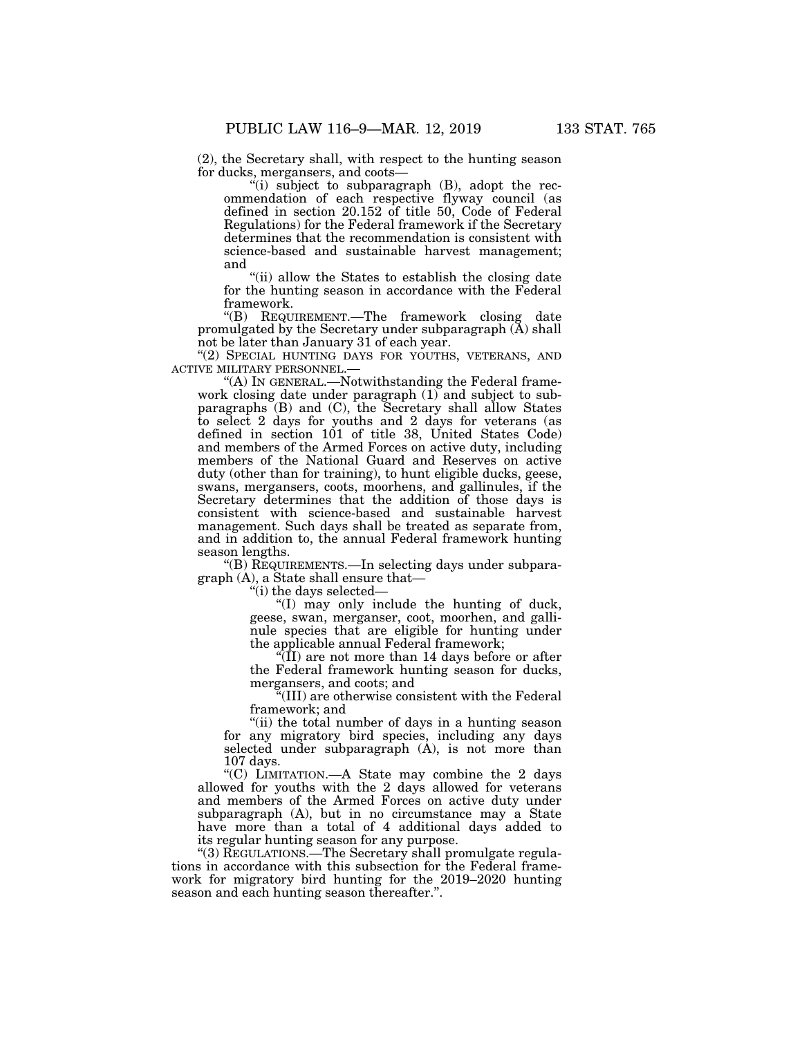(2), the Secretary shall, with respect to the hunting season for ducks, mergansers, and coots—

''(i) subject to subparagraph (B), adopt the recommendation of each respective flyway council (as defined in section 20.152 of title 50, Code of Federal Regulations) for the Federal framework if the Secretary determines that the recommendation is consistent with science-based and sustainable harvest management; and

''(ii) allow the States to establish the closing date for the hunting season in accordance with the Federal framework.

''(B) REQUIREMENT.—The framework closing date promulgated by the Secretary under subparagraph  $(A)$  shall not be later than January 31 of each year.

"(2) SPECIAL HUNTING DAYS FOR YOUTHS, VETERANS, AND ACTIVE MILITARY PERSONNEL.—

''(A) IN GENERAL.—Notwithstanding the Federal framework closing date under paragraph (1) and subject to subparagraphs (B) and (C), the Secretary shall allow States to select 2 days for youths and 2 days for veterans (as defined in section 101 of title 38, United States Code) and members of the Armed Forces on active duty, including members of the National Guard and Reserves on active duty (other than for training), to hunt eligible ducks, geese, swans, mergansers, coots, moorhens, and gallinules, if the Secretary determines that the addition of those days is consistent with science-based and sustainable harvest management. Such days shall be treated as separate from, and in addition to, the annual Federal framework hunting season lengths.

''(B) REQUIREMENTS.—In selecting days under subparagraph (A), a State shall ensure that—

''(i) the days selected—

''(I) may only include the hunting of duck, geese, swan, merganser, coot, moorhen, and gallinule species that are eligible for hunting under the applicable annual Federal framework;

" $(\overline{II})$  are not more than 14 days before or after the Federal framework hunting season for ducks, mergansers, and coots; and

''(III) are otherwise consistent with the Federal framework; and

"(ii) the total number of days in a hunting season for any migratory bird species, including any days selected under subparagraph (A), is not more than 107 days.

''(C) LIMITATION.—A State may combine the 2 days allowed for youths with the 2 days allowed for veterans and members of the Armed Forces on active duty under subparagraph (A), but in no circumstance may a State have more than a total of 4 additional days added to its regular hunting season for any purpose.

"(3) REGULATIONS.—The Secretary shall promulgate regulations in accordance with this subsection for the Federal framework for migratory bird hunting for the 2019–2020 hunting season and each hunting season thereafter.''.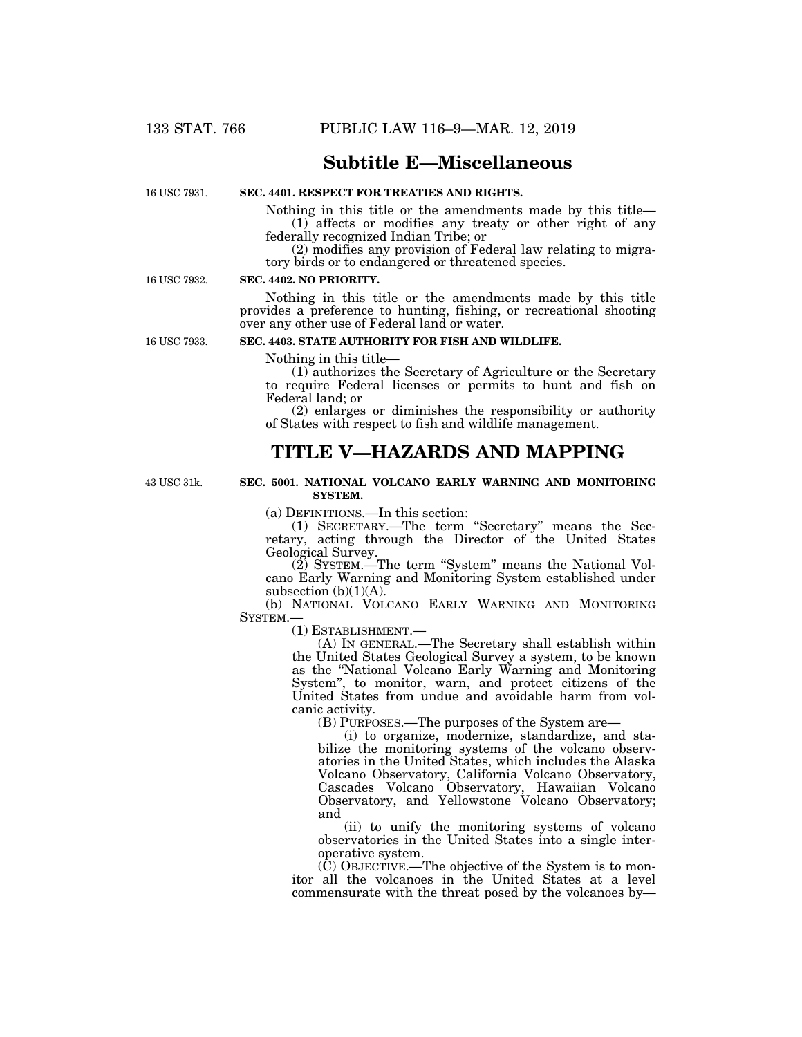# **Subtitle E—Miscellaneous**

16 USC 7931.

# **SEC. 4401. RESPECT FOR TREATIES AND RIGHTS.**

Nothing in this title or the amendments made by this title— (1) affects or modifies any treaty or other right of any federally recognized Indian Tribe; or

(2) modifies any provision of Federal law relating to migratory birds or to endangered or threatened species.

16 USC 7932.

## **SEC. 4402. NO PRIORITY.**

Nothing in this title or the amendments made by this title provides a preference to hunting, fishing, or recreational shooting over any other use of Federal land or water.

16 USC 7933.

### **SEC. 4403. STATE AUTHORITY FOR FISH AND WILDLIFE.**

Nothing in this title—

(1) authorizes the Secretary of Agriculture or the Secretary to require Federal licenses or permits to hunt and fish on Federal land; or

(2) enlarges or diminishes the responsibility or authority of States with respect to fish and wildlife management.

# **TITLE V—HAZARDS AND MAPPING**

43 USC 31k.

## **SEC. 5001. NATIONAL VOLCANO EARLY WARNING AND MONITORING SYSTEM.**

(a) DEFINITIONS.—In this section:

(1) SECRETARY.—The term ''Secretary'' means the Secretary, acting through the Director of the United States Geological Survey.

(2) SYSTEM.—The term ''System'' means the National Volcano Early Warning and Monitoring System established under subsection  $(b)(1)(A)$ .

(b) NATIONAL VOLCANO EARLY WARNING AND MONITORING SYSTEM.—

(1) ESTABLISHMENT.—

(A) IN GENERAL.—The Secretary shall establish within the United States Geological Survey a system, to be known as the ''National Volcano Early Warning and Monitoring System'', to monitor, warn, and protect citizens of the United States from undue and avoidable harm from volcanic activity.

(B) PURPOSES.—The purposes of the System are—

(i) to organize, modernize, standardize, and stabilize the monitoring systems of the volcano observatories in the United States, which includes the Alaska Volcano Observatory, California Volcano Observatory, Cascades Volcano Observatory, Hawaiian Volcano Observatory, and Yellowstone Volcano Observatory; and

(ii) to unify the monitoring systems of volcano observatories in the United States into a single interoperative system.

(C) OBJECTIVE.—The objective of the System is to monitor all the volcanoes in the United States at a level commensurate with the threat posed by the volcanoes by—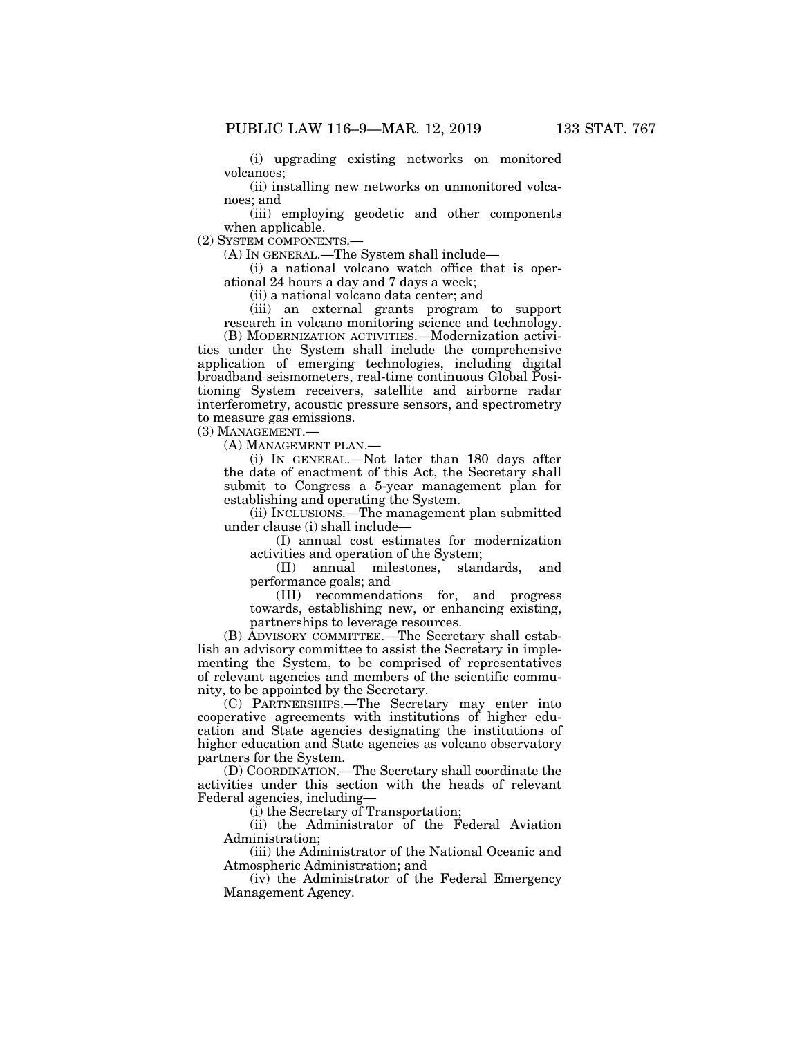(i) upgrading existing networks on monitored volcanoes;

(ii) installing new networks on unmonitored volcanoes; and

(iii) employing geodetic and other components when applicable.

(2) SYSTEM COMPONENTS.—

(A) IN GENERAL.—The System shall include—

(i) a national volcano watch office that is operational 24 hours a day and 7 days a week;

(ii) a national volcano data center; and

(iii) an external grants program to support research in volcano monitoring science and technology. (B) MODERNIZATION ACTIVITIES.—Modernization activities under the System shall include the comprehensive application of emerging technologies, including digital broadband seismometers, real-time continuous Global Positioning System receivers, satellite and airborne radar interferometry, acoustic pressure sensors, and spectrometry

to measure gas emissions.

(3) MANAGEMENT.—

(A) MANAGEMENT PLAN.—

(i) IN GENERAL.—Not later than 180 days after the date of enactment of this Act, the Secretary shall submit to Congress a 5-year management plan for establishing and operating the System.

(ii) INCLUSIONS.—The management plan submitted under clause (i) shall include—

(I) annual cost estimates for modernization activities and operation of the System;

(II) annual milestones, standards, and performance goals; and

(III) recommendations for, and progress towards, establishing new, or enhancing existing, partnerships to leverage resources.

(B) ADVISORY COMMITTEE.—The Secretary shall establish an advisory committee to assist the Secretary in implementing the System, to be comprised of representatives of relevant agencies and members of the scientific community, to be appointed by the Secretary.

(C) PARTNERSHIPS.—The Secretary may enter into cooperative agreements with institutions of higher education and State agencies designating the institutions of higher education and State agencies as volcano observatory partners for the System.

(D) COORDINATION.—The Secretary shall coordinate the activities under this section with the heads of relevant Federal agencies, including—

(i) the Secretary of Transportation;

(ii) the Administrator of the Federal Aviation Administration;

(iii) the Administrator of the National Oceanic and Atmospheric Administration; and

(iv) the Administrator of the Federal Emergency Management Agency.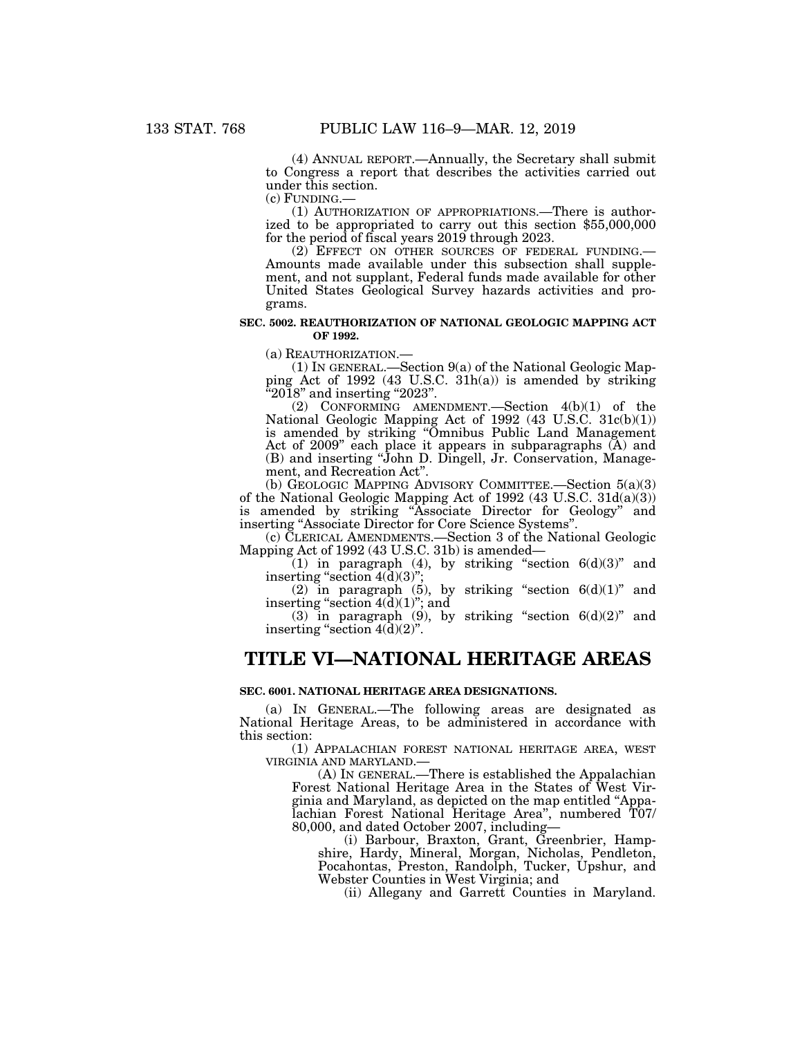(4) ANNUAL REPORT.—Annually, the Secretary shall submit to Congress a report that describes the activities carried out under this section.<br>(c) FUNDING.—

 $(1)$  AUTHORIZATION OF APPROPRIATIONS.—There is authorized to be appropriated to carry out this section \$55,000,000 for the period of fiscal years 2019 through 2023.<br>(2) EFFECT ON OTHER SOURCES OF FEDERAL FUNDING.—

Amounts made available under this subsection shall supplement, and not supplant, Federal funds made available for other United States Geological Survey hazards activities and programs.

### **SEC. 5002. REAUTHORIZATION OF NATIONAL GEOLOGIC MAPPING ACT OF 1992.**

(a) REAUTHORIZATION.—

(1) IN GENERAL.—Section 9(a) of the National Geologic Mapping Act of 1992 (43 U.S.C. 31h(a)) is amended by striking "2018" and inserting "2023".

(2) CONFORMING AMENDMENT.—Section 4(b)(1) of the National Geologic Mapping Act of 1992 (43 U.S.C. 31c(b)(1)) is amended by striking ''Omnibus Public Land Management Act of 2009'' each place it appears in subparagraphs (A) and (B) and inserting ''John D. Dingell, Jr. Conservation, Management, and Recreation Act''.

(b) GEOLOGIC MAPPING ADVISORY COMMITTEE.—Section 5(a)(3) of the National Geologic Mapping Act of 1992 (43 U.S.C. 31d(a)(3)) is amended by striking ''Associate Director for Geology'' and inserting ''Associate Director for Core Science Systems''.

(c) CLERICAL AMENDMENTS.—Section 3 of the National Geologic Mapping Act of 1992 (43 U.S.C. 31b) is amended—

 $(1)$  in paragraph (4), by striking "section  $6(d)(3)$ " and inserting "section  $4(\bar{d})(3)$ ";

(2) in paragraph (5), by striking "section  $6(d)(1)$ " and inserting "section  $4(\tilde{d})(1)$ "; and

(3) in paragraph (9), by striking "section  $6(d)(2)$ " and inserting "section  $4(\bar{d})(2)$ ".

# **TITLE VI—NATIONAL HERITAGE AREAS**

## **SEC. 6001. NATIONAL HERITAGE AREA DESIGNATIONS.**

(a) IN GENERAL.—The following areas are designated as National Heritage Areas, to be administered in accordance with this section:

(1) APPALACHIAN FOREST NATIONAL HERITAGE AREA, WEST VIRGINIA AND MARYLAND.—

(A) IN GENERAL.—There is established the Appalachian Forest National Heritage Area in the States of West Virginia and Maryland, as depicted on the map entitled ''Appalachian Forest National Heritage Area'', numbered T07/ 80,000, and dated October 2007, including—

(i) Barbour, Braxton, Grant, Greenbrier, Hampshire, Hardy, Mineral, Morgan, Nicholas, Pendleton, Pocahontas, Preston, Randolph, Tucker, Upshur, and Webster Counties in West Virginia; and

(ii) Allegany and Garrett Counties in Maryland.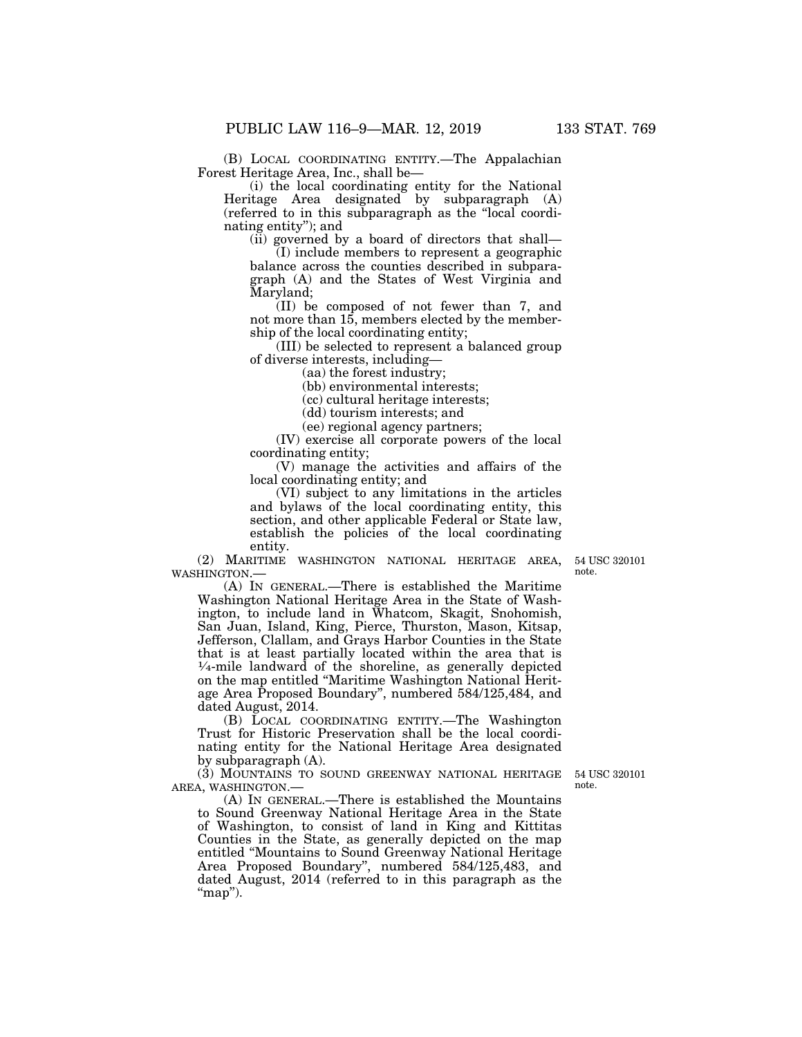(B) LOCAL COORDINATING ENTITY.—The Appalachian Forest Heritage Area, Inc., shall be—

(i) the local coordinating entity for the National Heritage Area designated by subparagraph (A) (referred to in this subparagraph as the ''local coordinating entity''); and

(ii) governed by a board of directors that shall—

(I) include members to represent a geographic balance across the counties described in subparagraph (A) and the States of West Virginia and Maryland;

(II) be composed of not fewer than 7, and not more than 15, members elected by the membership of the local coordinating entity;

(III) be selected to represent a balanced group of diverse interests, including—

(aa) the forest industry;

(bb) environmental interests;

(cc) cultural heritage interests;

(dd) tourism interests; and

(ee) regional agency partners;

(IV) exercise all corporate powers of the local coordinating entity;

(V) manage the activities and affairs of the local coordinating entity; and

(VI) subject to any limitations in the articles and bylaws of the local coordinating entity, this section, and other applicable Federal or State law, establish the policies of the local coordinating entity.

(2) MARITIME WASHINGTON NATIONAL HERITAGE AREA, WASHINGTON.—

54 USC 320101 note.

(A) IN GENERAL.—There is established the Maritime Washington National Heritage Area in the State of Washington, to include land in Whatcom, Skagit, Snohomish, San Juan, Island, King, Pierce, Thurston, Mason, Kitsap, Jefferson, Clallam, and Grays Harbor Counties in the State that is at least partially located within the area that is  $\frac{1}{4}$ -mile landward of the shoreline, as generally depicted on the map entitled ''Maritime Washington National Heritage Area Proposed Boundary'', numbered 584/125,484, and dated August, 2014.

(B) LOCAL COORDINATING ENTITY.—The Washington Trust for Historic Preservation shall be the local coordinating entity for the National Heritage Area designated by subparagraph (A).

(3) MOUNTAINS TO SOUND GREENWAY NATIONAL HERITAGE AREA, WASHINGTON.—

(A) IN GENERAL.—There is established the Mountains to Sound Greenway National Heritage Area in the State of Washington, to consist of land in King and Kittitas Counties in the State, as generally depicted on the map entitled ''Mountains to Sound Greenway National Heritage Area Proposed Boundary'', numbered 584/125,483, and dated August, 2014 (referred to in this paragraph as the " $map$ ").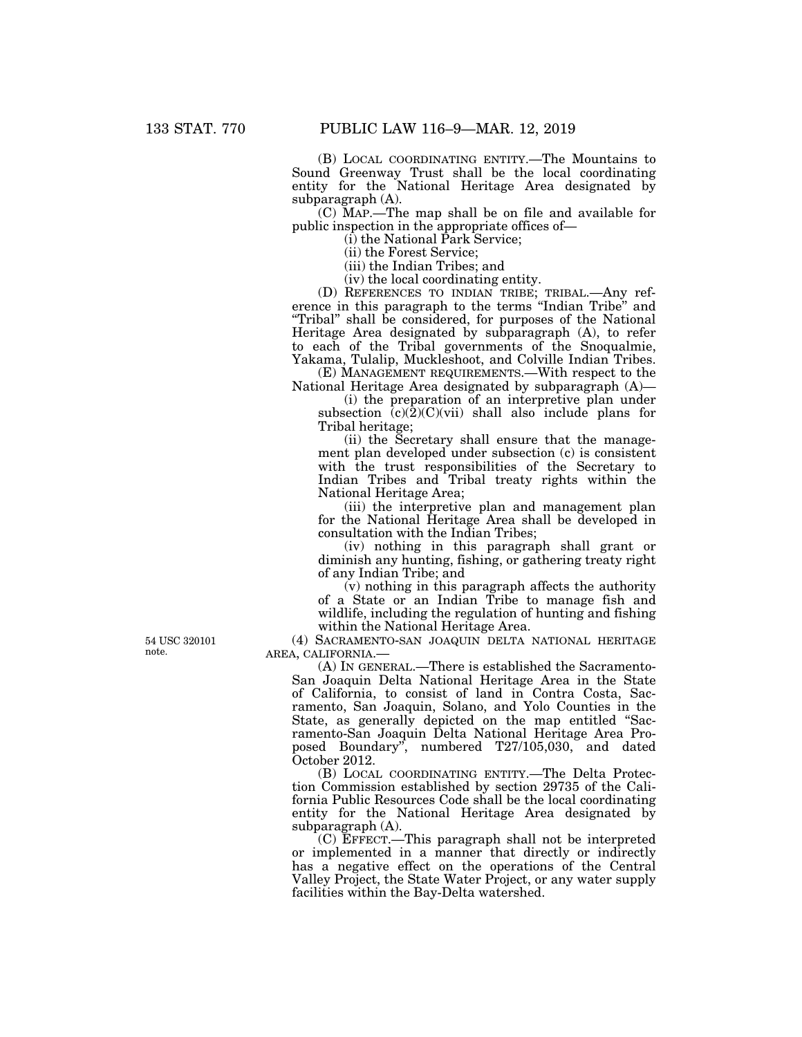(B) LOCAL COORDINATING ENTITY.—The Mountains to Sound Greenway Trust shall be the local coordinating entity for the National Heritage Area designated by subparagraph (A).

(C) MAP.—The map shall be on file and available for public inspection in the appropriate offices of—

(i) the National Park Service;

(ii) the Forest Service;

(iii) the Indian Tribes; and

(iv) the local coordinating entity.

(D) REFERENCES TO INDIAN TRIBE; TRIBAL.—Any reference in this paragraph to the terms ''Indian Tribe'' and "Tribal" shall be considered, for purposes of the National Heritage Area designated by subparagraph (A), to refer to each of the Tribal governments of the Snoqualmie, Yakama, Tulalip, Muckleshoot, and Colville Indian Tribes.

(E) MANAGEMENT REQUIREMENTS.—With respect to the National Heritage Area designated by subparagraph (A)—

(i) the preparation of an interpretive plan under subsection  $(c)(2)(C)(vi)$  shall also include plans for Tribal heritage;

(ii) the Secretary shall ensure that the management plan developed under subsection (c) is consistent with the trust responsibilities of the Secretary to Indian Tribes and Tribal treaty rights within the National Heritage Area;

(iii) the interpretive plan and management plan for the National Heritage Area shall be developed in consultation with the Indian Tribes;

(iv) nothing in this paragraph shall grant or diminish any hunting, fishing, or gathering treaty right of any Indian Tribe; and

(v) nothing in this paragraph affects the authority of a State or an Indian Tribe to manage fish and wildlife, including the regulation of hunting and fishing within the National Heritage Area.

(4) SACRAMENTO-SAN JOAQUIN DELTA NATIONAL HERITAGE AREA, CALIFORNIA.—

(A) IN GENERAL.—There is established the Sacramento-San Joaquin Delta National Heritage Area in the State of California, to consist of land in Contra Costa, Sacramento, San Joaquin, Solano, and Yolo Counties in the State, as generally depicted on the map entitled "Sacramento-San Joaquin Delta National Heritage Area Proposed Boundary'', numbered T27/105,030, and dated October 2012.

(B) LOCAL COORDINATING ENTITY.—The Delta Protection Commission established by section 29735 of the California Public Resources Code shall be the local coordinating entity for the National Heritage Area designated by subparagraph (A).

(C) EFFECT.—This paragraph shall not be interpreted or implemented in a manner that directly or indirectly has a negative effect on the operations of the Central Valley Project, the State Water Project, or any water supply facilities within the Bay-Delta watershed.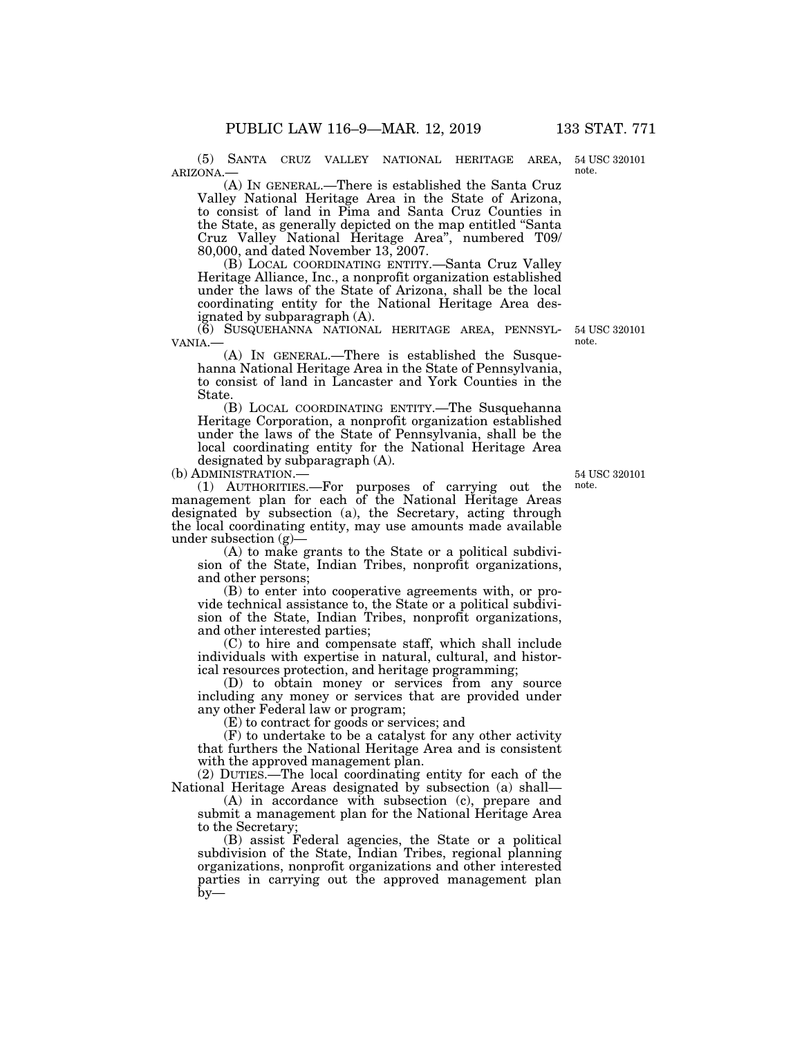(5) SANTA CRUZ VALLEY NATIONAL HERITAGE AREA, ARIZONA.—

(A) IN GENERAL.—There is established the Santa Cruz Valley National Heritage Area in the State of Arizona, to consist of land in Pima and Santa Cruz Counties in the State, as generally depicted on the map entitled ''Santa Cruz Valley National Heritage Area'', numbered T09/ 80,000, and dated November 13, 2007.

(B) LOCAL COORDINATING ENTITY.—Santa Cruz Valley Heritage Alliance, Inc., a nonprofit organization established under the laws of the State of Arizona, shall be the local coordinating entity for the National Heritage Area designated by subparagraph (A).

(6) SUSQUEHANNA NATIONAL HERITAGE AREA, PENNSYLVANIA.—<br>
(A) IN GENERAL.—There is established the Susque-

hanna National Heritage Area in the State of Pennsylvania, to consist of land in Lancaster and York Counties in the State.

(B) LOCAL COORDINATING ENTITY.—The Susquehanna Heritage Corporation, a nonprofit organization established under the laws of the State of Pennsylvania, shall be the local coordinating entity for the National Heritage Area designated by subparagraph (A).

(b) ADMINISTRATION.—

(1) AUTHORITIES.—For purposes of carrying out the management plan for each of the National Heritage Areas designated by subsection (a), the Secretary, acting through the local coordinating entity, may use amounts made available under subsection (g)—

(A) to make grants to the State or a political subdivision of the State, Indian Tribes, nonprofit organizations, and other persons;

(B) to enter into cooperative agreements with, or provide technical assistance to, the State or a political subdivision of the State, Indian Tribes, nonprofit organizations, and other interested parties;

(C) to hire and compensate staff, which shall include individuals with expertise in natural, cultural, and historical resources protection, and heritage programming;

(D) to obtain money or services from any source including any money or services that are provided under any other Federal law or program;

(E) to contract for goods or services; and

(F) to undertake to be a catalyst for any other activity that furthers the National Heritage Area and is consistent with the approved management plan.

(2) DUTIES.—The local coordinating entity for each of the National Heritage Areas designated by subsection (a) shall—

(A) in accordance with subsection (c), prepare and submit a management plan for the National Heritage Area to the Secretary

(B) assist Federal agencies, the State or a political subdivision of the State, Indian Tribes, regional planning organizations, nonprofit organizations and other interested parties in carrying out the approved management plan  $b$ y—

54 USC 320101 note.

54 USC 320101

note.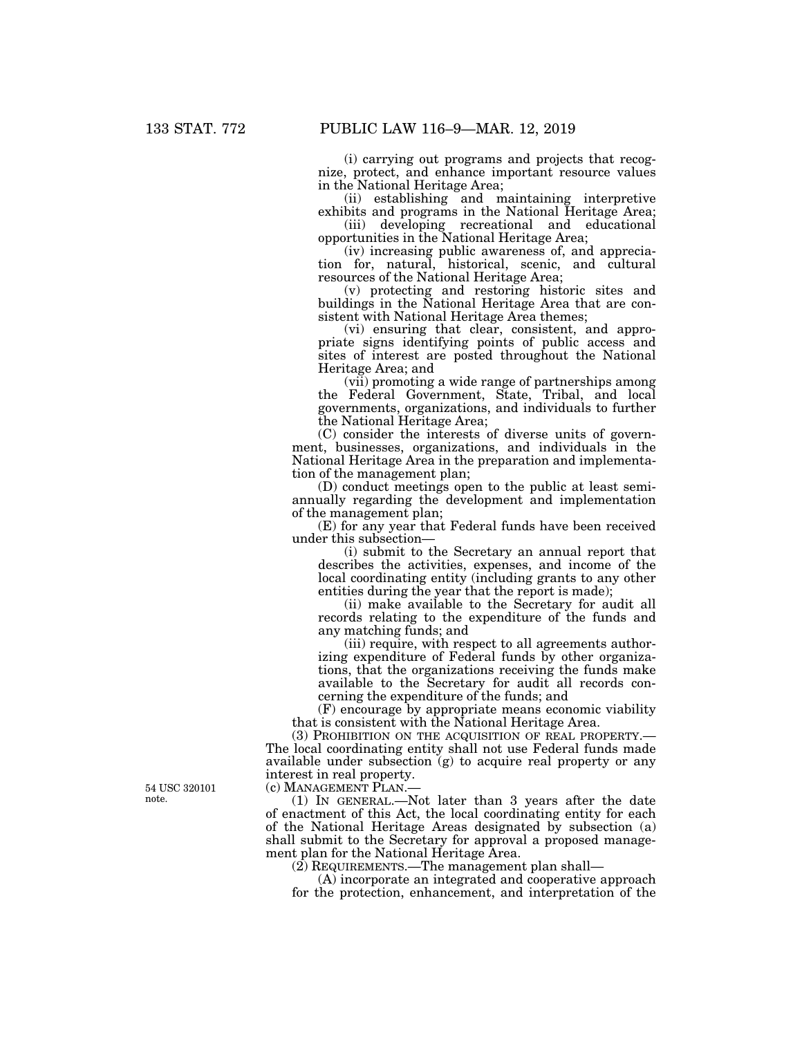(i) carrying out programs and projects that recognize, protect, and enhance important resource values in the National Heritage Area;

(ii) establishing and maintaining interpretive exhibits and programs in the National Heritage Area;

(iii) developing recreational and educational opportunities in the National Heritage Area;

(iv) increasing public awareness of, and appreciation for, natural, historical, scenic, and cultural resources of the National Heritage Area;

(v) protecting and restoring historic sites and buildings in the National Heritage Area that are consistent with National Heritage Area themes;

(vi) ensuring that clear, consistent, and appropriate signs identifying points of public access and sites of interest are posted throughout the National Heritage Area; and

(vii) promoting a wide range of partnerships among the Federal Government, State, Tribal, and local governments, organizations, and individuals to further the National Heritage Area;

(C) consider the interests of diverse units of government, businesses, organizations, and individuals in the National Heritage Area in the preparation and implementation of the management plan;

(D) conduct meetings open to the public at least semiannually regarding the development and implementation of the management plan;

(E) for any year that Federal funds have been received under this subsection—

(i) submit to the Secretary an annual report that describes the activities, expenses, and income of the local coordinating entity (including grants to any other entities during the year that the report is made);

(ii) make available to the Secretary for audit all records relating to the expenditure of the funds and any matching funds; and

(iii) require, with respect to all agreements authorizing expenditure of Federal funds by other organizations, that the organizations receiving the funds make available to the Secretary for audit all records concerning the expenditure of the funds; and

(F) encourage by appropriate means economic viability that is consistent with the National Heritage Area.

(3) PROHIBITION ON THE ACQUISITION OF REAL PROPERTY.— The local coordinating entity shall not use Federal funds made available under subsection (g) to acquire real property or any interest in real property.

(c) MANAGEMENT PLAN.—

(1) IN GENERAL.—Not later than 3 years after the date of enactment of this Act, the local coordinating entity for each of the National Heritage Areas designated by subsection (a) shall submit to the Secretary for approval a proposed management plan for the National Heritage Area.

(2) REQUIREMENTS.—The management plan shall—

(A) incorporate an integrated and cooperative approach for the protection, enhancement, and interpretation of the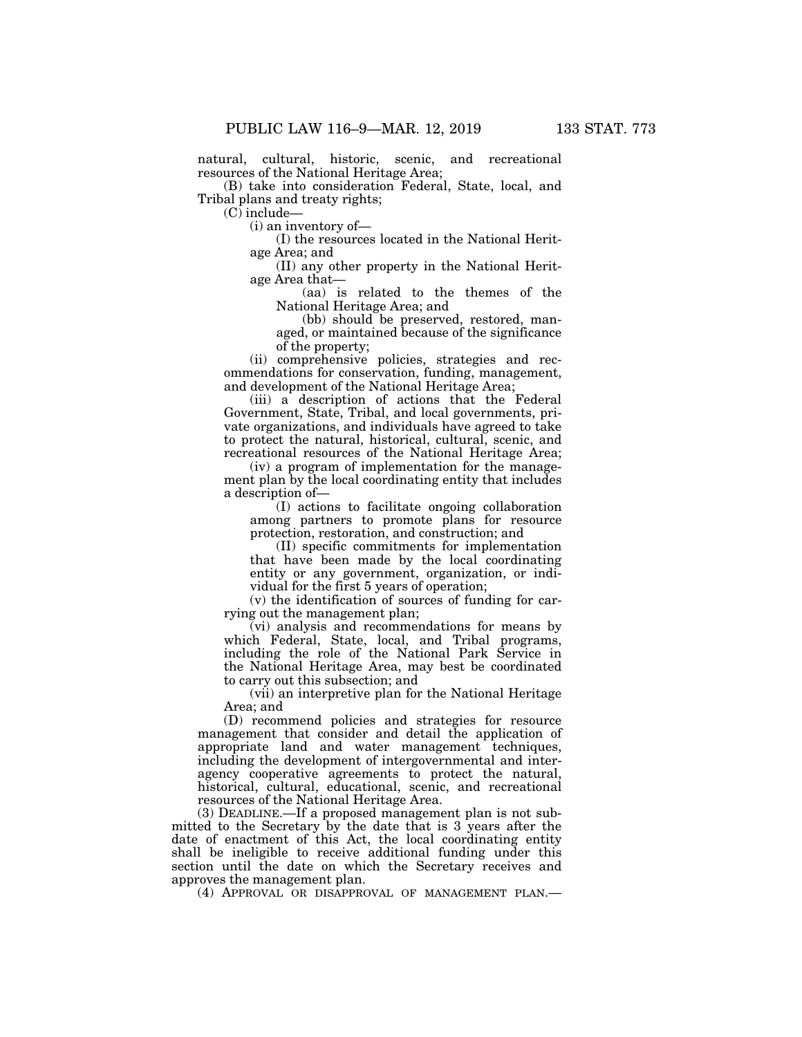natural, cultural, historic, scenic, and recreational resources of the National Heritage Area;

(B) take into consideration Federal, State, local, and Tribal plans and treaty rights;

(C) include—

(i) an inventory of—

(I) the resources located in the National Heritage Area; and

(II) any other property in the National Heritage Area that—

(aa) is related to the themes of the National Heritage Area; and

(bb) should be preserved, restored, managed, or maintained because of the significance of the property;

(ii) comprehensive policies, strategies and recommendations for conservation, funding, management, and development of the National Heritage Area;

(iii) a description of actions that the Federal Government, State, Tribal, and local governments, private organizations, and individuals have agreed to take to protect the natural, historical, cultural, scenic, and recreational resources of the National Heritage Area;

(iv) a program of implementation for the management plan by the local coordinating entity that includes a description of—

(I) actions to facilitate ongoing collaboration among partners to promote plans for resource protection, restoration, and construction; and

(II) specific commitments for implementation that have been made by the local coordinating entity or any government, organization, or individual for the first 5 years of operation;

(v) the identification of sources of funding for carrying out the management plan;

 $\bar{v}(vi)$  analysis and recommendations for means by which Federal, State, local, and Tribal programs, including the role of the National Park Service in the National Heritage Area, may best be coordinated to carry out this subsection; and

(vii) an interpretive plan for the National Heritage Area; and

(D) recommend policies and strategies for resource management that consider and detail the application of appropriate land and water management techniques, including the development of intergovernmental and interagency cooperative agreements to protect the natural, historical, cultural, educational, scenic, and recreational resources of the National Heritage Area.

(3) DEADLINE.—If a proposed management plan is not submitted to the Secretary by the date that is 3 years after the date of enactment of this Act, the local coordinating entity shall be ineligible to receive additional funding under this section until the date on which the Secretary receives and approves the management plan.

(4) APPROVAL OR DISAPPROVAL OF MANAGEMENT PLAN.—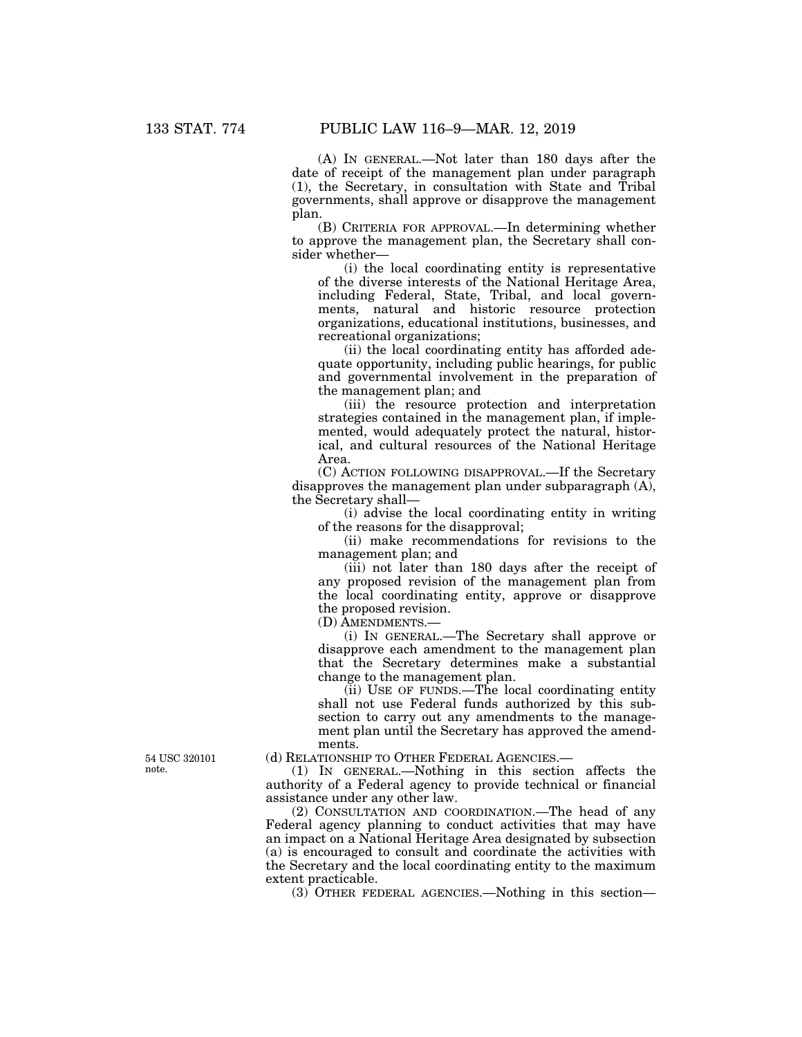(A) IN GENERAL.—Not later than 180 days after the date of receipt of the management plan under paragraph (1), the Secretary, in consultation with State and Tribal governments, shall approve or disapprove the management plan.

(B) CRITERIA FOR APPROVAL.—In determining whether to approve the management plan, the Secretary shall consider whether—

(i) the local coordinating entity is representative of the diverse interests of the National Heritage Area, including Federal, State, Tribal, and local governments, natural and historic resource protection organizations, educational institutions, businesses, and recreational organizations;

(ii) the local coordinating entity has afforded adequate opportunity, including public hearings, for public and governmental involvement in the preparation of the management plan; and

(iii) the resource protection and interpretation strategies contained in the management plan, if implemented, would adequately protect the natural, historical, and cultural resources of the National Heritage Area.

(C) ACTION FOLLOWING DISAPPROVAL.—If the Secretary disapproves the management plan under subparagraph (A), the Secretary shall—

(i) advise the local coordinating entity in writing of the reasons for the disapproval;

(ii) make recommendations for revisions to the management plan; and

(iii) not later than 180 days after the receipt of any proposed revision of the management plan from the local coordinating entity, approve or disapprove the proposed revision.

(D) AMENDMENTS.—

(i) IN GENERAL.—The Secretary shall approve or disapprove each amendment to the management plan that the Secretary determines make a substantial change to the management plan.

(ii) USE OF FUNDS.—The local coordinating entity shall not use Federal funds authorized by this subsection to carry out any amendments to the management plan until the Secretary has approved the amendments.

(d) RELATIONSHIP TO OTHER FEDERAL AGENCIES.—

(1) IN GENERAL.—Nothing in this section affects the authority of a Federal agency to provide technical or financial assistance under any other law.

(2) CONSULTATION AND COORDINATION.—The head of any Federal agency planning to conduct activities that may have an impact on a National Heritage Area designated by subsection (a) is encouraged to consult and coordinate the activities with the Secretary and the local coordinating entity to the maximum extent practicable.

(3) OTHER FEDERAL AGENCIES.—Nothing in this section—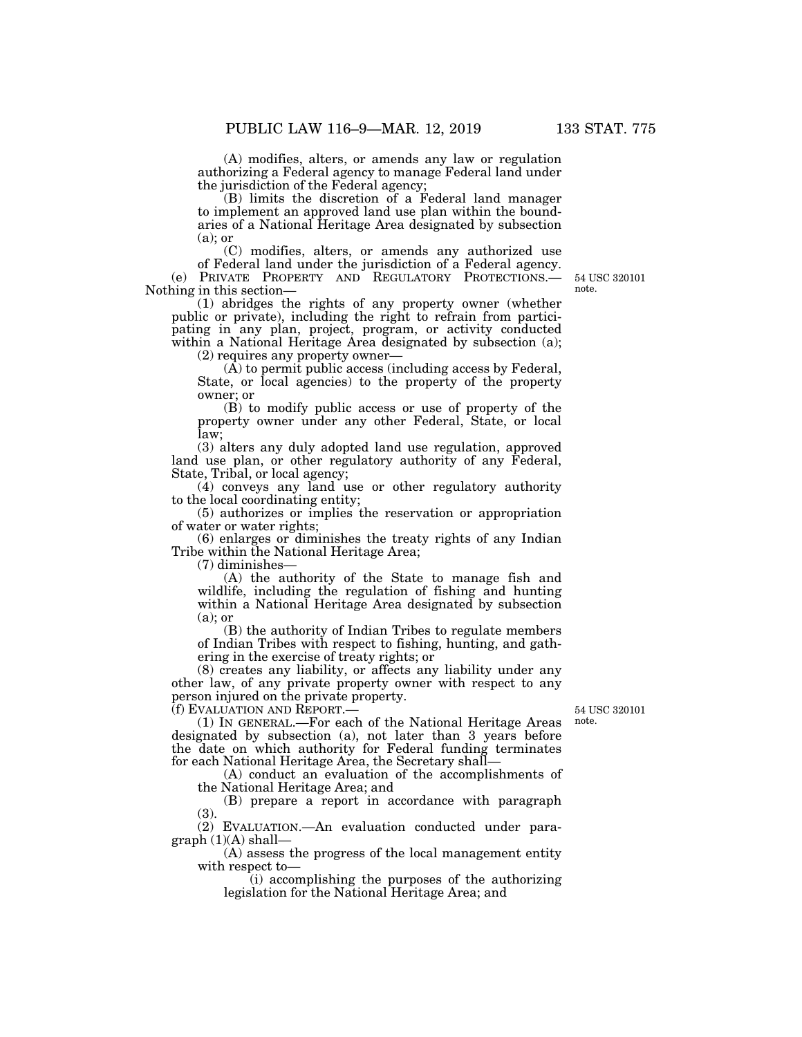(A) modifies, alters, or amends any law or regulation authorizing a Federal agency to manage Federal land under the jurisdiction of the Federal agency;

(B) limits the discretion of a Federal land manager to implement an approved land use plan within the boundaries of a National Heritage Area designated by subsection (a); or

(C) modifies, alters, or amends any authorized use of Federal land under the jurisdiction of a Federal agency.

(e) PRIVATE PROPERTY AND REGULATORY PROTECTIONS.— Nothing in this section—

(1) abridges the rights of any property owner (whether public or private), including the right to refrain from participating in any plan, project, program, or activity conducted within a National Heritage Area designated by subsection (a);

(2) requires any property owner—

 $(\overline{A})$  to permit public access (including access by Federal, State, or local agencies) to the property of the property owner; or

(B) to modify public access or use of property of the property owner under any other Federal, State, or local law;

(3) alters any duly adopted land use regulation, approved land use plan, or other regulatory authority of any Federal, State, Tribal, or local agency;

(4) conveys any land use or other regulatory authority to the local coordinating entity;

(5) authorizes or implies the reservation or appropriation of water or water rights;

(6) enlarges or diminishes the treaty rights of any Indian Tribe within the National Heritage Area;

 $(7)$  diminishes

(A) the authority of the State to manage fish and wildlife, including the regulation of fishing and hunting within a National Heritage Area designated by subsection (a); or

(B) the authority of Indian Tribes to regulate members of Indian Tribes with respect to fishing, hunting, and gathering in the exercise of treaty rights; or

(8) creates any liability, or affects any liability under any other law, of any private property owner with respect to any person injured on the private property.

(f) EVALUATION AND REPORT.—

54 USC 320101 note.

(1) IN GENERAL.—For each of the National Heritage Areas designated by subsection (a), not later than 3 years before the date on which authority for Federal funding terminates for each National Heritage Area, the Secretary shall—

(A) conduct an evaluation of the accomplishments of the National Heritage Area; and

(B) prepare a report in accordance with paragraph  $(3)$ 

(2) EVALUATION.—An evaluation conducted under para $graph (1)(A) shall-$ 

(A) assess the progress of the local management entity with respect to—

(i) accomplishing the purposes of the authorizing legislation for the National Heritage Area; and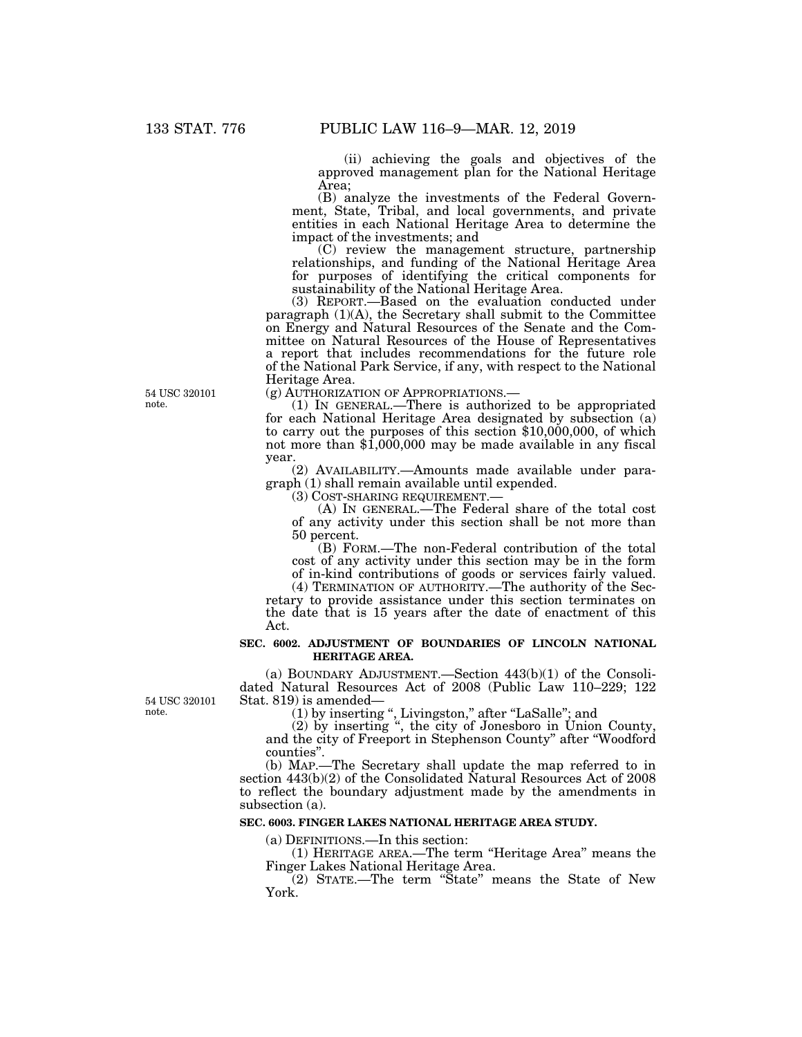(ii) achieving the goals and objectives of the approved management plan for the National Heritage Area;

(B) analyze the investments of the Federal Government, State, Tribal, and local governments, and private entities in each National Heritage Area to determine the impact of the investments; and

(C) review the management structure, partnership relationships, and funding of the National Heritage Area for purposes of identifying the critical components for sustainability of the National Heritage Area.

(3) REPORT.—Based on the evaluation conducted under paragraph (1)(A), the Secretary shall submit to the Committee on Energy and Natural Resources of the Senate and the Committee on Natural Resources of the House of Representatives a report that includes recommendations for the future role of the National Park Service, if any, with respect to the National Heritage Area.<br>(g) AUTHORIZATION OF APPROPRIATIONS.—

(1) IN GENERAL.—There is authorized to be appropriated for each National Heritage Area designated by subsection (a) to carry out the purposes of this section \$10,000,000, of which not more than \$1,000,000 may be made available in any fiscal year.

(2) AVAILABILITY.—Amounts made available under paragraph (1) shall remain available until expended.

(A) IN GENERAL.—The Federal share of the total cost of any activity under this section shall be not more than 50 percent.

(B) FORM.—The non-Federal contribution of the total cost of any activity under this section may be in the form of in-kind contributions of goods or services fairly valued.

(4) TERMINATION OF AUTHORITY.—The authority of the Secretary to provide assistance under this section terminates on the date that is 15 years after the date of enactment of this Act.

### **SEC. 6002. ADJUSTMENT OF BOUNDARIES OF LINCOLN NATIONAL HERITAGE AREA.**

(a) BOUNDARY ADJUSTMENT.—Section 443(b)(1) of the Consolidated Natural Resources Act of 2008 (Public Law 110–229; 122 Stat. 819) is amended—

(1) by inserting '', Livingston,'' after ''LaSalle''; and

(2) by inserting '', the city of Jonesboro in Union County, and the city of Freeport in Stephenson County'' after ''Woodford counties''.

(b) MAP.—The Secretary shall update the map referred to in section  $443(b)(2)$  of the Consolidated Natural Resources Act of 2008 to reflect the boundary adjustment made by the amendments in subsection (a).

#### **SEC. 6003. FINGER LAKES NATIONAL HERITAGE AREA STUDY.**

(a) DEFINITIONS.—In this section:

(1) HERITAGE AREA.—The term ''Heritage Area'' means the Finger Lakes National Heritage Area.

(2) STATE.—The term ''State'' means the State of New York.

54 USC 320101 note.

54 USC 320101

note.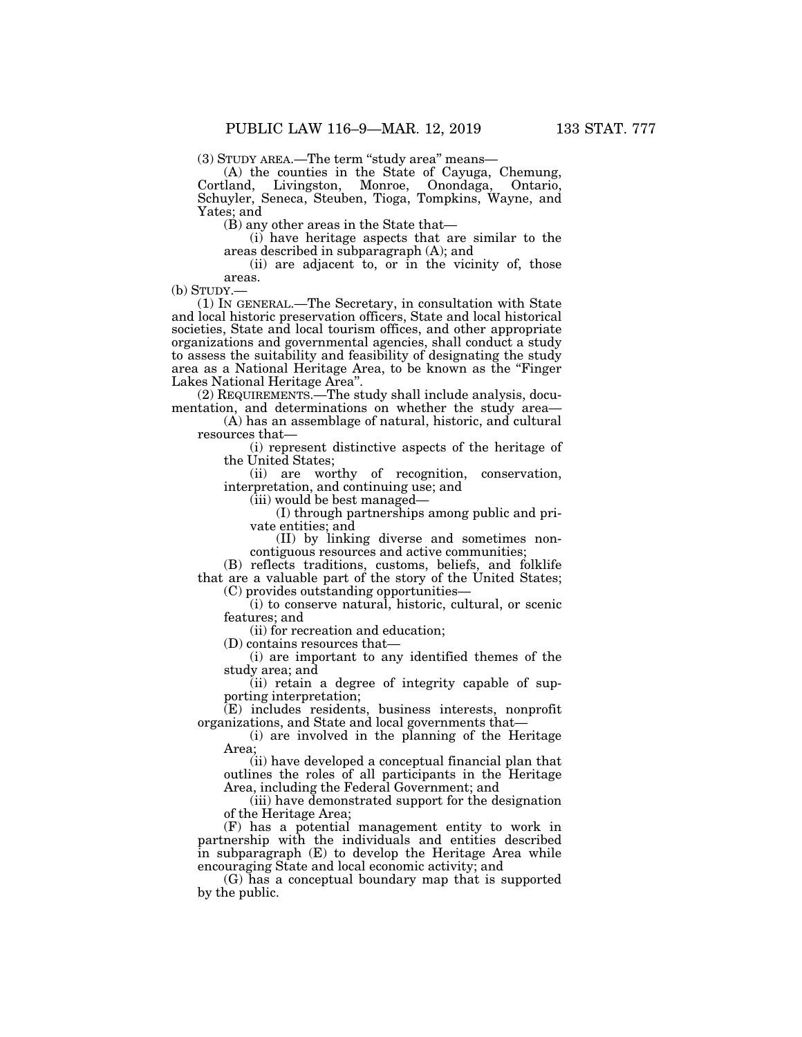(3) STUDY AREA.—The term ''study area'' means—

(A) the counties in the State of Cayuga, Chemung, Cortland, Livingston, Monroe, Onondaga, Ontario, Schuyler, Seneca, Steuben, Tioga, Tompkins, Wayne, and Yates; and

(B) any other areas in the State that—

(i) have heritage aspects that are similar to the areas described in subparagraph (A); and

(ii) are adjacent to, or in the vicinity of, those

areas.<br>(b) STUDY.—

 $(1)$  In GENERAL.—The Secretary, in consultation with State and local historic preservation officers, State and local historical societies, State and local tourism offices, and other appropriate organizations and governmental agencies, shall conduct a study to assess the suitability and feasibility of designating the study area as a National Heritage Area, to be known as the ''Finger Lakes National Heritage Area''.

(2) REQUIREMENTS.—The study shall include analysis, documentation, and determinations on whether the study area—

(A) has an assemblage of natural, historic, and cultural resources that—

(i) represent distinctive aspects of the heritage of the United States;

(ii) are worthy of recognition, conservation, interpretation, and continuing use; and

(iii) would be best managed—

(I) through partnerships among public and private entities; and

(II) by linking diverse and sometimes noncontiguous resources and active communities;

(B) reflects traditions, customs, beliefs, and folklife that are a valuable part of the story of the United States; (C) provides outstanding opportunities—

(i) to conserve natural, historic, cultural, or scenic features; and

(ii) for recreation and education;

(D) contains resources that—

(i) are important to any identified themes of the study area; and

(ii) retain a degree of integrity capable of supporting interpretation;

(E) includes residents, business interests, nonprofit organizations, and State and local governments that—

(i) are involved in the planning of the Heritage Area;

(ii) have developed a conceptual financial plan that outlines the roles of all participants in the Heritage Area, including the Federal Government; and

(iii) have demonstrated support for the designation of the Heritage Area;

(F) has a potential management entity to work in partnership with the individuals and entities described in subparagraph (E) to develop the Heritage Area while encouraging State and local economic activity; and

(G) has a conceptual boundary map that is supported by the public.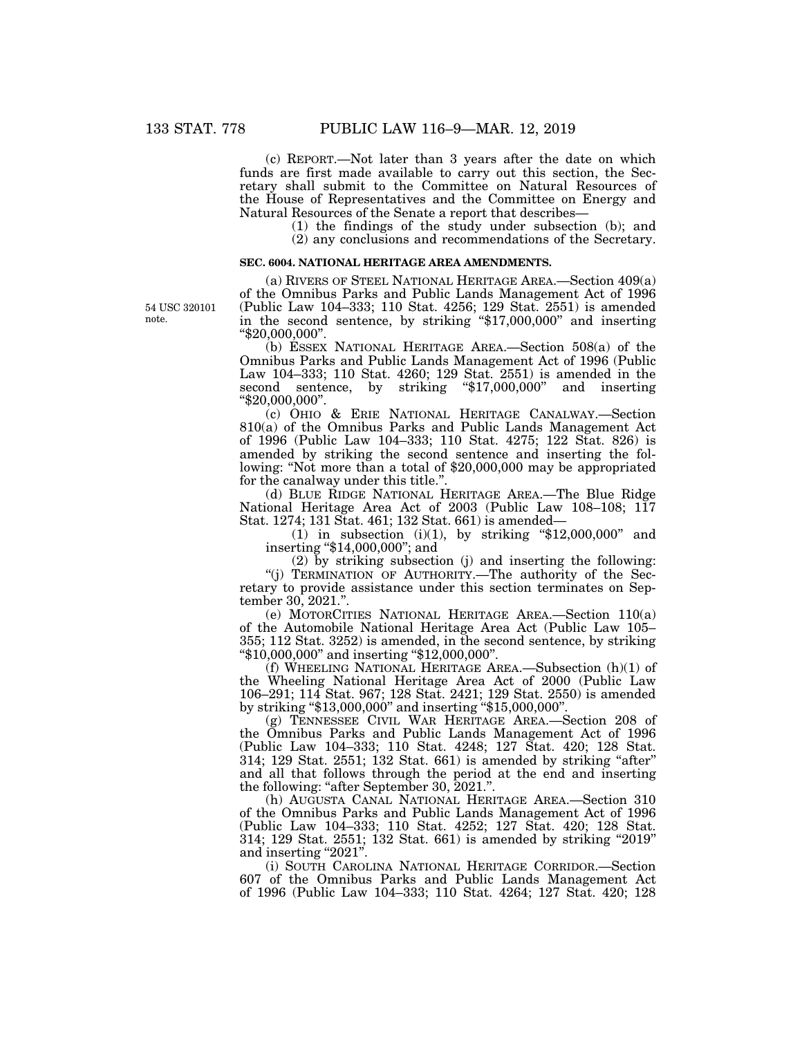(c) REPORT.—Not later than 3 years after the date on which funds are first made available to carry out this section, the Secretary shall submit to the Committee on Natural Resources of the House of Representatives and the Committee on Energy and Natural Resources of the Senate a report that describes—

> (1) the findings of the study under subsection (b); and (2) any conclusions and recommendations of the Secretary.

#### **SEC. 6004. NATIONAL HERITAGE AREA AMENDMENTS.**

54 USC 320101 note.

(a) RIVERS OF STEEL NATIONAL HERITAGE AREA.—Section 409(a) of the Omnibus Parks and Public Lands Management Act of 1996 (Public Law 104–333; 110 Stat. 4256; 129 Stat. 2551) is amended in the second sentence, by striking ''\$17,000,000'' and inserting ''\$20,000,000''.

(b) ESSEX NATIONAL HERITAGE AREA.—Section 508(a) of the Omnibus Parks and Public Lands Management Act of 1996 (Public Law 104–333; 110 Stat. 4260; 129 Stat. 2551) is amended in the second sentence, by striking "\$17,000,000" and inserting ''\$20,000,000''.

(c) OHIO & ERIE NATIONAL HERITAGE CANALWAY.—Section 810(a) of the Omnibus Parks and Public Lands Management Act of 1996 (Public Law 104–333; 110 Stat. 4275; 122 Stat. 826) is amended by striking the second sentence and inserting the following: "Not more than a total of \$20,000,000 may be appropriated for the canalway under this title.''.

(d) BLUE RIDGE NATIONAL HERITAGE AREA.—The Blue Ridge National Heritage Area Act of 2003 (Public Law 108–108; 117 Stat. 1274; 131 Stat. 461; 132 Stat. 661) is amended—

(1) in subsection (i)(1), by striking " $$12,000,000$ " and inserting ''\$14,000,000''; and

(2) by striking subsection (j) and inserting the following: ''(j) TERMINATION OF AUTHORITY.—The authority of the Secretary to provide assistance under this section terminates on September 30, 2021.

(e) MOTORCITIES NATIONAL HERITAGE AREA.—Section 110(a) of the Automobile National Heritage Area Act (Public Law 105– 355; 112 Stat. 3252) is amended, in the second sentence, by striking ''\$10,000,000'' and inserting ''\$12,000,000''.

(f) WHEELING NATIONAL HERITAGE AREA.—Subsection (h)(1) of the Wheeling National Heritage Area Act of 2000 (Public Law 106–291; 114 Stat. 967; 128 Stat. 2421; 129 Stat. 2550) is amended by striking ''\$13,000,000'' and inserting ''\$15,000,000''.

(g) TENNESSEE CIVIL WAR HERITAGE AREA.—Section 208 of the Omnibus Parks and Public Lands Management Act of 1996 (Public Law 104–333; 110 Stat. 4248; 127 Stat. 420; 128 Stat. 314; 129 Stat. 2551; 132 Stat. 661) is amended by striking "after" and all that follows through the period at the end and inserting the following: ''after September 30, 2021.''.

(h) AUGUSTA CANAL NATIONAL HERITAGE AREA.—Section 310 of the Omnibus Parks and Public Lands Management Act of 1996 (Public Law 104–333; 110 Stat. 4252; 127 Stat. 420; 128 Stat. 314; 129 Stat. 2551; 132 Stat. 661) is amended by striking ''2019'' and inserting "2021".

(i) SOUTH CAROLINA NATIONAL HERITAGE CORRIDOR.—Section 607 of the Omnibus Parks and Public Lands Management Act of 1996 (Public Law 104–333; 110 Stat. 4264; 127 Stat. 420; 128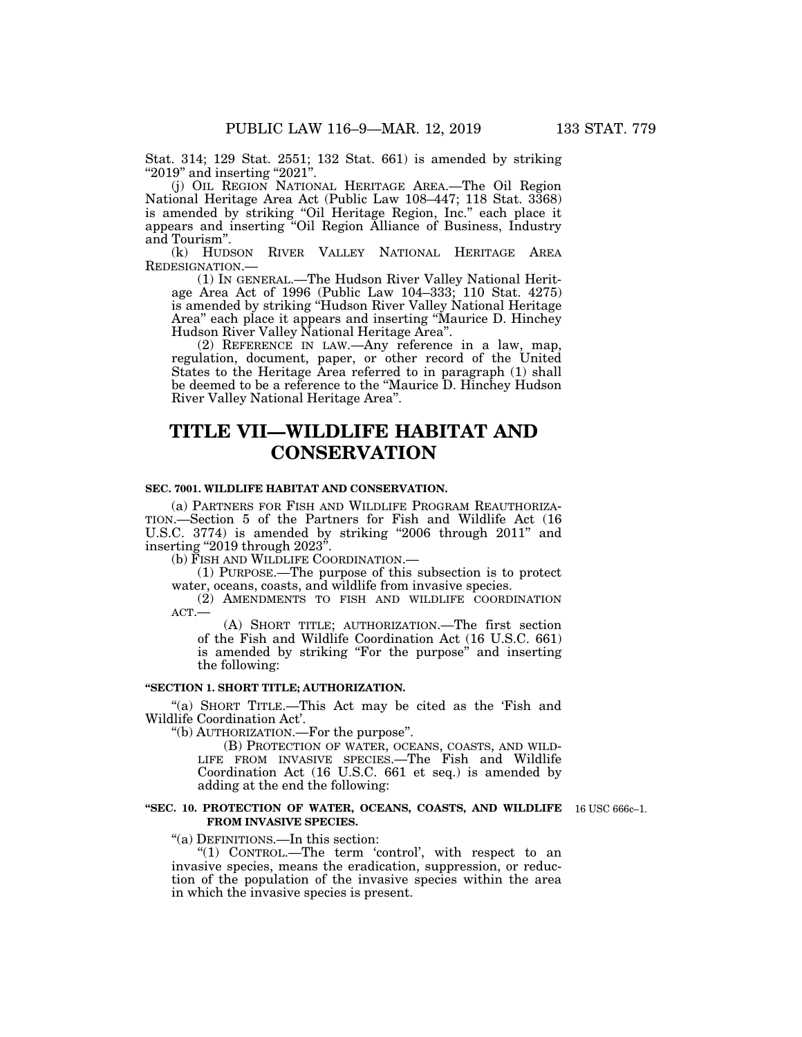Stat. 314; 129 Stat. 2551; 132 Stat. 661) is amended by striking "2019" and inserting "2021".

(j) OIL REGION NATIONAL HERITAGE AREA.—The Oil Region National Heritage Area Act (Public Law 108–447; 118 Stat. 3368) is amended by striking ''Oil Heritage Region, Inc.'' each place it appears and inserting ''Oil Region Alliance of Business, Industry and Tourism''.

(k) HUDSON RIVER VALLEY NATIONAL HERITAGE AREA REDESIGNATION.—

(1) IN GENERAL.—The Hudson River Valley National Heritage Area Act of 1996 (Public Law 104–333; 110 Stat. 4275) is amended by striking ''Hudson River Valley National Heritage Area'' each place it appears and inserting ''Maurice D. Hinchey Hudson River Valley National Heritage Area''.

(2) REFERENCE IN LAW.—Any reference in a law, map, regulation, document, paper, or other record of the United States to the Heritage Area referred to in paragraph (1) shall be deemed to be a reference to the ''Maurice D. Hinchey Hudson River Valley National Heritage Area''.

# **TITLE VII—WILDLIFE HABITAT AND CONSERVATION**

### **SEC. 7001. WILDLIFE HABITAT AND CONSERVATION.**

(a) PARTNERS FOR FISH AND WILDLIFE PROGRAM REAUTHORIZA-TION.—Section 5 of the Partners for Fish and Wildlife Act (16 U.S.C. 3774) is amended by striking "2006 through 2011" and inserting ''2019 through 2023''.

(b) FISH AND WILDLIFE COORDINATION.—

(1) PURPOSE.—The purpose of this subsection is to protect water, oceans, coasts, and wildlife from invasive species.

(2) AMENDMENTS TO FISH AND WILDLIFE COORDINATION ACT.—

(A) SHORT TITLE; AUTHORIZATION.—The first section of the Fish and Wildlife Coordination Act (16 U.S.C. 661) is amended by striking "For the purpose" and inserting the following:

## **''SECTION 1. SHORT TITLE; AUTHORIZATION.**

''(a) SHORT TITLE.—This Act may be cited as the 'Fish and Wildlife Coordination Act'.

''(b) AUTHORIZATION.—For the purpose''.

(B) PROTECTION OF WATER, OCEANS, COASTS, AND WILD-LIFE FROM INVASIVE SPECIES.—The Fish and Wildlife Coordination Act (16 U.S.C. 661 et seq.) is amended by adding at the end the following:

#### **''SEC. 10. PROTECTION OF WATER, OCEANS, COASTS, AND WILDLIFE**  16 USC 666c–1. **FROM INVASIVE SPECIES.**

''(a) DEFINITIONS.—In this section:

"(1) CONTROL.—The term 'control', with respect to an invasive species, means the eradication, suppression, or reduction of the population of the invasive species within the area in which the invasive species is present.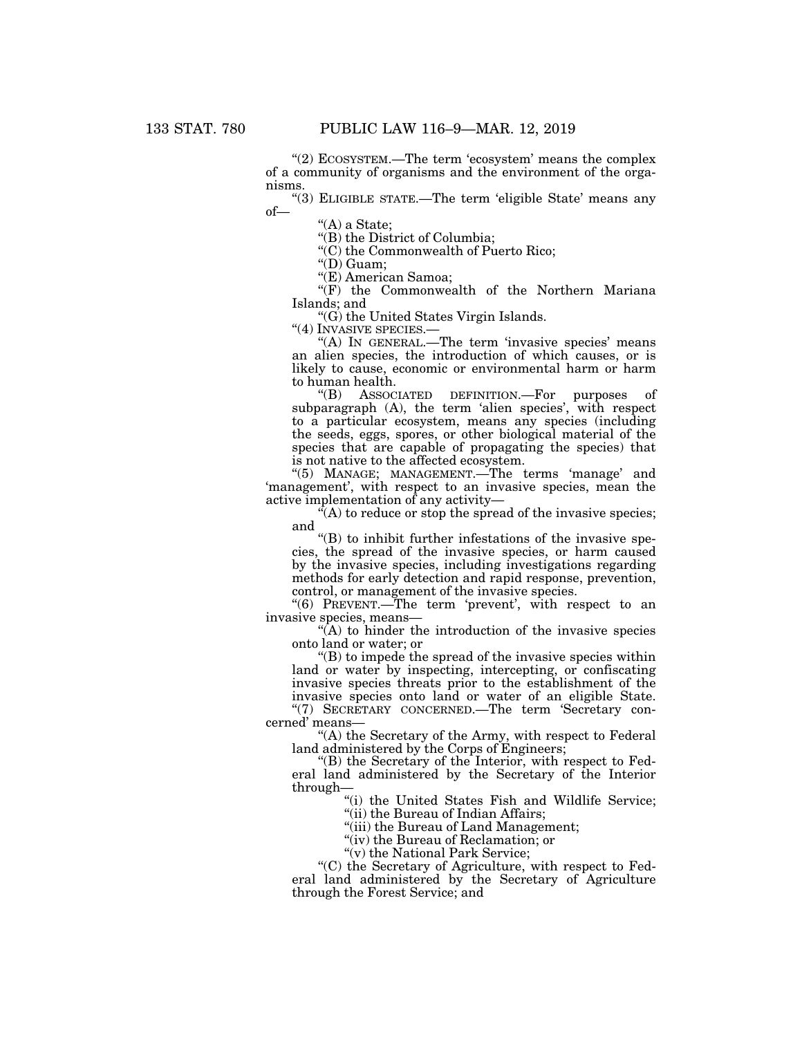"(2) ECOSYSTEM.—The term 'ecosystem' means the complex of a community of organisms and the environment of the organisms.

"(3) ELIGIBLE STATE.—The term 'eligible State' means any of—

''(A) a State;

''(B) the District of Columbia;

''(C) the Commonwealth of Puerto Rico;

''(D) Guam;

''(E) American Samoa;

''(F) the Commonwealth of the Northern Mariana Islands; and

"(G) the United States Virgin Islands.<br>"(4) INVASIVE SPECIES.—

"(A) IN GENERAL.—The term 'invasive species' means an alien species, the introduction of which causes, or is likely to cause, economic or environmental harm or harm to human health.

''(B) ASSOCIATED DEFINITION.—For purposes of subparagraph (A), the term 'alien species', with respect to a particular ecosystem, means any species (including the seeds, eggs, spores, or other biological material of the species that are capable of propagating the species) that is not native to the affected ecosystem.

"(5) MANAGE; MANAGEMENT.—The terms 'manage' and 'management', with respect to an invasive species, mean the active implementation of any activity—

 $(X<sup>n</sup>(A))$  to reduce or stop the spread of the invasive species; and

''(B) to inhibit further infestations of the invasive species, the spread of the invasive species, or harm caused by the invasive species, including investigations regarding methods for early detection and rapid response, prevention, control, or management of the invasive species.

"(6) PREVENT.—The term 'prevent', with respect to an invasive species, means—

 $(A)$  to hinder the introduction of the invasive species onto land or water; or

 $\mathrm{``(B)}$  to impede the spread of the invasive species within land or water by inspecting, intercepting, or confiscating invasive species threats prior to the establishment of the invasive species onto land or water of an eligible State. "(7) SECRETARY CONCERNED.—The term 'Secretary concerned' means—

''(A) the Secretary of the Army, with respect to Federal land administered by the Corps of Engineers;

''(B) the Secretary of the Interior, with respect to Federal land administered by the Secretary of the Interior through—

"(i) the United States Fish and Wildlife Service;

"(ii) the Bureau of Indian Affairs;

"(iii) the Bureau of Land Management;

"(iv) the Bureau of Reclamation; or

"(v) the National Park Service;

''(C) the Secretary of Agriculture, with respect to Federal land administered by the Secretary of Agriculture through the Forest Service; and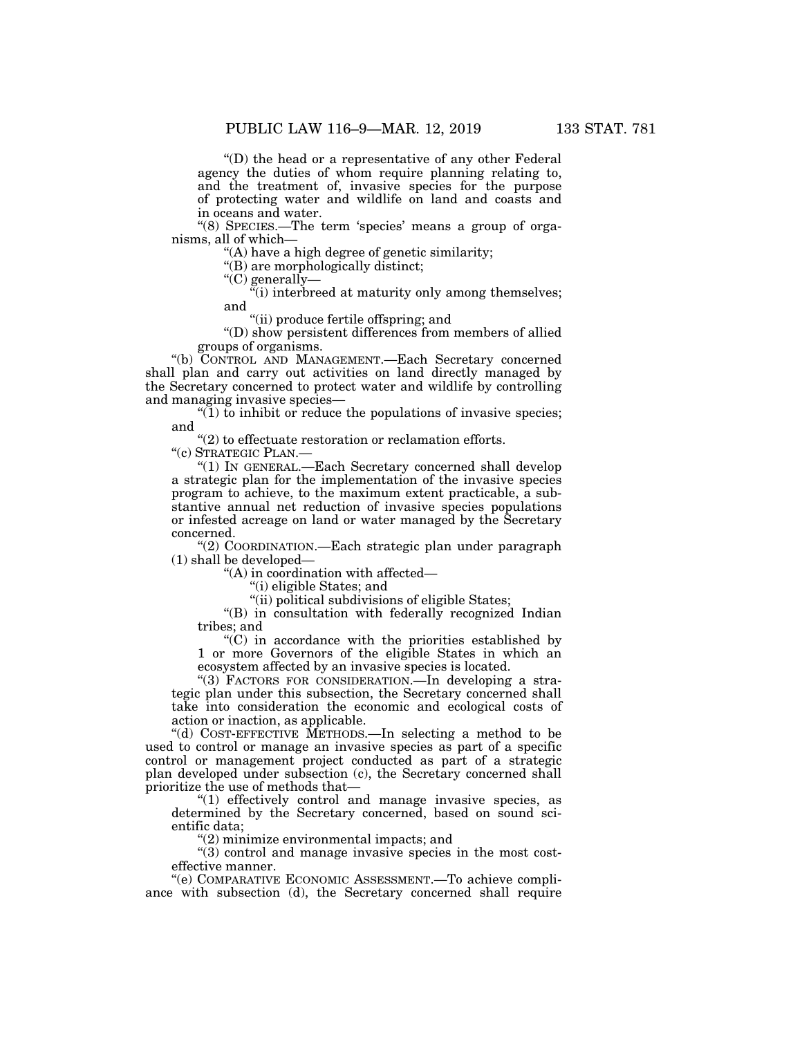''(D) the head or a representative of any other Federal agency the duties of whom require planning relating to, and the treatment of, invasive species for the purpose of protecting water and wildlife on land and coasts and in oceans and water.

"(8) SPECIES.—The term 'species' means a group of organisms, all of which—

''(A) have a high degree of genetic similarity;

"(B) are morphologically distinct;

''(C) generally—

"(i) interbreed at maturity only among themselves; and

''(ii) produce fertile offspring; and

''(D) show persistent differences from members of allied groups of organisms.

''(b) CONTROL AND MANAGEMENT.—Each Secretary concerned shall plan and carry out activities on land directly managed by the Secretary concerned to protect water and wildlife by controlling and managing invasive species—

" $(1)$  to inhibit or reduce the populations of invasive species; and

"(2) to effectuate restoration or reclamation efforts.

''(c) STRATEGIC PLAN.—

''(1) IN GENERAL.—Each Secretary concerned shall develop a strategic plan for the implementation of the invasive species program to achieve, to the maximum extent practicable, a substantive annual net reduction of invasive species populations or infested acreage on land or water managed by the Secretary concerned.

''(2) COORDINATION.—Each strategic plan under paragraph (1) shall be developed—

''(A) in coordination with affected—

''(i) eligible States; and

"(ii) political subdivisions of eligible States;

''(B) in consultation with federally recognized Indian tribes; and

 $C'$ (C) in accordance with the priorities established by 1 or more Governors of the eligible States in which an ecosystem affected by an invasive species is located.

"(3) FACTORS FOR CONSIDERATION.—In developing a strategic plan under this subsection, the Secretary concerned shall take into consideration the economic and ecological costs of action or inaction, as applicable.

''(d) COST-EFFECTIVE METHODS.—In selecting a method to be used to control or manage an invasive species as part of a specific control or management project conducted as part of a strategic plan developed under subsection (c), the Secretary concerned shall prioritize the use of methods that—

"(1) effectively control and manage invasive species, as determined by the Secretary concerned, based on sound scientific data;

''(2) minimize environmental impacts; and

 $''(3)$  control and manage invasive species in the most costeffective manner.

''(e) COMPARATIVE ECONOMIC ASSESSMENT.—To achieve compliance with subsection (d), the Secretary concerned shall require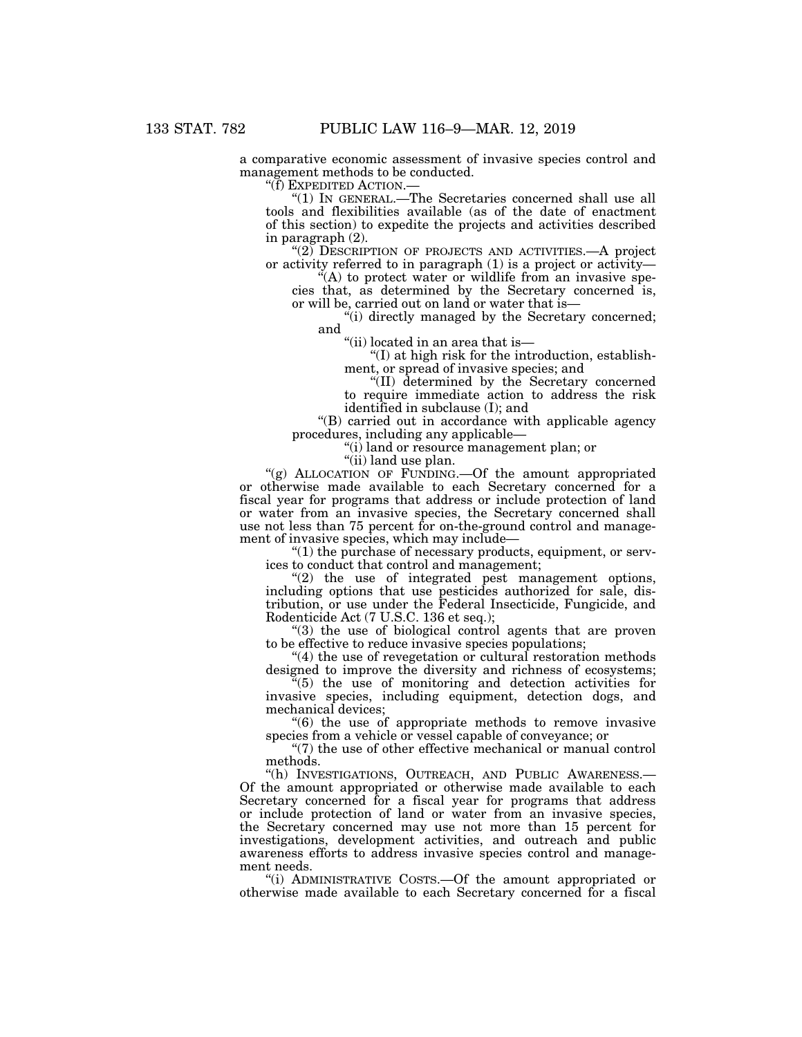a comparative economic assessment of invasive species control and management methods to be conducted.

''(f) EXPEDITED ACTION.—

'(1) IN GENERAL.—The Secretaries concerned shall use all tools and flexibilities available (as of the date of enactment of this section) to expedite the projects and activities described in paragraph (2).

"(2) DESCRIPTION OF PROJECTS AND ACTIVITIES.—A project or activity referred to in paragraph (1) is a project or activity—

"(A) to protect water or wildlife from an invasive species that, as determined by the Secretary concerned is, or will be, carried out on land or water that is—

"(i) directly managed by the Secretary concerned; and

''(ii) located in an area that is—

 $\mathrm{``(I)}$  at high risk for the introduction, establishment, or spread of invasive species; and

"(II) determined by the Secretary concerned to require immediate action to address the risk identified in subclause (I); and

''(B) carried out in accordance with applicable agency procedures, including any applicable—

''(i) land or resource management plan; or

 $\hat{f}$ (ii) land use plan.

"(g) ALLOCATION OF FUNDING.—Of the amount appropriated or otherwise made available to each Secretary concerned for a fiscal year for programs that address or include protection of land or water from an invasive species, the Secretary concerned shall use not less than 75 percent for on-the-ground control and management of invasive species, which may include—

 $(1)$  the purchase of necessary products, equipment, or services to conduct that control and management;

"(2) the use of integrated pest management options, including options that use pesticides authorized for sale, distribution, or use under the Federal Insecticide, Fungicide, and Rodenticide Act (7 U.S.C. 136 et seq.);

''(3) the use of biological control agents that are proven to be effective to reduce invasive species populations;

"(4) the use of revegetation or cultural restoration methods designed to improve the diversity and richness of ecosystems;

''(5) the use of monitoring and detection activities for invasive species, including equipment, detection dogs, and mechanical devices;

''(6) the use of appropriate methods to remove invasive species from a vehicle or vessel capable of conveyance; or

"(7) the use of other effective mechanical or manual control methods.

''(h) INVESTIGATIONS, OUTREACH, AND PUBLIC AWARENESS.— Of the amount appropriated or otherwise made available to each Secretary concerned for a fiscal year for programs that address or include protection of land or water from an invasive species, the Secretary concerned may use not more than 15 percent for investigations, development activities, and outreach and public awareness efforts to address invasive species control and management needs.

''(i) ADMINISTRATIVE COSTS.—Of the amount appropriated or otherwise made available to each Secretary concerned for a fiscal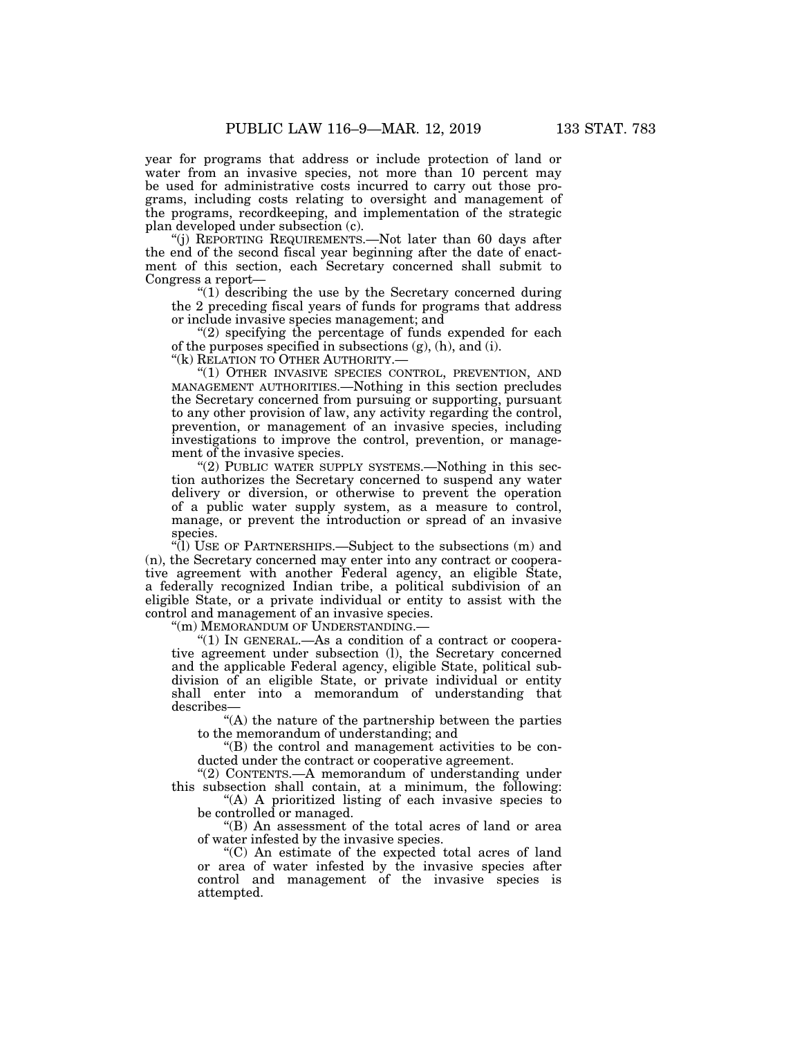year for programs that address or include protection of land or water from an invasive species, not more than 10 percent may be used for administrative costs incurred to carry out those programs, including costs relating to oversight and management of the programs, recordkeeping, and implementation of the strategic plan developed under subsection (c).

''(j) REPORTING REQUIREMENTS.—Not later than 60 days after the end of the second fiscal year beginning after the date of enactment of this section, each Secretary concerned shall submit to Congress a report—

''(1) describing the use by the Secretary concerned during the 2 preceding fiscal years of funds for programs that address or include invasive species management; and

 $(2)$  specifying the percentage of funds expended for each of the purposes specified in subsections (g), (h), and (i).

''(k) RELATION TO OTHER AUTHORITY.—

''(1) OTHER INVASIVE SPECIES CONTROL, PREVENTION, AND MANAGEMENT AUTHORITIES.—Nothing in this section precludes the Secretary concerned from pursuing or supporting, pursuant to any other provision of law, any activity regarding the control, prevention, or management of an invasive species, including investigations to improve the control, prevention, or management of the invasive species.

" $(2)$  PUBLIC WATER SUPPLY SYSTEMS.—Nothing in this section authorizes the Secretary concerned to suspend any water delivery or diversion, or otherwise to prevent the operation of a public water supply system, as a measure to control, manage, or prevent the introduction or spread of an invasive species.

''(l) USE OF PARTNERSHIPS.—Subject to the subsections (m) and (n), the Secretary concerned may enter into any contract or cooperative agreement with another Federal agency, an eligible State, a federally recognized Indian tribe, a political subdivision of an eligible State, or a private individual or entity to assist with the control and management of an invasive species.

''(m) MEMORANDUM OF UNDERSTANDING.—

"(1) IN GENERAL.—As a condition of a contract or cooperative agreement under subsection (l), the Secretary concerned and the applicable Federal agency, eligible State, political subdivision of an eligible State, or private individual or entity shall enter into a memorandum of understanding that describes—

"(A) the nature of the partnership between the parties to the memorandum of understanding; and

''(B) the control and management activities to be conducted under the contract or cooperative agreement.

''(2) CONTENTS.—A memorandum of understanding under this subsection shall contain, at a minimum, the following:

"(A) A prioritized listing of each invasive species to be controlled or managed.

''(B) An assessment of the total acres of land or area of water infested by the invasive species.

''(C) An estimate of the expected total acres of land or area of water infested by the invasive species after control and management of the invasive species is attempted.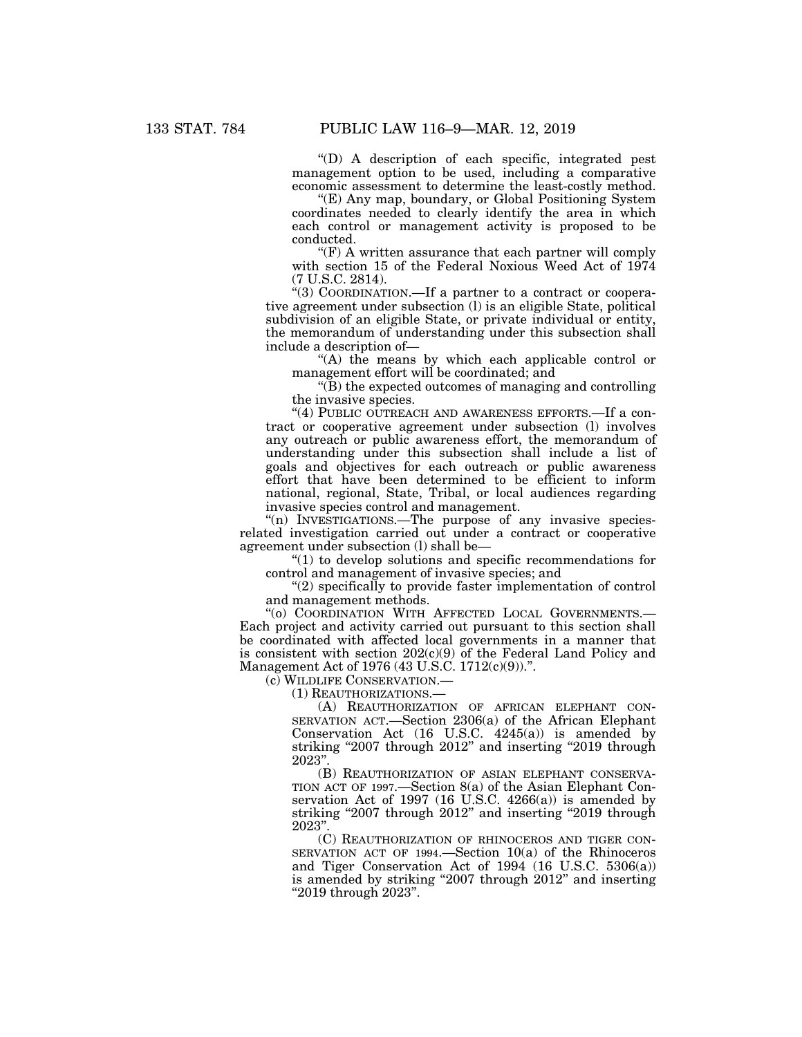''(D) A description of each specific, integrated pest management option to be used, including a comparative economic assessment to determine the least-costly method.

''(E) Any map, boundary, or Global Positioning System coordinates needed to clearly identify the area in which each control or management activity is proposed to be conducted.

 $\mathcal{F}(F)$  A written assurance that each partner will comply with section 15 of the Federal Noxious Weed Act of 1974 (7 U.S.C. 2814).

''(3) COORDINATION.—If a partner to a contract or cooperative agreement under subsection (l) is an eligible State, political subdivision of an eligible State, or private individual or entity, the memorandum of understanding under this subsection shall include a description of—

''(A) the means by which each applicable control or management effort will be coordinated; and

''(B) the expected outcomes of managing and controlling the invasive species.

"(4) PUBLIC OUTREACH AND AWARENESS EFFORTS.—If a contract or cooperative agreement under subsection (l) involves any outreach or public awareness effort, the memorandum of understanding under this subsection shall include a list of goals and objectives for each outreach or public awareness effort that have been determined to be efficient to inform national, regional, State, Tribal, or local audiences regarding invasive species control and management.

"(n) INVESTIGATIONS.—The purpose of any invasive speciesrelated investigation carried out under a contract or cooperative agreement under subsection (l) shall be—

 $''(1)$  to develop solutions and specific recommendations for control and management of invasive species; and

''(2) specifically to provide faster implementation of control and management methods.

''(o) COORDINATION WITH AFFECTED LOCAL GOVERNMENTS.— Each project and activity carried out pursuant to this section shall be coordinated with affected local governments in a manner that is consistent with section  $202(c)(9)$  of the Federal Land Policy and Management Act of 1976 (43 U.S.C. 1712(c)(9)).''.

(c) WILDLIFE CONSERVATION.—

(1) REAUTHORIZATIONS.—

(A) REAUTHORIZATION OF AFRICAN ELEPHANT CON-SERVATION ACT.—Section 2306(a) of the African Elephant Conservation Act (16 U.S.C. 4245(a)) is amended by striking "2007 through 2012" and inserting "2019 through 2023''.

(B) REAUTHORIZATION OF ASIAN ELEPHANT CONSERVA-TION ACT OF 1997.—Section 8(a) of the Asian Elephant Conservation Act of 1997 (16 U.S.C. 4266(a)) is amended by striking "2007 through 2012" and inserting "2019 through 2023''.

(C) REAUTHORIZATION OF RHINOCEROS AND TIGER CON-SERVATION ACT OF 1994.—Section 10(a) of the Rhinoceros and Tiger Conservation Act of 1994 (16 U.S.C. 5306(a)) is amended by striking "2007 through 2012" and inserting ''2019 through 2023''.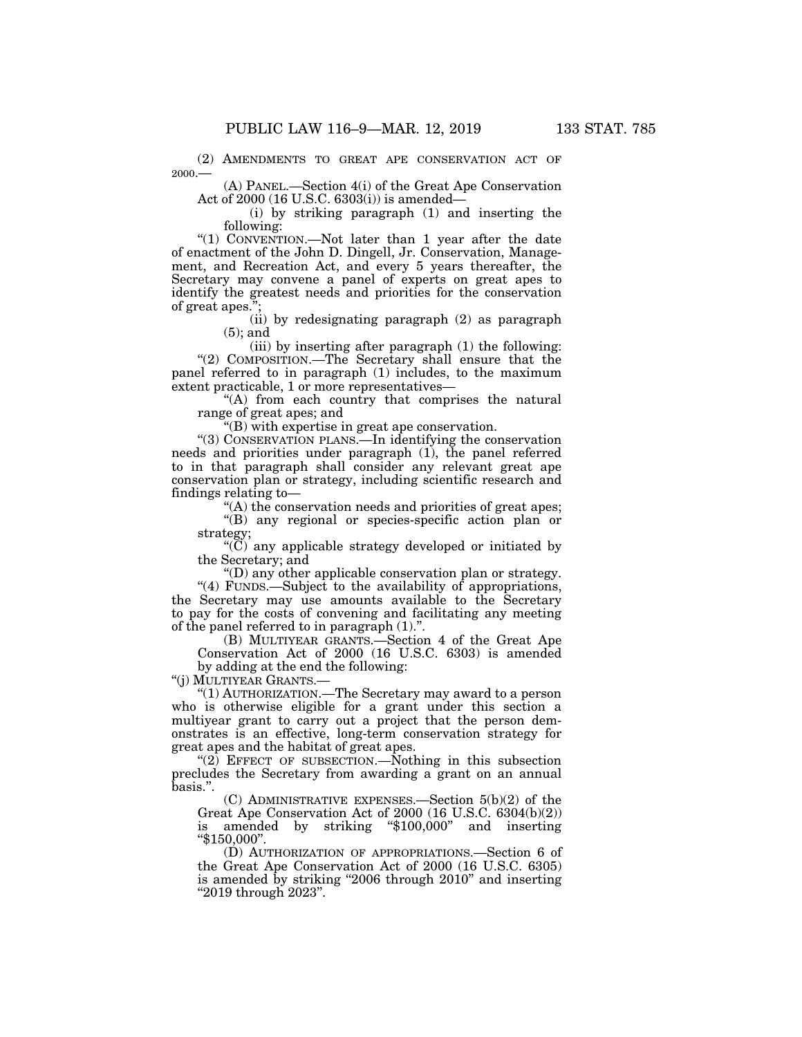(2) AMENDMENTS TO GREAT APE CONSERVATION ACT OF 2000.—

(A) PANEL.—Section 4(i) of the Great Ape Conservation Act of 2000 (16 U.S.C. 6303(i)) is amended—

(i) by striking paragraph (1) and inserting the following:

"(1) CONVENTION.—Not later than 1 year after the date of enactment of the John D. Dingell, Jr. Conservation, Management, and Recreation Act, and every 5 years thereafter, the Secretary may convene a panel of experts on great apes to identify the greatest needs and priorities for the conservation of great apes.'

> (ii) by redesignating paragraph (2) as paragraph (5); and

(iii) by inserting after paragraph (1) the following: "(2) COMPOSITION.—The Secretary shall ensure that the panel referred to in paragraph (1) includes, to the maximum extent practicable, 1 or more representatives—

"(A) from each country that comprises the natural range of great apes; and

''(B) with expertise in great ape conservation.

''(3) CONSERVATION PLANS.—In identifying the conservation needs and priorities under paragraph (1), the panel referred to in that paragraph shall consider any relevant great ape conservation plan or strategy, including scientific research and findings relating to—

''(A) the conservation needs and priorities of great apes;

''(B) any regional or species-specific action plan or strategy;

" $(\overline{C})$  any applicable strategy developed or initiated by the Secretary; and

''(D) any other applicable conservation plan or strategy.

"(4) FUNDS.—Subject to the availability of appropriations, the Secretary may use amounts available to the Secretary to pay for the costs of convening and facilitating any meeting of the panel referred to in paragraph (1).''.

(B) MULTIYEAR GRANTS.—Section 4 of the Great Ape Conservation Act of 2000 (16 U.S.C. 6303) is amended by adding at the end the following:

''(j) MULTIYEAR GRANTS.—

''(1) AUTHORIZATION.—The Secretary may award to a person who is otherwise eligible for a grant under this section a multiyear grant to carry out a project that the person demonstrates is an effective, long-term conservation strategy for great apes and the habitat of great apes.

"(2) EFFECT OF SUBSECTION.—Nothing in this subsection precludes the Secretary from awarding a grant on an annual basis.''.

(C) ADMINISTRATIVE EXPENSES.—Section 5(b)(2) of the Great Ape Conservation Act of 2000 (16 U.S.C. 6304(b)(2)) is amended by striking "\$100,000" and inserting ''\$150,000''.

(D) AUTHORIZATION OF APPROPRIATIONS.—Section 6 of the Great Ape Conservation Act of 2000 (16 U.S.C. 6305) is amended by striking "2006 through 2010" and inserting ''2019 through 2023''.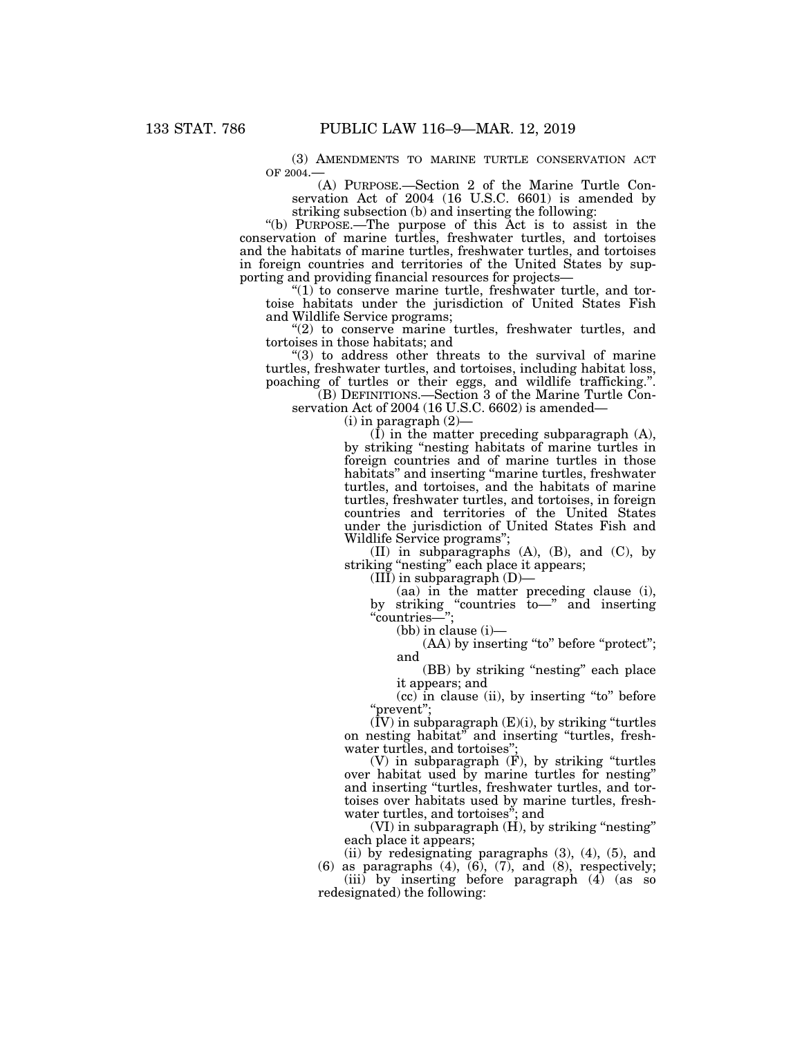(3) AMENDMENTS TO MARINE TURTLE CONSERVATION ACT OF 2004.—

(A) PURPOSE.—Section 2 of the Marine Turtle Conservation Act of 2004 (16 U.S.C. 6601) is amended by striking subsection (b) and inserting the following:

''(b) PURPOSE.—The purpose of this Act is to assist in the conservation of marine turtles, freshwater turtles, and tortoises and the habitats of marine turtles, freshwater turtles, and tortoises in foreign countries and territories of the United States by supporting and providing financial resources for projects—

" $(1)$  to conserve marine turtle, freshwater turtle, and tortoise habitats under the jurisdiction of United States Fish and Wildlife Service programs;

"(2) to conserve marine turtles, freshwater turtles, and tortoises in those habitats; and

''(3) to address other threats to the survival of marine turtles, freshwater turtles, and tortoises, including habitat loss, poaching of turtles or their eggs, and wildlife trafficking.''.

(B) DEFINITIONS.—Section 3 of the Marine Turtle Conservation Act of 2004 (16 U.S.C. 6602) is amended—

 $(i)$  in paragraph  $(2)$ —

(I) in the matter preceding subparagraph (A), by striking "nesting habitats of marine turtles in foreign countries and of marine turtles in those habitats" and inserting "marine turtles, freshwater turtles, and tortoises, and the habitats of marine turtles, freshwater turtles, and tortoises, in foreign countries and territories of the United States under the jurisdiction of United States Fish and Wildlife Service programs'';

(II) in subparagraphs (A), (B), and (C), by striking "nesting" each place it appears;

 $(III)$  in subparagraph  $(D)$ -

(aa) in the matter preceding clause (i), by striking ''countries to—'' and inserting ''countries—'';

(bb) in clause (i)—

(AA) by inserting "to" before "protect"; and

(BB) by striking ''nesting'' each place it appears; and

 $(cc)$  in clause (ii), by inserting "to" before ''prevent'';

 $(IV)$  in subparagraph  $(E)(i)$ , by striking "turtles on nesting habitat'' and inserting ''turtles, freshwater turtles, and tortoises'';

(V) in subparagraph (F), by striking ''turtles over habitat used by marine turtles for nesting'' and inserting ''turtles, freshwater turtles, and tortoises over habitats used by marine turtles, freshwater turtles, and tortoises''; and

 $(VI)$  in subparagraph  $(H)$ , by striking "nesting" each place it appears;

(ii) by redesignating paragraphs  $(3)$ ,  $(4)$ ,  $(5)$ , and  $(6)$  as paragraphs  $(4)$ ,  $(6)$ ,  $(7)$ , and  $(8)$ , respectively;

(iii) by inserting before paragraph (4) (as so redesignated) the following: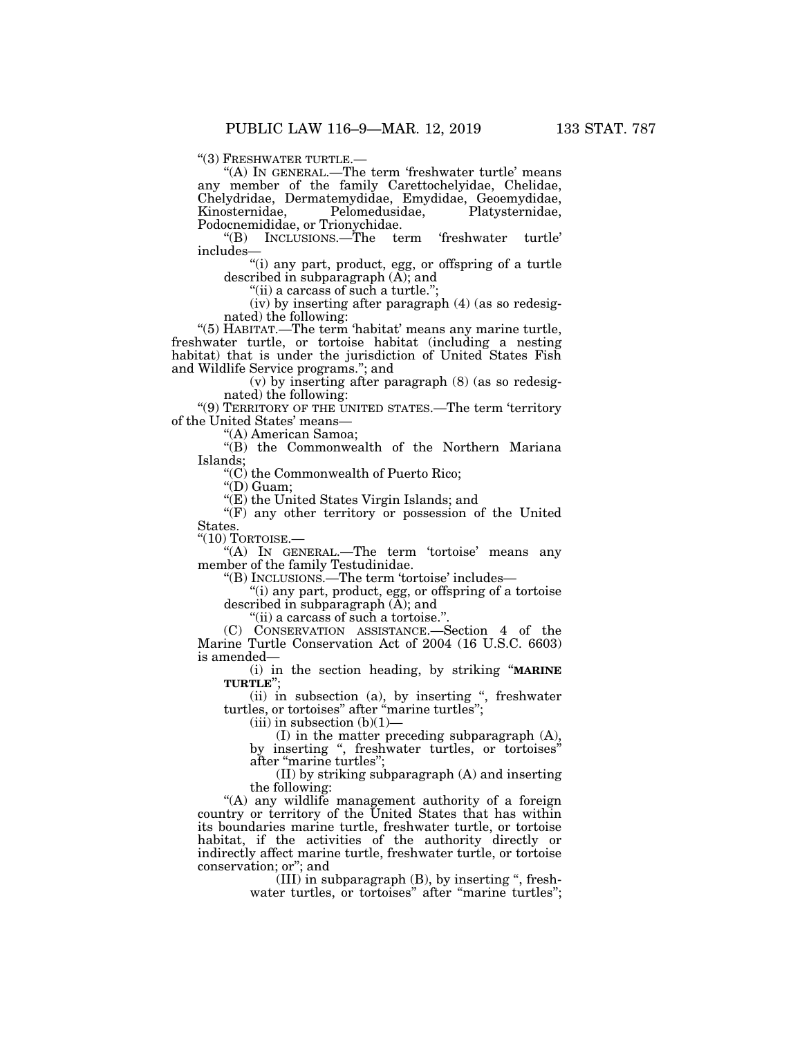''(3) FRESHWATER TURTLE.— ''(A) IN GENERAL.—The term 'freshwater turtle' means any member of the family Carettochelyidae, Chelidae, Chelydridae, Dermatemydidae, Emydidae, Geoemydidae, Kinosternidae, Pelomedusidae, Platysternidae, Podocnemididae, or Trionychidae.<br>
"(B) INCLUSIONS.—The te

term 'freshwater turtle' includes—

''(i) any part, product, egg, or offspring of a turtle described in subparagraph (A); and

"(ii) a carcass of such a turtle.";

(iv) by inserting after paragraph (4) (as so redesignated) the following:

''(5) HABITAT.—The term 'habitat' means any marine turtle, freshwater turtle, or tortoise habitat (including a nesting habitat) that is under the jurisdiction of United States Fish and Wildlife Service programs.''; and

(v) by inserting after paragraph (8) (as so redesignated) the following:

"(9) TERRITORY OF THE UNITED STATES.—The term 'territory of the United States' means—

''(A) American Samoa;

''(B) the Commonwealth of the Northern Mariana Islands;

''(C) the Commonwealth of Puerto Rico;

''(D) Guam;

''(E) the United States Virgin Islands; and

 $f(F)$  any other territory or possession of the United States.

 $"$ (10) TORTOISE. $-$ 

''(A) IN GENERAL.—The term 'tortoise' means any member of the family Testudinidae.

''(B) INCLUSIONS.—The term 'tortoise' includes—

''(i) any part, product, egg, or offspring of a tortoise described in subparagraph  $(\overline{A})$ ; and

"(ii) a carcass of such a tortoise."

(C) CONSERVATION ASSISTANCE.—Section 4 of the Marine Turtle Conservation Act of 2004 (16 U.S.C. 6603) is amended—

(i) in the section heading, by striking ''**MARINE TURTLE**'';

(ii) in subsection (a), by inserting '', freshwater turtles, or tortoises'' after ''marine turtles'';

 $(iii)$  in subsection  $(b)(1)$ —

(I) in the matter preceding subparagraph (A), by inserting ", freshwater turtles, or tortoises" after ''marine turtles'';

(II) by striking subparagraph (A) and inserting the following:

''(A) any wildlife management authority of a foreign country or territory of the United States that has within its boundaries marine turtle, freshwater turtle, or tortoise habitat, if the activities of the authority directly or indirectly affect marine turtle, freshwater turtle, or tortoise conservation; or''; and

 $(III)$  in subparagraph  $(B)$ , by inserting ", freshwater turtles, or tortoises" after "marine turtles";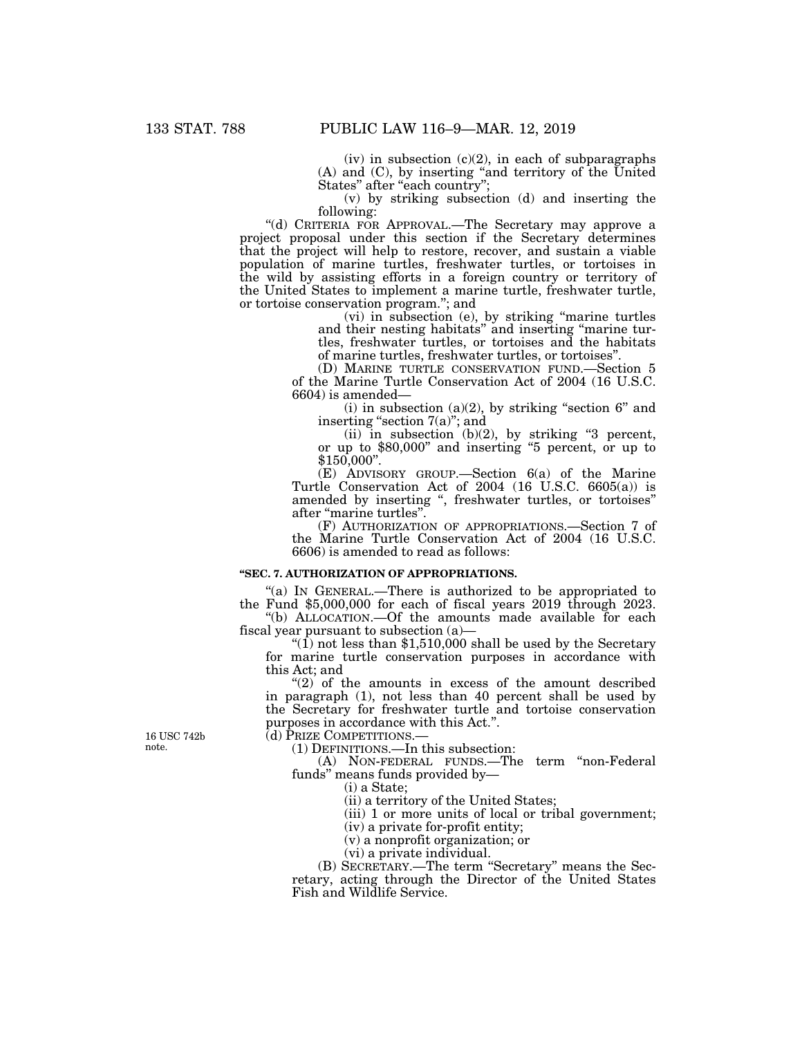$(iv)$  in subsection  $(c)(2)$ , in each of subparagraphs (A) and (C), by inserting ''and territory of the United States" after "each country";

(v) by striking subsection (d) and inserting the following:

''(d) CRITERIA FOR APPROVAL.—The Secretary may approve a project proposal under this section if the Secretary determines that the project will help to restore, recover, and sustain a viable population of marine turtles, freshwater turtles, or tortoises in the wild by assisting efforts in a foreign country or territory of the United States to implement a marine turtle, freshwater turtle, or tortoise conservation program.''; and

(vi) in subsection (e), by striking ''marine turtles and their nesting habitats'' and inserting ''marine turtles, freshwater turtles, or tortoises and the habitats of marine turtles, freshwater turtles, or tortoises''.

(D) MARINE TURTLE CONSERVATION FUND.—Section 5 of the Marine Turtle Conservation Act of 2004 (16 U.S.C. 6604) is amended—

(i) in subsection (a)(2), by striking "section  $6"$  and inserting "section  $7(a)$ "; and

(ii) in subsection  $(b)(2)$ , by striking "3 percent, or up to \$80,000'' and inserting ''5 percent, or up to \$150,000''.

(E) ADVISORY GROUP.—Section 6(a) of the Marine Turtle Conservation Act of 2004 (16 U.S.C. 6605(a)) is amended by inserting '', freshwater turtles, or tortoises'' after ''marine turtles''.

(F) AUTHORIZATION OF APPROPRIATIONS.—Section 7 of the Marine Turtle Conservation Act of 2004 (16 U.S.C. 6606) is amended to read as follows:

#### **''SEC. 7. AUTHORIZATION OF APPROPRIATIONS.**

"(a) IN GENERAL.—There is authorized to be appropriated to the Fund \$5,000,000 for each of fiscal years 2019 through 2023.

''(b) ALLOCATION.—Of the amounts made available for each fiscal year pursuant to subsection (a)—

" $(1)$  not less than \$1,510,000 shall be used by the Secretary for marine turtle conservation purposes in accordance with this Act; and

" $(2)$  of the amounts in excess of the amount described in paragraph (1), not less than 40 percent shall be used by the Secretary for freshwater turtle and tortoise conservation purposes in accordance with this Act.''.

16 USC 742b note.

(d) PRIZE COMPETITIONS.—

(1) DEFINITIONS.—In this subsection:

(A) NON-FEDERAL FUNDS.—The term ''non-Federal funds'' means funds provided by—

(i) a State;

(ii) a territory of the United States;

(iii) 1 or more units of local or tribal government;

(iv) a private for-profit entity;

(v) a nonprofit organization; or

(vi) a private individual.

(B) SECRETARY.—The term ''Secretary'' means the Secretary, acting through the Director of the United States Fish and Wildlife Service.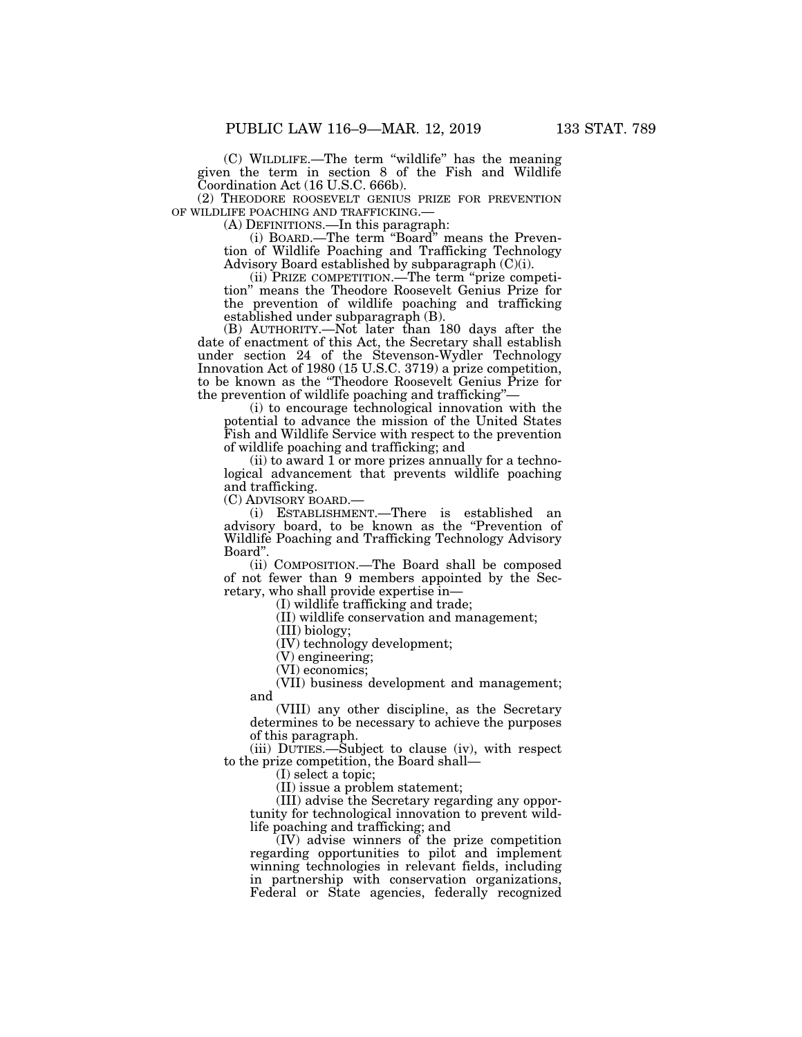(C) WILDLIFE.—The term ''wildlife'' has the meaning given the term in section 8 of the Fish and Wildlife Coordination Act (16 U.S.C. 666b).

(2) THEODORE ROOSEVELT GENIUS PRIZE FOR PREVENTION<br>OF WILDLIFE POACHING AND TRAFFICKING.—

(A) DEFINITIONS.—In this paragraph:

(i) BOARD.—The term ''Board'' means the Prevention of Wildlife Poaching and Trafficking Technology Advisory Board established by subparagraph (C)(i).

(ii) PRIZE COMPETITION.—The term ''prize competition'' means the Theodore Roosevelt Genius Prize for the prevention of wildlife poaching and trafficking established under subparagraph (B).

(B) AUTHORITY.—Not later than 180 days after the date of enactment of this Act, the Secretary shall establish under section 24 of the Stevenson-Wydler Technology Innovation Act of 1980 (15 U.S.C. 3719) a prize competition, to be known as the ''Theodore Roosevelt Genius Prize for the prevention of wildlife poaching and trafficking''—

(i) to encourage technological innovation with the potential to advance the mission of the United States Fish and Wildlife Service with respect to the prevention of wildlife poaching and trafficking; and

(ii) to award 1 or more prizes annually for a technological advancement that prevents wildlife poaching and trafficking.

(C) ADVISORY BOARD.—

(i) ESTABLISHMENT.—There is established an advisory board, to be known as the ''Prevention of Wildlife Poaching and Trafficking Technology Advisory Board''.

(ii) COMPOSITION.—The Board shall be composed of not fewer than 9 members appointed by the Secretary, who shall provide expertise in—

(I) wildlife trafficking and trade;

(II) wildlife conservation and management;

(III) biology;

(IV) technology development;

(V) engineering;

(VI) economics;

(VII) business development and management; and

(VIII) any other discipline, as the Secretary determines to be necessary to achieve the purposes of this paragraph.

(iii) DUTIES.—Subject to clause (iv), with respect to the prize competition, the Board shall—

(I) select a topic;

(II) issue a problem statement;

(III) advise the Secretary regarding any opportunity for technological innovation to prevent wildlife poaching and trafficking; and

(IV) advise winners of the prize competition regarding opportunities to pilot and implement winning technologies in relevant fields, including in partnership with conservation organizations, Federal or State agencies, federally recognized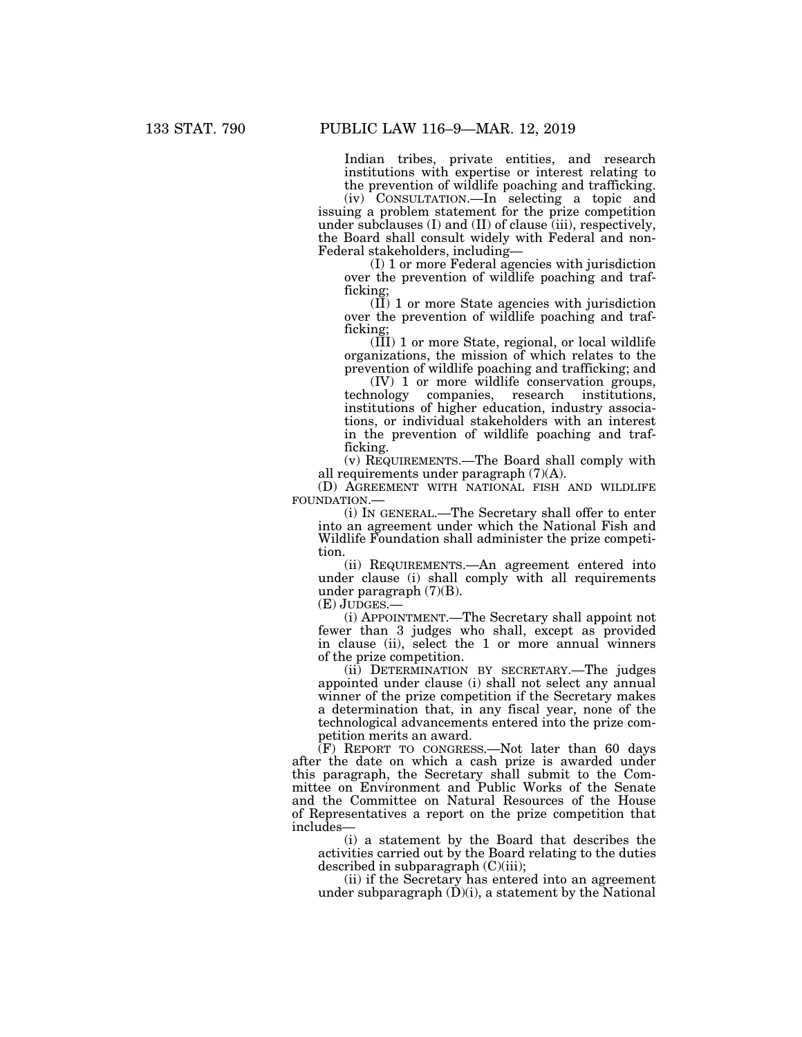Indian tribes, private entities, and research institutions with expertise or interest relating to the prevention of wildlife poaching and trafficking.

(iv) CONSULTATION.—In selecting a topic and issuing a problem statement for the prize competition under subclauses  $(I)$  and  $(II)$  of clause  $(iii)$ , respectively, the Board shall consult widely with Federal and non-Federal stakeholders, including—

(I) 1 or more Federal agencies with jurisdiction over the prevention of wildlife poaching and trafficking;

(II) 1 or more State agencies with jurisdiction over the prevention of wildlife poaching and trafficking;

(III) 1 or more State, regional, or local wildlife organizations, the mission of which relates to the prevention of wildlife poaching and trafficking; and

(IV) 1 or more wildlife conservation groups, companies, research institutions, institutions of higher education, industry associations, or individual stakeholders with an interest in the prevention of wildlife poaching and trafficking.

(v) REQUIREMENTS.—The Board shall comply with all requirements under paragraph (7)(A).

(D) AGREEMENT WITH NATIONAL FISH AND WILDLIFE FOUNDATION.—

(i) IN GENERAL.—The Secretary shall offer to enter into an agreement under which the National Fish and Wildlife Foundation shall administer the prize competition.

(ii) REQUIREMENTS.—An agreement entered into under clause (i) shall comply with all requirements under paragraph (7)(B).<br>(E) JUDGES.—

(i) APPOINTMENT.—The Secretary shall appoint not fewer than 3 judges who shall, except as provided in clause (ii), select the 1 or more annual winners of the prize competition.

(ii) DETERMINATION BY SECRETARY.—The judges appointed under clause (i) shall not select any annual winner of the prize competition if the Secretary makes a determination that, in any fiscal year, none of the technological advancements entered into the prize competition merits an award.

(F) REPORT TO CONGRESS.—Not later than 60 days after the date on which a cash prize is awarded under this paragraph, the Secretary shall submit to the Committee on Environment and Public Works of the Senate and the Committee on Natural Resources of the House of Representatives a report on the prize competition that includes—

(i) a statement by the Board that describes the activities carried out by the Board relating to the duties described in subparagraph  $(C)(iii)$ ;

(ii) if the Secretary has entered into an agreement under subparagraph  $(\dot{D})(i)$ , a statement by the National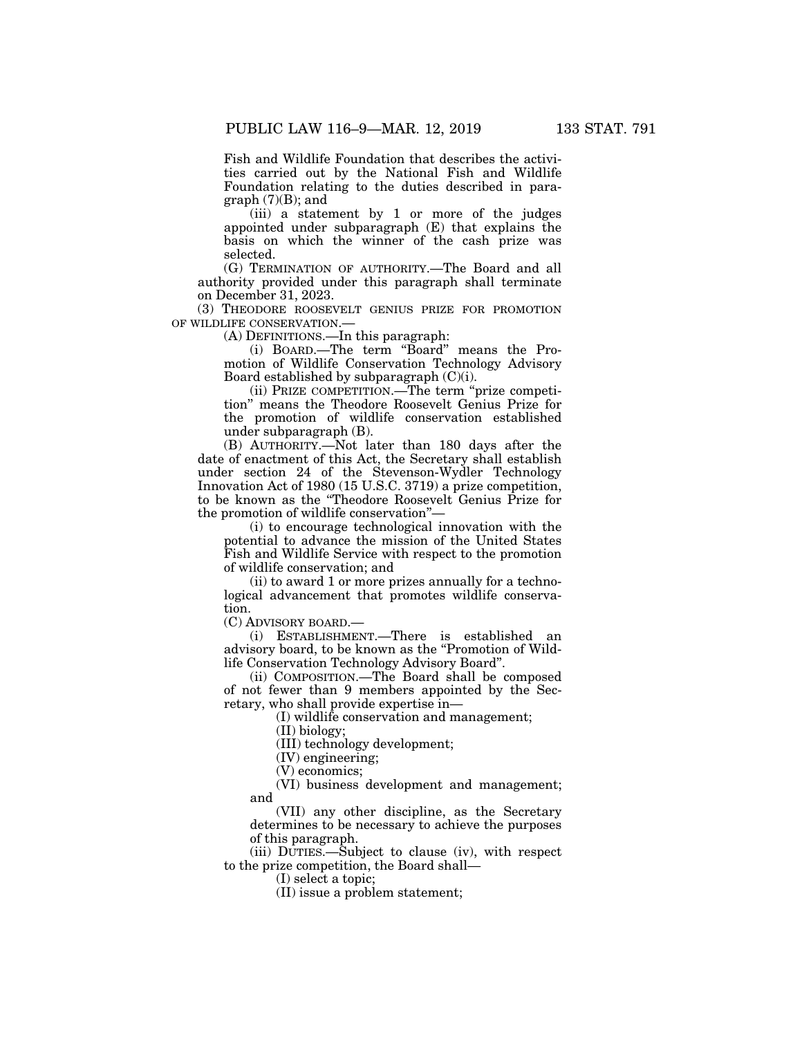Fish and Wildlife Foundation that describes the activities carried out by the National Fish and Wildlife Foundation relating to the duties described in para $graph (7)(B);$  and

(iii) a statement by 1 or more of the judges appointed under subparagraph (E) that explains the basis on which the winner of the cash prize was selected.

(G) TERMINATION OF AUTHORITY.—The Board and all authority provided under this paragraph shall terminate on December 31, 2023.

(3) THEODORE ROOSEVELT GENIUS PRIZE FOR PROMOTION OF WILDLIFE CONSERVATION.—

(A) DEFINITIONS.—In this paragraph:

(i) BOARD.—The term ''Board'' means the Promotion of Wildlife Conservation Technology Advisory Board established by subparagraph (C)(i).

(ii) PRIZE COMPETITION.—The term ''prize competition'' means the Theodore Roosevelt Genius Prize for the promotion of wildlife conservation established under subparagraph (B).

(B) AUTHORITY.—Not later than 180 days after the date of enactment of this Act, the Secretary shall establish under section 24 of the Stevenson-Wydler Technology Innovation Act of 1980 (15 U.S.C. 3719) a prize competition, to be known as the ''Theodore Roosevelt Genius Prize for the promotion of wildlife conservation''—

(i) to encourage technological innovation with the potential to advance the mission of the United States Fish and Wildlife Service with respect to the promotion of wildlife conservation; and

(ii) to award 1 or more prizes annually for a technological advancement that promotes wildlife conservation.

(C) ADVISORY BOARD.—

(i) ESTABLISHMENT.—There is established an advisory board, to be known as the "Promotion of Wildlife Conservation Technology Advisory Board''.

(ii) COMPOSITION.—The Board shall be composed of not fewer than 9 members appointed by the Secretary, who shall provide expertise in—

(I) wildlife conservation and management;

(II) biology;

(III) technology development;

(IV) engineering;

(V) economics;

(VI) business development and management; and

(VII) any other discipline, as the Secretary determines to be necessary to achieve the purposes of this paragraph.

(iii) DUTIES.—Subject to clause (iv), with respect to the prize competition, the Board shall—

(I) select a topic;

(II) issue a problem statement;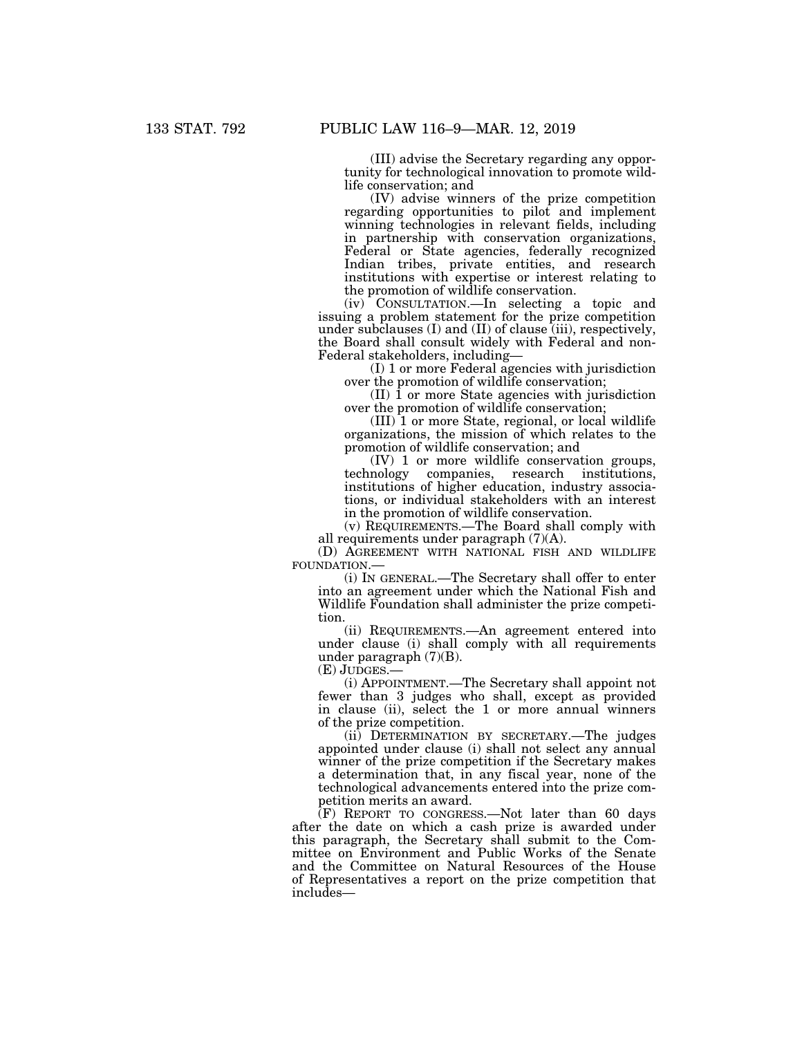(III) advise the Secretary regarding any opportunity for technological innovation to promote wildlife conservation; and

(IV) advise winners of the prize competition regarding opportunities to pilot and implement winning technologies in relevant fields, including in partnership with conservation organizations, Federal or State agencies, federally recognized Indian tribes, private entities, and research institutions with expertise or interest relating to the promotion of wildlife conservation.

(iv) CONSULTATION.—In selecting a topic and issuing a problem statement for the prize competition under subclauses (I) and (II) of clause (iii), respectively, the Board shall consult widely with Federal and non-Federal stakeholders, including—

(I) 1 or more Federal agencies with jurisdiction over the promotion of wildlife conservation;

(II) 1 or more State agencies with jurisdiction over the promotion of wildlife conservation;

(III) 1 or more State, regional, or local wildlife organizations, the mission of which relates to the promotion of wildlife conservation; and

 $(V)$  1 or more wildlife conservation groups, technology companies, research institutions, research institutions, institutions of higher education, industry associations, or individual stakeholders with an interest in the promotion of wildlife conservation.

(v) REQUIREMENTS.—The Board shall comply with all requirements under paragraph (7)(A).

(D) AGREEMENT WITH NATIONAL FISH AND WILDLIFE FOUNDATION.—

(i) IN GENERAL.—The Secretary shall offer to enter into an agreement under which the National Fish and Wildlife Foundation shall administer the prize competition.

(ii) REQUIREMENTS.—An agreement entered into under clause (i) shall comply with all requirements under paragraph (7)(B).

(E) JUDGES.—

(i) APPOINTMENT.—The Secretary shall appoint not fewer than 3 judges who shall, except as provided in clause (ii), select the 1 or more annual winners of the prize competition.

(ii) DETERMINATION BY SECRETARY.—The judges appointed under clause (i) shall not select any annual winner of the prize competition if the Secretary makes a determination that, in any fiscal year, none of the technological advancements entered into the prize competition merits an award.

(F) REPORT TO CONGRESS.—Not later than 60 days after the date on which a cash prize is awarded under this paragraph, the Secretary shall submit to the Committee on Environment and Public Works of the Senate and the Committee on Natural Resources of the House of Representatives a report on the prize competition that includes—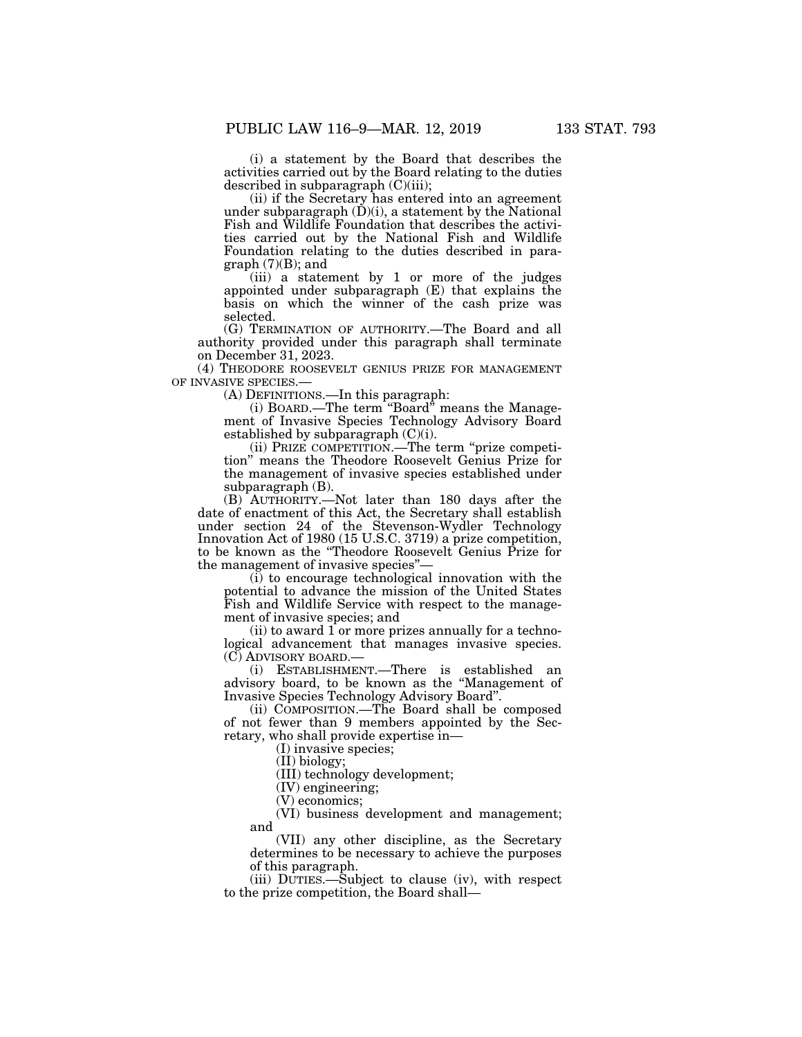(i) a statement by the Board that describes the activities carried out by the Board relating to the duties described in subparagraph  $(C)(iii)$ ;

(ii) if the Secretary has entered into an agreement under subparagraph  $(\dot{D})(i)$ , a statement by the National Fish and Wildlife Foundation that describes the activities carried out by the National Fish and Wildlife Foundation relating to the duties described in para $graph (7)(B);$  and

(iii) a statement by 1 or more of the judges appointed under subparagraph (E) that explains the basis on which the winner of the cash prize was selected.

(G) TERMINATION OF AUTHORITY.—The Board and all authority provided under this paragraph shall terminate on December 31, 2023.

(4) THEODORE ROOSEVELT GENIUS PRIZE FOR MANAGEMENT OF INVASIVE SPECIES.—

(A) DEFINITIONS.—In this paragraph:

(i) BOARD.—The term ''Board'' means the Management of Invasive Species Technology Advisory Board established by subparagraph  $(C)(i)$ .

(ii) PRIZE COMPETITION.—The term ''prize competition'' means the Theodore Roosevelt Genius Prize for the management of invasive species established under subparagraph (B).

(B) AUTHORITY.—Not later than 180 days after the date of enactment of this Act, the Secretary shall establish under section 24 of the Stevenson-Wydler Technology Innovation Act of 1980 (15 U.S.C. 3719) a prize competition, to be known as the ''Theodore Roosevelt Genius Prize for the management of invasive species''—

(i) to encourage technological innovation with the potential to advance the mission of the United States Fish and Wildlife Service with respect to the management of invasive species; and

(ii) to award 1 or more prizes annually for a technological advancement that manages invasive species. (C) ADVISORY BOARD.—

(i) ESTABLISHMENT.—There is established an advisory board, to be known as the ''Management of Invasive Species Technology Advisory Board''.

(ii) COMPOSITION.—The Board shall be composed of not fewer than 9 members appointed by the Secretary, who shall provide expertise in—

(I) invasive species;

(II) biology;

(III) technology development;

(IV) engineering;

(V) economics;

(VI) business development and management; and

(VII) any other discipline, as the Secretary determines to be necessary to achieve the purposes of this paragraph.

(iii) DUTIES.—Subject to clause (iv), with respect to the prize competition, the Board shall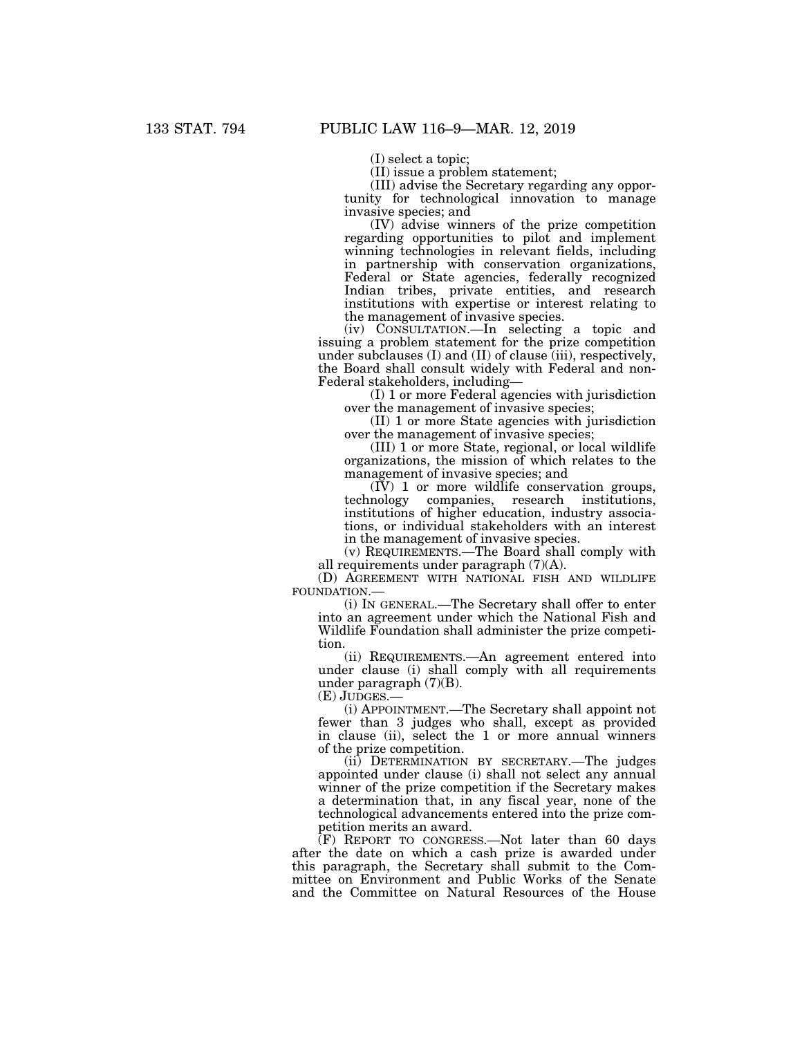(I) select a topic;

(II) issue a problem statement;

(III) advise the Secretary regarding any opportunity for technological innovation to manage invasive species; and

(IV) advise winners of the prize competition regarding opportunities to pilot and implement winning technologies in relevant fields, including in partnership with conservation organizations, Federal or State agencies, federally recognized Indian tribes, private entities, and research institutions with expertise or interest relating to the management of invasive species.

(iv) CONSULTATION.—In selecting a topic and issuing a problem statement for the prize competition under subclauses (I) and (II) of clause (iii), respectively, the Board shall consult widely with Federal and non-Federal stakeholders, including—

(I) 1 or more Federal agencies with jurisdiction over the management of invasive species;

(II) 1 or more State agencies with jurisdiction over the management of invasive species;

(III) 1 or more State, regional, or local wildlife organizations, the mission of which relates to the management of invasive species; and

(IV) 1 or more wildlife conservation groups, technology companies, research institutions, institutions of higher education, industry associations, or individual stakeholders with an interest in the management of invasive species.

(v) REQUIREMENTS.—The Board shall comply with all requirements under paragraph (7)(A).

(D) AGREEMENT WITH NATIONAL FISH AND WILDLIFE FOUNDATION.—

(i) IN GENERAL.—The Secretary shall offer to enter into an agreement under which the National Fish and Wildlife Foundation shall administer the prize competition.

(ii) REQUIREMENTS.—An agreement entered into under clause (i) shall comply with all requirements under paragraph (7)(B).

(E) JUDGES.—

(i) APPOINTMENT.—The Secretary shall appoint not fewer than 3 judges who shall, except as provided in clause (ii), select the 1 or more annual winners of the prize competition.

(ii) DETERMINATION BY SECRETARY.—The judges appointed under clause (i) shall not select any annual winner of the prize competition if the Secretary makes a determination that, in any fiscal year, none of the technological advancements entered into the prize competition merits an award.

 $(F)$  REPORT TO CONGRESS.—Not later than 60 days after the date on which a cash prize is awarded under this paragraph, the Secretary shall submit to the Committee on Environment and Public Works of the Senate and the Committee on Natural Resources of the House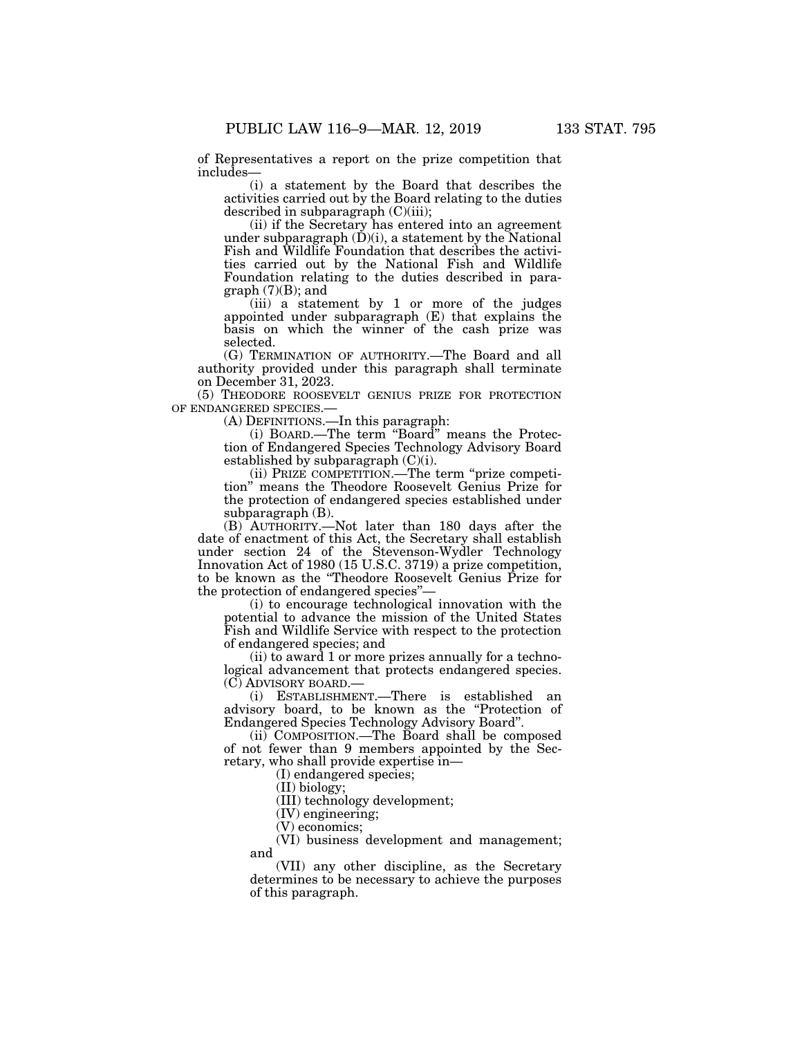of Representatives a report on the prize competition that includes—

(i) a statement by the Board that describes the activities carried out by the Board relating to the duties described in subparagraph (C)(iii);

(ii) if the Secretary has entered into an agreement under subparagraph  $(D)(i)$ , a statement by the National Fish and Wildlife Foundation that describes the activities carried out by the National Fish and Wildlife Foundation relating to the duties described in para $graph (7)(B); and$ 

(iii) a statement by 1 or more of the judges appointed under subparagraph (E) that explains the basis on which the winner of the cash prize was selected.

(G) TERMINATION OF AUTHORITY.—The Board and all authority provided under this paragraph shall terminate on December 31, 2023.

(5) THEODORE ROOSEVELT GENIUS PRIZE FOR PROTECTION OF ENDANGERED SPECIES.—

(A) DEFINITIONS.—In this paragraph:

(i) BOARD.—The term ''Board'' means the Protection of Endangered Species Technology Advisory Board established by subparagraph (C)(i).

(ii) PRIZE COMPETITION.—The term ''prize competition'' means the Theodore Roosevelt Genius Prize for the protection of endangered species established under subparagraph (B).

(B) AUTHORITY.—Not later than 180 days after the date of enactment of this Act, the Secretary shall establish under section 24 of the Stevenson-Wydler Technology Innovation Act of 1980 (15 U.S.C. 3719) a prize competition, to be known as the ''Theodore Roosevelt Genius Prize for the protection of endangered species''—

(i) to encourage technological innovation with the potential to advance the mission of the United States Fish and Wildlife Service with respect to the protection of endangered species; and

(ii) to award 1 or more prizes annually for a technological advancement that protects endangered species. (C) ADVISORY BOARD.—

(i) ESTABLISHMENT.—There is established an advisory board, to be known as the ''Protection of Endangered Species Technology Advisory Board''.

(ii) COMPOSITION.—The Board shall be composed of not fewer than 9 members appointed by the Secretary, who shall provide expertise in—

(I) endangered species;

(II) biology; (III) technology development;

(IV) engineering;

(V) economics;

(VI) business development and management; and

(VII) any other discipline, as the Secretary determines to be necessary to achieve the purposes of this paragraph.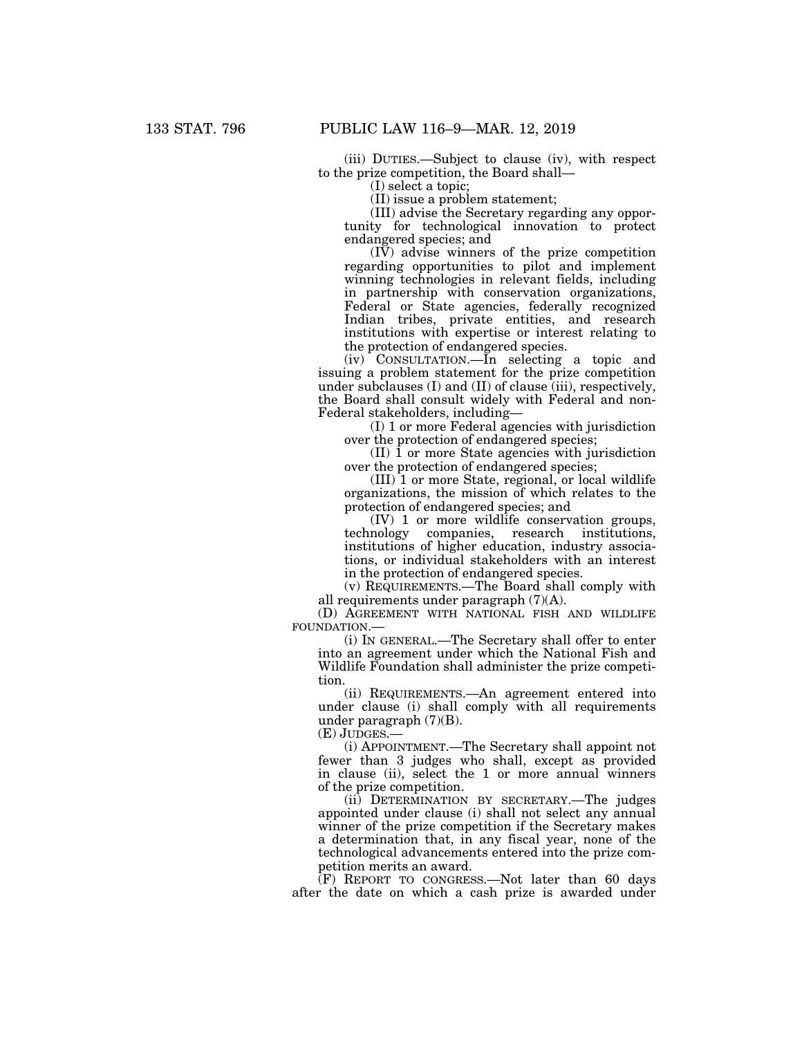(iii) DUTIES.—Subject to clause (iv), with respect to the prize competition, the Board shall—

(I) select a topic;

(II) issue a problem statement;

(III) advise the Secretary regarding any opportunity for technological innovation to protect endangered species; and

(IV) advise winners of the prize competition regarding opportunities to pilot and implement winning technologies in relevant fields, including in partnership with conservation organizations, Federal or State agencies, federally recognized Indian tribes, private entities, and research institutions with expertise or interest relating to the protection of endangered species.

(iv) CONSULTATION.—In selecting a topic and issuing a problem statement for the prize competition under subclauses  $(I)$  and  $(II)$  of clause  $(iii)$ , respectively, the Board shall consult widely with Federal and non-Federal stakeholders, including—

(I) 1 or more Federal agencies with jurisdiction over the protection of endangered species;

 $(II)$  1 or more State agencies with jurisdiction over the protection of endangered species;

(III) 1 or more State, regional, or local wildlife organizations, the mission of which relates to the protection of endangered species; and

(IV) 1 or more wildlife conservation groups, companies, research institutions, institutions of higher education, industry associations, or individual stakeholders with an interest in the protection of endangered species.

(v) REQUIREMENTS.—The Board shall comply with all requirements under paragraph (7)(A).

(D) AGREEMENT WITH NATIONAL FISH AND WILDLIFE FOUNDATION.—

(i) IN GENERAL.—The Secretary shall offer to enter into an agreement under which the National Fish and Wildlife Foundation shall administer the prize competition.

(ii) REQUIREMENTS.—An agreement entered into under clause (i) shall comply with all requirements under paragraph (7)(B).

(E) JUDGES.—

(i) APPOINTMENT.—The Secretary shall appoint not fewer than 3 judges who shall, except as provided in clause (ii), select the 1 or more annual winners of the prize competition.

(ii) DETERMINATION BY SECRETARY.—The judges appointed under clause (i) shall not select any annual winner of the prize competition if the Secretary makes a determination that, in any fiscal year, none of the technological advancements entered into the prize competition merits an award.

 $(F)$  REPORT TO CONGRESS.—Not later than 60 days after the date on which a cash prize is awarded under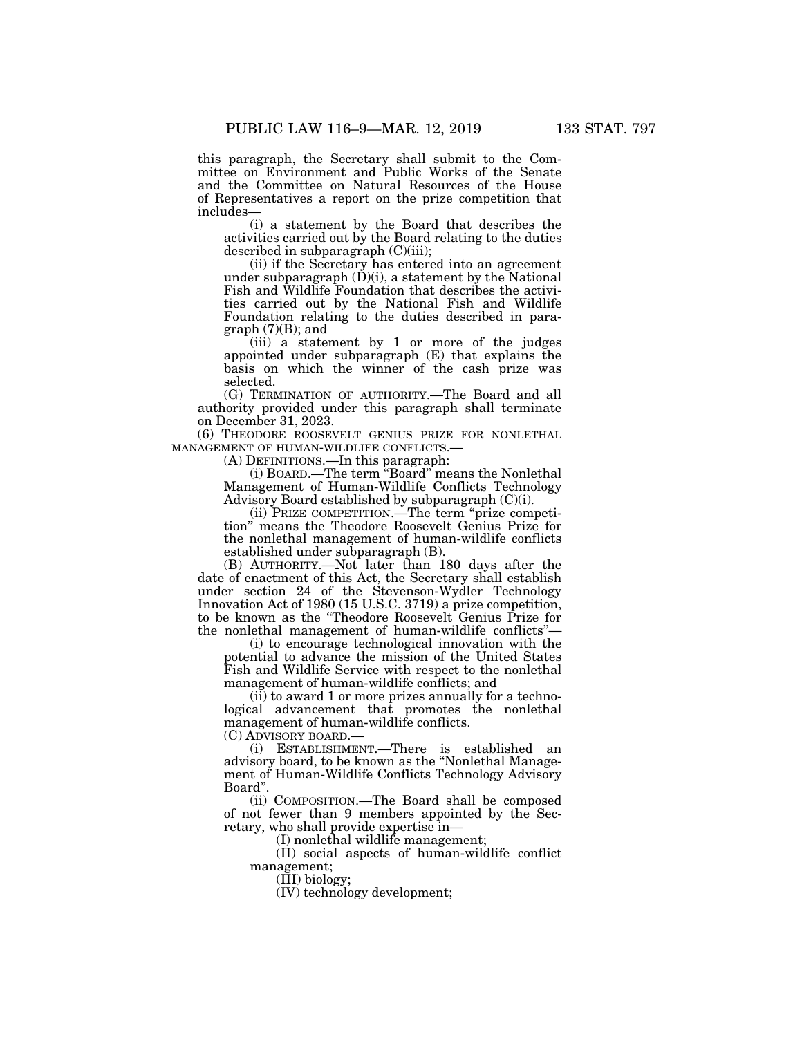this paragraph, the Secretary shall submit to the Committee on Environment and Public Works of the Senate and the Committee on Natural Resources of the House of Representatives a report on the prize competition that includes—

(i) a statement by the Board that describes the activities carried out by the Board relating to the duties described in subparagraph (C)(iii);

(ii) if the Secretary has entered into an agreement under subparagraph  $(D)(i)$ , a statement by the National Fish and Wildlife Foundation that describes the activities carried out by the National Fish and Wildlife Foundation relating to the duties described in paragraph (7)(B); and

(iii) a statement by 1 or more of the judges appointed under subparagraph (E) that explains the basis on which the winner of the cash prize was selected.

(G) TERMINATION OF AUTHORITY.—The Board and all authority provided under this paragraph shall terminate on December 31, 2023.

(6) THEODORE ROOSEVELT GENIUS PRIZE FOR NONLETHAL MANAGEMENT OF HUMAN-WILDLIFE CONFLICTS.—

(A) DEFINITIONS.—In this paragraph:

(i) BOARD.—The term ''Board'' means the Nonlethal Management of Human-Wildlife Conflicts Technology Advisory Board established by subparagraph (C)(i).

(ii) PRIZE COMPETITION.—The term ''prize competition'' means the Theodore Roosevelt Genius Prize for the nonlethal management of human-wildlife conflicts established under subparagraph (B).

(B) AUTHORITY.—Not later than 180 days after the date of enactment of this Act, the Secretary shall establish under section 24 of the Stevenson-Wydler Technology Innovation Act of 1980 (15 U.S.C. 3719) a prize competition, to be known as the ''Theodore Roosevelt Genius Prize for the nonlethal management of human-wildlife conflicts''—

(i) to encourage technological innovation with the potential to advance the mission of the United States Fish and Wildlife Service with respect to the nonlethal management of human-wildlife conflicts; and

(ii) to award 1 or more prizes annually for a technological advancement that promotes the nonlethal management of human-wildlife conflicts.

(C) ADVISORY BOARD.—

(i) ESTABLISHMENT.—There is established an advisory board, to be known as the ''Nonlethal Management of Human-Wildlife Conflicts Technology Advisory Board''.

(ii) COMPOSITION.—The Board shall be composed of not fewer than 9 members appointed by the Secretary, who shall provide expertise in—

(I) nonlethal wildlife management;

(II) social aspects of human-wildlife conflict management;

(III) biology;

(IV) technology development;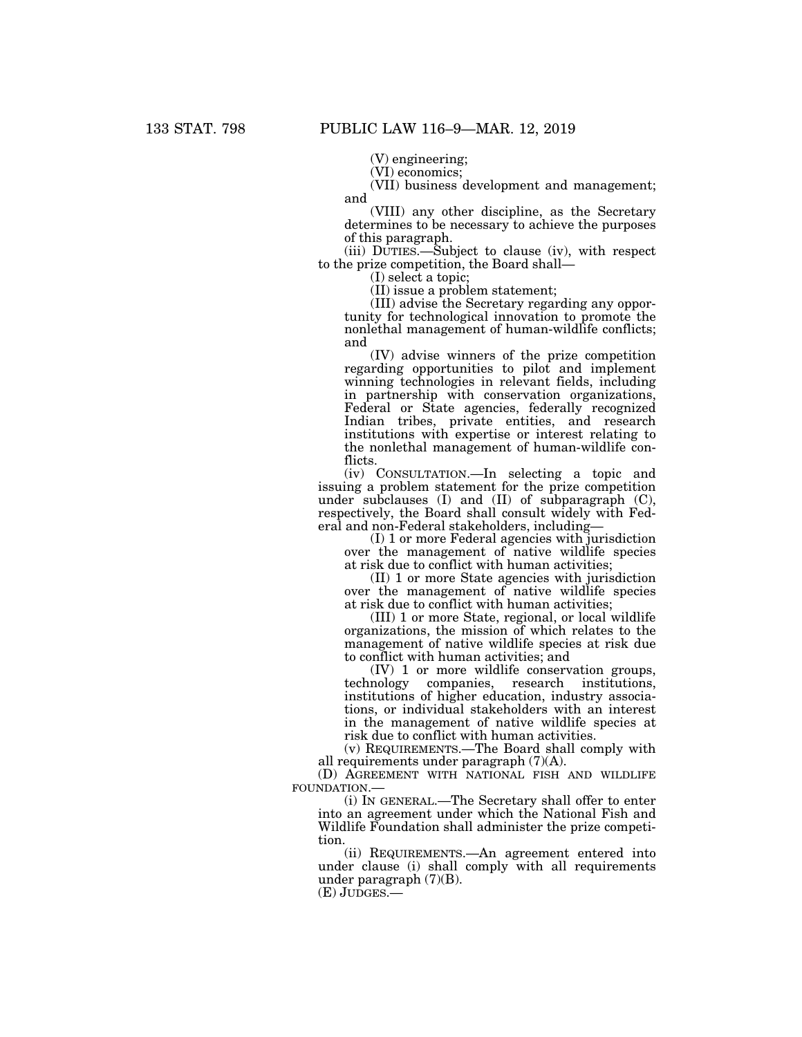(V) engineering;

(VI) economics;

(VII) business development and management; and

(VIII) any other discipline, as the Secretary determines to be necessary to achieve the purposes of this paragraph.

(iii) DUTIES.—Subject to clause (iv), with respect to the prize competition, the Board shall—

(I) select a topic;

(II) issue a problem statement;

(III) advise the Secretary regarding any opportunity for technological innovation to promote the nonlethal management of human-wildlife conflicts; and

(IV) advise winners of the prize competition regarding opportunities to pilot and implement winning technologies in relevant fields, including in partnership with conservation organizations, Federal or State agencies, federally recognized Indian tribes, private entities, and research institutions with expertise or interest relating to the nonlethal management of human-wildlife conflicts.

(iv) CONSULTATION.—In selecting a topic and issuing a problem statement for the prize competition under subclauses (I) and (II) of subparagraph (C), respectively, the Board shall consult widely with Federal and non-Federal stakeholders, including—

(I) 1 or more Federal agencies with jurisdiction over the management of native wildlife species at risk due to conflict with human activities;

(II) 1 or more State agencies with jurisdiction over the management of native wildlife species at risk due to conflict with human activities;

(III) 1 or more State, regional, or local wildlife organizations, the mission of which relates to the management of native wildlife species at risk due to conflict with human activities; and

(IV) 1 or more wildlife conservation groups, research institutions, institutions of higher education, industry associations, or individual stakeholders with an interest in the management of native wildlife species at risk due to conflict with human activities.

(v) REQUIREMENTS.—The Board shall comply with all requirements under paragraph (7)(A).

(D) AGREEMENT WITH NATIONAL FISH AND WILDLIFE FOUNDATION.—

(i) IN GENERAL.—The Secretary shall offer to enter into an agreement under which the National Fish and Wildlife Foundation shall administer the prize competition.

(ii) REQUIREMENTS.—An agreement entered into under clause (i) shall comply with all requirements under paragraph (7)(B).

(E) JUDGES.—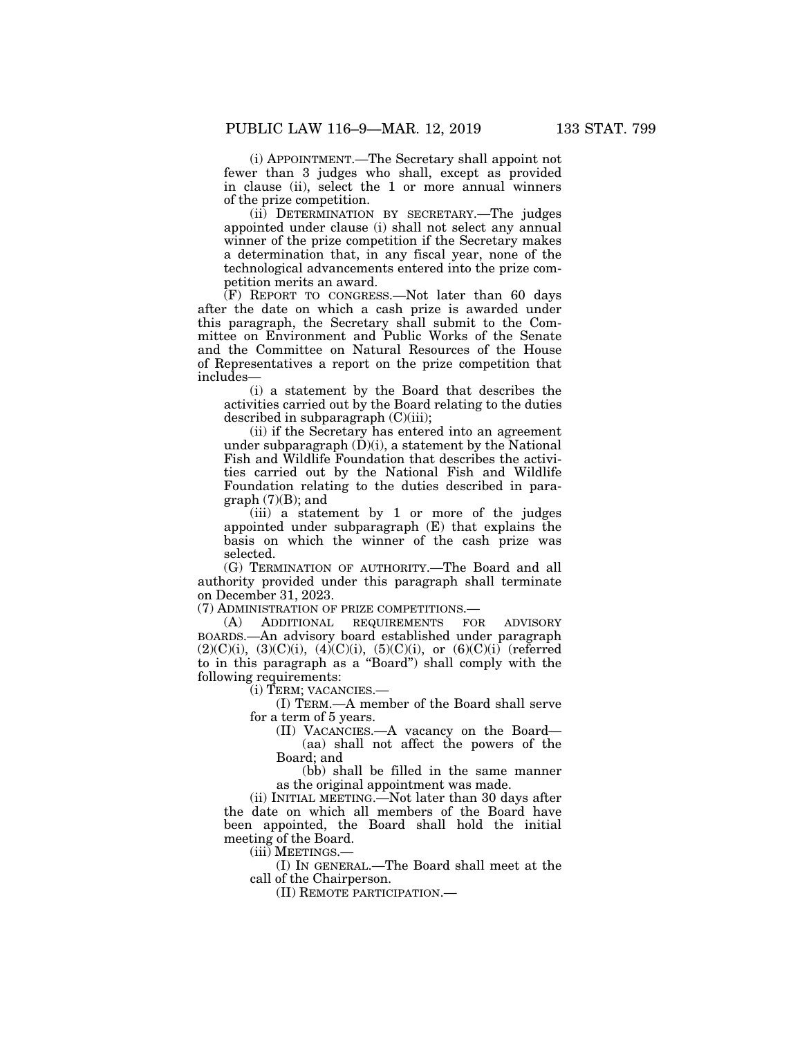(i) APPOINTMENT.—The Secretary shall appoint not fewer than 3 judges who shall, except as provided in clause (ii), select the 1 or more annual winners of the prize competition.

(ii) DETERMINATION BY SECRETARY.—The judges appointed under clause (i) shall not select any annual winner of the prize competition if the Secretary makes a determination that, in any fiscal year, none of the technological advancements entered into the prize competition merits an award.

(F) REPORT TO CONGRESS.—Not later than 60 days after the date on which a cash prize is awarded under this paragraph, the Secretary shall submit to the Committee on Environment and Public Works of the Senate and the Committee on Natural Resources of the House of Representatives a report on the prize competition that includes—

(i) a statement by the Board that describes the activities carried out by the Board relating to the duties described in subparagraph  $(C)(iii)$ ;

(ii) if the Secretary has entered into an agreement under subparagraph  $(D)(i)$ , a statement by the National Fish and Wildlife Foundation that describes the activities carried out by the National Fish and Wildlife Foundation relating to the duties described in paragraph  $(7)(B)$ ; and

(iii) a statement by 1 or more of the judges appointed under subparagraph (E) that explains the basis on which the winner of the cash prize was selected.

(G) TERMINATION OF AUTHORITY.—The Board and all authority provided under this paragraph shall terminate on December 31, 2023.

(7) ADMINISTRATION OF PRIZE COMPETITIONS.—

(A) ADDITIONAL REQUIREMENTS FOR ADVISORY BOARDS.—An advisory board established under paragraph  $(2)(C)(i)$ ,  $(3)(C)(i)$ ,  $(4)(C)(i)$ ,  $(5)(C)(i)$ , or  $(6)(C)(i)$  (referred to in this paragraph as a ''Board'') shall comply with the following requirements:

(i) TERM; VACANCIES.—

(I) TERM.—A member of the Board shall serve for a term of 5 years.

(II) VACANCIES.—A vacancy on the Board— (aa) shall not affect the powers of the Board; and

(bb) shall be filled in the same manner as the original appointment was made.

(ii) INITIAL MEETING.—Not later than 30 days after the date on which all members of the Board have been appointed, the Board shall hold the initial meeting of the Board.

(iii) MEETINGS.—

(I) IN GENERAL.—The Board shall meet at the call of the Chairperson.

(II) REMOTE PARTICIPATION.—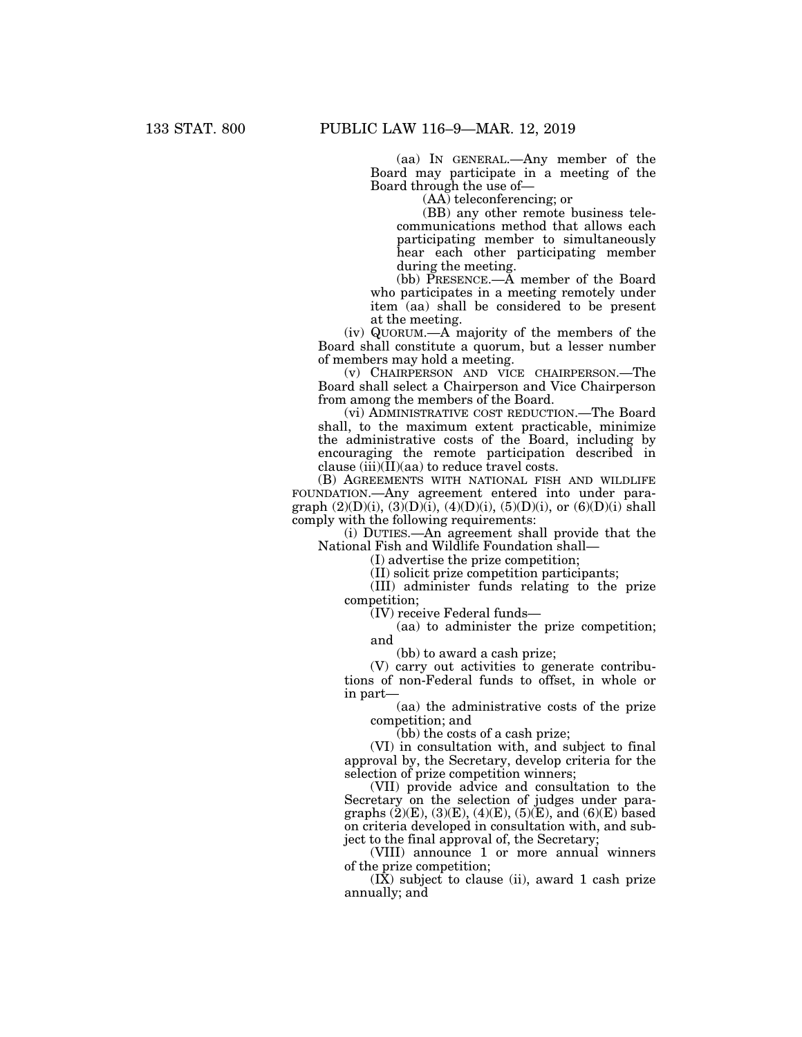(aa) IN GENERAL.—Any member of the Board may participate in a meeting of the Board through the use of—

(AA) teleconferencing; or

(BB) any other remote business telecommunications method that allows each participating member to simultaneously hear each other participating member during the meeting.

(bb) PRESENCE.—A member of the Board who participates in a meeting remotely under item (aa) shall be considered to be present at the meeting.

(iv) QUORUM.—A majority of the members of the Board shall constitute a quorum, but a lesser number of members may hold a meeting.

(v) CHAIRPERSON AND VICE CHAIRPERSON.—The Board shall select a Chairperson and Vice Chairperson from among the members of the Board.

(vi) ADMINISTRATIVE COST REDUCTION.—The Board shall, to the maximum extent practicable, minimize the administrative costs of the Board, including by encouraging the remote participation described in clause  $(iii)(\overline{I})$ (aa) to reduce travel costs.

(B) AGREEMENTS WITH NATIONAL FISH AND WILDLIFE FOUNDATION.—Any agreement entered into under paragraph  $(2)(D)(i)$ ,  $(3)(D)(i)$ ,  $(4)(D)(i)$ ,  $(5)(D)(i)$ , or  $(6)(D)(i)$  shall comply with the following requirements:

(i) DUTIES.—An agreement shall provide that the National Fish and Wildlife Foundation shall—

(I) advertise the prize competition;

(II) solicit prize competition participants;

(III) administer funds relating to the prize competition;

(IV) receive Federal funds—

(aa) to administer the prize competition; and

(bb) to award a cash prize;

(V) carry out activities to generate contributions of non-Federal funds to offset, in whole or in part—

(aa) the administrative costs of the prize competition; and

(bb) the costs of a cash prize;

(VI) in consultation with, and subject to final approval by, the Secretary, develop criteria for the selection of prize competition winners;

(VII) provide advice and consultation to the Secretary on the selection of judges under paragraphs  $(\dot{2})(E)$ , (3)(E), (4)(E), (5)(E), and (6)(E) based on criteria developed in consultation with, and subject to the final approval of, the Secretary;

(VIII) announce 1 or more annual winners of the prize competition;

 $(\overline{IX})$  subject to clause (ii), award 1 cash prize annually; and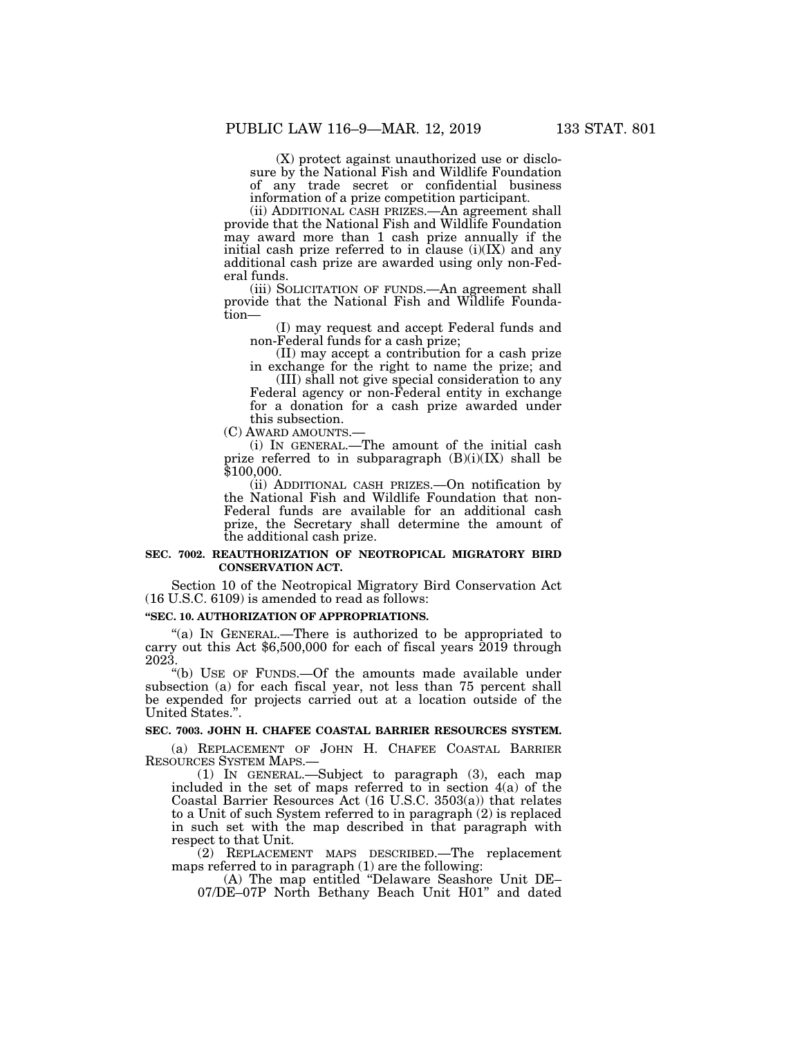(X) protect against unauthorized use or disclosure by the National Fish and Wildlife Foundation of any trade secret or confidential business information of a prize competition participant.

(ii) ADDITIONAL CASH PRIZES.—An agreement shall provide that the National Fish and Wildlife Foundation may award more than 1 cash prize annually if the initial cash prize referred to in clause  $(i)(IX)$  and any additional cash prize are awarded using only non-Federal funds.

(iii) SOLICITATION OF FUNDS.—An agreement shall provide that the National Fish and Wildlife Foundation—

(I) may request and accept Federal funds and non-Federal funds for a cash prize;

(II) may accept a contribution for a cash prize in exchange for the right to name the prize; and

(III) shall not give special consideration to any Federal agency or non-Federal entity in exchange for a donation for a cash prize awarded under this subsection.<br>(C) AWARD AMOUNTS.

(i) IN GENERAL.—The amount of the initial cash prize referred to in subparagraph  $(B)(i)(IX)$  shall be \$100,000.

(ii) ADDITIONAL CASH PRIZES.—On notification by the National Fish and Wildlife Foundation that non-Federal funds are available for an additional cash prize, the Secretary shall determine the amount of the additional cash prize.

### **SEC. 7002. REAUTHORIZATION OF NEOTROPICAL MIGRATORY BIRD CONSERVATION ACT.**

Section 10 of the Neotropical Migratory Bird Conservation Act (16 U.S.C. 6109) is amended to read as follows:

#### **''SEC. 10. AUTHORIZATION OF APPROPRIATIONS.**

''(a) IN GENERAL.—There is authorized to be appropriated to carry out this Act \$6,500,000 for each of fiscal years 2019 through 2023.

''(b) USE OF FUNDS.—Of the amounts made available under subsection (a) for each fiscal year, not less than 75 percent shall be expended for projects carried out at a location outside of the United States.''.

## **SEC. 7003. JOHN H. CHAFEE COASTAL BARRIER RESOURCES SYSTEM.**

(a) REPLACEMENT OF JOHN H. CHAFEE COASTAL BARRIER RESOURCES SYSTEM MAPS.—

(1) IN GENERAL.—Subject to paragraph (3), each map included in the set of maps referred to in section 4(a) of the Coastal Barrier Resources Act (16 U.S.C. 3503(a)) that relates to a Unit of such System referred to in paragraph (2) is replaced in such set with the map described in that paragraph with respect to that Unit.

(2) REPLACEMENT MAPS DESCRIBED.—The replacement maps referred to in paragraph (1) are the following:

(A) The map entitled ''Delaware Seashore Unit DE– 07/DE–07P North Bethany Beach Unit H01'' and dated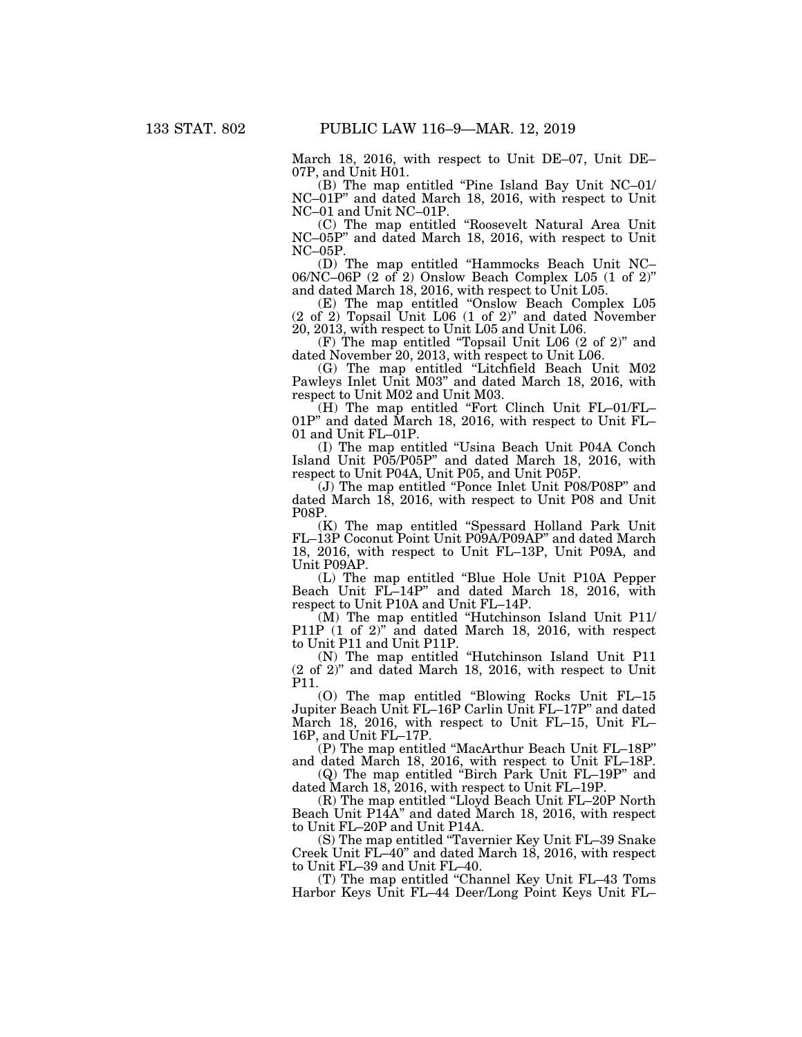March 18, 2016, with respect to Unit DE–07, Unit DE– 07P, and Unit H01.

(B) The map entitled ''Pine Island Bay Unit NC–01/ NC–01P'' and dated March 18, 2016, with respect to Unit NC–01 and Unit NC–01P.

(C) The map entitled ''Roosevelt Natural Area Unit NC–05P'' and dated March 18, 2016, with respect to Unit NC–05P.

(D) The map entitled ''Hammocks Beach Unit NC– 06/NC–06P (2 of 2) Onslow Beach Complex L05 (1 of 2)'' and dated March 18, 2016, with respect to Unit L05.

(E) The map entitled ''Onslow Beach Complex L05 (2 of 2) Topsail Unit L06 (1 of 2)'' and dated November 20, 2013, with respect to Unit L05 and Unit L06.

(F) The map entitled ''Topsail Unit L06 (2 of 2)'' and dated November 20, 2013, with respect to Unit L06.

(G) The map entitled ''Litchfield Beach Unit M02 Pawleys Inlet Unit M03'' and dated March 18, 2016, with respect to Unit M02 and Unit M03.

(H) The map entitled ''Fort Clinch Unit FL–01/FL– 01P'' and dated March 18, 2016, with respect to Unit FL– 01 and Unit FL–01P.

(I) The map entitled ''Usina Beach Unit P04A Conch Island Unit P05/P05P'' and dated March 18, 2016, with respect to Unit P04A, Unit P05, and Unit P05P.

(J) The map entitled ''Ponce Inlet Unit P08/P08P'' and dated March 18, 2016, with respect to Unit P08 and Unit P08P.

(K) The map entitled ''Spessard Holland Park Unit FL–13P Coconut Point Unit P09A/P09AP'' and dated March 18, 2016, with respect to Unit FL–13P, Unit P09A, and Unit P09AP.

(L) The map entitled ''Blue Hole Unit P10A Pepper Beach Unit FL-14P" and dated March 18, 2016, with respect to Unit P10A and Unit FL–14P.

(M) The map entitled ''Hutchinson Island Unit P11/ P11P (1 of 2)" and dated March 18, 2016, with respect to Unit P11 and Unit P11P.

(N) The map entitled ''Hutchinson Island Unit P11 (2 of 2)'' and dated March 18, 2016, with respect to Unit P11.

(O) The map entitled ''Blowing Rocks Unit FL–15 Jupiter Beach Unit FL–16P Carlin Unit FL–17P'' and dated March 18, 2016, with respect to Unit FL–15, Unit FL– 16P, and Unit FL–17P.

(P) The map entitled ''MacArthur Beach Unit FL–18P'' and dated March 18, 2016, with respect to Unit FL–18P.

(Q) The map entitled ''Birch Park Unit FL–19P'' and dated March 18, 2016, with respect to Unit FL–19P.

(R) The map entitled ''Lloyd Beach Unit FL–20P North Beach Unit P14A'' and dated March 18, 2016, with respect to Unit FL–20P and Unit P14A.

(S) The map entitled ''Tavernier Key Unit FL–39 Snake Creek Unit FL–40'' and dated March 18, 2016, with respect to Unit FL–39 and Unit FL–40.

(T) The map entitled ''Channel Key Unit FL–43 Toms Harbor Keys Unit FL–44 Deer/Long Point Keys Unit FL–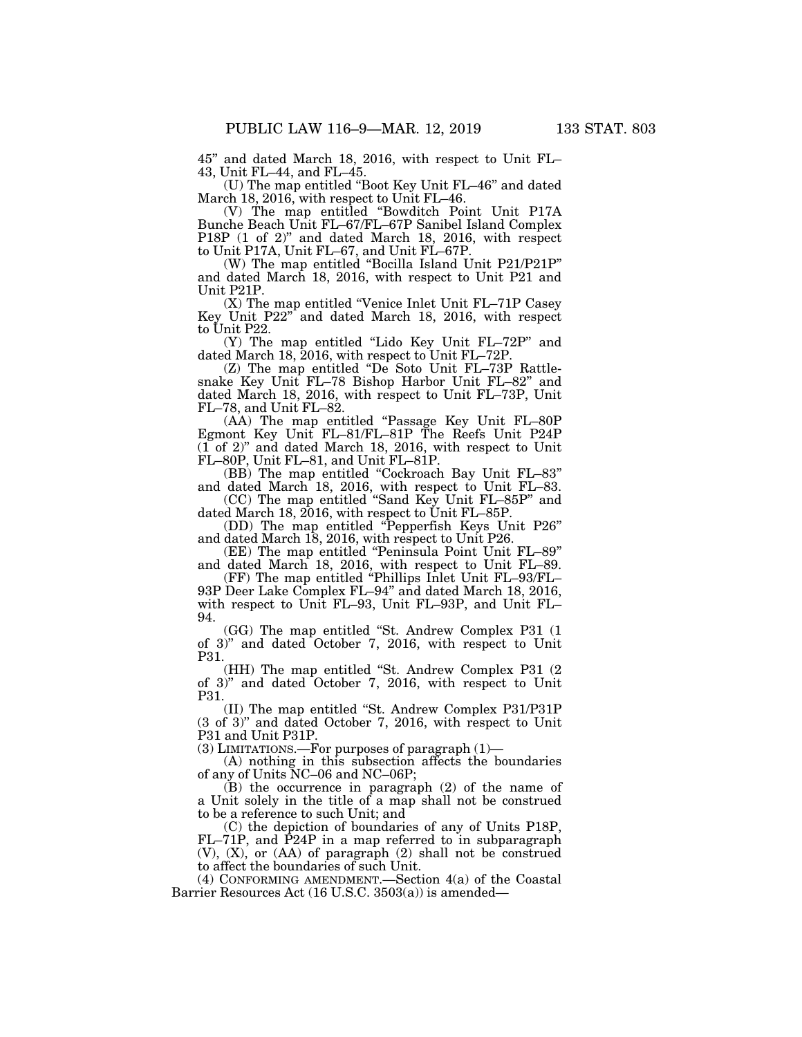45'' and dated March 18, 2016, with respect to Unit FL– 43, Unit FL–44, and FL–45.

(U) The map entitled ''Boot Key Unit FL–46'' and dated March 18, 2016, with respect to Unit FL–46.

(V) The map entitled ''Bowditch Point Unit P17A Bunche Beach Unit FL–67/FL–67P Sanibel Island Complex P18P (1 of 2)" and dated March 18, 2016, with respect to Unit P17A, Unit FL–67, and Unit FL–67P.

(W) The map entitled ''Bocilla Island Unit P21/P21P'' and dated March 18, 2016, with respect to Unit P21 and Unit P21P.

(X) The map entitled ''Venice Inlet Unit FL–71P Casey Key Unit P22'' and dated March 18, 2016, with respect to Unit P22.

(Y) The map entitled ''Lido Key Unit FL–72P'' and dated March 18, 2016, with respect to Unit FL–72P.

(Z) The map entitled ''De Soto Unit FL–73P Rattlesnake Key Unit FL–78 Bishop Harbor Unit FL–82'' and dated March 18, 2016, with respect to Unit FL–73P, Unit FL–78, and Unit FL–82.

(AA) The map entitled "Passage Key Unit FL-80P Egmont Key Unit FL–81/FL–81P The Reefs Unit P24P  $(1$  of 2)" and dated March 18, 2016, with respect to Unit FL–80P, Unit FL–81, and Unit FL–81P.

(BB) The map entitled "Cockroach Bay Unit FL-83" and dated March 18, 2016, with respect to Unit FL–83. (CC) The map entitled ''Sand Key Unit FL–85P'' and

dated March 18, 2016, with respect to Unit FL–85P.

(DD) The map entitled ''Pepperfish Keys Unit P26'' and dated March 18, 2016, with respect to Unit P26.

(EE) The map entitled ''Peninsula Point Unit FL–89'' and dated March 18, 2016, with respect to Unit FL–89.

(FF) The map entitled ''Phillips Inlet Unit FL–93/FL– 93P Deer Lake Complex FL–94" and dated March 18, 2016, with respect to Unit FL–93, Unit FL–93P, and Unit FL– 94.

(GG) The map entitled ''St. Andrew Complex P31 (1 of 3)'' and dated October 7, 2016, with respect to Unit P31.

(HH) The map entitled ''St. Andrew Complex P31 (2 of 3)'' and dated October 7, 2016, with respect to Unit P31.

(II) The map entitled ''St. Andrew Complex P31/P31P (3 of 3)'' and dated October 7, 2016, with respect to Unit P31 and Unit P31P.

(3) LIMITATIONS.—For purposes of paragraph (1)—

(A) nothing in this subsection affects the boundaries of any of Units NC–06 and NC–06P;

(B) the occurrence in paragraph (2) of the name of a Unit solely in the title of a map shall not be construed to be a reference to such Unit; and

(C) the depiction of boundaries of any of Units P18P, FL–71P, and P24P in a map referred to in subparagraph (V), (X), or (AA) of paragraph (2) shall not be construed to affect the boundaries of such Unit.

(4) CONFORMING AMENDMENT.—Section 4(a) of the Coastal Barrier Resources Act (16 U.S.C. 3503(a)) is amended—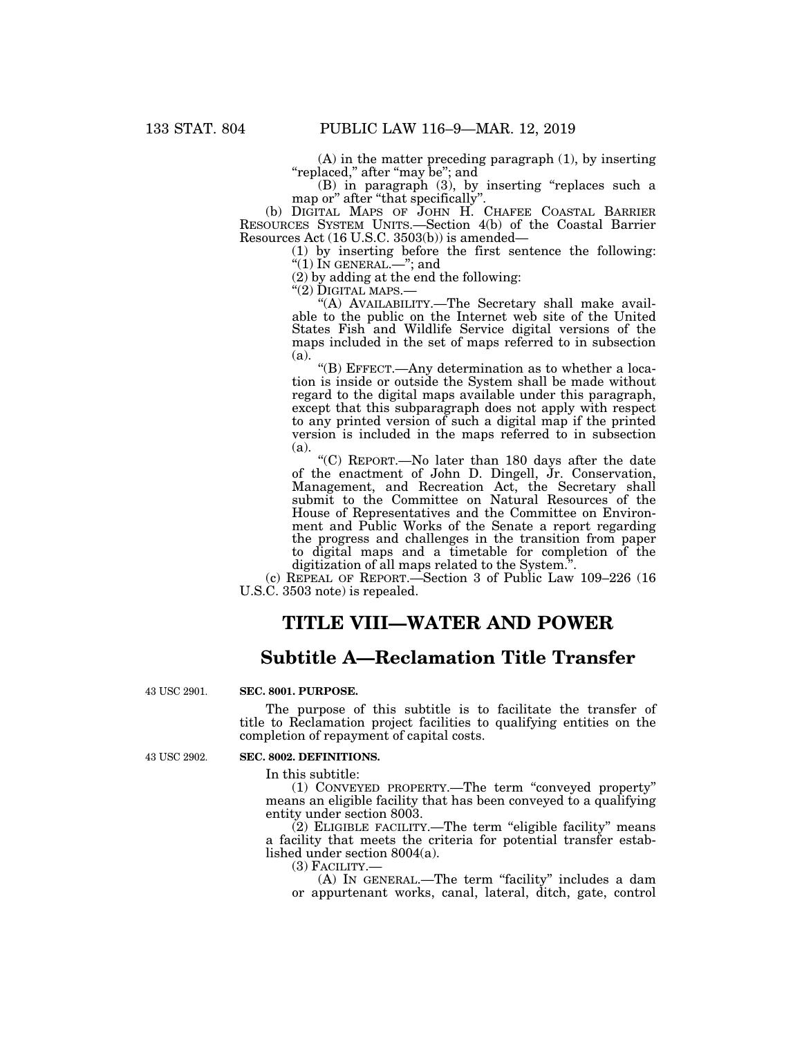(A) in the matter preceding paragraph (1), by inserting ''replaced,'' after ''may be''; and

(B) in paragraph (3), by inserting ''replaces such a map or" after "that specifically"

(b) DIGITAL MAPS OF JOHN H. CHAFEE COASTAL BARRIER RESOURCES SYSTEM UNITS.—Section 4(b) of the Coastal Barrier Resources Act (16 U.S.C. 3503(b)) is amended—

(1) by inserting before the first sentence the following: " $(1)$  In GENERAL.—"; and

(2) by adding at the end the following:<br>" $(2)$  DIGITAL MAPS.—

"(A) AVAILABILITY.—The Secretary shall make available to the public on the Internet web site of the United States Fish and Wildlife Service digital versions of the maps included in the set of maps referred to in subsection (a).

''(B) EFFECT.—Any determination as to whether a location is inside or outside the System shall be made without regard to the digital maps available under this paragraph, except that this subparagraph does not apply with respect to any printed version of such a digital map if the printed version is included in the maps referred to in subsection (a).

''(C) REPORT.—No later than 180 days after the date of the enactment of John D. Dingell, Jr. Conservation, Management, and Recreation Act, the Secretary shall submit to the Committee on Natural Resources of the House of Representatives and the Committee on Environment and Public Works of the Senate a report regarding the progress and challenges in the transition from paper to digital maps and a timetable for completion of the digitization of all maps related to the System.''.

(c) REPEAL OF REPORT.—Section 3 of Public Law 109–226 (16 U.S.C. 3503 note) is repealed.

## **TITLE VIII—WATER AND POWER**

## **Subtitle A—Reclamation Title Transfer**

43 USC 2901.

### **SEC. 8001. PURPOSE.**

The purpose of this subtitle is to facilitate the transfer of title to Reclamation project facilities to qualifying entities on the completion of repayment of capital costs.

43 USC 2902.

## **SEC. 8002. DEFINITIONS.**

In this subtitle:

(1) CONVEYED PROPERTY.—The term ''conveyed property'' means an eligible facility that has been conveyed to a qualifying entity under section 8003.

(2) ELIGIBLE FACILITY.—The term ''eligible facility'' means a facility that meets the criteria for potential transfer established under section 8004(a).<br>(3) FACILITY.—

(A) IN GENERAL.—The term "facility" includes a dam or appurtenant works, canal, lateral, ditch, gate, control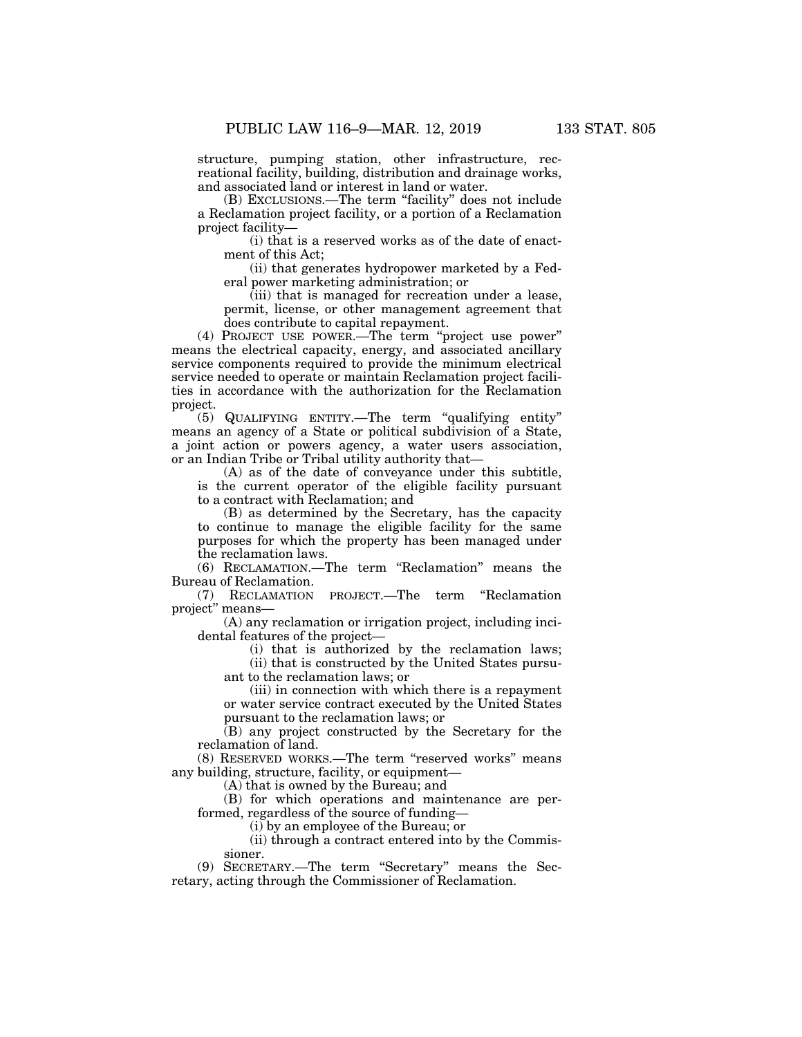structure, pumping station, other infrastructure, recreational facility, building, distribution and drainage works, and associated land or interest in land or water.

(B) EXCLUSIONS.—The term ''facility'' does not include a Reclamation project facility, or a portion of a Reclamation project facility—

(i) that is a reserved works as of the date of enactment of this Act;

(ii) that generates hydropower marketed by a Federal power marketing administration; or

(iii) that is managed for recreation under a lease, permit, license, or other management agreement that does contribute to capital repayment.

(4) PROJECT USE POWER.—The term ''project use power'' means the electrical capacity, energy, and associated ancillary service components required to provide the minimum electrical service needed to operate or maintain Reclamation project facilities in accordance with the authorization for the Reclamation project.

(5) QUALIFYING ENTITY.—The term ''qualifying entity'' means an agency of a State or political subdivision of a State, a joint action or powers agency, a water users association, or an Indian Tribe or Tribal utility authority that—

(A) as of the date of conveyance under this subtitle, is the current operator of the eligible facility pursuant to a contract with Reclamation; and

(B) as determined by the Secretary, has the capacity to continue to manage the eligible facility for the same purposes for which the property has been managed under the reclamation laws.

(6) RECLAMATION.—The term ''Reclamation'' means the Bureau of Reclamation.

(7) RECLAMATION PROJECT.—The term ''Reclamation project'' means—

(A) any reclamation or irrigation project, including incidental features of the project—

(i) that is authorized by the reclamation laws;

(ii) that is constructed by the United States pursuant to the reclamation laws; or

(iii) in connection with which there is a repayment or water service contract executed by the United States pursuant to the reclamation laws; or

(B) any project constructed by the Secretary for the reclamation of land.

(8) RESERVED WORKS.—The term ''reserved works'' means any building, structure, facility, or equipment—

(A) that is owned by the Bureau; and

(B) for which operations and maintenance are performed, regardless of the source of funding—

(i) by an employee of the Bureau; or

(ii) through a contract entered into by the Commissioner.

(9) SECRETARY.—The term ''Secretary'' means the Secretary, acting through the Commissioner of Reclamation.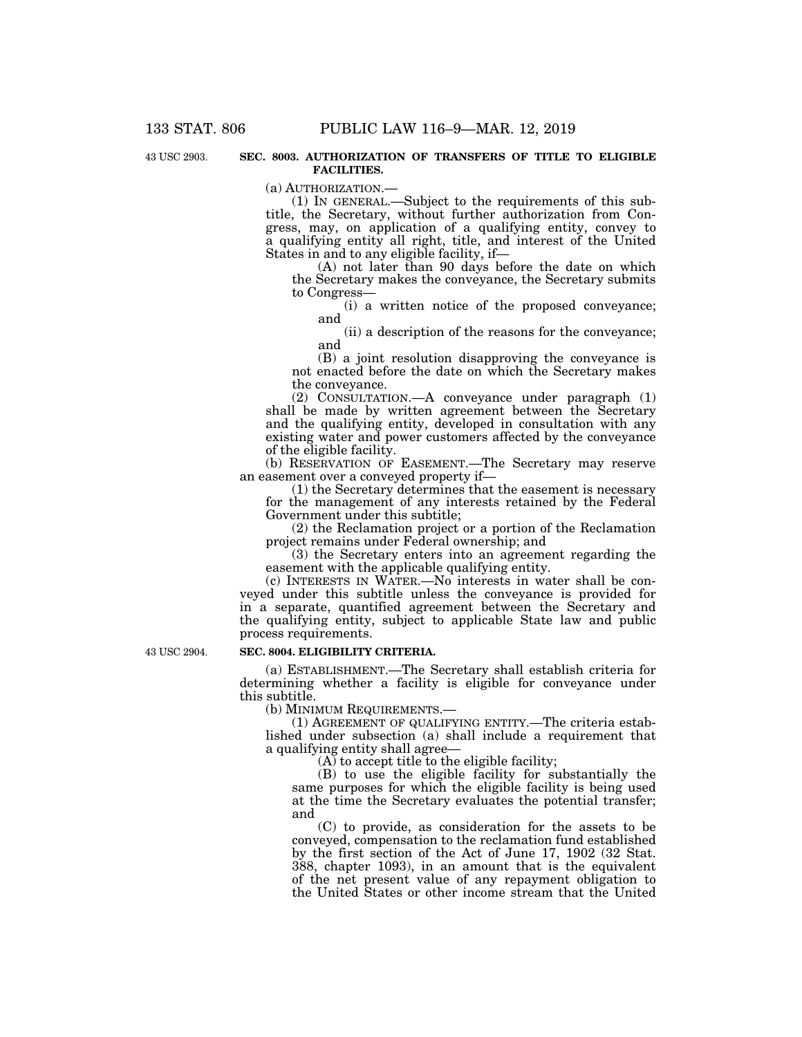43 USC 2903.

**SEC. 8003. AUTHORIZATION OF TRANSFERS OF TITLE TO ELIGIBLE FACILITIES.** 

(a) AUTHORIZATION.—

(1) IN GENERAL.—Subject to the requirements of this subtitle, the Secretary, without further authorization from Congress, may, on application of a qualifying entity, convey to a qualifying entity all right, title, and interest of the United States in and to any eligible facility, if—

(A) not later than 90 days before the date on which the Secretary makes the conveyance, the Secretary submits to Congress—

(i) a written notice of the proposed conveyance; and

(ii) a description of the reasons for the conveyance; and

(B) a joint resolution disapproving the conveyance is not enacted before the date on which the Secretary makes the conveyance.

(2) CONSULTATION.—A conveyance under paragraph (1) shall be made by written agreement between the Secretary and the qualifying entity, developed in consultation with any existing water and power customers affected by the conveyance of the eligible facility.

(b) RESERVATION OF EASEMENT.—The Secretary may reserve an easement over a conveyed property if—

(1) the Secretary determines that the easement is necessary for the management of any interests retained by the Federal Government under this subtitle;

(2) the Reclamation project or a portion of the Reclamation project remains under Federal ownership; and

(3) the Secretary enters into an agreement regarding the easement with the applicable qualifying entity.

(c) INTERESTS IN WATER.—No interests in water shall be conveyed under this subtitle unless the conveyance is provided for in a separate, quantified agreement between the Secretary and the qualifying entity, subject to applicable State law and public process requirements.

43 USC 2904.

#### **SEC. 8004. ELIGIBILITY CRITERIA.**

(a) ESTABLISHMENT.—The Secretary shall establish criteria for determining whether a facility is eligible for conveyance under this subtitle.

(b) MINIMUM REQUIREMENTS.—

(1) AGREEMENT OF QUALIFYING ENTITY.—The criteria established under subsection (a) shall include a requirement that a qualifying entity shall agree—

 $(A)$  to accept title to the eligible facility;

(B) to use the eligible facility for substantially the same purposes for which the eligible facility is being used at the time the Secretary evaluates the potential transfer; and

(C) to provide, as consideration for the assets to be conveyed, compensation to the reclamation fund established by the first section of the Act of June 17, 1902 (32 Stat. 388, chapter 1093), in an amount that is the equivalent of the net present value of any repayment obligation to the United States or other income stream that the United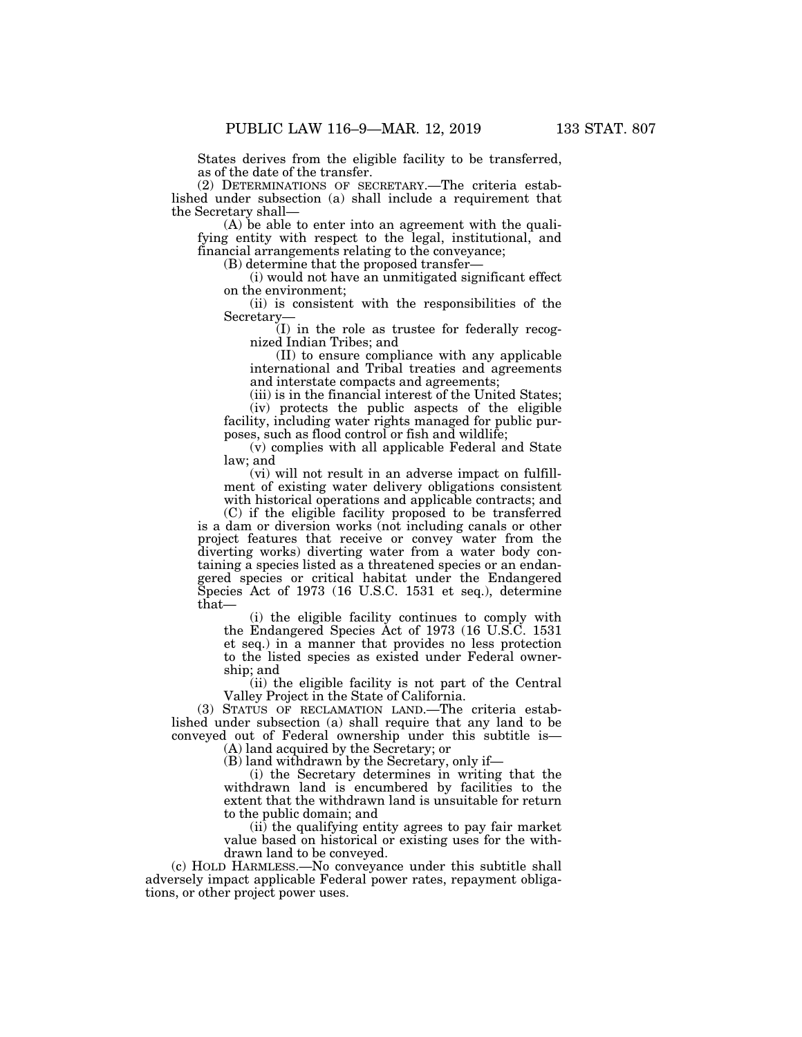States derives from the eligible facility to be transferred, as of the date of the transfer.

(2) DETERMINATIONS OF SECRETARY.—The criteria established under subsection (a) shall include a requirement that the Secretary shall—

(A) be able to enter into an agreement with the qualifying entity with respect to the legal, institutional, and financial arrangements relating to the conveyance;

(B) determine that the proposed transfer—

(i) would not have an unmitigated significant effect on the environment;

(ii) is consistent with the responsibilities of the Secretary—

(I) in the role as trustee for federally recognized Indian Tribes; and

(II) to ensure compliance with any applicable international and Tribal treaties and agreements and interstate compacts and agreements;

(iii) is in the financial interest of the United States;

(iv) protects the public aspects of the eligible facility, including water rights managed for public purposes, such as flood control or fish and wildlife;

(v) complies with all applicable Federal and State law; and

(vi) will not result in an adverse impact on fulfillment of existing water delivery obligations consistent with historical operations and applicable contracts; and

(C) if the eligible facility proposed to be transferred is a dam or diversion works (not including canals or other project features that receive or convey water from the diverting works) diverting water from a water body containing a species listed as a threatened species or an endangered species or critical habitat under the Endangered Species Act of 1973 (16 U.S.C. 1531 et seq.), determine that—

(i) the eligible facility continues to comply with the Endangered Species Act of 1973 (16 U.S.C. 1531 et seq.) in a manner that provides no less protection to the listed species as existed under Federal ownership; and

(ii) the eligible facility is not part of the Central Valley Project in the State of California.

(3) STATUS OF RECLAMATION LAND.—The criteria established under subsection (a) shall require that any land to be conveyed out of Federal ownership under this subtitle is—

(A) land acquired by the Secretary; or

(B) land withdrawn by the Secretary, only if—

(i) the Secretary determines in writing that the withdrawn land is encumbered by facilities to the extent that the withdrawn land is unsuitable for return to the public domain; and

(ii) the qualifying entity agrees to pay fair market value based on historical or existing uses for the withdrawn land to be conveyed.

(c) HOLD HARMLESS.—No conveyance under this subtitle shall adversely impact applicable Federal power rates, repayment obligations, or other project power uses.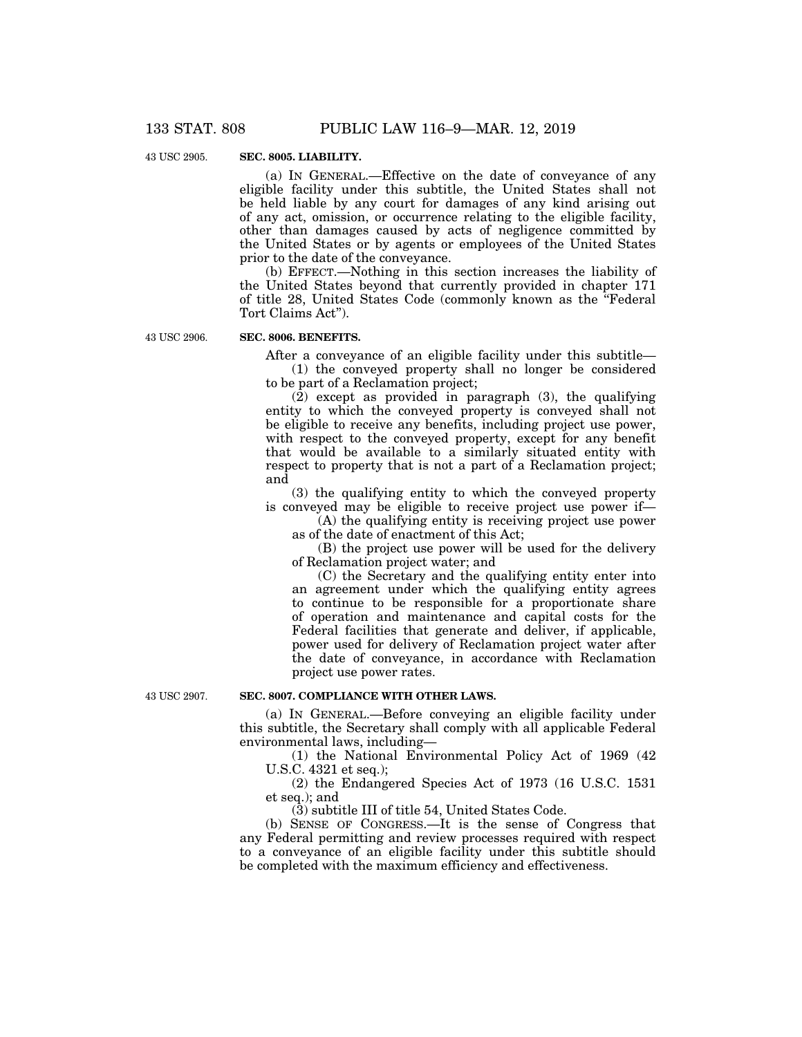43 USC 2905.

## **SEC. 8005. LIABILITY.**

(a) IN GENERAL.—Effective on the date of conveyance of any eligible facility under this subtitle, the United States shall not be held liable by any court for damages of any kind arising out of any act, omission, or occurrence relating to the eligible facility, other than damages caused by acts of negligence committed by the United States or by agents or employees of the United States prior to the date of the conveyance.

(b) EFFECT.—Nothing in this section increases the liability of the United States beyond that currently provided in chapter 171 of title 28, United States Code (commonly known as the ''Federal Tort Claims Act'').

43 USC 2906.

### **SEC. 8006. BENEFITS.**

After a conveyance of an eligible facility under this subtitle—

(1) the conveyed property shall no longer be considered to be part of a Reclamation project;

(2) except as provided in paragraph (3), the qualifying entity to which the conveyed property is conveyed shall not be eligible to receive any benefits, including project use power, with respect to the conveyed property, except for any benefit that would be available to a similarly situated entity with respect to property that is not a part of a Reclamation project; and

(3) the qualifying entity to which the conveyed property is conveyed may be eligible to receive project use power if—

(A) the qualifying entity is receiving project use power as of the date of enactment of this Act;

(B) the project use power will be used for the delivery of Reclamation project water; and

(C) the Secretary and the qualifying entity enter into an agreement under which the qualifying entity agrees to continue to be responsible for a proportionate share of operation and maintenance and capital costs for the Federal facilities that generate and deliver, if applicable, power used for delivery of Reclamation project water after the date of conveyance, in accordance with Reclamation project use power rates.

43 USC 2907.

#### **SEC. 8007. COMPLIANCE WITH OTHER LAWS.**

(a) IN GENERAL.—Before conveying an eligible facility under this subtitle, the Secretary shall comply with all applicable Federal environmental laws, including—

(1) the National Environmental Policy Act of 1969 (42 U.S.C. 4321 et seq.);

(2) the Endangered Species Act of 1973 (16 U.S.C. 1531 et seq.); and

(3) subtitle III of title 54, United States Code.

(b) SENSE OF CONGRESS.—It is the sense of Congress that any Federal permitting and review processes required with respect to a conveyance of an eligible facility under this subtitle should be completed with the maximum efficiency and effectiveness.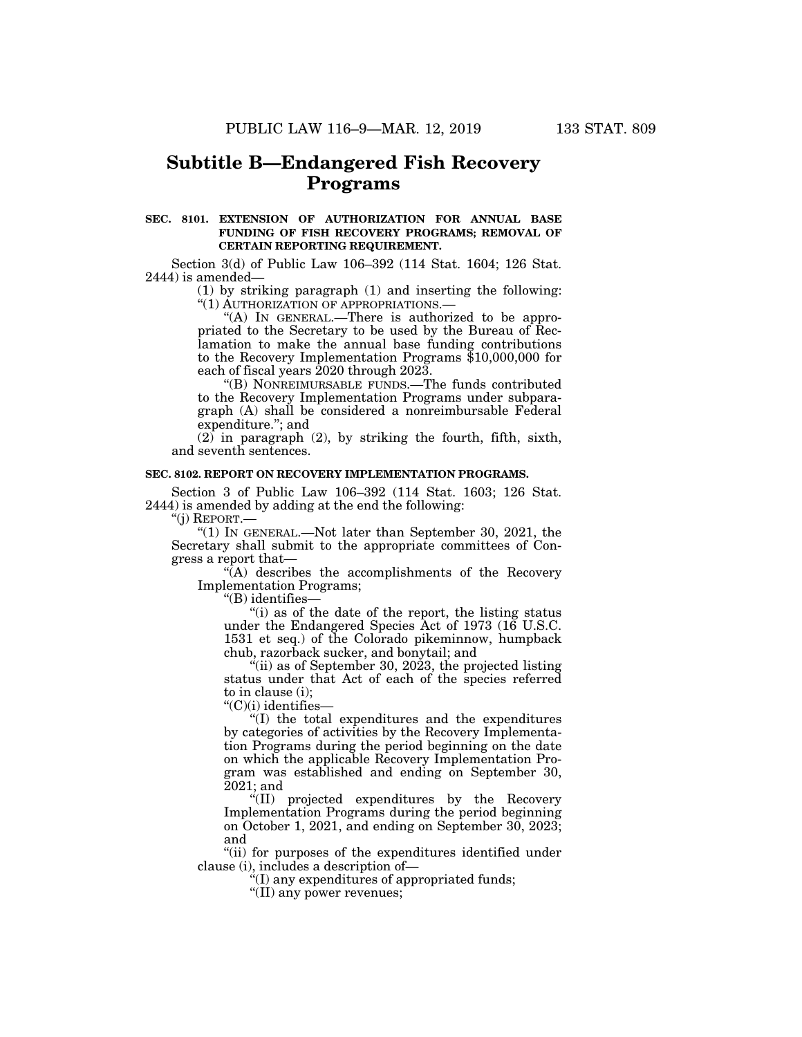## **Subtitle B—Endangered Fish Recovery Programs**

## **SEC. 8101. EXTENSION OF AUTHORIZATION FOR ANNUAL BASE FUNDING OF FISH RECOVERY PROGRAMS; REMOVAL OF CERTAIN REPORTING REQUIREMENT.**

Section 3(d) of Public Law 106–392 (114 Stat. 1604; 126 Stat. 2444) is amended—

> (1) by striking paragraph (1) and inserting the following: ''(1) AUTHORIZATION OF APPROPRIATIONS.—

> "(A) IN GENERAL.—There is authorized to be appropriated to the Secretary to be used by the Bureau of Reclamation to make the annual base funding contributions to the Recovery Implementation Programs \$10,000,000 for each of fiscal years 2020 through 2023.

> ''(B) NONREIMURSABLE FUNDS.—The funds contributed to the Recovery Implementation Programs under subparagraph (A) shall be considered a nonreimbursable Federal expenditure.''; and

 $(2)$  in paragraph  $(2)$ , by striking the fourth, fifth, sixth, and seventh sentences.

### **SEC. 8102. REPORT ON RECOVERY IMPLEMENTATION PROGRAMS.**

Section 3 of Public Law 106–392 (114 Stat. 1603; 126 Stat. 2444) is amended by adding at the end the following:

''(j) REPORT.—

" $(1)$  In GENERAL.—Not later than September 30, 2021, the Secretary shall submit to the appropriate committees of Congress a report that—

"(A) describes the accomplishments of the Recovery Implementation Programs;

''(B) identifies—

''(i) as of the date of the report, the listing status under the Endangered Species Act of 1973 (16 U.S.C. 1531 et seq.) of the Colorado pikeminnow, humpback chub, razorback sucker, and bonytail; and

 $f(i)$  as of September 30, 2023, the projected listing status under that Act of each of the species referred to in clause (i);

''(C)(i) identifies—

''(I) the total expenditures and the expenditures by categories of activities by the Recovery Implementation Programs during the period beginning on the date on which the applicable Recovery Implementation Program was established and ending on September 30, 2021; and

''(II) projected expenditures by the Recovery Implementation Programs during the period beginning on October 1, 2021, and ending on September 30, 2023; and

''(ii) for purposes of the expenditures identified under clause (i), includes a description of—

 $f(I)$  any expenditures of appropriated funds;

''(II) any power revenues;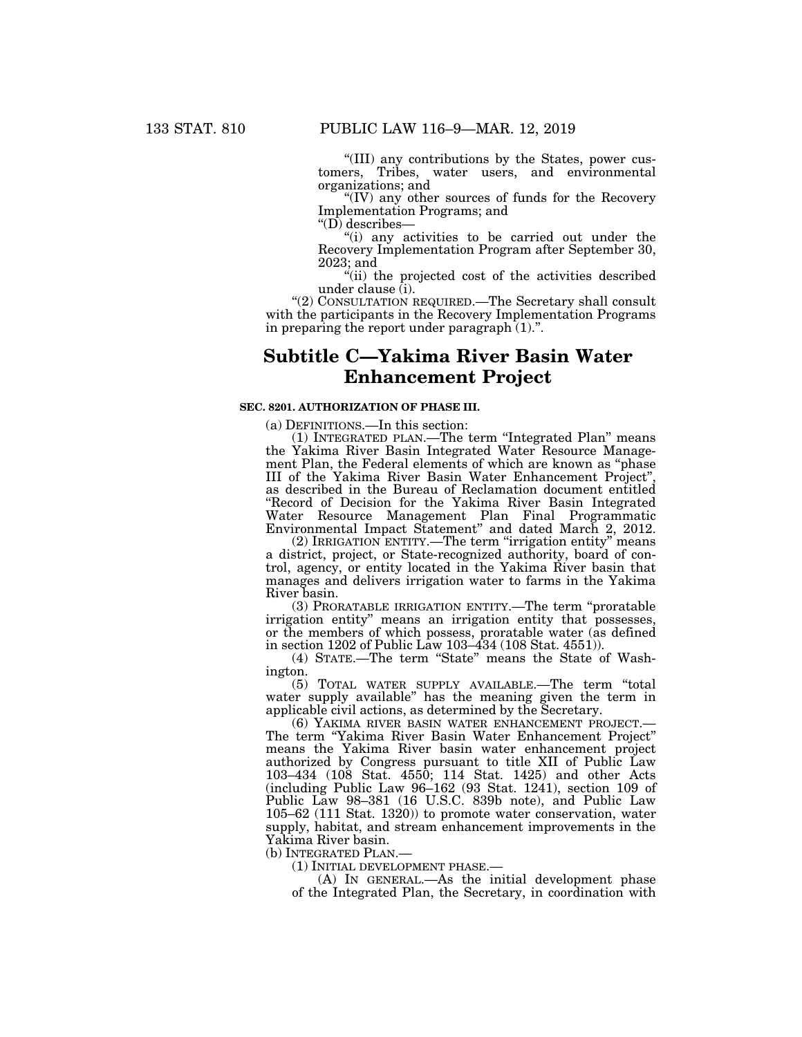''(III) any contributions by the States, power customers, Tribes, water users, and environmental organizations; and

''(IV) any other sources of funds for the Recovery Implementation Programs; and

" $(D)$  describes—

''(i) any activities to be carried out under the Recovery Implementation Program after September 30, 2023; and

''(ii) the projected cost of the activities described under clause (i).

''(2) CONSULTATION REQUIRED.—The Secretary shall consult with the participants in the Recovery Implementation Programs in preparing the report under paragraph  $(1)$ .".

# **Subtitle C—Yakima River Basin Water Enhancement Project**

#### **SEC. 8201. AUTHORIZATION OF PHASE III.**

(a) DEFINITIONS.—In this section:

(1) INTEGRATED PLAN.—The term ''Integrated Plan'' means the Yakima River Basin Integrated Water Resource Management Plan, the Federal elements of which are known as ''phase III of the Yakima River Basin Water Enhancement Project'', as described in the Bureau of Reclamation document entitled ''Record of Decision for the Yakima River Basin Integrated Water Resource Management Plan Final Programmatic Environmental Impact Statement'' and dated March 2, 2012.

(2) IRRIGATION ENTITY.—The term ''irrigation entity'' means a district, project, or State-recognized authority, board of control, agency, or entity located in the Yakima River basin that manages and delivers irrigation water to farms in the Yakima River basin.

(3) PRORATABLE IRRIGATION ENTITY.—The term ''proratable irrigation entity'' means an irrigation entity that possesses, or the members of which possess, proratable water (as defined in section 1202 of Public Law 103–434 (108 Stat. 4551)).

(4) STATE.—The term ''State'' means the State of Washington.

(5) TOTAL WATER SUPPLY AVAILABLE.—The term ''total water supply available'' has the meaning given the term in applicable civil actions, as determined by the Secretary.<br>(6) YAKIMA RIVER BASIN WATER ENHANCEMENT PROJECT.

The term "Yakima River Basin Water Enhancement Project" means the Yakima River basin water enhancement project authorized by Congress pursuant to title XII of Public Law 103–434 (108 Stat. 4550; 114 Stat. 1425) and other Acts (including Public Law 96–162 (93 Stat. 1241), section 109 of Public Law 98–381 (16 U.S.C. 839b note), and Public Law 105–62 (111 Stat. 1320)) to promote water conservation, water supply, habitat, and stream enhancement improvements in the Yakima River basin.

(b) INTEGRATED PLAN.—

(1) INITIAL DEVELOPMENT PHASE.—

(A) IN GENERAL.—As the initial development phase of the Integrated Plan, the Secretary, in coordination with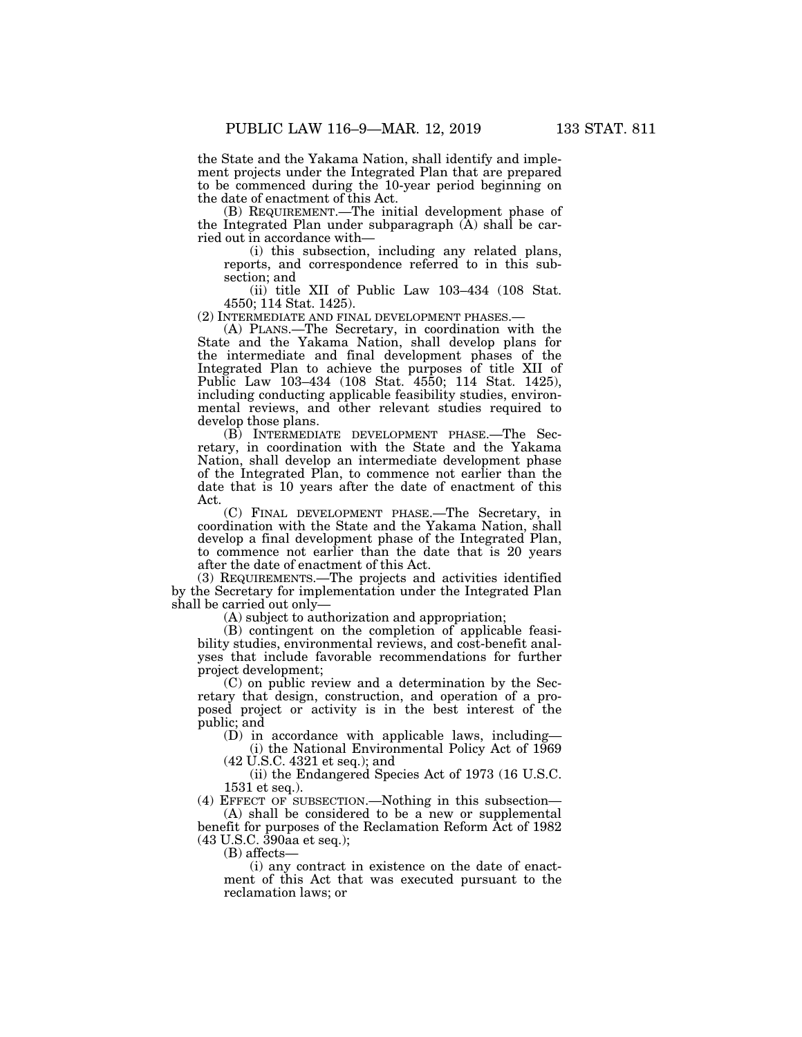the State and the Yakama Nation, shall identify and implement projects under the Integrated Plan that are prepared to be commenced during the 10-year period beginning on the date of enactment of this Act.

(B) REQUIREMENT.—The initial development phase of the Integrated Plan under subparagraph (A) shall be carried out in accordance with—

(i) this subsection, including any related plans, reports, and correspondence referred to in this subsection; and

(ii) title XII of Public Law 103–434 (108 Stat. 4550; 114 Stat. 1425).

(2) INTERMEDIATE AND FINAL DEVELOPMENT PHASES.— (A) PLANS.—The Secretary, in coordination with the State and the Yakama Nation, shall develop plans for the intermediate and final development phases of the Integrated Plan to achieve the purposes of title XII of Public Law 103–434 (108 Stat. 4550; 114 Stat. 1425), including conducting applicable feasibility studies, environmental reviews, and other relevant studies required to develop those plans.

(B) INTERMEDIATE DEVELOPMENT PHASE.—The Secretary, in coordination with the State and the Yakama Nation, shall develop an intermediate development phase of the Integrated Plan, to commence not earlier than the date that is 10 years after the date of enactment of this Act.

(C) FINAL DEVELOPMENT PHASE.—The Secretary, in coordination with the State and the Yakama Nation, shall develop a final development phase of the Integrated Plan, to commence not earlier than the date that is 20 years after the date of enactment of this Act.

(3) REQUIREMENTS.—The projects and activities identified by the Secretary for implementation under the Integrated Plan shall be carried out only—

(A) subject to authorization and appropriation;

(B) contingent on the completion of applicable feasibility studies, environmental reviews, and cost-benefit analyses that include favorable recommendations for further project development;

(C) on public review and a determination by the Secretary that design, construction, and operation of a proposed project or activity is in the best interest of the public; and

(D) in accordance with applicable laws, including— (i) the National Environmental Policy Act of 1969

(42 U.S.C. 4321 et seq.); and

(ii) the Endangered Species Act of 1973 (16 U.S.C. 1531 et seq.).

(4) EFFECT OF SUBSECTION.—Nothing in this subsection—  $(A)$  shall be considered to be a new or supplemental

benefit for purposes of the Reclamation Reform Act of 1982 (43 U.S.C. 390aa et seq.);

(B) affects—

(i) any contract in existence on the date of enactment of this Act that was executed pursuant to the reclamation laws; or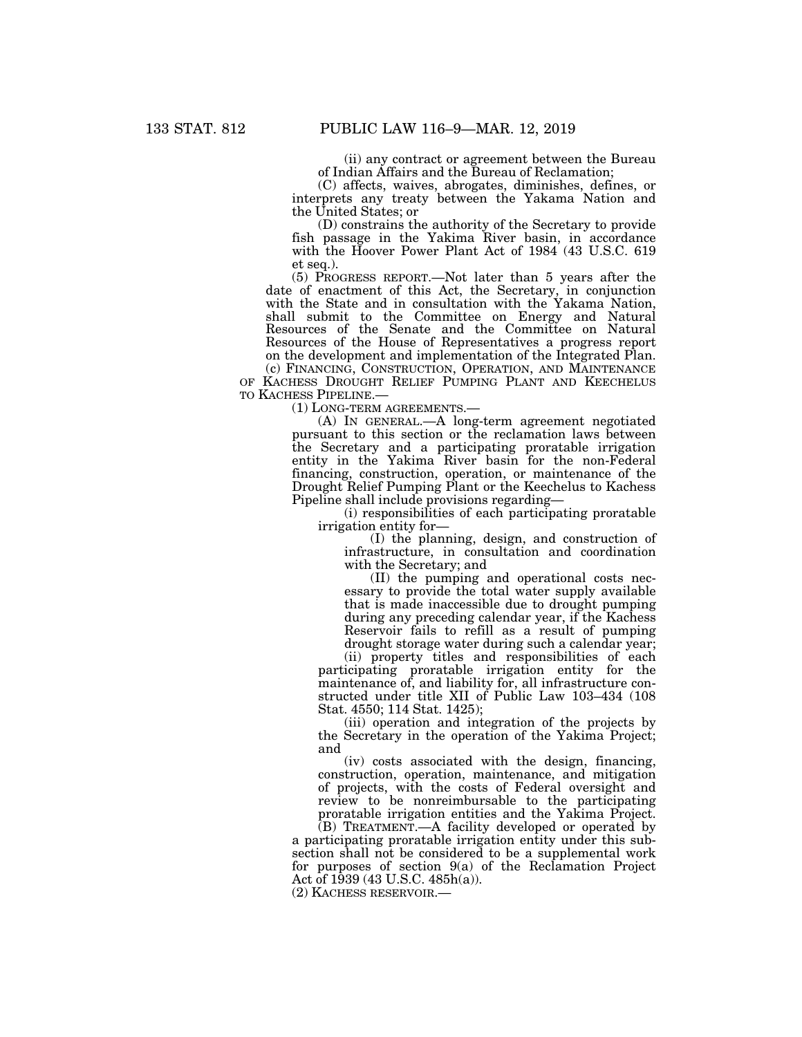(ii) any contract or agreement between the Bureau of Indian Affairs and the Bureau of Reclamation;

(C) affects, waives, abrogates, diminishes, defines, or interprets any treaty between the Yakama Nation and the United States; or

(D) constrains the authority of the Secretary to provide fish passage in the Yakima River basin, in accordance with the Hoover Power Plant Act of 1984 (43 U.S.C. 619 et seq.).

(5) PROGRESS REPORT.—Not later than 5 years after the date of enactment of this Act, the Secretary, in conjunction with the State and in consultation with the Yakama Nation, shall submit to the Committee on Energy and Natural Resources of the Senate and the Committee on Natural Resources of the House of Representatives a progress report on the development and implementation of the Integrated Plan. (c) FINANCING, CONSTRUCTION, OPERATION, AND MAINTENANCE

OF KACHESS DROUGHT RELIEF PUMPING PLANT AND KEECHELUS TO KACHESS PIPELINE.—

(1) LONG-TERM AGREEMENTS.—

(A) IN GENERAL.—A long-term agreement negotiated pursuant to this section or the reclamation laws between the Secretary and a participating proratable irrigation entity in the Yakima River basin for the non-Federal financing, construction, operation, or maintenance of the Drought Relief Pumping Plant or the Keechelus to Kachess Pipeline shall include provisions regarding—

(i) responsibilities of each participating proratable irrigation entity for—

(I) the planning, design, and construction of infrastructure, in consultation and coordination with the Secretary; and

(II) the pumping and operational costs necessary to provide the total water supply available that is made inaccessible due to drought pumping during any preceding calendar year, if the Kachess Reservoir fails to refill as a result of pumping drought storage water during such a calendar year;

(ii) property titles and responsibilities of each participating proratable irrigation entity for the maintenance of, and liability for, all infrastructure constructed under title XII of Public Law 103–434 (108 Stat. 4550; 114 Stat. 1425);

(iii) operation and integration of the projects by the Secretary in the operation of the Yakima Project; and

(iv) costs associated with the design, financing, construction, operation, maintenance, and mitigation of projects, with the costs of Federal oversight and review to be nonreimbursable to the participating proratable irrigation entities and the Yakima Project.

(B) TREATMENT.—A facility developed or operated by a participating proratable irrigation entity under this subsection shall not be considered to be a supplemental work for purposes of section 9(a) of the Reclamation Project Act of 1939 (43 U.S.C. 485h(a)).

(2) KACHESS RESERVOIR.—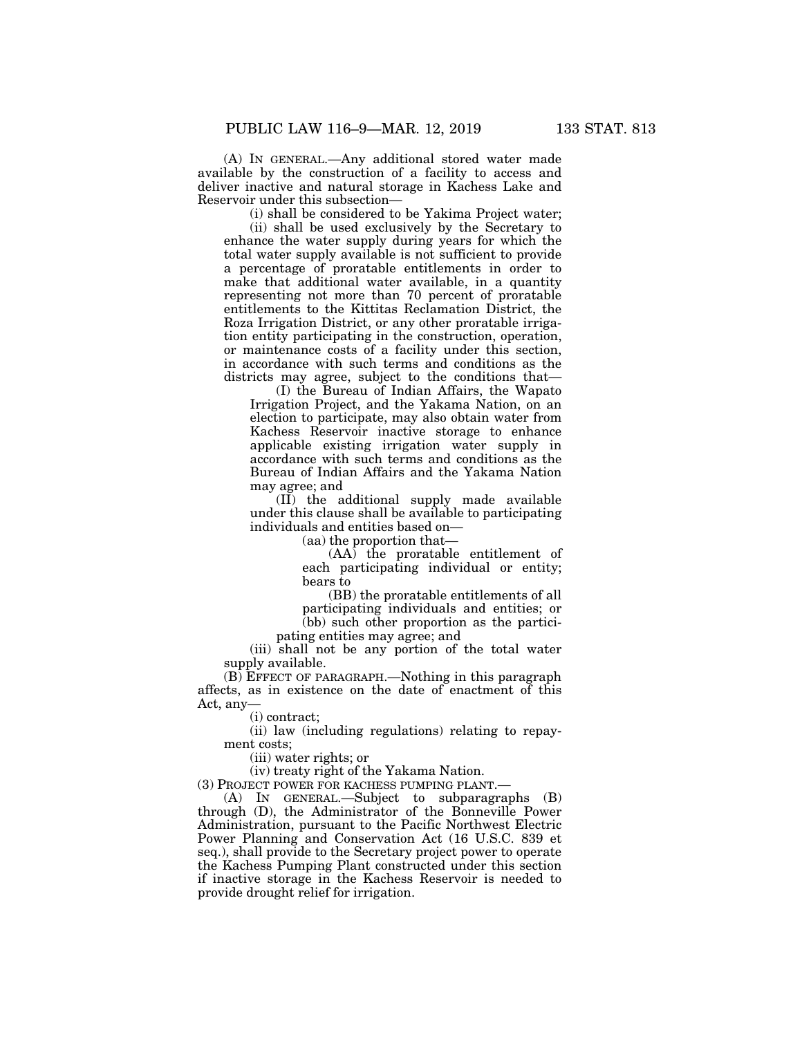(A) IN GENERAL.—Any additional stored water made available by the construction of a facility to access and deliver inactive and natural storage in Kachess Lake and Reservoir under this subsection—

(i) shall be considered to be Yakima Project water;

(ii) shall be used exclusively by the Secretary to enhance the water supply during years for which the total water supply available is not sufficient to provide a percentage of proratable entitlements in order to make that additional water available, in a quantity representing not more than 70 percent of proratable entitlements to the Kittitas Reclamation District, the Roza Irrigation District, or any other proratable irrigation entity participating in the construction, operation, or maintenance costs of a facility under this section, in accordance with such terms and conditions as the districts may agree, subject to the conditions that—

(I) the Bureau of Indian Affairs, the Wapato Irrigation Project, and the Yakama Nation, on an election to participate, may also obtain water from Kachess Reservoir inactive storage to enhance applicable existing irrigation water supply in accordance with such terms and conditions as the Bureau of Indian Affairs and the Yakama Nation may agree; and

(II) the additional supply made available under this clause shall be available to participating individuals and entities based on—

(aa) the proportion that—

(AA) the proratable entitlement of each participating individual or entity; bears to

(BB) the proratable entitlements of all participating individuals and entities; or (bb) such other proportion as the partici-

pating entities may agree; and

(iii) shall not be any portion of the total water supply available.

(B) EFFECT OF PARAGRAPH.—Nothing in this paragraph affects, as in existence on the date of enactment of this Act, any

(i) contract;

(ii) law (including regulations) relating to repayment costs;

(iii) water rights; or

(iv) treaty right of the Yakama Nation.

(3) PROJECT POWER FOR KACHESS PUMPING PLANT.—

(A) IN GENERAL.—Subject to subparagraphs (B) through (D), the Administrator of the Bonneville Power Administration, pursuant to the Pacific Northwest Electric Power Planning and Conservation Act (16 U.S.C. 839 et seq.), shall provide to the Secretary project power to operate the Kachess Pumping Plant constructed under this section if inactive storage in the Kachess Reservoir is needed to provide drought relief for irrigation.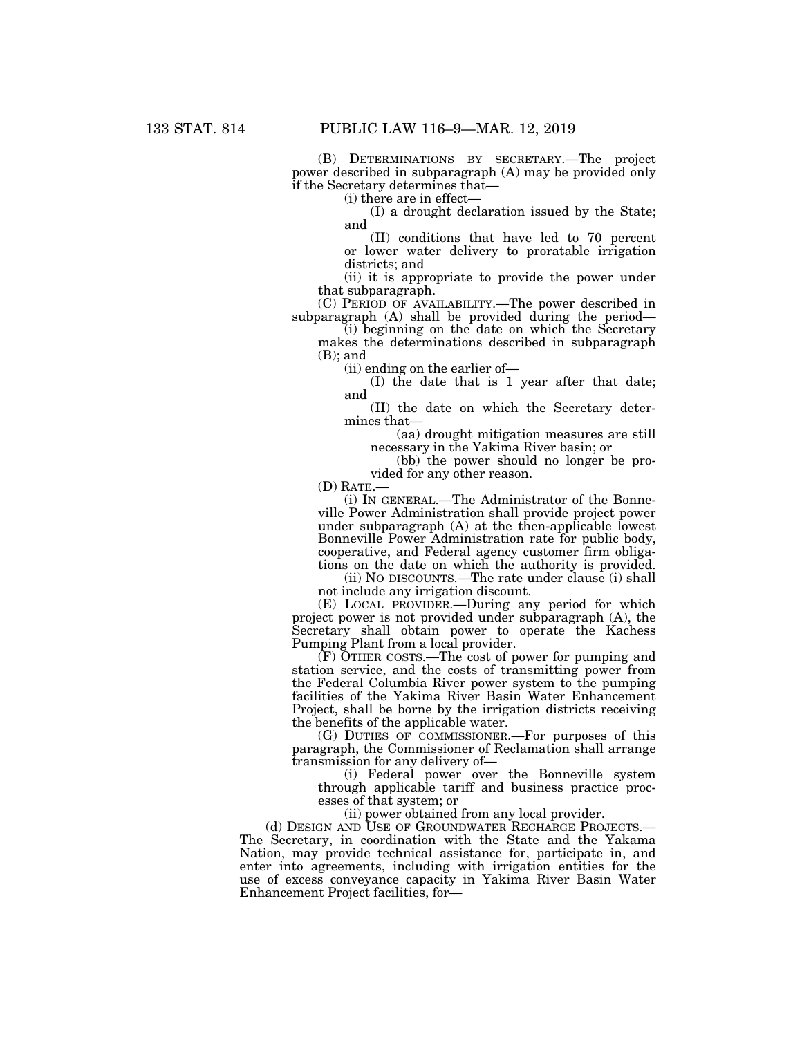(B) DETERMINATIONS BY SECRETARY.—The project power described in subparagraph (A) may be provided only if the Secretary determines that—

(i) there are in effect—

(I) a drought declaration issued by the State; and

(II) conditions that have led to 70 percent or lower water delivery to proratable irrigation districts; and

(ii) it is appropriate to provide the power under that subparagraph.

(C) PERIOD OF AVAILABILITY.—The power described in subparagraph (A) shall be provided during the period—

(i) beginning on the date on which the Secretary makes the determinations described in subparagraph (B); and

(ii) ending on the earlier of—

(I) the date that is 1 year after that date; and

(II) the date on which the Secretary determines that—

(aa) drought mitigation measures are still necessary in the Yakima River basin; or

(bb) the power should no longer be provided for any other reason.

(D) RATE.—

(i) IN GENERAL.—The Administrator of the Bonneville Power Administration shall provide project power under subparagraph (A) at the then-applicable lowest Bonneville Power Administration rate for public body, cooperative, and Federal agency customer firm obligations on the date on which the authority is provided.

(ii) NO DISCOUNTS.—The rate under clause (i) shall not include any irrigation discount.

(E) LOCAL PROVIDER.—During any period for which project power is not provided under subparagraph (A), the Secretary shall obtain power to operate the Kachess Pumping Plant from a local provider.

 $(F)$  OTHER COSTS.—The cost of power for pumping and station service, and the costs of transmitting power from the Federal Columbia River power system to the pumping facilities of the Yakima River Basin Water Enhancement Project, shall be borne by the irrigation districts receiving the benefits of the applicable water.

(G) DUTIES OF COMMISSIONER.—For purposes of this paragraph, the Commissioner of Reclamation shall arrange transmission for any delivery of—

(i) Federal power over the Bonneville system through applicable tariff and business practice processes of that system; or

(ii) power obtained from any local provider.

(d) DESIGN AND USE OF GROUNDWATER RECHARGE PROJECTS. The Secretary, in coordination with the State and the Yakama Nation, may provide technical assistance for, participate in, and enter into agreements, including with irrigation entities for the use of excess conveyance capacity in Yakima River Basin Water Enhancement Project facilities, for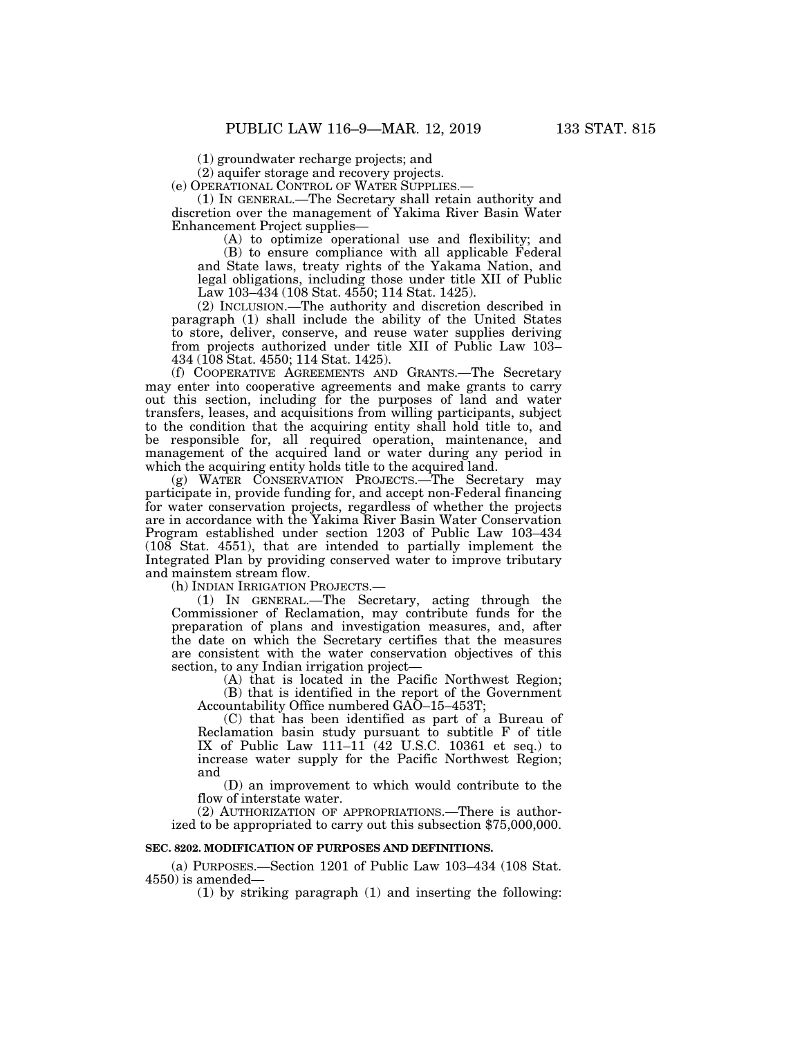(2) aquifer storage and recovery projects.

(e) OPERATIONAL CONTROL OF WATER SUPPLIES.—

(1) IN GENERAL.—The Secretary shall retain authority and discretion over the management of Yakima River Basin Water Enhancement Project supplies—

(A) to optimize operational use and flexibility; and

(B) to ensure compliance with all applicable Federal and State laws, treaty rights of the Yakama Nation, and legal obligations, including those under title XII of Public Law 103–434 (108 Stat. 4550; 114 Stat. 1425).

(2) INCLUSION.—The authority and discretion described in paragraph (1) shall include the ability of the United States to store, deliver, conserve, and reuse water supplies deriving from projects authorized under title XII of Public Law 103– 434 (108 Stat. 4550; 114 Stat. 1425).

(f) COOPERATIVE AGREEMENTS AND GRANTS.—The Secretary may enter into cooperative agreements and make grants to carry out this section, including for the purposes of land and water transfers, leases, and acquisitions from willing participants, subject to the condition that the acquiring entity shall hold title to, and be responsible for, all required operation, maintenance, and management of the acquired land or water during any period in which the acquiring entity holds title to the acquired land.

(g) WATER CONSERVATION PROJECTS.—The Secretary may participate in, provide funding for, and accept non-Federal financing for water conservation projects, regardless of whether the projects are in accordance with the Yakima River Basin Water Conservation Program established under section 1203 of Public Law 103–434 (108 Stat. 4551), that are intended to partially implement the Integrated Plan by providing conserved water to improve tributary and mainstem stream flow.

(h) INDIAN IRRIGATION PROJECTS.—

(1) IN GENERAL.—The Secretary, acting through the Commissioner of Reclamation, may contribute funds for the preparation of plans and investigation measures, and, after the date on which the Secretary certifies that the measures are consistent with the water conservation objectives of this section, to any Indian irrigation project—

(A) that is located in the Pacific Northwest Region; (B) that is identified in the report of the Government Accountability Office numbered GAO–15–453T;

(C) that has been identified as part of a Bureau of Reclamation basin study pursuant to subtitle F of title IX of Public Law 111–11 (42 U.S.C. 10361 et seq.) to increase water supply for the Pacific Northwest Region; and

(D) an improvement to which would contribute to the flow of interstate water.

(2) AUTHORIZATION OF APPROPRIATIONS.—There is authorized to be appropriated to carry out this subsection \$75,000,000.

#### **SEC. 8202. MODIFICATION OF PURPOSES AND DEFINITIONS.**

(a) PURPOSES.—Section 1201 of Public Law 103–434 (108 Stat. 4550) is amended—

(1) by striking paragraph (1) and inserting the following: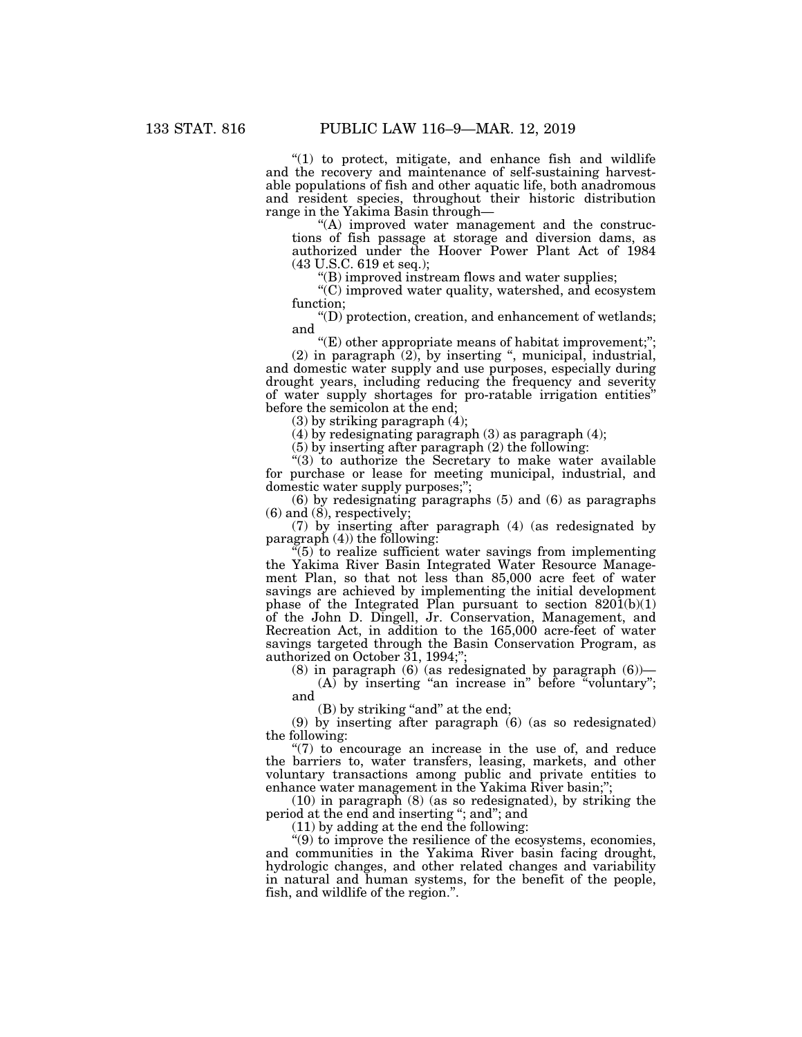" $(1)$  to protect, mitigate, and enhance fish and wildlife and the recovery and maintenance of self-sustaining harvestable populations of fish and other aquatic life, both anadromous and resident species, throughout their historic distribution range in the Yakima Basin through—

 $(A)$  improved water management and the constructions of fish passage at storage and diversion dams, as authorized under the Hoover Power Plant Act of 1984 (43 U.S.C. 619 et seq.);

''(B) improved instream flows and water supplies;

''(C) improved water quality, watershed, and ecosystem function;

''(D) protection, creation, and enhancement of wetlands; and

"(E) other appropriate means of habitat improvement;";  $(2)$  in paragraph  $(2)$ , by inserting ", municipal, industrial, and domestic water supply and use purposes, especially during drought years, including reducing the frequency and severity of water supply shortages for pro-ratable irrigation entities'' before the semicolon at the end;

(3) by striking paragraph (4);

(4) by redesignating paragraph (3) as paragraph (4);

(5) by inserting after paragraph (2) the following:

"(3) to authorize the Secretary to make water available for purchase or lease for meeting municipal, industrial, and domestic water supply purposes;'';

(6) by redesignating paragraphs (5) and (6) as paragraphs  $(6)$  and  $(8)$ , respectively;

(7) by inserting after paragraph (4) (as redesignated by paragraph  $(4)$ ) the following:

 $(5)$  to realize sufficient water savings from implementing the Yakima River Basin Integrated Water Resource Management Plan, so that not less than 85,000 acre feet of water savings are achieved by implementing the initial development phase of the Integrated Plan pursuant to section  $820(1)(1)$ of the John D. Dingell, Jr. Conservation, Management, and Recreation Act, in addition to the 165,000 acre-feet of water savings targeted through the Basin Conservation Program, as authorized on October 31, 1994;";

(8) in paragraph (6) (as redesignated by paragraph  $(6)$ )—

(A) by inserting "an increase in" before "voluntary"; and

(B) by striking "and" at the end;

(9) by inserting after paragraph (6) (as so redesignated) the following:

" $(7)$  to encourage an increase in the use of, and reduce the barriers to, water transfers, leasing, markets, and other voluntary transactions among public and private entities to enhance water management in the Yakima River basin;";

(10) in paragraph (8) (as so redesignated), by striking the period at the end and inserting ''; and''; and

(11) by adding at the end the following:

''(9) to improve the resilience of the ecosystems, economies, and communities in the Yakima River basin facing drought, hydrologic changes, and other related changes and variability in natural and human systems, for the benefit of the people, fish, and wildlife of the region.''.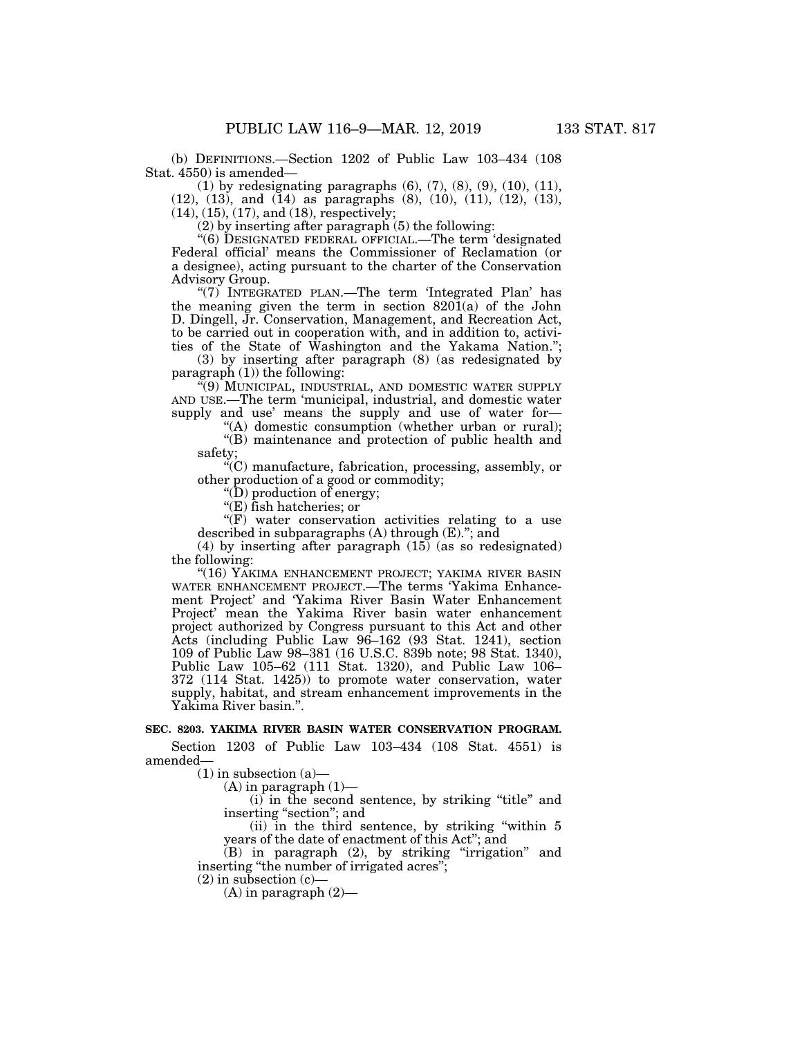(b) DEFINITIONS.—Section 1202 of Public Law 103–434 (108 Stat. 4550) is amended—

(1) by redesignating paragraphs (6), (7), (8), (9), (10), (11), (12), (13), and (14) as paragraphs (8), (10), (11), (12), (13),  $(14)$ ,  $(15)$ ,  $(17)$ , and  $(18)$ , respectively;

(2) by inserting after paragraph (5) the following:

''(6) DESIGNATED FEDERAL OFFICIAL.—The term 'designated Federal official' means the Commissioner of Reclamation (or a designee), acting pursuant to the charter of the Conservation Advisory Group.

''(7) INTEGRATED PLAN.—The term 'Integrated Plan' has the meaning given the term in section 8201(a) of the John D. Dingell, Jr. Conservation, Management, and Recreation Act, to be carried out in cooperation with, and in addition to, activities of the State of Washington and the Yakama Nation.'';

(3) by inserting after paragraph (8) (as redesignated by paragraph  $(1)$ ) the following:

''(9) MUNICIPAL, INDUSTRIAL, AND DOMESTIC WATER SUPPLY AND USE.—The term 'municipal, industrial, and domestic water supply and use' means the supply and use of water for—

"(A) domestic consumption (whether urban or rural); "(B) maintenance and protection of public health and

safety;

''(C) manufacture, fabrication, processing, assembly, or other production of a good or commodity;

''(D) production of energy;

''(E) fish hatcheries; or

 $(F)$  water conservation activities relating to a use described in subparagraphs (A) through (E).''; and

(4) by inserting after paragraph (15) (as so redesignated) the following:

"(16) YAKIMA ENHANCEMENT PROJECT; YAKIMA RIVER BASIN WATER ENHANCEMENT PROJECT.—The terms 'Yakima Enhancement Project' and 'Yakima River Basin Water Enhancement Project' mean the Yakima River basin water enhancement project authorized by Congress pursuant to this Act and other Acts (including Public Law 96–162 (93 Stat. 1241), section 109 of Public Law 98–381 (16 U.S.C. 839b note; 98 Stat. 1340), Public Law 105–62 (111 Stat. 1320), and Public Law 106– 372 (114 Stat. 1425)) to promote water conservation, water supply, habitat, and stream enhancement improvements in the Yakima River basin.''.

#### **SEC. 8203. YAKIMA RIVER BASIN WATER CONSERVATION PROGRAM.**

Section 1203 of Public Law 103–434 (108 Stat. 4551) is amended—

 $(1)$  in subsection  $(a)$ 

 $(A)$  in paragraph  $(1)$ 

(i) in the second sentence, by striking ''title'' and inserting ''section''; and

(ii) in the third sentence, by striking ''within 5 years of the date of enactment of this Act''; and

 $(B)$  in paragraph  $(2)$ , by striking "irrigation" and inserting ''the number of irrigated acres'';

 $(2)$  in subsection  $(c)$ —

 $(A)$  in paragraph  $(2)$ —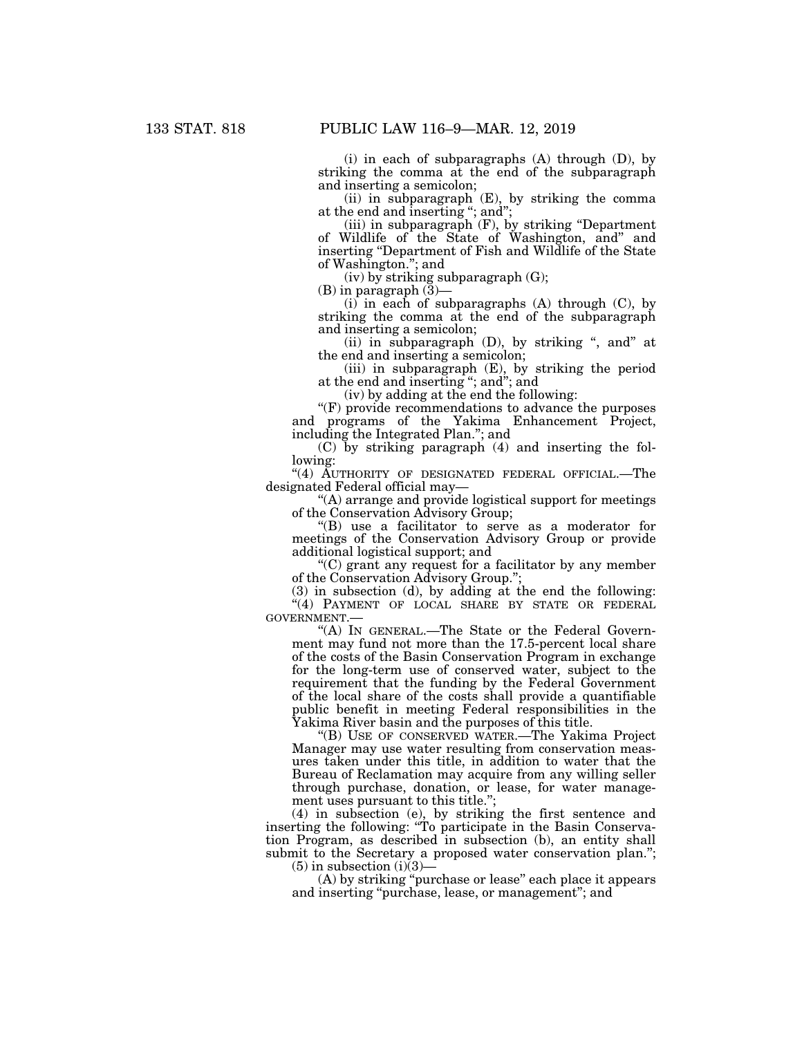(i) in each of subparagraphs (A) through (D), by striking the comma at the end of the subparagraph and inserting a semicolon;

(ii) in subparagraph (E), by striking the comma at the end and inserting ''; and'';

(iii) in subparagraph (F), by striking ''Department of Wildlife of the State of Washington, and'' and inserting ''Department of Fish and Wildlife of the State of Washington.''; and

(iv) by striking subparagraph (G);

 $(B)$  in paragraph  $(\bar{3})$ —

 $(i)$  in each of subparagraphs  $(A)$  through  $(C)$ , by striking the comma at the end of the subparagraph and inserting a semicolon;

(ii) in subparagraph  $(D)$ , by striking ", and" at the end and inserting a semicolon;

(iii) in subparagraph (E), by striking the period at the end and inserting ''; and''; and

(iv) by adding at the end the following:

''(F) provide recommendations to advance the purposes and programs of the Yakima Enhancement Project, including the Integrated Plan.''; and

(C) by striking paragraph (4) and inserting the following:

"(4) AUTHORITY OF DESIGNATED FEDERAL OFFICIAL.—The designated Federal official may—

''(A) arrange and provide logistical support for meetings of the Conservation Advisory Group;

''(B) use a facilitator to serve as a moderator for meetings of the Conservation Advisory Group or provide additional logistical support; and

''(C) grant any request for a facilitator by any member of the Conservation Advisory Group.'';

(3) in subsection (d), by adding at the end the following: ''(4) PAYMENT OF LOCAL SHARE BY STATE OR FEDERAL GOVERNMENT.—

''(A) IN GENERAL.—The State or the Federal Government may fund not more than the 17.5-percent local share of the costs of the Basin Conservation Program in exchange for the long-term use of conserved water, subject to the requirement that the funding by the Federal Government of the local share of the costs shall provide a quantifiable public benefit in meeting Federal responsibilities in the Yakima River basin and the purposes of this title.

''(B) USE OF CONSERVED WATER.—The Yakima Project Manager may use water resulting from conservation measures taken under this title, in addition to water that the Bureau of Reclamation may acquire from any willing seller through purchase, donation, or lease, for water management uses pursuant to this title.'';

(4) in subsection (e), by striking the first sentence and inserting the following: ''To participate in the Basin Conservation Program, as described in subsection (b), an entity shall submit to the Secretary a proposed water conservation plan.";

 $(5)$  in subsection  $(i)(3)$ —

(A) by striking ''purchase or lease'' each place it appears and inserting ''purchase, lease, or management''; and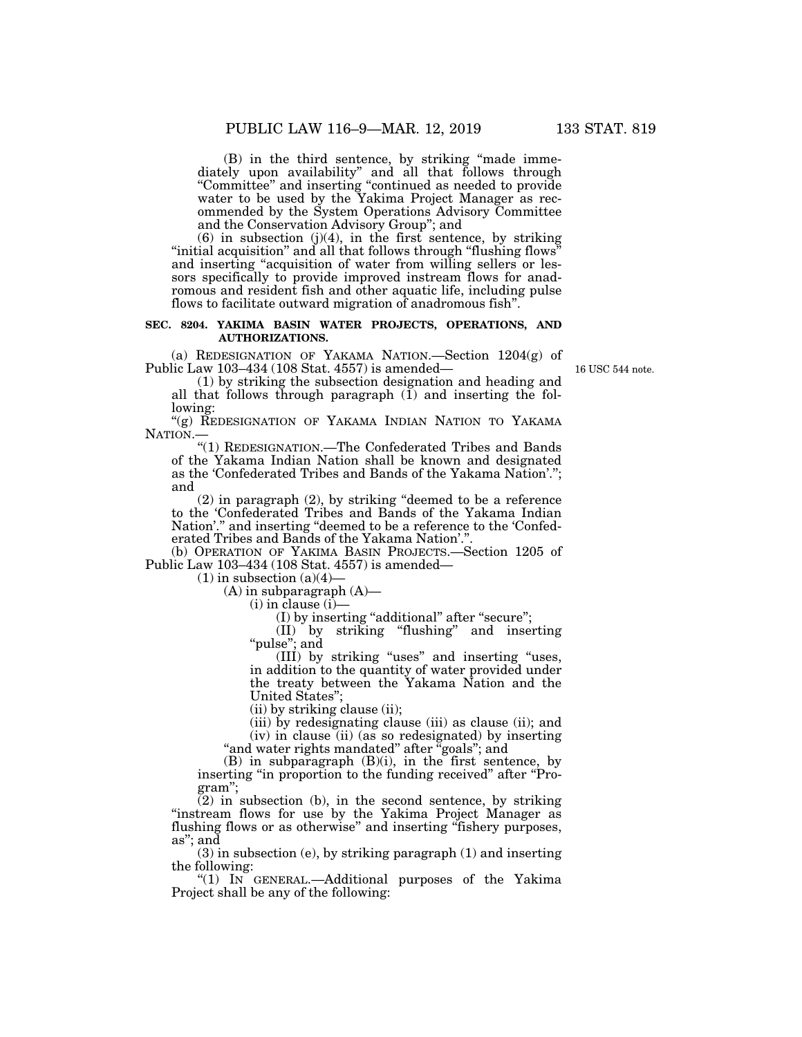(B) in the third sentence, by striking ''made immediately upon availability'' and all that follows through ''Committee'' and inserting ''continued as needed to provide water to be used by the Yakima Project Manager as recommended by the System Operations Advisory Committee and the Conservation Advisory Group''; and

 $(6)$  in subsection  $(j)(4)$ , in the first sentence, by striking "initial acquisition" and all that follows through "flushing flows' and inserting "acquisition of water from willing sellers or lessors specifically to provide improved instream flows for anadromous and resident fish and other aquatic life, including pulse flows to facilitate outward migration of anadromous fish''.

#### **SEC. 8204. YAKIMA BASIN WATER PROJECTS, OPERATIONS, AND AUTHORIZATIONS.**

(a) REDESIGNATION OF YAKAMA NATION.—Section 1204(g) of Public Law 103–434 (108 Stat. 4557) is amended—

16 USC 544 note.

(1) by striking the subsection designation and heading and all that follows through paragraph  $(I)$  and inserting the following:

"(g) REDESIGNATION OF YAKAMA INDIAN NATION TO YAKAMA NATION.

''(1) REDESIGNATION.—The Confederated Tribes and Bands of the Yakama Indian Nation shall be known and designated as the 'Confederated Tribes and Bands of the Yakama Nation'.''; and

(2) in paragraph (2), by striking ''deemed to be a reference to the 'Confederated Tribes and Bands of the Yakama Indian Nation'." and inserting "deemed to be a reference to the 'Confederated Tribes and Bands of the Yakama Nation'.''.

(b) OPERATION OF YAKIMA BASIN PROJECTS.—Section 1205 of Public Law 103–434 (108 Stat. 4557) is amended—

 $(1)$  in subsection  $(a)(4)$ 

 $(A)$  in subparagraph  $(A)$ —

(i) in clause (i)—

(I) by inserting ''additional'' after ''secure'';

(II) by striking ''flushing'' and inserting "pulse"; and

(III) by striking ''uses'' and inserting ''uses, in addition to the quantity of water provided under the treaty between the Yakama Nation and the United States'';

(ii) by striking clause (ii);

(iii) by redesignating clause (iii) as clause (ii); and (iv) in clause (ii) (as so redesignated) by inserting

"and water rights mandated" after "goals"; and

(B) in subparagraph (B)(i), in the first sentence, by inserting "in proportion to the funding received" after "Program'';

 $(2)$  in subsection (b), in the second sentence, by striking "instream flows for use by the Yakima Project Manager as flushing flows or as otherwise" and inserting "fishery purposes, as''; and

(3) in subsection (e), by striking paragraph (1) and inserting the following:

''(1) IN GENERAL.—Additional purposes of the Yakima Project shall be any of the following: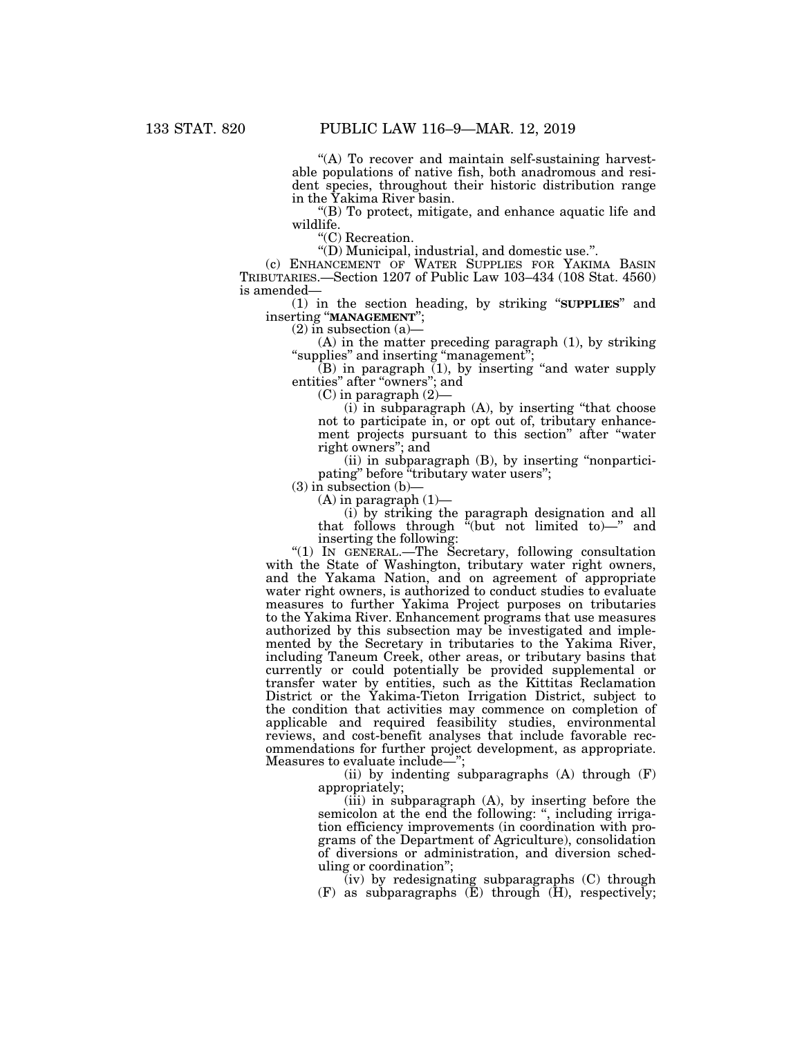"(A) To recover and maintain self-sustaining harvestable populations of native fish, both anadromous and resident species, throughout their historic distribution range in the Yakima River basin.

''(B) To protect, mitigate, and enhance aquatic life and wildlife.

"(C) Recreation.

''(D) Municipal, industrial, and domestic use.''.

(c) ENHANCEMENT OF WATER SUPPLIES FOR YAKIMA BASIN TRIBUTARIES.—Section 1207 of Public Law 103–434 (108 Stat. 4560) is amended—

(1) in the section heading, by striking ''**SUPPLIES**'' and inserting ''**MANAGEMENT**'';

 $(2)$  in subsection  $(a)$ 

(A) in the matter preceding paragraph (1), by striking "supplies" and inserting "management";

 $(B)$  in paragraph  $(1)$ , by inserting "and water supply entities" after "owners"; and

(C) in paragraph (2)—

(i) in subparagraph (A), by inserting ''that choose not to participate in, or opt out of, tributary enhancement projects pursuant to this section'' after ''water right owners''; and

(ii) in subparagraph (B), by inserting ''nonparticipating" before "tributary water users";

 $(3)$  in subsection  $(b)$ -

 $(A)$  in paragraph  $(1)$ —

(i) by striking the paragraph designation and all that follows through ''(but not limited to)—'' and inserting the following:

''(1) IN GENERAL.—The Secretary, following consultation with the State of Washington, tributary water right owners, and the Yakama Nation, and on agreement of appropriate water right owners, is authorized to conduct studies to evaluate measures to further Yakima Project purposes on tributaries to the Yakima River. Enhancement programs that use measures authorized by this subsection may be investigated and implemented by the Secretary in tributaries to the Yakima River, including Taneum Creek, other areas, or tributary basins that currently or could potentially be provided supplemental or transfer water by entities, such as the Kittitas Reclamation District or the Yakima-Tieton Irrigation District, subject to the condition that activities may commence on completion of applicable and required feasibility studies, environmental reviews, and cost-benefit analyses that include favorable recommendations for further project development, as appropriate. Measures to evaluate include—'';

(ii) by indenting subparagraphs  $(A)$  through  $(F)$ appropriately;

(iii) in subparagraph (A), by inserting before the semicolon at the end the following: ", including irrigation efficiency improvements (in coordination with programs of the Department of Agriculture), consolidation of diversions or administration, and diversion scheduling or coordination'';

(iv) by redesignating subparagraphs (C) through  $(F)$  as subparagraphs  $(E)$  through  $(H)$ , respectively;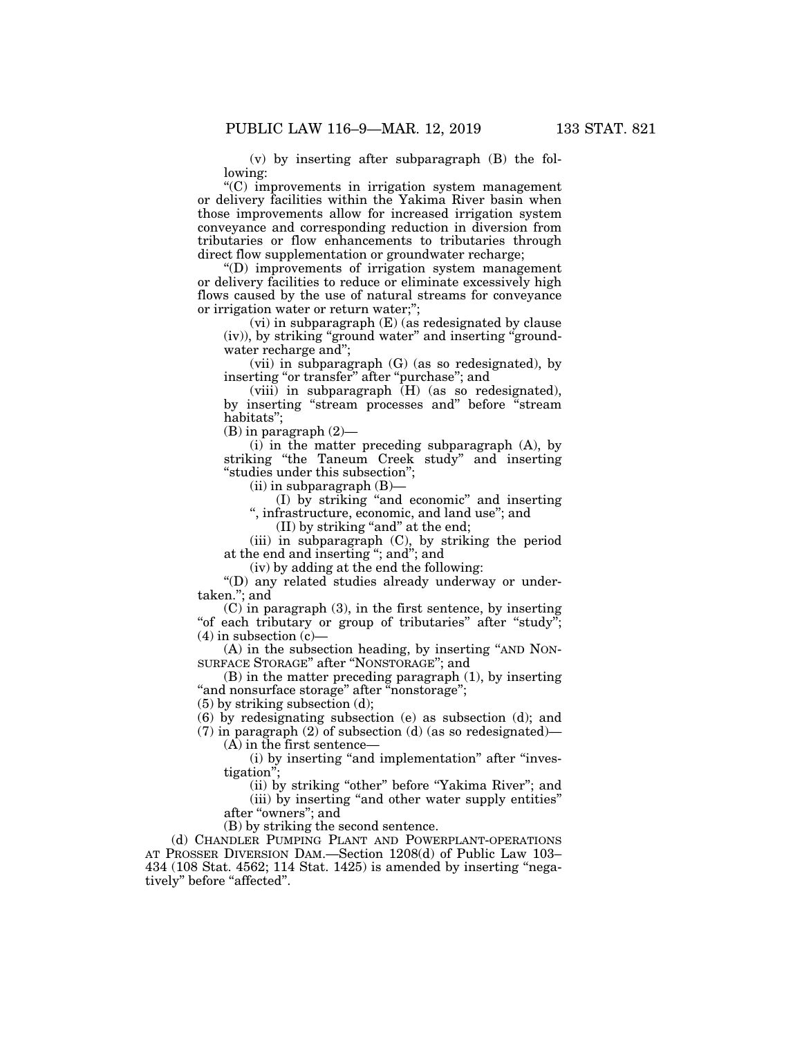(v) by inserting after subparagraph (B) the following:

''(C) improvements in irrigation system management or delivery facilities within the Yakima River basin when those improvements allow for increased irrigation system conveyance and corresponding reduction in diversion from tributaries or flow enhancements to tributaries through direct flow supplementation or groundwater recharge;

''(D) improvements of irrigation system management or delivery facilities to reduce or eliminate excessively high flows caused by the use of natural streams for conveyance or irrigation water or return water;'';

(vi) in subparagraph (E) (as redesignated by clause (iv)), by striking ''ground water'' and inserting ''groundwater recharge and'';

(vii) in subparagraph (G) (as so redesignated), by inserting "or transfer" after "purchase"; and

 $(viii)$  in subparagraph  $(H)$  (as so redesignated), by inserting ''stream processes and'' before ''stream habitats'';

 $(B)$  in paragraph  $(2)$ —

(i) in the matter preceding subparagraph (A), by striking "the Taneum Creek study" and inserting ''studies under this subsection'';

 $(ii)$  in subparagraph  $(B)$ —

(I) by striking ''and economic'' and inserting '', infrastructure, economic, and land use''; and

(II) by striking "and" at the end;

(iii) in subparagraph (C), by striking the period at the end and inserting ''; and''; and

(iv) by adding at the end the following:

''(D) any related studies already underway or undertaken.''; and

 $(C)$  in paragraph  $(3)$ , in the first sentence, by inserting "of each tributary or group of tributaries" after "study";  $(4)$  in subsection  $(c)$ —

(A) in the subsection heading, by inserting ''AND NON-SURFACE STORAGE'' after ''NONSTORAGE''; and

(B) in the matter preceding paragraph (1), by inserting "and nonsurface storage" after "nonstorage";

(5) by striking subsection (d);

(6) by redesignating subsection (e) as subsection (d); and

 $(7)$  in paragraph  $(2)$  of subsection  $(d)$  (as so redesignated)— (A) in the first sentence—

(i) by inserting "and implementation" after "investigation'';

(ii) by striking "other" before "Yakima River"; and (iii) by inserting ''and other water supply entities'' after ''owners''; and

(B) by striking the second sentence.

(d) CHANDLER PUMPING PLANT AND POWERPLANT-OPERATIONS AT PROSSER DIVERSION DAM.—Section 1208(d) of Public Law 103– 434 (108 Stat. 4562; 114 Stat. 1425) is amended by inserting "negatively" before "affected".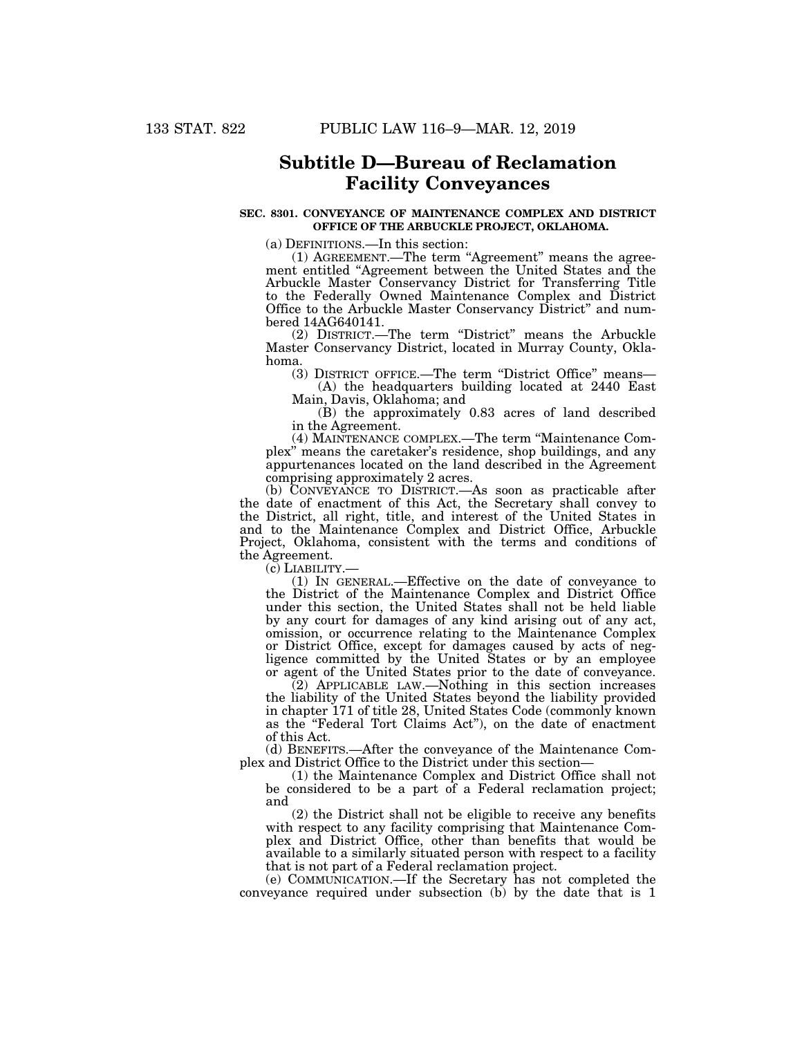## **Subtitle D—Bureau of Reclamation Facility Conveyances**

#### **SEC. 8301. CONVEYANCE OF MAINTENANCE COMPLEX AND DISTRICT OFFICE OF THE ARBUCKLE PROJECT, OKLAHOMA.**

(a) DEFINITIONS.—In this section:

(1) AGREEMENT.—The term "Agreement" means the agreement entitled ''Agreement between the United States and the Arbuckle Master Conservancy District for Transferring Title to the Federally Owned Maintenance Complex and District Office to the Arbuckle Master Conservancy District'' and numbered 14AG640141.

(2) DISTRICT.—The term ''District'' means the Arbuckle Master Conservancy District, located in Murray County, Oklahoma.

(3) DISTRICT OFFICE.—The term ''District Office'' means—

(A) the headquarters building located at 2440 East Main, Davis, Oklahoma; and

(B) the approximately 0.83 acres of land described in the Agreement.

(4) MAINTENANCE COMPLEX.—The term ''Maintenance Complex'' means the caretaker's residence, shop buildings, and any appurtenances located on the land described in the Agreement comprising approximately 2 acres.

(b) CONVEYANCE TO DISTRICT.—As soon as practicable after the date of enactment of this Act, the Secretary shall convey to the District, all right, title, and interest of the United States in and to the Maintenance Complex and District Office, Arbuckle Project, Oklahoma, consistent with the terms and conditions of the Agreement.

(c) LIABILITY.— (1) IN GENERAL.—Effective on the date of conveyance to the District of the Maintenance Complex and District Office under this section, the United States shall not be held liable by any court for damages of any kind arising out of any act, omission, or occurrence relating to the Maintenance Complex or District Office, except for damages caused by acts of negligence committed by the United States or by an employee or agent of the United States prior to the date of conveyance.

(2) APPLICABLE LAW.—Nothing in this section increases the liability of the United States beyond the liability provided in chapter 171 of title 28, United States Code (commonly known as the ''Federal Tort Claims Act''), on the date of enactment of this Act.

(d) BENEFITS.—After the conveyance of the Maintenance Complex and District Office to the District under this section—

(1) the Maintenance Complex and District Office shall not be considered to be a part of a Federal reclamation project; and

(2) the District shall not be eligible to receive any benefits with respect to any facility comprising that Maintenance Complex and District Office, other than benefits that would be available to a similarly situated person with respect to a facility that is not part of a Federal reclamation project.

(e) COMMUNICATION.—If the Secretary has not completed the conveyance required under subsection (b) by the date that is 1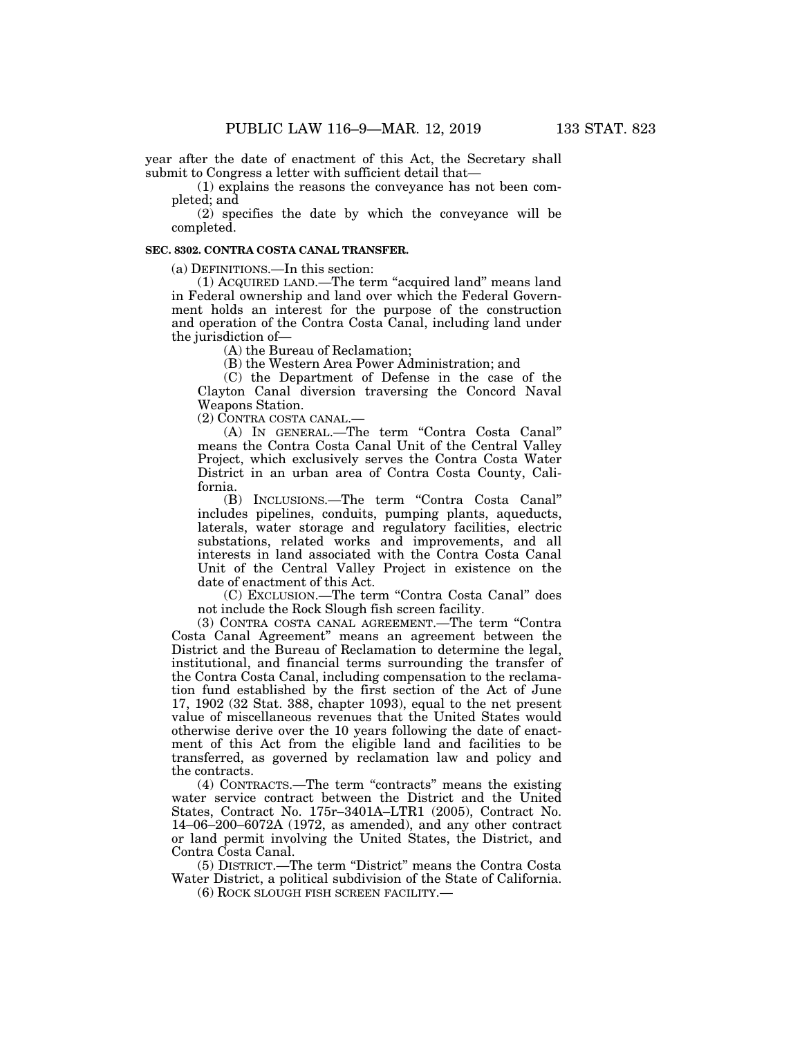year after the date of enactment of this Act, the Secretary shall submit to Congress a letter with sufficient detail that—

(1) explains the reasons the conveyance has not been completed; and

(2) specifies the date by which the conveyance will be completed.

#### **SEC. 8302. CONTRA COSTA CANAL TRANSFER.**

(a) DEFINITIONS.—In this section:

(1) ACQUIRED LAND.—The term ''acquired land'' means land in Federal ownership and land over which the Federal Government holds an interest for the purpose of the construction and operation of the Contra Costa Canal, including land under the jurisdiction of—

(A) the Bureau of Reclamation;

(B) the Western Area Power Administration; and

(C) the Department of Defense in the case of the Clayton Canal diversion traversing the Concord Naval Weapons Station.

(2) CONTRA COSTA CANAL.—

(A) IN GENERAL.—The term ''Contra Costa Canal'' means the Contra Costa Canal Unit of the Central Valley Project, which exclusively serves the Contra Costa Water District in an urban area of Contra Costa County, California.

(B) INCLUSIONS.—The term ''Contra Costa Canal'' includes pipelines, conduits, pumping plants, aqueducts, laterals, water storage and regulatory facilities, electric substations, related works and improvements, and all interests in land associated with the Contra Costa Canal Unit of the Central Valley Project in existence on the date of enactment of this Act.

(C) EXCLUSION.—The term ''Contra Costa Canal'' does not include the Rock Slough fish screen facility.

(3) CONTRA COSTA CANAL AGREEMENT.—The term ''Contra Costa Canal Agreement'' means an agreement between the District and the Bureau of Reclamation to determine the legal, institutional, and financial terms surrounding the transfer of the Contra Costa Canal, including compensation to the reclamation fund established by the first section of the Act of June 17, 1902 (32 Stat. 388, chapter 1093), equal to the net present value of miscellaneous revenues that the United States would otherwise derive over the 10 years following the date of enactment of this Act from the eligible land and facilities to be transferred, as governed by reclamation law and policy and the contracts.

(4) CONTRACTS.—The term ''contracts'' means the existing water service contract between the District and the United States, Contract No. 175r–3401A–LTR1 (2005), Contract No. 14–06–200–6072A (1972, as amended), and any other contract or land permit involving the United States, the District, and Contra Costa Canal.

(5) DISTRICT.—The term ''District'' means the Contra Costa Water District, a political subdivision of the State of California.

(6) ROCK SLOUGH FISH SCREEN FACILITY.—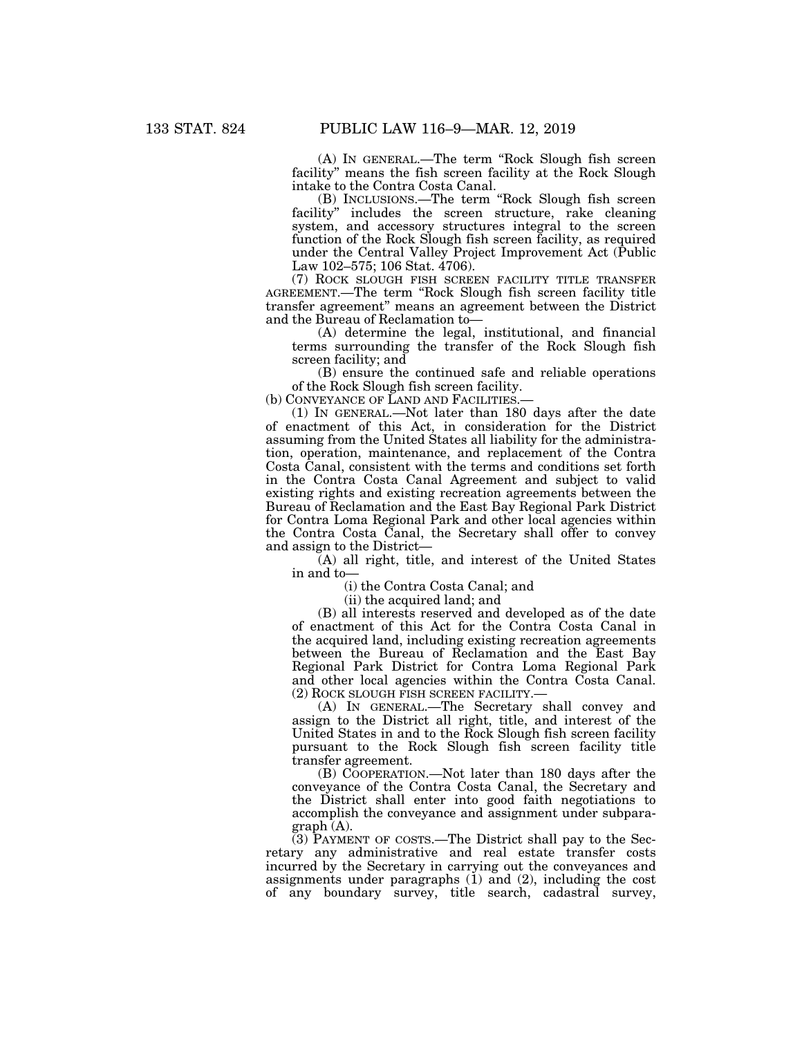(A) IN GENERAL.—The term ''Rock Slough fish screen facility'' means the fish screen facility at the Rock Slough intake to the Contra Costa Canal.

(B) INCLUSIONS.—The term ''Rock Slough fish screen facility" includes the screen structure, rake cleaning system, and accessory structures integral to the screen function of the Rock Slough fish screen facility, as required under the Central Valley Project Improvement Act (Public Law 102–575; 106 Stat. 4706).

(7) ROCK SLOUGH FISH SCREEN FACILITY TITLE TRANSFER AGREEMENT.—The term ''Rock Slough fish screen facility title transfer agreement'' means an agreement between the District and the Bureau of Reclamation to—

(A) determine the legal, institutional, and financial terms surrounding the transfer of the Rock Slough fish screen facility; and

(B) ensure the continued safe and reliable operations of the Rock Slough fish screen facility.

(b) CONVEYANCE OF LAND AND FACILITIES.

(1) IN GENERAL.—Not later than 180 days after the date of enactment of this Act, in consideration for the District assuming from the United States all liability for the administration, operation, maintenance, and replacement of the Contra Costa Canal, consistent with the terms and conditions set forth in the Contra Costa Canal Agreement and subject to valid existing rights and existing recreation agreements between the Bureau of Reclamation and the East Bay Regional Park District for Contra Loma Regional Park and other local agencies within the Contra Costa Canal, the Secretary shall offer to convey and assign to the District—

(A) all right, title, and interest of the United States in and to—

(i) the Contra Costa Canal; and

(ii) the acquired land; and

(B) all interests reserved and developed as of the date of enactment of this Act for the Contra Costa Canal in the acquired land, including existing recreation agreements between the Bureau of Reclamation and the East Bay Regional Park District for Contra Loma Regional Park and other local agencies within the Contra Costa Canal. (2) ROCK SLOUGH FISH SCREEN FACILITY.—

(A) IN GENERAL.—The Secretary shall convey and assign to the District all right, title, and interest of the United States in and to the Rock Slough fish screen facility pursuant to the Rock Slough fish screen facility title transfer agreement.

(B) COOPERATION.—Not later than 180 days after the conveyance of the Contra Costa Canal, the Secretary and the District shall enter into good faith negotiations to accomplish the conveyance and assignment under subparagraph (A).

(3) PAYMENT OF COSTS.—The District shall pay to the Secretary any administrative and real estate transfer costs incurred by the Secretary in carrying out the conveyances and assignments under paragraphs  $(1)$  and  $(2)$ , including the cost of any boundary survey, title search, cadastral survey,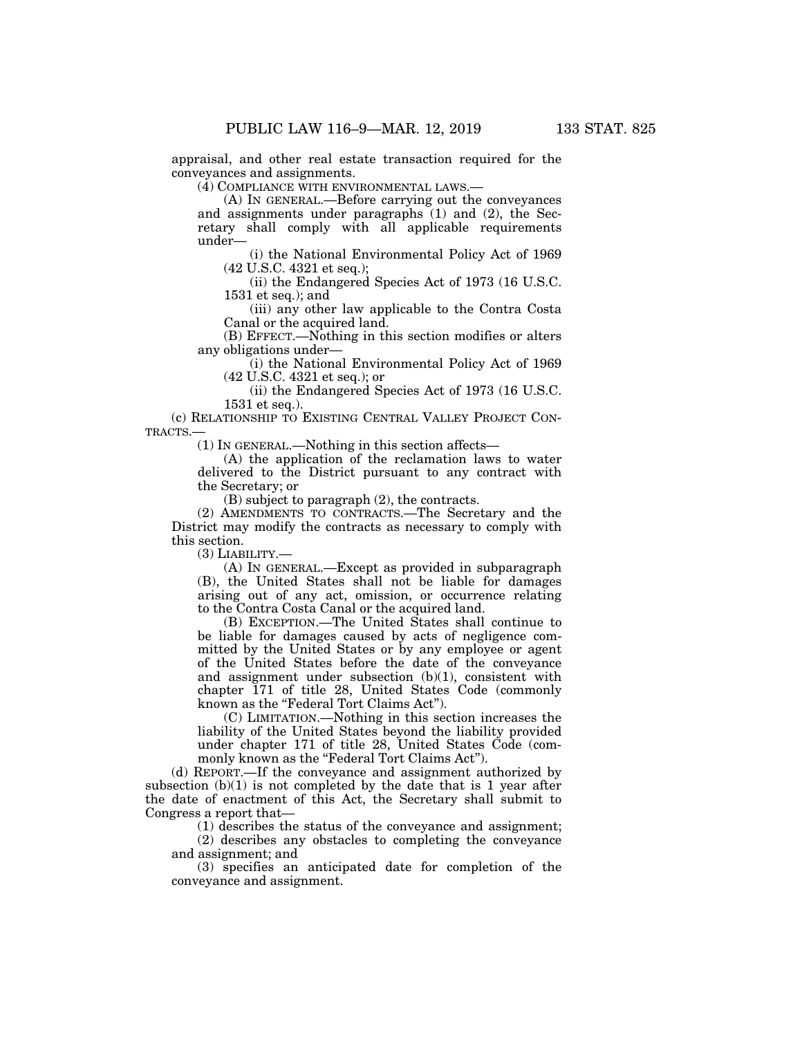appraisal, and other real estate transaction required for the conveyances and assignments.

(4) COMPLIANCE WITH ENVIRONMENTAL LAWS.—

(A) IN GENERAL.—Before carrying out the conveyances and assignments under paragraphs (1) and (2), the Secretary shall comply with all applicable requirements under—

(i) the National Environmental Policy Act of 1969 (42 U.S.C. 4321 et seq.);

(ii) the Endangered Species Act of 1973 (16 U.S.C. 1531 et seq.); and

(iii) any other law applicable to the Contra Costa Canal or the acquired land.

(B) EFFECT.—Nothing in this section modifies or alters any obligations under—

(i) the National Environmental Policy Act of 1969 (42 U.S.C. 4321 et seq.); or

(ii) the Endangered Species Act of 1973 (16 U.S.C. 1531 et seq.).

(c) RELATIONSHIP TO EXISTING CENTRAL VALLEY PROJECT CON-TRACTS.—

(1) IN GENERAL.—Nothing in this section affects—

(A) the application of the reclamation laws to water delivered to the District pursuant to any contract with the Secretary; or

(B) subject to paragraph (2), the contracts.

(2) AMENDMENTS TO CONTRACTS.—The Secretary and the District may modify the contracts as necessary to comply with this section.

(3) LIABILITY.—

(A) IN GENERAL.—Except as provided in subparagraph (B), the United States shall not be liable for damages arising out of any act, omission, or occurrence relating to the Contra Costa Canal or the acquired land.

(B) EXCEPTION.—The United States shall continue to be liable for damages caused by acts of negligence committed by the United States or by any employee or agent of the United States before the date of the conveyance and assignment under subsection (b)(1), consistent with chapter 171 of title 28, United States Code (commonly known as the "Federal Tort Claims Act").

(C) LIMITATION.—Nothing in this section increases the liability of the United States beyond the liability provided under chapter 171 of title 28, United States Code (commonly known as the "Federal Tort Claims Act").

(d) REPORT.—If the conveyance and assignment authorized by subsection  $(b)(1)$  is not completed by the date that is 1 year after the date of enactment of this Act, the Secretary shall submit to Congress a report that—

(1) describes the status of the conveyance and assignment;

(2) describes any obstacles to completing the conveyance and assignment; and

(3) specifies an anticipated date for completion of the conveyance and assignment.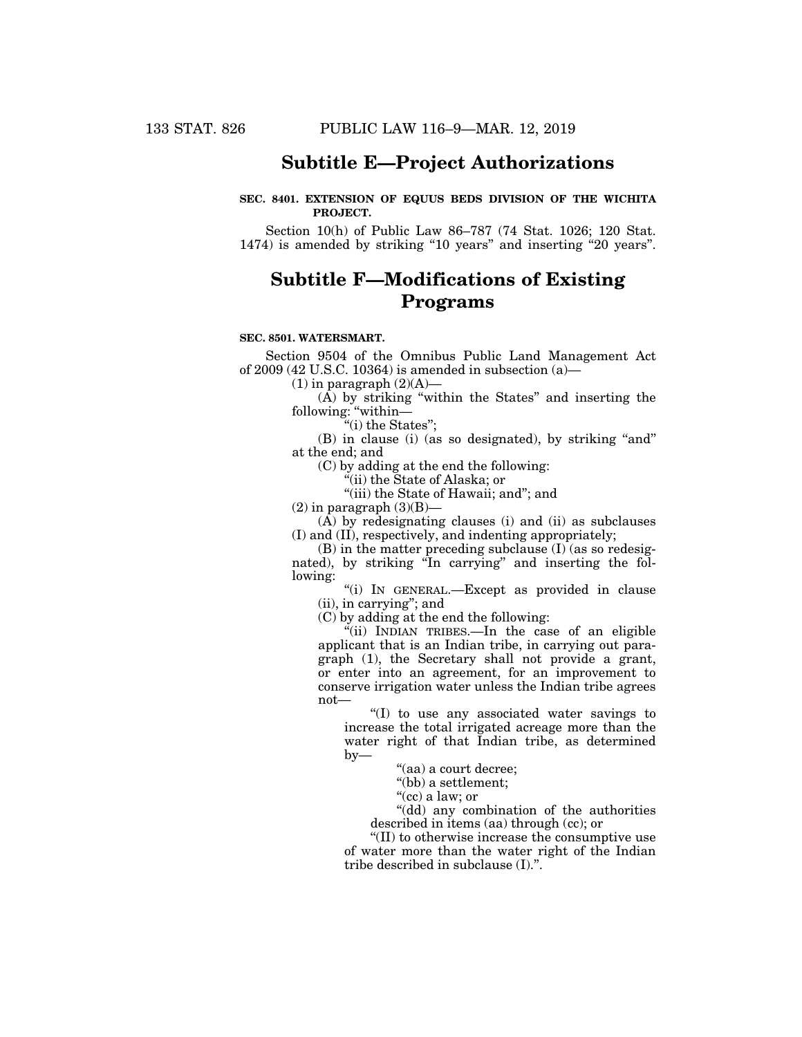## **Subtitle E—Project Authorizations**

## **SEC. 8401. EXTENSION OF EQUUS BEDS DIVISION OF THE WICHITA PROJECT.**

Section 10(h) of Public Law 86–787 (74 Stat. 1026; 120 Stat. 1474) is amended by striking "10 years" and inserting "20 years".

# **Subtitle F—Modifications of Existing Programs**

#### **SEC. 8501. WATERSMART.**

Section 9504 of the Omnibus Public Land Management Act of 2009 (42 U.S.C. 10364) is amended in subsection (a)—

 $(1)$  in paragraph  $(2)(A)$ —

 $(A)$  by striking "within the States" and inserting the following: "within-

''(i) the States'';

(B) in clause (i) (as so designated), by striking ''and'' at the end; and

(C) by adding at the end the following:

''(ii) the State of Alaska; or

"(iii) the State of Hawaii; and"; and

 $(2)$  in paragraph  $(3)(B)$ —

 $(A)$  by redesignating clauses (i) and (ii) as subclauses (I) and (II), respectively, and indenting appropriately;

 $(B)$  in the matter preceding subclause  $(I)$  (as so redesignated), by striking "In carrying" and inserting the following:

''(i) IN GENERAL.—Except as provided in clause (ii), in carrying''; and

(C) by adding at the end the following:

 $\tilde{N}$ (ii) INDIAN TRIBES.—In the case of an eligible applicant that is an Indian tribe, in carrying out paragraph (1), the Secretary shall not provide a grant, or enter into an agreement, for an improvement to conserve irrigation water unless the Indian tribe agrees not—

''(I) to use any associated water savings to increase the total irrigated acreage more than the water right of that Indian tribe, as determined by—

''(aa) a court decree;

''(bb) a settlement;

''(cc) a law; or

''(dd) any combination of the authorities described in items (aa) through (cc); or

''(II) to otherwise increase the consumptive use of water more than the water right of the Indian tribe described in subclause (I).''.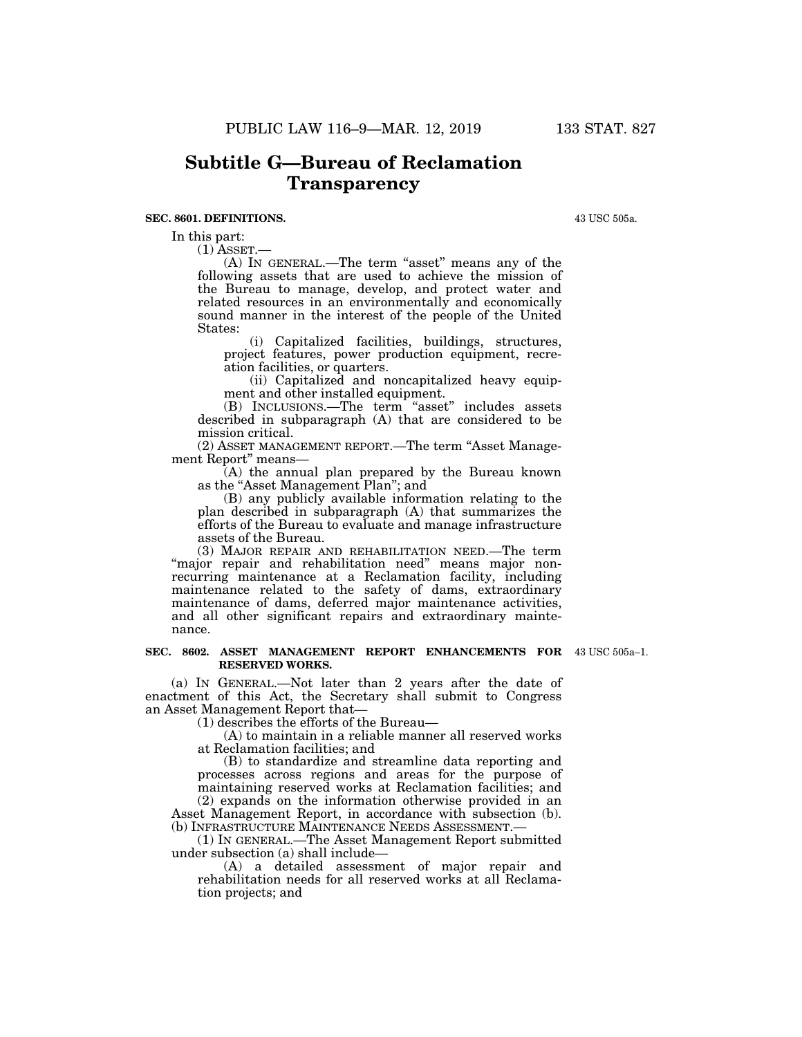#### **SEC. 8601. DEFINITIONS.**

In this part:

 $(1)$  ASSET. $-$ 

(A) IN GENERAL.—The term ''asset'' means any of the following assets that are used to achieve the mission of the Bureau to manage, develop, and protect water and related resources in an environmentally and economically sound manner in the interest of the people of the United States:

(i) Capitalized facilities, buildings, structures, project features, power production equipment, recreation facilities, or quarters.

(ii) Capitalized and noncapitalized heavy equipment and other installed equipment.

(B) INCLUSIONS.—The term ''asset'' includes assets described in subparagraph (A) that are considered to be mission critical.

(2) ASSET MANAGEMENT REPORT.—The term ''Asset Management Report'' means—

(A) the annual plan prepared by the Bureau known as the "Asset Management Plan"; and

(B) any publicly available information relating to the plan described in subparagraph (A) that summarizes the efforts of the Bureau to evaluate and manage infrastructure assets of the Bureau.

(3) MAJOR REPAIR AND REHABILITATION NEED.—The term "major repair and rehabilitation need" means major nonrecurring maintenance at a Reclamation facility, including maintenance related to the safety of dams, extraordinary maintenance of dams, deferred major maintenance activities, and all other significant repairs and extraordinary maintenance.

#### **SEC. 8602. ASSET MANAGEMENT REPORT ENHANCEMENTS FOR**  43 USC 505a–1. **RESERVED WORKS.**

(a) IN GENERAL.—Not later than 2 years after the date of enactment of this Act, the Secretary shall submit to Congress an Asset Management Report that—

(1) describes the efforts of the Bureau—

(A) to maintain in a reliable manner all reserved works at Reclamation facilities; and

(B) to standardize and streamline data reporting and processes across regions and areas for the purpose of maintaining reserved works at Reclamation facilities; and (2) expands on the information otherwise provided in an

Asset Management Report, in accordance with subsection (b). (b) INFRASTRUCTURE MAINTENANCE NEEDS ASSESSMENT.

(1) IN GENERAL.—The Asset Management Report submitted under subsection (a) shall include—

(A) a detailed assessment of major repair and rehabilitation needs for all reserved works at all Reclamation projects; and

43 USC 505a.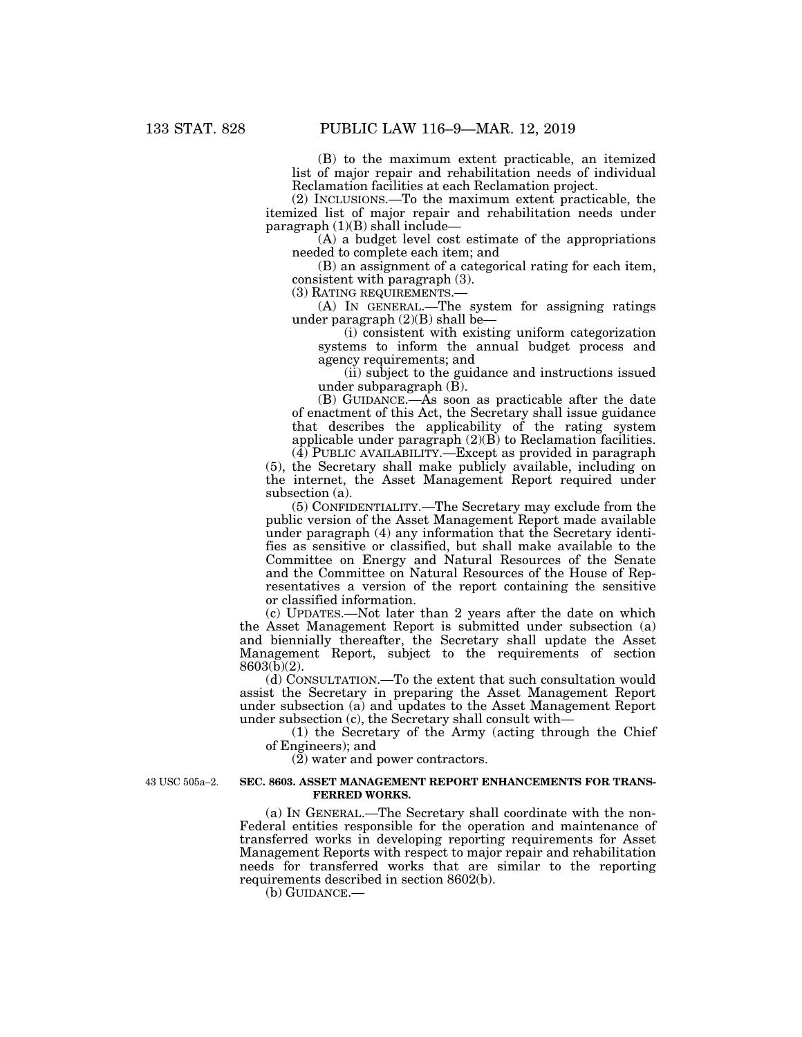(B) to the maximum extent practicable, an itemized list of major repair and rehabilitation needs of individual Reclamation facilities at each Reclamation project.

(2) INCLUSIONS.—To the maximum extent practicable, the itemized list of major repair and rehabilitation needs under paragraph  $(1)(B)$  shall include—

(A) a budget level cost estimate of the appropriations needed to complete each item; and

(B) an assignment of a categorical rating for each item, consistent with paragraph (3).

(3) RATING REQUIREMENTS.—

(A) IN GENERAL.—The system for assigning ratings under paragraph (2)(B) shall be—

(i) consistent with existing uniform categorization systems to inform the annual budget process and agency requirements; and

(ii) subject to the guidance and instructions issued under subparagraph (B).

(B) GUIDANCE.—As soon as practicable after the date of enactment of this Act, the Secretary shall issue guidance that describes the applicability of the rating system applicable under paragraph (2)(B) to Reclamation facilities.

 $(\tilde{4})$  PUBLIC AVAILABILITY.—Except as provided in paragraph (5), the Secretary shall make publicly available, including on the internet, the Asset Management Report required under subsection (a).

(5) CONFIDENTIALITY.—The Secretary may exclude from the public version of the Asset Management Report made available under paragraph (4) any information that the Secretary identifies as sensitive or classified, but shall make available to the Committee on Energy and Natural Resources of the Senate and the Committee on Natural Resources of the House of Representatives a version of the report containing the sensitive or classified information.

(c) UPDATES.—Not later than 2 years after the date on which the Asset Management Report is submitted under subsection (a) and biennially thereafter, the Secretary shall update the Asset Management Report, subject to the requirements of section 8603(b)(2).

(d) CONSULTATION.—To the extent that such consultation would assist the Secretary in preparing the Asset Management Report under subsection (a) and updates to the Asset Management Report under subsection (c), the Secretary shall consult with—

(1) the Secretary of the Army (acting through the Chief of Engineers); and

(2) water and power contractors.

43 USC 505a–2.

#### **SEC. 8603. ASSET MANAGEMENT REPORT ENHANCEMENTS FOR TRANS-FERRED WORKS.**

(a) IN GENERAL.—The Secretary shall coordinate with the non-Federal entities responsible for the operation and maintenance of transferred works in developing reporting requirements for Asset Management Reports with respect to major repair and rehabilitation needs for transferred works that are similar to the reporting requirements described in section 8602(b).

(b) GUIDANCE.—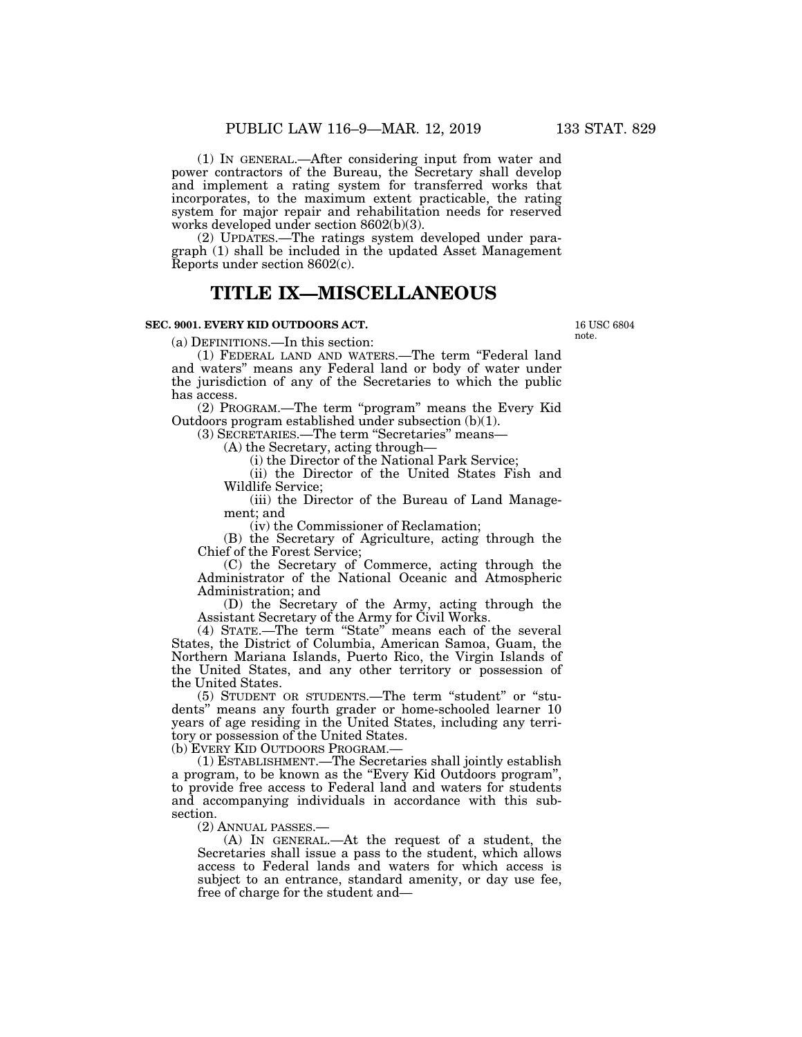(1) IN GENERAL.—After considering input from water and power contractors of the Bureau, the Secretary shall develop and implement a rating system for transferred works that incorporates, to the maximum extent practicable, the rating system for major repair and rehabilitation needs for reserved works developed under section 8602(b)(3).

(2) UPDATES.—The ratings system developed under paragraph (1) shall be included in the updated Asset Management Reports under section 8602(c).

## **TITLE IX—MISCELLANEOUS**

## **SEC. 9001. EVERY KID OUTDOORS ACT.**

(a) DEFINITIONS.—In this section:

(1) FEDERAL LAND AND WATERS.—The term ''Federal land and waters'' means any Federal land or body of water under the jurisdiction of any of the Secretaries to which the public has access.

(2) PROGRAM.—The term ''program'' means the Every Kid Outdoors program established under subsection (b)(1).

(3) SECRETARIES.—The term ''Secretaries'' means—

(A) the Secretary, acting through—

(i) the Director of the National Park Service;

(ii) the Director of the United States Fish and Wildlife Service;

(iii) the Director of the Bureau of Land Management; and

(iv) the Commissioner of Reclamation;

(B) the Secretary of Agriculture, acting through the Chief of the Forest Service;

(C) the Secretary of Commerce, acting through the Administrator of the National Oceanic and Atmospheric Administration; and

(D) the Secretary of the Army, acting through the Assistant Secretary of the Army for Civil Works.

(4) STATE.—The term ''State'' means each of the several States, the District of Columbia, American Samoa, Guam, the Northern Mariana Islands, Puerto Rico, the Virgin Islands of the United States, and any other territory or possession of the United States.

(5) STUDENT OR STUDENTS.—The term ''student'' or ''students'' means any fourth grader or home-schooled learner 10 years of age residing in the United States, including any territory or possession of the United States.

(b) EVERY KID OUTDOORS PROGRAM.—

(1) ESTABLISHMENT.—The Secretaries shall jointly establish a program, to be known as the ''Every Kid Outdoors program'', to provide free access to Federal land and waters for students and accompanying individuals in accordance with this subsection.

(2) ANNUAL PASSES.—

(A) IN GENERAL.—At the request of a student, the Secretaries shall issue a pass to the student, which allows access to Federal lands and waters for which access is subject to an entrance, standard amenity, or day use fee, free of charge for the student and—

note.

16 USC 6804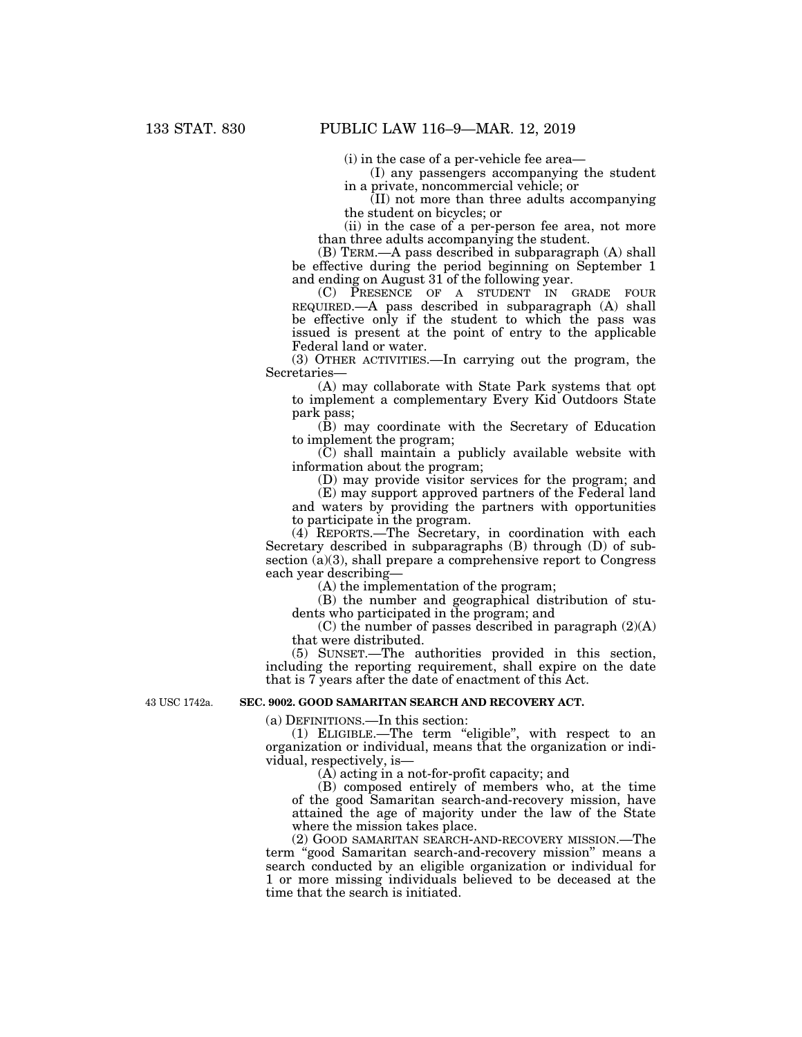(i) in the case of a per-vehicle fee area—

(I) any passengers accompanying the student in a private, noncommercial vehicle; or

(II) not more than three adults accompanying the student on bicycles; or

(ii) in the case of a per-person fee area, not more than three adults accompanying the student.

(B) TERM.—A pass described in subparagraph (A) shall be effective during the period beginning on September 1 and ending on August 31 of the following year.

(C) PRESENCE OF A STUDENT IN GRADE FOUR REQUIRED.—A pass described in subparagraph (A) shall be effective only if the student to which the pass was issued is present at the point of entry to the applicable Federal land or water.

(3) OTHER ACTIVITIES.—In carrying out the program, the Secretaries—

(A) may collaborate with State Park systems that opt to implement a complementary Every Kid Outdoors State park pass;

(B) may coordinate with the Secretary of Education to implement the program;

(C) shall maintain a publicly available website with information about the program;

(D) may provide visitor services for the program; and

(E) may support approved partners of the Federal land and waters by providing the partners with opportunities to participate in the program.

(4) REPORTS.—The Secretary, in coordination with each Secretary described in subparagraphs (B) through (D) of subsection (a)(3), shall prepare a comprehensive report to Congress each year describing—

(A) the implementation of the program;

(B) the number and geographical distribution of students who participated in the program; and

(C) the number of passes described in paragraph (2)(A) that were distributed.

(5) SUNSET.—The authorities provided in this section, including the reporting requirement, shall expire on the date that is 7 years after the date of enactment of this Act.

43 USC 1742a.

### **SEC. 9002. GOOD SAMARITAN SEARCH AND RECOVERY ACT.**

(a) DEFINITIONS.—In this section:

(1) ELIGIBLE.—The term ''eligible'', with respect to an organization or individual, means that the organization or individual, respectively, is—

(A) acting in a not-for-profit capacity; and

(B) composed entirely of members who, at the time of the good Samaritan search-and-recovery mission, have attained the age of majority under the law of the State where the mission takes place.

(2) GOOD SAMARITAN SEARCH-AND-RECOVERY MISSION.—The term ''good Samaritan search-and-recovery mission'' means a search conducted by an eligible organization or individual for 1 or more missing individuals believed to be deceased at the time that the search is initiated.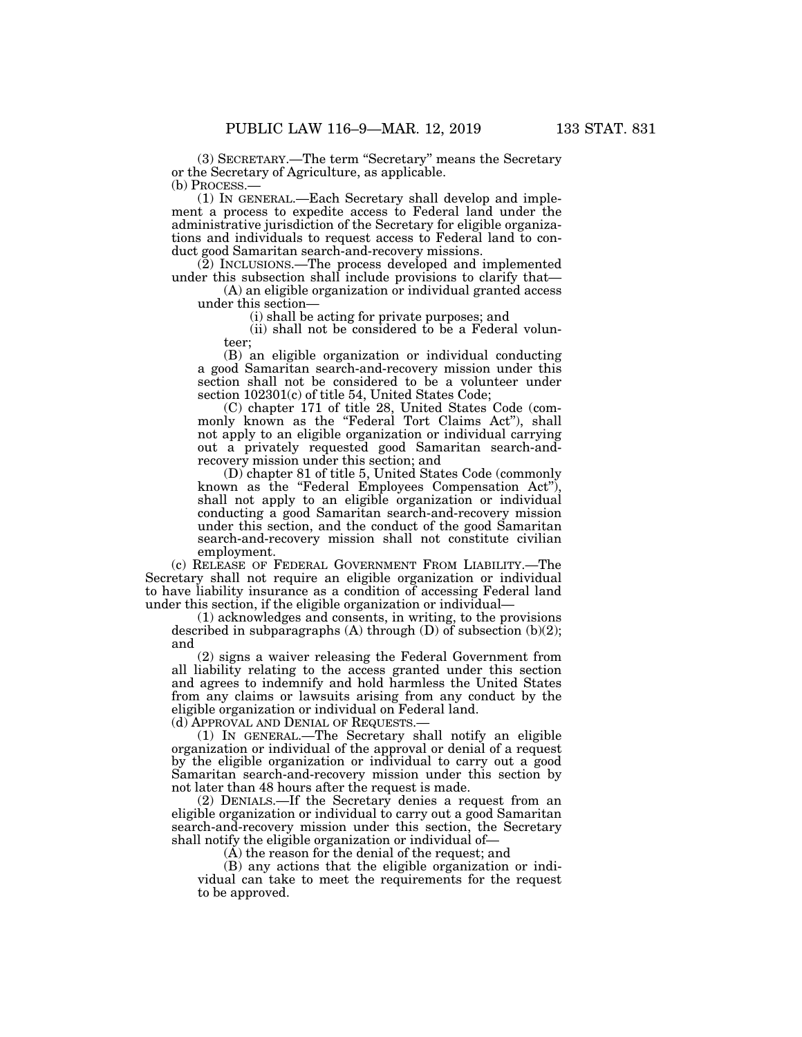(3) SECRETARY.—The term ''Secretary'' means the Secretary or the Secretary of Agriculture, as applicable. (b) PROCESS.—

(1) IN GENERAL.—Each Secretary shall develop and implement a process to expedite access to Federal land under the administrative jurisdiction of the Secretary for eligible organizations and individuals to request access to Federal land to conduct good Samaritan search-and-recovery missions.

(2) INCLUSIONS.—The process developed and implemented under this subsection shall include provisions to clarify that—

(A) an eligible organization or individual granted access under this section—

(i) shall be acting for private purposes; and

(ii) shall not be considered to be a Federal volunteer;

(B) an eligible organization or individual conducting a good Samaritan search-and-recovery mission under this section shall not be considered to be a volunteer under section 102301(c) of title 54, United States Code;

(C) chapter 171 of title 28, United States Code (commonly known as the ''Federal Tort Claims Act''), shall not apply to an eligible organization or individual carrying out a privately requested good Samaritan search-andrecovery mission under this section; and

(D) chapter 81 of title 5, United States Code (commonly known as the "Federal Employees Compensation Act"), shall not apply to an eligible organization or individual conducting a good Samaritan search-and-recovery mission under this section, and the conduct of the good Samaritan search-and-recovery mission shall not constitute civilian employment.

(c) RELEASE OF FEDERAL GOVERNMENT FROM LIABILITY.—The Secretary shall not require an eligible organization or individual to have liability insurance as a condition of accessing Federal land under this section, if the eligible organization or individual—

(1) acknowledges and consents, in writing, to the provisions described in subparagraphs  $(A)$  through  $(D)$  of subsection  $(b)(2)$ ; and

(2) signs a waiver releasing the Federal Government from all liability relating to the access granted under this section and agrees to indemnify and hold harmless the United States from any claims or lawsuits arising from any conduct by the eligible organization or individual on Federal land.

(d) APPROVAL AND DENIAL OF REQUESTS.—

(1) IN GENERAL.—The Secretary shall notify an eligible organization or individual of the approval or denial of a request by the eligible organization or individual to carry out a good Samaritan search-and-recovery mission under this section by not later than 48 hours after the request is made.

(2) DENIALS.—If the Secretary denies a request from an eligible organization or individual to carry out a good Samaritan search-and-recovery mission under this section, the Secretary shall notify the eligible organization or individual of—

(A) the reason for the denial of the request; and

(B) any actions that the eligible organization or individual can take to meet the requirements for the request to be approved.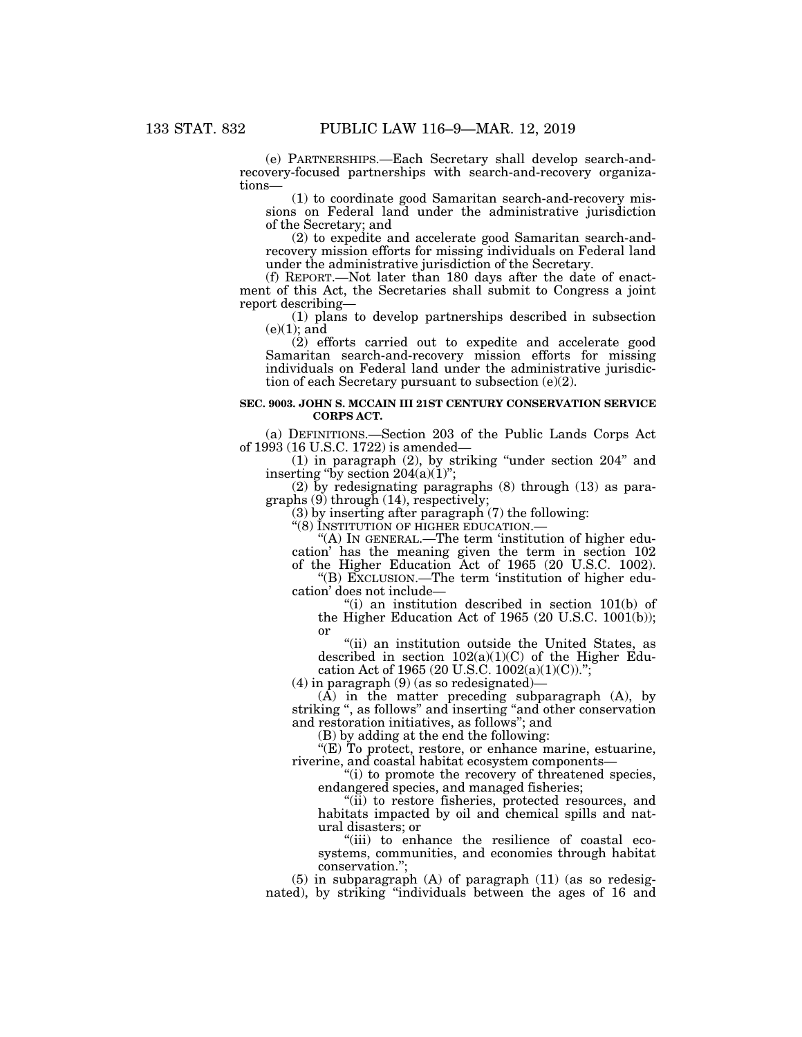(e) PARTNERSHIPS.—Each Secretary shall develop search-andrecovery-focused partnerships with search-and-recovery organizations—

(1) to coordinate good Samaritan search-and-recovery missions on Federal land under the administrative jurisdiction of the Secretary; and

(2) to expedite and accelerate good Samaritan search-andrecovery mission efforts for missing individuals on Federal land under the administrative jurisdiction of the Secretary.

(f) REPORT.—Not later than 180 days after the date of enactment of this Act, the Secretaries shall submit to Congress a joint report describing—

(1) plans to develop partnerships described in subsection  $(e)(1)$ ; and

(2) efforts carried out to expedite and accelerate good Samaritan search-and-recovery mission efforts for missing individuals on Federal land under the administrative jurisdiction of each Secretary pursuant to subsection (e)(2).

#### **SEC. 9003. JOHN S. MCCAIN III 21ST CENTURY CONSERVATION SERVICE CORPS ACT.**

(a) DEFINITIONS.—Section 203 of the Public Lands Corps Act of 1993 (16 U.S.C. 1722) is amended—

(1) in paragraph (2), by striking ''under section 204'' and inserting "by section  $204(a)(1)$ ";

(2) by redesignating paragraphs (8) through (13) as paragraphs (9) through (14), respectively;

(3) by inserting after paragraph (7) the following:

''(8) INSTITUTION OF HIGHER EDUCATION.—

"(A) IN GENERAL.—The term 'institution of higher education' has the meaning given the term in section 102

of the Higher Education Act of 1965 (20 U.S.C. 1002). ''(B) EXCLUSION.—The term 'institution of higher education' does not include—

''(i) an institution described in section 101(b) of the Higher Education Act of 1965 (20 U.S.C. 1001(b)); or

''(ii) an institution outside the United States, as described in section  $102(a)(1)(C)$  of the Higher Education Act of 1965 (20 U.S.C. 1002(a)(1)(C)).";

(4) in paragraph (9) (as so redesignated)—

(A) in the matter preceding subparagraph (A), by striking ", as follows" and inserting "and other conservation and restoration initiatives, as follows''; and

(B) by adding at the end the following:

''(E) To protect, restore, or enhance marine, estuarine, riverine, and coastal habitat ecosystem components—

''(i) to promote the recovery of threatened species, endangered species, and managed fisheries;

''(ii) to restore fisheries, protected resources, and habitats impacted by oil and chemical spills and natural disasters; or

''(iii) to enhance the resilience of coastal ecosystems, communities, and economies through habitat conservation.'';

(5) in subparagraph (A) of paragraph (11) (as so redesignated), by striking ''individuals between the ages of 16 and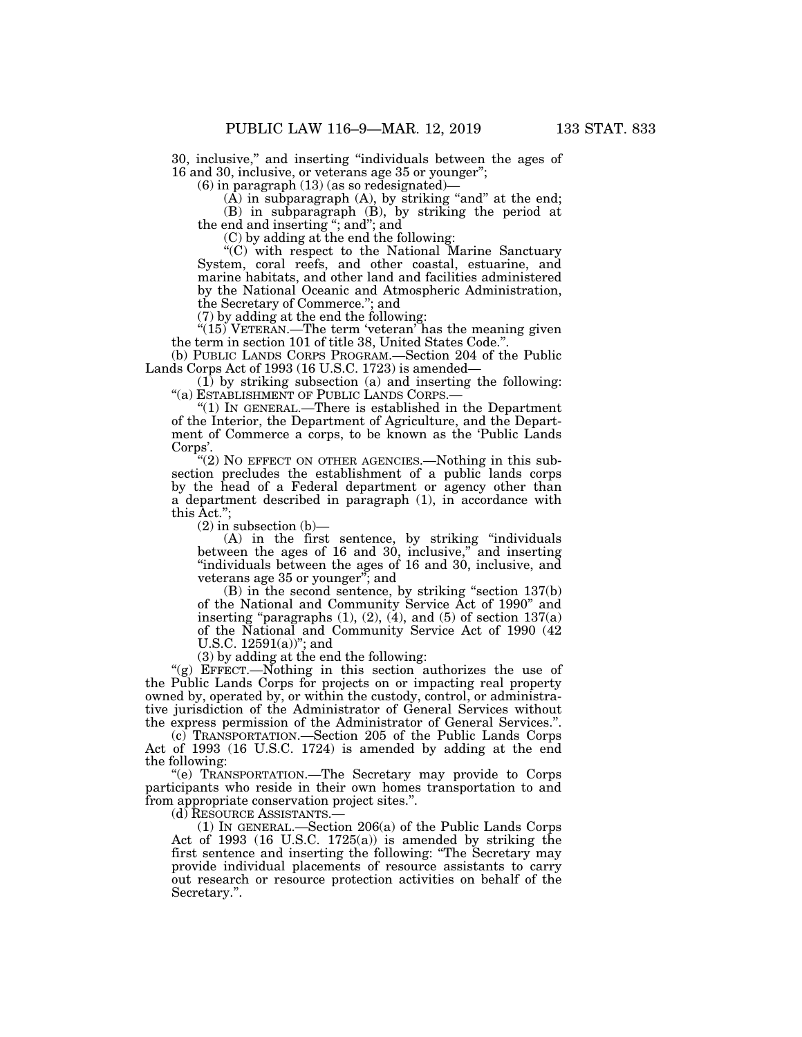30, inclusive,'' and inserting ''individuals between the ages of 16 and 30, inclusive, or veterans age 35 or younger'';

 $(6)$  in paragraph  $(13)$  (as so redesignated)

 $(A)$  in subparagraph  $(A)$ , by striking "and" at the end; (B) in subparagraph (B), by striking the period at the end and inserting ''; and''; and

(C) by adding at the end the following:

''(C) with respect to the National Marine Sanctuary System, coral reefs, and other coastal, estuarine, and marine habitats, and other land and facilities administered by the National Oceanic and Atmospheric Administration, the Secretary of Commerce.''; and

(7) by adding at the end the following:

" $(15)$  VETERAN.—The term 'veteran' has the meaning given the term in section 101 of title 38, United States Code.''.

(b) PUBLIC LANDS CORPS PROGRAM.—Section 204 of the Public Lands Corps Act of 1993 (16 U.S.C. 1723) is amended—

(1) by striking subsection (a) and inserting the following: ''(a) ESTABLISHMENT OF PUBLIC LANDS CORPS.—

" $(1)$  In GENERAL.—There is established in the Department of the Interior, the Department of Agriculture, and the Department of Commerce a corps, to be known as the 'Public Lands Corps'.

''(2) NO EFFECT ON OTHER AGENCIES.—Nothing in this subsection precludes the establishment of a public lands corps by the head of a Federal department or agency other than a department described in paragraph (1), in accordance with this Act.'';

 $(2)$  in subsection  $(b)$ —

(A) in the first sentence, by striking ''individuals between the ages of 16 and 30, inclusive," and inserting ''individuals between the ages of 16 and 30, inclusive, and veterans age 35 or younger''; and

(B) in the second sentence, by striking ''section 137(b) of the National and Community Service Act of 1990'' and inserting "paragraphs  $(1)$ ,  $(2)$ ,  $(4)$ , and  $(5)$  of section  $137(a)$ of the National and Community Service Act of 1990 (42 U.S.C.  $12591(a)$ "; and

(3) by adding at the end the following:

''(g) EFFECT.—Nothing in this section authorizes the use of the Public Lands Corps for projects on or impacting real property owned by, operated by, or within the custody, control, or administrative jurisdiction of the Administrator of General Services without the express permission of the Administrator of General Services.''.

(c) TRANSPORTATION.—Section 205 of the Public Lands Corps Act of 1993 (16 U.S.C. 1724) is amended by adding at the end the following:

''(e) TRANSPORTATION.—The Secretary may provide to Corps participants who reside in their own homes transportation to and from appropriate conservation project sites.''.

(1) IN GENERAL.—Section  $206(a)$  of the Public Lands Corps Act of 1993 (16 U.S.C. 1725(a)) is amended by striking the first sentence and inserting the following: ''The Secretary may provide individual placements of resource assistants to carry out research or resource protection activities on behalf of the Secretary.''.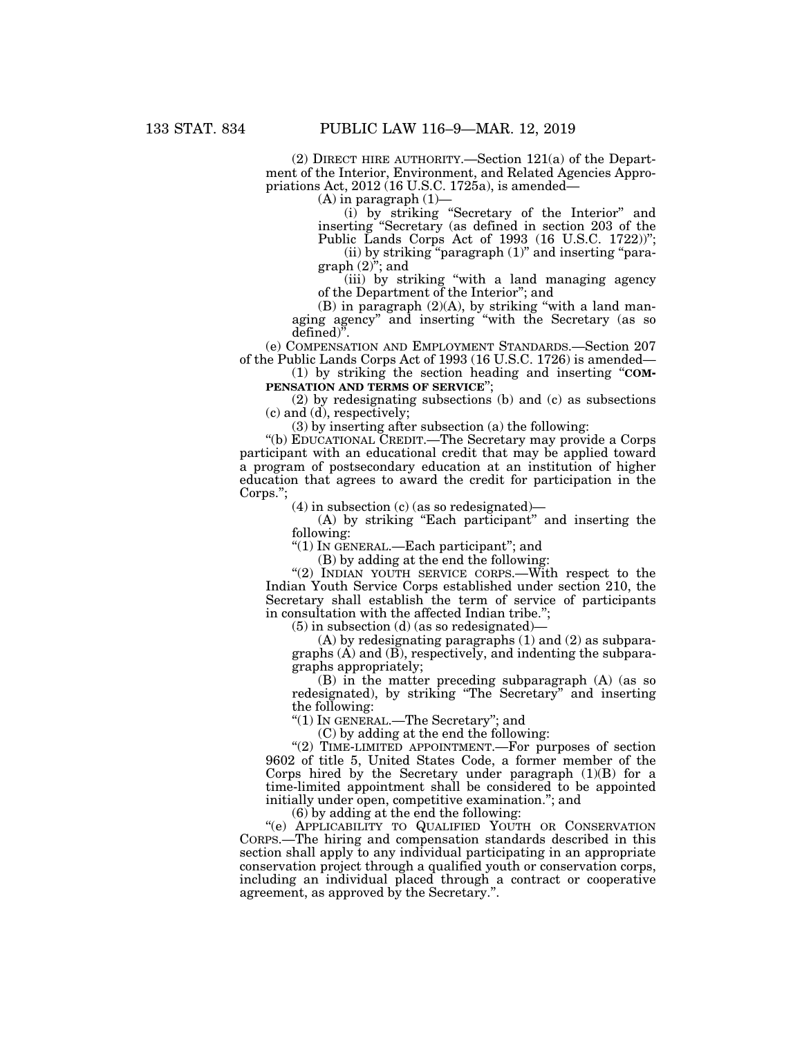(2) DIRECT HIRE AUTHORITY.—Section 121(a) of the Department of the Interior, Environment, and Related Agencies Appropriations Act,  $2012(16$  U.S.C. 1725a), is amended—

 $(A)$  in paragraph  $(1)$ 

(i) by striking ''Secretary of the Interior'' and inserting ''Secretary (as defined in section 203 of the Public Lands Corps Act of 1993 (16 U.S.C. 1722))'';

(ii) by striking "paragraph (1)" and inserting "paragraph  $(2)^{y}$ ; and

(iii) by striking ''with a land managing agency of the Department of the Interior''; and

(B) in paragraph  $(2)(A)$ , by striking "with a land managing agency'' and inserting ''with the Secretary (as so defined<sup>)</sup>.

(e) COMPENSATION AND EMPLOYMENT STANDARDS.—Section 207 of the Public Lands Corps Act of 1993 (16 U.S.C. 1726) is amended—

(1) by striking the section heading and inserting ''**COM-PENSATION AND TERMS OF SERVICE**'';

(2) by redesignating subsections (b) and (c) as subsections (c) and (d), respectively;

(3) by inserting after subsection (a) the following:

''(b) EDUCATIONAL CREDIT.—The Secretary may provide a Corps participant with an educational credit that may be applied toward a program of postsecondary education at an institution of higher education that agrees to award the credit for participation in the Corps.'';

(4) in subsection (c) (as so redesignated)—

(A) by striking ''Each participant'' and inserting the following:

''(1) IN GENERAL.—Each participant''; and

(B) by adding at the end the following:

"(2) INDIAN YOUTH SERVICE CORPS.—With respect to the Indian Youth Service Corps established under section 210, the Secretary shall establish the term of service of participants in consultation with the affected Indian tribe.'';

(5) in subsection (d) (as so redesignated)—

(A) by redesignating paragraphs (1) and (2) as subparagraphs (A) and (B), respectively, and indenting the subparagraphs appropriately;

(B) in the matter preceding subparagraph (A) (as so redesignated), by striking ''The Secretary'' and inserting the following:

''(1) IN GENERAL.—The Secretary''; and

(C) by adding at the end the following:

"(2) TIME-LIMITED APPOINTMENT.—For purposes of section 9602 of title 5, United States Code, a former member of the Corps hired by the Secretary under paragraph (1)(B) for a time-limited appointment shall be considered to be appointed initially under open, competitive examination.''; and

(6) by adding at the end the following:

"(e) APPLICABILITY TO QUALIFIED YOUTH OR CONSERVATION CORPS.—The hiring and compensation standards described in this section shall apply to any individual participating in an appropriate conservation project through a qualified youth or conservation corps, including an individual placed through a contract or cooperative agreement, as approved by the Secretary.''.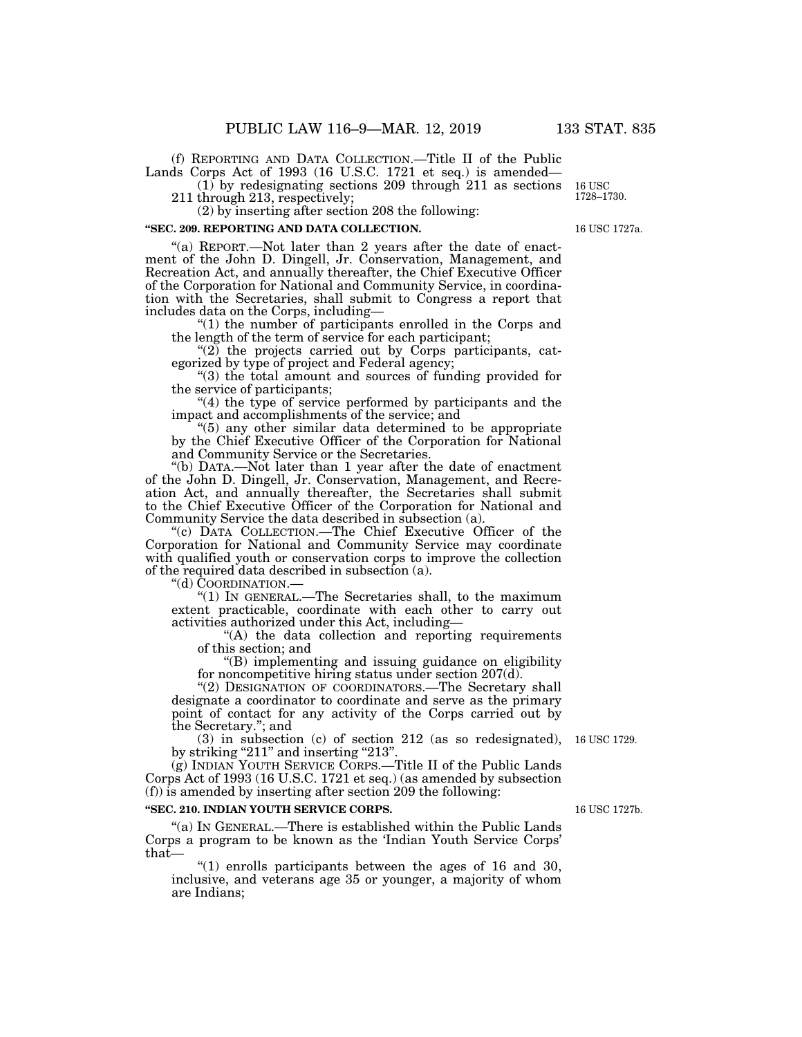(f) REPORTING AND DATA COLLECTION.—Title II of the Public Lands Corps Act of 1993 (16 U.S.C. 1721 et seq.) is amended—

(1) by redesignating sections 209 through 211 as sections

211 through 213, respectively;

(2) by inserting after section 208 the following:

## **''SEC. 209. REPORTING AND DATA COLLECTION.**

"(a) REPORT.—Not later than 2 years after the date of enactment of the John D. Dingell, Jr. Conservation, Management, and Recreation Act, and annually thereafter, the Chief Executive Officer of the Corporation for National and Community Service, in coordination with the Secretaries, shall submit to Congress a report that includes data on the Corps, including—

''(1) the number of participants enrolled in the Corps and the length of the term of service for each participant;

" $(2)$  the projects carried out by Corps participants, categorized by type of project and Federal agency;

''(3) the total amount and sources of funding provided for the service of participants;

"(4) the type of service performed by participants and the impact and accomplishments of the service; and

''(5) any other similar data determined to be appropriate by the Chief Executive Officer of the Corporation for National and Community Service or the Secretaries.

''(b) DATA.—Not later than 1 year after the date of enactment of the John D. Dingell, Jr. Conservation, Management, and Recreation Act, and annually thereafter, the Secretaries shall submit to the Chief Executive Officer of the Corporation for National and Community Service the data described in subsection (a).

''(c) DATA COLLECTION.—The Chief Executive Officer of the Corporation for National and Community Service may coordinate with qualified youth or conservation corps to improve the collection of the required data described in subsection (a).<br>
"(d)  $\text{CoORDINATION}$ .

" $(1)$  In GENERAL.—The Secretaries shall, to the maximum extent practicable, coordinate with each other to carry out activities authorized under this Act, including—

"(A) the data collection and reporting requirements of this section; and

''(B) implementing and issuing guidance on eligibility for noncompetitive hiring status under section 207(d).

"(2) DESIGNATION OF COORDINATORS.—The Secretary shall designate a coordinator to coordinate and serve as the primary point of contact for any activity of the Corps carried out by the Secretary.''; and

(3) in subsection (c) of section 212 (as so redesignated), 16 USC 1729. by striking "211" and inserting "213".

(g) INDIAN YOUTH SERVICE CORPS.—Title II of the Public Lands Corps Act of 1993 (16 U.S.C. 1721 et seq.) (as amended by subsection (f)) is amended by inserting after section 209 the following:

## **''SEC. 210. INDIAN YOUTH SERVICE CORPS.**

"(a) IN GENERAL.—There is established within the Public Lands Corps a program to be known as the 'Indian Youth Service Corps' that—

" $(1)$  enrolls participants between the ages of 16 and 30, inclusive, and veterans age 35 or younger, a majority of whom are Indians;

16 USC 1727b.

16 USC 1727a.

16 USC 1728–1730.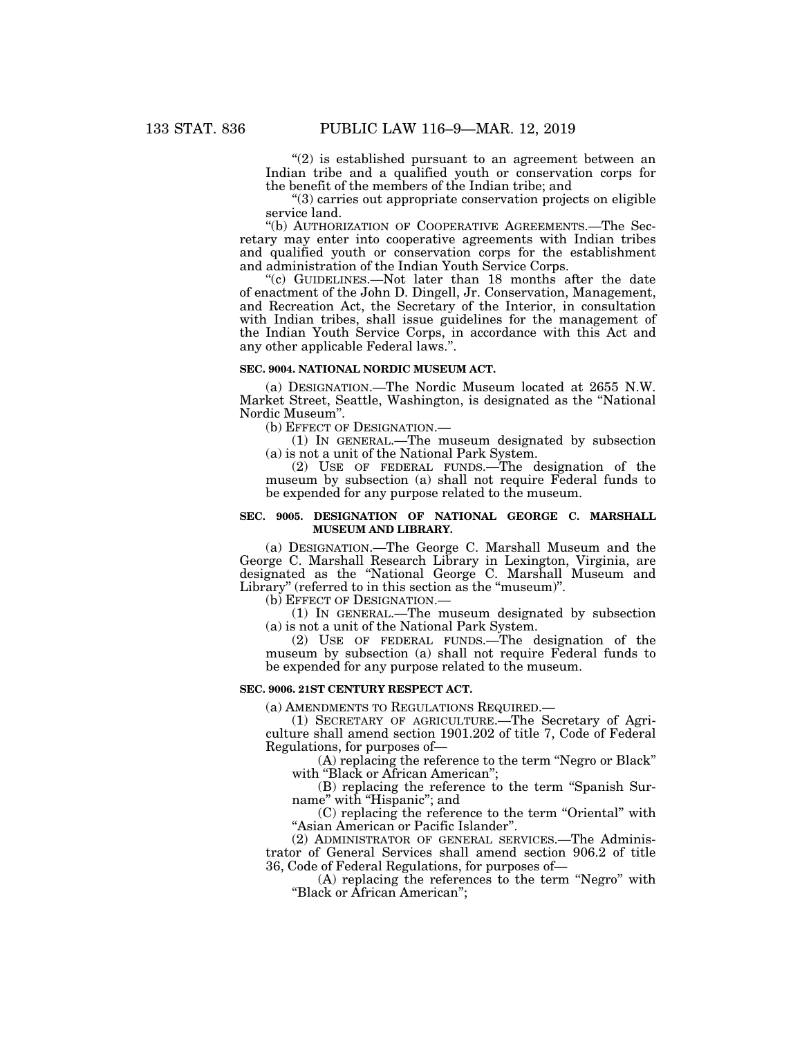" $(2)$  is established pursuant to an agreement between an Indian tribe and a qualified youth or conservation corps for the benefit of the members of the Indian tribe; and

''(3) carries out appropriate conservation projects on eligible service land.

''(b) AUTHORIZATION OF COOPERATIVE AGREEMENTS.—The Secretary may enter into cooperative agreements with Indian tribes and qualified youth or conservation corps for the establishment and administration of the Indian Youth Service Corps.

''(c) GUIDELINES.—Not later than 18 months after the date of enactment of the John D. Dingell, Jr. Conservation, Management, and Recreation Act, the Secretary of the Interior, in consultation with Indian tribes, shall issue guidelines for the management of the Indian Youth Service Corps, in accordance with this Act and any other applicable Federal laws.''.

#### **SEC. 9004. NATIONAL NORDIC MUSEUM ACT.**

(a) DESIGNATION.—The Nordic Museum located at 2655 N.W. Market Street, Seattle, Washington, is designated as the ''National Nordic Museum''.

(b) EFFECT OF DESIGNATION.—

(1) IN GENERAL.—The museum designated by subsection (a) is not a unit of the National Park System.

(2) USE OF FEDERAL FUNDS.—The designation of the museum by subsection (a) shall not require Federal funds to be expended for any purpose related to the museum.

## **SEC. 9005. DESIGNATION OF NATIONAL GEORGE C. MARSHALL MUSEUM AND LIBRARY.**

(a) DESIGNATION.—The George C. Marshall Museum and the George C. Marshall Research Library in Lexington, Virginia, are designated as the ''National George C. Marshall Museum and Library" (referred to in this section as the "museum)".

(b) EFFECT OF DESIGNATION.—

(1) IN GENERAL.—The museum designated by subsection (a) is not a unit of the National Park System.

(2) USE OF FEDERAL FUNDS.—The designation of the museum by subsection (a) shall not require Federal funds to be expended for any purpose related to the museum.

#### **SEC. 9006. 21ST CENTURY RESPECT ACT.**

(a) AMENDMENTS TO REGULATIONS REQUIRED.—

(1) SECRETARY OF AGRICULTURE.—The Secretary of Agriculture shall amend section 1901.202 of title 7, Code of Federal Regulations, for purposes of—

(A) replacing the reference to the term ''Negro or Black'' with "Black or African American";

(B) replacing the reference to the term ''Spanish Surname" with "Hispanic"; and

(C) replacing the reference to the term ''Oriental'' with ''Asian American or Pacific Islander''.

(2) ADMINISTRATOR OF GENERAL SERVICES.—The Administrator of General Services shall amend section 906.2 of title 36, Code of Federal Regulations, for purposes of—

(A) replacing the references to the term ''Negro'' with ''Black or African American'';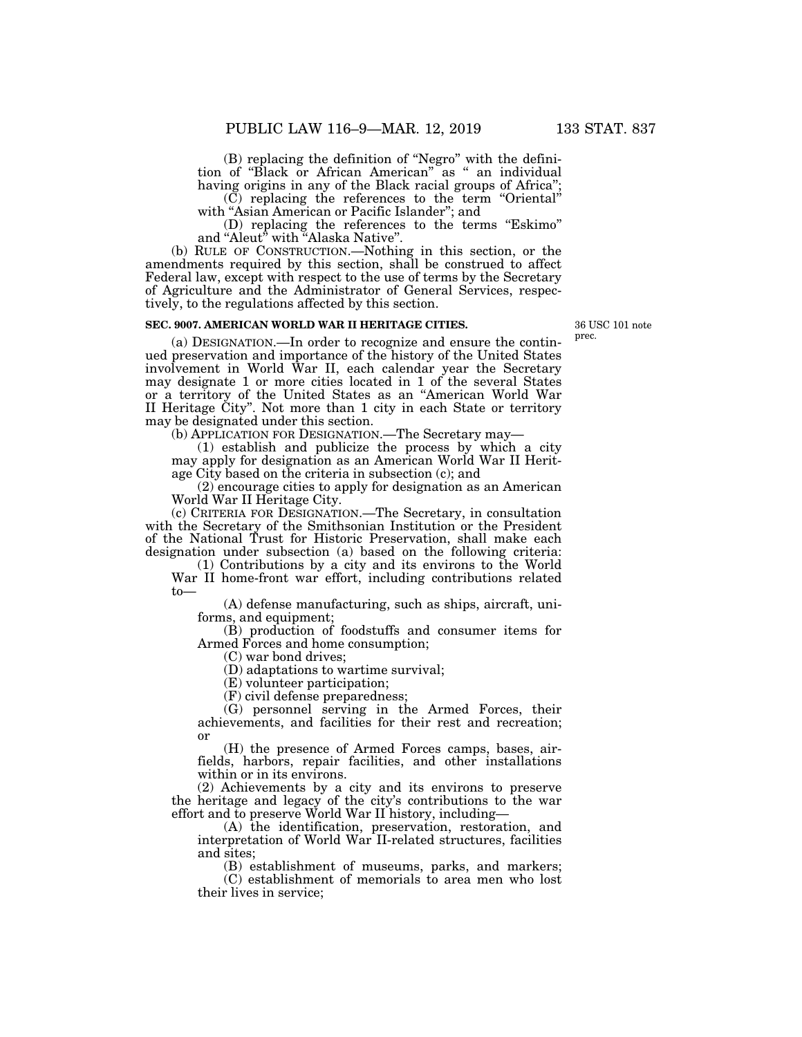(B) replacing the definition of ''Negro'' with the definition of ''Black or African American'' as '' an individual having origins in any of the Black racial groups of Africa";

(C) replacing the references to the term ''Oriental'' with "Asian American or Pacific Islander"; and

(D) replacing the references to the terms ''Eskimo'' and "Aleut" with "Alaska Native".

(b) RULE OF CONSTRUCTION.—Nothing in this section, or the amendments required by this section, shall be construed to affect Federal law, except with respect to the use of terms by the Secretary of Agriculture and the Administrator of General Services, respectively, to the regulations affected by this section.

## **SEC. 9007. AMERICAN WORLD WAR II HERITAGE CITIES.**

(a) DESIGNATION.—In order to recognize and ensure the continued preservation and importance of the history of the United States involvement in World War II, each calendar year the Secretary may designate 1 or more cities located in 1 of the several States or a territory of the United States as an ''American World War II Heritage City''. Not more than 1 city in each State or territory may be designated under this section.

(b) APPLICATION FOR DESIGNATION.—The Secretary may—

(1) establish and publicize the process by which a city may apply for designation as an American World War II Heritage City based on the criteria in subsection (c); and

(2) encourage cities to apply for designation as an American World War II Heritage City.

(c) CRITERIA FOR DESIGNATION.—The Secretary, in consultation with the Secretary of the Smithsonian Institution or the President of the National Trust for Historic Preservation, shall make each designation under subsection (a) based on the following criteria:

(1) Contributions by a city and its environs to the World War II home-front war effort, including contributions related to—

(A) defense manufacturing, such as ships, aircraft, uniforms, and equipment;

(B) production of foodstuffs and consumer items for Armed Forces and home consumption;

(C) war bond drives;

(D) adaptations to wartime survival;

(E) volunteer participation;

(F) civil defense preparedness;

(G) personnel serving in the Armed Forces, their achievements, and facilities for their rest and recreation; or

(H) the presence of Armed Forces camps, bases, airfields, harbors, repair facilities, and other installations within or in its environs.

(2) Achievements by a city and its environs to preserve the heritage and legacy of the city's contributions to the war effort and to preserve World War II history, including—

(A) the identification, preservation, restoration, and interpretation of World War II-related structures, facilities and sites;

(B) establishment of museums, parks, and markers;

(C) establishment of memorials to area men who lost their lives in service;

36 USC 101 note prec.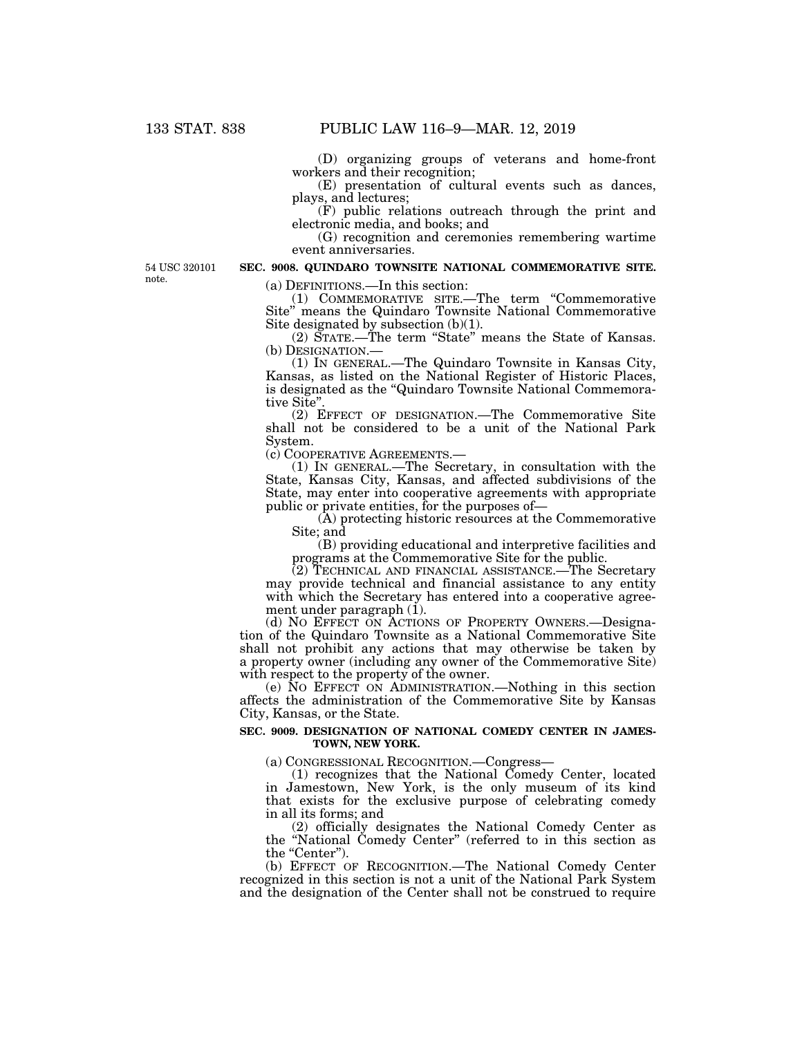(D) organizing groups of veterans and home-front workers and their recognition;

(E) presentation of cultural events such as dances, plays, and lectures;

(F) public relations outreach through the print and electronic media, and books; and

(G) recognition and ceremonies remembering wartime event anniversaries.

54 USC 320101 note.

# **SEC. 9008. QUINDARO TOWNSITE NATIONAL COMMEMORATIVE SITE.**

(a) DEFINITIONS.—In this section:

(1) COMMEMORATIVE SITE.—The term ''Commemorative Site'' means the Quindaro Townsite National Commemorative Site designated by subsection (b)(1).

(2) STATE.—The term ''State'' means the State of Kansas. (b) DESIGNATION.— (1) IN GENERAL.—The Quindaro Townsite in Kansas City,

Kansas, as listed on the National Register of Historic Places, is designated as the ''Quindaro Townsite National Commemorative Site''.

(2) EFFECT OF DESIGNATION.—The Commemorative Site shall not be considered to be a unit of the National Park System.<br>(c) COOPERATIVE AGREEMENTS.—

(1) IN GENERAL.—The Secretary, in consultation with the State, Kansas City, Kansas, and affected subdivisions of the State, may enter into cooperative agreements with appropriate public or private entities, for the purposes of—

(A) protecting historic resources at the Commemorative Site; and

(B) providing educational and interpretive facilities and programs at the Commemorative Site for the public.

(2) TECHNICAL AND FINANCIAL ASSISTANCE.—The Secretary may provide technical and financial assistance to any entity with which the Secretary has entered into a cooperative agreement under paragraph  $(i)$ .

(d) NO EFFECT ON ACTIONS OF PROPERTY OWNERS.—Designation of the Quindaro Townsite as a National Commemorative Site shall not prohibit any actions that may otherwise be taken by a property owner (including any owner of the Commemorative Site) with respect to the property of the owner.

(e) NO EFFECT ON ADMINISTRATION.—Nothing in this section affects the administration of the Commemorative Site by Kansas City, Kansas, or the State.

# **SEC. 9009. DESIGNATION OF NATIONAL COMEDY CENTER IN JAMES-TOWN, NEW YORK.**

(a) CONGRESSIONAL RECOGNITION.—Congress—

(1) recognizes that the National Comedy Center, located in Jamestown, New York, is the only museum of its kind that exists for the exclusive purpose of celebrating comedy in all its forms; and

(2) officially designates the National Comedy Center as the ''National Comedy Center'' (referred to in this section as the "Center").

(b) EFFECT OF RECOGNITION.—The National Comedy Center recognized in this section is not a unit of the National Park System and the designation of the Center shall not be construed to require